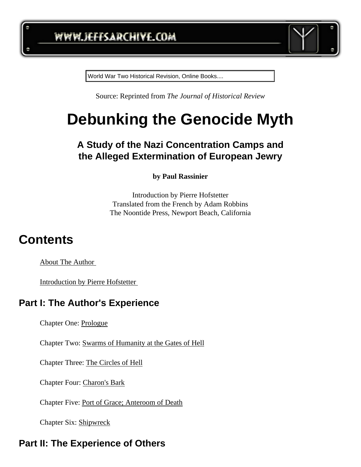<span id="page-0-0"></span>World War Two Historical Revision, Online Books....

Source: Reprinted from *The Journal of Historical Review*

# **Debunking the Genocide Myth**

## **A Study of the Nazi Concentration Camps and the Alleged Extermination of European Jewry**

**by Paul Rassinier**

Introduction by Pierre Hofstetter Translated from the French by Adam Robbins The Noontide Press, Newport Beach, California

## **Contents**

About The Author

Introduction by Pierre Hofstetter

## **Part I: The Author's Experience**

Chapter One: [Prologue](#page-9-0)

Chapter Two: [Swarms of Humanity at the Gates of Hell](#page-9-0)

Chapter Three: [The Circles of Hell](#page-32-0)

Chapter Four: [Charon's Bark](#page-32-0)

Chapter Five: [Port of Grace; Anteroom of Death](#page-55-0)

Chapter Six: [Shipwreck](#page-55-0)

## **Part II: The Experience of Others**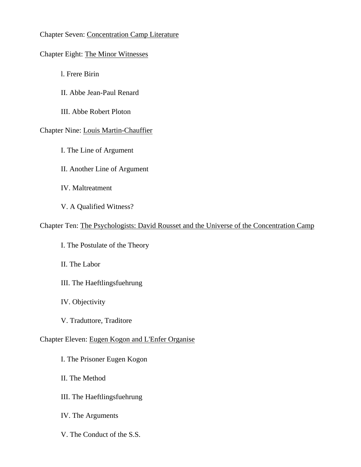### Chapter Seven: [Concentration Camp Literature](#page-67-0)

### Chapter Eight: [The Minor Witnesses](#page-67-0)

l. Frere Birin

- II. Abbe Jean-Paul Renard
- III. Abbe Robert Ploton

#### Chapter Nine: [Louis Martin-Chauffier](#page-83-0)

- I. The Line of Argument
- II. Another Line of Argument
- IV. Maltreatment
- V. A Qualified Witness?

### Chapter Ten: [The Psychologists: David Rousset and the Universe of the Concentration Camp](#page-83-0)

I. The Postulate of the Theory

II. The Labor

III. The Haeftlingsfuehrung

IV. Objectivity

V. Traduttore, Traditore

### Chapter Eleven: [Eugen Kogon and L'Enfer Organise](#page-104-0)

I. The Prisoner Eugen Kogon

II. The Method

- III. The Haeftlingsfuehrung
- IV. The Arguments
- V. The Conduct of the S.S.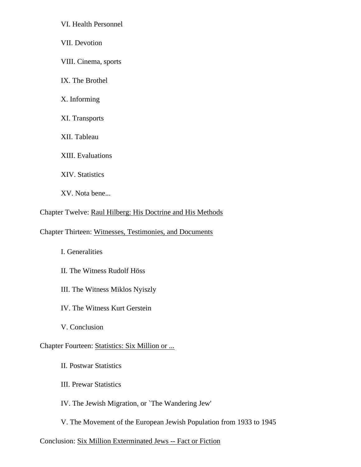VI. Health Personnel

VII. Devotion

VIII. Cinema, sports

IX. The Brothel

X. Informing

XI. Transports

XII. Tableau

XIII. Evaluations

XIV. Statistics

XV. Nota bene...

Chapter Twelve: [Raul Hilberg: His Doctrine and His Methods](#page-130-0)

Chapter Thirteen: [Witnesses, Testimonies, and Documents](#page-139-0)

I. Generalities

II. The Witness Rudolf Höss

III. The Witness Miklos Nyiszly

IV. The Witness Kurt Gerstein

V. Conclusion

Chapter Fourteen: [Statistics: Six Million or ...](#page-176-0)

II. Postwar Statistics

III. Prewar Statistics

IV. The Jewish Migration, or `The Wandering Jew'

V. The Movement of the European Jewish Population from 1933 to 1945

### Conclusion: [Six Million Exterminated Jews -- Fact or Fiction](#page-234-0)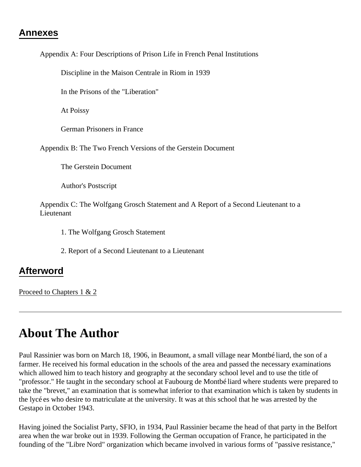## **[Annexes](http://www.ihr.org/books/rassinier/debunking2.15.html)**

Appendix A: Four Descriptions of Prison Life in French Penal Institutions

Discipline in the Maison Centrale in Riom in 1939

In the Prisons of the "Liberation"

At Poissy

German Prisoners in France

Appendix B: The Two French Versions of the Gerstein Document

The Gerstein Document

Author's Postscript

Appendix C: The Wolfgang Grosch Statement and A Report of a Second Lieutenant to a Lieutenant

- 1. The Wolfgang Grosch Statement
- 2. Report of a Second Lieutenant to a Lieutenant

## **[Afterword](http://www.ihr.org/books/rassinier/debunking2.17.html)**

[Proceed to Chapters 1 & 2](#page-9-0)

## **About The Author**

Paul Rassinier was born on March 18, 1906, in Beaumont, a small village near Montbéliard, the son of a farmer. He received his formal education in the schools of the area and passed the necessary examinations which allowed him to teach history and geography at the secondary school level and to use the title of "professor." He taught in the secondary school at Faubourg de Montbéliard where students were prepared to take the "brevet," an examination that is somewhat inferior to that examination which is taken by students in the lycées who desire to matriculate at the university. It was at this school that he was arrested by the Gestapo in October 1943.

Having joined the Socialist Party, SFIO, in 1934, Paul Rassinier became the head of that party in the Belfort area when the war broke out in 1939. Following the German occupation of France, he participated in the founding of the "Libre Nord" organization which became involved in various forms of "passive resistance,"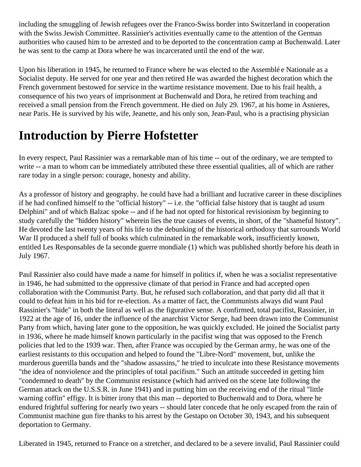including the smuggling of Jewish refugees over the Franco-Swiss border into Switzerland in cooperation with the Swiss Jewish Committee. Rassinier's activities eventually came to the attention of the German authorities who caused him to be arrested and to be deported to the concentration camp at Buchenwald. Later he was sent to the camp at Dora where he was incarcerated until the end of the war.

Upon his liberation in 1945, he returned to France where he was elected to the Assemblée Nationale as a Socialist deputy. He served for one year and then retired He was awarded the highest decoration which the French government bestowed for service in the wartime resistance movement. Due to his frail health, a consequence of his two years of imprisonment at Buchenwald and Dora, he retired from teaching and received a small pension from the French government. He died on July 29. 1967, at his home in Asnieres, near Paris. He is survived by his wife, Jeanette, and his only son, Jean-Paul, who is a practising physician

# **Introduction by Pierre Hofstetter**

In every respect, Paul Rassinier was a remarkable man of his time -- out of the ordinary, we are tempted to write -- a man to whom can be immediately attributed these three essential qualities, all of which are rather rare today in a single person: courage, honesty and ability.

As a professor of history and geography. he could have had a brilliant and lucrative career in these disciplines if he had confined himself to the "official history" -- i.e. the "official false history that is taught ad usum Delphini" and of which Balzac spoke -- and if he had not opted for historical revisionism by beginning to study carefully the "hidden history" wherein lies the true causes of events, in short, of the "shameful history". He devoted the last twenty years of his life to the debunking of the historical orthodoxy that surrounds World War II produced a shelf full of books which culminated in the remarkable work, insufficiently known, entitled Les Responsables de la seconde guerre mondiale (1) which was published shortly before his death in July 1967.

Paul Rassinier also could have made a name for himself in politics if, when he was a socialist representative in 1946, he had submitted to the oppressive climate of that period in France and had accepted open collaboration with the Communist Party. But, he refused such collaboration, and that party did all that it could to defeat him in his bid for re-election. As a matter of fact, the Communists always did want Paul Rassinier's "hide" in both the literal as well as the figurative sense. A confirmed, total pacifist, Rassinier, in 1922 at the age of 16, under the influence of the anarchist Victor Serge, had been drawn into the Communist Party from which, having later gone to the opposition, he was quickly excluded. He joined the Socialist party in 1936, where he made himself known particularly in the pacifist wing that was opposed to the French policies that led to the 1939 war. Then, after France was occupied by the German army, he was one of the earliest resistants to this occupation and helped to found the "Libre-Nord" movement, but, unlike the murderous guerrilla bands and the "shadow assassins," he tried to inculcate into these Resistance movements "the idea of nonviolence and the principles of total pacifism." Such an attitude succeeded in getting him "condemned to death" by the Communist resistance (which had arrived on the scene late following the German attack on the U.S.S.R. in June 1941) and in putting him on the receiving end of the ritual "little warning coffin" effigy. It is bitter irony that this man -- deported to Buchenwald and to Dora, where he endured frightful suffering for nearly two years -- should later concede that he only escaped from the rain of Communist machine gun fire thanks to his arrest by the Gestapo on October 30, 1943, and his subsequent deportation to Germany.

Liberated in 1945, returned to France on a stretcher, and declared to be a severe invalid, Paul Rassinier could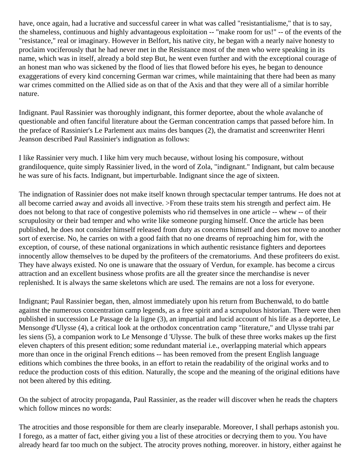have, once again, had a lucrative and successful career in what was called "resistantialisme," that is to say, the shameless, continuous and highly advantageous exploitation -- "make room for us!" -- of the events of the "resistance," real or imaginary. However in Belfort, his native city, he began with a nearly naive honesty to proclaim vociferously that he had never met in the Resistance most of the men who were speaking in its name, which was in itself, already a bold step But, he went even further and with the exceptional courage of an honest man who was sickened by the flood of lies that flowed before his eyes, he began to denounce exaggerations of every kind concerning German war crimes, while maintaining that there had been as many war crimes committed on the Allied side as on that of the Axis and that they were all of a similar horrible nature.

Indignant. Paul Rassinier was thoroughly indignant, this former deportee, about the whole avalanche of questionable and often fanciful literature about the German concentration camps that passed before him. In the preface of Rassinier's Le Parlement aux mains des banques (2), the dramatist and screenwriter Henri Jeanson described Paul Rassinier's indignation as follows:

I like Rassinier very much. I like him very much because, without losing his composure, without grandiloquence, quite simply Rassinier lived, in the word of Zola, "indignant." Indignant, but calm because he was sure of his facts. Indignant, but imperturbable. Indignant since the age of sixteen.

The indignation of Rassinier does not make itself known through spectacular temper tantrums. He does not at all become carried away and avoids all invective. >From these traits stem his strength and perfect aim. He does not belong to that race of congestive polemists who rid themselves in one article -- whew -- of their scrupulosity or their bad temper and who write like someone purging himself. Once the article has been published, he does not consider himself released from duty as concerns himself and does not move to another sort of exercise. No, he carries on with a good faith that no one dreams of reproaching him for, with the exception, of course, of these national organizations in which authentic resistance fighters and deportees innocently allow themselves to be duped by the profiteers of the crematoriums. And these profiteers do exist. They have always existed. No one is unaware that the ossuary of Verdun, for example. has become a circus attraction and an excellent business whose profits are all the greater since the merchandise is never replenished. It is always the same skeletons which are used. The remains are not a loss for everyone.

Indignant; Paul Rassinier began, then, almost immediately upon his return from Buchenwald, to do battle against the numerous concentration camp legends, as a free spirit and a scrupulous historian. There were then published in succession Le Passage de la ligne (3), an impartial and lucid account of his life as a deportee, Le Mensonge d'Ulysse (4), a critical look at the orthodox concentration camp "literature," and Ulysse trahi par les siens (5), a companion work to Le Mensonge d 'Ulysse. The bulk of these three works makes up the first eleven chapters of this present edition; some redundant material i.e., overlapping material which appears more than once in the original French editions -- has been removed from the present English language editions which combines the three books, in an effort to retain the readability of the original works and to reduce the production costs of this edition. Naturally, the scope and the meaning of the original editions have not been altered by this editing.

On the subject of atrocity propaganda, Paul Rassinier, as the reader will discover when he reads the chapters which follow minces no words:

The atrocities and those responsible for them are clearly inseparable. Moreover, I shall perhaps astonish you. I forego, as a matter of fact, either giving you a list of these atrocities or decrying them to you. You have already heard far too much on the subject. The atrocity proves nothing, moreover. in history, either against he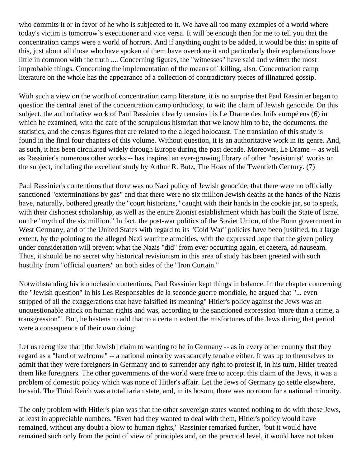who commits it or in favor of he who is subjected to it. We have all too many examples of a world where today's victim is tomorrow`s executioner and vice versa. It will be enough then for me to tell you that the concentration camps were a world of horrors. And if anything ought to be added, it would be this: in spite of this, just about all those who have spoken of them have overdone it and particularly their explanations have little in common with the truth .... Concerning figures, the "witnesses" have said and written the most improbable things. Concerning the implementation of the means of` killing, also. Concentration camp literature on the whole has the appearance of a collection of contradictory pieces of illnatured gossip.

With such a view on the worth of concentration camp literature, it is no surprise that Paul Rassinier began to question the central tenet of the concentration camp orthodoxy, to wit: the claim of Jewish genocide. On this subject. the authoritative work of Paul Rassinier clearly remains his Le Drame des Juifs européens (6) in which he examined, with the care of the scrupulous historian that we know him to be, the documents. the statistics, and the census figures that are related to the alleged holocaust. The translation of this study is found in the final four chapters of this volume. Without question, it is an authoritative work in its genre. And, as such, it has been circulated widely through Europe during the past decade. Moreover, Le Drame -- as well as Rassinier's numerous other works -- has inspired an ever-growing library of other "revisionist" works on the subject, including the excellent study by Arthur R. Butz, The Hoax of the Twentieth Century. (7)

Paul Rassinier's contentions that there was no Nazi policy of Jewish genocide, that there were no officially sanctioned "exterminations by gas" and that there were no six million Jewish deaths at the hands of the Nazis have, naturally, bothered greatly the "court historians," caught with their hands in the cookie jar, so to speak, with their dishonest scholarship, as well as the entire Zionist establishment which has built the State of Israel on the "myth of the six million." In fact, the post-war politics of the Soviet Union, of the Bonn government in West Germany, and of the United States with regard to its "Cold War" policies have been justified, to a large extent, by the pointing to the alleged Nazi wartime atrocities, with the expressed hope that the given policy under consideration will prevent what the Nazis "did" from ever occurring again, et caetera, ad nauseam. Thus, it should be no secret why historical revisionism in this area of study has been greeted with such hostility from "official quarters" on both sides of the "Iron Curtain."

Notwithstanding his iconoclastic contentions, Paul Rassinier kept things in balance. In the chapter concerning the "Jewish question" in his Les Responsables de la seconde guerre mondiale, he argued that "... even stripped of all the exaggerations that have falsified its meaning" Hitler's policy against the Jews was an unquestionable attack on human rights and was, according to the sanctioned expression 'more than a crime, a transgression'". But, he hastens to add that to a certain extent the misfortunes of the Jews during that period were a consequence of their own doing:

Let us recognize that [the Jewish] claim to wanting to be in Germany -- as in every other country that they regard as a "land of welcome" -- a national minority was scarcely tenable either. It was up to themselves to admit that they were foreigners in Germany and to surrender any right to protest if, in his turn, Hitler treated them like foreigners. The other governments of the world were free to accept this claim of the Jews, it was a problem of domestic policy which was none of Hitler's affair. Let the Jews of Germany go settle elsewhere, he said. The Third Reich was a totalitarian state, and, in its bosom, there was no room for a national minority.

The only problem with Hitler's plan was that the other sovereign states wanted nothing to do with these Jews, at least in appreciable numbers. "Even had they wanted to deal with them, Hitler's policy would have remained, without any doubt a blow to human rights," Rassinier remarked further, "but it would have remained such only from the point of view of principles and, on the practical level, it would have not taken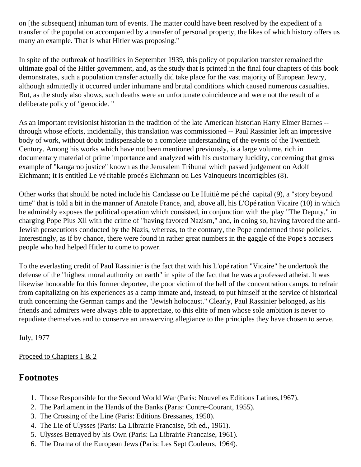on [the subsequent] inhuman turn of events. The matter could have been resolved by the expedient of a transfer of the population accompanied by a transfer of personal property, the likes of which history offers us many an example. That is what Hitler was proposing."

In spite of the outbreak of hostilities in September 1939, this policy of population transfer remained the ultimate goal of the Hitler government, and, as the study that is printed in the final four chapters of this book demonstrates, such a population transfer actually did take place for the vast majority of European Jewry, although admittedly it occurred under inhumane and brutal conditions which caused numerous casualties. But, as the study also shows, such deaths were an unfortunate coincidence and were not the result of a deliberate policy of "genocide. "

As an important revisionist historian in the tradition of the late American historian Harry Elmer Barnes - through whose efforts, incidentally, this translation was commissioned -- Paul Rassinier left an impressive body of work, without doubt indispensable to a complete understanding of the events of the Twentieth Century. Among his works which have not been mentioned previously, is a large volume, rich in documentary material of prime importance and analyzed with his customary lucidity, concerning that gross example of "kangaroo justice" known as the Jerusalem Tribunal which passed judgement on Adolf Eichmann; it is entitled Le véritable procés Eichmann ou Les Vainqueurs incorrigibles (8).

Other works that should be noted include his Candasse ou Le Huitième péché capital (9), a "story beyond time" that is told a bit in the manner of Anatole France, and, above all, his L'Opération Vicaire (10) in which he admirably exposes the political operation which consisted, in conjunction with the play "The Deputy," in charging Pope Pius Xll with the crime of "having favored Nazism," and, in doing so, having favored the anti-Jewish persecutions conducted by the Nazis, whereas, to the contrary, the Pope condemned those policies. Interestingly, as if by chance, there were found in rather great numbers in the gaggle of the Pope's accusers people who had helped Hitler to come to power.

To the everlasting credit of Paul Rassinier is the fact that with his L'opération "Vicaire" he undertook the defense of the "highest moral authority on earth" in spite of the fact that he was a professed atheist. It was likewise honorable for this former deportee, the poor victim of the hell of the concentration camps, to refrain from capitalizing on his experiences as a camp inmate and, instead, to put himself at the service of historical truth concerning the German camps and the "Jewish holocaust." Clearly, Paul Rassinier belonged, as his friends and admirers were always able to appreciate, to this elite of men whose sole ambition is never to repudiate themselves and to conserve an unswerving allegiance to the principles they have chosen to serve.

July, 1977

[Proceed to Chapters 1 & 2](#page-9-0)

### **Footnotes**

- 1. Those Responsible for the Second World War (Paris: Nouvelles Editions Latines,1967).
- 2. The Parliament in the Hands of the Banks (Paris: Contre-Courant, 1955).
- 3. The Crossing of the Line (Paris: Editions Bressanes, 1950).
- 4. The Lie of Ulysses (Paris: La Librairie Francaise, 5th ed., 1961).
- 5. Ulysses Betrayed by his Own (Paris: La Librairie Francaise, 1961).
- 6. The Drama of the European Jews (Paris: Les Sept Couleurs, 1964).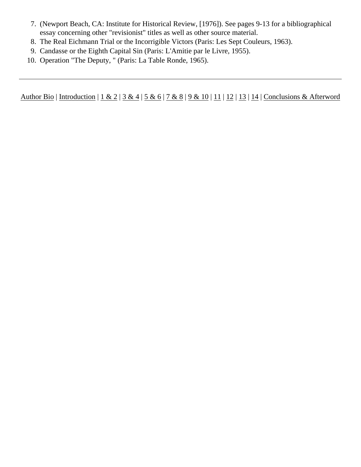- 7. (Newport Beach, CA: Institute for Historical Review, [1976]). See pages 9-13 for a bibliographical essay concerning other "revisionist" titles as well as other source material.
- 8. The Real Eichmann Trial or the Incorrigible Victors (Paris: Les Sept Couleurs, 1963).
- 9. Candasse or the Eighth Capital Sin (Paris: L'Amitie par le Livre, 1955).
- 10. Operation "The Deputy, " (Paris: La Table Ronde, 1965).

[Author Bio](#page-0-0) | [Introduction](#page-0-0) | [1 & 2](#page-9-0) | [3 & 4](#page-32-0) | [5 & 6](#page-55-0) | [7 & 8](#page-67-0) | [9 & 10](#page-83-0) | [11](#page-104-0) | [12](#page-130-0) | [13](#page-139-0) | [14](#page-176-0) | [Conclusions & Afterword](#page-234-0)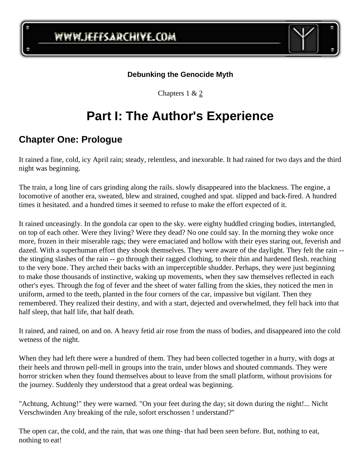### **Debunking the Genocide Myth**

Chapters 1 & [2](#page-20-0)

# **Part I: The Author's Experience**

## <span id="page-9-0"></span>**Chapter One: Prologue**

It rained a fine, cold, icy April rain; steady, relentless, and inexorable. It had rained for two days and the third night was beginning.

The train, a long line of cars grinding along the rails. slowly disappeared into the blackness. The engine, a locomotive of another era, sweated, blew and strained, coughed and spat. slipped and back-fired. A hundred times it hesitated. and a hundred times it seemed to refuse to make the effort expected of it.

It rained unceasingly. In the gondola car open to the sky. were eighty huddled cringing bodies, intertangled, on top of each other. Were they living? Were they dead? No one could say. In the morning they woke once more, frozen in their miserable rags; they were emaciated and hollow with their eyes staring out, feverish and dazed. With a superhuman effort they shook themselves. They were aware of the daylight. They felt the rain - the stinging slashes of the rain -- go through their ragged clothing, to their thin and hardened flesh. reaching to the very bone. They arched their backs with an imperceptible shudder. Perhaps, they were just beginning to make those thousands of instinctive, waking up movements, when they saw themselves reflected in each other's eyes. Through the fog of fever and the sheet of water falling from the skies, they noticed the men in uniform, armed to the teeth, planted in the four corners of the car, impassive but vigilant. Then they remembered. They realized their destiny, and with a start, dejected and overwhelmed, they fell back into that half sleep, that half life, that half death.

It rained, and rained, on and on. A heavy fetid air rose from the mass of bodies, and disappeared into the cold wetness of the night.

When they had left there were a hundred of them. They had been collected together in a hurry, with dogs at their heels and thrown pell-mell in groups into the train, under blows and shouted commands. They were horror stricken when they found themselves about to leave from the small platform, without provisions for the journey. Suddenly they understood that a great ordeal was beginning.

"Achtung, Achtung!" they were warned. "On your feet during the day; sit down during the night!... Nicht Verschwinden Any breaking of the rule, sofort erschossen ! understand?"

The open car, the cold, and the rain, that was one thing- that had been seen before. But, nothing to eat, nothing to eat!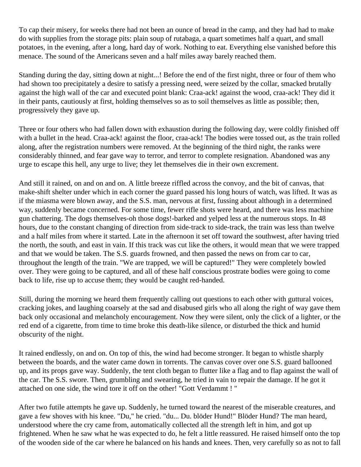To cap their misery, for weeks there had not been an ounce of bread in the camp, and they had had to make do with supplies from the storage pits: plain soup of rutabaga, a quart sometimes half a quart, and small potatoes, in the evening, after a long, hard day of work. Nothing to eat. Everything else vanished before this menace. The sound of the Americans seven and a half miles away barely reached them.

Standing during the day, sitting down at night...! Before the end of the first night, three or four of them who had shown too precipitately a desire to satisfy a pressing need, were seized by the collar, smacked brutally against the high wall of the car and executed point blank: Craa-ack! against the wood, craa-ack! They did it in their pants, cautiously at first, holding themselves so as to soil themselves as little as possible; then, progressively they gave up.

Three or four others who had fallen down with exhaustion during the following day, were coldly finished off with a bullet in the head. Craa-ack! against the floor, craa-ack! The bodies were tossed out, as the train rolled along, after the registration numbers were removed. At the beginning of the third night, the ranks were considerably thinned, and fear gave way to terror, and terror to complete resignation. Abandoned was any urge to escape this hell, any urge to live; they let themselves die in their own excrement.

And still it rained, on and on and on. A little breeze riffled across the convoy, and the bit of canvas, that make-shift shelter under which in each corner the guard passed his long hours of watch, was lifted. It was as if the miasma were blown away, and the S.S. man, nervous at first, fussing about although in a determined way, suddenly became concerned. For some time, fewer rifle shots were heard, and there was less machine gun chattering. The dogs themselves-oh those dogs!-barked and yelped less at the numerous stops. In 48 hours, due to the constant changing of direction from side-track to side-track, the train was less than twelve and a half miles from where it started. Late in the afternoon it set off toward the southwest, after having tried the north, the south, and east in vain. If this track was cut like the others, it would mean that we were trapped and that we would be taken. The S.S. guards frowned, and then passed the news on from car to car, throughout the length of the train. "We are trapped, we will be captured!" They were completely bowled over. They were going to be captured, and all of these half conscious prostrate bodies were going to come back to life, rise up to accuse them; they would be caught red-handed.

Still, during the morning we heard them frequently calling out questions to each other with guttural voices, cracking jokes, and laughing coarsely at the sad and disabused girls who all along the right of way gave them back only occasional and melancholy encouragement. Now they were silent, only the click of a lighter, or the red end of a cigarette, from time to time broke this death-like silence, or disturbed the thick and humid obscurity of the night.

It rained endlessly, on and on. On top of this, the wind had become stronger. It began to whistle sharply between the boards, and the water came down in torrents. The canvas cover over one S.S. guard ballooned up, and its props gave way. Suddenly, the tent cloth began to flutter like a flag and to flap against the wall of the car. The S.S. swore. Then, grumbling and swearing, he tried in vain to repair the damage. If he got it attached on one side, the wind tore it off on the other! "Gott Verdammt ! "

After two futile attempts he gave up. Suddenly, he turned toward the nearest of the miserable creatures, and gave a few shoves with his knee. "Du," he cried. "du... Du. blöder Hund!" Blöder Hund? The man heard, understood where the cry came from, automatically collected all the strength left in him, and got up frightened. When he saw what he was expected to do, he felt a little reassured. He raised himself onto the top of the wooden side of the car where he balanced on his hands and knees. Then, very carefully so as not to fall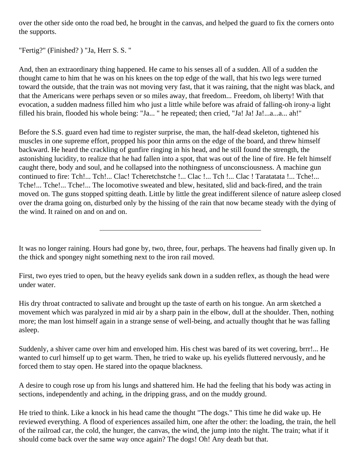over the other side onto the road bed, he brought in the canvas, and helped the guard to fix the corners onto the supports.

"Fertig?" (Finished? ) "Ja, Herr S. S. "

And, then an extraordinary thing happened. He came to his senses all of a sudden. All of a sudden the thought came to him that he was on his knees on the top edge of the wall, that his two legs were turned toward the outside, that the train was not moving very fast, that it was raining, that the night was black, and that the Americans were perhaps seven or so miles away, that freedom... Freedom, oh liberty! With that evocation, a sudden madness filled him who just a little while before was afraid of falling-oh irony-a light filled his brain, flooded his whole being: "Ja... " he repeated; then cried, "Ja! Ja! Ja!...a...a... ah!"

Before the S.S. guard even had time to register surprise, the man, the half-dead skeleton, tightened his muscles in one supreme effort, propped his poor thin arms on the edge of the board, and threw himself backward. He heard the crackling of gunfire ringing in his head, and he still found the strength, the astonishing lucidity, to realize that he had fallen into a spot, that was out of the line of fire. He felt himself caught there, body and soul, and he collapsed into the nothingness of unconsciousness. A machine gun continued to fire: Tch!... Tch!... Clac! Tcheretchstche !... Clac !... Tch !... Clac ! Taratatata !... Tche!... Tche!... Tche!... Tche!... The locomotive sweated and blew, hesitated, slid and back-fired, and the train moved on. The guns stopped spitting death. Little by little the great indifferent silence of nature asleep closed over the drama going on, disturbed only by the hissing of the rain that now became steady with the dying of the wind. It rained on and on and on.

It was no longer raining. Hours had gone by, two, three, four, perhaps. The heavens had finally given up. In the thick and spongey night something next to the iron rail moved.

First, two eyes tried to open, but the heavy eyelids sank down in a sudden reflex, as though the head were under water.

His dry throat contracted to salivate and brought up the taste of earth on his tongue. An arm sketched a movement which was paralyzed in mid air by a sharp pain in the elbow, dull at the shoulder. Then, nothing more; the man lost himself again in a strange sense of well-being, and actually thought that he was falling asleep.

Suddenly, a shiver came over him and enveloped him. His chest was bared of its wet covering, brrr!... He wanted to curl himself up to get warm. Then, he tried to wake up. his eyelids fluttered nervously, and he forced them to stay open. He stared into the opaque blackness.

A desire to cough rose up from his lungs and shattered him. He had the feeling that his body was acting in sections, independently and aching, in the dripping grass, and on the muddy ground.

He tried to think. Like a knock in his head came the thought "The dogs." This time he did wake up. He reviewed everything. A flood of experiences assailed him, one after the other: the loading, the train, the hell of the railroad car, the cold, the hunger, the canvas, the wind, the jump into the night. The train; what if it should come back over the same way once again? The dogs! Oh! Any death but that.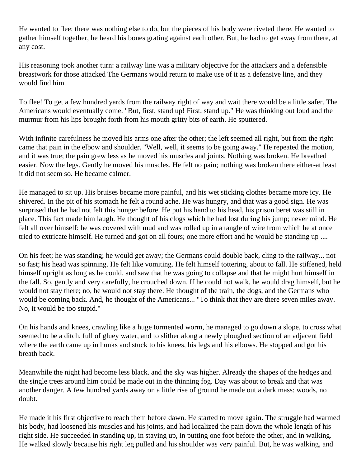He wanted to flee; there was nothing else to do, but the pieces of his body were riveted there. He wanted to gather himself together, he heard his bones grating against each other. But, he had to get away from there, at any cost.

His reasoning took another turn: a railway line was a military objective for the attackers and a defensible breastwork for those attacked The Germans would return to make use of it as a defensive line, and they would find him.

To flee! To get a few hundred yards from the railway right of way and wait there would be a little safer. The Americans would eventually come. "But, first, stand up! First, stand up." He was thinking out loud and the murmur from his lips brought forth from his mouth gritty bits of earth. He sputtered.

With infinite carefulness he moved his arms one after the other; the left seemed all right, but from the right came that pain in the elbow and shoulder. "Well, well, it seems to be going away." He repeated the motion, and it was true; the pain grew less as he moved his muscles and joints. Nothing was broken. He breathed easier. Now the legs. Gently he moved his muscles. He felt no pain; nothing was broken there either-at least it did not seem so. He became calmer.

He managed to sit up. His bruises became more painful, and his wet sticking clothes became more icy. He shivered. In the pit of his stomach he felt a round ache. He was hungry, and that was a good sign. He was surprised that he had not felt this hunger before. He put his hand to his head, his prison beret was still in place. This fact made him laugh. He thought of his clogs which he had lost during his jump; never mind. He felt all over himself: he was covered with mud and was rolled up in a tangle of wire from which he at once tried to extricate himself. He turned and got on all fours; one more effort and he would be standing up ....

On his feet; he was standing; he would get away; the Germans could double back, cling to the railway... not so fast; his head was spinning. He felt like vomiting. He felt himself tottering, about to fall. He stiffened, held himself upright as long as he could. and saw that he was going to collapse and that he might hurt himself in the fall. So, gently and very carefully, he crouched down. If he could not walk, he would drag himself, but he would not stay there; no, he would not stay there. He thought of the train, the dogs, and the Germans who would be coming back. And, he thought of the Americans... "To think that they are there seven miles away. No, it would be too stupid."

On his hands and knees, crawling like a huge tormented worm, he managed to go down a slope, to cross what seemed to be a ditch, full of gluey water, and to slither along a newly ploughed section of an adjacent field where the earth came up in hunks and stuck to his knees, his legs and his elbows. He stopped and got his breath back.

Meanwhile the night had become less black. and the sky was higher. Already the shapes of the hedges and the single trees around him could be made out in the thinning fog. Day was about to break and that was another danger. A few hundred yards away on a little rise of ground he made out a dark mass: woods, no doubt.

He made it his first objective to reach them before dawn. He started to move again. The struggle had warmed his body, had loosened his muscles and his joints, and had localized the pain down the whole length of his right side. He succeeded in standing up, in staying up, in putting one foot before the other, and in walking. He walked slowly because his right leg pulled and his shoulder was very painful. But, he was walking, and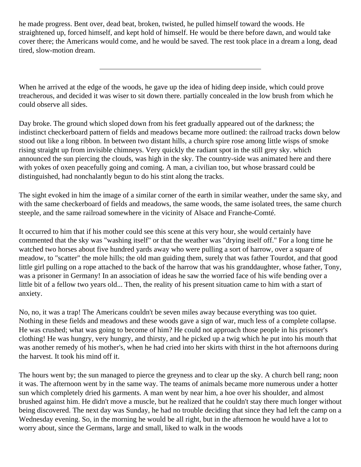he made progress. Bent over, dead beat, broken, twisted, he pulled himself toward the woods. He straightened up, forced himself, and kept hold of himself. He would be there before dawn, and would take cover there; the Americans would come, and he would be saved. The rest took place in a dream a long, dead tired, slow-motion dream.

When he arrived at the edge of the woods, he gave up the idea of hiding deep inside, which could prove treacherous, and decided it was wiser to sit down there. partially concealed in the low brush from which he could observe all sides.

Day broke. The ground which sloped down from his feet gradually appeared out of the darkness; the indistinct checkerboard pattern of fields and meadows became more outlined: the railroad tracks down below stood out like a long ribbon. In between two distant hills, a church spire rose among little wisps of smoke rising straight up from invisible chimneys. Very quickly the radiant spot in the still grey sky. which announced the sun piercing the clouds, was high in the sky. The country-side was animated here and there with yokes of oxen peacefully going and coming. A man, a civilian too, but whose brassard could be distinguished, had nonchalantly begun to do his stint along the tracks.

The sight evoked in him the image of a similar corner of the earth in similar weather, under the same sky, and with the same checkerboard of fields and meadows, the same woods, the same isolated trees, the same church steeple, and the same railroad somewhere in the vicinity of Alsace and Franche-Comté.

It occurred to him that if his mother could see this scene at this very hour, she would certainly have commented that the sky was "washing itself" or that the weather was "drying itself off." For a long time he watched two horses about five hundred yards away who were pulling a sort of harrow, over a square of meadow, to "scatter" the mole hills; the old man guiding them, surely that was father Tourdot, and that good little girl pulling on a rope attached to the back of the harrow that was his granddaughter, whose father, Tony, was a prisoner in Germany! In an association of ideas he saw the worried face of his wife bending over a little bit of a fellow two years old... Then, the reality of his present situation came to him with a start of anxiety.

No, no, it was a trap! The Americans couldn't be seven miles away because everything was too quiet. Nothing in these fields and meadows and these woods gave a sign of war, much less of a complete collapse. He was crushed; what was going to become of him? He could not approach those people in his prisoner's clothing! He was hungry, very hungry, and thirsty, and he picked up a twig which he put into his mouth that was another remedy of his mother's, when he had cried into her skirts with thirst in the hot afternoons during the harvest. It took his mind off it.

The hours went by; the sun managed to pierce the greyness and to clear up the sky. A church bell rang; noon it was. The afternoon went by in the same way. The teams of animals became more numerous under a hotter sun which completely dried his garments. A man went by near him, a hoe over his shoulder, and almost brushed against him. He didn't move a muscle, but he realized that he couldn't stay there much longer without being discovered. The next day was Sunday, he had no trouble deciding that since they had left the camp on a Wednesday evening. So, in the morning he would be all right, but in the afternoon he would have a lot to worry about, since the Germans, large and small, liked to walk in the woods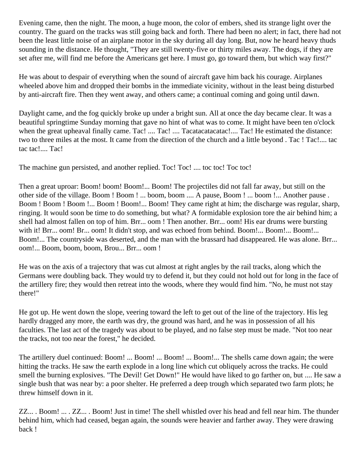Evening came, then the night. The moon, a huge moon, the color of embers, shed its strange light over the country. The guard on the tracks was still going back and forth. There had been no alert; in fact, there had not been the least little noise of an airplane motor in the sky during all day long. But, now he heard heavy thuds sounding in the distance. He thought, "They are still twenty-five or thirty miles away. The dogs, if they are set after me, will find me before the Americans get here. I must go, go toward them, but which way first?"

He was about to despair of everything when the sound of aircraft gave him back his courage. Airplanes wheeled above him and dropped their bombs in the immediate vicinity, without in the least being disturbed by anti-aircraft fire. Then they went away, and others came; a continual coming and going until dawn.

Daylight came, and the fog quickly broke up under a bright sun. All at once the day became clear. It was a beautiful springtime Sunday morning that gave no hint of what was to come. It might have been ten o'clock when the great upheaval finally came. Tac! .... Tac! .... Tacatacatacatac!.... Tac! He estimated the distance: two to three miles at the most. It came from the direction of the church and a little beyond . Tac ! Tac!.... tac tac tac!.... Tac!

The machine gun persisted, and another replied. Toc! Toc! .... toc toc! Toc toc!

Then a great uproar: Boom! boom! Boom!... Boom! The projectiles did not fall far away, but still on the other side of the village. Boom ! Boom ! ... boom, boom .... A pause, Boom ! ... boom ! ... Another pause . Boom ! Boom ! Boom !... Boom ! Boom!... Boom! They came right at him; the discharge was regular, sharp, ringing. It would soon be time to do something, but what? A formidable explosion tore the air behind him; a shell had almost fallen on top of him. Brr... oom ! Then another. Brr... oom! His ear drums were bursting with it! Brr... oom! Br... oom! It didn't stop, and was echoed from behind. Boom!... Boom!... Boom!... Boom!... The countryside was deserted, and the man with the brassard had disappeared. He was alone. Brr... oom!... Boom, boom, boom, Brou... Brr... oom !

He was on the axis of a trajectory that was cut almost at right angles by the rail tracks, along which the Germans were doubling back. They would try to defend it, but they could not hold out for long in the face of the artillery fire; they would then retreat into the woods, where they would find him. "No, he must not stay there!"

He got up. He went down the slope, veering toward the left to get out of the line of the trajectory. His leg hardly dragged any more, the earth was dry, the ground was hard, and he was in possession of all his faculties. The last act of the tragedy was about to be played, and no false step must be made. "Not too near the tracks, not too near the forest," he decided.

The artillery duel continued: Boom! ... Boom! ... Boom! ... Boom!... The shells came down again; the were hitting the tracks. He saw the earth explode in a long line which cut obliquely across the tracks. He could smell the burning explosives. "The Devil! Get Down!" He would have liked to go farther on, but .... He saw a single bush that was near by: a poor shelter. He preferred a deep trough which separated two farm plots; he threw himself down in it.

ZZ... . Boom! ... . ZZ... . Boom! Just in time! The shell whistled over his head and fell near him. The thunder behind him, which had ceased, began again, the sounds were heavier and farther away. They were drawing back !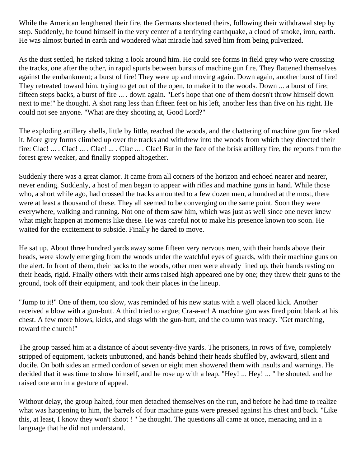While the American lengthened their fire, the Germans shortened theirs, following their withdrawal step by step. Suddenly, he found himself in the very center of a terrifying earthquake, a cloud of smoke, iron, earth. He was almost buried in earth and wondered what miracle had saved him from being pulverized.

As the dust settled, he risked taking a look around him. He could see forms in field grey who were crossing the tracks, one after the other, in rapid spurts between bursts of machine gun fire. They flattened themselves against the embankment; a burst of fire! They were up and moving again. Down again, another burst of fire! They retreated toward him, trying to get out of the open, to make it to the woods. Down ... a burst of fire; fifteen steps backs, a burst of fire ... . down again. "Let's hope that one of them doesn't throw himself down next to me!" he thought. A shot rang less than fifteen feet on his left, another less than five on his right. He could not see anyone. "What are they shooting at, Good Lord?"

The exploding artillery shells, little by little, reached the woods, and the chattering of machine gun fire raked it. More grey forms climbed up over the tracks and withdrew into the woods from which they directed their fire: Clac! ... . Clac! ... . Clac! ... . Clac ... . Clac! But in the face of the brisk artillery fire, the reports from the forest grew weaker, and finally stopped altogether.

Suddenly there was a great clamor. It came from all corners of the horizon and echoed nearer and nearer, never ending. Suddenly, a host of men began to appear with rifles and machine guns in hand. While those who, a short while ago, had crossed the tracks amounted to a few dozen men, a hundred at the most, there were at least a thousand of these. They all seemed to be converging on the same point. Soon they were everywhere, walking and running. Not one of them saw him, which was just as well since one never knew what might happen at moments like these. He was careful not to make his presence known too soon. He waited for the excitement to subside. Finally he dared to move.

He sat up. About three hundred yards away some fifteen very nervous men, with their hands above their heads, were slowly emerging from the woods under the watchful eyes of guards, with their machine guns on the alert. In front of them, their backs to the woods, other men were already lined up, their hands resting on their heads, rigid. Finally others with their arms raised high appeared one by one; they threw their guns to the ground, took off their equipment, and took their places in the lineup.

"Jump to it!" One of them, too slow, was reminded of his new status with a well placed kick. Another received a blow with a gun-butt. A third tried to argue; Cra-a-ac! A machine gun was fired point blank at his chest. A few more blows, kicks, and slugs with the gun-butt, and the column was ready. "Get marching, toward the church!"

The group passed him at a distance of about seventy-five yards. The prisoners, in rows of five, completely stripped of equipment, jackets unbuttoned, and hands behind their heads shuffled by, awkward, silent and docile. On both sides an armed cordon of seven or eight men showered them with insults and warnings. He decided that it was time to show himself, and he rose up with a leap. "Hey! ... Hey! ... " he shouted, and he raised one arm in a gesture of appeal.

Without delay, the group halted, four men detached themselves on the run, and before he had time to realize what was happening to him, the barrels of four machine guns were pressed against his chest and back. "Like this, at least, I know they won't shoot ! " he thought. The questions all came at once, menacing and in a language that he did not understand.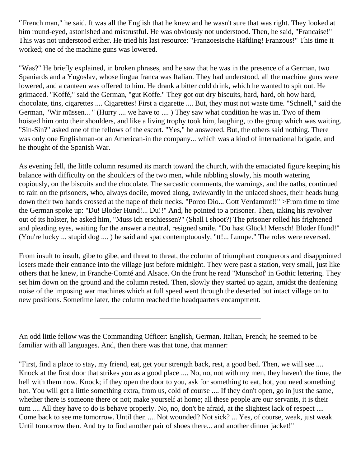'`French man," he said. It was all the English that he knew and he wasn't sure that was right. They looked at him round-eyed, astonished and mistrustful. He was obviously not understood. Then, he said, "Francaise!" This was not understood either. He tried his last resource: "Franzoesische Häftling! Franzous!" This time it worked; one of the machine guns was lowered.

"Was?" He briefly explained, in broken phrases, and he saw that he was in the presence of a German, two Spaniards and a Yugoslav, whose lingua franca was Italian. They had understood, all the machine guns were lowered, and a canteen was offered to him. He drank a bitter cold drink, which he wanted to spit out. He grimaced. "Koffé," said the German, "gut Koffe." They got out dry biscuits, hard, hard, oh how hard, chocolate, tins, cigarettes .... Cigarettes! First a cigarette .... But, they must not waste time. "Schnell," said the German, "Wir müssen... " (Hurry .... we have to .... ) They saw what condition he was in. Two of them hoisted him onto their shoulders, and like a living trophy took him, laughing, to the group which was waiting. "Sin-Sin?" asked one of the fellows of the escort. "Yes," he answered. But, the others said nothing. There was only one Englishman-or an American-in the company... which was a kind of international brigade, and he thought of the Spanish War.

As evening fell, the little column resumed its march toward the church, with the emaciated figure keeping his balance with difficulty on the shoulders of the two men, while nibbling slowly, his mouth watering copiously, on the biscuits and the chocolate. The sarcastic comments, the warnings, and the oaths, continued to rain on the prisoners, who, always docile, moved along, awkwardly in the unlaced shoes, their heads hung down their two hands crossed at the nape of their necks. "Porco Dio... Gott Verdammt!!" >From time to time the German spoke up: "Du! Bloder Hund!... Du!!" And, he pointed to a prisoner. Then, taking his revolver out of its holster, he asked him, "Muss ich erschiessen?" (Shall I shoot?) The prisoner rolled his frightened and pleading eyes, waiting for the answer a neutral, resigned smile. "Du hast Glück! Mensch! Blöder Hund!" (You're lucky ... stupid dog .... ) he said and spat contemptuously, "tt!... Lumpe." The roles were reversed.

From insult to insult, gibe to gibe, and threat to threat, the column of triumphant conquerors and disappointed losers made their entrance into the village just before midnight. They were past a station, very small, just like others that he knew, in Franche-Comté and Alsace. On the front he read "Munschof' in Gothic lettering. They set him down on the ground and the column rested. Then, slowly they started up again, amidst the deafening noise of the imposing war machines which at full speed went through the deserted but intact village on to new positions. Sometime later, the column reached the headquarters encampment.

"First, find a place to stay, my friend, eat, get your strength back, rest, a good bed. Then, we will see .... Knock at the first door that strikes you as a good place .... No, no, not with my men, they haven't the time, the hell with them now. Knock; if they open the door to you, ask for something to eat, hot, you need something hot. You will get a little something extra, from us, cold of course .... If they don't open, go in just the same, whether there is someone there or not; make yourself at home; all these people are our servants, it is their turn .... All they have to do is behave properly. No, no, don't be afraid, at the slightest lack of respect .... Come back to see me tomorrow. Until then .... Not wounded? Not sick? ... Yes, of course, weak, just weak. Until tomorrow then. And try to find another pair of shoes there... and another dinner jacket!"

An odd little fellow was the Commanding Officer: English, German, Italian, French; he seemed to be familiar with all languages. And, then there was that tone, that manner: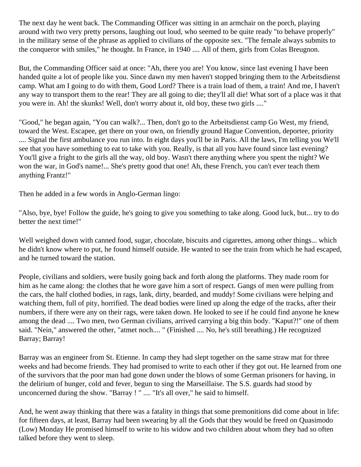The next day he went back. The Commanding Officer was sitting in an armchair on the porch, playing around with two very pretty persons, laughing out loud, who seemed to be quite ready "to behave properly" in the military sense of the phrase as applied to civilians of the opposite sex. "The female always submits to the conqueror with smiles," he thought. In France, in 1940 .... All of them, girls from Colas Breugnon.

But, the Commanding Officer said at once: "Ah, there you are! You know, since last evening I have been handed quite a lot of people like you. Since dawn my men haven't stopped bringing them to the Arbeitsdienst camp. What am I going to do with them, Good Lord? There is a train load of them, a train! And me, I haven't any way to transport them to the rear! They are all going to die; they'll all die! What sort of a place was it that you were in. Ah! the skunks! Well, don't worry about it, old boy, these two girls ...."

"Good," he began again, "You can walk?... Then, don't go to the Arbeitsdienst camp Go West, my friend, toward the West. Escapee, get there on your own, on friendly ground Hague Convention, deportee, priority .... Signal the first ambulance you run into. In eight days you'll be in Paris. All the laws, I'm telling you We'll see that you have something to eat to take with you. Really, is that all you have found since last evening? You'll give a fright to the girls all the way, old boy. Wasn't there anything where you spent the night? We won the war, in God's name!... She's pretty good that one! Ah, these French, you can't ever teach them anything Frantz!"

Then he added in a few words in Anglo-German lingo:

"Also, bye, bye! Follow the guide, he's going to give you something to take along. Good luck, but... try to do better the next time!"

Well weighed down with canned food, sugar, chocolate, biscuits and cigarettes, among other things... which he didn't know where to put, he found himself outside. He wanted to see the train from which he had escaped, and he turned toward the station.

People, civilians and soldiers, were busily going back and forth along the platforms. They made room for him as he came along: the clothes that he wore gave him a sort of respect. Gangs of men were pulling from the cars, the half clothed bodies, in rags, lank, dirty, bearded, and muddy! Some civilians were helping and watching them, full of pity, horrified. The dead bodies were lined up along the edge of the tracks, after their numbers, if there were any on their rags, were taken down. He looked to see if he could find anyone he knew among the dead .... Two men, two German civilians, arrived carrying a big thin body. "Kaput?!" one of them said. "Nein," answered the other, "atmet noch.... " (Finished .... No, he's still breathing.) He recognized Barray; Barray!

Barray was an engineer from St. Etienne. In camp they had slept together on the same straw mat for three weeks and had become friends. They had promised to write to each other if they got out. He learned from one of the survivors that the poor man had gone down under the blows of some German prisoners for having, in the delirium of hunger, cold and fever, begun to sing the Marseillaise. The S.S. guards had stood by unconcerned during the show. "Barray ! " .... "It's all over," he said to himself.

And, he went away thinking that there was a fatality in things that some premonitions did come about in life: for fifteen days, at least, Barray had been swearing by all the Gods that they would be freed on Quasimodo (Low) Monday He promised himself to write to his widow and two children about whom they had so often talked before they went to sleep.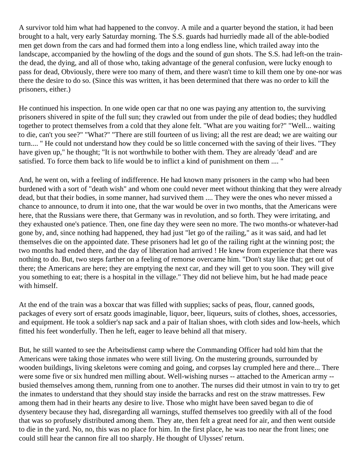A survivor told him what had happened to the convoy. A mile and a quarter beyond the station, it had been brought to a halt, very early Saturday morning. The S.S. guards had hurriedly made all of the able-bodied men get down from the cars and had formed them into a long endless line, which trailed away into the landscape, accompanied by the howling of the dogs and the sound of gun shots. The S.S. had left-on the trainthe dead, the dying, and all of those who, taking advantage of the general confusion, were lucky enough to pass for dead, Obviously, there were too many of them, and there wasn't time to kill them one by one-nor was there the desire to do so. (Since this was written, it has been determined that there was no order to kill the prisoners, either.)

He continued his inspection. In one wide open car that no one was paying any attention to, the surviving prisoners shivered in spite of the full sun; they crawled out from under the pile of dead bodies; they huddled together to protect themselves from a cold that they alone felt. "What are you waiting for?" "Well... waiting to die, can't you see?" "What?" "There are still fourteen of us living; all the rest are dead; we are waiting our turn.... " He could not understand how they could be so little concerned with the saving of their lives. "They have given up," he thought; "It is not worthwhile to bother with them. They are already 'dead' and are satisfied. To force them back to life would be to inflict a kind of punishment on them .... "

And, he went on, with a feeling of indifference. He had known many prisoners in the camp who had been burdened with a sort of "death wish" and whom one could never meet without thinking that they were already dead, but that their bodies, in some manner, had survived them .... They were the ones who never missed a chance to announce, to drum it into one, that the war would be over in two months, that the Americans were here, that the Russians were there, that Germany was in revolution, and so forth. They were irritating, and they exhausted one's patience. Then, one fine day they were seen no more. The two months-or whatever-had gone by, and, since nothing had happened, they had just "let go of the railing," as it was said, and had let themselves die on the appointed date. These prisoners had let go of the railing right at the winning post; the two months had ended there, and the day of liberation had arrived ! He knew from experience that there was nothing to do. But, two steps farther on a feeling of remorse overcame him. "Don't stay like that; get out of there; the Americans are here; they are emptying the next car, and they will get to you soon. They will give you something to eat; there is a hospital in the village." They did not believe him, but he had made peace with himself.

At the end of the train was a boxcar that was filled with supplies; sacks of peas, flour, canned goods, packages of every sort of ersatz goods imaginable, liquor, beer, liqueurs, suits of clothes, shoes, accessories, and equipment. He took a soldier's nap sack and a pair of Italian shoes, with cloth sides and low-heels, which fitted his feet wonderfully. Then he left, eager to leave behind all that misery.

But, he still wanted to see the Arbeitsdienst camp where the Commanding Officer had told him that the Americans were taking those inmates who were still living. On the mustering grounds, surrounded by wooden buildings, living skeletons were coming and going, and corpses lay crumpled here and there... There were some five or six hundred men milling about. Well-wishing nurses -- attached to the American army - busied themselves among them, running from one to another. The nurses did their utmost in vain to try to get the inmates to understand that they should stay inside the barracks and rest on the straw mattresses. Few among them had in their hearts any desire to live. Those who might have been saved began to die of dysentery because they had, disregarding all warnings, stuffed themselves too greedily with all of the food that was so profusely distributed among them. They ate, then felt a great need for air, and then went outside to die in the yard. No, no, this was no place for him. In the first place, he was too near the front lines; one could still hear the cannon fire all too sharply. He thought of Ulysses' return.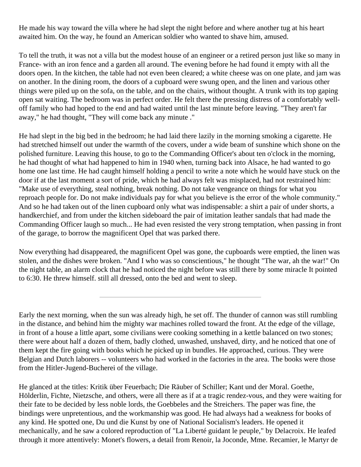He made his way toward the villa where he had slept the night before and where another tug at his heart awaited him. On the way, he found an American soldier who wanted to shave him, amused.

To tell the truth, it was not a villa but the modest house of an engineer or a retired person just like so many in France- with an iron fence and a garden all around. The evening before he had found it empty with all the doors open. In the kitchen, the table had not even been cleared; a white cheese was on one plate, and jam was on another. In the dining room, the doors of a cupboard were swung open, and the linen and various other things were piled up on the sofa, on the table, and on the chairs, without thought. A trunk with its top gaping open sat waiting. The bedroom was in perfect order. He felt there the pressing distress of a comfortably welloff family who had hoped to the end and had waited until the last minute before leaving. "They aren't far away," he had thought, "They will come back any minute ."

He had slept in the big bed in the bedroom; he had laid there lazily in the morning smoking a cigarette. He had stretched himself out under the warmth of the covers, under a wide beam of sunshine which shone on the polished furniture. Leaving this house, to go to the Commanding Officer's about ten o'clock in the morning, he had thought of what had happened to him in 1940 when, turning back into Alsace, he had wanted to go home one last time. He had caught himself holding a pencil to write a note which he would have stuck on the door if at the last moment a sort of pride, which he had always felt was misplaced, had not restrained him: "Make use of everything, steal nothing, break nothing. Do not take vengeance on things for what you reproach people for. Do not make individuals pay for what you believe is the error of the whole community." And so he had taken out of the linen cupboard only what was indispensable: a shirt a pair of under shorts, a handkerchief, and from under the kitchen sideboard the pair of imitation leather sandals that had made the Commanding Officer laugh so much... He had even resisted the very strong temptation, when passing in front of the garage, to borrow the magnificent Opel that was parked there.

Now everything had disappeared, the magnificent Opel was gone, the cupboards were emptied, the linen was stolen, and the dishes were broken. "And I who was so conscientious," he thought "The war, ah the war!" On the night table, an alarm clock that he had noticed the night before was still there by some miracle It pointed to 6:30. He threw himself. still all dressed, onto the bed and went to sleep.

He glanced at the titles: Kritik über Feuerbach; Die Räuber of Schiller; Kant und der Moral. Goethe, Hölderlin, Fichte, Nietzsche, and others, were all there as if at a tragic rendez-vous, and they were waiting for their fate to be decided by less noble lords, the Goebbeles and the Streichers. The paper was fine, the bindings were unpretentious, and the workmanship was good. He had always had a weakness for books of any kind. He spotted one, Du und die Kunst by one of National Socialism's leaders. He opened it mechanically, and he saw a colored reproduction of "La Liberté guidant le peuple," by Delacroix. He leafed through it more attentively: Monet's flowers, a detail from Renoir, la Joconde, Mme. Recamier, le Martyr de

Early the next morning, when the sun was already high, he set off. The thunder of cannon was still rumbling in the distance, and behind him the mighty war machines rolled toward the front. At the edge of the village, in front of a house a little apart, some civilians were cooking something in a kettle balanced on two stones; there were about half a dozen of them, badly clothed, unwashed, unshaved, dirty, and he noticed that one of them kept the fire going with books which he picked up in bundles. He approached, curious. They were Belgian and Dutch laborers -- volunteers who had worked in the factories in the area. The books were those from the Hitler-Jugend-Bucherei of the village.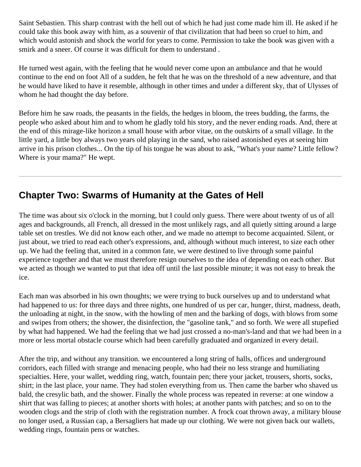Saint Sebastien. This sharp contrast with the hell out of which he had just come made him ill. He asked if he could take this book away with him, as a souvenir of that civilization that had been so cruel to him, and which would astonish and shock the world for years to come. Permission to take the book was given with a smirk and a sneer. Of course it was difficult for them to understand .

He turned west again, with the feeling that he would never come upon an ambulance and that he would continue to the end on foot All of a sudden, he felt that he was on the threshold of a new adventure, and that he would have liked to have it resemble, although in other times and under a different sky, that of Ulysses of whom he had thought the day before.

Before him he saw roads, the peasants in the fields, the hedges in bloom, the trees budding, the farms, the people who asked about him and to whom he gladly told his story, and the never ending roads. And, there at the end of this mirage-like horizon a small house with arbor vitae, on the outskirts of a small village. In the little yard, a little boy always two years old playing in the sand, who raised astonished eyes at seeing him arrive in his prison clothes... On the tip of his tongue he was about to ask, "What's your name? Little fellow? Where is your mama?" He wept.

## <span id="page-20-0"></span>**Chapter Two: Swarms of Humanity at the Gates of Hell**

The time was about six o'clock in the morning, but I could only guess. There were about twenty of us of all ages and backgrounds, all French, all dressed in the most unlikely rags, and all quietly sitting around a large table set on trestles. We did not know each other, and we made no attempt to become acquainted. Silent, or just about, we tried to read each other's expressions, and, although without much interest, to size each other up. We had the feeling that, united in a common fate, we were destined to live through some painful experience together and that we must therefore resign ourselves to the idea of depending on each other. But we acted as though we wanted to put that idea off until the last possible minute; it was not easy to break the ice.

Each man was absorbed in his own thoughts; we were trying to buck ourselves up and to understand what had happened to us: for three days and three nights, one hundred of us per car, hunger, thirst, madness, death, the unloading at night, in the snow, with the howling of men and the barking of dogs, with blows from some and swipes from others; the shower, the disinfection, the "gasoline tank," and so forth. We were all stupefied by what had happened. We had the feeling that we had just crossed a no-man's-land and that we had been in a more or less mortal obstacle course which had been carefully graduated and organized in every detail.

After the trip, and without any transition. we encountered a long string of halls, offices and underground corridors, each filled with strange and menacing people, who had their no less strange and humiliating specialties. Here, your wallet, wedding ring, watch, fountain pen; there your jacket, trousers, shorts, socks, shirt; in the last place, your name. They had stolen everything from us. Then came the barber who shaved us bald, the cresylic bath, and the shower. Finally the whole process was repeated in reverse: at one window a shirt that was falling to pieces; at another shorts with holes; at another pants with patches; and so on to the wooden clogs and the strip of cloth with the registration number. A frock coat thrown away, a military blouse no longer used, a Russian cap, a Bersagliers hat made up our clothing. We were not given back our wallets, wedding rings, fountain pens or watches.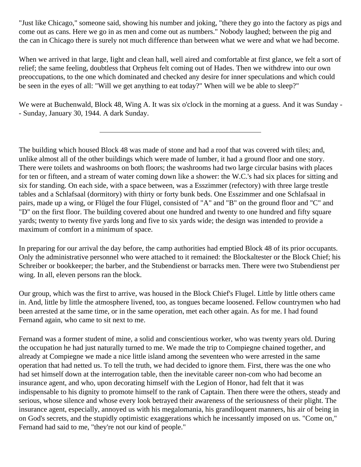"Just like Chicago," someone said, showing his number and joking, "there they go into the factory as pigs and come out as cans. Here we go in as men and come out as numbers." Nobody laughed; between the pig and the can in Chicago there is surely not much difference than between what we were and what we had become.

When we arrived in that large, Iight and clean hall, well aired and comfortable at first glance, we felt a sort of relief; the same feeling, doubtless that Orpheus felt coming out of Hades. Then we withdrew into our own preoccupations, to the one which dominated and checked any desire for inner speculations and which could be seen in the eyes of all: "Will we get anything to eat today?" When will we be able to sleep?"

We were at Buchenwald, Block 48, Wing A. It was six o'clock in the morning at a guess. And it was Sunday -- Sunday, January 30, 1944. A dark Sunday.

The building which housed Block 48 was made of stone and had a roof that was covered with tiles; and, unlike almost all of the other buildings which were made of lumber, it had a ground floor and one story. There were toilets and washrooms on both floors; the washrooms had two large circular basins with places for ten or fifteen, and a stream of water coming down like a shower: the W.C.'s had six places for sitting and six for standing. On each side, with a space between, was a Esszimmer (refectory) with three large trestle tables and a Schlafsaal (dormitory) with thirty or forty bunk beds. One Esszimmer and one Schlafsaal in pairs, made up a wing, or Flügel the four Flügel, consisted of "A" and "B" on the ground floor and "C" and "D" on the first floor. The building covered about one hundred and twenty to one hundred and fifty square yards; twenty to twenty five yards long and five to six yards wide; the design was intended to provide a maximum of comfort in a minimum of space.

In preparing for our arrival the day before, the camp authorities had emptied Block 48 of its prior occupants. Only the administrative personnel who were attached to it remained: the Blockaltester or the Block Chief; his Schreiber or bookkeeper; the barber, and the Stubendienst or barracks men. There were two Stubendienst per wing. In all, eleven persons ran the block.

Our group, which was the first to arrive, was housed in the Block Chief's Flugel. Little by little others came in. And, little by little the atmosphere livened, too, as tongues became loosened. Fellow countrymen who had been arrested at the same time, or in the same operation, met each other again. As for me. I had found Fernand again, who came to sit next to me.

Fernand was a former student of mine, a solid and conscientious worker, who was twenty years old. During the occupation he had just naturally turned to me. We made the trip to Compiegne chained together, and already at Compiegne we made a nice little island among the seventeen who were arrested in the same operation that had netted us. To tell the truth, we had decided to ignore them. First, there was the one who had set himself down at the interrogation table, then the inevitable career non-com who had become an insurance agent, and who, upon decorating himself with the Legion of Honor, had felt that it was indispensable to his dignity to promote himself to the rank of Captain. Then there were the others, steady and serious, whose silence and whose every look betrayed their awareness of the seriousness of their plight. The insurance agent, especially, annoyed us with his megalomania, his grandiloquent manners, his air of being in on God's secrets, and the stupidly optimistic exaggerations which he incessantly imposed on us. "Come on," Fernand had said to me, "they're not our kind of people."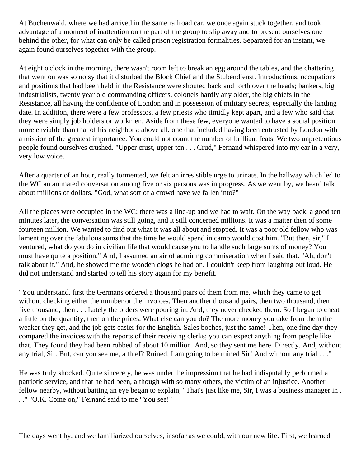At Buchenwald, where we had arrived in the same railroad car, we once again stuck together, and took advantage of a moment of inattention on the part of the group to slip away and to present ourselves one behind the other, for what can only be called prison registration formalities. Separated for an instant, we again found ourselves together with the group.

At eight o'clock in the morning, there wasn't room left to break an egg around the tables, and the chattering that went on was so noisy that it disturbed the Block Chief and the Stubendienst. Introductions, occupations and positions that had been held in the Resistance were shouted back and forth over the heads; bankers, big industrialists, twenty year old commanding officers, colonels hardly any older, the big chiefs in the Resistance, all having the confidence of London and in possession of military secrets, especially the landing date. In addition, there were a few professors, a few priests who timidly kept apart, and a few who said that they were simply job holders or workmen. Aside from these few, everyone wanted to have a social position more enviable than that of his neighbors: above all, one that included having been entrusted by London with a mission of the greatest importance. You could not count the number of brilliant feats. We two unpretentious people found ourselves crushed. "Upper crust, upper ten . . . Crud," Fernand whispered into my ear in a very, very low voice.

After a quarter of an hour, really tormented, we felt an irresistible urge to urinate. In the hallway which led to the WC an animated conversation among five or six persons was in progress. As we went by, we heard talk about millions of dollars. "God, what sort of a crowd have we fallen into?"

All the places were occupied in the WC; there was a line-up and we had to wait. On the way back, a good ten minutes later, the conversation was still going, and it still concerned millions. It was a matter then of some fourteen million. We wanted to find out what it was all about and stopped. It was a poor old fellow who was lamenting over the fabulous sums that the time he would spend in camp would cost him. "But then, sir," I ventured, what do you do in civilian life that would cause you to handle such large sums of money? You must have quite a position." And, I assumed an air of admiring commiseration when I said that. "Ah, don't talk about it." And, he showed me the wooden clogs he had on. I couldn't keep from laughing out loud. He did not understand and started to tell his story again for my benefit.

"You understand, first the Germans ordered a thousand pairs of them from me, which they came to get without checking either the number or the invoices. Then another thousand pairs, then two thousand, then five thousand, then . . . Lately the orders were pouring in. And, they never checked them. So I began to cheat a little on the quantity, then on the prices. What else can you do? The more money you take from them the weaker they get, and the job gets easier for the English. Sales boches, just the same! Then, one fine day they compared the invoices with the reports of their receiving clerks; you can expect anything from people like that. They found they had been robbed of about 10 million. And, so they sent me here. Directly. And, without any trial, Sir. But, can you see me, a thief? Ruined, I am going to be ruined Sir! And without any trial . . ."

He was truly shocked. Quite sincerely, he was under the impression that he had indisputably performed a patriotic service, and that he had been, although with so many others, the victim of an injustice. Another fellow nearby, without batting an eye began to explain, "That's just like me, Sir, I was a business manager in . . ." "O.K. Come on," Fernand said to me "You see!"

The days went by, and we familiarized ourselves, insofar as we could, with our new life. First, we learned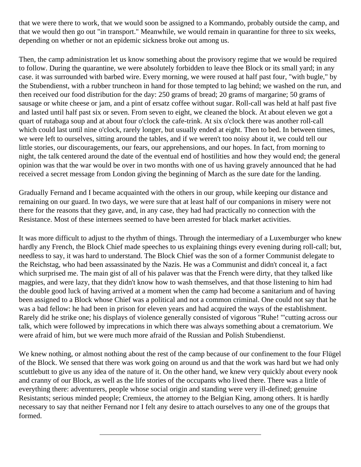that we were there to work, that we would soon be assigned to a Kommando, probably outside the camp, and that we would then go out "in transport." Meanwhile, we would remain in quarantine for three to six weeks, depending on whether or not an epidemic sickness broke out among us.

Then, the camp administration let us know something about the provisory regime that we would be required to follow. During the quarantine, we were absolutely forbidden to leave thee Block or its small yard; in any case. it was surrounded with barbed wire. Every morning, we were roused at half past four, "with bugle," by the Stubendienst, with a rubber truncheon in hand for those tempted to lag behind; we washed on the run, and then received our food distribution for the day: 250 grams of bread; 20 grams of margarine; 50 grams of sausage or white cheese or jam, and a pint of ersatz coffee without sugar. Roll-call was held at half past five and lasted until half past six or seven. From seven to eight, we cleaned the block. At about eleven we got a quart of rutabaga soup and at about four o'clock the cafe-trink. At six o'clock there was another roll-call which could last until nine o'clock, rarely longer, but usually ended at eight. Then to bed. In between times, we were left to ourselves, sitting around the tables, and if we weren't too noisy about it, we could tell our little stories, our discouragements, our fears, our apprehensions, and our hopes. In fact, from morning to night, the talk centered around the date of the eventual end of hostilities and how they would end; the general opinion was that the war would be over in two months with one of us having gravely announced that he had received a secret message from London giving the beginning of March as the sure date for the landing.

Gradually Fernand and I became acquainted with the others in our group, while keeping our distance and remaining on our guard. In two days, we were sure that at least half of our companions in misery were not there for the reasons that they gave, and, in any case, they had had practically no connection with the Resistance. Most of these internees seemed to have been arrested for black market activities.

It was more difficult to adjust to the rhythm of things. Through the intermediary of a Luxemburger who knew hardly any French, the Block Chief made speeches to us explaining things every evening during roll-call; but, needless to say, it was hard to understand. The Block Chief was the son of a former Communist delegate to the Reichstag, who had been assassinated by the Nazis. He was a Communist and didn't conceal it, a fact which surprised me. The main gist of all of his palaver was that the French were dirty, that they talked like magpies, and were lazy, that they didn't know how to wash themselves, and that those listening to him had the double good luck of having arrived at a moment when the camp had become a sanitarium and of having been assigned to a Block whose Chief was a political and not a common criminal. One could not say that he was a bad fellow: he had been in prison for eleven years and had acquired the ways of the establishment. Rarely did he strike one; his displays of violence generally consisted of vigorous "Ruhe! '"cutting across our talk, which were followed by imprecations in which there was always something about a crematorium. We were afraid of him, but we were much more afraid of the Russian and Polish Stubendienst.

We knew nothing, or almost nothing about the rest of the camp because of our confinement to the four Flügel of the Block. We sensed that there was work going on around us and that the work was hard but we had only scuttlebutt to give us any idea of the nature of it. On the other hand, we knew very quickly about every nook and cranny of our Block, as well as the life stories of the occupants who lived there. There was a little of everything there: adventurers, people whose social origin and standing were very ill-defined; genuine Resistants; serious minded people; Cremieux, the attorney to the Belgian King, among others. It is hardly necessary to say that neither Fernand nor I felt any desire to attach ourselves to any one of the groups that formed.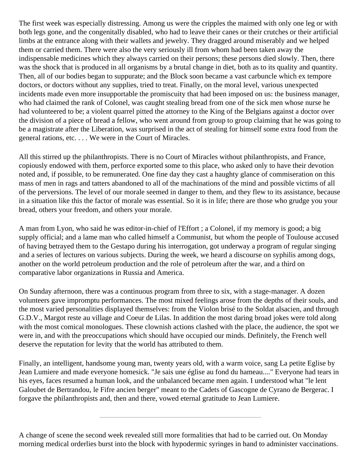The first week was especially distressing. Among us were the cripples the maimed with only one leg or with both legs gone, and the congenitally disabled, who had to leave their canes or their crutches or their artificial limbs at the entrance along with their wallets and jewelry. They dragged around miserably and we helped them or carried them. There were also the very seriously ill from whom had been taken away the indispensable medicines which they always carried on their persons; these persons died slowly. Then, there was the shock that is produced in all organisms by a brutal change in diet, both as to its quality and quantity. Then, all of our bodies began to suppurate; and the Block soon became a vast carbuncle which ex tempore doctors, or doctors without any supplies, tried to treat. Finally, on the moral level, various unexpected incidents made even more insupportable the promiscuity that had been imposed on us: the business manager, who had claimed the rank of Colonel, was caught stealing bread from one of the sick men whose nurse he had volunteered to be; a violent quarrel pitted the attorney to the King of the Belgians against a doctor over the division of a piece of bread a fellow, who went around from group to group claiming that he was going to be a magistrate after the Liberation, was surprised in the act of stealing for himself some extra food from the general rations, etc. . . . We were in the Court of Miracles.

All this stirred up the philanthropists. There is no Court of Miracles without philanthropists, and France, copiously endowed with them, perforce exported some to this place, who asked only to have their devotion noted and, if possible, to be remunerated. One fine day they cast a haughty glance of commiseration on this mass of men in rags and tatters abandoned to all of the machinations of the mind and possible victims of all of the perversions. The level of our morale seemed in danger to them, and they flew to its assistance, because in a situation like this the factor of morale was essential. So it is in life; there are those who grudge you your bread, others your freedom, and others your morale.

A man from Lyon, who said he was editor-in-chief of l'Effort ; a Colonel, if my memory is good; a big supply official; and a lame man who called himself a Communist, but whom the people of Toulouse accused of having betrayed them to the Gestapo during his interrogation, got underway a program of regular singing and a series of lectures on various subjects. During the week, we heard a discourse on syphilis among dogs, another on the world petroleum production and the role of petroleum after the war, and a third on comparative labor organizations in Russia and America.

On Sunday afternoon, there was a continuous program from three to six, with a stage-manager. A dozen volunteers gave impromptu performances. The most mixed feelings arose from the depths of their souls, and the most varied personalities displayed themselves: from the Violon brisé to the Soldat alsacien, and through G.D.V., Margot reste au village and Coeur de Lilas. In addition the most daring broad jokes were told along with the most comical monologues. These clownish actions clashed with the place, the audience, the spot we were in, and with the preoccupations which should have occupied our minds. Definitely, the French well deserve the reputation for levity that the world has attributed to them.

Finally, an intelligent, handsome young man, twenty years old, with a warm voice, sang La petite Eglise by Jean Lumiere and made everyone homesick. "Je sais une église au fond du hameau...." Everyone had tears in his eyes, faces resumed a human look, and the unbalanced became men again. I understood what "le lent Galoubet de Bertrandou, le Fifre ancien berger" meant to the Cadets of Gascogne de Cyrano de Bergerac. I forgave the philanthropists and, then and there, vowed eternal gratitude to Jean Lumiere.

A change of scene the second week revealed still more formalities that had to be carried out. On Monday morning medical orderlies burst into the block with hypodermic syringes in hand to administer vaccinations.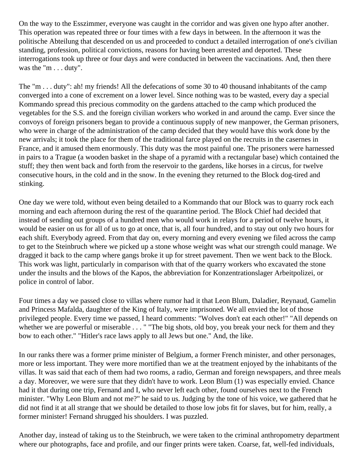On the way to the Esszimmer, everyone was caught in the corridor and was given one hypo after another. This operation was repeated three or four times with a few days in between. In the afternoon it was the politische Abteilung that descended on us and proceeded to conduct a detailed interrogation of one's civilian standing, profession, political convictions, reasons for having been arrested and deported. These interrogations took up three or four days and were conducted in between the vaccinations. And, then there was the "m . . . duty".

The "m . . . duty": ah! my friends! All the defecations of some 30 to 40 thousand inhabitants of the camp converged into a cone of excrement on a lower level. Since nothing was to be wasted, every day a special Kommando spread this precious commodity on the gardens attached to the camp which produced the vegetables for the S.S. and the foreign civilian workers who worked in and around the camp. Ever since the convoys of foreign prisoners began to provide a continuous supply of new manpower, the German prisoners, who were in charge of the administration of the camp decided that they would have this work done by the new arrivals; it took the place for them of the traditional farce played on the recruits in the casernes in France, and it amused them enormously. This duty was the most painful one. The prisoners were harnessed in pairs to a Trague (a wooden basket in the shape of a pyramid with a rectangular base) which contained the stuff; they then went back and forth from the reservoir to the gardens, like horses in a circus, for twelve consecutive hours, in the cold and in the snow. In the evening they returned to the Block dog-tired and stinking.

One day we were told, without even being detailed to a Kommando that our Block was to quarry rock each morning and each afternoon during the rest of the quarantine period. The Block Chief had decided that instead of sending out groups of a hundred men who would work in relays for a period of twelve hours, it would be easier on us for all of us to go at once, that is, all four hundred, and to stay out only two hours for each shift. Everybody agreed. From that day on, every morning and every evening we filed across the camp to get to the Steinbruch where we picked up a stone whose weight was what our strength could manage. We dragged it back to the camp where gangs broke it up for street pavement. Then we went back to the Block. This work was light, particularly in comparison with that of the quarry workers who excavated the stone under the insults and the blows of the Kapos, the abbreviation for Konzentrationslager Arbeitpolizei, or police in control of labor.

Four times a day we passed close to villas where rumor had it that Leon Blum, Daladier, Reynaud, Gamelin and Princess Mafalda, daughter of the King of Italy, were imprisoned. We all envied the lot of those privileged people. Every time we passed, I heard comments: "Wolves don't eat each other!" "All depends on whether we are powerful or miserable . . . " "The big shots, old boy, you break your neck for them and they bow to each other." "Hitler's race laws apply to all Jews but one." And, the like.

In our ranks there was a former prime minister of Belgium, a former French minister, and other personages, more or less important. They were more mortified than we at the treatment enjoyed by the inhabitants of the villas. It was said that each of them had two rooms, a radio, German and foreign newspapers, and three meals a day. Moreover, we were sure that they didn't have to work. Leon Blum (1) was especially envied. Chance had it that during one trip, Fernand and I, who never left each other, found ourselves next to the French minister. "Why Leon Blum and not me?" he said to us. Judging by the tone of his voice, we gathered that he did not find it at all strange that we should be detailed to those low jobs fit for slaves, but for him, really, a former minister! Fernand shrugged his shoulders. I was puzzled.

Another day, instead of taking us to the Steinbruch, we were taken to the criminal anthropometry department where our photographs, face and profile, and our finger prints were taken. Coarse, fat, well-fed individuals,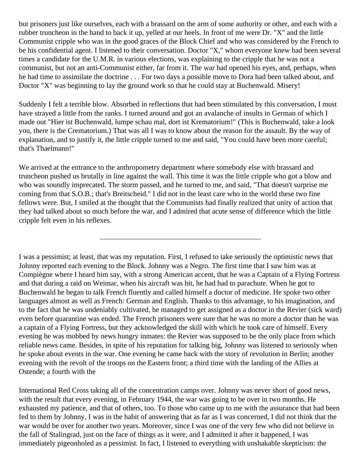but prisoners just like ourselves, each with a brassard on the arm of some authority or other, and each with a rubber truncheon in the hand to back it up, yelled at our heels. In front of me were Dr. "X" and the little Communist cripple who was in the good graces of the Block Chief and who was considered by the French to be his confidential agent. I listened to their conversation. Doctor "X," whom everyone knew had been several times a candidate for the U.M.R. in various elections, was explaining to the cripple that he was not a communist, but not an anti-Communist either, far from it. The war had opened his eyes, and, perhaps, when he had time to assimilate the doctrine . . . For two days a possible move to Dora had been talked about, and Doctor "X" was beginning to lay the ground work so that he could stay at Buchenwald. Misery!

Suddenly I felt a terrible blow. Absorbed in reflections that had been stimulated by this conversation, I must have strayed a little from the ranks. I turned around and got an avalanche of insults in German of which I made out "Hier ist Buchenwald, lumpe schau mal, dort ist Krematorium!" (This is Buchenwald, take a look you, there is the Crematorium.) That was all I was to know about the reason for the assault. By the way of explanation, and to justify it, the little cripple turned to me and said, "You could have been more careful; that's Thaelmann!"

We arrived at the entrance to the anthropometry department where somebody else with brassard and truncheon pushed us brutally in line against the wall. This time it was the little cripple who got a blow and who was soundly imprecated. The storm passed, and he turned to me, and said, "That doesn't surprise me coming from that S.O.B.; that's Breitscheid." I did not in the least care who in the world these two fine fellows were. But, I smiled at the thought that the Communists had finally realized that unity of action that they had talked about so much before the war, and I admired that acute sense of difference which the little cripple felt even in his reflexes.

I was a pessimist; at least, that was my reputation. First, I refused to take seriously the optimistic news that Johnny reported each evening to the Block. Johnny was a Negro. The first time that I saw him was at Compiègne where I heard him say, with a strong American accent, that he was a Captain of a Flying Fortress and that during a raid on Weimar, when his aircraft was hit, he had had to parachute. When he got to Buchenwald he began to talk French fluently and called himself a doctor of medicine. He spoke two other languages almost as well as French: German and English. Thanks to this advantage, to his imagination, and to the fact that he was undeniably cultivated, he managed to get assigned as a doctor in the Revier (sick ward) even before quarantine was ended. The French prisoners were sure that he was no more a doctor than he was a captain of a Flying Fortress, but they acknowledged the skill with which he took care of himself. Every evening he was mobbed by news hungry inmates: the Revier was supposed to be the only place from which reliable news came. Besides, in spite of his reputation for talking big, Johnny was listened to seriously when he spoke about events in the war. One evening he came back with the story of revolution in Berlin; another evening with the revolt of the troops on the Eastern front; a third time with the landing of the Allies at Ostende; a fourth with the

International Red Cross taking all of the concentration camps over. Johnny was never short of good news, with the result that every evening, in February 1944, the war was going to be over in two months. He exhausted my patience, and that of others, too. To those who came up to me with the assurance that had been fed to them by Johnny, I was in the habit of answering that as far as I was concerned, I did not think that the war would be over for another two years. Moreover, since I was one of the very few who did not believe in the fall of Stalingrad, just on the face of things as it were, and I admitted it after it happened, I was immediately pigeonholed as a pessimist. In fact, I listened to everything with unshakable skepticism: the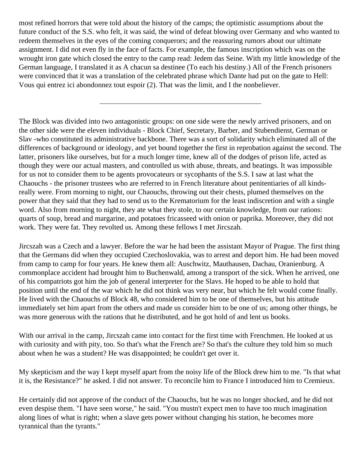most refined horrors that were told about the history of the camps; the optimistic assumptions about the future conduct of the S.S. who felt, it was said, the wind of defeat blowing over Germany and who wanted to redeem themselves in the eyes of the coming conquerors; and the reassuring rumors about our ultimate assignment. I did not even fly in the face of facts. For example, the famous inscription which was on the wrought iron gate which closed the entry to the camp read: Jedem das Seine. With my little knowledge of the German language, I translated it as A chacun sa destinee (To each his destiny.) All of the French prisoners were convinced that it was a translation of the celebrated phrase which Dante had put on the gate to Hell: Vous qui entrez ici abondonnez tout espoir (2). That was the limit, and I the nonbeliever.

The Block was divided into two antagonistic groups: on one side were the newly arrived prisoners, and on the other side were the eleven individuals - Block Chief, Secretary, Barber, and Stubendienst, German or Slav -who constituted its administrative backbone. There was a sort of solidarity which eliminated all of the differences of background or ideology, and yet bound together the first in reprobation against the second. The latter, prisoners like ourselves, but for a much longer time, knew all of the dodges of prison life, acted as though they were our actual masters, and controlled us with abuse, threats, and beatings. It was impossible for us not to consider them to be agents provocateurs or sycophants of the S.S. I saw at last what the Chaouchs - the prisoner trustees who are referred to in French literature about penitentiaries of all kindsreally were. From morning to night, our Chaouchs, throwing out their chests, plumed themselves on the power that they said that they had to send us to the Krematorium for the least indiscretion and with a single word. Also from morning to night, they ate what they stole, to our certain knowledge, from our rations: quarts of soup, bread and margarine, and potatoes fricasseed with onion or paprika. Moreover, they did not work. They were fat. They revolted us. Among these fellows I met Jircszah.

Jircszah was a Czech and a lawyer. Before the war he had been the assistant Mayor of Prague. The first thing that the Germans did when they occupied Czechoslovakia, was to arrest and deport him. He had been moved from camp to camp for four years. He knew them all: Auschwitz, Mauthausen, Dachau, Oranienburg. A commonplace accident had brought him to Buchenwald, among a transport of the sick. When he arrived, one of his compatriots got him the job of general interpreter for the Slavs. He hoped to be able to hold that position until the end of the war which he did not think was very near, but which he felt would come finally. He lived with the Chaouchs of Block 48, who considered him to be one of themselves, but his attitude immediately set him apart from the others and made us consider him to be one of us; among other things, he was more generous with the rations that he distributed, and he got hold of and lent us books.

With our arrival in the camp, Jircszah came into contact for the first time with Frenchmen. He looked at us with curiosity and with pity, too. So that's what the French are? So that's the culture they told him so much about when he was a student? He was disappointed; he couldn't get over it.

My skepticism and the way I kept myself apart from the noisy life of the Block drew him to me. "Is that what it is, the Resistance?" he asked. I did not answer. To reconcile him to France I introduced him to Cremieux.

He certainly did not approve of the conduct of the Chaouchs, but he was no longer shocked, and he did not even despise them. "I have seen worse," he said. "You mustn't expect men to have too much imagination along lines of what is right; when a slave gets power without changing his station, he becomes more tyrannical than the tyrants."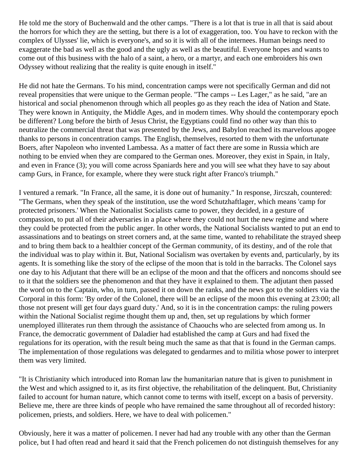He told me the story of Buchenwald and the other camps. "There is a lot that is true in all that is said about the horrors for which they are the setting, but there is a lot of exaggeration, too. You have to reckon with the complex of Ulysses' lie, which is everyone's, and so it is with all of the internees. Human beings need to exaggerate the bad as well as the good and the ugly as well as the beautiful. Everyone hopes and wants to come out of this business with the halo of a saint, a hero, or a martyr, and each one embroiders his own Odyssey without realizing that the reality is quite enough in itself."

He did not hate the Germans. To his mind, concentration camps were not specifically German and did not reveal propensities that were unique to the German people. "The camps -- Les Lager," as he said, "are an historical and social phenomenon through which all peoples go as they reach the idea of Nation and State. They were known in Antiquity, the Middle Ages, and in modern times. Why should the contemporary epoch be different? Long before the birth of Jesus Christ, the Egyptians could find no other way than this to neutralize the commercial threat that was presented by the Jews, and Babylon reached its marvelous apogee thanks to persons in concentration camps. The English, themselves, resorted to them with the unfortunate Boers, after Napoleon who invented Lambessa. As a matter of fact there are some in Russia which are nothing to be envied when they are compared to the German ones. Moreover, they exist in Spain, in Italy, and even in France (3); you will come across Spaniards here and you will see what they have to say about camp Gurs, in France, for example, where they were stuck right after Franco's triumph."

I ventured a remark. "In France, all the same, it is done out of humanity." In response, Jircszah, countered: "The Germans, when they speak of the institution, use the word Schutzhaftlager, which means 'camp for protected prisoners.' When the Nationalist Socialists came to power, they decided, in a gesture of compassion, to put all of their adversaries in a place where they could not hurt the new regime and where they could be protected from the public anger. In other words, the National Socialists wanted to put an end to assassinations and to beatings on street corners and, at the same time, wanted to rehabilitate the strayed sheep and to bring them back to a healthier concept of the German community, of its destiny, and of the role that the individual was to play within it. But, National Socialism was overtaken by events and, particularly, by its agents. It is something like the story of the eclipse of the moon that is told in the barracks. The Colonel says one day to his Adjutant that there will be an eclipse of the moon and that the officers and noncoms should see to it that the soldiers see the phenomenon and that they have it explained to them. The adjutant then passed the word on to the Captain, who, in turn, passed it on down the ranks, and the news got to the soldiers via the Corporal in this form: 'By order of the Colonel, there will be an eclipse of the moon this evening at 23:00; all those not present will get four days guard duty.' And, so it is in the concentration camps: the ruling powers within the National Socialist regime thought them up and, then, set up regulations by which former unemployed illiterates run them through the assistance of Chaouchs who are selected from among us. In France, the democratic government of Daladier had established the camp at Gurs and had fixed the regulations for its operation, with the result being much the same as that that is found in the German camps. The implementation of those regulations was delegated to gendarmes and to militia whose power to interpret them was very limited.

"It is Christianity which introduced into Roman law the humanitarian nature that is given to punishment in the West and which assigned to it, as its first objective, the rehabilitation of the delinquent. But, Christianity failed to account for human nature, which cannot come to terms with itself, except on a basis of perversity. Believe me, there are three kinds of people who have remained the same throughout all of recorded history: policemen, priests, and soldiers. Here, we have to deal with policemen."

Obviously, here it was a matter of policemen. I never had had any trouble with any other than the German police, but I had often read and heard it said that the French policemen do not distinguish themselves for any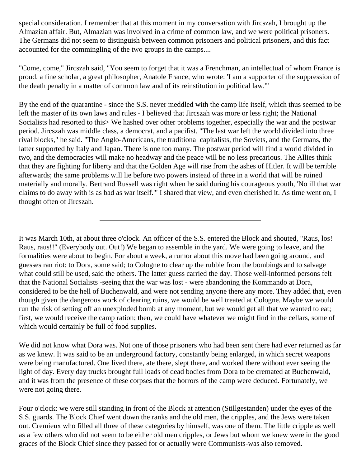special consideration. I remember that at this moment in my conversation with Jircszah, I brought up the Almazian affair. But, Almazian was involved in a crime of common law, and we were political prisoners. The Germans did not seem to distinguish between common prisoners and political prisoners, and this fact accounted for the commingling of the two groups in the camps....

"Come, come," Jircszah said, "You seem to forget that it was a Frenchman, an intellectual of whom France is proud, a fine scholar, a great philosopher, Anatole France, who wrote: 'I am a supporter of the suppression of the death penalty in a matter of common law and of its reinstitution in political law.'"

By the end of the quarantine - since the S.S. never meddled with the camp life itself, which thus seemed to be left the master of its own laws and rules - I believed that Jircszah was more or less right; the National Socialists had resorted to this> We hashed over other problems together, especially the war and the postwar period. Jircszah was middle class, a democrat, and a pacifist. "The last war left the world divided into three rival blocks," he said. "The Anglo-Americans, the traditional capitalists, the Soviets, and the Germans, the latter supported by Italy and Japan. There is one too many. The postwar period will find a world divided in two, and the democracies will make no headway and the peace will be no less precarious. The Allies think that they are fighting for liberty and that the Golden Age will rise from the ashes of Hitler. It will be terrible afterwards; the same problems will lie before two powers instead of three in a world that will be ruined materially and morally. Bertrand Russell was right when he said during his courageous youth, 'No ill that war claims to do away with is as bad as war itself.'" I shared that view, and even cherished it. As time went on, I thought often of Jircszah.

It was March 10th, at about three o'clock. An officer of the S.S. entered the Block and shouted, "Raus, los! Raus, raus!!" (Everybody out. Out!) We began to assemble in the yard. We were going to leave, and the formalities were about to begin. For about a week, a rumor about this move had been going around, and guesses ran riot: to Dora, some said; to Cologne to clear up the rubble from the bombings and to salvage what could still be used, said the others. The latter guess carried the day. Those well-informed persons felt that the National Socialists -seeing that the war was lost - were abandoning the Kommando at Dora, considered to be the hell of Buchenwald, and were not sending anyone there any more. They added that, even though given the dangerous work of clearing ruins, we would be well treated at Cologne. Maybe we would run the risk of setting off an unexploded bomb at any moment, but we would get all that we wanted to eat; first, we would receive the camp ration; then, we could have whatever we might find in the cellars, some of which would certainly be full of food supplies.

We did not know what Dora was. Not one of those prisoners who had been sent there had ever returned as far as we knew. It was said to be an underground factory, constantly being enlarged, in which secret weapons were being manufactured. One lived there, ate there, slept there, and worked there without ever seeing the light of day. Every day trucks brought full loads of dead bodies from Dora to be cremated at Buchenwald, and it was from the presence of these corpses that the horrors of the camp were deduced. Fortunately, we were not going there.

Four o'clock: we were still standing in front of the Block at attention (Stillgestanden) under the eyes of the S.S. guards. The Block Chief went down the ranks and the old men, the cripples, and the Jews were taken out. Cremieux who filled all three of these categories by himself, was one of them. The little cripple as well as a few others who did not seem to be either old men cripples, or Jews but whom we knew were in the good graces of the Block Chief since they passed for or actually were Communists-was also removed.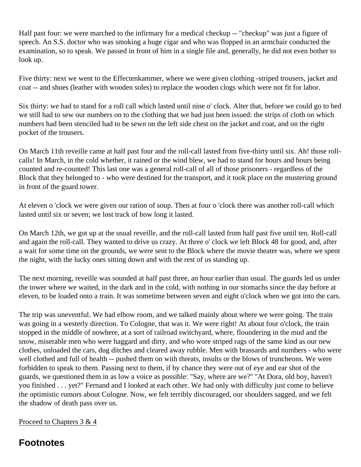Half past four: we were marched to the infirmary for a medical checkup -- "checkup" was just a figure of speech. An S.S. doctor who was smoking a huge cigar and who was flopped in an armchair conducted the examination, so to speak. We passed in front of him in a single file and, generally, he did not even bother to look up.

Five thirty: next we went to the Effectenkammer, where we were given clothing -striped trousers, jacket and coat -- and shoes (leather with wooden soles) to replace the wooden clogs which were not fit for labor.

Six thirty: we had to stand for a roll call which lasted until nine o' clock. Alter that, before we could go to bed we still had to sew our numbers on to the clothing that we had just been issued: the strips of cloth on which numbers had been stenciled had to be sewn on the left side chest on the jacket and coat, and on the right pocket of the trousers.

On March 11th reveille came at half past four and the roll-call lasted from five-thirty until six. Ah! those rollcalls! In March, in the cold whether, it rained or the wind blew, we had to stand for hours and hours being counted and re-counted! This last one was a general roll-call of all of those prisoners - regardless of the Block that they belonged to - who were destined for the transport, and it took place on the mustering ground in front of the guard tower.

At eleven o 'clock we were given our ration of soup. Then at four o 'clock there was another roll-call which lasted until six or seven; we lost track of how long it lasted.

On March 12th, we got up at the usual reveille, and the roll-call lasted from half past five until ten. Roll-call and again the roll-call. They wanted to drive us crazy. At three o' clock we left Block 48 for good, and, after a wait for some time on the grounds, we were sent to the Block where the movie theater was, where we spent the night, with the lucky ones sitting down and with the rest of us standing up.

The next morning, reveille was sounded at half past three, an hour earlier than usual. The guards led us under the tower where we waited, in the dark and in the cold, with nothing in our stomachs since the day before at eleven, to be loaded onto a train. It was sometime between seven and eight o'clock when we got into the cars.

The trip was uneventful. We had elbow room, and we talked mainly about where we were going. The train was going in a westerly direction. To Cologne, that was it. We were right! At about four o'clock, the train stopped in the middle of nowhere, at a sort of railroad switchyard, where, floundering in the mud and the snow, miserable men who were haggard and dirty, and who wore striped rags of the same kind as our new clothes, unloaded the cars, dug ditches and cleared away rubble. Men with brassards and numbers - who were well clothed and full of health -- pushed them on with threats, insults or the blows of truncheons. We were forbidden to speak to them. Passing next to them, if by chance they were out of eye and ear shot of the guards, we questioned them in as low a voice as possible: "Say, where are we?'' "At Dora, old boy, haven't you finished . . . yet?" Fernand and I looked at each other. We had only with difficulty just come to believe the optimistic rumors about Cologne. Now, we felt terribly discouraged, our shoulders sagged, and we felt the shadow of death pass over us.

### [Proceed to Chapters 3 & 4](#page-32-0)

## **Footnotes**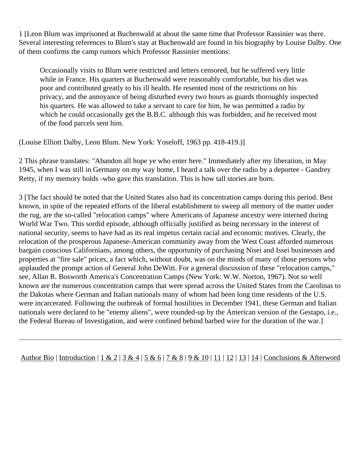1 [Leon Blum was imprisoned at Buchenwald at about the same time that Professor Rassinier was there. Several interesting references to Blum's stay at Buchenwald are found in his biography by Louise Dalby. One of them confirms the camp rumors which Professor Rassinier mentions:

Occasionally visits to Blum were restricted and letters censored, but he suffered very little while in France. His quarters at Buchenwald were reasonably comfortable, but his diet was poor and contributed greatly to his ill health. He resented most of the restrictions on his privacy, and the annoyance of being disturbed every two hours as guards thoroughly inspected his quarters. He was allowed to take a servant to care for him, he was permitted a radio by which he could occasionally get the B.B.C. although this was forbidden, and he received most of the food parcels sent him.

(Louise Elliott Dalby, Leon Blum. New York: Yoseloff, 1963 pp. 418-419.)]

2 This phrase translates: "Abandon all hope ye who enter here." Immediately after my liberation, in May 1945, when I was still in Germany on my way home, I heard a talk over the radio by a deportee - Gandrey Retty, if my memory holds -who gave this translation. This is how tall stories are born.

3 [The fact should be noted that the United States also had its concentration camps during this period. Best known, in spite of the repeated efforts of the liberal establishment to sweep all memory of the matter under the rug, are the so-called "relocation camps" where Americans of Japanese ancestry were interned during World War Two. This sordid episode, although officially justified as being necessary in the interest of national security, seems to have had as its real impetus certain racial and economic motives. Clearly, the relocation of the prosperous Japanese-American community away from the West Coast afforded numerous bargain conscious Californians, among others, the opportunity of purchasing Nisei and Issei businesses and properties at "fire sale" prices, a fact which, without doubt, was on the minds of many of those persons who applauded the prompt action of General John DeWitt. For a general discussion of these "relocation camps," see, Allan R. Bosworth America's Concentration Camps (New York: W.W. Norton, 1967). Not so well known are the numerous concentration camps that were spread across the United States from the Carolinas to the Dakotas where German and Italian nationals many of whom had been long time residents of the U.S. were incarcerated. Following the outbreak of formal hostilities in December 1941, these German and Italian nationals were declared to be "enemy aliens", were rounded-up by the American version of the Gestapo, i.e., the Federal Bureau of Investigation, and were confined behind barbed wire for the duration of the war.]

[Author Bio](#page-0-0) | [Introduction](#page-0-0) | [1 & 2](#page-9-0) | [3 & 4](#page-32-0) | [5 & 6](#page-55-0) | [7 & 8](#page-67-0) | [9 & 10](#page-83-0) | [11](#page-104-0) | [12](#page-130-0) | [13](#page-139-0) | [14](#page-176-0) | [Conclusions & Afterword](#page-234-0)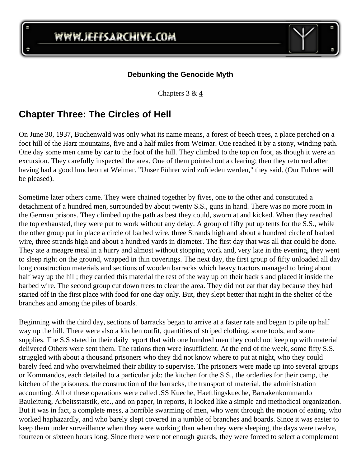### **Debunking the Genocide Myth**

Chapters 3 & 4

## <span id="page-32-0"></span>**Chapter Three: The Circles of Hell**

On June 30, 1937, Buchenwald was only what its name means, a forest of beech trees, a place perched on a foot hill of the Harz mountains, five and a half miles from Weimar. One reached it by a stony, winding path. One day some men came by car to the foot of the hill. They climbed to the top on foot, as though it were an excursion. They carefully inspected the area. One of them pointed out a clearing; then they returned after having had a good luncheon at Weimar. "Unser Führer wird zufrieden werden," they said. (Our Fuhrer will be pleased).

Sometime later others came. They were chained together by fives, one to the other and constituted a detachment of a hundred men, surrounded by about twenty S.S., guns in hand. There was no more room in the German prisons. They climbed up the path as best they could, sworn at and kicked. When they reached the top exhausted, they were put to work without any delay. A group of fifty put up tents for the S.S., while the other group put in place a circle of barbed wire, three Strands high and about a hundred circle of barbed wire, three strands high and about a hundred yards in diameter. The first day that was all that could be done. They ate a meagre meal in a hurry and almost without stopping work and, very late in the evening, they went to sleep right on the ground, wrapped in thin coverings. The next day, the first group of fifty unloaded all day long construction materials and sections of wooden barracks which heavy tractors managed to bring about half way up the hill; they carried this material the rest of the way up on their back s and placed it inside the barbed wire. The second group cut down trees to clear the area. They did not eat that day because they had started off in the first place with food for one day only. But, they slept better that night in the shelter of the branches and among the piles of boards.

Beginning with the third day, sections of barracks began to arrive at a faster rate and began to pile up half way up the hill. There were also a kitchen outfit, quantities of striped clothing. some tools, and some supplies. The S.S stated in their daily report that with one hundred men they could not keep up with material delivered Others were sent them. The rations then were insufficient. At the end of the week, some fifty S.S. struggled with about a thousand prisoners who they did not know where to put at night, who they could barely feed and who overwhelmed their ability to supervise. The prisoners were made up into several groups or Kommandos, each detailed to a particular job: the kitchen for the S.S., the orderlies for their camp, the kitchen of the prisoners, the construction of the barracks, the transport of material, the administration accounting. All of these operations were called .SS Kueche, Haeftlingskueche, Barrakenkommando Bauleitung, Arbeitsstatstik, etc., and on paper, in reports, it looked like a simple and methodical organization. But it was in fact, a complete mess, a horrible swarming of men, who went through the motion of eating, who worked haphazardly, and who barely slept covered in a jumble of branches and boards. Since it was easier to keep them under surveillance when they were working than when they were sleeping, the days were twelve, fourteen or sixteen hours long. Since there were not enough guards, they were forced to select a complement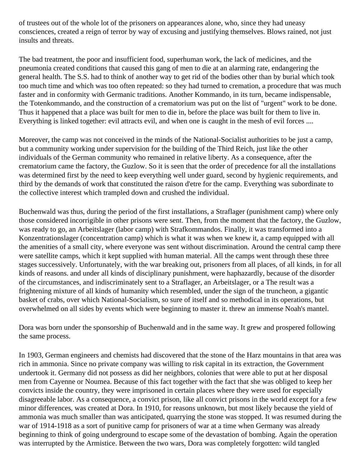of trustees out of the whole lot of the prisoners on appearances alone, who, since they had uneasy consciences, created a reign of terror by way of excusing and justifying themselves. Blows rained, not just insults and threats.

The bad treatment, the poor and insufficient food, superhuman work, the lack of medicines, and the pneumonia created conditions that caused this gang of men to die at an alarming rate, endangering the general health. The S.S. had to think of another way to get rid of the bodies other than by burial which took too much time and which was too often repeated: so they had turned to cremation, a procedure that was much faster and in conformity with Germanic traditions. Another Kommando, in its turn, became indispensable, the Totenkommando, and the construction of a crematorium was put on the list of "urgent" work to be done. Thus it happened that a place was built for men to die in, before the place was built for them to live in. Everything is linked together: evil attracts evil, and when one is caught in the mesh of evil forces ....

Moreover, the camp was not conceived in the minds of the National-Socialist authorities to be just a camp, but a community working under supervision for the building of the Third Reich, just like the other individuals of the German community who remained in relative liberty. As a consequence, after the crematorium came the factory, the Guzlow. So it is seen that the order of precedence for all the installations was determined first by the need to keep everything well under guard, second by hygienic requirements, and third by the demands of work that constituted the raison d'etre for the camp. Everything was subordinate to the collective interest which trampled down and crushed the individual.

Buchenwald was thus, during the period of the first installations, a Straflager (punishment camp) where only those considered incorrigible in other prisons were sent. Then, from the moment that the factory, the Guzlow, was ready to go, an Arbeitslager (labor camp) with Strafkommandos. Finally, it was transformed into a Konzentrationslager (concentration camp) which is what it was when we knew it, a camp equipped with all the amenities of a small city, where everyone was sent without discrimination. Around the central camp there were satellite camps, which it kept supplied with human material. All the camps went through these three stages successively. Unfortunately, with the war breaking out, prisoners from all places, of all kinds, in for all kinds of reasons. and under all kinds of disciplinary punishment, were haphazardly, because of the disorder of the circumstances, and indiscriminately sent to a Straflager, an Arbeitslager, or a The result was a frightening mixture of all kinds of humanity which resembled, under the sign of the truncheon, a gigantic basket of crabs, over which National-Socialism, so sure of itself and so methodical in its operations, but overwhelmed on all sides by events which were beginning to master it. threw an immense Noah's mantel.

Dora was born under the sponsorship of Buchenwald and in the same way. It grew and prospered following the same process.

In 1903, German engineers and chemists had discovered that the stone of the Harz mountains in that area was rich in ammonia. Since no private company was willing to risk capital in its extraction, the Government undertook it. Germany did not possess as did her neighbors, colonies that were able to put at her disposal men from Cayenne or Noumea. Because of this fact together with the fact that she was obliged to keep her convicts inside the country, they were imprisoned in certain places where they were used for especially disagreeable labor. As a consequence, a convict prison, like all convict prisons in the world except for a few minor differences, was created at Dora. In 1910, for reasons unknown, but most likely because the yield of ammonia was much smaller than was anticipated, quarrying the stone was stopped. It was resumed during the war of 1914-1918 as a sort of punitive camp for prisoners of war at a time when Germany was already beginning to think of going underground to escape some of the devastation of bombing. Again the operation was interrupted by the Armistice. Between the two wars, Dora was completely forgotten: wild tangled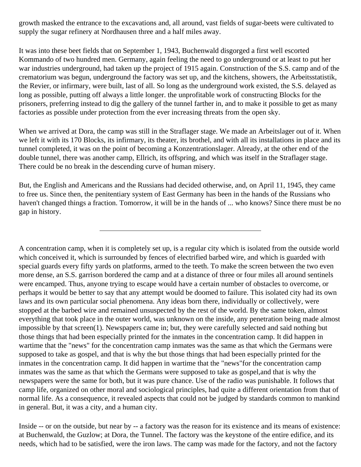growth masked the entrance to the excavations and, all around, vast fields of sugar-beets were cultivated to supply the sugar refinery at Nordhausen three and a half miles away.

It was into these beet fields that on September 1, 1943, Buchenwald disgorged a first well escorted Kommando of two hundred men. Germany, again feeling the need to go underground or at least to put her war industries underground, had taken up the project of 1915 again. Construction of the S.S. camp and of the crematorium was begun, underground the factory was set up, and the kitchens, showers, the Arbeitsstatistik, the Revier, or infirmary, were built, last of all. So long as the underground work existed, the S.S. delayed as long as possible, putting off always a little longer. the unprofitable work of constructing Blocks for the prisoners, preferring instead to dig the gallery of the tunnel farther in, and to make it possible to get as many factories as possible under protection from the ever increasing threats from the open sky.

When we arrived at Dora, the camp was still in the Straflager stage. We made an Arbeitslager out of it. When we left it with its 170 Blocks, its infirmary, its theater, its brothel, and with all its installations in place and its tunnel completed, it was on the point of becoming a Konzentrationslager. Already, at the other end of the double tunnel, there was another camp, Ellrich, its offspring, and which was itself in the Straflager stage. There could be no break in the descending curve of human misery.

But, the English and Americans and the Russians had decided otherwise, and, on April 11, 1945, they came to free us. Since then, the penitentiary system of East Germany has been in the hands of the Russians who haven't changed things a fraction. Tomorrow, it will be in the hands of ... who knows? Since there must be no gap in history.

A concentration camp, when it is completely set up, is a regular city which is isolated from the outside world which conceived it, which is surrounded by fences of electrified barbed wire, and which is guarded with special guards every fifty yards on platforms, armed to the teeth. To make the screen between the two even more dense, an S.S. garrison bordered the camp and at a distance of three or four miles all around sentinels were encamped. Thus, anyone trying to escape would have a certain number of obstacles to overcome, or perhaps it would be better to say that any attempt would be doomed to failure. This isolated city had its own laws and its own particular social phenomena. Any ideas born there, individually or collectively, were stopped at the barbed wire and remained unsuspected by the rest of the world. By the same token, almost everything that took place in the outer world, was unknown on the inside, any penetration being made almost impossible by that screen(1). Newspapers came in; but, they were carefully selected and said nothing but those things that had been especially printed for the inmates in the concentration camp. It did happen in wartime that the "news" for the concentration camp inmates was the same as that which the Germans were supposed to take as gospel, and that is why the but those things that had been especially printed for the inmates in the concentration camp. It did happen in wartime that the "news"for the concentration camp inmates was the same as that which the Germans were supposed to take as gospel,and that is why the newspapers were the same for both, but it was pure chance. Use of the radio was punishable. It follows that camp life, organized on other moral and sociological principles, had quite a different orientation from that of normal life. As a consequence, it revealed aspects that could not be judged by standards common to mankind in general. But, it was a city, and a human city.

Inside -- or on the outside, but near by -- a factory was the reason for its existence and its means of existence: at Buchenwald, the Guzlow; at Dora, the Tunnel. The factory was the keystone of the entire edifice, and its needs, which had to be satisfied, were the iron laws. The camp was made for the factory, and not the factory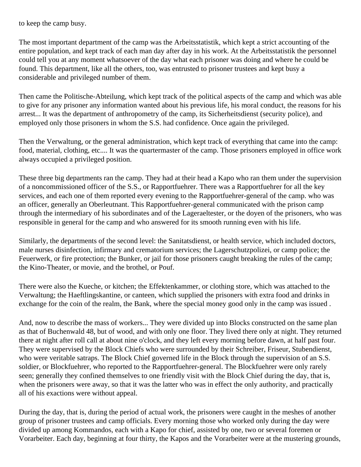to keep the camp busy.

The most important department of the camp was the Arbeitsstatistik, which kept a strict accounting of the entire population, and kept track of each man day after day in his work. At the Arbeitsstatistik the personnel could tell you at any moment whatsoever of the day what each prisoner was doing and where he could be found. This department, like all the others, too, was entrusted to prisoner trustees and kept busy a considerable and privileged number of them.

Then came the Politische-Abteilung, which kept track of the political aspects of the camp and which was able to give for any prisoner any information wanted about his previous life, his moral conduct, the reasons for his arrest... It was the department of anthropometry of the camp, its Sicherheitsdienst (security police), and employed only those prisoners in whom the S.S. had confidence. Once again the privileged.

Then the Verwaltung, or the general administration, which kept track of everything that came into the camp: food, material, clothing, etc.... It was the quartermaster of the camp. Those prisoners employed in office work always occupied a privileged position.

These three big departments ran the camp. They had at their head a Kapo who ran them under the supervision of a noncommissioned officer of the S.S., or Rapportfuehrer. There was a Rapportfuehrer for all the key services, and each one of them reported every evening to the Rapportfuehrer-general of the camp. who was an officer, generally an Oberleutnant. This Rapportfuehrer-general communicated with the prison camp through the intermediary of his subordinates and of the Lageraeltester, or the doyen of the prisoners, who was responsible in general for the camp and who answered for its smooth running even with his life.

Similarly, the departments of the second level: the Sanitatsdienst, or health service, which included doctors, male nurses disinfection, infirmary and crematorium services; the Lagerschutzpolizei, or camp police; the Feuerwerk, or fire protection; the Bunker, or jail for those prisoners caught breaking the rules of the camp; the Kino-Theater, or movie, and the brothel, or Pouf.

There were also the Kueche, or kitchen; the Effektenkammer, or clothing store, which was attached to the Verwaltung; the Haeftlingskantine, or canteen, which supplied the prisoners with extra food and drinks in exchange for the coin of the realm, the Bank, where the special money good only in the camp was issued .

And, now to describe the mass of workers... They were divided up into Blocks constructed on the same plan as that of Buchenwald 48, but of wood, and with only one floor. They lived there only at night. They returned there at night after roll call at about nine o'clock, and they left every morning before dawn, at half past four. They were supervised by the Block Chiefs who were surrounded by their Schreiber, Friseur, Stubendienst, who were veritable satraps. The Block Chief governed life in the Block through the supervision of an S.S. soldier, or Blockfuehrer, who reported to the Rapportfuehrer-general. The Blockfuehrer were only rarely seen; generally they confined themselves to one friendly visit with the Block Chief during the day, that is, when the prisoners were away, so that it was the latter who was in effect the only authority, and practically all of his exactions were without appeal.

During the day, that is, during the period of actual work, the prisoners were caught in the meshes of another group of prisoner trustees and camp officials. Every morning those who worked only during the day were divided up among Kommandos, each with a Kapo for chief, assisted by one, two or several foremen or Vorarbeiter. Each day, beginning at four thirty, the Kapos and the Vorarbeiter were at the mustering grounds,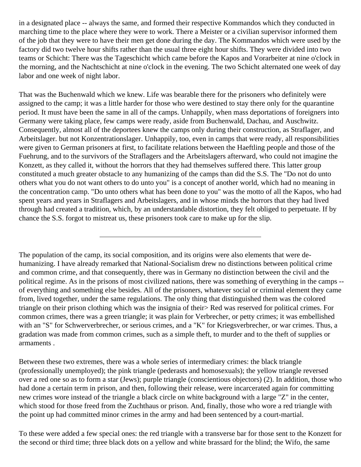in a designated place -- always the same, and formed their respective Kommandos which they conducted in marching time to the place where they were to work. There a Meister or a civilian supervisor informed them of the job that they were to have their men get done during the day. The Kommandos which were used by the factory did two twelve hour shifts rather than the usual three eight hour shifts. They were divided into two teams or Schicht: There was the Tageschicht which came before the Kapos and Vorarbeiter at nine o'clock in the morning, and the Nachtschicht at nine o'clock in the evening. The two Schicht alternated one week of day labor and one week of night labor.

That was the Buchenwald which we knew. Life was bearable there for the prisoners who definitely were assigned to the camp; it was a little harder for those who were destined to stay there only for the quarantine period. It must have been the same in all of the camps. Unhappily, when mass deportations of foreigners into Germany were taking place, few camps were ready, aside from Buchenwald, Dachau, and Auschwitz. Consequently, almost all of the deportees knew the camps only during their construction, as Straflager, and Arbeitslager. but not Konzentrationslager. Unhappily, too, even in camps that were ready, all responsibilities were given to German prisoners at first, to facilitate relations between the Haeftling people and those of the Fuehrung, and to the survivors of the Straflagers and the Arbeitslagers afterward, who could not imagine the Konzett, as they called it, without the horrors that they had themselves suffered there. This latter group constituted a much greater obstacle to any humanizing of the camps than did the S.S. The "Do not do unto others what you do not want others to do unto you" is a concept of another world, which had no meaning in the concentration camp. "Do unto others what has been done to you" was the motto of all the Kapos, who had spent years and years in Straflagers and Arbeitslagers, and in whose minds the horrors that they had lived through had created a tradition, which, by an understandable distortion, they felt obliged to perpetuate. If by chance the S.S. forgot to mistreat us, these prisoners took care to make up for the slip.

The population of the camp, its social composition, and its origins were also elements that were dehumanizing. I have already remarked that National-Socialism drew no distinctions between political crime and common crime, and that consequently, there was in Germany no distinction between the civil and the political regime. As in the prisons of most civilized nations, there was something of everything in the camps - of everything and something else besides. All of the prisoners, whatever social or criminal element they came from, lived together, under the same regulations. The only thing that distinguished them was the colored triangle on their prison clothing which was the insignia of their> Red was reserved for political crimes. For common crimes, there was a green triangle; it was plain for Verbrecher, or petty crimes; it was embellished with an "S" for Schwerverbrecher, or serious crimes, and a "K" for Kriegsverbrecher, or war crimes. Thus, a gradation was made from common crimes, such as a simple theft, to murder and to the theft of supplies or armaments .

Between these two extremes, there was a whole series of intermediary crimes: the black triangle (professionally unemployed); the pink triangle (pederasts and homosexuals); the yellow triangle reversed over a red one so as to form a star (Jews); purple triangle (conscientious objectors) (2). In addition, those who had done a certain term in prison, and then, following their release, were incarcerated again for committing new crimes wore instead of the triangle a black circle on white background with a large "Z" in the center, which stood for those freed from the Zuchthaus or prison. And, finally, those who wore a red triangle with the point up had committed minor crimes in the army and had been sentenced by a court-martial.

To these were added a few special ones: the red triangle with a transverse bar for those sent to the Konzett for the second or third time; three black dots on a yellow and white brassard for the blind; the Wifo, the same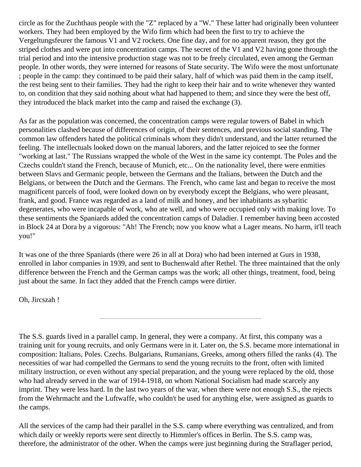circle as for the Zuchthaus people with the "Z" replaced by a "W." These latter had originally been volunteer workers. They had been employed by the Wifo firm which had been the first to try to achieve the Vergeltungsfeurer the famous V1 and V2 rockets. One fine day, and for no apparent reason, they got the striped clothes and were put into concentration camps. The secret of the V1 and V2 having gone through the trial period and into the intensive production stage was not to be freely circulated, even among the German people. In other words, they were interned for reasons of State security. The Wifo were the most unfortunate ; people in the camp: they continued to be paid their salary, half of which was paid them in the camp itself, the rest being sent to their families. They had the right to keep their hair and to write whenever they wanted to, on condition that they said nothing about what had happened to them; and since they were the best off, they introduced the black market into the camp and raised the exchange (3).

As far as the population was concerned, the concentration camps were regular towers of Babel in which personalities clashed because of differences of origin, of their sentences, and previous social standing. The common law offenders hated the political criminals whom they didn't understand, and the latter returned the feeling. The intellectuals looked down on the manual laborers, and the latter rejoiced to see the former "working at last." The Russians wrapped the whole of the West in the same icy contempt. The Poles and the Czechs couldn't stand the French, because of Munich, etc... On the nationality level, there were enmities between Slavs and Germanic people, between the Germans and the Italians, between the Dutch and the Belgians, or between the Dutch and the Germans. The French, who came last and began to receive the most magnificent parcels of food, were looked down on by everybody except the Belgians, who were pleasant, frank, and good. France was regarded as a land of milk and honey, and her inhabitants as sybaritic degenerates, who were incapable of work, who ate well, and who were occupied only with making love. To these sentiments the Spaniards added the concentration camps of Daladier. I remember having been accosted in Block 24 at Dora by a vigorous: "Ah! The French; now you know what a Lager means. No harm, it'll teach you!"

It was one of the three Spaniards (there were 26 in all at Dora) who had been interned at Gurs in 1938, enrolled in labor companies in 1939, and sent to Buchenwald after Rethel. The three maintained that the only difference between the French and the German camps was the work; all other things, treatment, food, being just about the same. In fact they added that the French camps were dirtier.

Oh, Jircszah !

The S.S. guards lived in a parallel camp. In general, they were a company. At first, this company was a training unit for young recruits, and only Germans were in it. Later on, the S.S. became more international in composition: Italians, Poles. Czechs. Bulgarians, Rumanians, Greeks, among others filled the ranks (4). The necessities of war had compelled the Germans to send the young recruits to the front, often with limited military instruction, or even without any special preparation, and the young were replaced by the old, those who had already served in the war of 1914-1918, on whom National Socialism had made scarcely any imprint. They were less hard. In the last two years of the war, when there were not enough S.S., the rejects from the Wehrmacht and the Luftwaffe, who couldn't be used for anything else, were assigned as guards to the camps.

All the services of the camp had their parallel in the S.S. camp where everything was centralized, and from which daily or weekly reports were sent directly to Himmler's offices in Berlin. The S.S. camp was, therefore, the administrator of the other. When the camps were just beginning during the Straflager period,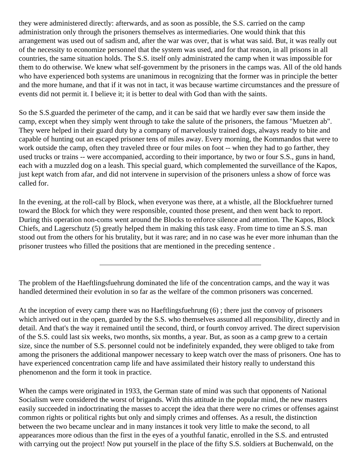they were administered directly: afterwards, and as soon as possible, the S.S. carried on the camp administration only through the prisoners themselves as intermediaries. One would think that this arrangement was used out of sadism and, after the war was over, that is what was said. But, it was really out of the necessity to economize personnel that the system was used, and for that reason, in all prisons in all countries, the same situation holds. The S.S. itself only administrated the camp when it was impossible for them to do otherwise. We knew what self-government by the prisoners in the camps was. All of the old hands who have experienced both systems are unanimous in recognizing that the former was in principle the better and the more humane, and that if it was not in tact, it was because wartime circumstances and the pressure of events did not permit it. I believe it; it is better to deal with God than with the saints.

So the S.S.guarded the perimeter of the camp, and it can be said that we hardly ever saw them inside the camp, except when they simply went through to take the salute of the prisoners, the famous "Muetzen ab". They were helped in their guard duty by a company of marvelously trained dogs, always ready to bite and capable of hunting out an escaped prisoner tens of miles away. Every morning, the Kommandos that were to work outside the camp, often they traveled three or four miles on foot -- when they had to go farther, they used trucks or trains -- were accompanied, according to their importance, by two or four S.S., guns in hand, each with a muzzled dog on a leash. This special guard, which complemented the surveillance of the Kapos, just kept watch from afar, and did not intervene in supervision of the prisoners unless a show of force was called for.

In the evening, at the roll-call by Block, when everyone was there, at a whistle, all the Blockfuehrer turned toward the Block for which they were responsible, counted those present, and then went back to report. During this operation non-coms went around the Blocks to enforce silence and attention. The Kapos, Block Chiefs, and Lagerschutz (5) greatly helped them in making this task easy. From time to time an S.S. man stood out from the others for his brutality, but it was rare; and in no case was he ever more inhuman than the prisoner trustees who filled the positions that are mentioned in the preceding sentence .

The problem of the Haeftlingsfuehrung dominated the life of the concentration camps, and the way it was handled determined their evolution in so far as the welfare of the common prisoners was concerned.

At the inception of every camp there was no Haeftlingsfuehrung (6) ; there just the convoy of prisoners which arrived out in the open, guarded by the S.S. who themselves assumed all responsibility, directly and in detail. And that's the way it remained until the second, third, or fourth convoy arrived. The direct supervision of the S.S. could last six weeks, two months, six months, a year. But, as soon as a camp grew to a certain size, since the number of S.S. personnel could not be indefinitely expanded, they were obliged to take from among the prisoners the additional manpower necessary to keep watch over the mass of prisoners. One has to have experienced concentration camp life and have assimilated their history really to understand this phenomenon and the form it took in practice.

When the camps were originated in 1933, the German state of mind was such that opponents of National Socialism were considered the worst of brigands. With this attitude in the popular mind, the new masters easily succeeded in indoctrinating the masses to accept the idea that there were no crimes or offenses against common rights or political rights but only and simply crimes and offenses. As a result, the distinction between the two became unclear and in many instances it took very little to make the second, to all appearances more odious than the first in the eyes of a youthful fanatic, enrolled in the S.S. and entrusted with carrying out the project! Now put yourself in the place of the fifty S.S. soldiers at Buchenwald, on the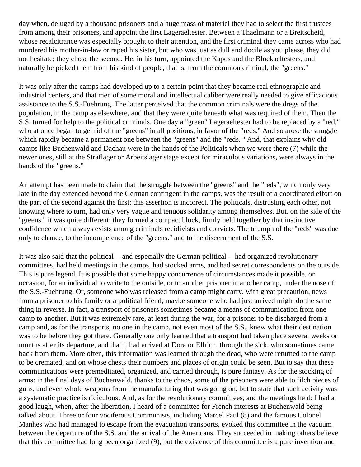day when, deluged by a thousand prisoners and a huge mass of materiel they had to select the first trustees from among their prisoners, and appoint the first Lageraeltester. Between a Thaelmann or a Breitscheid, whose recalcitrance was especially brought to their attention, and the first criminal they came across who had murdered his mother-in-law or raped his sister, but who was just as dull and docile as you please, they did not hesitate; they chose the second. He, in his turn, appointed the Kapos and the Blockaeltesters, and naturally he picked them from his kind of people, that is, from the common criminal, the "greens."

It was only after the camps had developed up to a certain point that they became real ethnographic and industrial centers, and that men of some moral and intellectual caliber were really needed to give efficacious assistance to the S.S.-Fuehrung. The latter perceived that the common criminals were the dregs of the population, in the camp as elsewhere, and that they were quite beneath what was required of them. Then the S.S. turned for help to the political criminals. One day a "green" Lageraeltester had to be replaced by a "red," who at once began to get rid of the "greens" in all positions, in favor of the "reds." And so arose the struggle which rapidly became a permanent one between the "greens" and the "reds. '' And, that explains why old camps like Buchenwald and Dachau were in the hands of the Politicals when we were there (7) while the newer ones, still at the Straflager or Arbeitslager stage except for miraculous variations, were always in the hands of the "greens."

An attempt has been made to claim that the struggle between the "greens" and the "reds", which only very late in the day extended beyond the German contingent in the camps, was the result of a coordinated effort on the part of the second against the first: this assertion is incorrect. The politicals, distrusting each other, not knowing where to turn, had only very vague and tenuous solidarity among themselves. But. on the side of the "greens." it was quite different: they formed a compact block, firmly held together by that instinctive confidence which always exists among criminals recidivists and convicts. The triumph of the "reds" was due only to chance, to the incompetence of the "greens." and to the discernment of the S.S.

It was also said that the political -- and especially the German political -- had organized revolutionary committees, had held meetings in the camps, had stocked arms, and had secret correspondents on the outside. This is pure legend. It is possible that some happy concurrence of circumstances made it possible, on occasion, for an individual to write to the outside, or to another prisoner in another camp, under the nose of the S.S.-Fuehrung. Or, someone who was released from a camp might carry, with great precaution, news from a prisoner to his family or a political friend; maybe someone who had just arrived might do the same thing in reverse. In fact, a transport of prisoners sometimes became a means of communication from one camp to another. But it was extremely rare, at least during the war, for a prisoner to be discharged from a camp and, as for the transports, no one in the camp, not even most of the S.S., knew what their destination was to be before they got there. Generally one only learned that a transport had taken place several weeks or months after its departure, and that it had arrived at Dora or Ellrich, through the sick, who sometimes came back from them. More often, this information was learned through the dead, who were returned to the camp to be cremated, and on whose chests their numbers and places of origin could be seen. But to say that these communications were premeditated, organized, and carried through, is pure fantasy. As for the stocking of arms: in the final days of Buchenwald, thanks to the chaos, some of the prisoners were able to filch pieces of guns, and even whole weapons from the manufacturing that was going on, but to state that such activity was a systematic practice is ridiculous. And, as for the revolutionary committees, and the meetings held: I had a good laugh, when, after the liberation, I heard of a committee for French interests at Buchenwald being talked about. Three or four vociferous Communists, including Marcel Paul (8) and the famous Colonel Manhes who had managed to escape from the evacuation transports, evoked this committee in the vacuum between the departure of the S.S. and the arrival of the Americans. They succeeded in making others believe that this committee had long been organized (9), but the existence of this committee is a pure invention and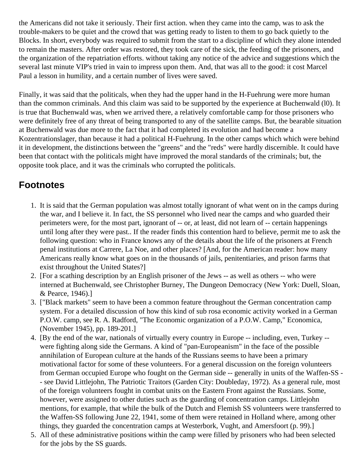the Americans did not take it seriously. Their first action. when they came into the camp, was to ask the trouble-makers to be quiet and the crowd that was getting ready to listen to them to go back quietly to the Blocks. In short, everybody was required to submit from the start to a discipline of which they alone intended to remain the masters. After order was restored, they took care of the sick, the feeding of the prisoners, and the organization of the repatriation efforts. without taking any notice of the advice and suggestions which the several last minute VIP's tried in vain to impress upon them. And, that was all to the good: it cost Marcel Paul a lesson in humility, and a certain number of lives were saved.

Finally, it was said that the politicals, when they had the upper hand in the H-Fuehrung were more human than the common criminals. And this claim was said to be supported by the experience at Buchenwald (l0). It is true that Buchenwald was, when we arrived there, a relatively comfortable camp for those prisoners who were definitely free of any threat of being transported to any of the satellite camps. But, the bearable situation at Buchenwald was due more to the fact that it had completed its evolution and had become a Kozentrationslager, than because it had a political H-Fuehrung. In the other camps which which were behind it in development, the distinctions between the "greens" and the "reds" were hardly discernible. It could have been that contact with the politicals might have improved the moral standards of the criminals; but, the opposite took place, and it was the criminals who corrupted the politicals.

# **Footnotes**

- 1. It is said that the German population was almost totally ignorant of what went on in the camps during the war, and I believe it. In fact, the SS personnel who lived near the camps and who guarded their perimeters were, for the most part, ignorant of -- or, at least, did not learn of -- certain happenings until long after they were past.. If the reader finds this contention hard to believe, permit me to ask the following question: who in France knows any of the details about the life of the prisoners at French penal institutions at Carrere, La Noe, and other places? [And, for the American reader: how many Americans really know what goes on in the thousands of jails, penitentiaries, and prison farms that exist throughout the United States?]
- 2. [For a scathing description by an English prisoner of the Jews -- as well as others -- who were interned at Buchenwald, see Christopher Burney, The Dungeon Democracy (New York: Duell, Sloan, & Pearce, 1946).]
- 3. ["Black markets" seem to have been a common feature throughout the German concentration camp system. For a detailed discussion of how this kind of sub rosa economic activity worked in a German P.O.W. camp, see R. A. Radford, "The Economic organization of a P.O.W. Camp," Economica, (November 1945), pp. 189-201.]
- 4. [By the end of the war, nationals of virtually every country in Europe -- including, even, Turkey were fighting along side the Germans. A kind of "pan-Europeanism" in the face of the possible annihilation of European culture at the hands of the Russians seems to have been a primary motivational factor for some of these volunteers. For a general discussion on the foreign volunteers from German occupied Europe who fought on the German side -- generally in units of the Waffen-SS - - see David Littlejohn, The Patriotic Traitors (Garden City: Doubleday, 1972). As a general rule, most of the foreign volunteers fought in combat units on the Eastern Front against the Russians. Some, however, were assigned to other duties such as the guarding of concentration camps. Littlejohn mentions, for example, that while the bulk of the Dutch and Flemish SS volunteers were transferred to the Waffen-SS following June 22, 1941, some of them were retained in Holland where, among other things, they guarded the concentration camps at Westerbork, Vught, and Amersfoort (p. 99).]
- 5. All of these administrative positions within the camp were filled by prisoners who had been selected for the jobs by the SS guards.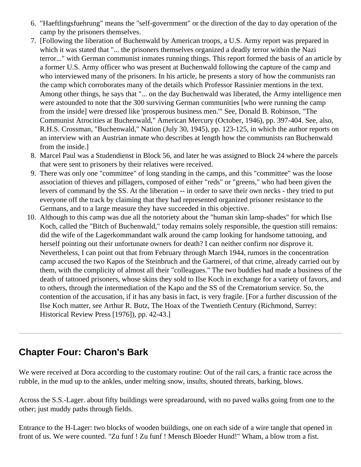- 6. "Haeftlingsfuehrung" means the "self-government" or the direction of the day to day operation of the camp by the prisoners themselves.
- 7. [Following the liberation of Buchenwald by American troops, a U.S. Army report was prepared in which it was stated that "... the prisoners themselves organized a deadly terror within the Nazi terror..." with German communist inmates running things. This report formed the basis of an article by a former U.S. Army officer who was present at Buchenwald following the capture of the camp and who interviewed many of the prisoners. In his article, he presents a story of how the communists ran the camp which corroborates many of the details which Professor Rassinier mentions in the text. Among other things, he says that "... on the day Buchenwald was liberated, the Army intelligence men were astounded to note that the 300 surviving German communities [who were running the camp from the inside] were dressed like 'prosperous business men.'" See, Donald B. Robinson, "The Communist Atrocities at Buchenwald," American Mercury (October, 1946), pp. 397-404. See, also, R.H.S. Crossman, "Buchenwald," Nation (July 30, 1945), pp. 123-125, in which the author reports on an interview with an Austrian inmate who describes at length how the communists ran Buchenwald from the inside.]
- 8. Marcel Paul was a Studendienst in Block 56, and later he was assigned to Block 24 where the parcels that were sent to prisoners by their relatives were received.
- 9. There was only one "committee" of long standing in the camps, and this "committee" was the loose association of thieves and pillagers, composed of either "reds" or "greens," who had been given the levers of command by the SS. At the liberation -- in order to save their own necks - they tried to put everyone off the track by claiming that they had represented organized prisoner resistance to the Germans, and to a large measure they have succeeded in this objective.
- 10. Although to this camp was due all the notoriety about the "human skin lamp-shades" for which Ilse Koch, called the "Bitch of Buchenwald," today remains solely responsible, the question still remains: did the wife of the Lagerkommandant walk around the camp looking for handsome tattooing, and herself pointing out their unfortunate owners for death? I can neither confirm nor disprove it. Nevertheless, I can point out that from February through March 1944, rumors in the concentration camp accused the two Kapos of the Steinbruch and the Gartnerei, of that crime, already carried out by them, with the complicity of almost all their "colleagues." The two buddies had made a business of the death of tattooed prisoners, whose skins they sold to Ilse Koch in exchange for a variety of favors, and to others, through the intermediation of the Kapo and the SS of the Crematorium service. So, the contention of the accusation, if it has any basis in fact, is very fragile. [For a further discussion of the Ilse Koch matter, see Arthur R. Butz, The Hoax of the Twentieth Century (Richmond, Surrey: Historical Review Press [1976]), pp. 42-43.]

# **Chapter Four: Charon's Bark**

We were received at Dora according to the customary routine: Out of the rail cars, a frantic race across the rubble, in the mud up to the ankles, under melting snow, insults, shouted threats, barking, blows.

Across the S.S.-Lager. about fifty buildings were spreadaround, with no paved walks going from one to the other; just muddy paths through fields.

Entrance to the H-Lager: two blocks of wooden buildings, one on each side of a wire tangle that opened in front of us. We were counted. "Zu funf ! Zu funf ! Mensch Bloeder Hund!" Wham, a blow trom a fist.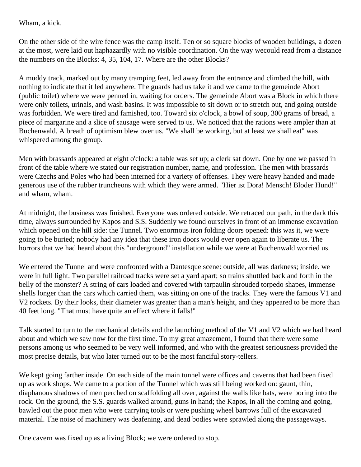Wham, a kick.

On the other side of the wire fence was the camp itself. Ten or so square blocks of wooden buildings, a dozen at the most, were laid out haphazardly with no visible coordination. On the way wecould read from a distance the numbers on the Blocks: 4, 35, 104, 17. Where are the other Blocks?

A muddy track, marked out by many tramping feet, led away from the entrance and climbed the hill, with nothing to indicate that it led anywhere. The guards had us take it and we came to the gemeinde Abort (public toilet) where we were penned in, waiting for orders. The gemeinde Abort was a Block in which there were only toilets, urinals, and wash basins. It was impossible to sit down or to stretch out, and going outside was forbidden. We were tired and famished, too. Toward six o'clock, a bowl of soup, 300 grams of bread, a piece of margarine and a slice of sausage were served to us. We noticed that the rations were ampler than at Buchenwald. A breath of optimism blew over us. "We shall be working, but at least we shall eat" was whispered among the group.

Men with brassards appeared at eight o'clock: a table was set up; a clerk sat down. One by one we passed in front of the table where we stated our registration number, name, and profession. The men with brassards were Czechs and Poles who had been interned for a variety of offenses. They were heavy handed and made generous use of the rubber truncheons with which they were armed. "Hier ist Dora! Mensch! Bloder Hund!" and wham, wham.

At midnight, the business was finished. Everyone was ordered outside. We retraced our path, in the dark this time, always surrounded by Kapos and S.S. Suddenly we found ourselves in front of an immense excavation which opened on the hill side: the Tunnel. Two enormous iron folding doors opened: this was it, we were going to be buried; nobody had any idea that these iron doors would ever open again to liberate us. The horrors that we had heard about this "underground" installation while we were at Buchenwald worried us.

We entered the Tunnel and were confronted with a Dantesque scene: outside, all was darkness; inside. we were in full light. Two parallel railroad tracks were set a yard apart; so trains shuttled back and forth in the belly of the monster? A string of cars loaded and covered with tarpaulin shrouded torpedo shapes, immense shells longer than the cars which carried them, was sitting on one of the tracks. They were the famous V1 and V2 rockets. By their looks, their diameter was greater than a man's height, and they appeared to be more than 40 feet long. "That must have quite an effect where it falls!"

Talk started to turn to the mechanical details and the launching method of the V1 and V2 which we had heard about and which we saw now for the first time. To my great amazement, I found that there were some persons among us who seemed to be very well informed, and who with the greatest seriousness provided the most precise details, but who later turned out to be the most fanciful story-tellers.

We kept going farther inside. On each side of the main tunnel were offices and caverns that had been fixed up as work shops. We came to a portion of the Tunnel which was still being worked on: gaunt, thin, diaphanous shadows of men perched on scaffolding all over, against the walls like bats, were boring into the rock. On the ground, the S.S. guards walked around, guns in hand; the Kapos, in all the coming and going, bawled out the poor men who were carrying tools or were pushing wheel barrows full of the excavated material. The noise of machinery was deafening, and dead bodies were sprawled along the passageways.

One cavern was fixed up as a living Block; we were ordered to stop.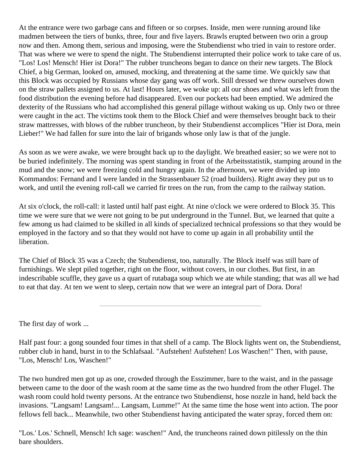At the entrance were two garbage cans and fifteen or so corpses. Inside, men were running around like madmen between the tiers of bunks, three, four and five layers. Brawls erupted between two orin a group now and then. Among them, serious and imposing, were the Stubendienst who tried in vain to restore order. That was where we were to spend the night. The Stubendienst interrupted their police work to take care of us. "Los! Los! Mensch! Hier ist Dora!" The rubber truncheons began to dance on their new targets. The Block Chief, a big German, looked on, amused, mocking, and threatening at the same time. We quickly saw that this Block was occupied by Russians whose day gang was off work. Still dressed we threw ourselves down on the straw pallets assigned to us. At last! Hours later, we woke up: all our shoes and what was left from the food distribution the evening before had disappeared. Even our pockets had been emptied. We admired the dexterity of the Russians who had accomplished this general pillage without waking us up. Only two or three were caught in the act. The victims took them to the Block Chief and were themselves brought back to their straw mattresses, with blows of the rubber truncheon, by their Stubendienst accomplices "Hier ist Dora, mein Lieber!" We had fallen for sure into the lair of brigands whose only law is that of the jungle.

As soon as we were awake, we were brought back up to the daylight. We breathed easier; so we were not to be buried indefinitely. The morning was spent standing in front of the Arbeitsstatistik, stamping around in the mud and the snow; we were freezing cold and hungry again. In the afternoon, we were divided up into Kommandos: Fernand and I were landed in the Strassenbauer 52 (road builders). Right away they put us to work, and until the evening roll-call we carried fir trees on the run, from the camp to the railway station.

At six o'clock, the roll-call: it lasted until half past eight. At nine o'clock we were ordered to Block 35. This time we were sure that we were not going to be put underground in the Tunnel. But, we learned that quite a few among us had claimed to be skilled in all kinds of specialized technical professions so that they would be employed in the factory and so that they would not have to come up again in all probability until the liberation.

The Chief of Block 35 was a Czech; the Stubendienst, too, naturally. The Block itself was still bare of furnishings. We slept piled together, right on the floor, without covers, in our clothes. But first, in an indescribable scuffle, they gave us a quart of rutabaga soup which we ate while standing; that was all we had to eat that day. At ten we went to sleep, certain now that we were an integral part of Dora. Dora!

The first day of work ...

Half past four: a gong sounded four times in that shell of a camp. The Block lights went on, the Stubendienst, rubber club in hand, burst in to the Schlafsaal. "Aufstehen! Aufstehen! Los Waschen!" Then, with pause, "Los, Mensch! Los, Waschen!"

The two hundred men got up as one, crowded through the Esszimmer, bare to the waist, and in the passage between came to the door of the wash room at the same time as the two hundred from the other Flugel. The wash room could hold twenty persons. At the entrance two Stubendienst, hose nozzle in hand, held back the invasions. "Langsam! Langsam!... Langsam, Lumme!" At the same time the hose went into action. The poor fellows fell back... Meanwhile, two other Stubendienst having anticipated the water spray, forced them on:

"Los.' Los.' Schnell, Mensch! Ich sage: waschen!" And, the truncheons rained down pitilessly on the thin bare shoulders.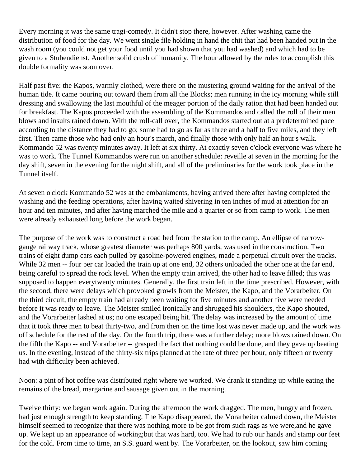Every morning it was the same tragi-comedy. It didn't stop there, however. After washing came the distribution of food for the day. We went single file holding in hand the chit that had been handed out in the wash room (you could not get your food until you had shown that you had washed) and which had to be given to a Stubendienst. Another solid crush of humanity. The hour allowed by the rules to accomplish this double formality was soon over.

Half past five: the Kapos, warmly clothed, were there on the mustering ground waiting for the arrival of the human tide. It came pouring out toward them from all the Blocks; men running in the icy morning while still dressing and swallowing the last mouthful of the meager portion of the daily ration that had been handed out for breakfast. The Kapos proceeded with the assembling of the Kommandos and called the roll of their men blows and insults rained down. With the roll-call over, the Kommandos started out at a predetermined pace according to the distance they had to go; some had to go as far as three and a half to five miles, and they left first. Then came those who had only an hour's march, and finally those with only half an hour's walk. Kommando 52 was twenty minutes away. It left at six thirty. At exactly seven o'clock everyone was where he was to work. The Tunnel Kommandos were run on another schedule: reveille at seven in the morning for the day shift, seven in the evening for the night shift, and all of the preliminaries for the work took place in the Tunnel itself.

At seven o'clock Kommando 52 was at the embankments, having arrived there after having completed the washing and the feeding operations, after having waited shivering in ten inches of mud at attention for an hour and ten minutes, and after having marched the mile and a quarter or so from camp to work. The men were already exhausted long before the work began.

The purpose of the work was to construct a road bed from the station to the camp. An ellipse of narrowgauge railway track, whose greatest diameter was perhaps 800 yards, was used in the construction. Two trains of eight dump cars each pulled by gasoline-powered engines, made a perpetual circuit over the tracks. While 32 men -- four per car loaded the train up at one end, 32 others unloaded the other one at the far end, being careful to spread the rock level. When the empty train arrived, the other had to leave filled; this was supposed to happen everytwenty minutes. Generally, the first train left in the time prescribed. However, with the second, there were delays which provoked growls from the Meister, the Kapo, and the Vorarbeiter. On the third circuit, the empty train had already been waiting for five minutes and another five were needed before it was ready to leave. The Meister smiled ironically and shrugged his shoulders, the Kapo shouted, and the Vorarbeiter lashed at us; no one escaped being hit. The delay was increased by the amount of time that it took three men to beat thirty-two, and from then on the time lost was never made up, and the work was off schedule for the rest of the day. On the fourth trip, there was a further delay; more blows rained down. On the fifth the Kapo -- and Vorarbeiter -- grasped the fact that nothing could be done, and they gave up beating us. In the evening, instead of the thirty-six trips planned at the rate of three per hour, only fifteen or twenty had with difficulty been achieved.

Noon: a pint of hot coffee was distributed right where we worked. We drank it standing up while eating the remains of the bread, margarine and sausage given out in the morning.

Twelve thirty: we began work again. During the afternoon the work dragged. The men, hungry and frozen, had just enough strength to keep standing. The Kapo disappeared, the Vorarbeiter calmed down, the Meister himself seemed to recognize that there was nothing more to be got from such rags as we were,and he gave up. We kept up an appearance of working;but that was hard, too. We had to rub our hands and stamp our feet for the cold. From time to time, an S.S. guard went by. The Vorarbeiter, on the lookout, saw him coming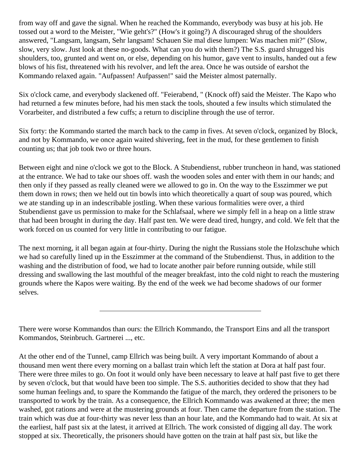from way off and gave the signal. When he reached the Kommando, everybody was busy at his job. He tossed out a word to the Meister, "Wie geht's?" (How's it going?) A discouraged shrug of the shoulders answered, "Langsam, langsam, Sehr langsam! Schauen Sie mal diese lumpen: Was machen mit?" (Slow, slow, very slow. Just look at these no-goods. What can you do with them?) The S.S. guard shrugged his shoulders, too, grunted and went on, or else, depending on his humor, gave vent to insults, handed out a few blows of his fist, threatened with his revolver, and left the area. Once he was outside of earshot the Kommando relaxed again. "Aufpassen! Aufpassen!" said the Meister almost paternally.

Six o'clock came, and everybody slackened off. "Feierabend, " (Knock off) said the Meister. The Kapo who had returned a few minutes before, had his men stack the tools, shouted a few insults which stimulated the Vorarbeiter, and distributed a few cuffs; a return to discipline through the use of terror.

Six forty: the Kommando started the march back to the camp in fives. At seven o'clock, organized by Block, and not by Kommando, we once again waited shivering, feet in the mud, for these gentlemen to finish counting us; that job took two or three hours.

Between eight and nine o'clock we got to the Block. A Stubendienst, rubber truncheon in hand, was stationed at the entrance. We had to take our shoes off. wash the wooden soles and enter with them in our hands; and then only if they passed as really cleaned were we allowed to go in. On the way to the Esszimmer we put them down in rows; then we held out tin bowls into which theoretically a quart of soup was poured, which we ate standing up in an indescribable jostling. When these various formalities were over, a third Stubendienst gave us permission to make for the Schlafsaal, where we simply fell in a heap on a little straw that had been brought in during the day. Half past ten. We were dead tired, hungry, and cold. We felt that the work forced on us counted for very little in contributing to our fatigue.

The next morning, it all began again at four-thirty. During the night the Russians stole the Holzschuhe which we had so carefully lined up in the Esszimmer at the command of the Stubendienst. Thus, in addition to the washing and the distribution of food, we had to locate another pair before running outside, while still dressing and swallowing the last mouthful of the meager breakfast, into the cold night to reach the mustering grounds where the Kapos were waiting. By the end of the week we had become shadows of our former selves.

There were worse Kommandos than ours: the Ellrich Kommando, the Transport Eins and all the transport Kommandos, Steinbruch. Gartnerei ..., etc.

At the other end of the Tunnel, camp Ellrich was being built. A very important Kommando of about a thousand men went there every morning on a ballast train which left the station at Dora at half past four. There were three miles to go. On foot it would only have been necessary to leave at half past five to get there by seven o'clock, but that would have been too simple. The S.S. authorities decided to show that they had some human feelings and, to spare the Kommando the fatigue of the march, they ordered the prisoners to be transported to work by the train. As a consequence, the Ellrich Kommando was awakened at three; the men washed, got rations and were at the mustering grounds at four. Then came the departure from the station. The train which was due at four-thirty was never less than an hour late, and the Kommando had to wait. At six at the earliest, half past six at the latest, it arrived at Ellrich. The work consisted of digging all day. The work stopped at six. Theoretically, the prisoners should have gotten on the train at half past six, but like the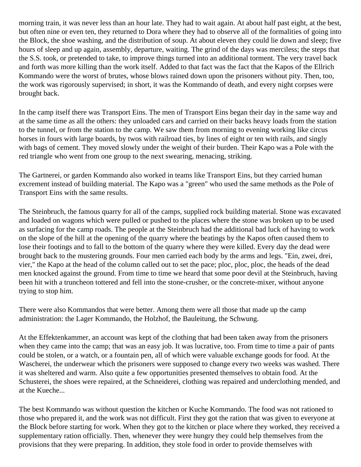morning train, it was never less than an hour late. They had to wait again. At about half past eight, at the best, but often nine or even ten, they returned to Dora where they had to observe all of the formalities of going into the Block, the shoe washing, and the distribution of soup. At about eleven they could lie down and sleep; five hours of sleep and up again, assembly, departure, waiting. The grind of the days was merciless; the steps that the S.S. took, or pretended to take, to improve things turned into an additional torment. The very travel back and forth was more killing than the work itself. Added to that fact was the fact that the Kapos of the Ellrich Kommando were the worst of brutes, whose blows rained down upon the prisoners without pity. Then, too, the work was rigorously supervised; in short, it was the Kommando of death, and every night corpses were brought back.

In the camp itself there was Transport Eins. The men of Transport Eins began their day in the same way and at the same time as all the others: they unloaded cars and carried on their backs heavy loads from the station to the tunnel, or from the station to the camp. We saw them from morning to evening working like circus horses in fours with large boards, by twos with railroad ties, by lines of eight or ten with rails, and singly with bags of cement. They moved slowly under the weight of their burden. Their Kapo was a Pole with the red triangle who went from one group to the next swearing, menacing, striking.

The Gartnerei, or garden Kommando also worked in teams like Transport Eins, but they carried human excrement instead of building material. The Kapo was a "green" who used the same methods as the Pole of Transport Eins with the same results.

The Steinbruch, the famous quarry for all of the camps, supplied rock building material. Stone was excavated and loaded on wagons which were pulled or pushed to the places where the stone was broken up to be used as surfacing for the camp roads. The people at the Steinbruch had the additional bad luck of having to work on the slope of the hill at the opening of the quarry where the beatings by the Kapos often caused them to lose their footings and to fall to the bottom of the quarry where they were killed. Every day the dead were brought back to the mustering grounds. Four men carried each body by the arms and legs. "Ein, zwei, drei, vier," the Kapo at the head of the column called out to set the pace; ploc, ploc, ploc, the heads of the dead men knocked against the ground. From time to time we heard that some poor devil at the Steinbruch, having been hit with a truncheon tottered and fell into the stone-crusher, or the concrete-mixer, without anyone trying to stop him.

There were also Kommandos that were better. Among them were all those that made up the camp administration: the Lager Kommando, the Holzhof, the Bauleitung, the Schwung.

At the Effektenkammer, an account was kept of the clothing that had been taken away from the prisoners when they came into the camp; that was an easy job. It was lucrative, too. From time to time a pair of pants could be stolen, or a watch, or a fountain pen, all of which were valuable exchange goods for food. At the Wascherei, the underwear which the prisoners were supposed to change every two weeks was washed. There it was sheltered and warm. Also quite a few opportunities presented themselves to obtain food. At the Schusterei, the shoes were repaired, at the Schneiderei, clothing was repaired and underclothing mended, and at the Kueche...

The best Kommando was without question the kitchen or Kuche Kommando. The food was not rationed to those who prepared it, and the work was not difficult. First they got the ration that was given to everyone at the Block before starting for work. When they got to the kitchen or place where they worked, they received a supplementary ration officially. Then, whenever they were hungry they could help themselves from the provisions that they were preparing. In addition, they stole food in order to provide themselves with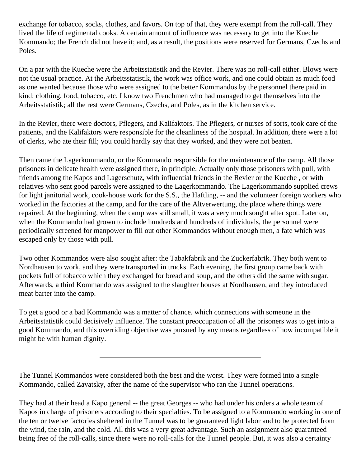exchange for tobacco, socks, clothes, and favors. On top of that, they were exempt from the roll-call. They lived the life of regimental cooks. A certain amount of influence was necessary to get into the Kueche Kommando; the French did not have it; and, as a result, the positions were reserved for Germans, Czechs and Poles.

On a par with the Kueche were the Arbeitsstatistik and the Revier. There was no roll-call either. Blows were not the usual practice. At the Arbeitsstatistik, the work was office work, and one could obtain as much food as one wanted because those who were assigned to the better Kommandos by the personnel there paid in kind: clothing, food, tobacco, etc. I know two Frenchmen who had managed to get themselves into the Arbeitsstatistik; all the rest were Germans, Czechs, and Poles, as in the kitchen service.

In the Revier, there were doctors, Pflegers, and Kalifaktors. The Pflegers, or nurses of sorts, took care of the patients, and the Kalifaktors were responsible for the cleanliness of the hospital. In addition, there were a lot of clerks, who ate their fill; you could hardly say that they worked, and they were not beaten.

Then came the Lagerkommando, or the Kommando responsible for the maintenance of the camp. All those prisoners in delicate health were assigned there, in principle. Actually only those prisoners with pull, with friends among the Kapos and Lagerschutz, with influential friends in the Revier or the Kueche , or with relatives who sent good parcels were assigned to the Lagerkommando. The Lagerkommando supplied crews for light janitorial work, cook-house work for the S.S., the Haftling, -- and the volunteer foreign workers who worked in the factories at the camp, and for the care of the Altverwertung, the place where things were repaired. At the beginning, when the camp was still small, it was a very much sought after spot. Later on, when the Kommando had grown to include hundreds and hundreds of individuals, the personnel were periodically screened for manpower to fill out other Kommandos without enough men, a fate which was escaped only by those with pull.

Two other Kommandos were also sought after: the Tabakfabrik and the Zuckerfabrik. They both went to Nordhausen to work, and they were transported in trucks. Each evening, the first group came back with pockets full of tobacco which they exchanged for bread and soup, and the others did the same with sugar. Afterwards, a third Kommando was assigned to the slaughter houses at Nordhausen, and they introduced meat barter into the camp.

To get a good or a bad Kommando was a matter of chance. which connections with someone in the Arbeitsstatistik could decisively influence. The constant preoccupation of all the prisoners was to get into a good Kommando, and this overriding objective was pursued by any means regardless of how incompatible it might be with human dignity.

The Tunnel Kommandos were considered both the best and the worst. They were formed into a single Kommando, called Zavatsky, after the name of the supervisor who ran the Tunnel operations.

They had at their head a Kapo general -- the great Georges -- who had under his orders a whole team of Kapos in charge of prisoners according to their specialties. To be assigned to a Kommando working in one of the ten or twelve factories sheltered in the Tunnel was to be guaranteed light labor and to be protected from the wind, the rain, and the cold. All this was a very great advantage. Such an assignment also guaranteed being free of the roll-calls, since there were no roll-calls for the Tunnel people. But, it was also a certainty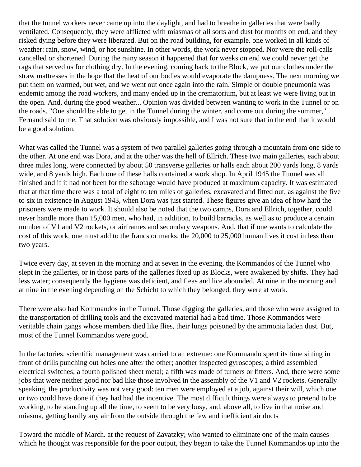that the tunnel workers never came up into the daylight, and had to breathe in galleries that were badly ventilated. Consequently, they were afflicted with miasmas of all sorts and dust for months on end, and they risked dying before they were liberated. But on the road building, for example. one worked in all kinds of weather: rain, snow, wind, or hot sunshine. In other words, the work never stopped. Nor were the roll-calls cancelled or shortened. During the rainy season it happened that for weeks on end we could never get the rags that served us for clothing dry. In the evening, coming back to the Block, we put our clothes under the straw mattresses in the hope that the heat of our bodies would evaporate the dampness. The next morning we put them on warmed, but wet, and we went out once again into the rain. Simple or double pneumonia was endemic among the road workers, and many ended up in the crematorium, but at least we were living out in the open. And, during the good weather... Opinion was divided between wanting to work in the Tunnel or on the roads. "One should be able to get in the Tunnel during the winter, and come out during the summer," Fernand said to me. That solution was obviously impossible, and I was not sure that in the end that it would be a good solution.

What was called the Tunnel was a system of two parallel galleries going through a mountain from one side to the other. At one end was Dora, and at the other was the hell of Ellrich. These two main galleries, each about three miles long, were connected by about 50 transverse galleries or halls each about 200 yards long, 8 yards wide, and 8 yards high. Each one of these halls contained a work shop. In April 1945 the Tunnel was all finished and if it had not been for the sabotage would have produced at maximum capacity. It was estimated that at that time there was a total of eight to ten miles of galleries, excavated and fitted out, as against the five to six in existence in August 1943, when Dora was just started. These figures give an idea of how hard the prisoners were made to work. It should also be noted that the two camps, Dora and Ellrich, together, could never handle more than 15,000 men, who had, in addition, to build barracks, as well as to produce a certain number of V1 and V2 rockets, or airframes and secondary weapons. And, that if one wants to calculate the cost of this work, one must add to the francs or marks, the 20,000 to 25,000 human lives it cost in less than two years.

Twice every day, at seven in the morning and at seven in the evening, the Kommandos of the Tunnel who slept in the galleries, or in those parts of the galleries fixed up as Blocks, were awakened by shifts. They had less water; consequently the hygiene was deficient, and fleas and lice abounded. At nine in the morning and at nine in the evening depending on the Schicht to which they belonged, they were at work.

There were also bad Kommandos in the Tunnel. Those digging the galleries, and those who were assigned to the transportation of drilling tools and the excavated material had a bad time. Those Kommandos were veritable chain gangs whose members died like flies, their lungs poisoned by the ammonia laden dust. But, most of the Tunnel Kommandos were good.

In the factories, scientific management was carried to an extreme: one Kommando spent its time sitting in front of drills punching out holes one after the other; another inspected gyroscopes; a third assembled electrical switches; a fourth polished sheet metal; a fifth was made of turners or fitters. And, there were some jobs that were neither good nor bad like those involved in the assembly of the V1 and V2 rockets. Generally speaking, the productivity was not very good: ten men were employed at a job, against their will, which one or two could have done if they had had the incentive. The most difficult things were always to pretend to be working, to be standing up all the time, to seem to be very busy, and. above all, to live in that noise and miasma, getting hardly any air from the outside through the few and inefficient air ducts

Toward the middle of March. at the request of Zavatzky; who wanted to eliminate one of the main causes which he thought was responsible for the poor output, they began to take the Tunnel Kommandos up into the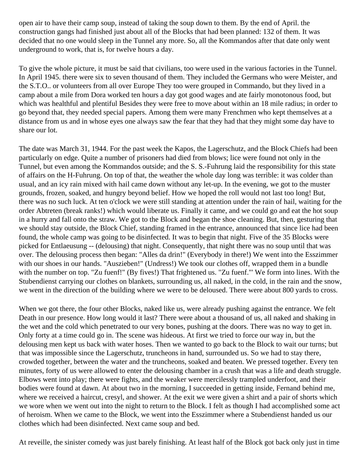open air to have their camp soup, instead of taking the soup down to them. By the end of April. the construction gangs had finished just about all of the Blocks that had been planned: 132 of them. It was decided that no one would sleep in the Tunnel any more. So, all the Kommandos after that date only went underground to work, that is, for twelve hours a day.

To give the whole picture, it must be said that civilians, too were used in the various factories in the Tunnel. In April 1945. there were six to seven thousand of them. They included the Germans who were Meister, and the S.T.O.. or volunteers from all over Europe They too were grouped in Commando, but they lived in a camp about a mile from Dora worked ten hours a day got good wages and ate fairly monotonous food, but which was healthful and plentiful Besides they were free to move about within an 18 mile radius; in order to go beyond that, they needed special papers. Among them were many Frenchmen who kept themselves at a distance from us and in whose eyes one always saw the fear that they had that they might some day have to share our lot.

The date was March 31, 1944. For the past week the Kapos, the Lagerschutz, and the Block Chiefs had been particularly on edge. Quite a number of prisoners had died from blows; lice were found not only in the Tunnel, but even among the Kommandos outside; and the S. S.-Fuhrung laid the responsibility for this state of affairs on the H-Fuhrung. On top of that, the weather the whole day long was terrible: it was colder than usual, and an icy rain mixed with hail came down without any let-up. In the evening, we got to the muster grounds, frozen, soaked, and hungry beyond belief. How we hoped the roll would not last too long! But, there was no such luck. At ten o'clock we were still standing at attention under the rain of hail, waiting for the order Abtreten (break ranks!) which would liberate us. Finally it came, and we could go and eat the hot soup in a hurry and fall onto the straw. We got to the Block and began the shoe cleaning. But, then, gesturing that we should stay outside, the Block Chief, standing framed in the entrance, announced that since lice had been found, the whole camp was going to be disinfected. It was to begin that night. Five of the 35 Blocks were picked for Entlaeusung -- (delousing) that night. Consequently, that night there was no soup until that was over. The delousing process then began: "Alles da drin!" (Everybody in there!) We went into the Esszimmer with our shoes in our hands. "Auszieben!" (Undress!) We took our clothes off, wrapped them in a bundle with the number on top. "Zu fuenf!" (By fives!) That frightened us. "Zu fuenf."' We form into lines. With the Stubendienst carrying our clothes on blankets, surrounding us, all naked, in the cold, in the rain and the snow, we went in the direction of the building where we were to be deloused. There were about 800 yards to cross.

When we got there, the four other Blocks, naked like us, were already pushing against the entrance. We felt Death in our presence. How long would it last? There were about a thousand of us, all naked and shaking in the wet and the cold which penetrated to our very bones, pushing at the doors. There was no way to get in. Only forty at a time could go in. The scene was hideous. At first we tried to force our way in, but the delousing men kept us back with water hoses. Then we wanted to go back to the Block to wait our turns; but that was impossible since the Lagerschutz, truncheons in hand, surrounded us. So we had to stay there, crowded together, between the water and the truncheons, soaked and beaten. We pressed together. Every ten minutes, forty of us were allowed to enter the delousing chamber in a crush that was a life and death struggle. Elbows went into play; there were fights, and the weaker were mercilessly trampled underfoot, and their bodies were found at dawn. At about two in the morning, I succeeded in getting inside, Fernand behind me, where we received a haircut, cresyl, and shower. At the exit we were given a shirt and a pair of shorts which we wore when we went out into the night to return to the Block. I felt as though I had accomplished some act of heroism. When we came to the Block, we went into the Esszimmer where a Stubendienst handed us our clothes which had been disinfected. Next came soup and bed.

At reveille, the sinister comedy was just barely finishing. At least half of the Block got back only just in time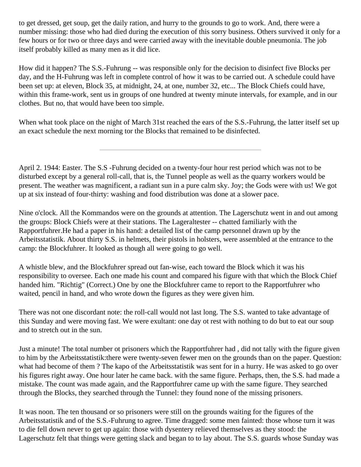to get dressed, get soup, get the daily ration, and hurry to the grounds to go to work. And, there were a number missing: those who had died during the execution of this sorry business. Others survived it only for a few hours or for two or three days and were carried away with the inevitable double pneumonia. The job itself probably killed as many men as it did lice.

How did it happen? The S.S.-Fuhrung -- was responsible only for the decision to disinfect five Blocks per day, and the H-Fuhrung was left in complete control of how it was to be carried out. A schedule could have been set up: at eleven, Block 35, at midnight, 24, at one, number 32, etc... The Block Chiefs could have, within this frame-work, sent us in groups of one hundred at twenty minute intervals, for example, and in our clothes. But no, that would have been too simple.

When what took place on the night of March 31st reached the ears of the S.S.-Fuhrung, the latter itself set up an exact schedule the next morning tor the Blocks that remained to be disinfected.

April 2. 1944: Easter. The S.S -Fuhrung decided on a twenty-four hour rest period which was not to be disturbed except by a general roll-call, that is, the Tunnel people as well as the quarry workers would be present. The weather was magnificent, a radiant sun in a pure calm sky. Joy; the Gods were with us! We got up at six instead of four-thirty: washing and food distribution was done at a slower pace.

Nine o'clock. All the Kommandos were on the grounds at attention. The Lagerschutz went in and out among the groups: Block Chiefs were at their stations. The Lageraltester -- chatted familiarly with the Rapportfuhrer.He had a paper in his hand: a detailed list of the camp personnel drawn up by the Arbeitsstatistik. About thirty S.S. in helmets, their pistols in holsters, were assembled at the entrance to the camp: the Blockfuhrer. It looked as though all were going to go well.

A whistle blew, and the Blockfuhrer spread out fan-wise, each toward the Block which it was his responsibility to oversee. Each one made his count and compared his figure with that which the Block Chief handed him. "Richtig" (Correct.) One by one the Blockfuhrer came to report to the Rapportfuhrer who waited, pencil in hand, and who wrote down the figures as they were given him.

There was not one discordant note: the roll-call would not last long. The S.S. wanted to take advantage of this Sunday and were moving fast. We were exultant: one day ot rest with nothing to do but to eat our soup and to stretch out in the sun.

Just a minute! The total number ot prisoners which the Rapportfuhrer had , did not tally with the figure given to him by the Arbeitsstatistik:there were twenty-seven fewer men on the grounds than on the paper. Question: what had become of them ? The kapo of the Arbeitsstatistik was sent for in a hurry. He was asked to go over his figures right away. One hour later he came back. with the same figure. Perhaps, then, the S.S. had made a mistake. The count was made again, and the Rapportfuhrer came up with the same figure. They searched through the Blocks, they searched through the Tunnel: they found none of the missing prisoners.

It was noon. The ten thousand or so prisoners were still on the grounds waiting for the figures of the Arbeitsstatistik and of the S.S.-Fuhrung to agree. Time dragged: some men fainted: those whose turn it was to die fell down never to get up again: those with dysentery relieved themselves as they stood: the Lagerschutz felt that things were getting slack and began to to lay about. The S.S. guards whose Sunday was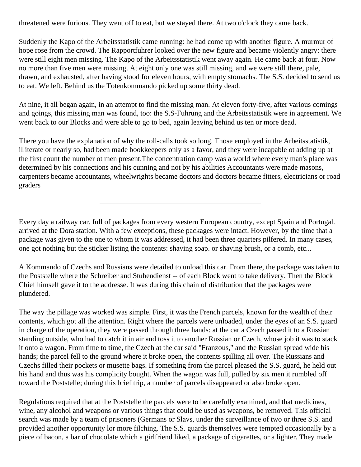threatened were furious. They went off to eat, but we stayed there. At two o'clock they came back.

Suddenly the Kapo of the Arbeitsstatistik came running: he had come up with another figure. A murmur of hope rose from the crowd. The Rapportfuhrer looked over the new figure and became violently angry: there were still eight men missing. The Kapo of the Arbeitsstatistik went away again. He came back at four. Now no more than five men were missing. At eight only one was still missing, and we were still there, pale, drawn, and exhausted, after having stood for eleven hours, with empty stomachs. The S.S. decided to send us to eat. We left. Behind us the Totenkommando picked up some thirty dead.

At nine, it all began again, in an attempt to find the missing man. At eleven forty-five, after various comings and goings, this missing man was found, too: the S.S-Fuhrung and the Arbeitsstatistik were in agreement. We went back to our Blocks and were able to go to bed, again leaving behind us ten or more dead.

There you have the explanation of why the roll-calls took so long. Those employed in the Arbeitsstatistik, illiterate or nearly so, had been made bookkeepers only as a favor, and they were incapable ot adding up at the first count the number ot men present.The concentration camp was a world where every man's place was determined by his connections and his cunning and not by his abilities Accountants were made masons, carpenters became accountants, wheelwrights became doctors and doctors became fitters, electricians or road graders

Every day a railway car. full of packages from every western European country, except Spain and Portugal. arrived at the Dora station. With a few exceptions, these packages were intact. However, by the time that a package was given to the one to whom it was addressed, it had been three quarters pilfered. In many cases, one got nothing but the sticker listing the contents: shaving soap. or shaving brush, or a comb, etc...

A Kommando of Czechs and Russians were detailed to unload this car. From there, the package was taken to the Poststelle where the Schreiber and Stubendienst -- of each Block went to take delivery. Then the Block Chief himself gave it to the addresse. It was during this chain of distribution that the packages were plundered.

The way the pillage was worked was simple. First, it was the French parcels, known for the wealth of their contents, which got all the attention. Right where the parcels were unloaded, under the eyes of an S.S. guard in charge of the operation, they were passed through three hands: at the car a Czech passed it to a Russian standing outside, who had to catch it in air and toss it to another Russian or Czech, whose job it was to stack it onto a wagon. From time to time, the Czech at the car said "Franzous," and the Russian spread wide his hands; the parcel fell to the ground where it broke open, the contents spilling all over. The Russians and Czechs filled their pockets or musette bags. If something from the parcel pleased the S.S. guard, he held out his hand and thus was his complicity bought. When the wagon was full, pulled by six men it rumbled off toward the Poststelle; during this brief trip, a number of parcels disappeared or also broke open.

Regulations required that at the Poststelle the parcels were to be carefully examined, and that medicines, wine, any alcohol and weapons or various things that could be used as weapons, be removed. This official search was made by a team of prisoners (Germans or Slavs, under the surveillance of two or three S.S. and provided another opportunity lor more filching. The S.S. guards themselves were tempted occasionally by a piece of bacon, a bar of chocolate which a girlfriend liked, a package of cigarettes, or a lighter. They made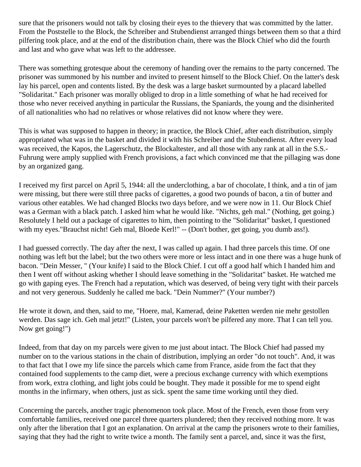sure that the prisoners would not talk by closing their eyes to the thievery that was committed by the latter. From the Poststelle to the Block, the Schreiber and Stubendienst arranged things between them so that a third pilfering took place, and at the end of the distribution chain, there was the Block Chief who did the fourth and last and who gave what was left to the addressee.

There was something grotesque about the ceremony of handing over the remains to the party concerned. The prisoner was summoned by his number and invited to present himself to the Block Chief. On the latter's desk lay his parcel, open and contents listed. By the desk was a large basket surmounted by a placard labelled "Solidaritat." Each prisoner was morally obliged to drop in a little something of what he had received for those who never received anything in particular the Russians, the Spaniards, the young and the disinherited of all nationalities who had no relatives or whose relatives did not know where they were.

This is what was supposed to happen in theory; in practice, the Block Chief, after each distribution, simply appropriated what was in the basket and divided it with his Schreiber and the Stubendienst. After every load was received, the Kapos, the Lagerschutz, the Blockaltester, and all those with any rank at all in the S.S.- Fuhrung were amply supplied with French provisions, a fact which convinced me that the pillaging was done by an organized gang.

I received my first parcel on April 5, 1944: all the underclothing, a bar of chocolate, I think, and a tin of jam were missing, but there were still three packs of cigarettes, a good two pounds of bacon, a tin of butter and various other eatables. We had changed Blocks two days before, and we were now in 11. Our Block Chief was a German with a black patch. I asked him what he would like. "Nichts, geh mal." (Nothing, get going.) Resolutely I held out a package of cigarettes to him, then pointing to the "Solidaritat" basket, I questioned with my eyes."Brauchst nicht! Geh mal, Bloede Kerl!" -- (Don't bother, get going, you dumb ass!).

I had guessed correctly. The day after the next, I was called up again. I had three parcels this time. Of one nothing was left but the label; but the two others were more or less intact and in one there was a huge hunk of bacon. "Dein Messer, " (Your knife) I said to the Block Chief. I cut off a good half which I handed him and then I went off without asking whether I should leave something in the "Solidaritat" basket. He watched me go with gaping eyes. The French had a reputation, which was deserved, of being very tight with their parcels and not very generous. Suddenly he called me back. "Dein Nummer?" (Your number?)

He wrote it down, and then, said to me, "Hoere, mal, Kamerad, deine Paketten werden nie mehr gestollen werden. Das sage ich. Geh mal jetzt!" (Listen, your parcels won't be pilfered any more. That I can tell you. Now get going!")

Indeed, from that day on my parcels were given to me just about intact. The Block Chief had passed my number on to the various stations in the chain of distribution, implying an order "do not touch". And, it was to that fact that I owe my life since the parcels which came from France, aside from the fact that they contained food supplements to the camp diet, were a precious exchange currency with which exemptions from work, extra clothing, and light jobs could be bought. They made it possible for me to spend eight months in the infirmary, when others, just as sick. spent the same time working until they died.

Concerning the parcels, another tragic phenomenon took place. Most of the French, even those from very comfortable families, received one parcel three quarters plundered; then they received nothing more. It was only after the liberation that I got an explanation. On arrival at the camp the prisoners wrote to their families, saying that they had the right to write twice a month. The family sent a parcel, and, since it was the first,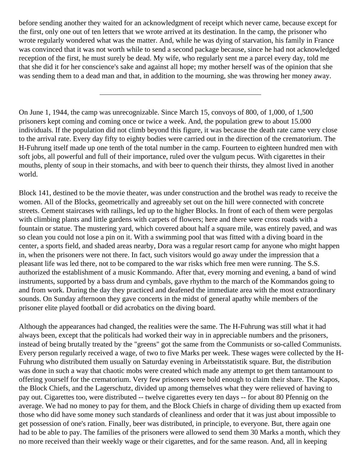before sending another they waited for an acknowledgment of receipt which never came, because except for the first, only one out of ten letters that we wrote arrived at its destination. In the camp, the prisoner who wrote regularly wondered what was the matter. And, while he was dying of starvation, his family in France was convinced that it was not worth while to send a second package because, since he had not acknowledged reception of the first, he must surely be dead. My wife, who regularly sent me a parcel every day, told me that she did it for her conscience's sake and against all hope; my mother herself was of the opinion that she was sending them to a dead man and that, in addition to the mourning, she was throwing her money away.

On June 1, 1944, the camp was unrecognizable. Since March 15, convoys of 800, of 1,000, of 1,500 prisoners kept coming and coming once or twice a week. And, the population grew to about 15.000 individuals. If the population did not climb beyond this figure, it was because the death rate came very close to the arrival rate. Every day fifty to eighty bodies were carried out in the direction of the crematorium. The H-Fuhrung itself made up one tenth of the total number in the camp. Fourteen to eighteen hundred men with soft jobs, all powerful and full of their importance, ruled over the vulgum pecus. With cigarettes in their mouths, plenty of soup in their stomachs, and with beer to quench their thirsts, they almost lived in another world.

Block 141, destined to be the movie theater, was under construction and the brothel was ready to receive the women. All of the Blocks, geometrically and agreeably set out on the hill were connected with concrete streets. Cement staircases with railings, led up to the higher Blocks. In front of each of them were pergolas with climbing plants and little gardens with carpets of flowers; here and there were cross roads with a fountain or statue. The mustering yard, which covered about half a square mile, was entirely paved, and was so clean you could not lose a pin on it. With a swimming pool that was fitted with a diving board in the center, a sports field, and shaded areas nearby, Dora was a regular resort camp for anyone who might happen in, when the prisoners were not there. In fact, such visitors would go away under the impression that a pleasant life was led there, not to be compared to the war risks which free men were running. The S.S. authorized the establishment of a music Kommando. After that, every morning and evening, a band of wind instruments, supported by a bass drum and cymbals, gave rhythm to the march of the Kommandos going to and from work. During the day they practiced and deafened the immediate area with the most extraordinary sounds. On Sunday afternoon they gave concerts in the midst of general apathy while members of the prisoner elite played football or did acrobatics on the diving board.

Although the appearances had changed, the realities were the same. The H-Fuhrung was still what it had always been, except that the politicals had worked their way in in appreciable numbers and the prisoners, instead of being brutally treated by the "greens" got the same from the Communists or so-called Communists. Every person regularly received a wage, of two to five Marks per week. These wages were collected by the H-Fuhrung who distributed them usually on Saturday evening in Arbeitsstatistik square. But, the distribution was done in such a way that chaotic mobs were created which made any attempt to get them tantamount to offering yourself for the crematorium. Very few prisoners were bold enough to claim their share. The Kapos, the Block Chiefs, and the Lagerschutz, divided up among themselves what they were relieved of having to pay out. Cigarettes too, were distributed -- twelve cigarettes every ten days -- for about 80 Pfennig on the average. We had no money to pay for them, and the Block Chiefs in charge of dividing them up exacted from those who did have some money such standards of cleanliness and order that it was just about impossible to get possession of one's ration. Finally, beer was distributed, in principle, to everyone. But, there again one had to be able to pay. The families of the prisoners were allowed to send them 30 Marks a month, which they no more received than their weekly wage or their cigarettes, and for the same reason. And, all in keeping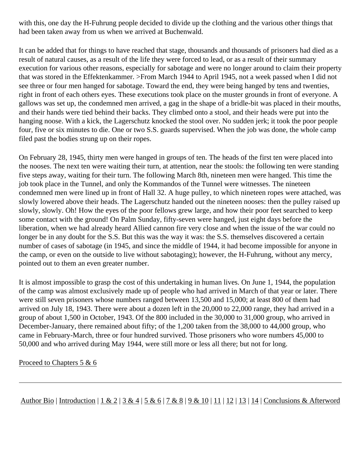with this, one day the H-Fuhrung people decided to divide up the clothing and the various other things that had been taken away from us when we arrived at Buchenwald.

It can be added that for things to have reached that stage, thousands and thousands of prisoners had died as a result of natural causes, as a result of the life they were forced to lead, or as a result of their summary execution for various other reasons, especially for sabotage and were no longer around to claim their property that was stored in the Effektenkammer. >From March 1944 to April 1945, not a week passed when I did not see three or four men hanged for sabotage. Toward the end, they were being hanged by tens and twenties, right in front of each others eyes. These executions took place on the muster grounds in front of everyone. A gallows was set up, the condemned men arrived, a gag in the shape of a bridle-bit was placed in their mouths, and their hands were tied behind their backs. They climbed onto a stool, and their heads were put into the hanging noose. With a kick, the Lagerschutz knocked the stool over. No sudden jerk; it took the poor people four, five or six minutes to die. One or two S.S. guards supervised. When the job was done, the whole camp filed past the bodies strung up on their ropes.

On February 28, 1945, thirty men were hanged in groups of ten. The heads of the first ten were placed into the nooses. The next ten were waiting their turn, at attention, near the stools: the following ten were standing five steps away, waiting for their turn. The following March 8th, nineteen men were hanged. This time the job took place in the Tunnel, and only the Kommandos of the Tunnel were witnesses. The nineteen condemned men were lined up in front of Hall 32. A huge pulley, to which nineteen ropes were attached, was slowly lowered above their heads. The Lagerschutz handed out the nineteen nooses: then the pulley raised up slowly, slowly. Oh! How the eyes of the poor fellows grew large, and how their poor feet searched to keep some contact with the ground! On Palm Sunday, fifty-seven were hanged, just eight days before the liberation, when we had already heard Allied cannon fire very close and when the issue of the war could no longer be in any doubt for the S.S. But this was the way it was: the S.S. themselves discovered a certain number of cases of sabotage (in 1945, and since the middle of 1944, it had become impossible for anyone in the camp, or even on the outside to live without sabotaging); however, the H-Fuhrung, without any mercy, pointed out to them an even greater number.

It is almost impossible to grasp the cost of this undertaking in human lives. On June 1, 1944, the population of the camp was almost exclusively made up of people who had arrived in March of that year or later. There were still seven prisoners whose numbers ranged between 13,500 and 15,000; at least 800 of them had arrived on July 18, 1943. There were about a dozen left in the 20,000 to 22,000 range, they had arrived in a group of about 1,500 in October, 1943. Of the 800 included in the 30,000 to 31,000 group, who arrived in December-January, there remained about fifty; of the 1,200 taken from the 38,000 to 44,000 group, who came in February-March, three or four hundred survived. Those prisoners who wore numbers 45,000 to 50,000 and who arrived during May 1944, were still more or less all there; but not for long.

[Proceed to Chapters 5 & 6](#page-55-0)

[Author Bio](#page-0-0) | [Introduction](#page-0-0) | [1 & 2](#page-9-0) | [3 & 4](#page-32-0) | [5 & 6](#page-55-0) | [7 & 8](#page-67-0) | [9 & 10](#page-83-0) | [11](#page-104-0) | [12](#page-130-0) | [13](#page-139-0) | [14](#page-176-0) | [Conclusions & Afterword](#page-234-0)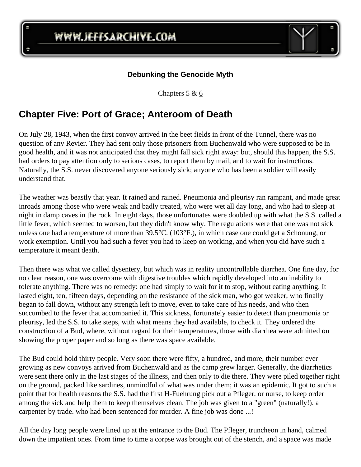<span id="page-55-0"></span>WWW.JEFFSARCHIVE.COM

### **Debunking the Genocide Myth**

Chapters 5 & 6

# **Chapter Five: Port of Grace; Anteroom of Death**

On July 28, 1943, when the first convoy arrived in the beet fields in front of the Tunnel, there was no question of any Revier. They had sent only those prisoners from Buchenwald who were supposed to be in good health, and it was not anticipated that they might fall sick right away: but, should this happen, the S.S. had orders to pay attention only to serious cases, to report them by mail, and to wait for instructions. Naturally, the S.S. never discovered anyone seriously sick; anyone who has been a soldier will easily understand that.

The weather was beastly that year. It rained and rained. Pneumonia and pleurisy ran rampant, and made great inroads among those who were weak and badly treated, who were wet all day long, and who had to sleep at night in damp caves in the rock. In eight days, those unfortunates were doubled up with what the S.S. called a little fever, which seemed to worsen, but they didn't know why. The regulations were that one was not sick unless one had a temperature of more than 39.5°C. (103°F.), in which case one could get a Schonung, or work exemption. Until you had such a fever you had to keep on working, and when you did have such a temperature it meant death.

Then there was what we called dysentery, but which was in reality uncontrollable diarrhea. One fine day, for no clear reason, one was overcome with digestive troubles which rapidly developed into an inability to tolerate anything. There was no remedy: one had simply to wait for it to stop, without eating anything. It lasted eight, ten, fifteen days, depending on the resistance of the sick man, who got weaker, who finally began to fall down, without any strength left to move, even to take care of his needs, and who then succumbed to the fever that accompanied it. This sickness, fortunately easier to detect than pneumonia or pleurisy, led the S.S. to take steps, with what means they had available, to check it. They ordered the construction of a Bud, where, without regard for their temperatures, those with diarrhea were admitted on showing the proper paper and so long as there was space available.

The Bud could hold thirty people. Very soon there were fifty, a hundred, and more, their number ever growing as new convoys arrived from Buchenwald and as the camp grew larger. Generally, the diarrhetics were sent there only in the last stages of the illness, and then only to die there. They were piled together right on the ground, packed like sardines, unmindful of what was under them; it was an epidemic. It got to such a point that for health reasons the S.S. had the first H-Fuehrung pick out a Pfleger, or nurse, to keep order among the sick and help them to keep themselves clean. The job was given to a "green" (naturally!), a carpenter by trade. who had been sentenced for murder. A fine job was done ...!

All the day long people were lined up at the entrance to the Bud. The Pfleger, truncheon in hand, calmed down the impatient ones. From time to time a corpse was brought out of the stench, and a space was made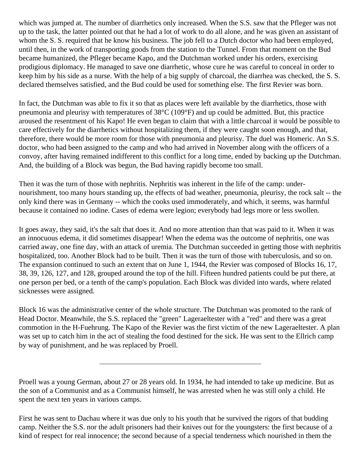which was jumped at. The number of diarrhetics only increased. When the S.S. saw that the Pfleger was not up to the task, the latter pointed out that he had a lot of work to do all alone, and he was given an assistant of whom the S. S. required that he know his business. The job fell to a Dutch doctor who had been employed, until then, in the work of transporting goods from the station to the Tunnel. From that moment on the Bud became humanized, the Pfleger became Kapo, and the Dutchman worked under his orders, exercising prodigious diplomacy. He managed to save one diarrhetic, whose cure he was careful to conceal in order to keep him by his side as a nurse. With the help of a big supply of charcoal, the diarrhea was checked, the S. S. declared themselves satisfied, and the Bud could be used for something else. The first Revier was born.

In fact, the Dutchman was able to fix it so that as places were left available by the diarrhetics, those with pneumonia and pleurisy with temperatures of 38°C (109°F) and up could be admitted. But, this practice aroused the resentment of his Kapo! He even began to claim that with a little charcoal it would be possible to care effectively for the diarrhetics without hospitalizing them, if they were caught soon enough, and that, therefore, there would be more room for those with pneumonia and pleurisy. The duel was Homeric. An S.S. doctor, who had been assigned to the camp and who had arrived in November along with the officers of a convoy, after having remained indifferent to this conflict for a long time, ended by backing up the Dutchman. And, the building of a Block was begun, the Bud having rapidly become too small.

Then it was the turn of those with nephritis. Nephritis was inherent in the life of the camp: undernourishment, too many hours standing up, the effects of bad weather, pneumonia, pleurisy, the rock salt -- the only kind there was in Germany -- which the cooks used immoderately, and which, it seems, was harmful because it contained no iodine. Cases of edema were legion; everybody had legs more or less swollen.

It goes away, they said, it's the salt that does it. And no more attention than that was paid to it. When it was an innocuous edema, it did sometimes disappear! When the edema was the outcome of nephritis, one was carried away, one fine day, with an attack of uremia. The Dutchman succeeded in getting those with nephritis hospitalized, too. Another Block had to be built. Then it was the turn of those with tuberculosis, and so on. The expansion continued to such an extent that on June 1, 1944, the Revier was composed of Blocks 16, 17, 38, 39, 126, 127, and 128, grouped around the top of the hill. Fifteen hundred patients could be put there, at one person per bed, or a tenth of the camp's population. Each Block was divided into wards, where related sicknesses were assigned.

Block 16 was the administrative center of the whole structure. The Dutchman was promoted to the rank of Head Doctor. Meanwhile, the S.S. replaced the "green" Lageraeltester with a "red" and there was a great commotion in the H-Fuehrung. The Kapo of the Revier was the first victim of the new Lageraeltester. A plan was set up to catch him in the act of stealing the food destined for the sick. He was sent to the Ellrich camp by way of punishment, and he was replaced by Proell.

Proell was a young German, about 27 or 28 years old. In 1934, he had intended to take up medicine. But as the son of a Communist and as a Communist himself, he was arrested when he was still only a child. He spent the next ten years in various camps.

First he was sent to Dachau where it was due only to his youth that he survived the rigors of that budding camp. Neither the S.S. nor the adult prisoners had their knives out for the youngsters: the first because of a kind of respect for real innocence; the second because of a special tenderness which nourished in them the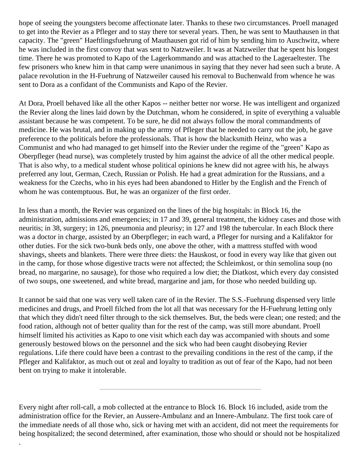hope of seeing the youngsters become affectionate later. Thanks to these two circumstances. Proell managed to get into the Revier as a Pfleger and to stay there tor several years. Then, he was sent to Mauthausen in that capacity. The "green" Haeftlingsfuehrung of Mauthausen got rid of him by sending him to Auschwitz, where he was included in the first convoy that was sent to Natzweiler. It was at Natzweiler that he spent his longest time. There he was promoted to Kapo of the Lagerkommando and was attached to the Lageraeltester. The few prisoners who knew him in that camp were unanimous in saying that they never had seen such a brute. A palace revolution in the H-Fuehrung of Natzweiler caused his removal to Buchenwald from whence he was sent to Dora as a confidant of the Communists and Kapo of the Revier.

At Dora, Proell behaved like all the other Kapos -- neither better nor worse. He was intelligent and organized the Revier along the lines laid down by the Dutchman, whom he considered, in spite of everything a valuable assistant because he was competent. To be sure, he did not always follow the moral commandments of medicine. He was brutal, and in making up the army of Pfleger that he needed to carry out the job, he gave preference to the politicals before the professionals. That is how the blacksmith Heinz, who was a Communist and who had managed to get himself into the Revier under the regime of the "green" Kapo as Oberpfleger (head nurse), was completely trusted by him against the advice of all the other medical people. That is also why, to a medical student whose political opinions he knew did not agree with his, he always preferred any lout, German, Czech, Russian or Polish. He had a great admiration for the Russians, and a weakness for the Czechs, who in his eyes had been abandoned to Hitler by the English and the French of whom he was contemptuous. But, he was an organizer of the first order.

In less than a month, the Revier was organized on the lines of the big hospitals: in Block 16, the administration, admissions and emergencies; in 17 and 39, general treatment, the kidney cases and those with neuritis; in 38, surgery; in 126, pneumonia and pleurisy; in 127 and 198 the tubercular. In each Block there was a doctor in charge, assisted by an Oberpfleger; in each ward, a Pfleger for nursing and a Kalifaktor for other duties. For the sick two-bunk beds only, one above the other, with a mattress stuffed with wood shavings, sheets and blankets. There were three diets: the Hauskost, or food in every way like that given out in the camp, for those whose digestive tracts were not affected; the Schleimkost, or thin semolina soup (no bread, no margarine, no sausage), for those who required a low diet; the Diatkost, which every day consisted of two soups, one sweetened, and white bread, margarine and jam, for those who needed building up.

It cannot be said that one was very well taken care of in the Revier. The S.S.-Fuehrung dispensed very little medicines and drugs, and Proell filched from the lot all that was necessary for the H-Fuehrung letting only that which they didn't need filter through to the sick themselves. But, the beds were clean; one rested; and the food ration, although not of better quality than for the rest of the camp, was still more abundant. Proell himself limited his activities as Kapo to one visit which each day was accompanied with shouts and some generously bestowed blows on the personnel and the sick who had been caught disobeying Revier regulations. Life there could have been a contrast to the prevailing conditions in the rest of the camp, if the Pfleger and Kalifaktor, as much out ot zeal and loyalty to tradition as out of fear of the Kapo, had not been bent on trying to make it intolerable.

.

Every night after roll-call, a mob collected at the entrance to Block 16. Block 16 included, aside trom the administration office for the Revier, an Aussere-Ambulanz and an Innere-Ambulanz. The first took care of the immediate needs of all those who, sick or having met with an accident, did not meet the requirements for being hospitalized; the second determined, after examination, those who should or should not be hospitalized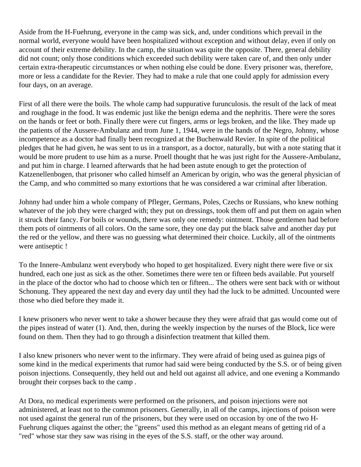Aside from the H-Fuehrung, everyone in the camp was sick, and, under conditions which prevail in the normal world, everyone would have been hospitalized without exception and without delay, even if only on account of their extreme debility. In the camp, the situation was quite the opposite. There, general debility did not count; only those conditions which exceeded such debility were taken care of, and then only under certain extra-therapeutic circumstances or when nothing else could be done. Every prisoner was, therefore, more or less a candidate for the Revier. They had to make a rule that one could apply for admission every four days, on an average.

First of all there were the boils. The whole camp had suppurative furunculosis. the result of the lack of meat and roughage in the food. It was endemic just like the benign edema and the nephritis. There were the sores on the hands or feet or both. Finally there were cut fingers, arms or legs broken, and the like. They made up the patients of the Aussere-Ambulanz and trom June 1, 1944, were in the hands of the Negro, Johnny, whose incompetence as a doctor had finally been recognized at the Buchenwald Revier. In spite of the political pledges that he had given, he was sent to us in a transport, as a doctor, naturally, but with a note stating that it would be more prudent to use him as a nurse. Proell thought that he was just right for the Aussere-Ambulanz, and put him in charge. I learned afterwards that he had been astute enough to get the protection of Katzenellenbogen, that prisoner who called himself an American by origin, who was the general physician of the Camp, and who committed so many extortions that he was considered a war criminal after liberation.

Johnny had under him a whole company of Pfleger, Germans, Poles, Czechs or Russians, who knew nothing whatever of the job they were charged with; they put on dressings, took them off and put them on again when it struck their fancy. For boils or wounds, there was only one remedy: ointment. Those gentlemen had before them pots of ointments of all colors. On the same sore, they one day put the black salve and another day put the red or the yellow, and there was no guessing what determined their choice. Luckily, all of the ointments were antiseptic !

To the Innere-Ambulanz went everybody who hoped to get hospitalized. Every night there were five or six hundred, each one just as sick as the other. Sometimes there were ten or fifteen beds available. Put yourself in the place of the doctor who had to choose which ten or fifteen... The others were sent back with or without Schonung. They appeared the next day and every day until they had the luck to be admitted. Uncounted were those who died before they made it.

I knew prisoners who never went to take a shower because they they were afraid that gas would come out of the pipes instead of water (1). And, then, during the weekly inspection by the nurses of the Block, lice were found on them. Then they had to go through a disinfection treatment that killed them.

I also knew prisoners who never went to the infirmary. They were afraid of being used as guinea pigs of some kind in the medical experiments that rumor had said were being conducted by the S.S. or of being given poison injections. Consequently, they held out and held out against all advice, and one evening a Kommando brought their corpses back to the camp .

At Dora, no medical experiments were performed on the prisoners, and poison injections were not administered, at least not to the common prisoners. Generally, in all of the camps, injections of poison were not used against the general run of the prisoners, but they were used on occasion by one of the two H-Fuehrung cliques against the other; the "greens" used this method as an elegant means of getting rid of a "red" whose star they saw was rising in the eyes of the S.S. staff, or the other way around.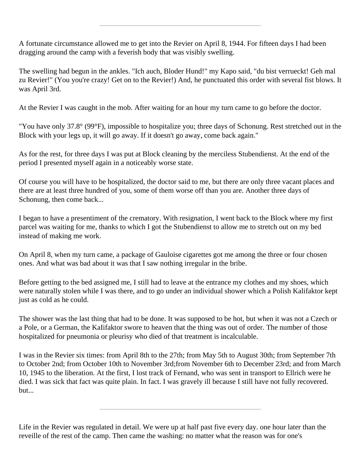A fortunate circumstance allowed me to get into the Revier on April 8, 1944. For fifteen days I had been dragging around the camp with a feverish body that was visibly swelling.

The swelling had begun in the ankles. "Ich auch, Bloder Hund!" my Kapo said, "du bist verrueckt! Geh mal zu Revier!" (You you're crazy! Get on to the Revier!) And, he punctuated this order with several fist blows. It was April 3rd.

At the Revier I was caught in the mob. After waiting for an hour my turn came to go before the doctor.

"You have only 37.8° (99°F), impossible to hospitalize you; three days of Schonung. Rest stretched out in the Block with your legs up, it will go away. If it doesn't go away, come back again."

As for the rest, for three days I was put at Block cleaning by the merciless Stubendienst. At the end of the period I presented myself again in a noticeably worse state.

Of course you will have to be hospitalized, the doctor said to me, but there are only three vacant places and there are at least three hundred of you, some of them worse off than you are. Another three days of Schonung, then come back...

I began to have a presentiment of the crematory. With resignation, I went back to the Block where my first parcel was waiting for me, thanks to which I got the Stubendienst to allow me to stretch out on my bed instead of making me work.

On April 8, when my turn came, a package of Gauloise cigarettes got me among the three or four chosen ones. And what was bad about it was that I saw nothing irregular in the bribe.

Before getting to the bed assigned me, I still had to leave at the entrance my clothes and my shoes, which were naturally stolen while I was there, and to go under an individual shower which a Polish Kalifaktor kept just as cold as he could.

The shower was the last thing that had to be done. It was supposed to be hot, but when it was not a Czech or a Pole, or a German, the KaIifaktor swore to heaven that the thing was out of order. The number of those hospitalized for pneumonia or pleurisy who died of that treatment is incalculable.

I was in the Revier six times: from April 8th to the 27th; from May 5th to August 30th; from September 7th to October 2nd; from October 10th to November 3rd;from November 6th to December 23rd; and from March 10, 1945 to the liberation. At the first, I lost track of Fernand, who was sent in transport to Ellrich were he died. I was sick that fact was quite plain. In fact. I was gravely ill because I still have not fully recovered. but...

Life in the Revier was regulated in detail. We were up at half past five every day. one hour later than the reveille of the rest of the camp. Then came the washing: no matter what the reason was for one's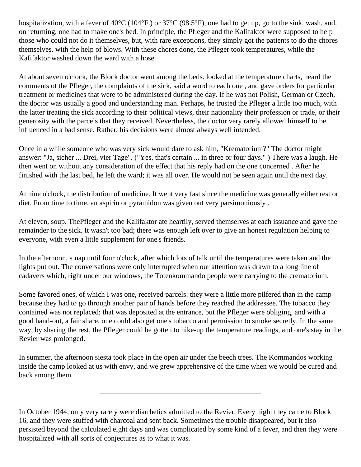hospitalization, with a fever of 40°C (104°F.) or 37°C (98.5°F), one had to get up, go to the sink, wash, and, on returning, one had to make one's bed. In principle, the Pfleger and the KaIifaktor were supposed to help those who could not do it themselves, but, with rare exceptions, they simply got the patients to do the chores themselves. with the help of blows. With these chores done, the Pfleger took temperatures, while the KaIifaktor washed down the ward with a hose.

At about seven o'clock, the Block doctor went among the beds. looked at the temperature charts, heard the comments ot the Pfleger, the complaints of the sick, said a word to each one , and gave orders for particular treatment or medicines that were to be administered during the day. If he was not Polish, German or Czech, the doctor was usually a good and understanding man. Perhaps, he trusted the Pfleger a little too much, with the latter treating the sick according to their political views, their nationality their profession or trade, or their generosity with the parcels that they received. Nevertheless, the doctor very rarely allowed himself to be influenced in a bad sense. Rather, his decisions were almost always well intended.

Once in a while someone who was very sick would dare to ask him, "Krematorium?" The doctor might answer: "Ja, sicher ... Drei, vier Tage". ("Yes, that's certain ... in three or four days." ) There was a laugh. He then went on without any consideration of the effect that his reply had on the one concerned . After he finished with the last bed, he left the ward; it was all over. He would not be seen again until the next day.

At nine o'clock, the distribution of medicine. It went very fast since the medicine was generally either rest or diet. From time to time, an aspirin or pyramidon was given out very parsimoniously .

At eleven, soup. ThePfleger and the KaIifaktor ate heartily, served themselves at each issuance and gave the remainder to the sick. It wasn't too bad; there was enough left over to give an honest regulation helping to everyone, with even a little supplement for one's friends.

In the afternoon, a nap until four o'clock, after which lots of talk until the temperatures were taken and the lights put out. The conversations were only interrupted when our attention was drawn to a long line of cadavers which, right under our windows, the Totenkommando people were carrying to the crematorium.

Some favored ones, of which I was one, received parcels: they were a little more pilfered than in the camp because they had to go through another pair of hands before they reached the addressee. The tobacco they contained was not replaced; that was deposited at the entrance, but the Pfleger were obliging, and with a good hand-out, a fair share, one could also get one's tobacco and permission to smoke secretly. In the same way, by sharing the rest, the Pfleger could be gotten to hike-up the temperature readings, and one's stay in the Revier was prolonged.

In summer, the afternoon siesta took place in the open air under the beech trees. The Kommandos working inside the camp looked at us with envy, and we grew apprehensive of the time when we would be cured and back among them.

In October 1944, only very rarely were diarrhetics admitted to the Revier. Every night they came to Block 16, and they were stuffed with charcoal and sent back. Sometimes the trouble disappeared, but it also persisted beyond the calculated eight days and was complicated by some kind of a fever, and then they were hospitalized with all sorts of conjectures as to what it was.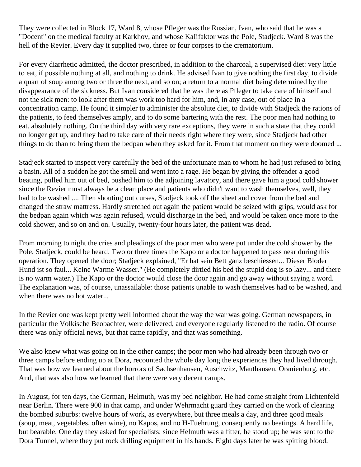They were collected in Block 17, Ward 8, whose Pfleger was the Russian, Ivan, who said that he was a "Docent" on the medical faculty at Karkhov, and whose KaIifaktor was the Pole, Stadjeck. Ward 8 was the hell of the Revier. Every day it supplied two, three or four corpses to the crematorium.

For every diarrhetic admitted, the doctor prescribed, in addition to the charcoal, a supervised diet: very little to eat, if possible nothing at all, and nothing to drink. He advised Ivan to give nothing the first day, to divide a quart of soup among two or three the next, and so on; a return to a normal diet being determined by the disappearance of the sickness. But Ivan considered that he was there as Pfleger to take care of himself and not the sick men: to look after them was work too hard for him, and, in any case, out of place in a concentration camp. He found it simpler to administer the absolute diet, to divide with Stadjeck the rations of the patients, to feed themselves amply, and to do some bartering with the rest. The poor men had nothing to eat. absolutely nothing. On the third day with very rare exceptions, they were in such a state that they could no longer get up, and they had to take care of their needs right where they were, since Stadjeck had other things to do than to bring them the bedpan when they asked for it. From that moment on they were doomed ...

Stadjeck started to inspect very carefully the bed of the unfortunate man to whom he had just refused to bring a basin. All of a sudden he got the smell and went into a rage. He began by giving the offender a good beating, pulled him out of bed, pushed him to the adjoining lavatory, and there gave him a good cold shower since the Revier must always be a clean place and patients who didn't want to wash themselves, well, they had to be washed .... Then shouting out curses, Stadjeck took off the sheet and cover from the bed and changed the straw mattress. Hardly stretched out again the patient would be seized with grips, would ask for the bedpan again which was again refused, would discharge in the bed, and would be taken once more to the cold shower, and so on and on. Usually, twenty-four hours later, the patient was dead.

From morning to night the cries and pleadings of the poor men who were put under the cold shower by the Pole, Stadjeck, could be heard. Two or three times the Kapo or a doctor happened to pass near during this operation. They opened the door; Stadjeck explained, "Er hat sein Bett ganz beschiessen... Dieser Bloder Hund ist so faul... Keine Warme Wasser." (He completely dirtied his bed the stupid dog is so lazy... and there is no warm water.) The Kapo or the doctor would close the door again and go away without saying a word. The explanation was, of course, unassailable: those patients unable to wash themselves had to be washed, and when there was no hot water...

In the Revier one was kept pretty well informed about the way the war was going. German newspapers, in particular the Volkische Beobachter, were delivered, and everyone regularly listened to the radio. Of course there was only official news, but that came rapidly, and that was something.

We also knew what was going on in the other camps; the poor men who had already been through two or three camps before ending up at Dora, recounted the whole day long the experiences they had lived through. That was how we learned about the horrors of Sachsenhausen, Auschwitz, Mauthausen, Oranienburg, etc. And, that was also how we learned that there were very decent camps.

In August, for ten days, the German, Helmuth, was my bed neighbor. He had come straight from Lichtenfeld near Berlin. There were 900 in that camp, and under Wehrmacht guard they carried on the work of clearing the bombed suburbs: twelve hours of work, as everywhere, but three meals a day, and three good meals (soup, meat, vegetables, often wine), no Kapos, and no H-Fuehrung, consequently no beatings. A hard life, but bearable. One day they asked for specialists: since Helmuth was a fitter, he stood up; he was sent to the Dora Tunnel, where they put rock drilling equipment in his hands. Eight days later he was spitting blood.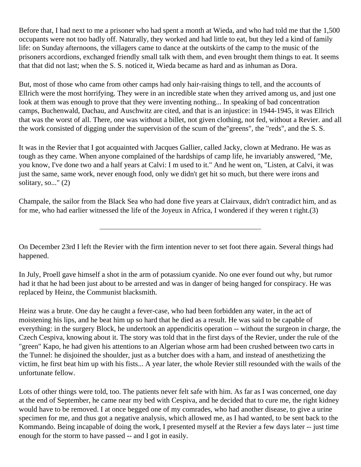Before that, I had next to me a prisoner who had spent a month at Wieda, and who had told me that the 1,500 occupants were not too badly off. Naturally, they worked and had little to eat, but they led a kind of family life: on Sunday afternoons, the villagers came to dance at the outskirts of the camp to the music of the prisoners accordions, exchanged friendly small talk with them, and even brought them things to eat. It seems that that did not last; when the S. S. noticed it, Wieda became as hard and as inhuman as Dora.

But, most of those who came from other camps had only hair-raising things to tell, and the accounts of Ellrich were the most horrifying. They were in an incredible state when they arrived among us, and just one look at them was enough to prove that they were inventing nothing... In speaking of bad concentration camps, Buchenwald, Dachau, and Auschwitz are cited, and that is an injustice: in 1944-1945, it was Ellrich that was the worst of all. There, one was without a billet, not given clothing, not fed, without a Revier. and all the work consisted of digging under the supervision of the scum of the"greens", the "reds", and the S. S.

It was in the Revier that I got acquainted with Jacques Gallier, called Jacky, clown at Medrano. He was as tough as they came. When anyone complained of the hardships of camp life, he invariably answered, "Me, you know, I've done two and a half years at Calvi: I m used to it." And he went on, "Listen, at Calvi, it was just the same, same work, never enough food, only we didn't get hit so much, but there were irons and solitary, so..." $(2)$ 

Champale, the sailor from the Black Sea who had done five years at Clairvaux, didn't contradict him, and as for me, who had earlier witnessed the life of the Joyeux in Africa, I wondered if they weren t right.(3)

On December 23rd I left the Revier with the firm intention never to set foot there again. Several things had happened.

In July, Proell gave himself a shot in the arm of potassium cyanide. No one ever found out why, but rumor had it that he had been just about to be arrested and was in danger of being hanged for conspiracy. He was replaced by Heinz, the Communist blacksmith.

Heinz was a brute. One day he caught a fever-case, who had been forbidden any water, in the act of moistening his lips, and he beat him up so hard that he died as a result. He was said to be capable of everything: in the surgery Block, he undertook an appendicitis operation -- without the surgeon in charge, the Czech Cespiva, knowing about it. The story was told that in the first days of the Revier, under the rule of the "green" Kapo, he had given his attentions to an Algerian whose arm had been crushed between two carts in the Tunnel: he disjoined the shoulder, just as a butcher does with a ham, and instead of anesthetizing the victim, he first beat him up with his fists... A year later, the whole Revier still resounded with the wails of the unfortunate fellow.

Lots of other things were told, too. The patients never felt safe with him. As far as I was concerned, one day at the end of September, he came near my bed with Cespiva, and he decided that to cure me, the right kidney would have to be removed. I at once begged one of my comrades, who had another disease, to give a urine specimen for me, and thus got a negative analysis, which allowed me, as I had wanted, to be sent back to the Kommando. Being incapable of doing the work, I presented myself at the Revier a few days later -- just time enough for the storm to have passed -- and I got in easily.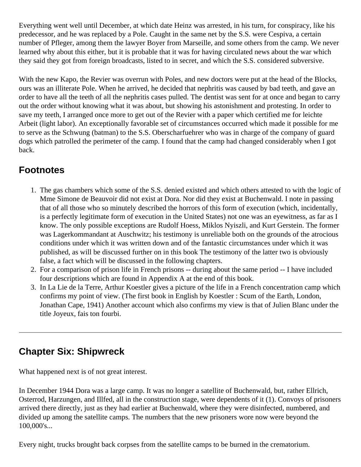Everything went well until December, at which date Heinz was arrested, in his turn, for conspiracy, like his predecessor, and he was replaced by a Pole. Caught in the same net by the S.S. were Cespiva, a certain number of Pfleger, among them the lawyer Boyer from Marseille, and some others from the camp. We never learned why about this either, but it is probable that it was for having circulated news about the war which they said they got from foreign broadcasts, listed to in secret, and which the S.S. considered subversive.

With the new Kapo, the Revier was overrun with Poles, and new doctors were put at the head of the Blocks, ours was an illiterate Pole. When he arrived, he decided that nephritis was caused by bad teeth, and gave an order to have all the teeth of all the nephritis cases pulled. The dentist was sent for at once and began to carry out the order without knowing what it was about, but showing his astonishment and protesting. In order to save my teeth, I arranged once more to get out of the Revier with a paper which certified me for leichte Arbeit (light labor). An exceptionally favorable set of circumstances occurred which made it possible for me to serve as the Schwung (batman) to the S.S. Oberscharfuehrer who was in charge of the company of guard dogs which patrolled the perimeter of the camp. I found that the camp had changed considerably when I got back.

# **Footnotes**

- 1. The gas chambers which some of the S.S. denied existed and which others attested to with the logic of Mme Simone de Beauvoir did not exist at Dora. Nor did they exist at Buchenwald. I note in passing that of all those who so minutely described the horrors of this form of execution (which, incidentally, is a perfectly legitimate form of execution in the United States) not one was an eyewitness, as far as I know. The only possible exceptions are Rudolf Hoess, Miklos Nyiszli, and Kurt Gerstein. The former was Lagerkommandant at Auschwitz; his testimony is unreliable both on the grounds of the atrocious conditions under which it was written down and of the fantastic circumstances under which it was published, as will be discussed further on in this book The testimony of the latter two is obviously false, a fact which will be discussed in the following chapters.
- 2. For a comparison of prison life in French prisons -- during about the same period -- I have included four descriptions which are found in Appendix A at the end of this book.
- 3. In La Lie de la Terre, Arthur Koestler gives a picture of the life in a French concentration camp which confirms my point of view. (The first book in English by Koestler : Scum of the Earth, London, Jonathan Cape, 1941) Another account which also confirms my view is that of Julien Blanc under the title Joyeux, fais ton fourbi.

# **Chapter Six: Shipwreck**

What happened next is of not great interest.

In December 1944 Dora was a large camp. It was no longer a satellite of Buchenwald, but, rather Ellrich, Osterrod, Harzungen, and Illfed, all in the construction stage, were dependents of it (1). Convoys of prisoners arrived there directly, just as they had earlier at Buchenwald, where they were disinfected, numbered, and divided up among the satellite camps. The numbers that the new prisoners wore now were beyond the 100,000's...

Every night, trucks brought back corpses from the satellite camps to be burned in the crematorium.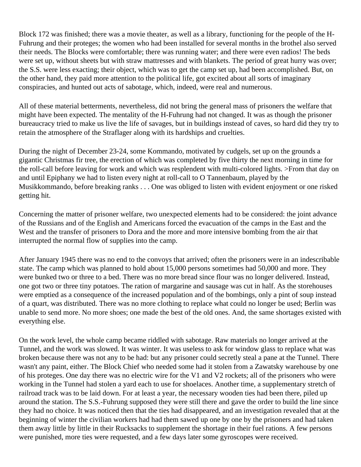Block 172 was finished; there was a movie theater, as well as a library, functioning for the people of the H-Fuhrung and their proteges; the women who had been installed for several months in the brothel also served their needs. The Blocks were comfortable; there was running water; and there were even radios! The beds were set up, without sheets but with straw mattresses and with blankets. The period of great hurry was over; the S.S. were less exacting; their object, which was to get the camp set up, had been accomplished. But, on the other hand, they paid more attention to the political life, got excited about all sorts of imaginary conspiracies, and hunted out acts of sabotage, which, indeed, were real and numerous.

All of these material betterments, nevertheless, did not bring the general mass of prisoners the welfare that might have been expected. The mentality of the H-Fuhrung had not changed. It was as though the prisoner bureaucracy tried to make us live the life of savages, but in buildings instead of caves, so hard did they try to retain the atmosphere of the Straflager along with its hardships and cruelties.

During the night of December 23-24, some Kommando, motivated by cudgels, set up on the grounds a gigantic Christmas fir tree, the erection of which was completed by five thirty the next morning in time for the roll-call before leaving for work and which was resplendent with multi-colored lights. >From that day on and until Epiphany we had to listen every night at roll-call to O Tannenbaum, played by the Musikkommando, before breaking ranks . . . One was obliged to listen with evident enjoyment or one risked getting hit.

Concerning the matter of prisoner welfare, two unexpected elements had to be considered: the joint advance of the Russians and of the English and Americans forced the evacuation of the camps in the East and the West and the transfer of prisoners to Dora and the more and more intensive bombing from the air that interrupted the normal flow of supplies into the camp.

After January 1945 there was no end to the convoys that arrived; often the prisoners were in an indescribable state. The camp which was planned to hold about 15,000 persons sometimes had 50,000 and more. They were bunked two or three to a bed. There was no more bread since flour was no longer delivered. Instead, one got two or three tiny potatoes. The ration of margarine and sausage was cut in half. As the storehouses were emptied as a consequence of the increased population and of the bombings, only a pint of soup instead of a quart, was distributed. There was no more clothing to replace what could no longer be used; Berlin was unable to send more. No more shoes; one made the best of the old ones. And, the same shortages existed with everything else.

On the work level, the whole camp became riddled with sabotage. Raw materials no longer arrived at the Tunnel, and the work was slowed. It was winter. It was useless to ask for window glass to replace what was broken because there was not any to be had: but any prisoner could secretly steal a pane at the Tunnel. There wasn't any paint, either. The Block Chief who needed some had it stolen from a Zawatsky warehouse by one of his proteges. One day there was no electric wire for the V1 and V2 rockets; all of the prisoners who were working in the Tunnel had stolen a yard each to use for shoelaces. Another time, a supplementary stretch of railroad track was to be laid down. For at least a year, the necessary wooden ties had been there, piled up around the station. The S.S.-Fuhrung supposed they were still there and gave the order to build the line since they had no choice. It was noticed then that the ties had disappeared, and an investigation revealed that at the beginning of winter the civilian workers had had them sawed up one by one by the prisoners and had taken them away little by little in their Rucksacks to supplement the shortage in their fuel rations. A few persons were punished, more ties were requested, and a few days later some gyroscopes were received.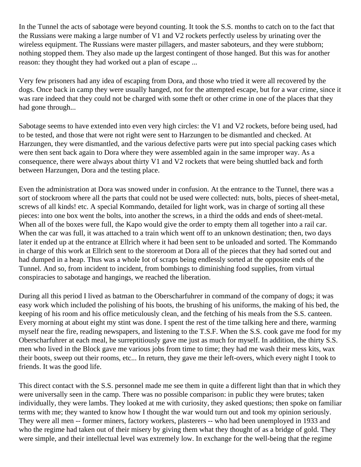In the Tunnel the acts of sabotage were beyond counting. It took the S.S. months to catch on to the fact that the Russians were making a large number of V1 and V2 rockets perfectly useless by urinating over the wireless equipment. The Russians were master pillagers, and master saboteurs, and they were stubborn; nothing stopped them. They also made up the largest contingent of those hanged. But this was for another reason: they thought they had worked out a plan of escape ...

Very few prisoners had any idea of escaping from Dora, and those who tried it were all recovered by the dogs. Once back in camp they were usually hanged, not for the attempted escape, but for a war crime, since it was rare indeed that they could not be charged with some theft or other crime in one of the places that they had gone through...

Sabotage seems to have extended into even very high circles: the V1 and V2 rockets, before being used, had to be tested, and those that were not right were sent to Harzungen to be dismantled and checked. At Harzungen, they were dismantled, and the various defective parts were put into special packing cases which were then sent back again to Dora where they were assembled again in the same improper way. As a consequence, there were always about thirty V1 and V2 rockets that were being shuttled back and forth between Harzungen, Dora and the testing place.

Even the administration at Dora was snowed under in confusion. At the entrance to the Tunnel, there was a sort of stockroom where all the parts that could not be used were collected: nuts, bolts, pieces of sheet-metal, screws of all kinds! etc. A special Kommando, detailed for light work, was in charge of sorting all these pieces: into one box went the bolts, into another the screws, in a third the odds and ends of sheet-metal. When all of the boxes were full, the Kapo would give the order to empty them all together into a rail car. When the car was full, it was attached to a train which went off to an unknown destination; then, two days later it ended up at the entrance at Ellrich where it had been sent to be unloaded and sorted. The Kommando in charge of this work at Ellrich sent to the storeroom at Dora all of the pieces that they had sorted out and had dumped in a heap. Thus was a whole Iot of scraps being endlessly sorted at the opposite ends of the Tunnel. And so, from incident to incident, from bombings to diminishing food supplies, from virtual conspiracies to sabotage and hangings, we reached the liberation.

During all this period I lived as batman to the Oberscharfuhrer in command of the company of dogs; it was easy work which included the polishing of his boots, the brushing of his uniforms, the making of his bed, the keeping of his room and his office meticulously clean, and the fetching of his meals from the S.S. canteen. Every morning at about eight my stint was done. I spent the rest of the time talking here and there, warming myself near the fire, reading newspapers, and listening to the T.S.F. When the S.S. cook gave me food for my Oberscharfuhrer at each meal, he surreptitiously gave me just as much for myself. In addition, the thirty S.S. men who lived in the Block gave me various jobs from time to time; they had me wash their mess kits, wax their boots, sweep out their rooms, etc... In return, they gave me their left-overs, which every night I took to friends. It was the good life.

This direct contact with the S.S. personnel made me see them in quite a different light than that in which they were universally seen in the camp. There was no possible comparison: in public they were brutes; taken individually, they were lambs. They looked at me with curiosity, they asked questions; then spoke on familiar terms with me; they wanted to know how I thought the war would turn out and took my opinion seriously. They were all men -- former miners, factory workers, plasterers -- who had been unemployed in 1933 and who the regime had taken out of their misery by giving them what they thought of as a bridge of gold. They were simple, and their intellectual level was extremely low. In exchange for the well-being that the regime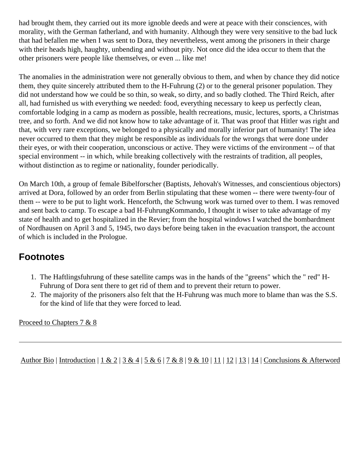had brought them, they carried out its more ignoble deeds and were at peace with their consciences, with morality, with the German fatherland, and with humanity. Although they were very sensitive to the bad luck that had befallen me when I was sent to Dora, they nevertheless, went among the prisoners in their charge with their heads high, haughty, unbending and without pity. Not once did the idea occur to them that the other prisoners were people like themselves, or even ... like me!

The anomalies in the administration were not generally obvious to them, and when by chance they did notice them, they quite sincerely attributed them to the H-Fuhrung (2) or to the general prisoner population. They did not understand how we could be so thin, so weak, so dirty, and so badly clothed. The Third Reich, after all, had furnished us with everything we needed: food, everything necessary to keep us perfectly clean, comfortable lodging in a camp as modern as possible, health recreations, music, lectures, sports, a Christmas tree, and so forth. And we did not know how to take advantage of it. That was proof that Hitler was right and that, with very rare exceptions, we belonged to a physically and morally inferior part of humanity! The idea never occurred to them that they might be responsible as individuals for the wrongs that were done under their eyes, or with their cooperation, unconscious or active. They were victims of the environment -- of that special environment -- in which, while breaking collectively with the restraints of tradition, all peoples, without distinction as to regime or nationality, founder periodically.

On March 10th, a group of female Bibelforscher (Baptists, Jehovah's Witnesses, and conscientious objectors) arrived at Dora, followed by an order from Berlin stipulating that these women -- there were twenty-four of them -- were to be put to light work. Henceforth, the Schwung work was turned over to them. I was removed and sent back to camp. To escape a bad H-FuhrungKommando, I thought it wiser to take advantage of my state of health and to get hospitalized in the Revier; from the hospital windows I watched the bombardment of Nordhausen on April 3 and 5, 1945, two days before being taken in the evacuation transport, the account of which is included in the Prologue.

## **Footnotes**

- 1. The Haftlingsfuhrung of these satellite camps was in the hands of the "greens" which the " red" H-Fuhrung of Dora sent there to get rid of them and to prevent their return to power.
- 2. The majority of the prisoners also felt that the H-Fuhrung was much more to blame than was the S.S. for the kind of life that they were forced to lead.

## [Proceed to Chapters 7 & 8](#page-67-0)

[Author Bio](#page-0-0) | [Introduction](#page-0-0) | [1 & 2](#page-9-0) | [3 & 4](#page-32-0) | [5 & 6](#page-55-0) | [7 & 8](#page-67-0) | [9 & 10](#page-83-0) | [11](#page-104-0) | [12](#page-130-0) | [13](#page-139-0) | [14](#page-176-0) | [Conclusions & Afterword](#page-234-0)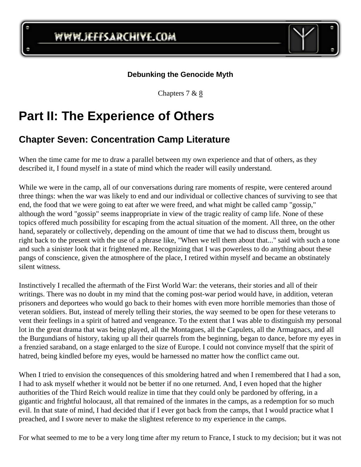<span id="page-67-0"></span>WWW.JEFFSARCHIVE.COM

### **Debunking the Genocide Myth**

Chapters 7 & [8](#page-74-0)

# **Part II: The Experience of Others**

# **Chapter Seven: Concentration Camp Literature**

When the time came for me to draw a parallel between my own experience and that of others, as they described it, I found myself in a state of mind which the reader will easily understand.

While we were in the camp, all of our conversations during rare moments of respite, were centered around three things: when the war was likely to end and our individual or collective chances of surviving to see that end, the food that we were going to eat after we were freed, and what might be called camp "gossip," although the word "gossip" seems inappropriate in view of the tragic reality of camp life. None of these topics offered much possibility for escaping from the actual situation of the moment. All three, on the other hand, separately or collectively, depending on the amount of time that we had to discuss them, brought us right back to the present with the use of a phrase like, "When we tell them about that..." said with such a tone and such a sinister look that it frightened me. Recognizing that I was powerless to do anything about these pangs of conscience, given the atmosphere of the place, I retired within myself and became an obstinately silent witness.

Instinctively I recalled the aftermath of the First World War: the veterans, their stories and all of their writings. There was no doubt in my mind that the coming post-war period would have, in addition, veteran prisoners and deportees who would go back to their homes with even more horrible memories than those of veteran soldiers. But, instead of merely telling their stories, the way seemed to be open for these veterans to vent their feelings in a spirit of hatred and vengeance. To the extent that I was able to distinguish my personal lot in the great drama that was being played, all the Montagues, all the Capulets, all the Armagnacs, and all the Burgundians of history, taking up all their quarrels from the beginning, began to dance, before my eyes in a frenzied saraband, on a stage enlarged to the size of Europe. I could not convince myself that the spirit of hatred, being kindled before my eyes, would be harnessed no matter how the conflict came out.

When I tried to envision the consequences of this smoldering hatred and when I remembered that I had a son, I had to ask myself whether it would not be better if no one returned. And, I even hoped that the higher authorities of the Third Reich would realize in time that they could only be pardoned by offering, in a gigantic and frightful holocaust, all that remained of the inmates in the camps, as a redemption for so much evil. In that state of mind, I had decided that if I ever got back from the camps, that I would practice what I preached, and I swore never to make the slightest reference to my experience in the camps.

For what seemed to me to be a very long time after my return to France, I stuck to my decision; but it was not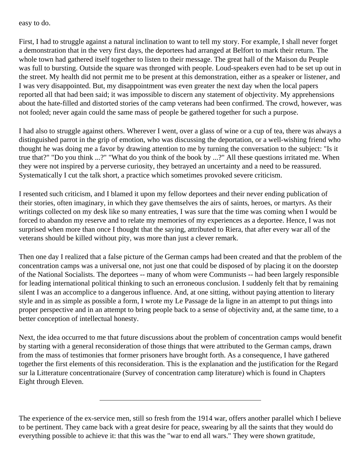easy to do.

First, I had to struggle against a natural inclination to want to tell my story. For example, I shall never forget a demonstration that in the very first days, the deportees had arranged at Belfort to mark their return. The whole town had gathered itself together to listen to their message. The great hall of the Maison du Peuple was full to bursting. Outside the square was thronged with people. Loud-speakers even had to be set up out in the street. My health did not permit me to be present at this demonstration, either as a speaker or listener, and I was very disappointed. But, my disappointment was even greater the next day when the local papers reported all that had been said; it was impossible to discern any statement of objectivity. My apprehensions about the hate-filled and distorted stories of the camp veterans had been confirmed. The crowd, however, was not fooled; never again could the same mass of people be gathered together for such a purpose.

I had also to struggle against others. Wherever I went, over a glass of wine or a cup of tea, there was always a distinguished parrot in the grip of emotion, who was discussing the deportation, or a well-wishing friend who thought he was doing me a favor by drawing attention to me by turning the conversation to the subject: "Is it true that?" "Do you think ...?" "What do you think of the book by ...?" All these questions irritated me. When they were not inspired by a perverse curiosity, they betrayed an uncertainty and a need to be reassured. Systematically I cut the talk short, a practice which sometimes provoked severe criticism.

I resented such criticism, and I blamed it upon my fellow deportees and their never ending publication of their stories, often imaginary, in which they gave themselves the airs of saints, heroes, or martyrs. As their writings collected on my desk like so many entreaties, I was sure that the time was coming when I would be forced to abandon my reserve and to relate my memories of my experiences as a deportee. Hence, I was not surprised when more than once I thought that the saying, attributed to Riera, that after every war all of the veterans should be killed without pity, was more than just a clever remark.

Then one day I realized that a false picture of the German camps had been created and that the problem of the concentration camps was a universal one, not just one that could be disposed of by placing it on the doorstep of the National Socialists. The deportees -- many of whom were Communists -- had been largely responsible for leading international political thinking to such an erroneous conclusion. I suddenly felt that by remaining silent I was an accomplice to a dangerous influence. And, at one sitting, without paying attention to literary style and in as simple as possible a form, I wrote my Le Passage de la ligne in an attempt to put things into proper perspective and in an attempt to bring people back to a sense of objectivity and, at the same time, to a better conception of intellectual honesty.

Next, the idea occurred to me that future discussions about the problem of concentration camps would benefit by starting with a general reconsideration of those things that were attributed to the German camps, drawn from the mass of testimonies that former prisoners have brought forth. As a consequence, I have gathered together the first elements of this reconsideration. This is the explanation and the justification for the Regard sur la Litterature concentrationaire (Survey of concentration camp literature) which is found in Chapters Eight through Eleven.

The experience of the ex-service men, still so fresh from the 1914 war, offers another parallel which I believe to be pertinent. They came back with a great desire for peace, swearing by all the saints that they would do everything possible to achieve it: that this was the "war to end all wars." They were shown gratitude,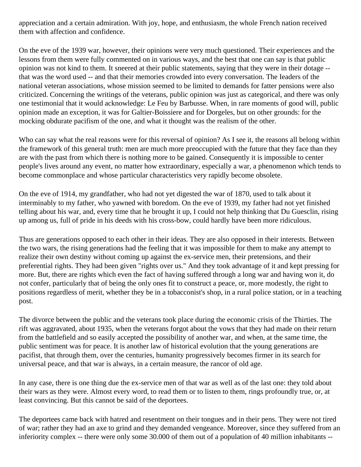appreciation and a certain admiration. With joy, hope, and enthusiasm, the whole French nation received them with affection and confidence.

On the eve of the 1939 war, however, their opinions were very much questioned. Their experiences and the lessons from them were fully commented on in various ways, and the best that one can say is that public opinion was not kind to them. It sneered at their public statements, saying that they were in their dotage - that was the word used -- and that their memories crowded into every conversation. The Ieaders of the national veteran associations, whose mission seemed to be limited to demands for fatter pensions were also criticized. Concerning the writings of the veterans, public opinion was just as categorical, and there was only one testimonial that it would acknowledge: Le Feu by Barbusse. When, in rare moments of good will, public opinion made an exception, it was for Galtier-Boissiere and for Dorgeles, but on other grounds: for the mocking obdurate pacifism of the one, and what it thought was the realism of the other.

Who can say what the real reasons were for this reversal of opinion? As I see it, the reasons all belong within the framework of this general truth: men are much more preoccupied with the future that they face than they are with the past from which there is nothing more to be gained. Consequently it is impossible to center people's lives around any event, no matter how extraordinary, especially a war, a phenomenon which tends to become commonplace and whose particular characteristics very rapidly become obsolete.

On the eve of 1914, my grandfather, who had not yet digested the war of 1870, used to talk about it interminably to my father, who yawned with boredom. On the eve of 1939, my father had not yet finished telling about his war, and, every time that he brought it up, I could not help thinking that Du Guesclin, rising up among us, full of pride in his deeds with his cross-bow, could hardly have been more ridiculous.

Thus are generations opposed to each other in their ideas. They are also opposed in their interests. Between the two wars, the rising generations had the feeling that it was impossible for them to make any attempt to realize their own destiny without coming up against the ex-service men, their pretensions, and their preferential rights. They had been given "rights over us." And they took advantage of it and kept pressing for more. But, there are rights which even the fact of having suffered through a long war and having won it, do not confer, particularly that of being the only ones fit to construct a peace, or, more modestly, the right to positions regardless of merit, whether they be in a tobacconist's shop, in a rural police station, or in a teaching post.

The divorce between the public and the veterans took place during the economic crisis of the Thirties. The rift was aggravated, about 1935, when the veterans forgot about the vows that they had made on their return from the battlefield and so easily accepted the possibility of another war, and when, at the same time, the public sentiment was for peace. It is another law of historical evolution that the young generations are pacifist, that through them, over the centuries, humanity progressively becomes firmer in its search for universal peace, and that war is always, in a certain measure, the rancor of old age.

In any case, there is one thing due the ex-service men of that war as well as of the last one: they told about their wars as they were. Almost every word, to read them or to listen to them, rings profoundly true, or, at least convincing. But this cannot be said of the deportees.

The deportees came back with hatred and resentment on their tongues and in their pens. They were not tired of war; rather they had an axe to grind and they demanded vengeance. Moreover, since they suffered from an inferiority complex -- there were only some 30.000 of them out of a population of 40 million inhabitants --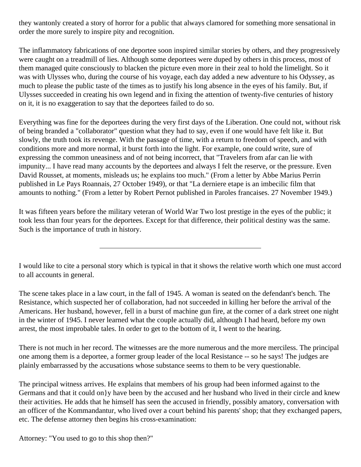they wantonly created a story of horror for a public that always clamored for something more sensational in order the more surely to inspire pity and recognition.

The inflammatory fabrications of one deportee soon inspired similar stories by others, and they progressively were caught on a treadmill of lies. Although some deportees were duped by others in this process, most of them managed quite consciously to blacken the picture even more in their zeal to hold the limelight. So it was with Ulysses who, during the course of his voyage, each day added a new adventure to his Odyssey, as much to please the public taste of the times as to justify his long absence in the eyes of his family. But, if Ulysses succeeded in creating his own legend and in fixing the attention of twenty-five centuries of history on it, it is no exaggeration to say that the deportees failed to do so.

Everything was fine for the deportees during the very first days of the Liberation. One could not, without risk of being branded a "collaborator" question what they had to say, even if one would have felt like it. But slowly, the truth took its revenge. With the passage of time, with a return to freedom of speech, and with conditions more and more normal, it burst forth into the light. For example, one could write, sure of expressing the common uneasiness and of not being incorrect, that "Travelers from afar can lie with impunity... I have read many accounts by the deportees and always I felt the reserve, or the pressure. Even David Rousset, at moments, misleads us; he explains too much." (From a letter by Abbe Marius Perrin published in Le Pays Roannais, 27 October 1949), or that "La derniere etape is an imbecilic film that amounts to nothing." (From a letter by Robert Pernot published in Paroles francaises. 27 November 1949.)

It was fifteen years before the military veteran of World War Two lost prestige in the eyes of the public; it took less than four years for the deportees. Except for that difference, their political destiny was the same. Such is the importance of truth in history.

I would like to cite a personal story which is typical in that it shows the relative worth which one must accord to all accounts in general.

The scene takes place in a law court, in the fall of 1945. A woman is seated on the defendant's bench. The Resistance, which suspected her of collaboration, had not succeeded in killing her before the arrival of the Americans. Her husband, however, fell in a burst of machine gun fire, at the corner of a dark street one night in the winter of 1945. I never learned what the couple actually did, although I had heard, before my own arrest, the most improbable tales. In order to get to the bottom of it, I went to the hearing.

There is not much in her record. The witnesses are the more numerous and the more merciless. The principal one among them is a deportee, a former group leader of the local Resistance -- so he says! The judges are plainly embarrassed by the accusations whose substance seems to them to be very questionable.

The principal witness arrives. He explains that members of his group had been informed against to the Germans and that it could on}y have been by the accused and her husband who lived in their circle and knew their activities. He adds that he himself has seen the accused in friendly, possibly amatory, conversation with an officer of the Kommandantur, who lived over a court behind his parents' shop; that they exchanged papers, etc. The defense attorney then begins his cross-examination:

Attorney: "You used to go to this shop then?"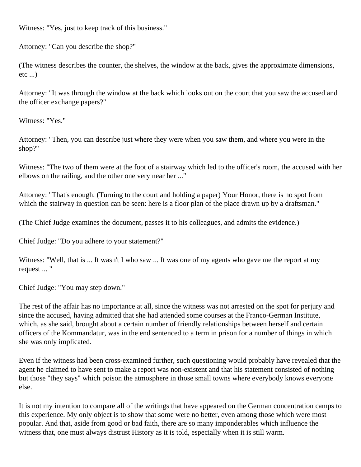Witness: "Yes, just to keep track of this business."

Attorney: "Can you describe the shop?"

(The witness describes the counter, the shelves, the window at the back, gives the approximate dimensions,  $etc$  ...)

Attorney: "It was through the window at the back which looks out on the court that you saw the accused and the officer exchange papers?"

Witness: "Yes."

Attorney: "Then, you can describe just where they were when you saw them, and where you were in the shop?"

Witness: "The two of them were at the foot of a stairway which led to the officer's room, the accused with her elbows on the railing, and the other one very near her ..."

Attorney: "That's enough. (Turning to the court and holding a paper) Your Honor, there is no spot from which the stairway in question can be seen: here is a floor plan of the place drawn up by a draftsman."

(The Chief Judge examines the document, passes it to his colleagues, and admits the evidence.)

Chief Judge: "Do you adhere to your statement?"

Witness: "Well, that is ... It wasn't I who saw ... It was one of my agents who gave me the report at my request ... "

Chief Judge: "You may step down."

The rest of the affair has no importance at all, since the witness was not arrested on the spot for perjury and since the accused, having admitted that she had attended some courses at the Franco-German Institute, which, as she said, brought about a certain number of friendly relationships between herself and certain officers of the Kommandatur, was in the end sentenced to a term in prison for a number of things in which she was only implicated.

Even if the witness had been cross-examined further, such questioning would probably have revealed that the agent he claimed to have sent to make a report was non-existent and that his statement consisted of nothing but those "they says" which poison the atmosphere in those small towns where everybody knows everyone else.

It is not my intention to compare all of the writings that have appeared on the German concentration camps to this experience. My only object is to show that some were no better, even among those which were most popular. And that, aside from good or bad faith, there are so many imponderables which influence the witness that, one must always distrust History as it is told, especially when it is still warm.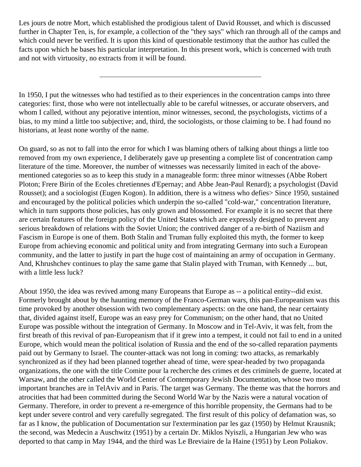Les jours de notre Mort, which established the prodigious talent of David Rousset, and which is discussed further in Chapter Ten, is, for example, a collection of the "they says" which ran through all of the camps and which could never be verified. It is upon this kind of questionable testimony that the author has culled the facts upon which he bases his particular interpretation. In this present work, which is concerned with truth and not with virtuosity, no extracts from it will be found.

In 1950, I put the witnesses who had testified as to their experiences in the concentration camps into three categories: first, those who were not intellectually able to be careful witnesses, or accurate observers, and whom I called, without any pejorative intention, minor witnesses, second, the psychologists, victims of a bias, to my mind a little too subjective; and, third, the sociologists, or those claiming to be. I had found no historians, at least none worthy of the name.

On guard, so as not to fall into the error for which I was blaming others of talking about things a little too removed from my own experience, I deliberately gave up presenting a complete list of concentration camp literature of the time. Moreover, the number of witnesses was necessarily limited in each of the abovementioned categories so as to keep this study in a manageable form: three minor witnesses (Abbe Robert Ploton; Frere Birin of the Ecoles chretiennes d'Epernay; and Abbe Jean-Paul Renard); a psychologist (David Rousset); and a sociologist (Eugen Kogon). In addition, there is a witness who defies> Since 1950, sustained and encouraged by the political policies which underpin the so-called "cold-war," concentration literature, which in turn supports those policies, has only grown and blossomed. For example it is no secret that there are certain features of the foreign policy of the United States which are expressly designed to prevent any serious breakdown of relations with the Soviet Union; the contrived danger of a re-birth of Naziism and Fascism in Europe is one of them. Both Stalin and Truman fully exploited this myth, the former to keep Europe from achieving economic and political unity and from integrating Germany into such a European community, and the latter to justify in part the huge cost of maintaining an army of occupation in Germany. And, Khrushchev continues to play the same game that Stalin played with Truman, with Kennedy ... but, with a little less luck?

About 1950, the idea was revived among many Europeans that Europe as -- a political entity--did exist. Formerly brought about by the haunting memory of the Franco-German wars, this pan-Europeanism was this time provoked by another obsession with two complementary aspects: on the one hand, the near certainty that, divided against itself, Europe was an easy prey for Communism; on the other hand, that no United Europe was possible without the integration of Germany. In Moscow and in Tel-Aviv, it was felt, from the first breath of this revival of pan-Europeanism that if it grew into a tempest, it could not fail to end in a united Europe, which would mean the political isolation of Russia and the end of the so-called reparation payments paid out by Germany to Israel. The counter-attack was not long in coming: two attacks, as remarkably synchronized as if they had been planned together ahead of time, were spear-headed by two propaganda organizations, the one with the title Comite pour la recherche des crimes et des criminels de guerre, located at Warsaw, and the other called the World Center of Contemporary Jewish Documentation, whose two most important branches are in TelAviv and in Paris. The target was Germany. The theme was that the horrors and atrocities that had been committed during the Second World War by the Nazis were a natural vocation of Germany. Therefore, in order to prevent a re-emergence of this horrible propensity, the Germans had to be kept under severe control and very carefully segregated. The first result of this policy of defamation was, so far as I know, the publication of Documentation sur l'extermination par les gaz (1950) by Helmut Krausnik; the second, was Medecin a Auschwitz (1951) by a certain Dr. Miklos Nyiszli, a Hungarian Jew who was deported to that camp in May 1944, and the third was Le Breviaire de la Haine (1951) by Leon Poliakov.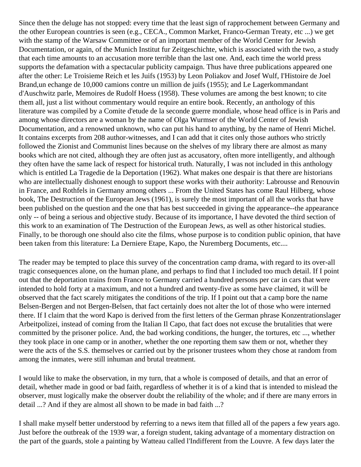Since then the deluge has not stopped: every time that the least sign of rapprochement between Germany and the other European countries is seen (e.g., CECA., Common Market, Franco-German Treaty, etc ...) we get with the stamp of the Warsaw Committee or of an important member of the World Center for Jewish Documentation, or again, of the Munich Institut fur Zeitgeschichte, which is associated with the two, a study that each time amounts to an accusation more terrible than the last one. And, each time the world press supports the defamation with a spectacular publicity campaign. Thus have three publications appeared one after the other: Le Troisieme Reich et les Juifs (1953) by Leon Poliakov and Josef Wulf, I'Histoire de Joel Brand,un echange de 10,000 camions contre un million de juifs (1955); and Le Lagerkommandant d'Auschwitz parle, Memoires de Rudolf Hoess (1958). These volumes are among the best known; to cite them all, just a list without commentary would require an entire book. Recently, an anthology of this literature was compiled by a Comite d'etude de la seconde guerre mondiale, whose head office is in Paris and among whose directors are a woman by the name of Olga Wurmser of the World Center of Jewish Documentation, and a renowned unknown, who can put his hand to anything, by the name of Henri Michel. It contains excerpts from 208 author-witnesses, and I can add that it cites only those authors who strictly followed the Zionist and Communist lines because on the shelves of my library there are almost as many books which are not cited, although they are often just as accusatory, often more intelligently, and although they often have the same lack of respect for historical truth. Naturally, I was not included in this anthology which is entitled La Tragedie de la Deportation (1962). What makes one despair is that there are historians who are intellectually dishonest enough to support these works with their authority: Labrousse and Renouvin in France, and Rothfels in Germany arnong others ... From the United States has come Raul Hilberg, whose book, The Destruction of the European Jews (1961), is surely the most important of all the works that have been published on the question and the one that has best succeeded in giving the appearance--the appearance only -- of being a serious and objective study. Because of its importance, I have devoted the third section of this work to an examination of The Destruction of the European Jews, as well as other historical studies. Finally, to be thorough one should also cite the films, whose purpose is to condition public opinion, that have been taken from this literature: La Derniere Etape, Kapo, the Nuremberg Documents, etc....

The reader may be tempted to place this survey of the concentration camp drama, with regard to its over-all tragic consequences alone, on the human plane, and perhaps to find that I included too much detail. If I point out that the deportation trains from France to Germany carried a hundred persons per car in cars that were intended to hold forty at a maximum, and not a hundred and twenty-five as some have claimed, it will be observed that the fact scarely mitigates the conditions of the trip. If I point out that a camp bore the name Belsen-Bergen and not Bergen-Belsen, that fact certainly does not alter the lot of those who were interned there. If I claim that the word Kapo is derived from the first letters of the German phrase Konzentrationslager Arbeitpolizei, instead of coming from the Italian Il Capo, that fact does not excuse the brutalities that were committed by the prisoner police. And, the bad working conditions, the hunger, the tortures, etc ..., whether they took place in one camp or in another, whether the one reporting them saw them or not, whether they were the acts of the S.S. themselves or carried out by the prisoner trustees whom they chose at random from among the inmates, were still inhuman and brutal treatment.

I would like to make the observation, in my turn, that a whole is composed of details, and that an error of detail, whether made in good or bad faith, regardless of whether it is of a kind that is intended to mislead the observer, must logically make the observer doubt the reliability of the whole; and if there are many errors in detail ...? And if they are almost all shown to be made in bad faith ...?

I shall make myself better understood by referring to a news item that filled all of the papers a few years ago. Just before the outbreak of the 1939 war, a foreign student, taking advantage of a momentary distraction on the part of the guards, stole a painting by Watteau called l'Indifferent from the Louvre. A few days later the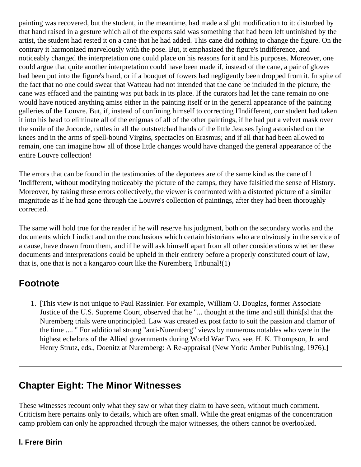painting was recovered, but the student, in the meantime, had made a slight modification to it: disturbed by that hand raised in a gesture which all of the experts said was something that had been left untinished by the artist, the student had rested it on a cane that he had added. This cane did nothing to change the figure. On the contrary it harmonized marvelously with the pose. But, it emphasized the figure's indifference, and noticeably changed the interpretation one could place on his reasons for it and his purposes. Moreover, one could argue that quite another interpretation could have been made if, instead of the cane, a pair of gloves had been put into the figure's hand, or if a bouquet of fowers had negligently been dropped from it. In spite of the fact that no one could swear that Watteau had not intended that the cane be included in the picture, the cane was effaced and the painting was put back in its place. If the curators had let the cane remain no one would have noticed anything amiss either in the painting itself or in the general appearance of the painting galleries of the Louvre. But, if, instead of confining himself to correcting l'Indifferent, our student had taken it into his head to eliminate all of the enigmas of all of the other paintings, if he had put a velvet mask over the smile of the Joconde, rattles in all the outstretched hands of the little Jesuses Iying astonished on the knees and in the arms of spell-bound Virgins, spectacles on Erasmus; and if all that had been allowed to remain, one can imagine how all of those little changes would have changed the general appearance of the entire Louvre collection!

The errors that can be found in the testimonies of the deportees are of the same kind as the cane of l 'Indifferent, without modifying noticeably the picture of the camps, they have falsified the sense of History. Moreover, by taking these errors collectively, the viewer is confronted with a distorted picture of a similar magnitude as if he had gone through the Louvre's collection of paintings, after they had been thoroughly corrected.

The same will hold true for the reader if he will reserve his judgment, both on the secondary works and the documents which I indict and on the conclusions which certain historians who are obviously in the service of a cause, have drawn from them, and if he will ask himself apart from all other considerations whether these documents and interpretations could be upheld in their entirety before a properly constituted court of law, that is, one that is not a kangaroo court like the Nuremberg Tribunal!(1)

### **Footnote**

1. [This view is not unique to Paul Rassinier. For example, William O. Douglas, former Associate Justice of the U.S. Supreme Court, observed that he "... thought at the time and still think[sl that the Nuremberg trials were unprincipled. Law was created ex post facto to suit the passion and clamor of the time .... " For additional strong "anti-Nuremberg" views by numerous notables who were in the highest echelons of the Allied governments during World War Two, see, H. K. Thompson, Jr. and Henry Strutz, eds., Doenitz at Nuremberg: A Re-appraisal (New York: Amber Publishing, 1976).]

## **Chapter Eight: The Minor Witnesses**

These witnesses recount only what they saw or what they claim to have seen, without much comment. Criticism here pertains only to details, which are often small. While the great enigmas of the concentration camp problem can only he approached through the major witnesses, the others cannot be overlooked.

### **l. Frere Birin**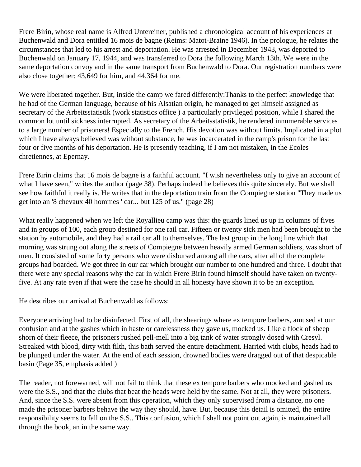Frere Birin, whose real name is Alfred Untereiner, published a chronological account of his experiences at Buchenwald and Dora entitled 16 mois de bagne (Reims: Matot-Braine 1946). In the prologue, he relates the circumstances that led to his arrest and deportation. He was arrested in December 1943, was deported to Buchenwald on January 17, 1944, and was transferred to Dora the following March 13th. We were in the same deportation convoy and in the same transport from Buchenwald to Dora. Our registration numbers were also close together: 43,649 for him, and 44,364 for me.

We were liberated together. But, inside the camp we fared differently: Thanks to the perfect knowledge that he had of the German language, because of his Alsatian origin, he managed to get himself assigned as secretary of the Arbeitsstatistik (work statistics office ) a particularly privileged position, while I shared the common lot until sickness interrupted. As secretary of the Arbeitsstatistik, he rendered innumerable services to a large number of prisoners! Especially to the French. His devotion was without limits. Implicated in a plot which I have always believed was without substance, he was incarcerated in the camp's prison for the last four or five months of his deportation. He is presently teaching, if I am not mistaken, in the Ecoles chretiennes, at Epernay.

Frere Birin claims that 16 mois de bagne is a faithful account. "I wish nevertheless only to give an account of what I have seen," writes the author (page 38). Perhaps indeed he believes this quite sincerely. But we shall see how faithful it really is. He writes that in the deportation train from the Compiegne station "They made us get into an '8 chevaux 40 hommes ' car... but 125 of us." (page 28)

What really happened when we left the Royallieu camp was this: the guards lined us up in columns of fives and in groups of 100, each group destined for one rail car. Fifteen or twenty sick men had been brought to the station by automobile, and they had a rail car all to themselves. The last group in the long line which that morning was strung out along the streets of Compiegne between heavily armed German soldiers, was short of men. It consisted of some forty persons who were disbursed among all the cars, after all of the complete groups had boarded. We got three in our car which brought our number to one hundred and three. I doubt that there were any special reasons why the car in which Frere Birin found himself should have taken on twentyfive. At any rate even if that were the case he should in all honesty have shown it to be an exception.

He describes our arrival at Buchenwald as follows:

Everyone arriving had to be disinfected. First of all, the shearings where ex tempore barbers, amused at our confusion and at the gashes which in haste or carelessness they gave us, mocked us. Like a flock of sheep shorn of their fleece, the prisoners rushed pell-mell into a big tank of water strongly dosed with Cresyl. Streaked with blood, dirty with filth, this bath served the entire detachment. Harried with clubs, heads had to be plunged under the water. At the end of each session, drowned bodies were dragged out of that despicable basin (Page 35, emphasis added )

The reader, not forewarned, will not fail to think that these ex tempore barbers who mocked and gashed us were the S.S., and that the clubs that beat the heads were held by the same. Not at all, they were prisoners. And, since the S.S. were absent from this operation, which they only supervised from a distance, no one made the prisoner barbers behave the way they should, have. But, because this detail is omitted, the entire responsibility seems to fall on the S.S.. This confusion, which I shall not point out again, is maintained all through the book, an in the same way.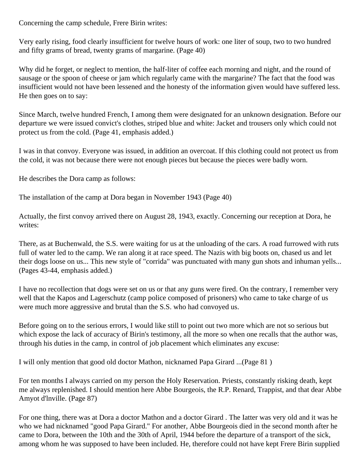Concerning the camp schedule, Frere Birin writes:

Very early rising, food clearly insufficient for twelve hours of work: one liter of soup, two to two hundred and fifty grams of bread, twenty grams of margarine. (Page 40)

Why did he forget, or neglect to mention, the half-liter of coffee each morning and night, and the round of sausage or the spoon of cheese or jam which regularly came with the margarine? The fact that the food was insufficient would not have been lessened and the honesty of the information given would have suffered less. He then goes on to say:

Since March, twelve hundred French, I among them were designated for an unknown designation. Before our departure we were issued convict's clothes, striped blue and white: Jacket and trousers only which could not protect us from the cold. (Page 41, emphasis added.)

I was in that convoy. Everyone was issued, in addition an overcoat. If this clothing could not protect us from the cold, it was not because there were not enough pieces but because the pieces were badly worn.

He describes the Dora camp as follows:

The installation of the camp at Dora began in November 1943 (Page 40)

Actually, the first convoy arrived there on August 28, 1943, exactly. Concerning our reception at Dora, he writes:

There, as at Buchenwald, the S.S. were waiting for us at the unloading of the cars. A road furrowed with ruts full of water led to the camp. We ran along it at race speed. The Nazis with big boots on, chased us and let their dogs loose on us... This new style of "corrida" was punctuated with many gun shots and inhuman yells... (Pages 43-44, emphasis added.)

I have no recollection that dogs were set on us or that any guns were fired. On the contrary, I remember very well that the Kapos and Lagerschutz (camp police composed of prisoners) who came to take charge of us were much more aggressive and brutal than the S.S. who had convoyed us.

Before going on to the serious errors, I would like still to point out two more which are not so serious but which expose the lack of accuracy of Birin's testimony, all the more so when one recalls that the author was, through his duties in the camp, in control of job placement which eliminates any excuse:

I will only mention that good old doctor Mathon, nicknamed Papa Girard ...(Page 81 )

For ten months I always carried on my person the Holy Reservation. Priests, constantly risking death, kept me always replenished. I should mention here Abbe Bourgeois, the R.P. Renard, Trappist, and that dear Abbe Amyot d'lnville. (Page 87)

For one thing, there was at Dora a doctor Mathon and a doctor Girard . The Iatter was very old and it was he who we had nicknamed "good Papa Girard." For another, Abbe Bourgeois died in the second month after he came to Dora, between the 10th and the 30th of April, 1944 before the departure of a transport of the sick, among whom he was supposed to have been included. He, therefore could not have kept Frere Birin supplied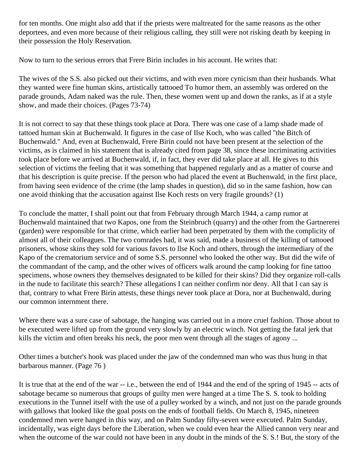for ten months. One might also add that if the priests were maltreated for the same reasons as the other deportees, and even more because of their religious calling, they still were not risking death by keeping in their possession the Holy Reservation.

Now to turn to the serious errors that Frere Birin includes in his account. He writes that:

The wives of the S.S. also picked out their victims, and with even more cynicism than their husbands. What they wanted were fine human skins, artistically tattooed To humor them, an assembly was ordered on the parade grounds, Adam naked was the rule. Then, these women went up and down the ranks, as if at a style show, and made their choices. (Pages 73-74)

It is not correct to say that these things took place at Dora. There was one case of a lamp shade made of tattoed human skin at Buchenwald. It figures in the case of Ilse Koch, who was called "the Bitch of Buchenwald." And, even at Buchenwald, Frere Birin could not have been present at the selection of the victims, as is claimed in his statement that is already cited from page 38, since these incriminating activities took place before we arrived at Buchenwald, if, in fact, they ever did take place at all. He gives to this selection of victims the feeling that it was something that happened regularly and as a matter of course and that his description is quite precise. If the person who had placed the event at Buchenwald, in the first place, from having seen evidence of the crime (the lamp shades in question), did so in the same fashion, how can one avoid thinking that the accusation against Ilse Koch rests on very fragile grounds? (1)

To conclude the matter, I shall point out that from February through March 1944, a camp rumor at Buchenwald maintained that two Kapos, one from the Steinbruch (quarry) and the other from the Gartnererei (garden) were responsible for that crime, which earlier had been perpetrated by them with the complicity of almost all of their colleagues. The two comrades had, it was said, made a business of the killing of tattooed prisoners, whose skins they sold for various favors to llse Koch and others, through the intermediary of the Kapo of the crematorium service and of some S.S. personnel who looked the other way. But did the wife of the commandant of the camp, and the other wives of officers walk around the camp looking for fine tattoo specimens, whose owners they themselves designated to be killed for their skins? Did they organize roll-calls in the nude to facilitate this search? These allegations I can neither confirm nor deny. All that I can say is that, contrary to what Frere Birin attests, these things never took place at Dora, nor at Buchenwald, during our common internment there.

Where there was a sure case of sabotage, the hanging was carried out in a more cruel fashion. Those about to be executed were lifted up from the ground very slowly by an electric winch. Not getting the fatal jerk that kills the victim and often breaks his neck, the poor men went through all the stages of agony ...

Other times a butcher's hook was placed under the jaw of the condemned man who was thus hung in that barbarous manner. (Page 76 )

It is true that at the end of the war -- i.e., between the end of 1944 and the end of the spring of 1945 -- acts of sabotage became so numerous that groups of guilty men were hanged at a time The S. S. took to holding executions in the Tunnel itself with the use of a pulley worked by a winch, and not just on the parade grounds with gallows that looked like the goal posts on the ends of football fields. On March 8, 1945, nineteen condemned men were hanged in this way, and on Palm Sunday fifty-seven were executed. Palm Sunday, incidentally, was eight days before the Liberation, when we could even hear the Allied cannon very near and when the outcome of the war could not have been in any doubt in the minds of the S. S.! But, the story of the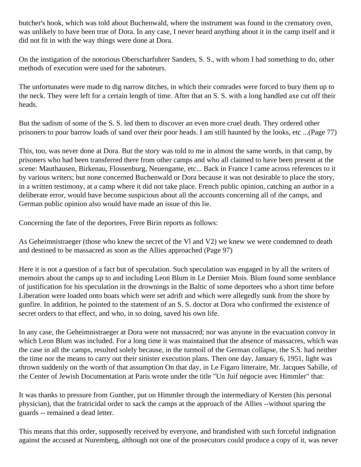butcher's hook, which was told about Buchenwald, where the instrument was found in the crematory oven, was unlikely to have been true of Dora. In any case, I never heard anything about it in the camp itself and it did not fit in with the way things were done at Dora.

On the instigation of the notorious Oberscharfuhrer Sanders, S. S., with whom I had something to do, other methods of execution were used for the saboteurs.

The unfortunates were made to dig narrow ditches, in which their comrades were forced to bury them up to the neck. They were left for a certain length of time. After that an S. S. with a long handled axe cut off their heads.

But the sadism of some of the S. S. led them to discover an even more cruel death. They ordered other prisoners to pour barrow loads of sand over their poor heads. I am still haunted by the looks, etc ...(Page 77)

This, too, was never done at Dora. But the story was told to me in almost the same words, in that camp, by prisoners who had been transferred there from other camps and who all claimed to have been present at the scene: Mauthausen, Birkenau, Flossenburg, Neuengame, etc... Back in France I came across references to it by various writers; but none concerned Buchenwald or Dora because it was not desirable to place the story, in a written testimony, at a camp where it did not take place. French public opinion, catching an author in a deliberate error, would have become suspicious about all the accounts concerning all of the camps, and German public opinion also would have made an issue of this lie.

Concerning the fate of the deportees, Frere Birin reports as follows:

As Geheimnistraeger (those who knew the secret of the Vl and V2) we knew we were condemned to death and destined to be massacred as soon as the Allies approached (Page 97)

Here it is not a question of a fact but of speculation. Such speculation was engaged in by all the writers of memoirs about the camps up to and including Leon Blum in Le Dernier Mois. Blum found some semblance of justification for his speculation in the drownings in the Baltic of some deportees who a short time before Liberation were loaded onto boats which were set adrift and which were allegedly sunk from the shore by gunfire. In addition, he pointed to the statement of an S. S. doctor at Dora who confirmed the existence of secret orders to that effect, and who, in so doing, saved his own life.

In any case, the Geheimnistraeger at Dora were not massacred; nor was anyone in the evacuation convoy in which Leon Blum was included. For a long time it was maintained that the absence of massacres, which was the case in all the camps, resulted solely because, in the turmoil of the German collapse, the S.S. had neither the time nor the means to carry out their sinister execution plans. Then one day, January 6, 1951, light was thrown suddenly on the worth of that assumption On that day, in Le Figaro litteraire, Mr. Jacques Sabille, of the Center of Jewish Documentation at Paris wrote under the title "Un Juif négocie avec Himmler" that:

It was thanks to pressure from Gunther, put on Himmler through the intermediary of Kersten (his personal physician), that the fratricidal order to sack the camps at the approach of the Allies --without sparing the guards -- remained a dead letter.

This means that this order, supposedly received by everyone, and brandished with such forceful indignation against the accused at Nuremberg, although not one of the prosecutors could produce a copy of it, was never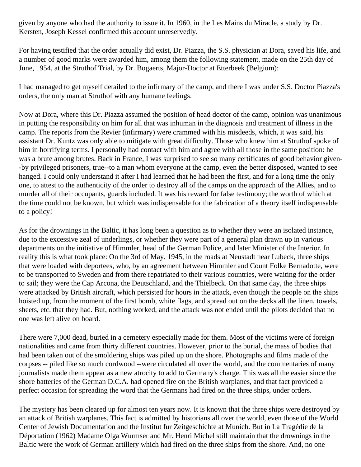given by anyone who had the authority to issue it. In 1960, in the Les Mains du Miracle, a study by Dr. Kersten, Joseph Kessel confirmed this account unreservedly.

For having testified that the order actually did exist, Dr. Piazza, the S.S. physician at Dora, saved his life, and a number of good marks were awarded him, among them the following statement, made on the 25th day of June, 1954, at the Struthof Trial, by Dr. Bogaerts, Major-Doctor at Etterbeek (Belgium):

I had managed to get myself detailed to the infirmary of the camp, and there I was under S.S. Doctor Piazza's orders, the only man at Struthof with any humane feelings.

Now at Dora, where this Dr. Piazza assumed the position of head doctor of the camp, opinion was unanimous in putting the responsibility on him for all that was inhuman in the diagnosis and treatment of illness in the camp. The reports from the Revier (infirmary) were crammed with his misdeeds, which, it was said, his assistant Dr. Kuntz was only able to mitigate with great difficulty. Those who knew him at Struthof spoke of him in horrifying terms. I personally had contact with him and agree with all those in the same position: he was a brute among brutes. Back in France, I was surprised to see so many certificates of good behavior given- -by privileged prisoners, true--to a man whom everyone at the camp, even the better disposed, wanted to see hanged. I could only understand it after I had learned that he had been the first, and for a long time the only one, to attest to the authenticity of the order to destroy all of the camps on the approach of the Allies, and to murder all of their occupants, guards included. It was his reward for false testimony; the worth of which at the time could not be known, but which was indispensable for the fabrication of a theory itself indispensable to a policy!

As for the drownings in the Baltic, it has long been a question as to whether they were an isolated instance, due to the excessive zeal of underlings, or whether they were part of a general plan drawn up in various departments on the initiative of Himmler, head of the German Police, and later Minister of the Interior. In reality this is what took place: On the 3rd of May, 1945, in the roads at Neustadt near Lubeck, three ships that were loaded with deportees, who, by an agreement between Himmler and Count Folke Bernadotte, were to be transported to Sweden and from there repatriated to their various countries, were waiting for the order to sail; they were the Cap Arcona, the Deutschland, and the Thielbeck. On that same day, the three ships were attacked by British aircraft, which persisted for hours in the attack, even though the people on the ships hoisted up, from the moment of the first bomb, white flags, and spread out on the decks all the linen, towels, sheets, etc. that they had. But, nothing worked, and the attack was not ended until the pilots decided that no one was left alive on board.

There were 7,000 dead, buried in a cemetery especially made for them. Most of the victims were of foreign nationalities and came from thirty different countries. However, prior to the burial, the mass of bodies that had been taken out of the smoldering ships was piled up on the shore. Photographs and films made of the corpses -- piled like so much cordwood --were circulated all over the world, and the commentaries of many journalists made them appear as a new atrocity to add to Germany's charge. This was all the easier since the shore batteries of the German D.C.A. had opened fire on the British warplanes, and that fact provided a perfect occasion for spreading the word that the Germans had fired on the three ships, under orders.

The mystery has been cleared up for almost ten years now. It is known that the three ships were destroyed by an attack of British warplanes. This fact is admitted by historians all over the world, even those of the World Center of Jewish Documentation and the Institut fur Zeitgeschichte at Munich. But in La Tragédie de la Déportation (1962) Madame Olga Wurmser and Mr. Henri Michel still maintain that the drownings in the Baltic were the work of German artillery which had fired on the three ships from the shore. And, no one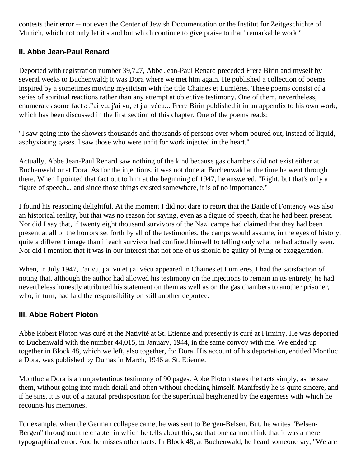contests their error -- not even the Center of Jewish Documentation or the Institut fur Zeitgeschichte of Munich, which not only let it stand but which continue to give praise to that "remarkable work."

### **II. Abbe Jean-Paul Renard**

Deported with registration number 39,727, Abbe Jean-Paul Renard preceded Frere Birin and myself by several weeks to Buchenwald; it was Dora where we met him again. He published a collection of poems inspired by a sometimes moving mysticism with the title Chaines et Lumières. These poems consist of a series of spiritual reactions rather than any attempt at objective testimony. One of them, nevertheless, enumerates some facts: J'ai vu, j'ai vu, et j'ai vécu... Frere Birin published it in an appendix to his own work, which has been discussed in the first section of this chapter. One of the poems reads:

"I saw going into the showers thousands and thousands of persons over whom poured out, instead of liquid, asphyxiating gases. I saw those who were unfit for work injected in the heart."

Actually, Abbe Jean-Paul Renard saw nothing of the kind because gas chambers did not exist either at Buchenwald or at Dora. As for the injections, it was not done at Buchenwald at the time he went through there. When I pointed that fact out to him at the beginning of 1947, he answered, "Right, but that's only a figure of speech... and since those things existed somewhere, it is of no importance."

I found his reasoning delightful. At the moment I did not dare to retort that the Battle of Fontenoy was also an historical reality, but that was no reason for saying, even as a figure of speech, that he had been present. Nor did I say that, if twenty eight thousand survivors of the Nazi camps had claimed that they had been present at all of the horrors set forth by all of the testimonies, the camps would assume, in the eyes of history, quite a different image than if each survivor had confined himself to telling only what he had actually seen. Nor did I mention that it was in our interest that not one of us should be guilty of lying or exaggeration.

When, in July 1947, J'ai vu, j'ai vu et j'ai vécu appeared in Chaines et Lumieres, I had the satisfaction of noting that, although the author had allowed his testimony on the injections to remain in its entirety, he had nevertheless honestly attributed his statement on them as well as on the gas chambers to another prisoner, who, in turn, had laid the responsibility on still another deportee.

### **III. Abbe Robert Ploton**

Abbe Robert Ploton was curé at the Nativité at St. Etienne and presently is curé at Firminy. He was deported to Buchenwald with the number 44,015, in January, 1944, in the same convoy with me. We ended up together in Block 48, which we left, also together, for Dora. His account of his deportation, entitled Montluc a Dora, was published by Dumas in March, 1946 at St. Etienne.

Montluc a Dora is an unpretentious testimony of 90 pages. Abbe Ploton states the facts simply, as he saw them, without going into much detail and often without checking himself. Manifestly he is quite sincere, and if he sins, it is out of a natural predisposition for the superficial heightened by the eagerness with which he recounts his memories.

For example, when the German collapse came, he was sent to Bergen-Belsen. But, he writes "Belsen-Bergen" throughout the chapter in which he tells about this, so that one cannot think that it was a mere typographical error. And he misses other facts: In Block 48, at Buchenwald, he heard someone say, "We are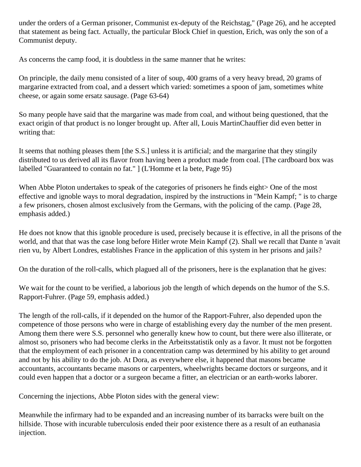under the orders of a German prisoner, Communist ex-deputy of the Reichstag," (Page 26), and he accepted that statement as being fact. Actually, the particular Block Chief in question, Erich, was only the son of a Communist deputy.

As concerns the camp food, it is doubtless in the same manner that he writes:

On principle, the daily menu consisted of a liter of soup, 400 grams of a very heavy bread, 20 grams of margarine extracted from coal, and a dessert which varied: sometimes a spoon of jam, sometimes white cheese, or again some ersatz sausage. (Page 63-64)

So many people have said that the margarine was made from coal, and without being questioned, that the exact origin of that product is no longer brought up. After all, Louis MartinChauffier did even better in writing that:

It seems that nothing pleases them [the S.S.] unless it is artificial; and the margarine that they stingily distributed to us derived all its flavor from having been a product made from coal. [The cardboard box was labelled "Guaranteed to contain no fat." ] (L'Homme et la bete, Page 95)

When Abbe Ploton undertakes to speak of the categories of prisoners he finds eight> One of the most effective and ignoble ways to moral degradation, inspired by the instructions in "Mein Kampf; " is to charge a few prisoners, chosen almost exclusively from the Germans, with the policing of the camp. (Page 28, emphasis added.)

He does not know that this ignoble procedure is used, precisely because it is effective, in all the prisons of the world, and that that was the case long before Hitler wrote Mein Kampf (2). Shall we recall that Dante n 'avait rien vu, by Albert Londres, establishes France in the application of this system in her prisons and jails?

On the duration of the roll-calls, which plagued all of the prisoners, here is the explanation that he gives:

We wait for the count to be verified, a laborious job the length of which depends on the humor of the S.S. Rapport-Fuhrer. (Page 59, emphasis added.)

The length of the roll-calls, if it depended on the humor of the Rapport-Fuhrer, also depended upon the competence of those persons who were in charge of establishing every day the number of the men present. Among them there were S.S. personnel who generally knew how to count, but there were also illiterate, or almost so, prisoners who had become clerks in the Arbeitsstatistik only as a favor. It must not be forgotten that the employment of each prisoner in a concentration camp was determined by his ability to get around and not by his ability to do the job. At Dora, as everywhere else, it happened that masons became accountants, accountants became masons or carpenters, wheelwrights became doctors or surgeons, and it could even happen that a doctor or a surgeon became a fitter, an electrician or an earth-works laborer.

Concerning the injections, Abbe Ploton sides with the general view:

Meanwhile the infirmary had to be expanded and an increasing number of its barracks were built on the hillside. Those with incurable tuberculosis ended their poor existence there as a result of an euthanasia injection.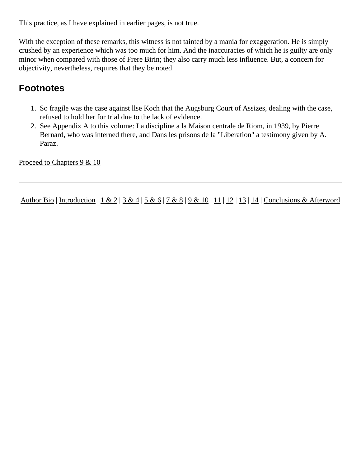This practice, as I have explained in earlier pages, is not true.

With the exception of these remarks, this witness is not tainted by a mania for exaggeration. He is simply crushed by an experience which was too much for him. And the inaccuracies of which he is guilty are only minor when compared with those of Frere Birin; they also carry much less influence. But, a concern for objectivity, nevertheless, requires that they be noted.

## **Footnotes**

- 1. So fragile was the case against llse Koch that the Augsburg Court of Assizes, dealing with the case, refused to hold her for trial due to the lack of evldence.
- 2. See Appendix A to this volume: La discipline a la Maison centrale de Riom, in 1939, by Pierre Bernard, who was interned there, and Dans les prisons de la "Liberation" a testimony given by A. Paraz.

[Proceed to Chapters 9 & 10](#page-83-0)

[Author Bio](#page-0-0) | [Introduction](#page-0-0) | [1 & 2](#page-9-0) | [3 & 4](#page-32-0) | [5 & 6](#page-55-0) | [7 & 8](#page-67-0) | [9 & 10](#page-83-0) | [11](#page-104-0) | [12](#page-130-0) | [13](#page-139-0) | [14](#page-176-0) | [Conclusions & Afterword](#page-234-0)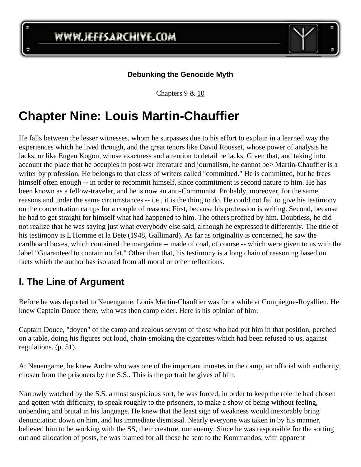<span id="page-83-0"></span>WWW.JEFFSARCHIVE.COM

#### **Debunking the Genocide Myth**

Chapters 9 & 10

# **Chapter Nine: Louis Martin-Chauffier**

He falls between the lesser witnesses, whom he surpasses due to his effort to explain in a learned way the experiences which he lived through, and the great tenors like David Rousset, whose power of analysis he lacks, or like Eugen Kogon, whose exactness and attention to detail he lacks. Given that, and taking into account the place that he occupies in post-war literature and journalism, he cannot be> Martin-Chauffier is a writer by profession. He belongs to that class of writers called "committed." He is committed, but he frees himself often enough -- in order to recommit himself, since commitment is second nature to him. He has been known as a fellow-traveler, and he is now an anti-Communist. Probably, moreover, for the same reasons and under the same circumstances -- i.e., it is the thing to do. He could not fail to give his testimony on the concentration camps for a couple of reasons: First, because his profession is writing. Second, because he had to get straight for himself what had happened to him. The others profited by him. Doubtless, he did not realize that he was saying just what everybody else said, although he expressed it differently. The title of his testimony is L'Homme et la Bete (1948, Gallimard). As far as originality is concerned, he saw the cardboard boxes, which contained the margarine -- made of coal, of course -- which were given to us with the label "Guaranteed to contain no fat." Other than that, his testimony is a long chain of reasoning based on facts which the author has isolated from all moral or other reflections.

### **I. The Line of Argument**

Before he was deported to Neuengame, Louis Martin-Chauffier was for a while at Compiegne-Royallieu. He knew Captain Douce there, who was then camp elder. Here is his opinion of him:

Captain Douce, "doyen" of the camp and zealous servant of those who had put him in that position, perched on a table, doing his figures out loud, chain-smoking the cigarettes which had been refused to us, against regulations. (p. 51).

At Neuengame, he knew Andre who was one of the important inmates in the camp, an official with authority, chosen from the prisoners by the S.S.. This is the portrait he gives of him:

Narrowly watched by the S.S. a most suspicious sort, he was forced, in order to keep the role he had chosen and gotten with difficulty, to speak roughly to the prisoners, to make a show of being without feeling, unbending and brutal in his language. He knew that the least sign of weakness would inexorably bring denunciation down on him, and his immediate dismissal. Nearly everyone was taken in by his manner, believed him to be working with the SS, their creature, our enemy. Since he was responsible for the sorting out and allocation of posts, he was blamed for all those he sent to the Kommandos, with apparent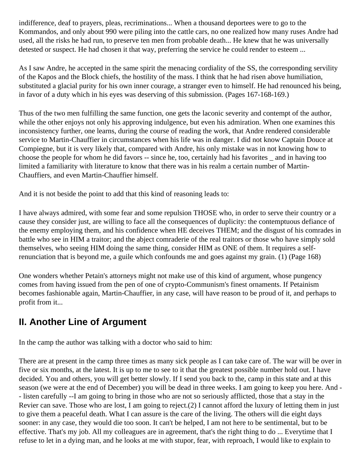indifference, deaf to prayers, pleas, recriminations... When a thousand deportees were to go to the Kommandos, and only about 990 were piling into the cattle cars, no one realized how many ruses Andre had used, all the risks he had run, to preserve ten men from probable death... He knew that he was universally detested or suspect. He had chosen it that way, preferring the service he could render to esteem ...

As I saw Andre, he accepted in the same spirit the menacing cordiality of the SS, the corresponding servility of the Kapos and the Block chiefs, the hostility of the mass. I think that he had risen above humiliation, substituted a glacial purity for his own inner courage, a stranger even to himself. He had renounced his being, in favor of a duty which in his eyes was deserving of this submission. (Pages 167-168-169.)

Thus of the two men fulfilling the same function, one gets the laconic severity and contempt of the author, while the other enjoys not only his approving indulgence, but even his admiration. When one examines this inconsistency further, one learns, during the course of reading the work, that Andre rendered considerable service to Martin-Chauffier in circumstances when his life was in danger. I did not know Captain Douce at Compiegne, but it is very likely that, compared with Andre, his only mistake was in not knowing how to choose the people for whom he did favors -- since he, too, certainly had his favorites \_ and in having too limited a familiarity with literature to know that there was in his realm a certain number of Martin-Chauffiers, and even Martin-Chauffier himself.

And it is not beside the point to add that this kind of reasoning leads to:

I have always admired, with some fear and some repulsion THOSE who, in order to serve their country or a cause they consider just, are willing to face all the consequences of duplicity: the contemptuous defiance of the enemy employing them, and his confidence when HE deceives THEM; and the disgust of his comrades in battle who see in HIM a traitor; and the abject comraderie of the real traitors or those who have simply sold themselves, who seeing HIM doing the same thing, consider HIM as ONE of them. It requires a selfrenunciation that is beyond me, a guile which confounds me and goes against my grain. (1) (Page 168)

One wonders whether Petain's attorneys might not make use of this kind of argument, whose pungency comes from having issued from the pen of one of crypto-Communism's finest ornaments. If Petainism becomes fashionable again, Martin-Chauffier, in any case, will have reason to be proud of it, and perhaps to profit from it...

# **II. Another Line of Argument**

In the camp the author was talking with a doctor who said to him:

There are at present in the camp three times as many sick people as I can take care of. The war will be over in five or six months, at the latest. It is up to me to see to it that the greatest possible number hold out. I have decided. You and others, you will get better slowly. If I send you back to the, camp in this state and at this season (we were at the end of December) you will be dead in three weeks. I am going to keep you here. And - - listen carefully --I am going to bring in those who are not so seriously afflicted, those that a stay in the Revier can save. Those who are lost, I am going to reject.(2) I cannot afford the luxury of letting them in just to give them a peaceful death. What I can assure is the care of the living. The others will die eight days sooner: in any case, they would die too soon. It can't be helped, I am not here to be sentimental, but to be effective. That's my job. All my colleagues are in agreement, that's the right thing to do ... Everytime that I refuse to let in a dying man, and he looks at me with stupor, fear, with reproach, I would like to explain to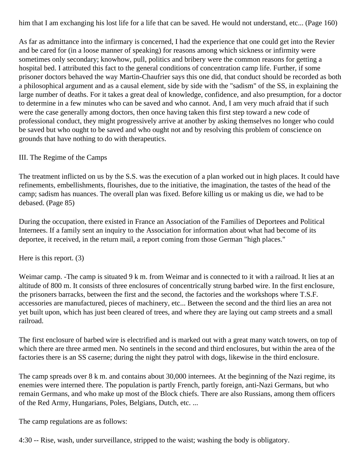him that I am exchanging his lost life for a life that can be saved. He would not understand, etc... (Page 160)

As far as admittance into the infirmary is concerned, I had the experience that one could get into the Revier and be cared for (in a loose manner of speaking) for reasons among which sickness or infirmity were sometimes only secondary; knowhow, pull, politics and bribery were the common reasons for getting a hospital bed. I attributed this fact to the general conditions of concentration camp life. Further, if some prisoner doctors behaved the way Martin-Chaufrier says this one did, that conduct should be recorded as both a philosophical argument and as a causal element, side by side with the "sadism" of the SS, in explaining the large number of deaths. For it takes a great deal of knowledge, confidence, and also presumption, for a doctor to determine in a few minutes who can be saved and who cannot. And, I am very much afraid that if such were the case generally among doctors, then once having taken this first step toward a new code of professional conduct, they might progressively arrive at another by asking themselves no longer who could be saved but who ought to be saved and who ought not and by resolving this problem of conscience on grounds that have nothing to do with therapeutics.

#### III. The Regime of the Camps

The treatment inflicted on us by the S.S. was the execution of a plan worked out in high places. It could have refinements, embellishments, flourishes, due to the initiative, the imagination, the tastes of the head of the camp; sadism has nuances. The overall plan was fixed. Before killing us or making us die, we had to be debased. (Page 85)

During the occupation, there existed in France an Association of the Families of Deportees and Political Internees. If a family sent an inquiry to the Association for information about what had become of its deportee, it received, in the return mail, a report coming from those German "high places."

Here is this report. (3)

Weimar camp. -The camp is situated 9 k m. from Weimar and is connected to it with a railroad. It lies at an altitude of 800 m. It consists of three enclosures of concentrically strung barbed wire. In the first enclosure, the prisoners barracks, between the first and the second, the factories and the workshops where T.S.F. accessories are manufactured, pieces of machinery, etc... Between the second and the third lies an area not yet built upon, which has just been cleared of trees, and where they are laying out camp streets and a small railroad.

The first enclosure of barbed wire is electrified and is marked out with a great many watch towers, on top of which there are three armed men. No sentinels in the second and third enclosures, but within the area of the factories there is an SS caserne; during the night they patrol with dogs, likewise in the third enclosure.

The camp spreads over 8 k m. and contains about 30,000 internees. At the beginning of the Nazi regime, its enemies were interned there. The population is partly French, partly foreign, anti-Nazi Germans, but who remain Germans, and who make up most of the Block chiefs. There are also Russians, among them officers of the Red Army, Hungarians, Poles, Belgians, Dutch, etc. ...

The camp regulations are as follows:

4:30 -- Rise, wash, under surveillance, stripped to the waist; washing the body is obligatory.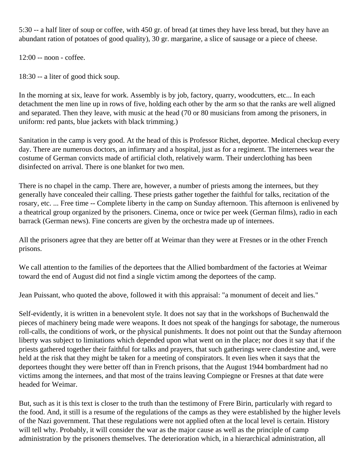5:30 -- a half liter of soup or coffee, with 450 gr. of bread (at times they have less bread, but they have an abundant ration of potatoes of good quality), 30 gr. margarine, a slice of sausage or a piece of cheese.

12:00 -- noon - coffee.

18:30 -- a liter of good thick soup.

In the morning at six, leave for work. Assembly is by job, factory, quarry, woodcutters, etc... In each detachment the men line up in rows of five, holding each other by the arm so that the ranks are well aligned and separated. Then they leave, with music at the head (70 or 80 musicians from among the prisoners, in uniform: red pants, blue jackets with black trimming.)

Sanitation in the camp is very good. At the head of this is Professor Richet, deportee. Medical checkup every day. There are numerous doctors, an infirmary and a hospital, just as for a regiment. The internees wear the costume of German convicts made of artificial cloth, relatively warm. Their underclothing has been disinfected on arrival. There is one blanket for two men.

There is no chapel in the camp. There are, however, a number of priests among the internees, but they generally have concealed their calling. These priests gather together the faithful for talks, recitation of the rosary, etc. ... Free time -- Complete liberty in the camp on Sunday afternoon. This afternoon is enlivened by a theatrical group organized by the prisoners. Cinema, once or twice per week (German films), radio in each barrack (German news). Fine concerts are given by the orchestra made up of internees.

All the prisoners agree that they are better off at Weimar than they were at Fresnes or in the other French prisons.

We call attention to the families of the deportees that the Allied bombardment of the factories at Weimar toward the end of August did not find a single victim among the deportees of the camp.

Jean Puissant, who quoted the above, followed it with this appraisal: "a monument of deceit and lies."

Self-evidently, it is written in a benevolent style. It does not say that in the workshops of Buchenwald the pieces of machinery being made were weapons. It does not speak of the hangings for sabotage, the numerous roll-calls, the conditions of work, or the physical punishments. It does not point out that the Sunday afternoon liberty was subject to limitations which depended upon what went on in the place; nor does it say that if the priests gathered together their faithful for talks and prayers, that such gatherings were clandestine and, were held at the risk that they might be taken for a meeting of conspirators. It even lies when it says that the deportees thought they were better off than in French prisons, that the August 1944 bombardment had no victims among the internees, and that most of the trains leaving Compiegne or Fresnes at that date were headed for Weimar.

But, such as it is this text is closer to the truth than the testimony of Frere Birin, particularly with regard to the food. And, it still is a resume of the regulations of the camps as they were established by the higher levels of the Nazi government. That these regulations were not applied often at the local level is certain. History will tell why. Probably, it will consider the war as the major cause as well as the principle of camp administration by the prisoners themselves. The deterioration which, in a hierarchical administration, all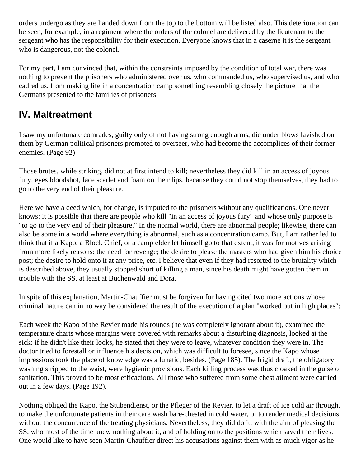orders undergo as they are handed down from the top to the bottom will be listed also. This deterioration can be seen, for example, in a regiment where the orders of the colonel are delivered by the lieutenant to the sergeant who has the responsibility for their execution. Everyone knows that in a caserne it is the sergeant who is dangerous, not the colonel.

For my part, I am convinced that, within the constraints imposed by the condition of total war, there was nothing to prevent the prisoners who administered over us, who commanded us, who supervised us, and who cadred us, from making life in a concentration camp something resembling closely the picture that the Germans presented to the families of prisoners.

# **IV. Maltreatment**

I saw my unfortunate comrades, guilty only of not having strong enough arms, die under blows lavished on them by German political prisoners promoted to overseer, who had become the accomplices of their former enemies. (Page 92)

Those brutes, while striking, did not at first intend to kill; nevertheless they did kill in an access of joyous fury, eyes bloodshot, face scarlet and foam on their lips, because they could not stop themselves, they had to go to the very end of their pleasure.

Here we have a deed which, for change, is imputed to the prisoners without any qualifications. One never knows: it is possible that there are people who kill "in an access of joyous fury" and whose only purpose is "to go to the very end of their pleasure." In the normal world, there are abnormal people; likewise, there can also be some in a world where everything is abnormal, such as a concentration camp. But, I am rather led to think that if a Kapo, a Block Chief, or a camp elder let himself go to that extent, it was for motives arising from more likely reasons: the need for revenge; the desire to please the masters who had given him his choice post; the desire to hold onto it at any price, etc. I believe that even if they had resorted to the brutality which is described above, they usually stopped short of killing a man, since his death might have gotten them in trouble with the SS, at least at Buchenwald and Dora.

In spite of this explanation, Martin-Chauffier must be forgiven for having cited two more actions whose criminal nature can in no way be considered the result of the execution of a plan "worked out in high places":

Each week the Kapo of the Revier made his rounds (he was completely ignorant about it), examined the temperature charts whose margins were covered with remarks about a disturbing diagnosis, looked at the sick: if he didn't like their looks, he stated that they were to leave, whatever condition they were in. The doctor tried to forestall or influence his decision, which was difficult to foresee, since the Kapo whose impressions took the place of knowledge was a lunatic, besides. (Page 185). The frigid draft, the obligatory washing stripped to the waist, were hygienic provisions. Each killing process was thus cloaked in the guise of sanitation. This proved to be most efficacious. All those who suffered from some chest ailment were carried out in a few days. (Page 192).

Nothing obliged the Kapo, the Stubendienst, or the Pfleger of the Revier, to let a draft of ice cold air through, to make the unfortunate patients in their care wash bare-chested in cold water, or to render medical decisions without the concurrence of the treating physicians. Nevertheless, they did do it, with the aim of pleasing the SS, who most of the time knew nothing about it, and of holding on to the positions which saved their lives. One would like to have seen Martin-Chauffier direct his accusations against them with as much vigor as he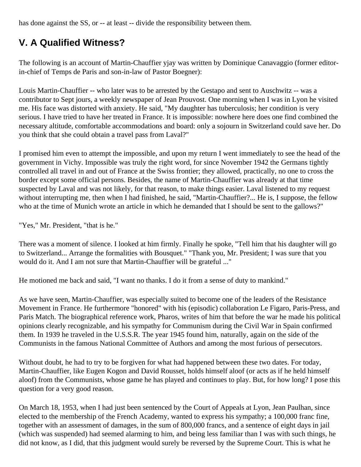has done against the SS, or -- at least -- divide the responsibility between them.

# **V. A Qualified Witness?**

The following is an account of Martin-Chauffier yjay was written by Dominique Canavaggio (former editorin-chief of Temps de Paris and son-in-law of Pastor Boegner):

Louis Martin-Chauffier -- who later was to be arrested by the Gestapo and sent to Auschwitz -- was a contributor to Sept jours, a weekly newspaper of Jean Prouvost. One morning when I was in Lyon he visited me. His face was distorted with anxiety. He said, "My daughter has tuberculosis; her condition is very serious. I have tried to have her treated in France. It is impossible: nowhere here does one find combined the necessary altitude, comfortable accommodations and board: only a sojourn in Switzerland could save her. Do you think that she could obtain a travel pass from Laval?"

I promised him even to attempt the impossible, and upon my return I went immediately to see the head of the government in Vichy. Impossible was truly the right word, for since November 1942 the Germans tightly controlled all travel in and out of France at the Swiss frontier; they allowed, practically, no one to cross the border except some official persons. Besides, the name of Martin-Chauffier was already at that time suspected by Laval and was not likely, for that reason, to make things easier. Laval listened to my request without interrupting me, then when I had finished, he said, "Martin-Chauffier?... He is, I suppose, the fellow who at the time of Munich wrote an article in which he demanded that I should be sent to the gallows?"

"Yes," Mr. President, "that is he."

There was a moment of silence. I looked at him firmly. Finally he spoke, "Tell him that his daughter will go to Switzerland... Arrange the formalities with Bousquet." "Thank you, Mr. President; I was sure that you would do it. And I am not sure that Martin-Chauffier will be grateful ..."

He motioned me back and said, "I want no thanks. I do it from a sense of duty to mankind."

As we have seen, Martin-Chauffier, was especially suited to become one of the leaders of the Resistance Movement in France. He furthermore "honored" with his (episodic) collaboration Le Figaro, Paris-Press, and Paris Match. The biographical reference work, Pharos, writes of him that before the war he made his political opinions clearly recognizable, and his sympathy for Communism during the Civil War in Spain confirmed them. In 1939 he traveled in the U.S.S.R. The year 1945 found him, naturally, again on the side of the Communists in the famous National Committee of Authors and among the most furious of persecutors.

Without doubt, he had to try to be forgiven for what had happened between these two dates. For today, Martin-Chauffier, like Eugen Kogon and David Rousset, holds himself aloof (or acts as if he held himself aloof) from the Communists, whose game he has played and continues to play. But, for how long? I pose this question for a very good reason.

On March 18, 1953, when I had just been sentenced by the Court of Appeals at Lyon, Jean Paulhan, since elected to the membership of the French Academy, wanted to express his sympathy; a 100,000 franc fine, together with an assessment of damages, in the sum of 800,000 francs, and a sentence of eight days in jail (which was suspended) had seemed alarming to him, and being less familiar than I was with such things, he did not know, as I did, that this judgment would surely be reversed by the Supreme Court. This is what he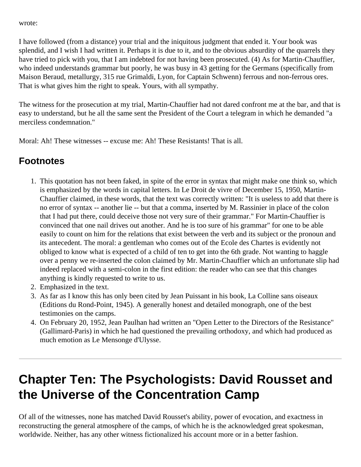wrote:

I have followed (from a distance) your trial and the iniquitous judgment that ended it. Your book was splendid, and I wish I had written it. Perhaps it is due to it, and to the obvious absurdity of the quarrels they have tried to pick with you, that I am indebted for not having been prosecuted. (4) As for Martin-Chauffier, who indeed understands grammar but poorly, he was busy in 43 getting for the Germans (specifically from Maison Beraud, metallurgy, 315 rue Grimaldi, Lyon, for Captain Schwenn) ferrous and non-ferrous ores. That is what gives him the right to speak. Yours, with all sympathy.

The witness for the prosecution at my trial, Martin-Chauffier had not dared confront me at the bar, and that is easy to understand, but he all the same sent the President of the Court a telegram in which he demanded "a merciless condemnation."

Moral: Ah! These witnesses -- excuse me: Ah! These Resistants! That is all.

### **Footnotes**

- 1. This quotation has not been faked, in spite of the error in syntax that might make one think so, which is emphasized by the words in capital letters. In Le Droit de vivre of December 15, 1950, Martin-Chauffier claimed, in these words, that the text was correctly written: "It is useless to add that there is no error of syntax -- another lie -- but that a comma, inserted by M. Rassinier in place of the colon that I had put there, could deceive those not very sure of their grammar." For Martin-Chauffier is convinced that one nail drives out another. And he is too sure of his grammar" for one to be able easily to count on him for the relations that exist between the verb and its subject or the pronoun and its antecedent. The moral: a gentleman who comes out of the Ecole des Chartes is evidently not obliged to know what is expected of a child of ten to get into the 6th grade. Not wanting to haggle over a penny we re-inserted the colon claimed by Mr. Martin-Chauffier which an unfortunate slip had indeed replaced with a semi-colon in the first edition: the reader who can see that this changes anything is kindly requested to write to us.
- 2. Emphasized in the text.
- 3. As far as I know this has only been cited by Jean Puissant in his book, La Colline sans oiseaux (Editions du Rond-Point, 1945). A generally honest and detailed monograph, one of the best testimonies on the camps.
- 4. On February 20, 1952, Jean Paulhan had written an "Open Letter to the Directors of the Resistance" (Gallimard-Paris) in which he had questioned the prevailing orthodoxy, and which had produced as much emotion as Le Mensonge d'Ulysse.

# **Chapter Ten: The Psychologists: David Rousset and the Universe of the Concentration Camp**

Of all of the witnesses, none has matched David Rousset's ability, power of evocation, and exactness in reconstructing the general atmosphere of the camps, of which he is the acknowledged great spokesman, worldwide. Neither, has any other witness fictionalized his account more or in a better fashion.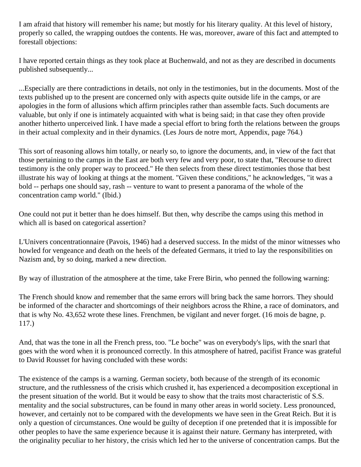I am afraid that history will remember his name; but mostly for his literary quality. At this level of history, properly so called, the wrapping outdoes the contents. He was, moreover, aware of this fact and attempted to forestall objections:

I have reported certain things as they took place at Buchenwald, and not as they are described in documents published subsequently...

...Especially are there contradictions in details, not only in the testimonies, but in the documents. Most of the texts published up to the present are concerned only with aspects quite outside life in the camps, or are apologies in the form of allusions which affirm principles rather than assemble facts. Such documents are valuable, but only if one is intimately acquainted with what is being said; in that case they often provide another hitherto unperceived link. I have made a special effort to bring forth the relations between the groups in their actual complexity and in their dynamics. (Les Jours de notre mort, Appendix, page 764.)

This sort of reasoning allows him totally, or nearly so, to ignore the documents, and, in view of the fact that those pertaining to the camps in the East are both very few and very poor, to state that, "Recourse to direct testimony is the only proper way to proceed." He then selects from these direct testimonies those that best illustrate his way of looking at things at the moment. "Given these conditions," he acknowledges, "it was a bold -- perhaps one should say, rash -- venture to want to present a panorama of the whole of the concentration camp world." (Ibid.)

One could not put it better than he does himself. But then, why describe the camps using this method in which all is based on categorical assertion?

L'Univers concentrationnaire (Pavois, 1946) had a deserved success. In the midst of the minor witnesses who howled for vengeance and death on the heels of the defeated Germans, it tried to lay the responsibilities on Nazism and, by so doing, marked a new direction.

By way of illustration of the atmosphere at the time, take Frere Birin, who penned the following warning:

The French should know and remember that the same errors will bring back the same horrors. They should be informed of the character and shortcomings of their neighbors across the Rhine, a race of dominators, and that is why No. 43,652 wrote these lines. Frenchmen, be vigilant and never forget. (16 mois de bagne, p. 117.)

And, that was the tone in all the French press, too. "Le boche" was on everybody's lips, with the snarl that goes with the word when it is pronounced correctly. In this atmosphere of hatred, pacifist France was grateful to David Rousset for having concluded with these words:

The existence of the camps is a warning. German society, both because of the strength of its economic structure, and the ruthlessness of the crisis which crushed it, has experienced a decomposition exceptional in the present situation of the world. But it would be easy to show that the traits most characteristic of S.S. mentality and the social substructures, can be found in many other areas in world society. Less pronounced, however, and certainly not to be compared with the developments we have seen in the Great Reich. But it is only a question of circumstances. One would be guilty of deception if one pretended that it is impossible for other peoples to have the same experience because it is against their nature. Germany has interpreted, with the originality peculiar to her history, the crisis which led her to the universe of concentration camps. But the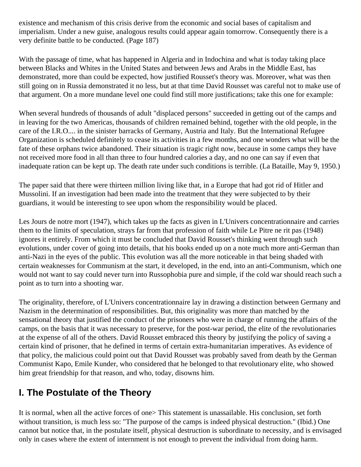existence and mechanism of this crisis derive from the economic and social bases of capitalism and imperialism. Under a new guise, analogous results could appear again tomorrow. Consequently there is a very definite battle to be conducted. (Page 187)

With the passage of time, what has happened in Algeria and in Indochina and what is today taking place between Blacks and Whites in the United States and between Jews and Arabs in the Middle East, has demonstrated, more than could be expected, how justified Rousset's theory was. Moreover, what was then still going on in Russia demonstrated it no less, but at that time David Rousset was careful not to make use of that argument. On a more mundane level one could find still more justifications; take this one for example:

When several hundreds of thousands of adult "displaced persons" succeeded in getting out of the camps and in leaving for the two Americas, thousands of children remained behind, together with the old people, in the care of the I.R.O.... in the sinister barracks of Germany, Austria and Italy. But the International Refugee Organization is scheduled definitely to cease its activities in a few months, and one wonders what will be the fate of these orphans twice abandoned. Their situation is tragic right now, because in some camps they have not received more food in all than three to four hundred calories a day, and no one can say if even that inadequate ration can be kept up. The death rate under such conditions is terrible. (La Bataille, May 9, 1950.)

The paper said that there were thirteen million living like that, in a Europe that had got rid of Hitler and Mussolini. If an investigation had been made into the treatment that they were subjected to by their guardians, it would be interesting to see upon whom the responsibility would be placed.

Les Jours de notre mort (1947), which takes up the facts as given in L'Univers concentrationnaire and carries them to the limits of speculation, strays far from that profession of faith while Le Pitre ne rit pas (1948) ignores it entirely. From which it must be concluded that David Rousset's thinking went through such evolutions, under cover of going into details, that his books ended up on a note much more anti-German than anti-Nazi in the eyes of the public. This evolution was all the more noticeable in that being shaded with certain weaknesses for Communism at the start, it developed, in the end, into an anti-Communism, which one would not want to say could never turn into Russophobia pure and simple, if the cold war should reach such a point as to turn into a shooting war.

The originality, therefore, of L'Univers concentrationnaire lay in drawing a distinction between Germany and Nazism in the determination of responsibilities. But, this originality was more than matched by the sensational theory that justified the conduct of the prisoners who were in charge of running the affairs of the camps, on the basis that it was necessary to preserve, for the post-war period, the elite of the revolutionaries at the expense of all of the others. David Rousset embraced this theory by justifying the policy of saving a certain kind of prisoner, that he defined in terms of certain extra-humanitarian imperatives. As evidence of that policy, the malicious could point out that David Rousset was probably saved from death by the German Communist Kapo, Emile Kunder, who considered that he belonged to that revolutionary elite, who showed him great friendship for that reason, and who, today, disowns him.

# **I. The Postulate of the Theory**

It is normal, when all the active forces of one> This statement is unassailable. His conclusion, set forth without transition, is much less so: "The purpose of the camps is indeed physical destruction." (Ibid.) One cannot but notice that, in the postulate itself, physical destruction is subordinate to necessity, and is envisaged only in cases where the extent of internment is not enough to prevent the individual from doing harm.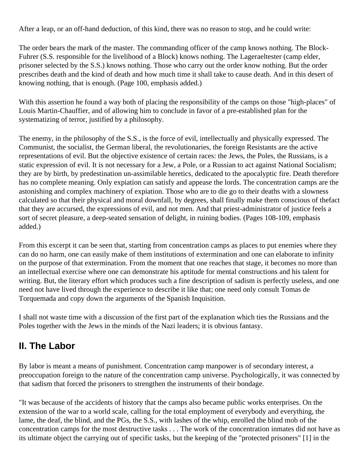After a leap, or an off-hand deduction, of this kind, there was no reason to stop, and he could write:

The order bears the mark of the master. The commanding officer of the camp knows nothing. The Block-Fuhrer (S.S. responsible for the livelihood of a Block) knows nothing. The Lageraeltester (camp elder, prisoner selected by the S.S.) knows nothing. Those who carry out the order know nothing. But the order prescribes death and the kind of death and how much time it shall take to cause death. And in this desert of knowing nothing, that is enough. (Page 100, emphasis added.)

With this assertion he found a way both of placing the responsibility of the camps on those "high-places" of Louis Martin-Chauffier, and of allowing him to conclude in favor of a pre-established plan for the systematizing of terror, justified by a philosophy.

The enemy, in the philosophy of the S.S., is the force of evil, intellectually and physically expressed. The Communist, the socialist, the German liberal, the revolutionaries, the foreign Resistants are the active representations of evil. But the objective existence of certain races: the Jews, the Poles, the Russians, is a static expression of evil. It is not necessary for a Jew, a Pole, or a Russian to act against National Socialism; they are by birth, by predestination un-assimilable heretics, dedicated to the apocalyptic fire. Death therefore has no complete meaning. Only expiation can satisfy and appease the lords. The concentration camps are the astonishing and complex machinery of expiation. Those who are to die go to their deaths with a slowness calculated so that their physical and moral downfall, by degrees, shall finally make them conscious of thefact that they are accursed, the expressions of evil, and not men. And that priest-administrator of justice feels a sort of secret pleasure, a deep-seated sensation of delight, in ruining bodies. (Pages 108-109, emphasis added.)

From this excerpt it can be seen that, starting from concentration camps as places to put enemies where they can do no harm, one can easily make of them institutions of extermination and one can elaborate to infinity on the purpose of that extermination. From the moment that one reaches that stage, it becomes no more than an intellectual exercise where one can demonstrate his aptitude for mental constructions and his talent for writing. But, the literary effort which produces such a fine description of sadism is perfectly useless, and one need not have lived through the experience to describe it like that; one need only consult Tomas de Torquemada and copy down the arguments of the Spanish Inquisition.

I shall not waste time with a discussion of the first part of the explanation which ties the Russians and the Poles together with the Jews in the minds of the Nazi leaders; it is obvious fantasy.

# **II. The Labor**

By labor is meant a means of punishment. Concentration camp manpower is of secondary interest, a preoccupation foreign to the nature of the concentration camp universe. Psychologically, it was connected by that sadism that forced the prisoners to strengthen the instruments of their bondage.

"It was because of the accidents of history that the camps also became public works enterprises. On the extension of the war to a world scale, calling for the total employment of everybody and everything, the lame, the deaf, the blind, and the PGs, the S.S., with lashes of the whip, enrolled the blind mob of the concentration camps for the most destructive tasks . . . The work of the concentration inmates did not have as its ultimate object the carrying out of specific tasks, but the keeping of the "protected prisoners" [1] in the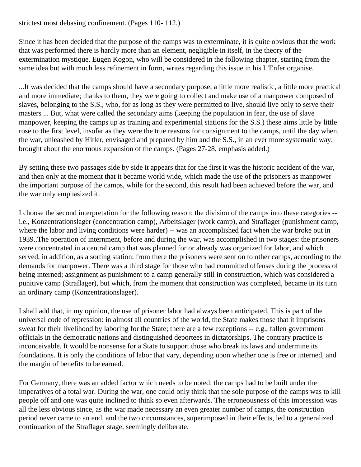strictest most debasing confinement. (Pages 110- 112.)

Since it has been decided that the purpose of the camps was to exterminate, it is quite obvious that the work that was performed there is hardly more than an element, negligible in itself, in the theory of the extermination mystique. Eugen Kogon, who will be considered in the following chapter, starting from the same idea but with much less refinement in form, writes regarding this issue in his L'Enfer organise.

...It was decided that the camps should have a secondary purpose, a little more realistic, a little more practical and more immediate; thanks to them, they were going to collect and make use of a manpower composed of slaves, belonging to the S.S., who, for as long as they were permitted to live, should live only to serve their masters ... But, what were called the secondary aims (keeping the population in fear, the use of slave manpower, keeping the camps up as training and experimental stations for the S.S.) these aims little by little rose to the first level, insofar as they were the true reasons for consignment to the camps, until the day when, the war, unleashed by Hitler, envisaged and prepared by him and the S.S., in an ever more systematic way, brought about the enormous expansion of the camps. (Pages 27-28, emphasis added.)

By setting these two passages side by side it appears that for the first it was the historic accident of the war, and then only at the moment that it became world wide, which made the use of the prisoners as manpower the important purpose of the camps, while for the second, this result had been achieved before the war, and the war only emphasized it.

I choose the second interpretation for the following reason: the division of the camps into these categories - i.e., Konzentrationslager (concentration camp), Arbeitslager (work camp), and Straflager (punishment camp, where the labor and living conditions were harder) -- was an accomplished fact when the war broke out in 1939..The operation of internment, before and during the war, was accomplished in two stages: the prisoners were concentrated in a central camp that was planned for or already was organized for labor, and which served, in addition, as a sorting station; from there the prisoners were sent on to other camps, according to the demands for manpower. There was a third stage for those who had committed offenses during the process of being interned; assignment as punishment to a camp generally still in construction, which was considered a punitive camp (Straflager), but which, from the moment that construction was completed, became in its turn an ordinary camp (Konzentrationslager).

I shall add that, in my opinion, the use of prisoner labor had always been anticipated. This is part of the universal code of repression: in almost all countries of the world, the State makes those that it imprisons sweat for their livelihood by laboring for the State; there are a few exceptions -- e.g., fallen government officials in the democratic nations and distinguished deportees in dictatorships. The contrary practice is inconceivable. It would be nonsense for a State to support those who break its laws and undermine its foundations. It is only the conditions of labor that vary, depending upon whether one is free or interned, and the margin of benefits to be earned.

For Germany, there was an added factor which needs to be noted: the camps had to be built under the imperatives of a total war. During the war, one could only think that the sole purpose of the camps was to kill people off and one was quite inclined to think so even afterwards. The erroneousness of this impression was all the less obvious since, as the war made necessary an even greater number of camps, the construction period never came to an end, and the two circumstances, superimposed in their effects, led to a generalized continuation of the Straflager stage, seemingly deliberate.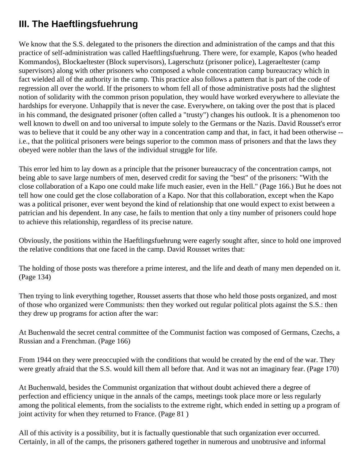# **III. The Haeftlingsfuehrung**

We know that the S.S. delegated to the prisoners the direction and administration of the camps and that this practice of self-administration was called Haeftlingsfuehrung. There were, for example, Kapos (who headed Kommandos), Blockaeltester (Block supervisors), Lagerschutz (prisoner police), Lageraeltester (camp supervisors) along with other prisoners who composed a whole concentration camp bureaucracy which in fact wielded all of the authority in the camp. This practice also follows a pattern that is part of the code of regression all over the world. If the prisoners to whom fell all of those administrative posts had the slightest notion of solidarity with the common prison population, they would have worked everywhere to alleviate the hardships for everyone. Unhappily that is never the case. Everywhere, on taking over the post that is placed in his command, the designated prisoner (often called a "trusty") changes his outlook. It is a phenomenon too well known to dwell on and too universal to impute solely to the Germans or the Nazis. David Rousset's error was to believe that it could be any other way in a concentration camp and that, in fact, it had been otherwise - i.e., that the political prisoners were beings superior to the common mass of prisoners and that the laws they obeyed were nobler than the laws of the individual struggle for life.

This error led him to lay down as a principle that the prisoner bureaucracy of the concentration camps, not being able to save large numbers of men, deserved credit for saving the "best" of the prisoners: "With the close collaboration of a Kapo one could make life much easier, even in the Hell." (Page 166.) But he does not tell how one could get the close collaboration of a Kapo. Nor that this collaboration, except when the Kapo was a political prisoner, ever went beyond the kind of relationship that one would expect to exist between a patrician and his dependent. In any case, he fails to mention that only a tiny number of prisoners could hope to achieve this relationship, regardless of its precise nature.

Obviously, the positions within the Haeftlingsfuehrung were eagerly sought after, since to hold one improved the relative conditions that one faced in the camp. David Rousset writes that:

The holding of those posts was therefore a prime interest, and the life and death of many men depended on it. (Page 134)

Then trying to link everything together, Rousset asserts that those who held those posts organized, and most of those who organized were Communists: then they worked out regular political plots against the S.S.: then they drew up programs for action after the war:

At Buchenwald the secret central committee of the Communist faction was composed of Germans, Czechs, a Russian and a Frenchman. (Page 166)

From 1944 on they were preoccupied with the conditions that would be created by the end of the war. They were greatly afraid that the S.S. would kill them all before that. And it was not an imaginary fear. (Page 170)

At Buchenwald, besides the Communist organization that without doubt achieved there a degree of perfection and efficiency unique in the annals of the camps, meetings took place more or less regularly among the political elements, from the socialists to the extreme right, which ended in setting up a program of joint activity for when they returned to France. (Page 81 )

All of this activity is a possibility, but it is factually questionable that such organization ever occurred. Certainly, in all of the camps, the prisoners gathered together in numerous and unobtrusive and informal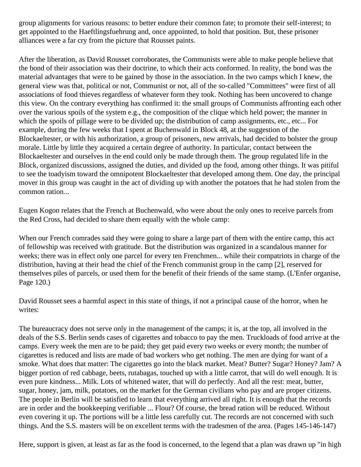group alignments for various reasons: to better endure their common fate; to promote their self-interest; to get appointed to the Haeftlingsfuehrung and, once appointed, to hold that position. But, these prisoner alliances were a far cry from the picture that Rousset paints.

After the liberation, as David Rousset corroborates, the Communists were able to make people believe that the bond of their association was their doctrine, to which their acts conformed. In reality, the bond was the material advantages that were to be gained by those in the association. In the two camps which I knew, the general view was that, political or not, Communist or not, all of the so-called "Committees" were first of all associations of food thieves regardless of whatever form they took. Nothing has been uncovered to change this view. On the contrary everything has confirmed it: the small groups of Communists affronting each other over the various spoils of the system e.g., the composition of the clique which held power; the manner in which the spoils of pillage were to be divided up; the distribution of camp assignments, etc., etc... For example, during the few weeks that I spent at Buchenwald in Block 48, at the suggestion of the Blockaeltester, or with his authorization, a group of prisoners, new arrivals, had decided to bolster the group morale. Little by little they acquired a certain degree of authority. In particular, contact between the Blockaeltester and ourselves in the end could only be made through them. The group regulated life in the Block, organized discussions, assigned the duties, and divided up the food, among other things. It was pitiful to see the toadyism toward the omnipotent Blockaeltester that developed among them. One day, the principal mover in this group was caught in the act of dividing up with another the potatoes that he had stolen from the common ration...

Eugen Kogon relates that the French at Buchenwald, who were about the only ones to receive parcels from the Red Cross, had decided to share them equally with the whole camp:

When our French comrades said they were going to share a large part of them with the entire camp, this act of fellowship was received with gratitude. But the distribution was organized in a scandalous manner for weeks; there was in effect only one parcel for every ten Frenchmen... while their compatriots in charge of the distribution, having at their head the chief of the French communist group in the camp [2], reserved for themselves piles of parcels, or used them for the benefit of their friends of the same stamp. (L'Enfer organise, Page 120.)

David Rousset sees a harmful aspect in this state of things, if not a principal cause of the horror, when he writes:

The bureaucracy does not serve only in the management of the camps; it is, at the top, all involved in the deals of the S.S. Berlin sends cases of cigarettes and tobacco to pay the men. Truckloads of food arrive at the camps. Every week the men are to be paid; they get paid every two weeks or every month; the number of cigarettes is reduced and lists are made of bad workers who get nothing. The men are dying for want of a smoke. What does that matter: The cigarettes go into the black market. Meat? Butter? Sugar? Honey? Jam? A bigger portion of red cabbage, beets, rutabagas, touched up with a little carrot, that will do well enough. It is even pure kindness... Milk. Lots of whitened water, that will do perfectly. And all the rest: meat, butter, sugar, honey, jam, milk, potatoes, on the market for the German civilians who pay and are proper citizens. The people in Berlin will be satisfied to learn that everything arrived all right. It is enough that the records are in order and the bookkeeping verifiable ... Flour? Of course, the bread ration will be reduced. Without even covering it up. The portions will be a little less carefully cut. The records are not concerned with such things. And the S.S. masters will be on excellent terms with the tradesmen of the area. (Pages 145-146-147)

Here, support is given, at least as far as the food is concerned, to the legend that a plan was drawn up "in high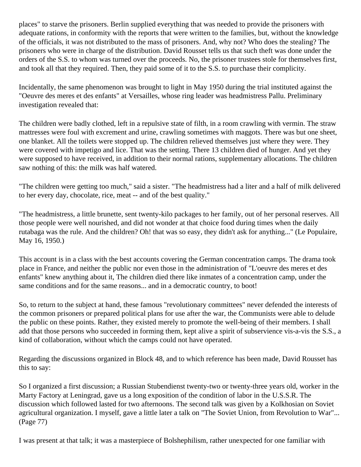places" to starve the prisoners. Berlin supplied everything that was needed to provide the prisoners with adequate rations, in conformity with the reports that were written to the families, but, without the knowledge of the officials, it was not distributed to the mass of prisoners. And, why not? Who does the stealing? The prisoners who were in charge of the distribution. David Rousset tells us that such theft was done under the orders of the S.S. to whom was turned over the proceeds. No, the prisoner trustees stole for themselves first, and took all that they required. Then, they paid some of it to the S.S. to purchase their complicity.

Incidentally, the same phenomenon was brought to light in May 1950 during the trial instituted against the "Oeuvre des meres et des enfants" at Versailles, whose ring leader was headmistress Pallu. Preliminary investigation revealed that:

The children were badly clothed, left in a repulsive state of filth, in a room crawling with vermin. The straw mattresses were foul with excrement and urine, crawling sometimes with maggots. There was but one sheet, one blanket. All the toilets were stopped up. The children relieved themselves just where they were. They were covered with impetigo and lice. That was the setting. There 13 children died of hunger. And yet they were supposed to have received, in addition to their normal rations, supplementary allocations. The children saw nothing of this: the milk was half watered.

"The children were getting too much," said a sister. "The headmistress had a liter and a half of milk delivered to her every day, chocolate, rice, meat -- and of the best quality."

"The headmistress, a little brunette, sent twenty-kilo packages to her family, out of her personal reserves. All those people were well nourished, and did not wonder at that choice food during times when the daily rutabaga was the rule. And the children? Oh! that was so easy, they didn't ask for anything..." (Le Populaire, May 16, 1950.)

This account is in a class with the best accounts covering the German concentration camps. The drama took place in France, and neither the public nor even those in the administration of "L'oeuvre des meres et des enfants" knew anything about it, The children died there like inmates of a concentration camp, under the same conditions and for the same reasons... and in a democratic country, to boot!

So, to return to the subject at hand, these famous "revolutionary committees" never defended the interests of the common prisoners or prepared political plans for use after the war, the Communists were able to delude the public on these points. Rather, they existed merely to promote the well-being of their members. I shall add that those persons who succeeded in forming them, kept alive a spirit of subservience vis-a-vis the S.S., a kind of collaboration, without which the camps could not have operated.

Regarding the discussions organized in Block 48, and to which reference has been made, David Rousset has this to say:

So I organized a first discussion; a Russian Stubendienst twenty-two or twenty-three years old, worker in the Marty Factory at Leningrad, gave us a long exposition of the condition of labor in the U.S.S.R. The discussion which followed lasted for two afternoons. The second talk was given by a Kolkhosian on Soviet agricultural organization. I myself, gave a little later a talk on "The Soviet Union, from Revolution to War"... (Page 77)

I was present at that talk; it was a masterpiece of Bolshephilism, rather unexpected for one familiar with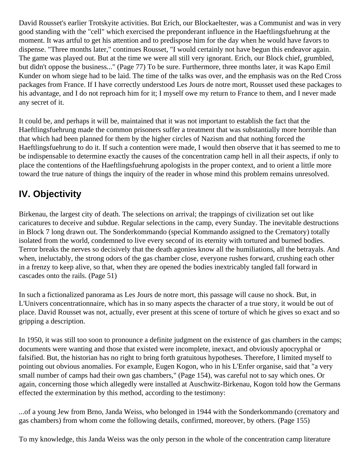David Rousset's earlier Trotskyite activities. But Erich, our Blockaeltester, was a Communist and was in very good standing with the "cell" which exercised the preponderant influence in the Haeftlingsfuehrung at the moment. It was artful to get his attention and to predispose him for the day when he would have favors to dispense. "Three months later," continues Rousset, "I would certainly not have begun this endeavor again. The game was played out. But at the time we were all still very ignorant. Erich, our Block chief, grumbled, but didn't oppose the business..." (Page 77) To be sure. Furthermore, three months later, it was Kapo Emil Kunder on whom siege had to be laid. The time of the talks was over, and the emphasis was on the Red Cross packages from France. If I have correctly understood Les Jours de notre mort, Rousset used these packages to his advantage, and I do not reproach him for it; I myself owe my return to France to them, and I never made any secret of it.

It could be, and perhaps it will be, maintained that it was not important to establish the fact that the Haeftlingsfuehrung made the common prisoners suffer a treatment that was substantially more horrible than that which had been planned for them by the higher circles of Nazism and that nothing forced the Haeftlingsfuehrung to do it. If such a contention were made, I would then observe that it has seemed to me to be indispensable to determine exactly the causes of the concentration camp hell in all their aspects, if only to place the contentions of the Haeftlingsfuehrung apologists in the proper context, and to orient a little more toward the true nature of things the inquiry of the reader in whose mind this problem remains unresolved.

# **IV. Objectivity**

Birkenau, the largest city of death. The selections on arrival; the trappings of civilization set out like caricatures to deceive and subdue. Regular selections in the camp, every Sunday. The inevitable destructions in Block 7 long drawn out. The Sonderkommando (special Kommando assigned to the Crematory) totally isolated from the world, condemned to live every second of its eternity with tortured and burned bodies. Terror breaks the nerves so decisively that the death agonies know all the humiliations, all the betrayals. And when, ineluctably, the strong odors of the gas chamber close, everyone rushes forward, crushing each other in a frenzy to keep alive, so that, when they are opened the bodies inextricably tangled fall forward in cascades onto the rails. (Page 51)

In such a fictionalized panorama as Les Jours de notre mort, this passage will cause no shock. But, in L'Univers concentrationnaire, which has in so many aspects the character of a true story, it would be out of place. David Rousset was not, actually, ever present at this scene of torture of which he gives so exact and so gripping a description.

In 1950, it was still too soon to pronounce a definite judgment on the existence of gas chambers in the camps; documents were wanting and those that existed were incomplete, inexact, and obviously apocryphal or falsified. But, the historian has no right to bring forth gratuitous hypotheses. Therefore, I limited myself to pointing out obvious anomalies. For example, Eugen Kogon, who in his L'Enfer organise, said that "a very small number of camps had their own gas chambers," (Page 154), was careful not to say which ones. Or again, concerning those which allegedly were installed at Auschwitz-Birkenau, Kogon told how the Germans effected the extermination by this method, according to the testimony:

...of a young Jew from Brno, Janda Weiss, who belonged in 1944 with the Sonderkommando (crematory and gas chambers) from whom come the following details, confirmed, moreover, by others. (Page 155)

To my knowledge, this Janda Weiss was the only person in the whole of the concentration camp literature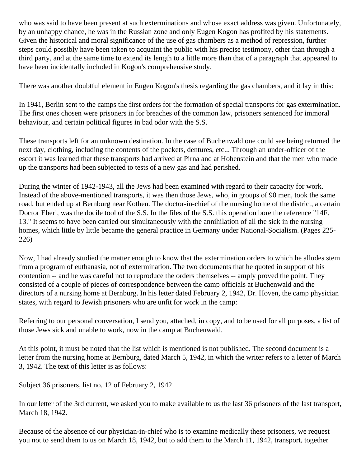who was said to have been present at such exterminations and whose exact address was given. Unfortunately, by an unhappy chance, he was in the Russian zone and only Eugen Kogon has profited by his statements. Given the historical and moral significance of the use of gas chambers as a method of repression, further steps could possibly have been taken to acquaint the public with his precise testimony, other than through a third party, and at the same time to extend its length to a little more than that of a paragraph that appeared to have been incidentally included in Kogon's comprehensive study.

There was another doubtful element in Eugen Kogon's thesis regarding the gas chambers, and it lay in this:

In 1941, Berlin sent to the camps the first orders for the formation of special transports for gas extermination. The first ones chosen were prisoners in for breaches of the common law, prisoners sentenced for immoral behaviour, and certain political figures in bad odor with the S.S.

These transports left for an unknown destination. In the case of Buchenwald one could see being returned the next day, clothing, including the contents of the pockets, dentures, etc... Through an under-officer of the escort it was learned that these transports had arrived at Pirna and at Hohenstein and that the men who made up the transports had been subjected to tests of a new gas and had perished.

During the winter of 1942-1943, all the Jews had been examined with regard to their capacity for work. Instead of the above-mentioned transports, it was then those Jews, who, in groups of 90 men, took the same road, but ended up at Bernburg near Kothen. The doctor-in-chief of the nursing home of the district, a certain Doctor Eberl, was the docile tool of the S.S. In the files of the S.S. this operation bore the reference "14F. 13." It seems to have been carried out simultaneously with the annihilation of all the sick in the nursing homes, which little by little became the general practice in Germany under National-Socialism. (Pages 225- 226)

Now, I had already studied the matter enough to know that the extermination orders to which he alludes stem from a program of euthanasia, not of extermination. The two documents that he quoted in support of his contention -- and he was careful not to reproduce the orders themselves -- amply proved the point. They consisted of a couple of pieces of correspondence between the camp officials at Buchenwald and the directors of a nursing home at Bernburg. In his letter dated February 2, 1942, Dr. Hoven, the camp physician states, with regard to Jewish prisoners who are unfit for work in the camp:

Referring to our personal conversation, I send you, attached, in copy, and to be used for all purposes, a list of those Jews sick and unable to work, now in the camp at Buchenwald.

At this point, it must be noted that the list which is mentioned is not published. The second document is a letter from the nursing home at Bernburg, dated March 5, 1942, in which the writer refers to a letter of March 3, 1942. The text of this letter is as follows:

Subject 36 prisoners, list no. 12 of February 2, 1942.

In our letter of the 3rd current, we asked you to make available to us the last 36 prisoners of the last transport, March 18, 1942.

Because of the absence of our physician-in-chief who is to examine medically these prisoners, we request you not to send them to us on March 18, 1942, but to add them to the March 11, 1942, transport, together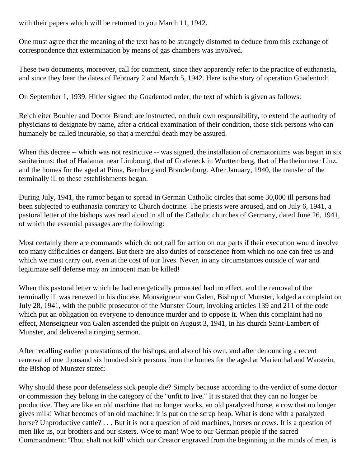with their papers which will be returned to you March 11, 1942.

One must agree that the meaning of the text has to be strangely distorted to deduce from this exchange of correspondence that extermination by means of gas chambers was involved.

These two documents, moreover, call for comment, since they apparently refer to the practice of euthanasia, and since they bear the dates of February 2 and March 5, 1942. Here is the story of operation Gnadentod:

On September 1, 1939, Hitler signed the Gnadentod order, the text of which is given as follows:

Reichleiter Bouhler and Doctor Brandt are instructed, on their own responsibility, to extend the authority of physicians to designate by name, after a critical examination of their condition, those sick persons who can humanely be called incurable, so that a merciful death may be assured.

When this decree -- which was not restrictive -- was signed, the installation of crematoriums was begun in six sanitariums: that of Hadamar near Limbourg, that of Grafeneck in Wurttemberg, that of Hartheim near Linz, and the homes for the aged at Pirna, Bernberg and Brandenburg. After January, 1940, the transfer of the terminally ill to these establishments began.

During July, 1941, the rumor began to spread in German Catholic circles that some 30,000 ill persons had been subjected to euthanasia contrary to Church doctrine. The priests were aroused, and on July 6, 1941, a pastoral letter of the bishops was read aloud in all of the Catholic churches of Germany, dated June 26, 1941, of which the essential passages are the following:

Most certainly there are commands which do not call for action on our parts if their execution would involve too many difficulties or dangers. But there are also duties of conscience from which no one can free us and which we must carry out, even at the cost of our lives. Never, in any circumstances outside of war and legitimate self defense may an innocent man be killed!

When this pastoral letter which he had energetically promoted had no effect, and the removal of the terminally ill was renewed in his diocese, Monseigneur von Galen, Bishop of Munster, lodged a complaint on July 28, 1941, with the public prosecutor of the Munster Court, invoking articles 139 and 211 of the code which put an obligation on everyone to denounce murder and to oppose it. When this complaint had no effect, Monseigneur von Galen ascended the pulpit on August 3, 1941, in his church Saint-Lambert of Munster, and delivered a ringing sermon.

After recalling earlier protestations of the bishops, and also of his own, and after denouncing a recent removal of one thousand six hundred sick persons from the homes for the aged at Marienthal and Warstein, the Bishop of Munster stated:

Why should these poor defenseless sick people die? Simply because according to the verdict of some doctor or commission they belong in the category of the "unfit to live." It is stated that they can no longer be productive. They are like an old machine that no longer works, an old paralyzed horse, a cow that no longer gives milk! What becomes of an old machine: it is put on the scrap heap. What is done with a paralyzed horse? Unproductive cattle? . . . But it is not a question of old machines, horses or cows. It is a question of men like us, our brothers and our sisters. Woe to man! Woe to our German people if the sacred Commandment: 'Thou shalt not kill' which our Creator engraved from the beginning in the minds of men, is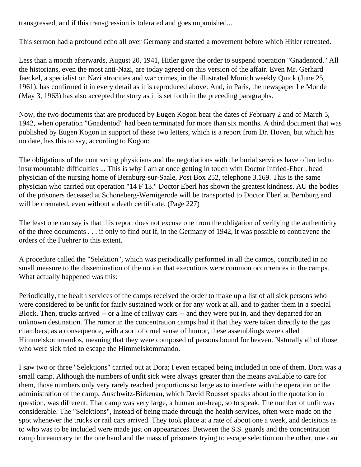transgressed, and if this transgression is tolerated and goes unpunished...

This sermon had a profound echo all over Germany and started a movement before which Hitler retreated.

Less than a month afterwards, August 20, 1941, Hitler gave the order to suspend operation "Gnadentod." All the historians, even the most anti-Nazi, are today agreed on this version of the affair. Even Mr. Gerhard Jaeckel, a specialist on Nazi atrocities and war crimes, in the illustrated Munich weekly Quick (June 25, 1961), has confirmed it in every detail as it is reproduced above. And, in Paris, the newspaper Le Monde (May 3, 1963) has also accepted the story as it is set forth in the preceding paragraphs.

Now, the two documents that are produced by Eugen Kogon bear the dates of February 2 and of March 5, 1942, when operation "Gnadentod" had been terminated for more than six months. A third document that was published by Eugen Kogon in support of these two letters, which is a report from Dr. Hoven, but which has no date, has this to say, according to Kogon:

The obligations of the contracting physicians and the negotiations with the burial services have often led to insurmountable difficulties ... This is why I am at once getting in touch with Doctor Infried-Eberl, head physician of the nursing home of Bernburg-sur-Saale, Post Box 252, telephone 3.169. This is the same physician who carried out operation "14 F 13." Doctor Eberl has shown the greatest kindness. AU the bodies of the prisoners deceased at Schoneberg-Wernigerode will be transported to Doctor Eberl at Bernburg and will be cremated, even without a death certificate. (Page 227)

The least one can say is that this report does not excuse one from the obligation of verifying the authenticity of the three documents . . . if only to find out if, in the Germany of 1942, it was possible to contravene the orders of the Fuehrer to this extent.

A procedure called the "Selektion", which was periodically performed in all the camps, contributed in no small measure to the dissemination of the notion that executions were common occurrences in the camps. What actually happened was this:

Periodically, the health services of the camps received the order to make up a list of all sick persons who were considered to be unfit for fairly sustained work or for any work at all, and to gather them in a special Block. Then, trucks arrived -- or a line of railway cars -- and they were put in, and they departed for an unknown destination. The rumor in the concentration camps had it that they were taken directly to the gas chambers; as a consequence, with a sort of cruel sense of humor, these assemblings were called Himmelskommandos, meaning that they were composed of persons bound for heaven. Naturally all of those who were sick tried to escape the Himmelskommando.

I saw two or three "Selektions" carried out at Dora; I even escaped being included in one of them. Dora was a small camp. Although the numbers of unfit sick were always greater than the means available to care for them, those numbers only very rarely reached proportions so large as to interfere with the operation or the administration of the camp. Auschwitz-Birkenau, which David Rousset speaks about in the quotation in question, was different. That camp was very large, a human ant-heap, so to speak. The number of unfit was considerable. The "Selektions", instead of being made through the health services, often were made on the spot whenever the trucks or rail cars arrived. They took place at a rate of about one a week, and decisions as to who was to be included were made just on appearances. Between the S.S. guards and the concentration camp bureaucracy on the one hand and the mass of prisoners trying to escape selection on the other, one can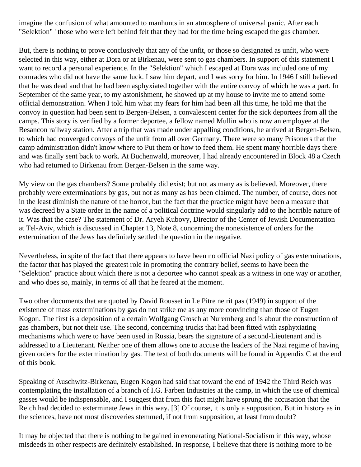imagine the confusion of what amounted to manhunts in an atmosphere of universal panic. After each "Selektion" ' those who were left behind felt that they had for the time being escaped the gas chamber.

But, there is nothing to prove conclusively that any of the unfit, or those so designated as unfit, who were selected in this way, either at Dora or at Birkenau, were sent to gas chambers. In support of this statement I want to record a personal experience. In the "Selektion" which I escaped at Dora was included one of my comrades who did not have the same luck. I saw him depart, and I was sorry for him. In 1946 I still believed that he was dead and that he had been asphyxiated together with the entire convoy of which he was a part. In September of the same year, to my astonishment, he showed up at my house to invite me to attend some official demonstration. When I told him what my fears for him had been all this time, he told me that the convoy in question had been sent to Bergen-Belsen, a convalescent center for the sick deportees from all the camps. This story is verified by a former deportee, a fellow named Mullin who is now an employee at the Besancon railway station. After a trip that was made under appalling conditions, he arrived at Bergen-Belsen, to which had converged convoys of the unfit from all over Germany. There were so many Prisoners that the camp administration didn't know where to Put them or how to feed them. He spent many horrible days there and was finally sent back to work. At Buchenwald, moreover, I had already encountered in Block 48 a Czech who had returned to Birkenau from Bergen-Belsen in the same way.

My view on the gas chambers? Some probably did exist; but not as many as is believed. Moreover, there probably were exterminations by gas, but not as many as has been claimed. The number, of course, does not in the least diminish the nature of the horror, but the fact that the practice might have been a measure that was decreed by a State order in the name of a political doctrine would singularly add to the horrible nature of it. Was that the case? The statement of Dr. Aryeh Kubovy, Director of the Center of Jewish Documentation at Tel-Aviv, which is discussed in Chapter 13, Note 8, concerning the nonexistence of orders for the extermination of the Jews has definitely settled the question in the negative.

Nevertheless, in spite of the fact that there appears to have been no official Nazi policy of gas exterminations, the factor that has played the greatest role in promoting the contrary belief, seems to have been the "Selektion" practice about which there is not a deportee who cannot speak as a witness in one way or another, and who does so, mainly, in terms of all that he feared at the moment.

Two other documents that are quoted by David Rousset in Le Pitre ne rit pas (1949) in support of the existence of mass exterminations by gas do not strike me as any more convincing than those of Eugen Kogon. The first is a deposition of a certain Wolfgang Grosch at Nuremberg and is about the construction of gas chambers, but not their use. The second, concerning trucks that had been fitted with asphyxiating mechanisms which were to have been used in Russia, bears the signature of a second-Lieutenant and is addressed to a Lieutenant. Neither one of them allows one to accuse the leaders of the Nazi regime of having given orders for the extermination by gas. The text of both documents will be found in Appendix C at the end of this book.

Speaking of Auschwitz-Birkenau, Eugen Kogon had said that toward the end of 1942 the Third Reich was contemplating the installation of a branch of I.G. Farben Industries at the camp, in which the use of chemical gasses would be indispensable, and I suggest that from this fact might have sprung the accusation that the Reich had decided to exterminate Jews in this way. [3] Of course, it is only a supposition. But in history as in the sciences, have not most discoveries stemmed, if not from supposition, at least from doubt?

It may be objected that there is nothing to be gained in exonerating National-Socialism in this way, whose misdeeds in other respects are definitely established. In response, I believe that there is nothing more to be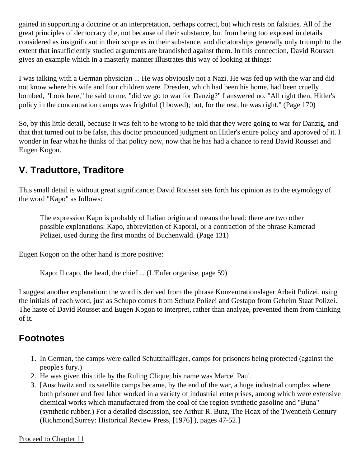gained in supporting a doctrine or an interpretation, perhaps correct, but which rests on falsities. All of the great principles of democracy die, not because of their substance, but from being too exposed in details considered as insignificant in their scope as in their substance, and dictatorships generally only triumph to the extent that insufficiently studied arguments are brandished against them. In this connection, David Rousset gives an example which in a masterly manner illustrates this way of looking at things:

I was talking with a German physician ... He was obviously not a Nazi. He was fed up with the war and did not know where his wife and four children were. Dresden, which had been his home, had been cruelly bombed, "Look here," he said to me, "did we go to war for Danzig?" I answered no. "All right then, Hitler's policy in the concentration camps was frightful (I bowed); but, for the rest, he was right." (Page 170)

So, by this little detail, because it was felt to be wrong to be told that they were going to war for Danzig, and that that turned out to be false, this doctor pronounced judgment on Hitler's entire policy and approved of it. I wonder in fear what he thinks of that policy now, now that he has had a chance to read David Rousset and Eugen Kogon.

## **V. Traduttore, Traditore**

This small detail is without great significance; David Rousset sets forth his opinion as to the etymology of the word "Kapo" as follows:

The expression Kapo is probably of Italian origin and means the head: there are two other possible explanations: Kapo, abbreviation of Kaporal, or a contraction of the phrase Kamerad Polizei, used during the first months of Buchenwald. (Page 131)

Eugen Kogon on the other hand is more positive:

Kapo: Il capo, the head, the chief ... (L'Enfer organise, page 59)

I suggest another explanation: the word is derived from the phrase Konzentrationslager Arbeit Polizei, using the initials of each word, just as Schupo comes from Schutz Polizei and Gestapo from Geheim Staat Polizei. The haste of David Rousset and Eugen Kogon to interpret, rather than analyze, prevented them from thinking of it.

## **Footnotes**

- 1. In German, the camps were called Schutzhalflager, camps for prisoners being protected (against the people's fury.)
- 2. He was given this title by the Ruling Clique; his name was Marcel Paul.
- 3. [Auschwitz and its satellite camps became, by the end of the war, a huge industrial complex where both prisoner and free labor worked in a variety of industrial enterprises, among which were extensive chemical works which manufactured from the coal of the region synthetic gasoline and "Buna" (synthetic rubber.) For a detailed discussion, see Arthur R. Butz, The Hoax of the Twentieth Century (Richmond,Surrey: Historical Review Press, [1976] ), pages 47-52.]

### [Proceed to Chapter 11](#page-104-0)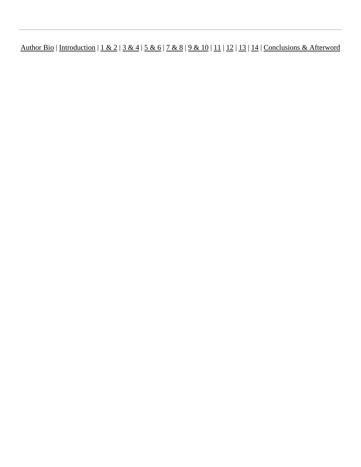[Author Bio](#page-0-0) | [Introduction](#page-0-0) | [1 & 2](#page-9-0) | [3 & 4](#page-32-0) | [5 & 6](#page-55-0) | [7 & 8](#page-67-0) | [9 & 10](#page-83-0) | [11](#page-104-0) | [12](#page-130-0) | [13](#page-139-0) | [14](#page-176-0) | [Conclusions & Afterword](#page-234-0)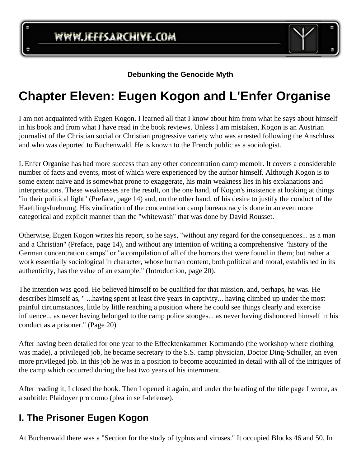

### **Debunking the Genocide Myth**

# <span id="page-104-0"></span>**Chapter Eleven: Eugen Kogon and L'Enfer Organise**

I am not acquainted with Eugen Kogon. I learned all that I know about him from what he says about himself in his book and from what I have read in the book reviews. Unless I am mistaken, Kogon is an Austrian journalist of the Christian social or Christian progressive variety who was arrested following the Anschluss and who was deported to Buchenwald. He is known to the French public as a sociologist.

L'Enfer Organise has had more success than any other concentration camp memoir. It covers a considerable number of facts and events, most of which were experienced by the author himself. Although Kogon is to some extent naive and is somewhat prone to exaggerate, his main weakness lies in his explanations and interpretations. These weaknesses are the result, on the one hand, of Kogon's insistence at looking at things "in their political light" (Preface, page 14) and, on the other hand, of his desire to justify the conduct of the Haeftlingsfuehrung. His vindication of the concentration camp bureaucracy is done in an even more categorical and explicit manner than the "whitewash" that was done by David Rousset.

Otherwise, Eugen Kogon writes his report, so he says, "without any regard for the consequences... as a man and a Christian" (Preface, page 14), and without any intention of writing a comprehensive "history of the German concentration camps" or "a compilation of all of the horrors that were found in them; but rather a work essentially sociological in character, whose human content, both political and moral, established in its authenticity, has the value of an example." (Introduction, page 20).

The intention was good. He believed himself to be qualified for that mission, and, perhaps, he was. He describes himself as, " ...having spent at least five years in captivity... having climbed up under the most painful circumstances, little by little reaching a position where he could see things clearly and exercise influence... as never having belonged to the camp police stooges... as never having dishonored himself in his conduct as a prisoner." (Page 20)

After having been detailed for one year to the Effecktenkammer Kommando (the workshop where clothing was made), a privileged job, he became secretary to the S.S. camp physician, Doctor Ding-Schuller, an even more privileged job. In this job he was in a position to become acquainted in detail with all of the intrigues of the camp which occurred during the last two years of his internment.

After reading it, I closed the book. Then I opened it again, and under the heading of the title page I wrote, as a subtitle: Plaidoyer pro domo (plea in self-defense).

# **I. The Prisoner Eugen Kogon**

At Buchenwald there was a "Section for the study of typhus and viruses." It occupied Blocks 46 and 50. In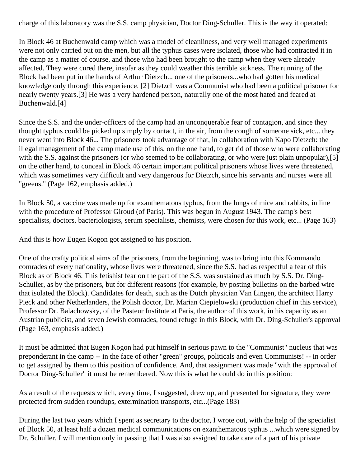charge of this laboratory was the S.S. camp physician, Doctor Ding-Schuller. This is the way it operated:

In Block 46 at Buchenwald camp which was a model of cleanliness, and very well managed experiments were not only carried out on the men, but all the typhus cases were isolated, those who had contracted it in the camp as a matter of course, and those who had been brought to the camp when they were already affected. They were cured there, insofar as they could weather this terrible sickness. The running of the Block had been put in the hands of Arthur Dietzch... one of the prisoners...who had gotten his medical knowledge only through this experience. [2] Dietzch was a Communist who had been a political prisoner for nearly twenty years.[3] He was a very hardened person, naturally one of the most hated and feared at Buchenwald.[4]

Since the S.S. and the under-officers of the camp had an unconquerable fear of contagion, and since they thought typhus could be picked up simply by contact, in the air, from the cough of someone sick, etc... they never went into Block 46... The prisoners took advantage of that, in collaboration with Kapo Dietzch: the illegal management of the camp made use of this, on the one hand, to get rid of those who were collaborating with the S.S. against the prisoners (or who seemed to be collaborating, or who were just plain unpopular),[5] on the other hand, to conceal in Block 46 certain important political prisoners whose lives were threatened, which was sometimes very difficult and very dangerous for Dietzch, since his servants and nurses were all "greens." (Page 162, emphasis added.)

In Block 50, a vaccine was made up for exanthematous typhus, from the lungs of mice and rabbits, in line with the procedure of Professor Giroud (of Paris). This was begun in August 1943. The camp's best specialists, doctors, bacteriologists, serum specialists, chemists, were chosen for this work, etc... (Page 163)

And this is how Eugen Kogon got assigned to his position.

One of the crafty political aims of the prisoners, from the beginning, was to bring into this Kommando comrades of every nationality, whose lives were threatened, since the S.S. had as respectful a fear of this Block as of Block 46. This fetishist fear on the part of the S.S. was sustained as much by S.S. Dr. Ding-Schuller, as by the prisoners, but for different reasons (for example, by posting bulletins on the barbed wire that isolated the Block). Candidates for death, such as the Dutch physician Van Lingen, the architect Harry Pieck and other Netherlanders, the Polish doctor, Dr. Marian Ciepielowski (production chief in this service), Professor Dr. Balachowsky, of the Pasteur Institute at Paris, the author of this work, in his capacity as an Austrian publicist, and seven Jewish comrades, found refuge in this Block, with Dr. Ding-Schuller's approval (Page 163, emphasis added.)

It must be admitted that Eugen Kogon had put himself in serious pawn to the "Communist" nucleus that was preponderant in the camp -- in the face of other "green" groups, politicals and even Communists! -- in order to get assigned by them to this position of confidence. And, that assignment was made "with the approval of Doctor Ding-Schuller" it must be remembered. Now this is what he could do in this position:

As a result of the requests which, every time, I suggested, drew up, and presented for signature, they were protected from sudden roundups, extermination transports, etc...(Page 183)

During the last two years which I spent as secretary to the doctor, I wrote out, with the help of the specialist of Block 50, at least half a dozen medical communications on exanthematous typhus ...which were signed by Dr. Schuller. I will mention only in passing that I was also assigned to take care of a part of his private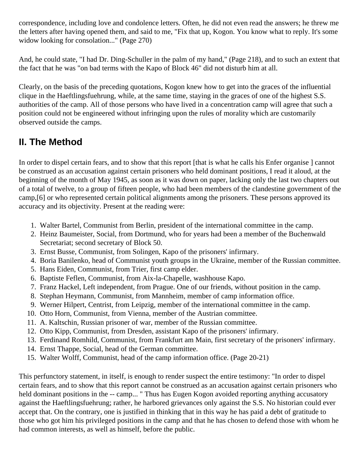correspondence, including love and condolence letters. Often, he did not even read the answers; he threw me the letters after having opened them, and said to me, "Fix that up, Kogon. You know what to reply. It's some widow looking for consolation..." (Page 270)

And, he could state, "I had Dr. Ding-Schuller in the palm of my hand," (Page 218), and to such an extent that the fact that he was "on bad terms with the Kapo of Block 46" did not disturb him at all.

Clearly, on the basis of the preceding quotations, Kogon knew how to get into the graces of the influential clique in the Haeftlingsfuehrung, while, at the same time, staying in the graces of one of the highest S.S. authorities of the camp. All of those persons who have lived in a concentration camp will agree that such a position could not be engineered without infringing upon the rules of morality which are customarily observed outside the camps.

## **II. The Method**

In order to dispel certain fears, and to show that this report [that is what he calls his Enfer organise] cannot be construed as an accusation against certain prisoners who held dominant positions, I read it aloud, at the beginning of the month of May 1945, as soon as it was down on paper, lacking only the last two chapters out of a total of twelve, to a group of fifteen people, who had been members of the clandestine government of the camp,[6] or who represented certain political alignments among the prisoners. These persons approved its accuracy and its objectivity. Present at the reading were:

- 1. Walter Bartel, Communist from Berlin, president of the international committee in the camp.
- 2. Heinz Baumeister, Social, from Dortmund, who for years had been a member of the Buchenwald Secretariat; second secretary of Block 50.
- 3. Ernst Busse, Communist, from Solingen, Kapo of the prisoners' infirmary.
- 4. Boria Banilenko, head of Communist youth groups in the Ukraine, member of the Russian committee.
- 5. Hans Eiden, Communist, from Trier, first camp elder.
- 6. Baptiste Feflen, Communist, from Aix-la-Chapelle, washhouse Kapo.
- 7. Franz Hackel, Left independent, from Prague. One of our friends, without position in the camp.
- 8. Stephan Heymann, Communist, from Mannheim, member of camp information office.
- 9. Werner Hilpert, Centrist, from Leipzig, member of the international committee in the camp.
- 10. Otto Horn, Communist, from Vienna, member of the Austrian committee.
- 11. A. Kaltschin, Russian prisoner of war, member of the Russian committee.
- 12. Otto Kipp, Communist, from Dresden, assistant Kapo of the prisoners' infirmary.
- 13. Ferdinand Romhild, Communist, from Frankfurt am Main, first secretary of the prisoners' infirmary.
- 14. Ernst Thappe, Social, head of the German committee.
- 15. Walter Wolff, Communist, head of the camp information office. (Page 20-21)

This perfunctory statement, in itself, is enough to render suspect the entire testimony: "In order to dispel certain fears, and to show that this report cannot be construed as an accusation against certain prisoners who held dominant positions in the -- camp... " Thus has Eugen Kogon avoided reporting anything accusatory against the Haeftlingsfuehrung; rather, he harbored grievances only against the S.S. No historian could ever accept that. On the contrary, one is justified in thinking that in this way he has paid a debt of gratitude to those who got him his privileged positions in the camp and that he has chosen to defend those with whom he had common interests, as well as himself, before the public.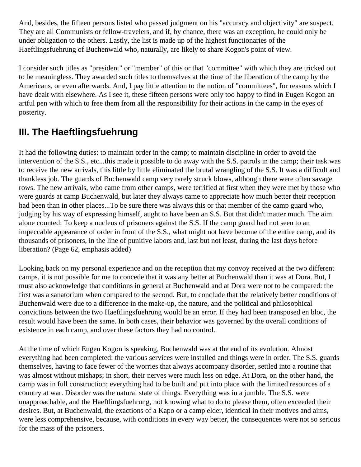And, besides, the fifteen persons listed who passed judgment on his "accuracy and objectivity" are suspect. They are all Communists or fellow-travelers, and if, by chance, there was an exception, he could only be under obligation to the others. Lastly, the list is made up of the highest functionaries of the Haeftlingsfuehrung of Buchenwald who, naturally, are likely to share Kogon's point of view.

I consider such titles as "president" or "member" of this or that "committee" with which they are tricked out to be meaningless. They awarded such titles to themselves at the time of the liberation of the camp by the Americans, or even afterwards. And, I pay little attention to the notion of "committees", for reasons which I have dealt with elsewhere. As I see it, these fifteen persons were only too happy to find in Eugen Kogon an artful pen with which to free them from all the responsibility for their actions in the camp in the eyes of posterity.

# **III. The Haeftlingsfuehrung**

It had the following duties: to maintain order in the camp; to maintain discipline in order to avoid the intervention of the S.S., etc...this made it possible to do away with the S.S. patrols in the camp; their task was to receive the new arrivals, this little by little eliminated the brutal wrangling of the S.S. It was a difficult and thankless job. The guards of Buchenwald camp very rarely struck blows, although there were often savage rows. The new arrivals, who came from other camps, were terrified at first when they were met by those who were guards at camp Buchenwald, but later they always came to appreciate how much better their reception had been than in other places...To be sure there was always this or that member of the camp guard who, judging by his way of expressing himself, aught to have been an S.S. But that didn't matter much. The aim alone counted: To keep a nucleus of prisoners against the S.S. If the camp guard had not seen to an impeccable appearance of order in front of the S.S., what might not have become of the entire camp, and its thousands of prisoners, in the line of punitive labors and, last but not least, during the last days before liberation? (Page 62, emphasis added)

Looking back on my personal experience and on the reception that my convoy received at the two different camps, it is not possible for me to concede that it was any better at Buchenwald than it was at Dora. But, I must also acknowledge that conditions in general at Buchenwald and at Dora were not to be compared: the first was a sanatorium when compared to the second. But, to conclude that the relatively better conditions of Buchenwald were due to a difference in the make-up, the nature, and the political and philosophical convictions between the two Haeftlingsfuehrung would be an error. If they had been transposed en bloc, the result would have been the same. In both cases, their behavior was governed by the overall conditions of existence in each camp, and over these factors they had no control.

At the time of which Eugen Kogon is speaking, Buchenwald was at the end of its evolution. Almost everything had been completed: the various services were installed and things were in order. The S.S. guards themselves, having to face fewer of the worries that always accompany disorder, settled into a routine that was almost without mishaps; in short, their nerves were much less on edge. At Dora, on the other hand, the camp was in full construction; everything had to be built and put into place with the limited resources of a country at war. Disorder was the natural state of things. Everything was in a jumble. The S.S. were unapproachable, and the Haeftlingsfuehrung, not knowing what to do to please them, often exceeded their desires. But, at Buchenwald, the exactions of a Kapo or a camp elder, identical in their motives and aims, were less comprehensive, because, with conditions in every way better, the consequences were not so serious for the mass of the prisoners.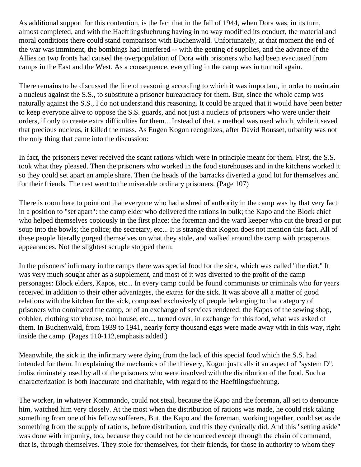As additional support for this contention, is the fact that in the fall of 1944, when Dora was, in its turn, almost completed, and with the Haeftlingsfuehrung having in no way modified its conduct, the material and moral conditions there could stand comparison with Buchenwald. Unfortunately, at that moment the end of the war was imminent, the bombings had interfered -- with the getting of supplies, and the advance of the Allies on two fronts had caused the overpopulation of Dora with prisoners who had been evacuated from camps in the East and the West. As a consequence, everything in the camp was in turmoil again.

There remains to be discussed the line of reasoning according to which it was important, in order to maintain a nucleus against the S.S., to substitute a prisoner bureaucracy for them. But, since the whole camp was naturally against the S.S., I do not understand this reasoning. It could be argued that it would have been better to keep everyone alive to oppose the S.S. guards, and not just a nucleus of prisoners who were under their orders, if only to create extra difficulties for them... Instead of that, a method was used which, while it saved that precious nucleus, it killed the mass. As Eugen Kogon recognizes, after David Rousset, urbanity was not the only thing that came into the discussion:

In fact, the prisoners never received the scant rations which were in principle meant for them. First, the S.S. took what they pleased. Then the prisoners who worked in the food storehouses and in the kitchens worked it so they could set apart an ample share. Then the heads of the barracks diverted a good lot for themselves and for their friends. The rest went to the miserable ordinary prisoners. (Page 107)

There is room here to point out that everyone who had a shred of authority in the camp was by that very fact in a position to "set apart": the camp elder who delivered the rations in bulk; the Kapo and the Block chief who helped themselves copiously in the first place; the foreman and the ward keeper who cut the bread or put soup into the bowls; the police; the secretary, etc... It is strange that Kogon does not mention this fact. All of these people literally gorged themselves on what they stole, and walked around the camp with prosperous appearances. Not the slightest scruple stopped them:

In the prisoners' infirmary in the camps there was special food for the sick, which was called "the diet." It was very much sought after as a supplement, and most of it was diverted to the profit of the camp personages: Block elders, Kapos, etc... In every camp could be found communists or criminals who for years received in addition to their other advantages, the extras for the sick. It was above all a matter of good relations with the kitchen for the sick, composed exclusively of people belonging to that category of prisoners who dominated the camp, or of an exchange of services rendered: the Kapos of the sewing shop, cobbler, clothing storehouse, tool house, etc..., turned over, in exchange for this food, what was asked of them. In Buchenwald, from 1939 to 1941, nearly forty thousand eggs were made away with in this way, right inside the camp. (Pages 110-112,emphasis added.)

Meanwhile, the sick in the infirmary were dying from the lack of this special food which the S.S. had intended for them. In explaining the mechanics of the thievery, Kogon just calls it an aspect of "system D", indiscriminately used by all of the prisoners who were involved with the distribution of the food. Such a characterization is both inaccurate and charitable, with regard to the Haeftlingsfuehrung.

The worker, in whatever Kommando, could not steal, because the Kapo and the foreman, all set to denounce him, watched him very closely. At the most when the distribution of rations was made, he could risk taking something from one of his fellow sufferers. But, the Kapo and the foreman, working together, could set aside something from the supply of rations, before distribution, and this they cynically did. And this "setting aside" was done with impunity, too, because they could not be denounced except through the chain of command, that is, through themselves. They stole for themselves, for their friends, for those in authority to whom they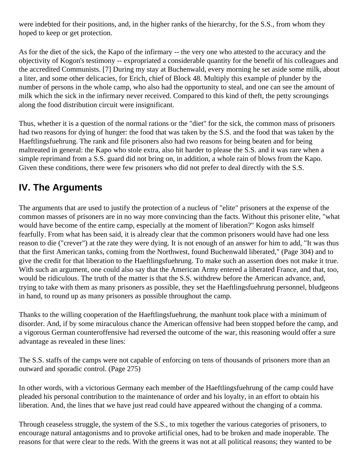were indebted for their positions, and, in the higher ranks of the hierarchy, for the S.S., from whom they hoped to keep or get protection.

As for the diet of the sick, the Kapo of the infirmary -- the very one who attested to the accuracy and the objectivity of Kogon's testimony -- expropriated a considerable quantity for the benefit of his colleagues and the accredited Communists. [7] During my stay at Buchenwald, every morning he set aside some milk, about a liter, and some other delicacies, for Erich, chief of Block 48. Multiply this example of plunder by the number of persons in the whole camp, who also had the opportunity to steal, and one can see the amount of milk which the sick in the infirmary never received. Compared to this kind of theft, the petty scroungings along the food distribution circuit were insignificant.

Thus, whether it is a question of the normal rations or the "diet" for the sick, the common mass of prisoners had two reasons for dying of hunger: the food that was taken by the S.S. and the food that was taken by the Haeftlingsfuehrung. The rank and file prisoners also had two reasons for being beaten and for being maltreated in general: the Kapo who stole extra, also hit harder to please the S.S. and it was rare when a simple reprimand from a S.S. guard did not bring on, in addition, a whole rain of blows from the Kapo. Given these conditions, there were few prisoners who did not prefer to deal directly with the S.S.

#### **IV. The Arguments**

The arguments that are used to justify the protection of a nucleus of "elite" prisoners at the expense of the common masses of prisoners are in no way more convincing than the facts. Without this prisoner elite, "what would have become of the entire camp, especially at the moment of liberation?" Kogon asks himself fearfully. From what has been said, it is already clear that the common prisoners would have had one less reason to die ("crever") at the rate they were dying. It is not enough of an answer for him to add, "It was thus that the first American tanks, coming from the Northwest, found Buchenwald liberated," (Page 304) and to give the credit for that liberation to the Haeftlingsfuehrung. To make such an assertion does not make it true. With such an argument, one could also say that the American Army entered a liberated France, and that, too, would be ridiculous. The truth of the matter is that the S.S. withdrew before the American advance, and, trying to take with them as many prisoners as possible, they set the Haeftlingsfuehrung personnel, bludgeons in hand, to round up as many prisoners as possible throughout the camp.

Thanks to the willing cooperation of the Haeftlingsfuehrung, the manhunt took place with a minimum of disorder. And, if by some miraculous chance the American offensive had been stopped before the camp, and a vigorous German counteroffensive had reversed the outcome of the war, this reasoning would offer a sure advantage as revealed in these lines:

The S.S. staffs of the camps were not capable of enforcing on tens of thousands of prisoners more than an outward and sporadic control. (Page 275)

In other words, with a victorious Germany each member of the Haeftlingsfuehrung of the camp could have pleaded his personal contribution to the maintenance of order and his loyalty, in an effort to obtain his liberation. And, the lines that we have just read could have appeared without the changing of a comma.

Through ceaseless struggle, the system of the S.S., to mix together the various categories of prisoners, to encourage natural antagonisms and to provoke artificial ones, had to be broken and made inoperable. The reasons for that were clear to the reds. With the greens it was not at all political reasons; they wanted to be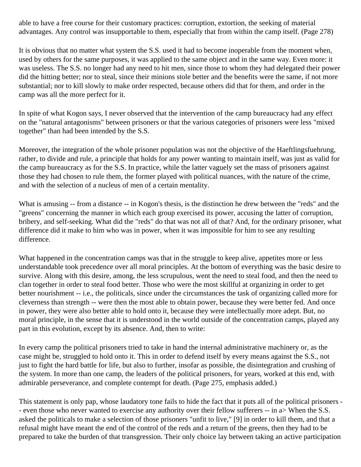able to have a free course for their customary practices: corruption, extortion, the seeking of material advantages. Any control was insupportable to them, especially that from within the camp itself. (Page 278)

It is obvious that no matter what system the S.S. used it had to become inoperable from the moment when, used by others for the same purposes, it was applied to the same object and in the same way. Even more: it was useless. The S.S. no longer had any need to hit men, since those to whom they had delegated their power did the hitting better; nor to steal, since their minions stole better and the benefits were the same, if not more substantial; nor to kill slowly to make order respected, because others did that for them, and order in the camp was all the more perfect for it.

In spite of what Kogon says, I never observed that the intervention of the camp bureaucracy had any effect on the "natural antagonisms" between prisoners or that the various categories of prisoners were less "mixed together" than had been intended by the S.S.

Moreover, the integration of the whole prisoner population was not the objective of the Haeftlingsfuehrung, rather, to divide and rule, a principle that holds for any power wanting to maintain itself, was just as valid for the camp bureaucracy as for the S.S. In practice, while the latter vaguely set the mass of prisoners against those they had chosen to rule them, the former played with political nuances, with the nature of the crime, and with the selection of a nucleus of men of a certain mentality.

What is amusing -- from a distance -- in Kogon's thesis, is the distinction he drew between the "reds" and the "greens" concerning the manner in which each group exercised its power, accusing the latter of corruption, bribery, and self-seeking. What did the "reds" do that was not all of that? And, for the ordinary prisoner, what difference did it make to him who was in power, when it was impossible for him to see any resulting difference.

What happened in the concentration camps was that in the struggle to keep alive, appetites more or less understandable took precedence over all moral principles. At the bottom of everything was the basic desire to survive. Along with this desire, among, the less scrupulous, went the need to steal food, and then the need to clan together in order to steal food better. Those who were the most skillful at organizing in order to get better nourishment -- i.e., the politicals, since under the circumstances the task of organizing called more for cleverness than strength -- were then the most able to obtain power, because they were better fed. And once in power, they were also better able to hold onto it, because they were intellectually more adept. But, no moral principle, in the sense that it is understood in the world outside of the concentration camps, played any part in this evolution, except by its absence. And, then to write:

In every camp the political prisoners tried to take in hand the internal administrative machinery or, as the case might be, struggled to hold onto it. This in order to defend itself by every means against the S.S., not just to fight the hard battle for life, but also to further, insofar as possible, the disintegration and crushing of the system. In more than one camp, the leaders of the political prisoners, for years, worked at this end, with admirable perseverance, and complete contempt for death. (Page 275, emphasis added.)

This statement is only pap, whose laudatory tone fails to hide the fact that it puts all of the political prisoners - - even those who never wanted to exercise any authority over their fellow sufferers -- in a> When the S.S. asked the politicals to make a selection of those prisoners "unfit to live," [9] in order to kill them, and that a refusal might have meant the end of the control of the reds and a return of the greens, then they had to be prepared to take the burden of that transgression. Their only choice lay between taking an active participation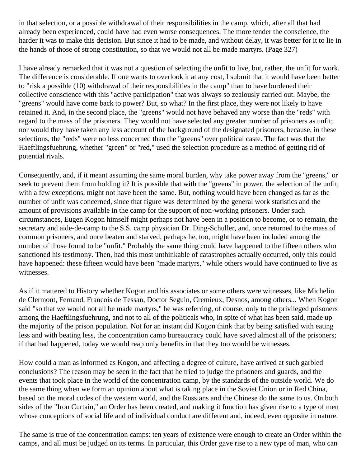in that selection, or a possible withdrawal of their responsibilities in the camp, which, after all that had already been experienced, could have had even worse consequences. The more tender the conscience, the harder it was to make this decision. But since it had to be made, and without delay, it was better for it to lie in the hands of those of strong constitution, so that we would not all be made martyrs. (Page 327)

I have already remarked that it was not a question of selecting the unfit to live, but, rather, the unfit for work. The difference is considerable. If one wants to overlook it at any cost, I submit that it would have been better to "risk a possible (10) withdrawal of their responsibilities in the camp" than to have burdened their collective conscience with this "active participation" that was always so zealously carried out. Maybe, the "greens" would have come back to power? But, so what? In the first place, they were not likely to have retained it. And, in the second place, the "greens" would not have behaved any worse than the "reds" with regard to the mass of the prisoners. They would not have selected any greater number of prisoners as unfit; nor would they have taken any less account of the background of the designated prisoners, because, in these selections, the "reds" were no less concerned than the "greens" over political caste. The fact was that the Haeftlingsfuehrung, whether "green" or "red," used the selection procedure as a method of getting rid of potential rivals.

Consequently, and, if it meant assuming the same moral burden, why take power away from the "greens," or seek to prevent them from holding it? It is possible that with the "greens" in power, the selection of the unfit, with a few exceptions, might not have been the same. But, nothing would have been changed as far as the number of unfit was concerned, since that figure was determined by the general work statistics and the amount of provisions available in the camp for the support of non-working prisoners. Under such circumstances, Eugen Kogon himself might perhaps not have been in a position to become, or to remain, the secretary and aide-de-camp to the S.S. camp physician Dr. Ding-Schuller, and, once returned to the mass of common prisoners, and once beaten and starved, perhaps he, too, might have been included among the number of those found to be "unfit." Probably the same thing could have happened to the fifteen others who sanctioned his testimony. Then, had this most unthinkable of catastrophes actually occurred, only this could have happened: these fifteen would have been "made martyrs," while others would have continued to live as witnesses.

As if it mattered to History whether Kogon and his associates or some others were witnesses, like Michelin de Clermont, Fernand, Francois de Tessan, Doctor Seguin, Cremieux, Desnos, among others... When Kogon said "so that we would not all be made martyrs," he was referring, of course, only to the privileged prisoners among the Haeftlingsfuehrung, and not to all of the politicals who, in spite of what has been said, made up the majority of the prison population. Not for an instant did Kogon think that by being satisfied with eating less and with beating less, the concentration camp bureaucracy could have saved almost all of the prisoners; if that had happened, today we would reap only benefits in that they too would be witnesses.

How could a man as informed as Kogon, and affecting a degree of culture, have arrived at such garbled conclusions? The reason may be seen in the fact that he tried to judge the prisoners and guards, and the events that took place in the world of the concentration camp, by the standards of the outside world. We do the same thing when we form an opinion about what is taking place in the Soviet Union or in Red China, based on the moral codes of the western world, and the Russians and the Chinese do the same to us. On both sides of the "Iron Curtain," an Order has been created, and making it function has given rise to a type of men whose conceptions of social life and of individual conduct are different and, indeed, even opposite in nature.

The same is true of the concentration camps: ten years of existence were enough to create an Order within the camps, and all must be judged on its terms. In particular, this Order gave rise to a new type of man, who can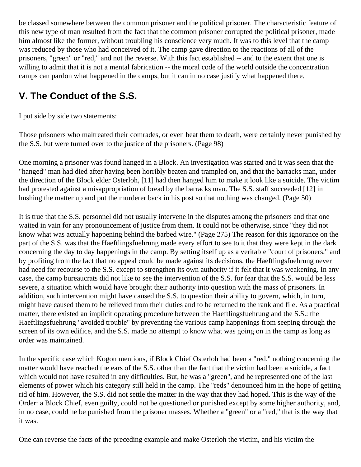be classed somewhere between the common prisoner and the political prisoner. The characteristic feature of this new type of man resulted from the fact that the common prisoner corrupted the political prisoner, made him almost like the former, without troubling his conscience very much. It was to this level that the camp was reduced by those who had conceived of it. The camp gave direction to the reactions of all of the prisoners, "green" or "red," and not the reverse. With this fact established -- and to the extent that one is willing to admit that it is not a mental fabrication -- the moral code of the world outside the concentration camps can pardon what happened in the camps, but it can in no case justify what happened there.

## **V. The Conduct of the S.S.**

I put side by side two statements:

Those prisoners who maltreated their comrades, or even beat them to death, were certainly never punished by the S.S. but were turned over to the justice of the prisoners. (Page 98)

One morning a prisoner was found hanged in a Block. An investigation was started and it was seen that the "hanged" man had died after having been horribly beaten and trampled on, and that the barracks man, under the direction of the Block elder Osterloh, [11] had then hanged him to make it look like a suicide. The victim had protested against a misappropriation of bread by the barracks man. The S.S. staff succeeded [12] in hushing the matter up and put the murderer back in his post so that nothing was changed. (Page 50)

It is true that the S.S. personnel did not usually intervene in the disputes among the prisoners and that one waited in vain for any pronouncement of justice from them. It could not be otherwise, since "they did not know what was actually happening behind the barbed wire." (Page 275) The reason for this ignorance on the part of the S.S. was that the Haeftlingsfuehrung made every effort to see to it that they were kept in the dark concerning the day to day happenings in the camp. By setting itself up as a veritable "court of prisoners," and by profiting from the fact that no appeal could be made against its decisions, the Haeftlingsfuehrung never had need for recourse to the S.S. except to strengthen its own authority if it felt that it was weakening. In any case, the camp bureaucrats did not like to see the intervention of the S.S. for fear that the S.S. would be less severe, a situation which would have brought their authority into question with the mass of prisoners. In addition, such intervention might have caused the S.S. to question their ability to govern, which, in turn, might have caused them to be relieved from their duties and to be returned to the rank and file. As a practical matter, there existed an implicit operating procedure between the Haeftlingsfuehrung and the S.S.: the Haeftlingsfuehrung "avoided trouble" by preventing the various camp happenings from seeping through the screen of its own edifice, and the S.S. made no attempt to know what was going on in the camp as long as order was maintained.

In the specific case which Kogon mentions, if Block Chief Osterloh had been a "red," nothing concerning the matter would have reached the ears of the S.S. other than the fact that the victim had been a suicide, a fact which would not have resulted in any difficulties. But, he was a "green", and he represented one of the last elements of power which his category still held in the camp. The "reds" denounced him in the hope of getting rid of him. However, the S.S. did not settle the matter in the way that they had hoped. This is the way of the Order: a Block Chief, even guilty, could not be questioned or punished except by some higher authority, and, in no case, could he be punished from the prisoner masses. Whether a "green" or a "red," that is the way that it was.

One can reverse the facts of the preceding example and make Osterloh the victim, and his victim the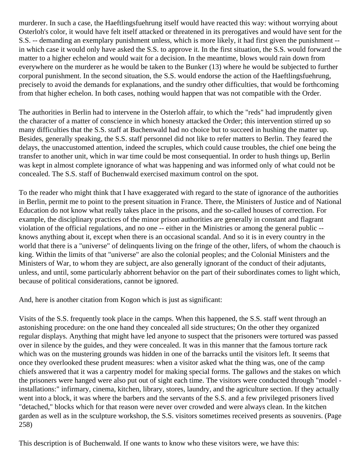murderer. In such a case, the Haeftlingsfuehrung itself would have reacted this way: without worrying about Osterloh's color, it would have felt itself attacked or threatened in its prerogatives and would have sent for the S.S. -- demanding an exemplary punishment unless, which is more likely, it had first given the punishment - in which case it would only have asked the S.S. to approve it. In the first situation, the S.S. would forward the matter to a higher echelon and would wait for a decision. In the meantime, blows would rain down from everywhere on the murderer as he would be taken to the Bunker (13) where he would be subjected to further corporal punishment. In the second situation, the S.S. would endorse the action of the Haeftlingsfuehrung, precisely to avoid the demands for explanations, and the sundry other difficulties, that would be forthcoming from that higher echelon. In both cases, nothing would happen that was not compatible with the Order.

The authorities in Berlin had to intervene in the Osterloh affair, to which the "reds" had imprudently given the character of a matter of conscience in which honesty attacked the Order; this intervention stirred up so many difficulties that the S.S. staff at Buchenwald had no choice but to succeed in hushing the matter up. Besides, generally speaking, the S.S. staff personnel did not like to refer matters to Berlin. They feared the delays, the unaccustomed attention, indeed the scruples, which could cause troubles, the chief one being the transfer to another unit, which in war time could be most consequential. In order to hush things up, Berlin was kept in almost complete ignorance of what was happening and was informed only of what could not be concealed. The S.S. staff of Buchenwald exercised maximum control on the spot.

To the reader who might think that I have exaggerated with regard to the state of ignorance of the authorities in Berlin, permit me to point to the present situation in France. There, the Ministers of Justice and of National Education do not know what really takes place in the prisons, and the so-called houses of correction. For example, the disciplinary practices of the minor prison authorities are generally in constant and flagrant violation of the official regulations, and no one -- either in the Ministries or among the general public - knows anything about it, except when there is an occasional scandal. And so it is in every country in the world that there is a "universe" of delinquents living on the fringe of the other, lifers, of whom the chaouch is king. Within the limits of that "universe" are also the colonial peoples; and the Colonial Ministers and the Ministers of War, to whom they are subject, are also generally ignorant of the conduct of their adjutants, unless, and until, some particularly abhorrent behavior on the part of their subordinates comes to light which, because of political considerations, cannot be ignored.

And, here is another citation from Kogon which is just as significant:

Visits of the S.S. frequently took place in the camps. When this happened, the S.S. staff went through an astonishing procedure: on the one hand they concealed all side structures; On the other they organized regular displays. Anything that might have led anyone to suspect that the prisoners were tortured was passed over in silence by the guides, and they were concealed. It was in this manner that the famous torture rack which was on the mustering grounds was hidden in one of the barracks until the visitors left. It seems that once they overlooked these prudent measures: when a visitor asked what the thing was, one of the camp chiefs answered that it was a carpentry model for making special forms. The gallows and the stakes on which the prisoners were hanged were also put out of sight each time. The visitors were conducted through "model installations:" infirmary, cinema, kitchen, library, stores, laundry, and the agriculture section. If they actually went into a block, it was where the barbers and the servants of the S.S. and a few privileged prisoners lived "detached," blocks which for that reason were never over crowded and were always clean. In the kitchen garden as well as in the sculpture workshop, the S.S. visitors sometimes received presents as souvenirs. (Page 258)

This description is of Buchenwald. If one wants to know who these visitors were, we have this: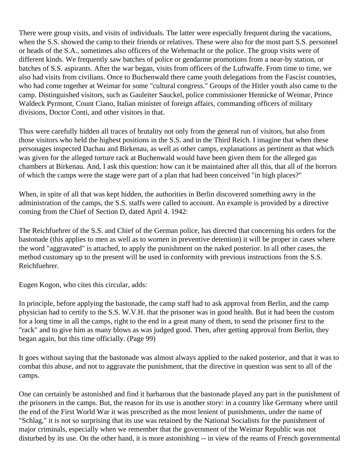There were group visits, and visits of individuals. The latter were especially frequent during the vacations, when the S.S. showed the camp to their friends or relatives. These were also for the most part S.S. personnel or heads of the S.A., sometimes also officers of the Wehrmacht or the police. The group visits were of different kinds. We frequently saw batches of police or gendarme promotions from a near-by station, or batches of S.S. aspirants. After the war began, visits from officers of the Luftwaffe. From time to time, we also had visits from civilians. Once to Buchenwald there came youth delegations from the Fascist countries, who had come together at Weimar for some "cultural congress." Groups of the Hitler youth also came to the camp. Distinguished visitors, such as Gauleiter Sauckel, police commissioner Hennicke of Weimar, Prince Waldeck Pyrmont, Count Ciano, Italian minister of foreign affairs, commanding officers of military divisions, Doctor Conti, and other visitors in that.

Thus were carefully hidden all traces of brutality not only from the general run of visitors, but also from those visitors who held the highest positions in the S.S. and in the Third Reich. I imagine that when these personages inspected Dachau and Birkenau, as well as other camps, explanations as pertinent as that which was given for the alleged torture rack at Buchenwald would have been given them for the alleged gas chambers at Birkenau. And, I ask this question: how can it be maintained after all this, that all of the horrors of which the camps were the stage were part of a plan that had been conceived "in high places?"

When, in spite of all that was kept hidden, the authorities in Berlin discovered something awry in the administration of the camps, the S.S. staffs were called to account. An example is provided by a directive coming from the Chief of Section D, dated April 4. 1942:

The Reichfuehrer of the S.S. and Chief of the German police, has directed that concerning his orders for the bastonade (this applies to men as well as to women in preventive detention) it will be proper in cases where the word "aggravated" is attached, to apply the punishment on the naked posterior. In all other cases, the method customary up to the present will be used in conformity with previous instructions from the S.S. Reichfuehrer.

Eugen Kogon, who cites this circular, adds:

In principle, before applying the bastonade, the camp staff had to ask approval from Berlin, and the camp physician had to certify to the S.S. W.V.H. that the prisoner was in good health. But it had been the custom for a long time in all the camps, right to the end in a great many of them, to send the prisoner first to the "rack" and to give him as many blows as was judged good. Then, after getting approval from Berlin, they began again, but this time officially. (Page 99)

It goes without saying that the bastonade was almost always applied to the naked posterior, and that it was to combat this abuse, and not to aggravate the punishment, that the directive in question was sent to all of the camps.

One can certainly be astonished and find it barbarous that the bastonade played any part in the punishment of the prisoners in the camps. But, the reason for its use is another story: in a country like Germany where until the end of the First World War it was prescribed as the most lenient of punishments, under the name of "Schlag," it is not so surprising that its use was retained by the National Socialists for the punishment of major criminals, especially when we remember that the government of the Weimar Republic was not disturbed by its use. On the other hand, it is more astonishing -- in view of the reams of French governmental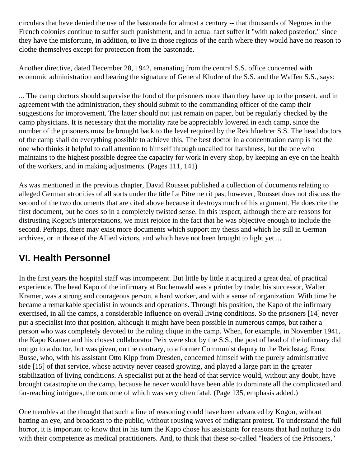circulars that have denied the use of the bastonade for almost a century -- that thousands of Negroes in the French colonies continue to suffer such punishment, and in actual fact suffer it "with naked posterior," since they have the misfortune, in addition, to live in those regions of the earth where they would have no reason to clothe themselves except for protection from the bastonade.

Another directive, dated December 28, 1942, emanating from the central S.S. office concerned with economic administration and bearing the signature of General Kludre of the S.S. and the Waffen S.S., says:

... The camp doctors should supervise the food of the prisoners more than they have up to the present, and in agreement with the administration, they should submit to the commanding officer of the camp their suggestions for improvement. The latter should not just remain on paper, but be regularly checked by the camp physicians. It is necessary that the mortality rate be appreciably lowered in each camp, since the number of the prisoners must be brought back to the level required by the Reichfuehrer S.S. The head doctors of the camp shall do everything possible to achieve this. The best doctor in a concentration camp is not the one who thinks it helpful to call attention to himself through uncalled for harshness, but the one who maintains to the highest possible degree the capacity for work in every shop, by keeping an eye on the health of the workers, and in making adjustments. (Pages 111, 141)

As was mentioned in the previous chapter, David Rousset published a collection of documents relating to alleged German atrocities of all sorts under the title Le Pitre ne rit pas; however, Rousset does not discuss the second of the two documents that are cited above because it destroys much of his argument. He does cite the first document, but he does so in a completely twisted sense. In this respect, although there are reasons for distrusting Kogon's interpretations, we must rejoice in the fact that he was objective enough to include the second. Perhaps, there may exist more documents which support my thesis and which lie still in German archives, or in those of the Allied victors, and which have not been brought to light yet ...

#### **VI. Health Personnel**

In the first years the hospital staff was incompetent. But little by little it acquired a great deal of practical experience. The head Kapo of the infirmary at Buchenwald was a printer by trade; his successor, Walter Kramer, was a strong and courageous person, a hard worker, and with a sense of organization. With time he became a remarkable specialist in wounds and operations. Through his position, the Kapo of the infirmary exercised, in all the camps, a considerable influence on overall living conditions. So the prisoners [14] never put a specialist into that position, although it might have been possible in numerous camps, but rather a person who was completely devoted to the ruling clique in the camp. When, for example, in November 1941, the Kapo Kramer and his closest collaborator Peix were shot by the S.S., the post of head of the infirmary did not go to a doctor, but was given, on the contrary, to a former Communist deputy to the Reichstag, Ernst Busse, who, with his assistant Otto Kipp from Dresden, concerned himself with the purely administrative side [15] of that service, whose activity never ceased growing, and played a large part in the greater stabilization of living conditions. A specialist put at the head of that service would, without any doubt, have brought catastrophe on the camp, because he never would have been able to dominate all the complicated and far-reaching intrigues, the outcome of which was very often fatal. (Page 135, emphasis added.)

One trembles at the thought that such a line of reasoning could have been advanced by Kogon, without batting an eye, and broadcast to the public, without rousing waves of indignant protest. To understand the full horror, it is important to know that in his turn the Kapo chose his assistants for reasons that had nothing to do with their competence as medical practitioners. And, to think that these so-called "leaders of the Prisoners,"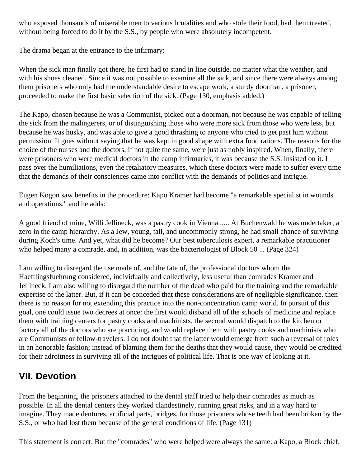who exposed thousands of miserable men to various brutalities and who stole their food, had them treated, without being forced to do it by the S.S., by people who were absolutely incompetent.

The drama began at the entrance to the infirmary:

When the sick man finally got there, he first had to stand in line outside, no matter what the weather, and with his shoes cleaned. Since it was not possible to examine all the sick, and since there were always among them prisoners who only had the understandable desire to escape work, a sturdy doorman, a prisoner, proceeded to make the first basic selection of the sick. (Page 130, emphasis added.)

The Kapo, chosen because he was a Communist, picked out a doorman, not because he was capable of telling the sick from the malingerers, or of distinguishing those who were more sick from those who were less, but because he was husky, and was able to give a good thrashing to anyone who tried to get past him without permission. It goes without saying that he was kept in good shape with extra food rations. The reasons for the choice of the nurses and the doctors, if not quite the same, were just as nobly inspired. When, finally, there were prisoners who were medical doctors in the camp infirmaries, it was because the S.S. insisted on it. I pass over the humiliations, even the retaliatory measures, which these doctors were made to suffer every time that the demands of their consciences came into conflict with the demands of politics and intrigue.

Eugen Kogon saw benefits in the procedure: Kapo Kramer had become "a remarkable specialist in wounds and operations," and he adds:

A good friend of mine, Willi Jellineck, was a pastry cook in Vienna ..... At Buchenwald he was undertaker, a zero in the camp hierarchy. As a Jew, young, tall, and uncommonly strong, he had small chance of surviving during Koch's time. And yet, what did he become? Our best tuberculosis expert, a remarkable practitioner who helped many a comrade, and, in addition, was the bacteriologist of Block 50 ... (Page 324)

I am willing to disregard the use made of, and the fate of, the professional doctors whom the Haeftlingsfuehrung considered, individually and collectively, less useful than comrades Kramer and Jellineck. I am also willing to disregard the number of the dead who paid for the training and the remarkable expertise of the latter. But, if it can be conceded that these considerations are of negligible significance, then there is no reason for not extending this practice into the non-concentration camp world. In pursuit of this goal, one could issue two decrees at once: the first would disband all of the schools of medicine and replace them with training centers for pastry cooks and machinists, the second would dispatch to the kitchen or factory all of the doctors who are practicing, and would replace them with pastry cooks and machinists who are Communists or fellow-travelers. I do not doubt that the latter would emerge from such a reversal of roles in an honorable fashion; instead of blaming them for the deaths that they would cause, they would be credited for their adroitness in surviving all of the intrigues of political life. That is one way of looking at it.

#### **VII. Devotion**

From the beginning, the prisoners attached to the dental staff tried to help their comrades as much as possible. In all the dental centers they worked clandestinely, running great risks, and in a way hard to imagine. They made dentures, artificial parts, bridges, for those prisoners whose teeth had been broken by the S.S., or who had lost them because of the general conditions of life. (Page 131)

This statement is correct. But the "comrades" who were helped were always the same: a Kapo, a Block chief,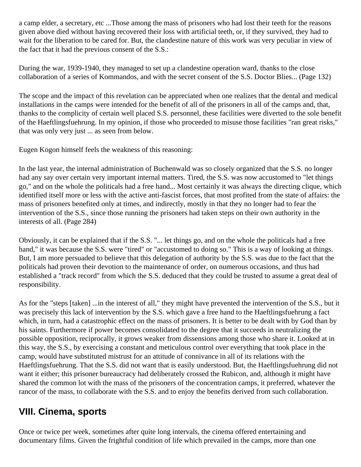a camp elder, a secretary, etc ...Those among the mass of prisoners who had lost their teeth for the reasons given above died without having recovered their loss with artificial teeth, or, if they survived, they had to wait for the liberation to be cared for. But, the clandestine nature of this work was very peculiar in view of the fact that it had the previous consent of the S.S.:

During the war, 1939-1940, they managed to set up a clandestine operation ward, thanks to the close collaboration of a series of Kommandos, and with the secret consent of the S.S. Doctor Blies... (Page 132)

The scope and the impact of this revelation can be appreciated when one realizes that the dental and medical installations in the camps were intended for the benefit of all of the prisoners in all of the camps and, that, thanks to the complicity of certain well placed S.S. personnel, these facilities were diverted to the sole benefit of the Haeftlingsfuehrung. In my opinion, if those who proceeded to misuse those facilities "ran great risks," that was only very just ... as seen from below.

Eugen Kogon himself feels the weakness of this reasoning:

In the last year, the internal administration of Buchenwald was so closely organized that the S.S. no longer had any say over certain very important internal matters. Tired, the S.S. was now accustomed to "let things go," and on the whole the politicals had a free hand... Most certainly it was always the directing clique, which identified itself more or less with the active anti-fascist forces, that most profited from the state of affairs: the mass of prisoners benefited only at times, and indirectly, mostly in that they no longer had to fear the intervention of the S.S., since those running the prisoners had taken steps on their own authority in the interests of all. (Page 284)

Obviously, it can be explained that if the S.S. "... let things go, and on the whole the politicals had a free hand," it was because the S.S. were "tired" or "accustomed to doing so." This is a way of looking at things. But, I am more persuaded to believe that this delegation of authority by the S.S. was due to the fact that the politicals had proven their devotion to the maintenance of order, on numerous occasions, and thus had established a "track record" from which the S.S. deduced that they could be trusted to assume a great deal of responsibility.

As for the "steps [taken] ...in the interest of all," they might have prevented the intervention of the S.S., but it was precisely this lack of intervention by the S.S. which gave a free hand to the Haeftlingsfuehrung a fact which, in turn, had a catastrophic effect on the mass of prisoners. It is better to be dealt with by God than by his saints. Furthermore if power becomes consolidated to the degree that it succeeds in neutralizing the possible opposition, reciprocally, it grows weaker from dissensions among those who share it. Looked at in this way, the S.S., by exercising a constant and meticulous control over everything that took place in the camp, would have substituted mistrust for an attitude of connivance in all of its relations with the Haeftlingsfuehrung. That the S.S. did not want that is easily understood. But, the Haeftlingsfuehrung did not want it either; this prisoner bureaucracy had deliberately crossed the Rubicon, and, although it might have shared the common lot with the mass of the prisoners of the concentration camps, it preferred, whatever the rancor of the mass, to collaborate with the S.S. and to enjoy the benefits derived from such collaboration.

#### **VIII. Cinema, sports**

Once or twice per week, sometimes after quite long intervals, the cinema offered entertaining and documentary films. Given the frightful condition of life which prevailed in the camps, more than one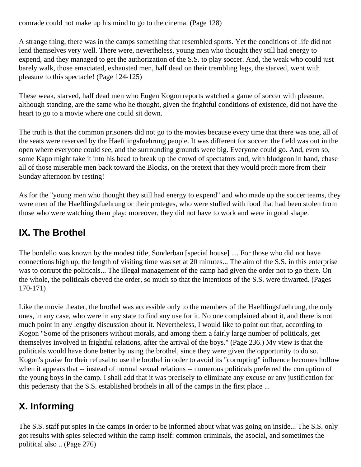comrade could not make up his mind to go to the cinema. (Page 128)

A strange thing, there was in the camps something that resembled sports. Yet the conditions of life did not lend themselves very well. There were, nevertheless, young men who thought they still had energy to expend, and they managed to get the authorization of the S.S. to play soccer. And, the weak who could just barely walk, those emaciated, exhausted men, half dead on their trembling legs, the starved, went with pleasure to this spectacle! (Page 124-125)

These weak, starved, half dead men who Eugen Kogon reports watched a game of soccer with pleasure, although standing, are the same who he thought, given the frightful conditions of existence, did not have the heart to go to a movie where one could sit down.

The truth is that the common prisoners did not go to the movies because every time that there was one, all of the seats were reserved by the Haeftlingsfuehrung people. It was different for soccer: the field was out in the open where everyone could see, and the surrounding grounds were big. Everyone could go. And, even so, some Kapo might take it into his head to break up the crowd of spectators and, with bludgeon in hand, chase all of those miserable men back toward the Blocks, on the pretext that they would profit more from their Sunday afternoon by resting!

As for the "young men who thought they still had energy to expend" and who made up the soccer teams, they were men of the Haeftlingsfuehrung or their proteges, who were stuffed with food that had been stolen from those who were watching them play; moreover, they did not have to work and were in good shape.

## **IX. The Brothel**

The bordello was known by the modest title, Sonderbau [special house] .... For those who did not have connections high up, the length of visiting time was set at 20 minutes... The aim of the S.S. in this enterprise was to corrupt the politicals... The illegal management of the camp had given the order not to go there. On the whole, the politicals obeyed the order, so much so that the intentions of the S.S. were thwarted. (Pages 170-171)

Like the movie theater, the brothel was accessible only to the members of the Haeftlingsfuehrung, the only ones, in any case, who were in any state to find any use for it. No one complained about it, and there is not much point in any lengthy discussion about it. Nevertheless, I would like to point out that, according to Kogon "Some of the prisoners without morals, and among them a fairly large number of politicals, get themselves involved in frightful relations, after the arrival of the boys." (Page 236.) My view is that the politicals would have done better by using the brothel, since they were given the opportunity to do so. Kogon's praise for their refusal to use the brothel in order to avoid its "corrupting" influence becomes hollow when it appears that -- instead of normal sexual relations -- numerous politicals preferred the corruption of the young boys in the camp. I shall add that it was precisely to eliminate any excuse or any justification for this pederasty that the S.S. established brothels in all of the camps in the first place ...

## **X. Informing**

The S.S. staff put spies in the camps in order to be informed about what was going on inside... The S.S. only got results with spies selected within the camp itself: common criminals, the asocial, and sometimes the political also .. (Page 276)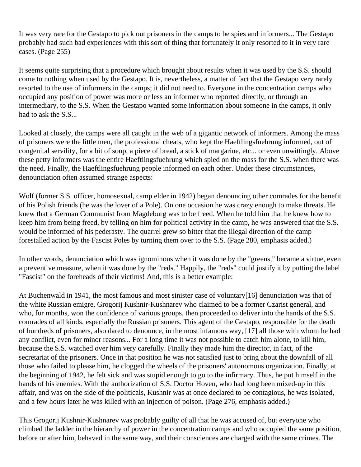It was very rare for the Gestapo to pick out prisoners in the camps to be spies and informers... The Gestapo probably had such bad experiences with this sort of thing that fortunately it only resorted to it in very rare cases. (Page 255)

It seems quite surprising that a procedure which brought about results when it was used by the S.S. should come to nothing when used by the Gestapo. It is, nevertheless, a matter of fact that the Gestapo very rarely resorted to the use of informers in the camps; it did not need to. Everyone in the concentration camps who occupied any position of power was more or less an informer who reported directly, or through an intermediary, to the S.S. When the Gestapo wanted some information about someone in the camps, it only had to ask the S.S...

Looked at closely, the camps were all caught in the web of a gigantic network of informers. Among the mass of prisoners were the little men, the professional cheats, who kept the Haeftlingsfuehrung informed, out of congenital servility, for a bit of soup, a piece of bread, a stick of margarine, etc... or even unwittingly. Above these petty informers was the entire Haeftlingsfuehrung which spied on the mass for the S.S. when there was the need. Finally, the Haeftlingsfuehrung people informed on each other. Under these circumstances, denounciation often assumed strange aspects:

Wolf (former S.S. officer, homosexual, camp elder in 1942) began denouncing other comrades for the benefit of his Polish friends (he was the lover of a Pole). On one occasion he was crazy enough to make threats. He knew that a German Communist from Magdeburg was to be freed. When he told him that he knew how to keep him from being freed, by telling on him for political activity in the camp, he was answered that the S.S. would be informed of his pederasty. The quarrel grew so bitter that the illegal direction of the camp forestalled action by the Fascist Poles by turning them over to the S.S. (Page 280, emphasis added.)

In other words, denunciation which was ignominous when it was done by the "greens," became a virtue, even a preventive measure, when it was done by the "reds." Happily, the "reds" could justify it by putting the label "Fascist" on the foreheads of their victims! And, this is a better example:

At Buchenwald in 1941, the most famous and most sinister case of voluntary[16] denunciation was that of the white Russian emigre, Grogorij Kushnir-Kushnarev who claimed to be a former Czarist general, and who, for months, won the confidence of various groups, then proceeded to deliver into the hands of the S.S. comrades of all kinds, especially the Russian prisoners. This agent of the Gestapo, responsible for the death of hundreds of prisoners, also dared to denounce, in the most infamous way, [17] all those with whom he had any conflict, even for minor reasons... For a long time it was not possible to catch him alone, to kill him, because the S.S. watched over him very carefully. Finally they made him the director, in fact, of the secretariat of the prisoners. Once in that position he was not satisfied just to bring about the downfall of all those who failed to please him, he clogged the wheels of the prisoners' autonomous organization. Finally, at the beginning of 1942, he felt sick and was stupid enough to go to the infirmary. Thus, he put himself in the hands of his enemies. With the authorization of S.S. Doctor Hoven, who had long been mixed-up in this affair, and was on the side of the politicals, Kushnir was at once declared to be contagious, he was isolated, and a few hours later he was killed with an injection of poison. (Page 276, emphasis added.)

This Grogorij Kushnir-Kushnarev was probably guilty of all that he was accused of, but everyone who climbed the ladder in the hierarchy of power in the concentration camps and who occupied the same position, before or after him, behaved in the same way, and their consciences are charged with the same crimes. The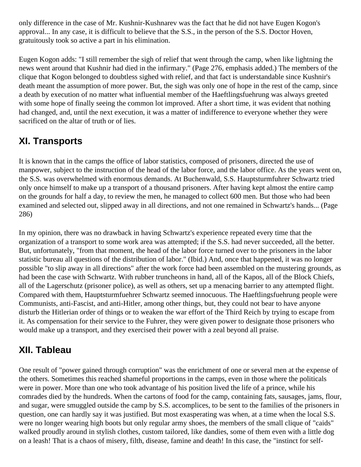only difference in the case of Mr. Kushnir-Kushnarev was the fact that he did not have Eugen Kogon's approval... In any case, it is difficult to believe that the S.S., in the person of the S.S. Doctor Hoven, gratuitously took so active a part in his elimination.

Eugen Kogon adds: "I still remember the sigh of relief that went through the camp, when like lightning the news went around that Kushnir had died in the infirmary." (Page 276, emphasis added.) The members of the clique that Kogon belonged to doubtless sighed with relief, and that fact is understandable since Kushnir's death meant the assumption of more power. But, the sigh was only one of hope in the rest of the camp, since a death by execution of no matter what influential member of the Haeftlingsfuehrung was always greeted with some hope of finally seeing the common lot improved. After a short time, it was evident that nothing had changed, and, until the next execution, it was a matter of indifference to everyone whether they were sacrificed on the altar of truth or of lies.

## **XI. Transports**

It is known that in the camps the office of labor statistics, composed of prisoners, directed the use of manpower, subject to the instruction of the head of the labor force, and the labor office. As the years went on, the S.S. was overwhelmed with enormous demands. At Buchenwald, S.S. Hauptsturmfuhrer Schwartz tried only once himself to make up a transport of a thousand prisoners. After having kept almost the entire camp on the grounds for half a day, to review the men, he managed to collect 600 men. But those who had been examined and selected out, slipped away in all directions, and not one remained in Schwartz's hands... (Page 286)

In my opinion, there was no drawback in having Schwartz's experience repeated every time that the organization of a transport to some work area was attempted; if the S.S. had never succeeded, all the better. But, unfortunately, "from that moment, the head of the labor force turned over to the prisoners in the labor statistic bureau all questions of the distribution of labor." (Ibid.) And, once that happened, it was no longer possible "to slip away in all directions" after the work force had been assembled on the mustering grounds, as had been the case with Schwartz. With rubber truncheons in hand, all of the Kapos, all of the Block Chiefs, all of the Lagerschutz (prisoner police), as well as others, set up a menacing barrier to any attempted flight. Compared with them, Hauptsturmfuehrer Schwartz seemed innocuous. The Haeftlingsfuehrung people were Communists, anti-Fascist, and anti-Hitler, among other things, but, they could not bear to have anyone disturb the Hitlerian order of things or to weaken the war effort of the Third Reich by trying to escape from it. As compensation for their service to the Fuhrer, they were given power to designate those prisoners who would make up a transport, and they exercised their power with a zeal beyond all praise.

## **XII. Tableau**

One result of "power gained through corruption" was the enrichment of one or several men at the expense of the others. Sometimes this reached shameful proportions in the camps, even in those where the politicals were in power. More than one who took advantage of his position lived the life of a prince, while his comrades died by the hundreds. When the cartons of food for the camp, containing fats, sausages, jams, flour, and sugar, were smuggled outside the camp by S.S. accomplices, to be sent to the families of the prisoners in question, one can hardly say it was justified. But most exasperating was when, at a time when the local S.S. were no longer wearing high boots but only regular army shoes, the members of the small clique of "caids" walked proudly around in stylish clothes, custom tailored, like dandies, some of them even with a little dog on a leash! That is a chaos of misery, filth, disease, famine and death! In this case, the "instinct for self-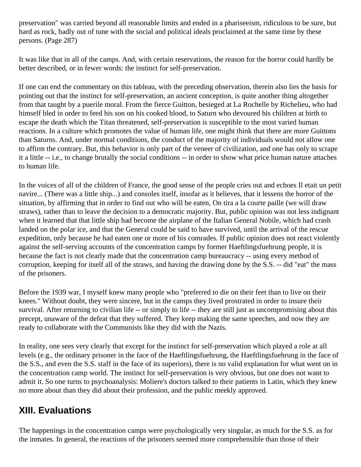preservation" was carried beyond all reasonable limits and ended in a phariseeism, ridiculous to be sure, but hard as rock, badly out of tune with the social and political ideals proclaimed at the same time by these persons. (Page 287)

It was like that in all of the camps. And, with certain reservations, the reason for the horror could hardly be better described, or in fewer words: the instinct for self-preservation.

If one can end the commentary on this tableau, with the preceding observation, therein also lies the basis for pointing out that the instinct for self-preservation, an ancient conception, is quite another thing altogether from that taught by a puerile moral. From the fierce Guitton, besieged at La Rochelle by Richelieu, who had himself bled in order to feed his son on his cooked blood, to Saturn who devoured his children at birth to escape the death which the Titan threatened, self-preservation is susceptible to the most varied human reactions. In a culture which promotes the value of human life, one might think that there are more Guittons than Saturns. And, under normal conditions, the conduct of the majority of individuals would not allow one to affirm the contrary. But, this behavior is only part of the veneer of civilization, and one has only to scrape it a little -- i.e., to change brutally the social conditions -- in order to show what price human nature attaches to human life.

In the voices of all of the children of France, the good sense of the people cries out and echoes Il etait un petit navire... (There was a little ship...) and consoles itself, insofar as it believes, that it lessens the horror of the situation, by affirming that in order to find out who will be eaten, On tira a la courte paille (we will draw straws), rather than to leave the decision to a democratic majority. But, public opinion was not less indignant when it learned that that little ship had become the airplane of the Italian General Nobile, which had crash landed on the polar ice, and that the General could be said to have survived, until the arrival of the rescue expedition, only because he had eaten one or more of his comrades. If public opinion does not react violently against the self-serving accounts of the concentration camps by former Haeftlingsfuehrung people, it is because the fact is not clearly made that the concentration camp bureaucracy -- using every method of corruption, keeping for itself all of the straws, and having the drawing done by the S.S. -- did "eat" the mass of the prisoners.

Before the 1939 war, I myself knew many people who "preferred to die on their feet than to live on their knees." Without doubt, they were sincere, but in the camps they lived prostrated in order to insure their survival. After returning to civilian life -- or simply to life -- they are still just as uncompromising about this precept, unaware of the defeat that they suffered. They keep making the same speeches, and now they are ready to collaborate with the Communists like they did with the Nazis.

In reality, one sees very clearly that except for the instinct for self-preservation which played a role at all levels (e.g., the ordinary prisoner in the face of the Haeftlingsfuehrung, the Haeftlingsfuehrung in the face of the S.S., and even the S.S. staff in the face of its superiors), there is no valid explanation for what went on in the concentration camp world. The instinct for self-preservation is very obvious, but one does not want to admit it. So one turns to psychoanalysis: Moliere's doctors talked to their patients in Latin, which they knew no more about than they did about their profession, and the public meekly approved.

#### **XIII. Evaluations**

The happenings in the concentration camps were psychologically very singular, as much for the S.S. as for the inmates. In general, the reactions of the prisoners seemed more comprehensible than those of their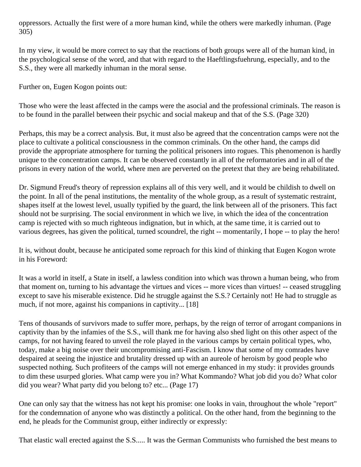oppressors. Actually the first were of a more human kind, while the others were markedly inhuman. (Page 305)

In my view, it would be more correct to say that the reactions of both groups were all of the human kind, in the psychological sense of the word, and that with regard to the Haeftlingsfuehrung, especially, and to the S.S., they were all markedly inhuman in the moral sense.

Further on, Eugen Kogon points out:

Those who were the least affected in the camps were the asocial and the professional criminals. The reason is to be found in the parallel between their psychic and social makeup and that of the S.S. (Page 320)

Perhaps, this may be a correct analysis. But, it must also be agreed that the concentration camps were not the place to cultivate a political consciousness in the common criminals. On the other hand, the camps did provide the appropriate atmosphere for turning the political prisoners into rogues. This phenomenon is hardly unique to the concentration camps. It can be observed constantly in all of the reformatories and in all of the prisons in every nation of the world, where men are perverted on the pretext that they are being rehabilitated.

Dr. Sigmund Freud's theory of repression explains all of this very well, and it would be childish to dwell on the point. In all of the penal institutions, the mentality of the whole group, as a result of systematic restraint, shapes itself at the lowest level, usually typified by the guard, the link between all of the prisoners. This fact should not be surprising. The social environment in which we live, in which the idea of the concentration camp is rejected with so much righteous indignation, but in which, at the same time, it is carried out to various degrees, has given the political, turned scoundrel, the right -- momentarily, I hope -- to play the hero!

It is, without doubt, because he anticipated some reproach for this kind of thinking that Eugen Kogon wrote in his Foreword:

It was a world in itself, a State in itself, a lawless condition into which was thrown a human being, who from that moment on, turning to his advantage the virtues and vices -- more vices than virtues! -- ceased struggling except to save his miserable existence. Did he struggle against the S.S.? Certainly not! He had to struggle as much, if not more, against his companions in captivity... [18]

Tens of thousands of survivors made to suffer more, perhaps, by the reign of terror of arrogant companions in captivity than by the infamies of the S.S., will thank me for having also shed light on this other aspect of the camps, for not having feared to unveil the role played in the various camps by certain political types, who, today, make a big noise over their uncompromising anti-Fascism. I know that some of my comrades have despaired at seeing the injustice and brutality dressed up with an aureole of heroism by good people who suspected nothing. Such profiteers of the camps will not emerge enhanced in my study: it provides grounds to dim these usurped glories. What camp were you in? What Kommando? What job did you do? What color did you wear? What party did you belong to? etc... (Page 17)

One can only say that the witness has not kept his promise: one looks in vain, throughout the whole "report" for the condemnation of anyone who was distinctly a political. On the other hand, from the beginning to the end, he pleads for the Communist group, either indirectly or expressly:

That elastic wall erected against the S.S..... It was the German Communists who furnished the best means to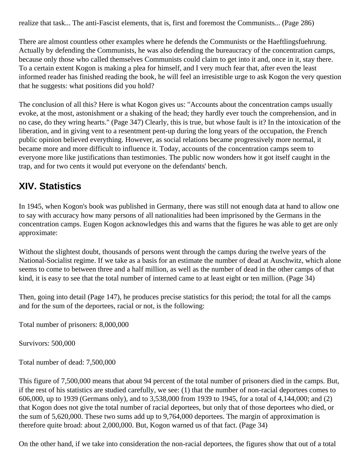realize that task... The anti-Fascist elements, that is, first and foremost the Communists... (Page 286)

There are almost countless other examples where he defends the Communists or the Haeftlingsfuehrung. Actually by defending the Communists, he was also defending the bureaucracy of the concentration camps, because only those who called themselves Communists could claim to get into it and, once in it, stay there. To a certain extent Kogon is making a plea for himself, and I very much fear that, after even the least informed reader has finished reading the book, he will feel an irresistible urge to ask Kogon the very question that he suggests: what positions did you hold?

The conclusion of all this? Here is what Kogon gives us: "Accounts about the concentration camps usually evoke, at the most, astonishment or a shaking of the head; they hardly ever touch the comprehension, and in no case, do they wring hearts." (Page 347) Clearly, this is true, but whose fault is it? In the intoxication of the liberation, and in giving vent to a resentment pent-up during the long years of the occupation, the French public opinion believed everything. However, as social relations became progressively more normal, it became more and more difficult to influence it. Today, accounts of the concentration camps seem to everyone more like justifications than testimonies. The public now wonders how it got itself caught in the trap, and for two cents it would put everyone on the defendants' bench.

#### **XIV. Statistics**

In 1945, when Kogon's book was published in Germany, there was still not enough data at hand to allow one to say with accuracy how many persons of all nationalities had been imprisoned by the Germans in the concentration camps. Eugen Kogon acknowledges this and warns that the figures he was able to get are only approximate:

Without the slightest doubt, thousands of persons went through the camps during the twelve years of the National-Socialist regime. If we take as a basis for an estimate the number of dead at Auschwitz, which alone seems to come to between three and a half million, as well as the number of dead in the other camps of that kind, it is easy to see that the total number of interned came to at least eight or ten million. (Page 34)

Then, going into detail (Page 147), he produces precise statistics for this period; the total for all the camps and for the sum of the deportees, racial or not, is the following:

Total number of prisoners: 8,000,000

Survivors: 500,000

Total number of dead: 7,500,000

This figure of 7,500,000 means that about 94 percent of the total number of prisoners died in the camps. But, if the rest of his statistics are studied carefully, we see: (1) that the number of non-racial deportees comes to 606,000, up to 1939 (Germans only), and to 3,538,000 from 1939 to 1945, for a total of 4,144,000; and (2) that Kogon does not give the total number of racial deportees, but only that of those deportees who died, or the sum of 5,620,000. These two sums add up to 9,764,000 deportees. The margin of approximation is therefore quite broad: about 2,000,000. But, Kogon warned us of that fact. (Page 34)

On the other hand, if we take into consideration the non-racial deportees, the figures show that out of a total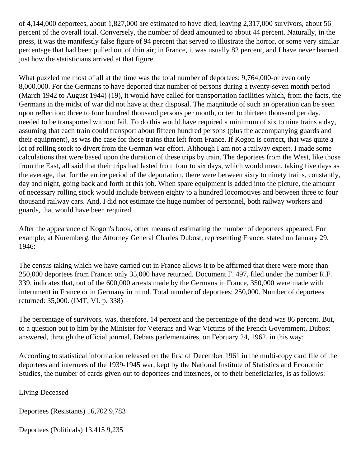of 4,144,000 deportees, about 1,827,000 are estimated to have died, leaving 2,317,000 survivors, about 56 percent of the overall total. Conversely, the number of dead amounted to about 44 percent. Naturally, in the press, it was the manifestly false figure of 94 percent that served to illustrate the horror, or some very similar percentage that had been pulled out of thin air; in France, it was usually 82 percent, and I have never learned just how the statisticians arrived at that figure.

What puzzled me most of all at the time was the total number of deportees: 9,764,000-or even only 8,000,000. For the Germans to have deported that number of persons during a twenty-seven month period (March 1942 to August 1944) (19), it would have called for transportation facilities which, from the facts, the Germans in the midst of war did not have at their disposal. The magnitude of such an operation can be seen upon reflection: three to four hundred thousand persons per month, or ten to thirteen thousand per day, needed to be transported without fail. To do this would have required a minimum of six to nine trains a day, assuming that each train could transport about fifteen hundred persons (plus the accompanying guards and their equipment), as was the case for those trains that left from France. If Kogon is correct, that was quite a lot of rolling stock to divert from the German war effort. Although I am not a railway expert, I made some calculations that were based upon the duration of these trips by train. The deportees from the West, like those from the East, all said that their trips had lasted from four to six days, which would mean, taking five days as the average, that for the entire period of the deportation, there were between sixty to ninety trains, constantly, day and night, going back and forth at this job. When spare equipment is added into the picture, the amount of necessary rolling stock would include between eighty to a hundred locomotives and between three to four thousand railway cars. And, I did not estimate the huge number of personnel, both railway workers and guards, that would have been required.

After the appearance of Kogon's book, other means of estimating the number of deportees appeared. For example, at Nuremberg, the Attorney General Charles Dubost, representing France, stated on January 29, 1946:

The census taking which we have carried out in France allows it to be affirmed that there were more than 250,000 deportees from France: only 35,000 have returned. Document F. 497, filed under the number R.F. 339. indicates that, out of the 600,000 arrests made by the Germans in France, 350,000 were made with internment in France or in Germany in mind. Total number of deportees: 250,000. Number of deportees returned: 35,000. (IMT, VI. p. 338)

The percentage of survivors, was, therefore, 14 percent and the percentage of the dead was 86 percent. But, to a question put to him by the Minister for Veterans and War Victims of the French Government, Dubost answered, through the official journal, Debats parlementaires, on February 24, 1962, in this way:

According to statistical information released on the first of December 1961 in the multi-copy card file of the deportees and internees of the 1939-1945 war, kept by the National Institute of Statistics and Economic Studies, the number of cards given out to deportees and internees, or to their beneficiaries, is as follows:

Living Deceased

Deportees (Resistants) 16,702 9,783

Deportees (Politicals) 13,415 9,235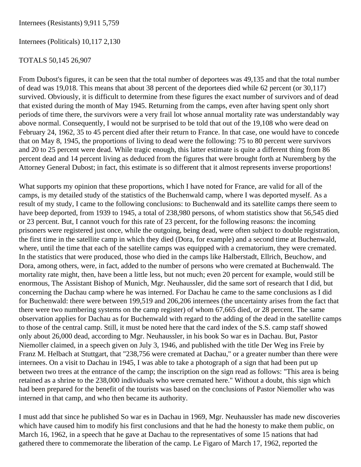Internees (Resistants) 9,911 5,759

#### Internees (Politicals) 10,117 2,130

#### TOTALS 50,145 26,907

From Dubost's figures, it can be seen that the total number of deportees was 49,135 and that the total number of dead was 19,018. This means that about 38 percent of the deportees died while 62 percent (or 30,117) survived. Obviously, it is difficult to determine from these figures the exact number of survivors and of dead that existed during the month of May 1945. Returning from the camps, even after having spent only short periods of time there, the survivors were a very frail lot whose annual mortality rate was understandably way above normal. Consequently, I would not be surprised to be told that out of the 19,108 who were dead on February 24, 1962, 35 to 45 percent died after their return to France. In that case, one would have to concede that on May 8, 1945, the proportions of living to dead were the following: 75 to 80 percent were survivors and 20 to 25 percent were dead. While tragic enough, this latter estimate is quite a different thing from 86 percent dead and 14 percent living as deduced from the figures that were brought forth at Nuremberg by the Attorney General Dubost; in fact, this estimate is so different that it almost represents inverse proportions!

What supports my opinion that these proportions, which I have noted for France, are valid for all of the camps, is my detailed study of the statistics of the Buchenwald camp, where I was deported myself. As a result of my study, I came to the following conclusions: to Buchenwald and its satellite camps there seem to have beep deported, from 1939 to 1945, a total of 238,980 persons, of whom statistics show that 56,545 died or 23 percent. But, I cannot vouch for this rate of 23 percent, for the following reasons: the incoming prisoners were registered just once, while the outgoing, being dead, were often subject to double registration, the first time in the satellite camp in which they died (Dora, for example) and a second time at Buchenwald, where, until the time that each of the satellite camps was equipped with a crematorium, they were cremated. In the statistics that were produced, those who died in the camps like Halberstadt, Ellrich, Beuchow, and Dora, among others, were, in fact, added to the number of persons who were cremated at Buchenwald. The mortality rate might, then, have been a little less, but not much; even 20 percent for example, would still be enormous, The Assistant Bishop of Munich, Mgr. Neuhaussler, did the same sort of research that I did, but concerning the Dachau camp where he was interned. For Dachau he came to the same conclusions as I did for Buchenwald: there were between 199,519 and 206,206 internees (the uncertainty arises from the fact that there were two numbering systems on the camp register) of whom 67,665 died, or 28 percent. The same observation applies for Dachau as for Buchenwald with regard to the adding of the dead in the satellite camps to those of the central camp. Still, it must be noted here that the card index of the S.S. camp staff showed only about 26,000 dead, according to Mgr. Neuhaussler, in his book So war es in Dachau. But, Pastor Niemoller claimed, in a speech given on July 3, 1946, and published with the title Der Weg ins Freie by Franz M. Helbach at Stuttgart, that "238,756 were cremated at Dachau," or a greater number than there were internees. On a visit to Dachau in 1945, I was able to take a photograph of a sign that had been put up between two trees at the entrance of the camp; the inscription on the sign read as follows: "This area is being retained as a shrine to the 238,000 individuals who were cremated here." Without a doubt, this sign which had been prepared for the benefit of the tourists was based on the conclusions of Pastor Niemoller who was interned in that camp, and who then became its authority.

I must add that since he published So war es in Dachau in 1969, Mgr. Neuhaussler has made new discoveries which have caused him to modify his first conclusions and that he had the honesty to make them public, on March 16, 1962, in a speech that he gave at Dachau to the representatives of some 15 nations that had gathered there to commemorate the liberation of the camp. Le Figaro of March 17, 1962, reported the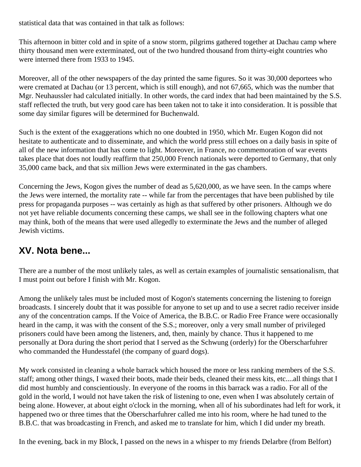statistical data that was contained in that talk as follows:

This afternoon in bitter cold and in spite of a snow storm, pilgrims gathered together at Dachau camp where thirty thousand men were exterminated, out of the two hundred thousand from thirty-eight countries who were interned there from 1933 to 1945.

Moreover, all of the other newspapers of the day printed the same figures. So it was 30,000 deportees who were cremated at Dachau (or 13 percent, which is still enough), and not 67,665, which was the number that Mgr. Neuhaussler had calculated initially. In other words, the card index that had been maintained by the S.S. staff reflected the truth, but very good care has been taken not to take it into consideration. It is possible that some day similar figures will be determined for Buchenwald.

Such is the extent of the exaggerations which no one doubted in 1950, which Mr. Eugen Kogon did not hesitate to authenticate and to disseminate, and which the world press still echoes on a daily basis in spite of all of the new information that has come to light. Moreover, in France, no commemoration of war events takes place that does not loudly reaffirm that 250,000 French nationals were deported to Germany, that only 35,000 came back, and that six million Jews were exterminated in the gas chambers.

Concerning the Jews, Kogon gives the number of dead as 5,620,000, as we have seen. In the camps where the Jews were interned, the mortality rate -- while far from the percentages that have been published by tile press for propaganda purposes -- was certainly as high as that suffered by other prisoners. Although we do not yet have reliable documents concerning these camps, we shall see in the following chapters what one may think, both of the means that were used allegedly to exterminate the Jews and the number of alleged Jewish victims.

## **XV. Nota bene...**

There are a number of the most unlikely tales, as well as certain examples of journalistic sensationalism, that I must point out before I finish with Mr. Kogon.

Among the unlikely tales must be included most of Kogon's statements concerning the listening to foreign broadcasts. I sincerely doubt that it was possible for anyone to set up and to use a secret radio receiver inside any of the concentration camps. If the Voice of America, the B.B.C. or Radio Free France were occasionally heard in the camp, it was with the consent of the S.S.; moreover, only a very small number of privileged prisoners could have been among the listeners, and, then, mainly by chance. Thus it happened to me personally at Dora during the short period that I served as the Schwung (orderly) for the Oberscharfuhrer who commanded the Hundesstafel (the company of guard dogs).

My work consisted in cleaning a whole barrack which housed the more or less ranking members of the S.S. staff; among other things, I waxed their boots, made their beds, cleaned their mess kits, etc....all things that I did most humbly and conscientiously. In everyone of the rooms in this barrack was a radio. For all of the gold in the world, I would not have taken the risk of listening to one, even when I was absolutely certain of being alone. However, at about eight o'clock in the morning, when all of his subordinates had left for work, it happened two or three times that the Oberscharfuhrer called me into his room, where he had tuned to the B.B.C. that was broadcasting in French, and asked me to translate for him, which I did under my breath.

In the evening, back in my Block, I passed on the news in a whisper to my friends Delarbre (from Belfort)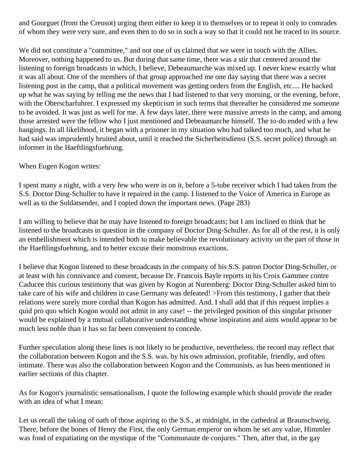and Gourguet (from the Creusot) urging them either to keep it to themselves or to repeat it only to comrades of whom they were very sure, and even then to do so in such a way so that it could not be traced to its source.

We did not constitute a "committee," and not one of us claimed that we were in touch with the Allies. Moreover, nothing happened to us. But during that same time, there was a stir that centered around the listening to foreign broadcasts in which, I believe, Debeaumarche was mixed up. I never knew exactly what it was all about. One of the members of that group approached me one day saying that there was a secret listening post in the camp, that a political movement was getting orders from the English, etc.... He backed up what he was saying by telling me the news that I had listened to that very morning, or the evening, before, with the Oberscharfuhrer. I expressed my skepticism in such terms that thereafter he considered me someone to be avoided. It was just as well for me. A few days later, there were massive arrests in the camp, and among those arrested were the fellow who I just mentioned and Debeaumarche himself. The to-do ended with a few hangings. In all likelihood, it began with a prisoner in my situation who had talked too much, and what he had said was imprudently bruited about, until it reached the Sicherheitsdienst (S.S. secret police) through an informer in the Haeftlingsfuehrung.

When Eugen Kogon writes:

I spent many a night, with a very few who were in on it, before a 5-tube receiver which I had taken from the S.S. Doctor Ding-Schuller to have it repaired in the camp. I listened to the Voice of America in Europe as well as to the Soldatsender, and I copied down the important news. (Page 283)

I am willing to believe that he may have listened to foreign broadcasts; but I am inclined to think that he listened to the broadcasts in question in the company of Doctor Ding-Schuller. As for all of the rest, it is only an embellishment which is intended both to make believable the revolutionary activity on the part of those in the Haeftlingsfuehrung, and to better excuse their monstrous exactions.

I believe that Kogon listened to these broadcasts in the company of his S.S. patron Doctor Ding-Schuller, or at least with his connivance and consent, because Dr. Francois Bayle reports in his Croix Gammee contre Caducee this curious testimony that was given by Kogon at Nuremberg: Doctor Ding-Schuller asked him to take care of his wife and children in case Germany was defeated! >From this testimony, I gather that their relations were surely more cordial than Kogon has admitted. And. I shall add that if this request implies a quid pro quo which Kogon would not admit in any case! -- the privileged position of this singular prisoner would be explained by a mutual collaborative understanding whose inspiration and aims would appear to be much less noble than it has so far been convenient to concede.

Further speculation along these lines is not likely to be productive, nevertheless, the record may reflect that the collaboration between Kogon and the S.S. was. by his own admission, profitable, friendly, and often intimate. There was also the collaboration between Kogon and the Communists, as has been mentioned in earlier sections of this chapter.

As for Kogon's journalistic sensationalism, I quote the following example which should provide the reader with an idea of what I mean:

Let us recall the taking of oath of those aspiring to the S.S., at midnight, in the cathedral at Braunschweig. There, before the bones of Henry the First, the only German emperor on whom he set any value, Himmler was fond of expatiating on the mystique of the "Communaute de conjures." Then, after that, in the gay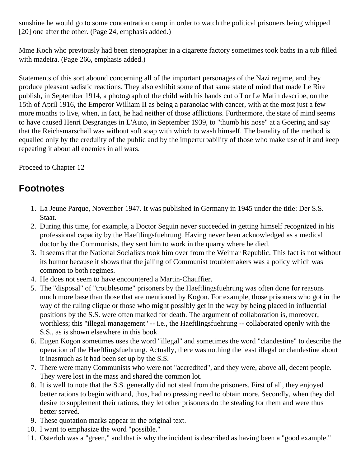sunshine he would go to some concentration camp in order to watch the political prisoners being whipped [20] one after the other. (Page 24, emphasis added.)

Mme Koch who previously had been stenographer in a cigarette factory sometimes took baths in a tub filled with madeira. (Page 266, emphasis added.)

Statements of this sort abound concerning all of the important personages of the Nazi regime, and they produce pleasant sadistic reactions. They also exhibit some of that same state of mind that made Le Rire publish, in September 1914, a photograph of the child with his hands cut off or Le Matin describe, on the 15th of April 1916, the Emperor William II as being a paranoiac with cancer, with at the most just a few more months to live, when, in fact, he had neither of those afflictions. Furthermore, the state of mind seems to have caused Henri Desgranges in L'Auto, in September 1939, to "thumb his nose" at a Goering and say that the Reichsmarschall was without soft soap with which to wash himself. The banality of the method is equalled only by the credulity of the public and by the imperturbability of those who make use of it and keep repeating it about all enemies in all wars.

#### [Proceed to Chapter 12](#page-130-0)

#### **Footnotes**

- 1. La Jeune Parque, November 1947. It was published in Germany in 1945 under the title: Der S.S. Staat.
- 2. During this time, for example, a Doctor Seguin never succeeded in getting himself recognized in his professional capacity by the Haeftlingsfuehrung. Having never been acknowledged as a medical doctor by the Communists, they sent him to work in the quarry where he died.
- 3. It seems that the National Socialists took him over from the Weimar Republic. This fact is not without its humor because it shows that the jailing of Communist troublemakers was a policy which was common to both regimes.
- 4. He does not seem to have encountered a Martin-Chauffier.
- 5. The "disposal" of "troublesome" prisoners by the Haeftlingsfuehrung was often done for reasons much more base than those that are mentioned by Kogon. For example, those prisoners who got in the way of the ruling clique or those who might possibly get in the way by being placed in influential positions by the S.S. were often marked for death. The argument of collaboration is, moreover, worthless; this "illegal management" -- i.e., the Haeftlingsfuehrung -- collaborated openly with the S.S., as is shown elsewhere in this book.
- 6. Eugen Kogon sometimes uses the word "illegal" and sometimes the word "clandestine" to describe the operation of the Haeftlingsfuehrung. Actually, there was nothing the least illegal or clandestine about it inasmuch as it had been set up by the S.S.
- 7. There were many Communists who were not "accredited", and they were, above all, decent people. They were lost in the mass and shared the common lot.
- 8. It is well to note that the S.S. generally did not steal from the prisoners. First of all, they enjoyed better rations to begin with and, thus, had no pressing need to obtain more. Secondly, when they did desire to supplement their rations, they let other prisoners do the stealing for them and were thus better served.
- 9. These quotation marks appear in the original text.
- 10. I want to emphasize the word "possible."
- 11. Osterloh was a "green," and that is why the incident is described as having been a "good example."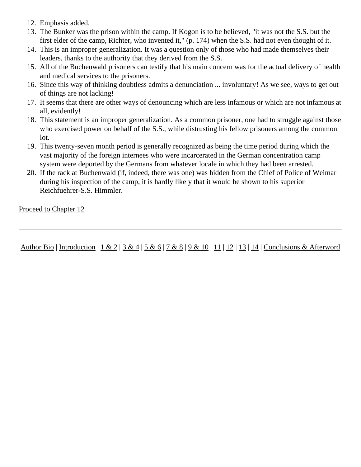- 12. Emphasis added.
- 13. The Bunker was the prison within the camp. If Kogon is to be believed, "it was not the S.S. but the first elder of the camp, Richter, who invented it," (p. 174) when the S.S. had not even thought of it.
- 14. This is an improper generalization. It was a question only of those who had made themselves their leaders, thanks to the authority that they derived from the S.S.
- 15. All of the Buchenwald prisoners can testify that his main concern was for the actual delivery of health and medical services to the prisoners.
- 16. Since this way of thinking doubtless admits a denunciation ... involuntary! As we see, ways to get out of things are not lacking!
- 17. It seems that there are other ways of denouncing which are less infamous or which are not infamous at all, evidently!
- 18. This statement is an improper generalization. As a common prisoner, one had to struggle against those who exercised power on behalf of the S.S., while distrusting his fellow prisoners among the common lot.
- 19. This twenty-seven month period is generally recognized as being the time period during which the vast majority of the foreign internees who were incarcerated in the German concentration camp system were deported by the Germans from whatever locale in which they had been arrested.
- 20. If the rack at Buchenwald (if, indeed, there was one) was hidden from the Chief of Police of Weimar during his inspection of the camp, it is hardly likely that it would be shown to his superior Reichfuehrer-S.S. Himmler.

[Proceed to Chapter 12](#page-130-0)

[Author Bio](#page-0-0) | [Introduction](#page-0-0) |  $1 \& 2$  |  $3 \& 4$  |  $5 \& 6$  |  $7 \& 8$  |  $9 \& 10$  |  $11$  |  $12$  |  $13$  |  $14$  | [Conclusions & Afterword](#page-234-0)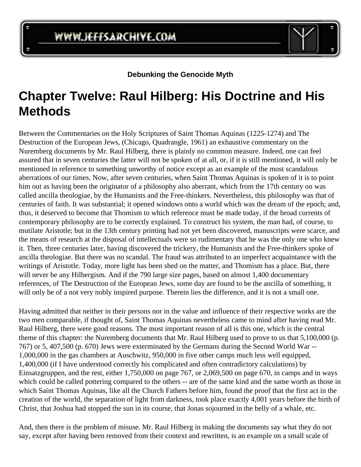#### **Debunking the Genocide Myth**

# <span id="page-130-0"></span>**Chapter Twelve: Raul Hilberg: His Doctrine and His Methods**

Between the Commentaries on the Holy Scriptures of Saint Thomas Aquinas (1225-1274) and The Destruction of the European Jews, (Chicago, Quadrangle, 1961) an exhaustive commentary on the Nuremberg documents by Mr. Raul Hilberg, there is plainly no common measure. Indeed, one can feel assured that in seven centuries the latter will not be spoken of at all, or, if it is still mentioned, it will only be mentioned in reference to something unworthy of notice except as an example of the most scandalous aberrations of our times. Now, after seven centuries, when Saint Thomas Aquinas is spoken of it is to point him out as having been the originator of a philosophy also aberrant, which from the 17th century on was called ancilla theologiae, by the Humanists and the Free-thinkers. Nevertheless, this philosophy was that of centuries of faith. It was substantial; it opened windows onto a world which was the dream of the epoch; and, thus, it deserved to become that Thomism to which reference must be made today, if the broad currents of contemporary philosophy are to be correctly explained. To construct his system, the man had, of course, to mutilate Aristotle; but in the 13th century printing had not yet been discovered, manuscripts were scarce, and the means of research at the disposal of intellectuals were so rudimentary that he was the only one who knew it. Then, three centuries later, having discovered the trickery, the Humanists and the Free-thinkers spoke of ancilla theologiae. But there was no scandal. The fraud was attributed to an imperfect acquaintance with the writings of Aristotle. Today, more light has been shed on the matter, and Thomism has a place. But, there will never be any Hilbergism. And if the 790 large size pages, based on almost 1,400 documentary references, of The Destruction of the European Jews, some day are found to be the ancilla of something, it will only be of a not very nobly inspired purpose. Therein lies the difference, and it is not a small one.

Having admitted that neither in their persons nor in the value and influence of their respective works are the two men comparable, if thought of, Saint Thomas Aquinas nevertheless came to mind after having read Mr. Raul Hilberg, there were good reasons. The most important reason of all is this one, which is the central theme of this chapter: the Nuremberg documents that Mr. Raul Hilberg used to prove to us that 5,100,000 (p. 767) or 5, 407,500 (p. 670) Jews were exterminated by the Germans during the Second World War -- 1,000,000 in the gas chambers at Auschwitz, 950,000 in five other camps much less well equipped, 1,400,000 (if I have understood correctly his complicated and often contradictory calculations) by Einsatzgruppen, and the rest, either 1,750,000 on page 767, or 2,069,500 on page 670, in camps and in ways which could be called pottering compared to the others -- are of the same kind and the same worth as those in which Saint Thomas Aquinas, like all the Church Fathers before him, found the proof that the first act in the creation of the world, the separation of light from darkness, took place exactly 4,001 years before the birth of Christ, that Joshua had stopped the sun in its course, that Jonas sojourned in the belly of a whale, etc.

And, then there is the problem of misuse. Mr. Raul Hilberg in making the documents say what they do not say, except after having been removed from their context and rewritten, is an example on a small scale of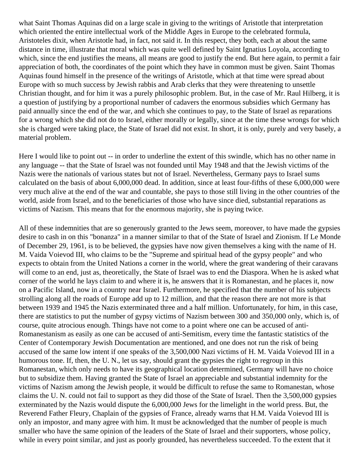what Saint Thomas Aquinas did on a large scale in giving to the writings of Aristotle that interpretation which oriented the entire intellectual work of the Middle Ages in Europe to the celebrated formula, Aristoteles dixit, when Aristotle had, in fact, not said it. In this respect, they both, each at about the same distance in time, illustrate that moral which was quite well defined by Saint Ignatius Loyola, according to which, since the end justifies the means, all means are good to justify the end. But here again, to permit a fair appreciation of both, the coordinates of the point which they have in common must be given. Saint Thomas Aquinas found himself in the presence of the writings of Aristotle, which at that time were spread about Europe with so much success by Jewish rabbis and Arab clerks that they were threatening to unsettle Christian thought, and for him it was a purely philosophic problem. But, in the case of Mr. Raul Hilberg, it is a question of justifying by a proportional number of cadavers the enormous subsidies which Germany has paid annually since the end of the war, and which she continues to pay, to the State of Israel as reparations for a wrong which she did not do to Israel, either morally or legally, since at the time these wrongs for which she is charged were taking place, the State of Israel did not exist. In short, it is only, purely and very basely, a material problem.

Here I would like to point out -- in order to underline the extent of this swindle, which has no other name in any language -- that the State of Israel was not founded until May 1948 and that the Jewish victims of the Nazis were the nationals of various states but not of Israel. Nevertheless, Germany pays to Israel sums calculated on the basis of about 6,000,000 dead. In addition, since at least four-fifths of these 6,000,000 were very much alive at the end of the war and countable, she pays to those still living in the other countries of the world, aside from Israel, and to the beneficiaries of those who have since died, substantial reparations as victims of Nazism. This means that for the enormous majority, she is paying twice.

All of these indemnities that are so generously granted to the Jews seem, moreover, to have made the gypsies desire to cash in on this "bonanza" in a manner similar to that of the State of Israel and Zionism. If Le Monde of December 29, 1961, is to be believed, the gypsies have now given themselves a king with the name of H. M. Vaida Voievod III, who claims to be the "Supreme and spiritual head of the gypsy people" and who expects to obtain from the United Nations a corner in the world, where the great wandering of their caravans will come to an end, just as, theoretically, the State of Israel was to end the Diaspora. When he is asked what corner of the world he lays claim to and where it is, he answers that it is Romanestan, and he places it, now on a Pacific Island, now in a country near Israel. Furthermore, he specified that the number of his subjects strolling along all the roads of Europe add up to 12 million, and that the reason there are not more is that between 1939 and 1945 the Nazis exterminated three and a half million. Unfortunately, for him, in this case, there are statistics to put the number of gypsy victims of Nazism between 300 and 350,000 only, which is, of course, quite atrocious enough. Things have not come to a point where one can be accused of anti-Romanestanism as easily as one can be accused of anti-Semitism, every time the fantastic statistics of the Center of Contemporary Jewish Documentation are mentioned, and one does not run the risk of being accused of the same low intent if one speaks of the 3,500,000 Nazi victims of H. M. Vaida Voievod III in a humorous tone. If, then, the U. N., let us say, should grant the gypsies the right to regroup in this Romanestan, which only needs to have its geographical location determined, Germany will have no choice but to subsidize them. Having granted the State of Israel an appreciable and substantial indemnity for the victims of Nazism among the Jewish people, it would be difficult to refuse the same to Romanestan, whose claims the U. N. could not fail to support as they did those of the State of Israel. Then the 3,500,000 gypsies exterminated by the Nazis would dispute the 6,000,000 Jews for the limelight in the world press. But, the Reverend Father Fleury, Chaplain of the gypsies of France, already warns that H.M. Vaida Voievod III is only an impostor, and many agree with him. It must be acknowledged that the number of people is much smaller who have the same opinion of the leaders of the State of Israel and their supporters, whose policy, while in every point similar, and just as poorly grounded, has nevertheless succeeded. To the extent that it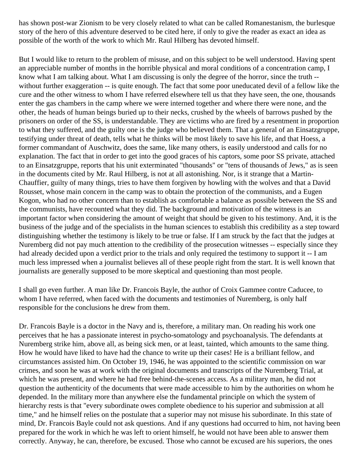has shown post-war Zionism to be very closely related to what can be called Romanestanism, the burlesque story of the hero of this adventure deserved to be cited here, if only to give the reader as exact an idea as possible of the worth of the work to which Mr. Raul Hilberg has devoted himself.

But I would like to return to the problem of misuse, and on this subject to be well understood. Having spent an appreciable number of months in the horrible physical and moral conditions of a concentration camp, I know what I am talking about. What I am discussing is only the degree of the horror, since the truth - without further exaggeration -- is quite enough. The fact that some poor uneducated devil of a fellow like the cure and the other witness to whom I have referred elsewhere tell us that they have seen, the one, thousands enter the gas chambers in the camp where we were interned together and where there were none, and the other, the heads of human beings buried up to their necks, crushed by the wheels of barrows pushed by the prisoners on order of the SS, is understandable. They are victims who are fired by a resentment in proportion to what they suffered, and the guilty one is the judge who believed them. That a general of an Einsatzgruppe, testifying under threat of death, tells what he thinks will be most likely to save his life, and that Hoess, a former commandant of Auschwitz, does the same, like many others, is easily understood and calls for no explanation. The fact that in order to get into the good graces of his captors, some poor SS private, attached to an Einsatzgruppe, reports that his unit exterminated "thousands" or "tens of thousands of Jews," as is seen in the documents cited by Mr. Raul Hilberg, is not at all astonishing. Nor, is it strange that a Martin-Chauffier, guilty of many things, tries to have them forgiven by howling with the wolves and that a David Rousset, whose main concern in the camp was to obtain the protection of the communists, and a Eugen Kogon, who had no other concern than to establish as comfortable a balance as possible between the SS and the communists, have recounted what they did. The background and motivation of the witness is an important factor when considering the amount of weight that should be given to his testimony. And, it is the business of the judge and of the specialists in the human sciences to establish this credibility as a step toward distinguishing whether the testimony is likely to be true or false. If I am struck by the fact that the judges at Nuremberg did not pay much attention to the credibility of the prosecution witnesses -- especially since they had already decided upon a verdict prior to the trials and only required the testimony to support it -- I am much less impressed when a journalist believes all of these people right from the start. It is well known that journalists are generally supposed to be more skeptical and questioning than most people.

I shall go even further. A man like Dr. Francois Bayle, the author of Croix Gammee contre Caducee, to whom I have referred, when faced with the documents and testimonies of Nuremberg, is only half responsible for the conclusions he drew from them.

Dr. Francois Bayle is a doctor in the Navy and is, therefore, a military man. On reading his work one perceives that he has a passionate interest in psycho-somatology and psychoanalysis. The defendants at Nuremberg strike him, above all, as being sick men, or at least, tainted, which amounts to the same thing. How he would have liked to have had the chance to write up their cases! He is a brilliant fellow, and circumstances assisted him. On October 19, 1946, he was appointed to the scientific commission on war crimes, and soon he was at work with the original documents and transcripts of the Nuremberg Trial, at which he was present, and where he had free behind-the-scenes access. As a military man, he did not question the authenticity of the documents that were made accessible to him by the authorities on whom he depended. In the military more than anywhere else the fundamental principle on which the system of hierarchy rests is that "every subordinate owes complete obedience to his superior and submission at all time," and he himself relies on the postulate that a superior may not misuse his subordinate. In this state of mind, Dr. Francois Bayle could not ask questions. And if any questions had occurred to him, not having been prepared for the work in which he was left to orient himself, he would not have been able to answer them correctly. Anyway, he can, therefore, be excused. Those who cannot be excused are his superiors, the ones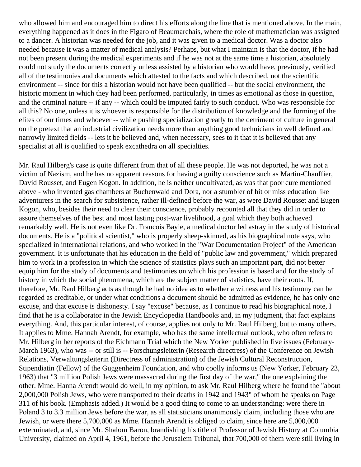who allowed him and encouraged him to direct his efforts along the line that is mentioned above. In the main, everything happened as it does in the Figaro of Beaumarchais, where the role of mathematician was assigned to a dancer. A historian was needed for the job, and it was given to a medical doctor. Was a doctor also needed because it was a matter of medical analysis? Perhaps, but what I maintain is that the doctor, if he had not been present during the medical experiments and if he was not at the same time a historian, absolutely could not study the documents correctly unless assisted by a historian who would have, previously, verified all of the testimonies and documents which attested to the facts and which described, not the scientific environment -- since for this a historian would not have been qualified -- but the social environment, the historic moment in which they had been performed, particularly, in times as emotional as those in question, and the criminal nature -- if any -- which could be imputed fairly to such conduct. Who was responsible for all this? No one, unless it is whoever is responsible for the distribution of knowledge and the forming of the elites of our times and whoever -- while pushing specialization greatly to the detriment of culture in general on the pretext that an industrial civilization needs more than anything good technicians in well defined and narrowly limited fields -- lets it be believed and, when necessary, sees to it that it is believed that any specialist at all is qualified to speak excathedra on all specialties.

Mr. Raul Hilberg's case is quite different from that of all these people. He was not deported, he was not a victim of Nazism, and he has no apparent reasons for having a guilty conscience such as Martin-Chauffier, David Rousset, and Eugen Kogon. In addition, he is neither uncultivated, as was that poor cure mentioned above - who invented gas chambers at Buchenwald and Dora, nor a stumbler of hit or miss education like adventurers in the search for subsistence, rather ill-defined before the war, as were David Rousset and Eugen Kogon, who, besides their need to clear their conscience, probably recounted all that they did in order to assure themselves of the best and most lasting post-war livelihood, a goal which they both achieved remarkably well. He is not even like Dr. Francois Bayle, a medical doctor led astray in the study of historical documents. He is a "political scientist," who is properly sheep-skinned, as his biographical note says, who specialized in international relations, and who worked in the "War Documentation Project" of the American government. It is unfortunate that his education in the field of "public law and government," which prepared him to work in a profession in which the science of statistics plays such an important part, did not better equip him for the study of documents and testimonies on which his profession is based and for the study of history in which the social phenomena, which are the subject matter of statistics, have their roots. If, therefore, Mr. Raul Hilberg acts as though he had no idea as to whether a witness and his testimony can be regarded as creditable, or under what conditions a document should be admitted as evidence, he has only one excuse, and that excuse is dishonesty. I say "excuse" because, as I continue to read his biographical note, I find that he is a collaborator in the Jewish Encyclopedia Handbooks and, in my judgment, that fact explains everything. And, this particular interest, of course, applies not only to Mr. Raul Hilberg, but to many others. It applies to Mme. Hannah Arendt, for example, who has the same intellectual outlook, who often refers to Mr. Hilberg in her reports of the Eichmann Trial which the New Yorker published in five issues (February-March 1963), who was -- or still is -- Forschungsleiterin (Research directress) of the Conference on Jewish Relations, Verwaltungsleiterin (Directress of administration) of the Jewish Cultural Reconstruction, Stipendiatin (Fellow) of the Guggenheim Foundation, and who coolly informs us (New Yorker, February 23, 1963) that "3 million Polish Jews were massacred during the first day of the war," the one explaining the other. Mme. Hanna Arendt would do well, in my opinion, to ask Mr. Raul Hilberg where he found the "about 2,000,000 Polish Jews, who were transported to their deaths in 1942 and 1943" of whom he speaks on Page 311 of his book. (Emphasis added.) It would be a good thing to come to an understanding: were there in Poland 3 to 3.3 million Jews before the war, as all statisticians unanimously claim, including those who are Jewish, or were there 5,700,000 as Mme. Hannah Arendt is obliged to claim, since here are 5,000,000 exterminated, and, since Mr. Shalom Baron, brandishing his title of Professor of Jewish History at Columbia University, claimed on April 4, 1961, before the Jerusalem Tribunal, that 700,000 of them were still living in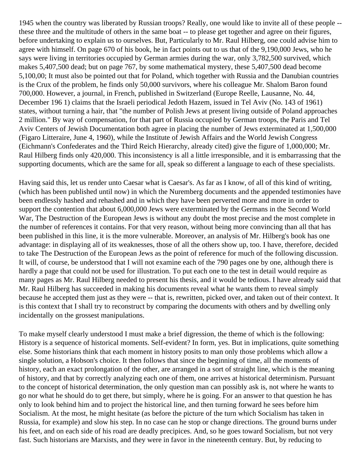1945 when the country was liberated by Russian troops? Really, one would like to invite all of these people - these three and the multitude of others in the same boat -- to please get together and agree on their figures, before undertaking to explain us to ourselves. But, Particularly to Mr. Raul Hilberg, one could advise him to agree with himself. On page 670 of his book, he in fact points out to us that of the 9,190,000 Jews, who he says were living in territories occupied by German armies during the war, only 3,782,500 survived, which makes 5,407,500 dead; but on page 767, by some mathematical mystery, these 5,407,500 dead become 5,100,00; It must also be pointed out that for Poland, which together with Russia and the Danubian countries is the Crux of the problem, he finds only 50,000 survivors, where his colleague Mr. Shalom Baron found 700,000. However, a journal, in French, published in Switzerland (Europe Reelle, Lausanne, No. 44, December 196 1) claims that the Israeli periodical Jedoth Hazem, issued in Tel Aviv (No. 143 of 1961) states, without turning a hair, that "the number of Polish Jews at present living outside of Poland approaches 2 million." By way of compensation, for that part of Russia occupied by German troops, the Paris and Tel Aviv Centers of Jewish Documentation both agree in placing the number of Jews exterminated at 1,500,000 (Figaro Litteraire, June 4, 1960), while the Institute of Jewish Affairs and the World Jewish Congress (Eichmann's Confederates and the Third Reich Hierarchy, already cited) give the figure of 1,000,000; Mr. Raul Hilberg finds only 420,000. This inconsistency is all a little irresponsible, and it is embarrassing that the supporting documents, which are the same for all, speak so different a language to each of these specialists.

Having said this, let us render unto Caesar what is Caesar's. As far as I know, of all of this kind of writing, (which has been published until now) in which the Nuremberg documents and the appended testimonies have been endlessly hashed and rehashed and in which they have been perverted more and more in order to support the contention that about 6,000,000 Jews were exterminated by the Germans in the Second World War, The Destruction of the European Jews is without any doubt the most precise and the most complete in the number of references it contains. For that very reason, without being more convincing than all that has been published in this line, it is the more vulnerable. Moreover, an analysis of Mr. Hilberg's book has one advantage: in displaying all of its weaknesses, those of all the others show up, too. I have, therefore, decided to take The Destruction of the European Jews as the point of reference for much of the following discussion. It will, of course, be understood that I will not examine each of the 790 pages one by one, although there is hardly a page that could not be used for illustration. To put each one to the test in detail would require as many pages as Mr. Raul Hilberg needed to present his thesis, and it would be tedious. I have already said that Mr. Raul Hilberg has succeeded in making his documents reveal what he wants them to reveal simply because he accepted them just as they were -- that is, rewritten, picked over, and taken out of their context. It is this context that I shall try to reconstruct by comparing the documents with others and by dwelling only incidentally on the grossest manipulations.

To make myself clearly understood I must make a brief digression, the theme of which is the following: History is a sequence of historical moments. Self-evident? In form, yes. But in implications, quite something else. Some historians think that each moment in history posits to man only those problems which allow a single solution, a Hobson's choice. It then follows that since the beginning of time, all the moments of history, each an exact prolongation of the other, are arranged in a sort of straight line, which is the meaning of history, and that by correctly analyzing each one of them, one arrives at historical determinism. Pursuant to the concept of historical determination, the only question man can possibly ask is, not where he wants to go nor what he should do to get there, but simply, where he is going. For an answer to that question he has only to look behind him and to project the historical line, and then turning forward he sees before him Socialism. At the most, he might hesitate (as before the picture of the turn which Socialism has taken in Russia, for example) and slow his step. In no case can he stop or change directions. The ground burns under his feet, and on each side of his road are deadly precipices. And, so he goes toward Socialism, but not very fast. Such historians are Marxists, and they were in favor in the nineteenth century. But, by reducing to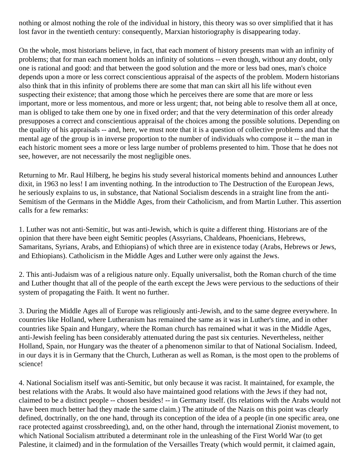nothing or almost nothing the role of the individual in history, this theory was so over simplified that it has lost favor in the twentieth century: consequently, Marxian historiography is disappearing today.

On the whole, most historians believe, in fact, that each moment of history presents man with an infinity of problems; that for man each moment holds an infinity of solutions -- even though, without any doubt, only one is rational and good: and that between the good solution and the more or less bad ones, man's choice depends upon a more or less correct conscientious appraisal of the aspects of the problem. Modern historians also think that in this infinity of problems there are some that man can skirt all his life without even suspecting their existence; that among those which he perceives there are some that are more or less important, more or less momentous, and more or less urgent; that, not being able to resolve them all at once, man is obliged to take them one by one in fixed order; and that the very determination of this order already presupposes a correct and conscientious appraisal of the choices among the possible solutions. Depending on the quality of his appraisals -- and, here, we must note that it is a question of collective problems and that the mental age of the group is in inverse proportion to the number of individuals who compose it -- the man in each historic moment sees a more or less large number of problems presented to him. Those that he does not see, however, are not necessarily the most negligible ones.

Returning to Mr. Raul Hilberg, he begins his study several historical moments behind and announces Luther dixit, in 1963 no less! I am inventing nothing. In the introduction to The Destruction of the European Jews, he seriously explains to us, in substance, that National Socialism descends in a straight line from the anti-Semitism of the Germans in the Middle Ages, from their Catholicism, and from Martin Luther. This assertion calls for a few remarks:

1. Luther was not anti-Semitic, but was anti-Jewish, which is quite a different thing. Historians are of the opinion that there have been eight Semitic peoples (Assyrians, Chaldeans, Phoenicians, Hebrews, Samaritans, Syrians, Arabs, and Ethiopians) of which three are in existence today (Arabs, Hebrews or Jews, and Ethiopians). Catholicism in the Middle Ages and Luther were only against the Jews.

2. This anti-Judaism was of a religious nature only. Equally universalist, both the Roman church of the time and Luther thought that all of the people of the earth except the Jews were pervious to the seductions of their system of propagating the Faith. It went no further.

3. During the Middle Ages all of Europe was religiously anti-Jewish, and to the same degree everywhere. In countries like Holland, where Lutheranism has remained the same as it was in Luther's time, and in other countries like Spain and Hungary, where the Roman church has remained what it was in the Middle Ages, anti-Jewish feeling has been considerably attenuated during the past six centuries. Nevertheless, neither Holland, Spain, nor Hungary was the theater of a phenomenon similar to that of National Socialism. Indeed, in our days it is in Germany that the Church, Lutheran as well as Roman, is the most open to the problems of science!

4. National Socialism itself was anti-Semitic, but only because it was racist. It maintained, for example, the best relations with the Arabs. It would also have maintained good relations with the Jews if they had not, claimed to be a distinct people -- chosen besides! -- in Germany itself. (Its relations with the Arabs would not have been much better had they made the same claim.) The attitude of the Nazis on this point was clearly defined, doctrinally, on the one hand, through its conception of the idea of a people (in one specific area, one race protected against crossbreeding), and, on the other hand, through the international Zionist movement, to which National Socialism attributed a determinant role in the unleashing of the First World War (to get Palestine, it claimed) and in the formulation of the Versailles Treaty (which would permit, it claimed again,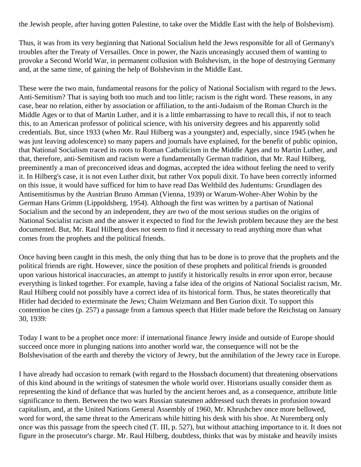the Jewish people, after having gotten Palestine, to take over the Middle East with the help of Bolshevism).

Thus, it was from its very beginning that National Socialism held the Jews responsible for all of Germany's troubles after the Treaty of Versailles. Once in power, the Nazis unceasingly accused them of wanting to provoke a Second World War, in permanent collusion with Bolshevism, in the hope of destroying Germany and, at the same time, of gaining the help of Bolshevism in the Middle East.

These were the two main, fundamental reasons for the policy of National Socialism with regard to the Jews. Anti-Semitism? That is saying both too much and too little; racism is the right word. These reasons, in any case, bear no relation, either by association or affiliation, to the anti-Judaism of the Roman Church in the Middle Ages or to that of Martin Luther, and it is a little embarrassing to have to recall this, if not to teach this, to an American professor of political science, with his university degrees and his apparently solid credentials. But, since 1933 (when Mr. Raul Hilberg was a youngster) and, especially, since 1945 (when he was just leaving adolescence) so many papers and journals have explained, for the benefit of public opinion, that National Socialism traced its roots to Roman Catholicism in the Middle Ages and to Martin Luther, and that, therefore, anti-Semitism and racism were a fundamentally German tradition, that Mr. Raul Hilberg, preeminently a man of preconceived ideas and dogmas, accepted the idea without feeling the need to verify it. In Hilberg's case, it is not even Luther dixit, but rather Vox populi dixit. To have been correctly informed on this issue, it would have sufficed for him to have read Das Weltbild des Judentums: Grundlagen des Antisemitismus by the Austrian Bruno Amman (Vienna, 1939) or Warum-Woher-Aber Wohin by the German Hans Grimm (Lippoldsberg, 1954). Although the first was written by a partisan of National Socialism and the second by an independent, they are two of the most serious studies on the origins of National Socialist racism and the answer it expected to find for the Jewish problem because they are the best documented. But, Mr. Raul Hilberg does not seem to find it necessary to read anything more than what comes from the prophets and the political friends.

Once having been caught in this mesh, the only thing that has to be done is to prove that the prophets and the political friends are right. However, since the position of these prophets and political friends is grounded upon various historical inaccuracies, an attempt to justify it historically results in error upon error, because everything is linked together. For example, having a false idea of the origins of National Socialist racism, Mr. Raul Hilberg could not possibly have a correct idea of its historical form. Thus, he states theoretically that Hitler had decided to exterminate the Jews; Chaim Weizmann and Ben Gurion dixit. To support this contention he cites (p. 257) a passage from a famous speech that Hitler made before the Reichstag on January 30, 1939:

Today I want to be a prophet once more: if international finance Jewry inside and outside of Europe should succeed once more in plunging nations into another world war, the consequence will not be the Bolshevisation of the earth and thereby the victory of Jewry, but the annihilation of the Jewry race in Europe.

I have already had occasion to remark (with regard to the Hossbach document) that threatening observations of this kind abound in the writings of statesmen the whole world over. Historians usually consider them as representing the kind of defiance that was hurled by the ancient heroes and, as a consequence, attribute little significance to them. Between the two wars Russian statesmen addressed such threats in profusion toward capitalism, and, at the United Nations General Assembly of 1960, Mr. Khrushchev once more bellowed, word for word, the same threat to the Americans while hitting his desk with his shoe. At Nuremberg only once was this passage from the speech cited (T. III, p. 527), but without attaching importance to it. It does not figure in the prosecutor's charge. Mr. Raul Hilberg, doubtless, thinks that was by mistake and heavily insists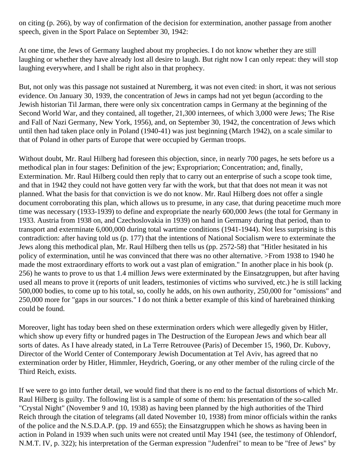on citing (p. 266), by way of confirmation of the decision for extermination, another passage from another speech, given in the Sport Palace on September 30, 1942:

At one time, the Jews of Germany laughed about my prophecies. I do not know whether they are still laughing or whether they have already lost all desire to laugh. But right now I can only repeat: they will stop laughing everywhere, and I shall be right also in that prophecy.

But, not only was this passage not sustained at Nuremberg, it was not even cited: in short, it was not serious evidence. On January 30, 1939, the concentration of Jews in camps had not yet begun (according to the Jewish historian Til Jarman, there were only six concentration camps in Germany at the beginning of the Second World War, and they contained, all together, 21,300 internees, of which 3,000 were Jews; The Rise and Fall of Nazi Germany, New York, 1956), and, on September 30, 1942, the concentration of Jews which until then had taken place only in Poland (1940-41) was just beginning (March 1942), on a scale similar to that of Poland in other parts of Europe that were occupied by German troops.

Without doubt, Mr. Raul Hilberg had foreseen this objection, since, in nearly 700 pages, he sets before us a methodical plan in four stages: Definition of the jew; Expropriarion; Concentration; and, finally, Extermination. Mr. Raul Hilberg could then reply that to carry out an enterprise of such a scope took time, and that in 1942 they could not have gotten very far with the work, but that that does not mean it was not planned. What the basis for that conviction is we do not know. Mr. Raul Hilberg does not offer a single document corroborating this plan, which allows us to presume, in any case, that during peacetime much more time was necessary (1933-1939) to define and expropriate the nearly 600,000 Jews (the total for Germany in 1933. Austria from 1938 on, and Czechoslovakia in 1939) on hand in Germany during that period, than to transport and exterminate 6,000,000 during total wartime conditions (1941-1944). Not less surprising is this contradiction: after having told us (p. 177) that the intentions of National Socialism were to exterminate the Jews along this methodical plan, Mr. Raul Hilberg then tells us (pp. 2572-58) that "Hitler hesitated in his policy of extermination, until he was convinced that there was no other alternative. >From 1938 to 1940 he made the most extraordinary efforts to work out a vast plan of emigration." In another place in his book (p. 256) he wants to prove to us that 1.4 million Jews were exterminated by the Einsatzgruppen, but after having used all means to prove it (reports of unit leaders, testimonies of victims who survived, etc.) he is still lacking 500,000 bodies, to come up to his total, so, coolly he adds, on his own authority, 250,000 for "omissions" and 250,000 more for "gaps in our sources." I do not think a better example of this kind of harebrained thinking could be found.

Moreover, light has today been shed on these extermination orders which were allegedly given by Hitler, which show up every fifty or hundred pages in The Destruction of the European Jews and which bear all sorts of dates. As I have already stated, in La Terre Retrouvee (Paris) of December 15, 1960, Dr. Kubovy, Director of the World Center of Contemporary Jewish Documentation at Tel Aviv, has agreed that no extermination order by Hitler, Himmler, Heydrich, Goering, or any other member of the ruling circle of the Third Reich, exists.

If we were to go into further detail, we would find that there is no end to the factual distortions of which Mr. Raul Hilberg is guilty. The following list is a sample of some of them: his presentation of the so-called "Crystal Night" (November 9 and 10, 1938) as having been planned by the high authorities of the Third Reich through the citation of telegrams (all dated November 10, 1938) from minor officials within the ranks of the police and the N.S.D.A.P. (pp. 19 and 655); the Einsatzgruppen which he shows as having been in action in Poland in 1939 when such units were not created until May 1941 (see, the testimony of Ohlendorf, N.M.T. IV, p. 322); his interpretation of the German expression "Judenfrei" to mean to be "free of Jews" by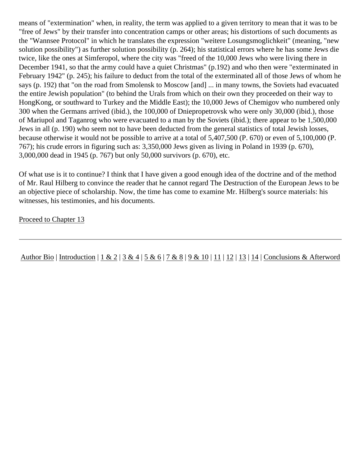means of "extermination" when, in reality, the term was applied to a given territory to mean that it was to be "free of Jews" by their transfer into concentration camps or other areas; his distortions of such documents as the "Wannsee Protocol" in which he translates the expression "weitere Losungsmoglichkeit" (meaning, "new solution possibility") as further solution possibility (p. 264); his statistical errors where he has some Jews die twice, like the ones at Simferopol, where the city was "freed of the 10,000 Jews who were living there in December 1941, so that the army could have a quiet Christmas" (p.192) and who then were "exterminated in February 1942" (p. 245); his failure to deduct from the total of the exterminated all of those Jews of whom he says (p. 192) that "on the road from Smolensk to Moscow [and] ... in many towns, the Soviets had evacuated the entire Jewish population" (to behind the Urals from which on their own they proceeded on their way to HongKong, or southward to Turkey and the Middle East); the 10,000 Jews of Chemigov who numbered only 300 when the Germans arrived (ibid.), the 100,000 of Dniepropetrovsk who were only 30,000 (ibid.), those of Mariupol and Taganrog who were evacuated to a man by the Soviets (ibid.); there appear to be 1,500,000 Jews in all (p. 190) who seem not to have been deducted from the general statistics of total Jewish losses, because otherwise it would not be possible to arrive at a total of 5,407,500 (P. 670) or even of 5,100,000 (P. 767); his crude errors in figuring such as: 3,350,000 Jews given as living in Poland in 1939 (p. 670), 3,000,000 dead in 1945 (p. 767) but only 50,000 survivors (p. 670), etc.

Of what use is it to continue? I think that I have given a good enough idea of the doctrine and of the method of Mr. Raul Hilberg to convince the reader that he cannot regard The Destruction of the European Jews to be an objective piece of scholarship. Now, the time has come to examine Mr. Hilberg's source materials: his witnesses, his testimonies, and his documents.

[Proceed to Chapter 13](#page-139-0)

[Author Bio](#page-0-0) | [Introduction](#page-0-0) | [1 & 2](#page-9-0) | [3 & 4](#page-32-0) | [5 & 6](#page-55-0) | [7 & 8](#page-67-0) | [9 & 10](#page-83-0) | [11](#page-104-0) | [12](#page-130-0) | [13](#page-139-0) | [14](#page-176-0) | [Conclusions & Afterword](#page-234-0)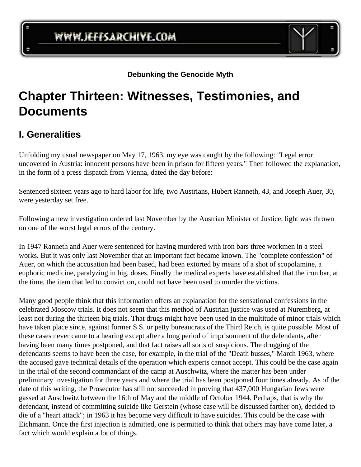#### **Debunking the Genocide Myth**

# <span id="page-139-0"></span>**Chapter Thirteen: Witnesses, Testimonies, and Documents**

## **I. Generalities**

Unfolding my usual newspaper on May 17, 1963, my eye was caught by the following: "Legal error uncovered in Austria: innocent persons have been in prison for fifteen years." Then followed the explanation, in the form of a press dispatch from Vienna, dated the day before:

Sentenced sixteen years ago to hard labor for life, two Austrians, Hubert Ranneth, 43, and Joseph Auer, 30, were yesterday set free.

Following a new investigation ordered last November by the Austrian Minister of Justice, light was thrown on one of the worst legal errors of the century.

In 1947 Ranneth and Auer were sentenced for having murdered with iron bars three workmen in a steel works. But it was only last November that an important fact became known. The "complete confession" of Auer, on which the accusation had been based, had been extorted by means of a shot of scopolamine, a euphoric medicine, paralyzing in big, doses. Finally the medical experts have established that the iron bar, at the time, the item that led to conviction, could not have been used to murder the victims.

Many good people think that this information offers an explanation for the sensational confessions in the celebrated Moscow trials. It does not seem that this method of Austrian justice was used at Nuremberg, at least not during the thirteen big trials. That drugs might have been used in the multitude of minor trials which have taken place since, against former S.S. or petty bureaucrats of the Third Reich, is quite possible. Most of these cases never came to a hearing except after a long period of imprisonment of the defendants, after having been many times postponed, and that fact raises all sorts of suspicions. The drugging of the defendants seems to have been the case, for example, in the trial of the "Death busses," March 1963, where the accused gave technical details of the operation which experts cannot accept. This could be the case again in the trial of the second commandant of the camp at Auschwitz, where the matter has been under preliminary investigation for three years and where the trial has been postponed four times already. As of the date of this writing, the Prosecutor has still not succeeded in proving that 437,000 Hungarian Jews were gassed at Auschwitz between the 16th of May and the middle of October 1944. Perhaps, that is why the defendant, instead of committing suicide like Gerstein (whose case will be discussed farther on), decided to die of a "heart attack"; in 1963 it has become very difficult to have suicides. This could be the case with Eichmann. Once the first injection is admitted, one is permitted to think that others may have come later, a fact which would explain a lot of things.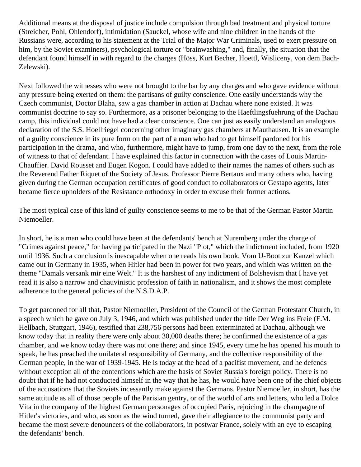Additional means at the disposal of justice include compulsion through bad treatment and physical torture (Streicher, Pohl, Ohlendorf), intimidation (Sauckel, whose wife and nine children in the hands of the Russians were, according to his statement at the Trial of the Major War Criminals, used to exert pressure on him, by the Soviet examiners), psychological torture or "brainwashing," and, finally, the situation that the defendant found himself in with regard to the charges (Höss, Kurt Becher, Hoettl, Wisliceny, von dem Bach-Zelewski).

Next followed the witnesses who were not brought to the bar by any charges and who gave evidence without any pressure being exerted on them: the partisans of guilty conscience. One easily understands why the Czech communist, Doctor Blaha, saw a gas chamber in action at Dachau where none existed. It was communist doctrine to say so. Furthermore, as a prisoner belonging to the Haeftlingsfuehrung of the Dachau camp, this individual could not have had a clear conscience. One can just as easily understand an analogous declaration of the S.S. Hoellriegel concerning other imaginary gas chambers at Mauthausen. It is an example of a guilty conscience in its pure form on the part of a man who had to get himself pardoned for his participation in the drama, and who, furthermore, might have to jump, from one day to the next, from the role of witness to that of defendant. I have explained this factor in connection with the cases of Louis Martin-Chauffier. David Rousset and Eugen Kogon. I could have added to their names the names of others such as the Reverend Father Riquet of the Society of Jesus. Professor Pierre Bertaux and many others who, having given during the German occupation certificates of good conduct to collaborators or Gestapo agents, later became fierce upholders of the Resistance orthodoxy in order to excuse their former actions.

The most typical case of this kind of guilty conscience seems to me to be that of the German Pastor Martin Niemoeller.

In short, he is a man who could have been at the defendants' bench at Nuremberg under the charge of "Crimes against peace," for having participated in the Nazi "Plot," which the indictment included, from 1920 until 1936. Such a conclusion is inescapable when one reads his own book. Vom U-Boot zur Kanzel which came out in Germany in 1935, when Hitler had been in power for two years, and which was written on the theme "Damals versank mir eine Welt." It is the harshest of any indictment of Bolshevism that I have yet read it is also a narrow and chauvinistic profession of faith in nationalism, and it shows the most complete adherence to the general policies of the N.S.D.A.P.

To get pardoned for all that, Pastor Niemoeller, President of the Council of the German Protestant Church, in a speech which he gave on July 3, 1946, and which was published under the title Der Weg ins Freie (F.M. Hellbach, Stuttgart, 1946), testified that 238,756 persons had been exterminated at Dachau, although we know today that in reality there were only about 30,000 deaths there; he confirmed the existence of a gas chamber, and we know today there was not one there; and since 1945, every time he has opened his mouth to speak, he has preached the unilateral responsibility of Germany, and the collective responsibility of the German people, in the war of 1939-1945. He is today at the head of a pacifist movement, and he defends without exception all of the contentions which are the basis of Soviet Russia's foreign policy. There is no doubt that if he had not conducted himself in the way that he has, he would have been one of the chief objects of the accusations that the Soviets incessantly make against the Germans. Pastor Niemoeller, in short, has the same attitude as all of those people of the Parisian gentry, or of the world of arts and letters, who led a Dolce Vita in the company of the highest German personages of occupied Paris, rejoicing in the champagne of Hitler's victories, and who, as soon as the wind turned, gave their allegiance to the communist party and became the most severe denouncers of the collaborators, in postwar France, solely with an eye to escaping the defendants' bench.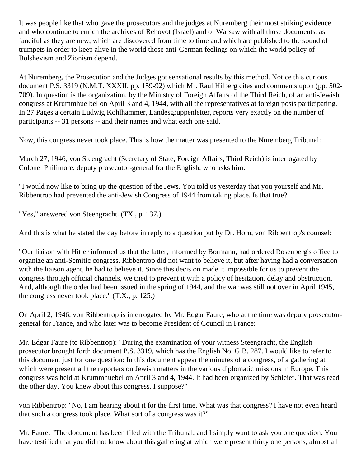It was people like that who gave the prosecutors and the judges at Nuremberg their most striking evidence and who continue to enrich the archives of Rehovot (Israel) and of Warsaw with all those documents, as fanciful as they are new, which are discovered from time to time and which are published to the sound of trumpets in order to keep alive in the world those anti-German feelings on which the world policy of Bolshevism and Zionism depend.

At Nuremberg, the Prosecution and the Judges got sensational results by this method. Notice this curious document P.S. 3319 (N.M.T. XXXII, pp. 159-92) which Mr. Raul Hilberg cites and comments upon (pp. 502- 709). In question is the organization, by the Ministry of Foreign Affairs of the Third Reich, of an anti-Jewish congress at Krummhuelbel on April 3 and 4, 1944, with all the representatives at foreign posts participating. In 27 Pages a certain Ludwig Kohlhammer, Landesgruppenleiter, reports very exactly on the number of participants -- 31 persons -- and their names and what each one said.

Now, this congress never took place. This is how the matter was presented to the Nuremberg Tribunal:

March 27, 1946, von Steengracht (Secretary of State, Foreign Affairs, Third Reich) is interrogated by Colonel Philimore, deputy prosecutor-general for the English, who asks him:

"I would now like to bring up the question of the Jews. You told us yesterday that you yourself and Mr. Ribbentrop had prevented the anti-Jewish Congress of 1944 from taking place. Is that true?

"Yes," answered von Steengracht. (TX., p. 137.)

And this is what he stated the day before in reply to a question put by Dr. Horn, von Ribbentrop's counsel:

"Our liaison with Hitler informed us that the latter, informed by Bormann, had ordered Rosenberg's office to organize an anti-Semitic congress. Ribbentrop did not want to believe it, but after having had a conversation with the liaison agent, he had to believe it. Since this decision made it impossible for us to prevent the congress through official channels, we tried to prevent it with a policy of hesitation, delay and obstruction. And, although the order had been issued in the spring of 1944, and the war was still not over in April 1945, the congress never took place."  $(T.X., p. 125.)$ 

On April 2, 1946, von Ribbentrop is interrogated by Mr. Edgar Faure, who at the time was deputy prosecutorgeneral for France, and who later was to become President of Council in France:

Mr. Edgar Faure (to Ribbentrop): "During the examination of your witness Steengracht, the English prosecutor brought forth document P.S. 3319, which has the English No. G.B. 287. I would like to refer to this document just for one question: In this document appear the minutes of a congress, of a gathering at which were present all the reporters on Jewish matters in the various diplomatic missions in Europe. This congress was held at Krummhuebel on April 3 and 4, 1944. It had been organized by Schleier. That was read the other day. You knew about this congress, I suppose?"

von Ribbentrop: "No, I am hearing about it for the first time. What was that congress? I have not even heard that such a congress took place. What sort of a congress was it?"

Mr. Faure: "The document has been filed with the Tribunal, and I simply want to ask you one question. You have testified that you did not know about this gathering at which were present thirty one persons, almost all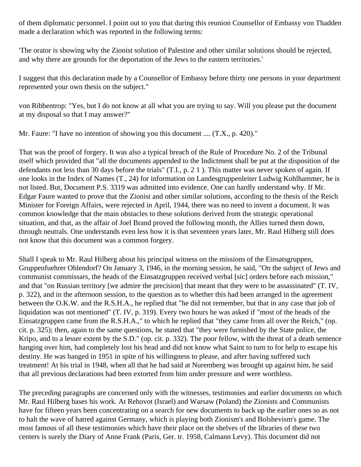of them diplomatic personnel. I point out to you that during this reunion Counsellor of Embassy von Thadden made a declaration which was reported in the following terms:

'The orator is showing why the Zionist solution of Palestine and other similar solutions should be rejected, and why there are grounds for the deportation of the Jews to the eastern territories.'

I suggest that this declaration made by a Counsellor of Embassy before thirty one persons in your department represented your own thesis on the subject."

von Ribbentrop: "Yes, but I do not know at all what you are trying to say. Will you please put the document at my disposal so that I may answer?"

Mr. Faure: "I have no intention of showing you this document .... (T.X., p. 420)."

That was the proof of forgery. It was also a typical breach of the Rule of Procedure No. 2 of the Tribunal itself which provided that "all the documents appended to the Indictment shall be put at the disposition of the defendants not less than 30 days before the trials" (T.I., p. 2 1 ). This matter was never spoken of again. If one looks in the Index of Names (T., 24) for information on Landesgruppenleiter Ludwig Kohlhammer, he is not listed. But, Document P.S. 3319 was admitted into evidence. One can hardly understand why. If Mr. Edgar Faure wanted to prove that the Zionist and other similar solutions, according to the thesis of the Reich Minister for Foreign Affairs, were rejected in April, 1944, there was no need to invent a document. It was common knowledge that the main obstacles to these solutions derived from the strategic operational situation, and that, as the affair of Joel Brand proved the following month, the Allies turned them down, through neutrals. One understands even less how it is that seventeen years later, Mr. Raul Hilberg still does not know that this document was a common forgery.

Shall I speak to Mr. Raul Hilberg about his principal witness on the missions of the Einsatsgruppen, Gruppenfuehrer Ohlendorf? On January 3, 1946, in the morning session, he said, "On the subject of Jews and communist commissars, the heads of the Einsatzgruppen received verbal [sic] orders before each mission," and that "on Russian territory [we admire the precision] that meant that they were to be assassinated" (T. IV, p. 322), and in the afternoon session, to the question as to whether this had been arranged in the agreement between the O.K.W. and the R.S.H.A., he replied that "he did not remember, but that in any case that job of liquidation was not mentioned" (T. IV, p. 319). Every two hours he was asked if "most of the heads of the Einsatzgruppen came from the R.S.H.A.," to which he replied that "they came from all over the Reich," (op. cit. p. 325); then, again to the same questions, he stated that "they were furnished by the State police, the Kripo, and to a lesser extent by the S.D." (op. cit. p. 332). The poor fellow, with the threat of a death sentence hanging over him, had completely lost his head and did not know what Saint to turn to for help to escape his destiny. He was hanged in 1951 in spite of his willingness to please, and after having suffered such treatment! At his trial in 1948, when all that he had said at Nuremberg was brought up against him, he said that all previous declarations had been extorted from him under pressure and were worthless.

The preceding paragraphs are concerned only with the witnesses, testimonies and earlier documents on which Mr. Raul Hilberg bases his work. At Rehovot (Israel) and Warsaw (Poland) the Zionists and Communists have for fifteen years been concentrating on a search for new documents to back up the earlier ones so as not to halt the wave of hatred against Germany, which is playing both Zionism's and Bolshevism's game. The most famous of all these testimonies which have their place on the shelves of the libraries of these two centers is surely the Diary of Anne Frank (Paris, Ger. tr. 1958, Calmann Levy). This document did not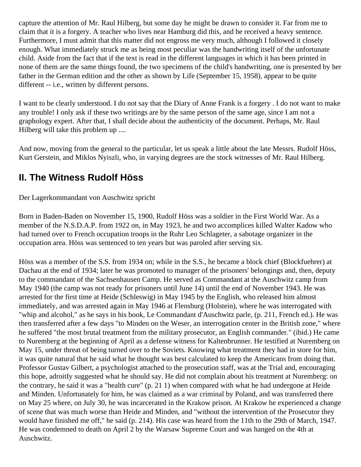capture the attention of Mr. Raul Hilberg, but some day he might be drawn to consider it. Far from me to claim that it is a forgery. A teacher who lives near Hamburg did this, and he received a heavy sentence. Furthermore, I must admit that this matter did not engross me very much, although I followed it closely enough. What immediately struck me as being most peculiar was the handwriting itself of the unfortunate child. Aside from the fact that if the text is read in the different languages in which it has been printed in none of them are the same things found, the two specimens of the child's handwriting, one is presented by her father in the German edition and the other as shown by Life (September 15, 1958), appear to be quite different -- i.e., written by different persons.

I want to be clearly understood. I do not say that the Diary of Anne Frank is a forgery . I do not want to make any trouble! I only ask if these two writings are by the same person of the same age, since I am not a graphology expert. After that, I shall decide about the authenticity of the document. Perhaps, Mr. Raul Hilberg will take this problem up ....

And now, moving from the general to the particular, let us speak a little about the late Messrs. Rudolf Höss, Kurt Gerstein, and Miklos Nyiszli, who, in varying degrees are the stock witnesses of Mr. Raul Hilberg.

## **II. The Witness Rudolf Höss**

#### Der Lagerkommandant von Auschwitz spricht

Born in Baden-Baden on November 15, 1900, Rudolf Höss was a soldier in the First World War. As a member of the N.S.D.A.P. from 1922 on, in May 1923, he and two accomplices killed Walter Kadow who had turned over to French occupation troops in the Ruhr Leo Schlageter, a sabotage organizer in the occupation area. Höss was sentenced to ten years but was paroled after serving six.

Höss was a member of the S.S. from 1934 on; while in the S.S., he became a block chief (Blockfuehrer) at Dachau at the end of 1934; later he was promoted to manager of the prisoners' belongings and, then, deputy to the commandant of the Sachsenhausen Camp. He served as Commandant at the Auschwitz camp from May 1940 (the camp was not ready for prisoners until June 14) until the end of November 1943. He was arrested for the first time at Heide (Schleswig) in May 1945 by the English, who released him almost immediately, and was arrested again in May 1946 at Flensburg (Holstein), where he was interrogated with "whip and alcohol," as he says in his book, Le Commandant d'Auschwitz parle, (p. 211, French ed.). He was then transferred after a few days "to Minden on the Weser, an interrogation center in the British zone," where he suffered "the most brutal treatment from the military prosecutor, an English commander." (ibid.) He came to Nuremberg at the beginning of April as a defense witness for Kaltenbrunner. He testified at Nuremberg on May 15, under threat of being turned over to the Soviets. Knowing what treatment they had in store for him, it was quite natural that he said what he thought was best calculated to keep the Americans from doing that. Professor Gustav Gilbert, a psychologist attached to the prosecution staff, was at the Trial and, encouraging this hope, adroitIy suggested what he should say. He did not complain about his treatment at Nuremberg: on the contrary, he said it was a "health cure" (p. 21 1) when compared with what he had undergone at Heide and Minden. Unfortunately for him, he was claimed as a war criminal by Poland, and was transferred there on May 25 where, on July 30, he was incarcerated in the Krakow prison. At Krakow he experienced a change of scene that was much worse than Heide and Minden, and "without the intervention of the Prosecutor they would have finished me off," he said (p. 214). His case was heard from the 11th to the 29th of March, 1947. He was condemned to death on April 2 by the Warsaw Supreme Court and was hanged on the 4th at Auschwitz.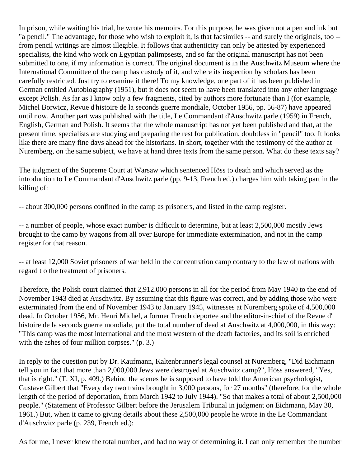In prison, while waiting his trial, he wrote his memoirs. For this purpose, he was given not a pen and ink but "a pencil." The advantage, for those who wish to exploit it, is that facsimiles -- and surely the originals, too - from pencil writings are almost illegible. It follows that authenticity can only be attested by experienced specialists, the kind who work on Egyptian palimpsests, and so far the original manuscript has not been submitted to one, if my information is correct. The original document is in the Auschwitz Museum where the International Committee of the camp has custody of it, and where its inspection by scholars has been carefully restricted. Just try to examine it there! To my knowledge, one part of it has been published in German entitled Autobiography (1951), but it does not seem to have been translated into any other language except Polish. As far as I know only a few fragments, cited by authors more fortunate than I (for example, Michel Borwicz, Revue d'histoire de la seconds guerre mondiale, October 1956, pp. 56-87) have appeared until now. Another part was published with the title, Le Commandant d'Auschwitz parle (1959) in French, English, German and Polish. It seems that the whole manuscript has not yet been published and that, at the present time, specialists are studying and preparing the rest for publication, doubtless in "pencil" too. It looks like there are many fine days ahead for the historians. In short, together with the testimony of the author at Nuremberg, on the same subject, we have at hand three texts from the same person. What do these texts say?

The judgment of the Supreme Court at Warsaw which sentenced Höss to death and which served as the introduction to Le Commandant d'Auschwitz parle (pp. 9-13, French ed.) charges him with taking part in the killing of:

-- about 300,000 persons confined in the camp as prisoners, and listed in the camp register.

-- a number of people, whose exact number is difficult to determine, but at least 2,500,000 mostly Jews brought to the camp by wagons from all over Europe for immediate extermination, and not in the camp register for that reason.

-- at least 12,000 Soviet prisoners of war held in the concentration camp contrary to the law of nations with regard t o the treatment of prisoners.

Therefore, the Polish court claimed that 2,912.000 persons in all for the period from May 1940 to the end of November 1943 died at Auschwitz. By assuming that this figure was correct, and by adding those who were exterminated from the end of November 1943 to January 1945, witnesses at Nuremberg spoke of 4,500,000 dead. In October 1956, Mr. Henri Michel, a former French deportee and the editor-in-chief of the Revue d' histoire de la seconds guerre mondiale, put the total number of dead at Auschwitz at 4,000,000, in this way: "This camp was the most international and the most western of the death factories, and its soil is enriched with the ashes of four million corpses." (p. 3.)

In reply to the question put by Dr. Kaufmann, Kaltenbrunner's legal counsel at Nuremberg, "Did Eichmann tell you in fact that more than 2,000,000 Jews were destroyed at Auschwitz camp?", Höss answered, "Yes, that is right." (T. XI, p. 409.) Behind the scenes he is supposed to have told the American psychologist, Gustave Gilbert that "Every day two trains brought in 3,000 persons, for 27 months" (therefore, for the whole length of the period of deportation, from March 1942 to July 1944). "So that makes a total of about 2,500,000 people." (Statement of Professor Gilbert before the Jerusalem Tribunal in judgment on Eichmann, May 30, 1961.) But, when it came to giving details about these 2,500,000 people he wrote in the Le Commandant d'Auschwitz parle (p. 239, French ed.):

As for me, I never knew the total number, and had no way of determining it. I can only remember the number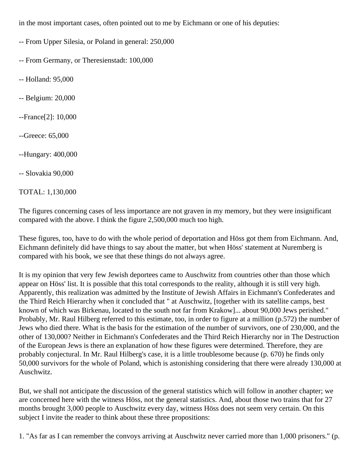in the most important cases, often pointed out to me by Eichmann or one of his deputies:

- -- From Upper Silesia, or Poland in general: 250,000
- -- From Germany, or Theresienstadt: 100,000
- -- Holland: 95,000
- -- Belgium: 20,000
- --France[2]: 10,000
- --Greece: 65,000
- --Hungary: 400,000
- -- Slovakia 90,000

TOTAL: 1,130,000

The figures concerning cases of less importance are not graven in my memory, but they were insignificant compared with the above. I think the figure 2,500,000 much too high.

These figures, too, have to do with the whole period of deportation and Höss got them from Eichmann. And, Eichmann definitely did have things to say about the matter, but when Höss' statement at Nuremberg is compared with his book, we see that these things do not always agree.

It is my opinion that very few Jewish deportees came to Auschwitz from countries other than those which appear on Höss' list. It is possible that this total corresponds to the reality, although it is still very high. Apparently, this realization was admitted by the Institute of Jewish Affairs in Eichmann's Confederates and the Third Reich Hierarchy when it concluded that " at Auschwitz, [together with its satellite camps, best known of which was Birkenau, located to the south not far from Krakow]... about 90,000 Jews perished." Probably, Mr. Raul Hilberg referred to this estimate, too, in order to figure at a million (p.572) the number of Jews who died there. What is the basis for the estimation of the number of survivors, one of 230,000, and the other of 130,000? Neither in Eichmann's Confederates and the Third Reich Hierarchy nor in The Destruction of the European Jews is there an explanation of how these figures were determined. Therefore, they are probably conjectural. In Mr. Raul Hilberg's case, it is a little troublesome because (p. 670) he finds only 50,000 survivors for the whole of Poland, which is astonishing considering that there were already 130,000 at Auschwitz.

But, we shall not anticipate the discussion of the general statistics which will follow in another chapter; we are concerned here with the witness Höss, not the general statistics. And, about those two trains that for 27 months brought 3,000 people to Auschwitz every day, witness Höss does not seem very certain. On this subject I invite the reader to think about these three propositions:

1. "As far as I can remember the convoys arriving at Auschwitz never carried more than 1,000 prisoners." (p.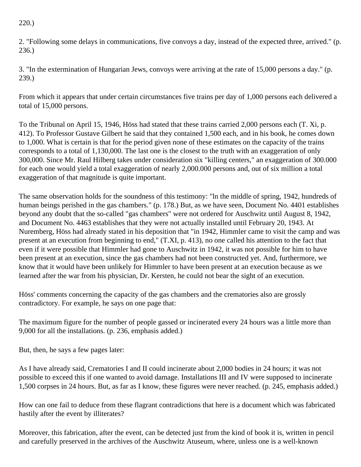220.)

2. "Following some delays in communications, five convoys a day, instead of the expected three, arrived." (p. 236.)

3. "In the extermination of Hungarian Jews, convoys were arriving at the rate of 15,000 persons a day." (p. 239.)

From which it appears that under certain circumstances five trains per day of 1,000 persons each delivered a total of 15,000 persons.

To the Tribunal on April 15, 1946, Höss had stated that these trains carried 2,000 persons each (T. Xi, p. 412). To Professor Gustave Gilbert he said that they contained 1,500 each, and in his book, he comes down to 1,000. What is certain is that for the period given none of these estimates on the capacity of the trains corresponds to a total of 1,130,000. The last one is the closest to the truth with an exaggeration of only 300,000. Since Mr. Raul Hilberg takes under consideration six "killing centers," an exaggeration of 300.000 for each one would yield a total exaggeration of nearly 2,000.000 persons and, out of six million a total exaggeration of that magnitude is quite important.

The same observation holds for the soundness of this testimony: "ln the middle of spring, 1942, hundreds of human beings perished in the gas chambers." (p. 178.) But, as we have seen, Document No. 4401 establishes beyond any doubt that the so-called "gas chambers" were not ordered for Auschwitz until August 8, 1942, and Document No. 4463 establishes that they were not actually installed until February 20, 1943. At Nuremberg, Höss had already stated in his deposition that "in 1942, Himmler came to visit the camp and was present at an execution from beginning to end," (T.XI, p. 413), no one called his attention to the fact that even if it were possible that Himmler had gone to Auschwitz in 1942, it was not possible for him to have been present at an execution, since the gas chambers had not been constructed yet. And, furthermore, we know that it would have been unlikely for Himmler to have been present at an execution because as we learned after the war from his physician, Dr. Kersten, he could not bear the sight of an execution.

Höss' comments concerning the capacity of the gas chambers and the crematories also are grossly contradictory. For example, he says on one page that:

The maximum figure for the number of people gassed or incinerated every 24 hours was a little more than 9,000 for all the installations. (p. 236, emphasis added.)

But, then, he says a few pages later:

As I have already said, Crematories I and II could incinerate about 2,000 bodies in 24 hours; it was not possible to exceed this if one wanted to avoid damage. Installations III and IV were supposed to incinerate 1,500 corpses in 24 hours. But, as far as I know, these figures were never reached. (p. 245, emphasis added.)

How can one fail to deduce from these flagrant contradictions that here is a document which was fabricated hastily after the event by illiterates?

Moreover, this fabrication, after the event, can be detected just from the kind of book it is, written in pencil and carefully preserved in the archives of the Auschwitz Atuseum, where, unless one is a well-known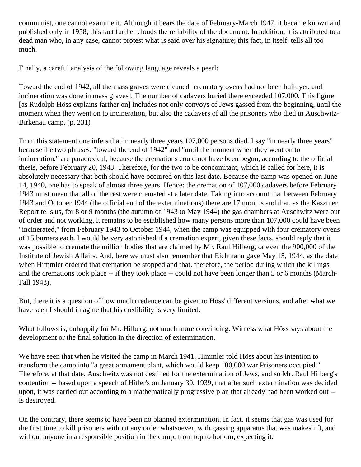communist, one cannot examine it. Although it bears the date of February-March 1947, it became known and published only in 1958; this fact further clouds the reliability of the document. In addition, it is attributed to a dead man who, in any case, cannot protest what is said over his signature; this fact, in itself, tells all too much.

Finally, a careful analysis of the following language reveals a pearl:

Toward the end of 1942, all the mass graves were cleaned [crematory ovens had not been built yet, and incineration was done in mass graves]. The number of cadavers buried there exceeded 107,000. This figure [as Rudolph Höss explains farther on] includes not only convoys of Jews gassed from the beginning, until the moment when they went on to incineration, but also the cadavers of all the prisoners who died in Auschwitz-Birkenau camp. (p. 231)

From this statement one infers that in nearly three years 107,000 persons died. I say "in nearly three years" because the two phrases, "toward the end of 1942" and "until the moment when they went on to incineration," are paradoxical, because the cremations could not have been begun, according to the official thesis, before February 20, 1943. Therefore, for the two to be concomitant, which is called for here, it is absolutely necessary that both should have occurred on this last date. Because the camp was opened on June 14, 1940, one has to speak of almost three years. Hence: the cremation of 107,000 cadavers before February 1943 must mean that all of the rest were cremated at a later date. Taking into account that between February 1943 and October 1944 (the official end of the exterminations) there are 17 months and that, as the Kasztner Report tells us, for 8 or 9 months (the autumn of 1943 to May 1944) the gas chambers at Auschwitz were out of order and not working, it remains to be established how many persons more than 107,000 could have been "incinerated," from February 1943 to October 1944, when the camp was equipped with four crematory ovens of 15 burners each. I would be very astonished if a cremation expert, given these facts, should reply that it was possible to cremate the million bodies that are claimed by Mr. Raul Hilberg, or even the 900,000 of the Institute of Jewish Affairs. And, here we must also remember that Eichmann gave May 15, 1944, as the date when Himmler ordered that cremation be stopped and that, therefore, the period during which the killings and the cremations took place -- if they took place -- could not have been longer than 5 or 6 months (March-Fall 1943).

But, there it is a question of how much credence can be given to Höss' different versions, and after what we have seen I should imagine that his credibility is very limited.

What follows is, unhappily for Mr. Hilberg, not much more convincing. Witness what Höss says about the development or the final solution in the direction of extermination.

We have seen that when he visited the camp in March 1941, Himmler told Höss about his intention to transform the camp into "a great armament plant, which would keep 100,000 war Prisoners occupied." Therefore, at that date, Auschwitz was not destined for the extermination of Jews, and so Mr. Raul Hilberg's contention -- based upon a speech of Hitler's on January 30, 1939, that after such extermination was decided upon, it was carried out according to a mathematically progressive plan that already had been worked out - is destroyed.

On the contrary, there seems to have been no planned extermination. In fact, it seems that gas was used for the first time to kill prisoners without any order whatsoever, with gassing apparatus that was makeshift, and without anyone in a responsible position in the camp, from top to bottom, expecting it: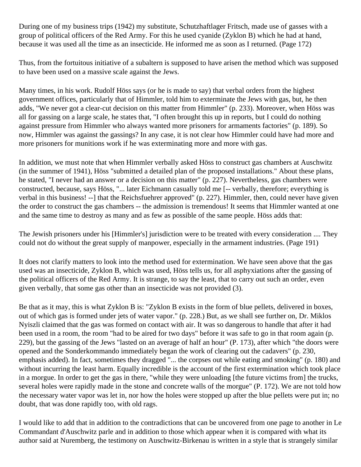During one of my business trips (1942) my substitute, Schutzhaftlager Fritsch, made use of gasses with a group of political officers of the Red Army. For this he used cyanide (Zyklon B) which he had at hand, because it was used all the time as an insecticide. He informed me as soon as I returned. (Page 172)

Thus, from the fortuitous initiative of a subaltern is supposed to have arisen the method which was supposed to have been used on a massive scale against the Jews.

Many times, in his work. Rudolf Höss says (or he is made to say) that verbal orders from the highest government offices, particularly that of Himmler, told him to exterminate the Jews with gas, but, he then adds, "We never got a clear-cut decision on this matter from Himmler" (p. 233). Moreover, when Höss was all for gassing on a large scale, he states that, "I often brought this up in reports, but I could do nothing against pressure from Himmler who always wanted more prisoners for armaments factories" (p. 189). So now, Himmler was against the gassings? In any case, it is not clear how Himmler could have had more and more prisoners for munitions work if he was exterminating more and more with gas.

In addition, we must note that when Himmler verbally asked Höss to construct gas chambers at Auschwitz (in the summer of 1941), Höss "submitted a detailed plan of the proposed installations." About these plans, he stated, "I never had an answer or a decision on this matter" (p. 227). Nevertheless, gas chambers were constructed, because, says Höss, "... later Eichmann casually told me [-- verbally, therefore; everything is verbal in this business! --] that the Reichsfuehrer approved" (p. 227). Himmler, then, could never have given the order to construct the gas chambers -- the admission is tremendous! It seems that Himmler wanted at one and the same time to destroy as many and as few as possible of the same people. Höss adds that:

The Jewish prisoners under his [Himmler's] jurisdiction were to be treated with every consideration .... They could not do without the great supply of manpower, especially in the armament industries. (Page 191)

It does not clarify matters to look into the method used for extermination. We have seen above that the gas used was an insecticide, Zyklon B, which was used, Höss tells us, for all asphyxiations after the gassing of the political officers of the Red Army. It is strange, to say the least, that to carry out such an order, even given verbally, that some gas other than an insecticide was not provided (3).

Be that as it may, this is what Zyklon B is: "Zyklon B exists in the form of blue pellets, delivered in boxes, out of which gas is formed under jets of water vapor." (p. 228.) But, as we shall see further on, Dr. Miklos Nyiszli claimed that the gas was formed on contact with air. It was so dangerous to handle that after it had been used in a room, the room "had to be aired for two days" before it was safe to go in that room again (p. 229), but the gassing of the Jews "lasted on an average of half an hour" (P. 173), after which "the doors were opened and the Sonderkommando immediately began the work of clearing out the cadavers" (p. 230, emphasis added). In fact, sometimes they dragged "... the corpses out while eating and smoking" (p. 180) and without incurring the least harm. Equally incredible is the account of the first extermination which took place in a morgue. In order to get the gas in there, "while they were unloading [the future victims from] the trucks, several holes were rapidly made in the stone and concrete walls of the morgue" (P. 172). We are not told how the necessary water vapor was let in, nor how the holes were stopped up after the blue pellets were put in; no doubt, that was done rapidly too, with old rags.

I would like to add that in addition to the contradictions that can be uncovered from one page to another in Le Commandant d'Auschwitz parle and in addition to those which appear when it is compared with what its author said at Nuremberg, the testimony on Auschwitz-Birkenau is written in a style that is strangely similar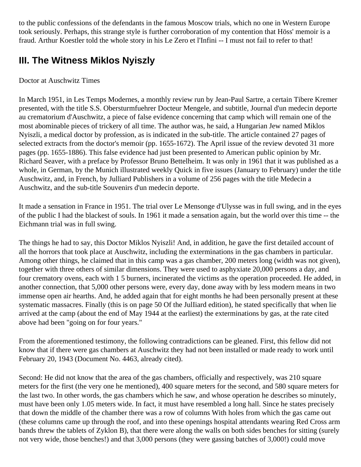to the public confessions of the defendants in the famous Moscow trials, which no one in Western Europe took seriously. Perhaps, this strange style is further corroboration of my contention that Höss' memoir is a fraud. Arthur Koestler told the whole story in his Le Zero et l'Infini -- I must not fail to refer to that!

## **III. The Witness Miklos Nyiszly**

Doctor at Auschwitz Times

In March 1951, in Les Temps Modernes, a monthly review run by Jean-Paul Sartre, a certain Tibere Kremer presented, with the title S.S. Obersturmfuehrer Docteur Mengele, and subtitle, Journal d'un medecin deporte au crematorium d'Auschwitz, a piece of false evidence concerning that camp which will remain one of the most abominable pieces of trickery of all time. The author was, he said, a Hungarian Jew named Miklos Nyiszli, a medical doctor by profession, as is indicated in the sub-title. The article contained 27 pages of selected extracts from the doctor's memoir (pp. 1655-1672). The April issue of the review devoted 31 more pages (pp. 1655-1886). This false evidence had just been presented to American public opinion by Mr. Richard Seaver, with a preface by Professor Bruno Bettelheim. It was only in 1961 that it was published as a whole, in German, by the Munich illustrated weekly Quick in five issues (January to February) under the title Auschwitz, and, in French, by Julliard Publishers in a volume of 256 pages with the title Medecin a Auschwitz, and the sub-title Souvenirs d'un medecin deporte.

It made a sensation in France in 1951. The trial over Le Mensonge d'Ulysse was in full swing, and in the eyes of the public I had the blackest of souls. In 1961 it made a sensation again, but the world over this time -- the Eichmann trial was in full swing.

The things he had to say, this Doctor Miklos Nyiszli! And, in addition, he gave the first detailed account of all the horrors that took place at Auschwitz, including the exterminations in the gas chambers in particular. Among other things, he claimed that in this camp was a gas chamber, 200 meters long (width was not given), together with three others of similar dimensions. They were used to asphyxiate 20,000 persons a day, and four crematory ovens, each with 1 5 burners, incinerated the victims as the operation proceeded. He added, in another connection, that 5,000 other persons were, every day, done away with by less modern means in two immense open air hearths. And, he added again that for eight months he had been personally present at these systematic massacres. Finally (this is on page 50 Of the JulIiard edition), he stated specifically that when lie arrived at the camp (about the end of May 1944 at the earliest) the exterminations by gas, at the rate cited above had been "going on for four years."

From the aforementioned testimony, the following contradictions can be gleaned. First, this fellow did not know that if there were gas chambers at Auschwitz they had not been installed or made ready to work until February 20, 1943 (Document No. 4463, already cited).

Second: He did not know that the area of the gas chambers, officially and respectively, was 210 square meters for the first (the very one he mentioned), 400 square meters for the second, and 580 square meters for the last two. In other words, the gas chambers which he saw, and whose operation he describes so minutely, must have been only 1.05 meters wide. In fact, it must have resembled a long hall. Since he states precisely that down the middle of the chamber there was a row of columns With holes from which the gas came out (these columns came up through the roof, and into these openings hospital attendants wearing Red Cross arm bands threw the tablets of Zyklon B), that there were along the walls on both sides benches for sitting (surely not very wide, those benches!) and that 3,000 persons (they were gassing batches of 3,000!) could move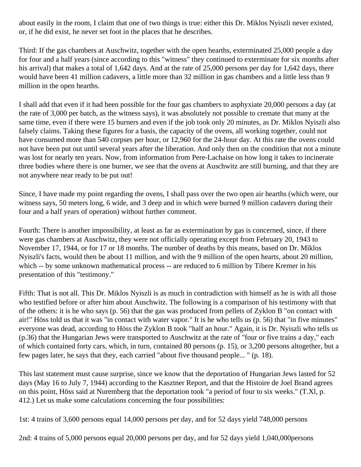about easily in the room, I claim that one of two things is true: either this Dr. Miklos Nyiszli never existed, or, if he did exist, he never set foot in the places that he describes.

Third: If the gas chambers at Auschwitz, together with the open hearths, exterminated 25,000 people a day for four and a half years (since according to this "witness" they continued to exterminate for six months after his arrival) that makes a total of 1,642 days. And at the rate of 25,000 persons per day for 1,642 days, there would have been 41 million cadavers, a little more than 32 million in gas chambers and a little less than 9 million in the open hearths.

I shall add that even if it had been possible for the four gas chambers to asphyxiate 20,000 persons a day (at the rate of 3,000 per batch, as the witness says), it was absolutely not possible to cremate that many at the same time, even if there were 15 burners and even if the job took only 20 minutes, as Dr. Miklos Nyiszli also falsely claims. Taking these figures for a basis, the capacity of the ovens, all working together, could not have consumed more than 540 corpses per hour, or 12,960 for the 24-hour day. At this rate the ovens could not have been put out until several years after the liberation. And only then on the condition that not a minute was lost for nearly ten years. Now, from information from Pere-Lachaise on how long it takes to incinerate three bodies where there is one burner, we see that the ovens at Auschwitz are still burning, and that they are not anywhere near ready to be put out!

Since, I have made my point regarding the ovens, I shall pass over the two open air hearths (which were, our witness says, 50 meters long, 6 wide, and 3 deep and in which were burned 9 million cadavers during their four and a half years of operation) without further comment.

Fourth: There is another impossibility, at least as far as extermination by gas is concerned, since, if there were gas chambers at Auschwitz, they were not officially operating except from February 20, 1943 to November 17, 1944, or for 17 or 18 months. The number of deaths by this means, based on Dr. Miklos Nyiszli's facts, would then be about 11 million, and with the 9 million of the open hearts, about 20 million, which -- by some unknown mathematical process -- are reduced to 6 million by Tibere Kremer in his presentation of this "testimony."

Fifth: That is not all. This Dr. Miklos Nyiszli is as much in contradiction with himself as he is with all those who testified before or after him about Auschwitz. The following is a comparison of his testimony with that of the others: it is he who says (p. 56) that the gas was produced from pellets of Zyklon B "on contact with air!" Höss told us that it was "in contact with water vapor." It is he who tells us (p. 56) that "in five minutes" everyone was dead, according to Höss the Zyklon B took "half an hour." Again, it is Dr. Nyiszli who tells us (p.36) that the Hungarian Jews were transported to Auschwitz at the rate of "four or five trains a day," each of which contained forty cars, which, in turn, contained 80 persons (p. 15), or 3,200 persons altogether, but a few pages later, he says that they, each carried "about five thousand people... " (p. 18).

This last statement must cause surprise, since we know that the deportation of Hungarian Jews lasted for 52 days (May 16 to July 7, 1944) according to the Kasztner Report, and that the Histoire de Joel Brand agrees on this point, Höss said at Nuremberg that the deportation took "a period of four to six weeks." (T.Xl, p. 412.) Let us make some calculations concerning the four possibilities:

1st: 4 trains of 3,600 persons equal 14,000 persons per day, and for 52 days yield 748,000 persons

2nd: 4 trains of 5,000 persons equal 20,000 persons per day, and for 52 days yield 1,040,000persons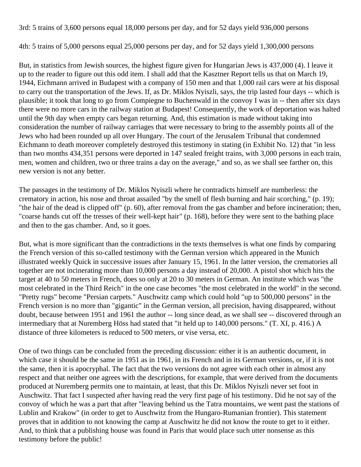3rd: 5 trains of 3,600 persons equal 18,000 persons per day, and for 52 days yield 936,000 persons

4th: 5 trains of 5,000 persons equal 25,000 persons per day, and for 52 days yield 1,300,000 persons

But, in statistics from Jewish sources, the highest figure given for Hungarian Jews is 437,000 (4). I leave it up to the reader to figure out this odd item. I shall add that the Kasztner Report tells us that on March 19, 1944, Eichmann arrived in Budapest with a company of 150 men and that 1,000 rail cars were at his disposal to carry out the transportation of the Jews. If, as Dr. Miklos Nyiszli, says, the trip lasted four days -- which is plausible; it took that long to go from Compiegne to Buchenwald in the convoy I was in -- then after six days there were no more cars in the railway station at Budapest! Consequently, the work of deportation was halted until the 9th day when empty cars began returning. And, this estimation is made without taking into consideration the number of railway carriages that were necessary to bring to the assembly points all of the Jews who had been rounded up all over Hungary. The court of the Jerusalem Tribunal that condemned Eichmann to death moreover completely destroyed this testimony in stating (in Exhibit No. 12) that "in less than two months 434,351 persons were deported in 147 sealed freight trains, with 3,000 persons in each train, men, women and children, two or three trains a day on the average," and so, as we shall see farther on, this new version is not any better.

The passages in the testimony of Dr. Miklos Nyiszli where he contradicts himself are numberless: the crematory in action, his nose and throat assailed "by the smell of flesh burning and hair scorching," (p. 19); "the hair of the dead is clipped off" (p. 60), after removal from the gas chamber and before incineration; then, "coarse hands cut off the tresses of their well-kept hair" (p. 168), before they were sent to the bathing place and then to the gas chamber. And, so it goes.

But, what is more significant than the contradictions in the texts themselves is what one finds by comparing the French version of this so-called testimony with the German version which appeared in the Munich illustrated weekly Quick in successive issues after January 15, 1961. In the latter version, the crematories all together are not incinerating more than 10,000 persons a day instead of 20,000. A pistol shot which hits the target at 40 to 50 meters in French, does so only at 20 to 30 meters in German. An institute which was "the most celebrated in the Third Reich" in the one case becomes "the most celebrated in the world" in the second. "Pretty rugs" become "Persian carpets." Auschwitz camp which could hold "up to 500,000 persons" in the French version is no more than "gigantic" in the German version, all precision, having disappeared, without doubt, because between 1951 and 1961 the author -- long since dead, as we shall see -- discovered through an intermediary that at Nuremberg Höss had stated that "it held up to 140,000 persons." (T. XI, p. 416.) A distance of three kilometers is reduced to 500 meters, or vise versa, etc.

One of two things can be concluded from the preceding discussion: either it is an authentic document, in which case it should be the same in 1951 as in 1961, in its French and in its German versions, or, if it is not the same, then it is apocryphal. The fact that the two versions do not agree with each other in almost any respect and that neither one agrees with the descriptions, for example, that were derived from the documents produced at Nuremberg permits one to maintain, at least, that this Dr. Miklos Nyiszli never set foot in Auschwitz. That fact I suspected after having read the very first page of his testimony. Did he not say of the convoy of which he was a part that after "leaving behind us the Tatra mountains, we went past the stations of Lublin and Krakow" (in order to get to Auschwitz from the Hungaro-Rumanian frontier). This statement proves that in addition to not knowing the camp at Auschwitz he did not know the route to get to it either. And, to think that a publishing house was found in Paris that would place such utter nonsense as this testimony before the public!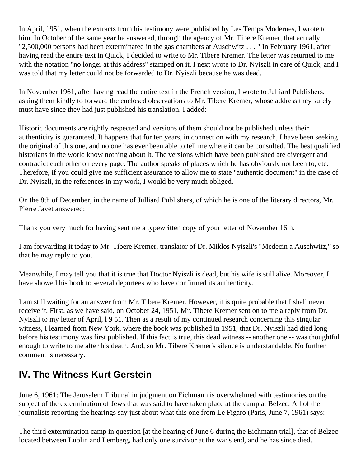In April, 1951, when the extracts from his testimony were published by Les Temps Modernes, I wrote to him. In October of the same year he answered, through the agency of Mr. Tibere Kremer, that actually "2,500,000 persons had been exterminated in the gas chambers at Auschwitz . . . " In February 1961, after having read the entire text in Quick, I decided to write to Mr. Tibere Kremer. The letter was returned to me with the notation "no longer at this address" stamped on it. I next wrote to Dr. Nyiszli in care of Quick, and I was told that my letter could not be forwarded to Dr. Nyiszli because he was dead.

In November 1961, after having read the entire text in the French version, I wrote to Julliard Publishers, asking them kindly to forward the enclosed observations to Mr. Tibere Kremer, whose address they surely must have since they had just published his translation. I added:

Historic documents are rightly respected and versions of them should not be published unless their authenticity is guaranteed. It happens that for ten years, in connection with my research, I have been seeking the original of this one, and no one has ever been able to tell me where it can be consulted. The best qualified historians in the world know nothing about it. The versions which have been published are divergent and contradict each other on every page. The author speaks of places which he has obviously not been to, etc. Therefore, if you could give me sufficient assurance to allow me to state "authentic document" in the case of Dr. Nyiszli, in the references in my work, I would be very much obliged.

On the 8th of December, in the name of Julliard Publishers, of which he is one of the literary directors, Mr. Pierre Javet answered:

Thank you very much for having sent me a typewritten copy of your letter of November 16th.

I am forwarding it today to Mr. Tibere Kremer, translator of Dr. Miklos Nyiszli's "Medecin a Auschwitz," so that he may reply to you.

Meanwhile, I may tell you that it is true that Doctor Nyiszli is dead, but his wife is still alive. Moreover, I have showed his book to several deportees who have confirmed its authenticity.

I am still waiting for an answer from Mr. Tibere Kremer. However, it is quite probable that I shall never receive it. First, as we have said, on October 24, 1951, Mr. Tibere Kremer sent on to me a reply from Dr. Nyiszli to my letter of April, l 9 51. Then as a result of my continued research concerning this singular witness, I learned from New York, where the book was published in 1951, that Dr. Nyiszli had died long before his testimony was first published. If this fact is true, this dead witness -- another one -- was thoughtful enough to write to me after his death. And, so Mr. Tibere Kremer's silence is understandable. No further comment is necessary.

## **IV. The Witness Kurt Gerstein**

June 6, 1961: The Jerusalem Tribunal in judgment on Eichmann is overwhelmed with testimonies on the subject of the extermination of Jews that was said to have taken place at the camp at Belzec. All of the journalists reporting the hearings say just about what this one from Le Figaro (Paris, June 7, 1961) says:

The third extermination camp in question [at the hearing of June 6 during the Eichmann trial], that of Belzec located between Lublin and Lemberg, had only one survivor at the war's end, and he has since died.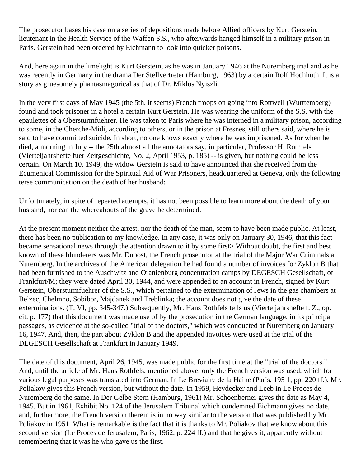The prosecutor bases his case on a series of depositions made before Allied officers by Kurt Gerstein, lieutenant in the Health Service of the Waffen S.S., who afterwards hanged himself in a military prison in Paris. Gerstein had been ordered by Eichmann to look into quicker poisons.

And, here again in the limelight is Kurt Gerstein, as he was in January 1946 at the Nuremberg trial and as he was recently in Germany in the drama Der Stellvertreter (Hamburg, 1963) by a certain Rolf Hochhuth. It is a story as gruesomely phantasmagorical as that of Dr. Miklos Nyiszli.

In the very first days of May 1945 (the 5th, it seems) French troops on going into Rottweil (Wurttemberg) found and took prisoner in a hotel a certain Kurt Gerstein. He was wearing the uniform of the S.S. with the epaulettes of a Obersturmfuehrer. He was taken to Paris where he was interned in a military prison, according to some, in the Cherche-Midi, according to others, or in the prison at Fresnes, still others said, where he is said to have committed suicide. In short, no one knows exactly where he was imprisoned. As for when he died, a morning in July -- the 25th almost all the annotators say, in particular, Professor H. Rothfels (Vierteljahrshefte fuer Zeitgeschichte, No. 2, April 1953, p. 185) -- is given, but nothing could be less certain. On March 10, 1949, the widow Gerstein is said to have announced that she received from the Ecumenical Commission for the Spiritual Aid of War Prisoners, headquartered at Geneva, only the following terse communication on the death of her husband:

Unfortunately, in spite of repeated attempts, it has not been possible to learn more about the death of your husband, nor can the whereabouts of the grave be determined.

At the present moment neither the arrest, nor the death of the man, seem to have been made public. At least, there has been no publication to my knowledge. In any case, it was only on January 30, 1946, that this fact became sensational news through the attention drawn to it by some first> Without doubt, the first and best known of these blunderers was Mr. Dubost, the French prosecutor at the trial of the Major War Criminals at Nuremberg. In the archives of the American delegation he had found a number of invoices for Zyklon B that had been furnished to the Auschwitz and Oranienburg concentration camps by DEGESCH Gesellschaft, of Frankfurt/M; they were dated April 30, 1944, and were appended to an account in French, signed by Kurt Gerstein, Obersturmfuehrer of the S.S., which pertained to the extermination of Jews in the gas chambers at Belzec, Chelmno, Sobibor, Majdanek and Treblinka; the account does not give the date of these exterminations. (T. VI, pp. 345-347.) Subsequently, Mr. Hans Rothfels tells us (Vierteljahrshefte f. Z., op. cit. p. 177) that this document was made use of by the prosecution in the German language, in its principal passages, as evidence at the so-called "trial of the doctors," which was conducted at Nuremberg on January 16, 1947. And, then, the part about Zyklon B and the appended invoices were used at the trial of the DEGESCH Gesellschaft at Frankfurt in January 1949.

The date of this document, April 26, 1945, was made public for the first time at the "trial of the doctors." And, until the article of Mr. Hans Rothfels, mentioned above, only the French version was used, which for various legal purposes was translated into German. In Le Breviaire de la Haine (Paris, 195 1, pp. 220 ff.), Mr. Poliakov gives this French version, but without the date. In 1959, Heydecker and Leeb in Le Proces de Nuremberg do the same. In Der Gelbe Stern (Hamburg, 1961) Mr. Schoenberner gives the date as May 4, 1945. But in 1961, Exhibit No. 124 of the Jerusalem Tribunal which condemned Eichmann gives no date, and, furthermore, the French version therein is in no way similar to the version that was published by Mr. Poliakov in 1951. What is remarkable is the fact that it is thanks to Mr. Poliakov that we know about this second version (Le Proces de Jerusalem, Paris, 1962, p. 224 ff.) and that he gives it, apparently without remembering that it was he who gave us the first.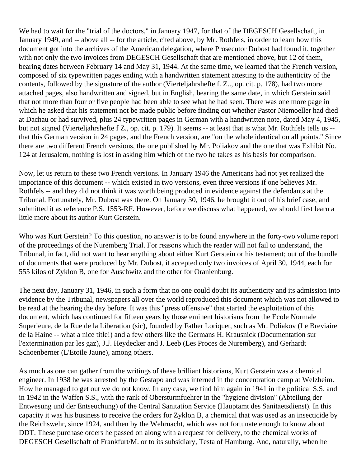We had to wait for the "trial of the doctors," in January 1947, for that of the DEGESCH Gesellschaft, in January 1949, and -- above all -- for the article, cited above, by Mr. Rothfels, in order to learn how this document got into the archives of the American delegation, where Prosecutor Dubost had found it, together with not only the two invoices from DEGESCH Gesellschaft that are mentioned above, but 12 of them, bearing dates between February 14 and May 31, 1944. At the same time, we learned that the French version, composed of six typewritten pages ending with a handwritten statement attesting to the authenticity of the contents, followed by the signature of the author (Vierteljahrshefte f. Z.., op. cit. p. 178), had two more attached pages, also handwritten and signed, but in English, bearing the same date, in which Gerstein said that not more than four or five people had been able to see what he had seen. There was one more page in which he asked that his statement not be made public before finding out whether Pastor Niemoeller had died at Dachau or had survived, plus 24 typewritten pages in German with a handwritten note, dated May 4, 1945, but not signed (Vierteljahrshefte f Z., op. cit. p. 179). It seems -- at least that is what Mr. Rothfels tells us - that this German version in 24 pages, and the French version, are "on the whole identical on all points." Since there are two different French versions, the one published by Mr. Poliakov and the one that was Exhibit No. 124 at Jerusalem, nothing is lost in asking him which of the two he takes as his basis for comparison.

Now, let us return to these two French versions. In January 1946 the Americans had not yet realized the importance of this document -- which existed in two versions, even three versions if one believes Mr. Rothfels -- and they did not think it was worth being produced in evidence against the defendants at the Tribunal. Fortunately, Mr. Dubost was there. On January 30, 1946, he brought it out of his brief case, and submitted it as reference P.S. 1553-RF. However, before we discuss what happened, we should first learn a little more about its author Kurt Gerstein.

Who was Kurt Gerstein? To this question, no answer is to be found anywhere in the forty-two volume report of the proceedings of the Nuremberg Trial. For reasons which the reader will not fail to understand, the Tribunal, in fact, did not want to hear anything about either Kurt Gerstein or his testament; out of the bundle of documents that were produced by Mr. Dubost, it accepted only two invoices of April 30, 1944, each for 555 kilos of Zyklon B, one for Auschwitz and the other for Oranienburg.

The next day, January 31, 1946, in such a form that no one could doubt its authenticity and its admission into evidence by the Tribunal, newspapers all over the world reproduced this document which was not allowed to be read at the hearing the day before. It was this "press offensive" that started the exploitation of this document, which has continued for fifteen years by those eminent historians from the Ecole Normale Superieure, de la Rue de la Liberation (sic), founded by Father Loriquet, such as Mr. Poliakov (Le Breviaire de la Haine -- what a nice title!) and a few others like the Germans H. Krausnick (Documentation sur l'extermination par les gaz), J.J. Heydecker and J. Leeb (Les Proces de Nuremberg), and Gerhardt Schoenberner (L'Etoile Jaune), among others.

As much as one can gather from the writings of these brilliant historians, Kurt Gerstein was a chemical engineer. In 1938 he was arrested by the Gestapo and was interned in the concentration camp at Welzheim. How he managed to get out we do not know. In any case, we find him again in 1941 in the political S.S. and in 1942 in the Waffen S.S., with the rank of Obersturmfuehrer in the "hygiene division" (Abteilung der Entwesung und der Entseuchung) of the Central Sanitation Service (Hauptamt des Sanitaetsdienst). In this capacity it was his business to receive the orders for Zyklon B, a chemical that was used as an insecticide by the Reichswehr, since 1924, and then by the Wehrnacht, which was not fortunate enough to know about DDT. These purchase orders he passed on along with a request for delivery, to the chemical works of DEGESCH Gesellschaft of Frankfurt/M. or to its subsidiary, Testa of Hamburg. And, naturally, when he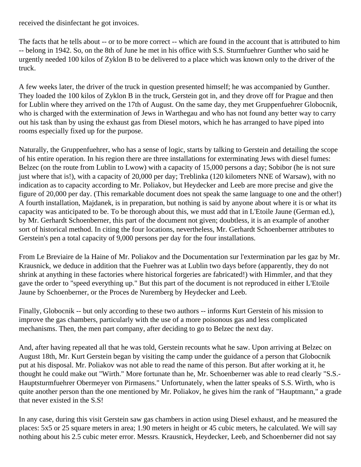received the disinfectant he got invoices.

The facts that he tells about -- or to be more correct -- which are found in the account that is attributed to him -- belong in 1942. So, on the 8th of June he met in his office with S.S. Sturmfuehrer Gunther who said he urgently needed 100 kilos of Zyklon B to be delivered to a place which was known only to the driver of the truck.

A few weeks later, the driver of the truck in question presented himself; he was accompanied by Gunther. They loaded the 100 kilos of Zyklon B in the truck, Gerstein got in, and they drove off for Prague and then for Lublin where they arrived on the 17th of August. On the same day, they met Gruppenfuehrer Globocnik, who is charged with the extermination of Jews in Warthegau and who has not found any better way to carry out his task than by using the exhaust gas from Diesel motors, which he has arranged to have piped into rooms especially fixed up for the purpose.

Naturally, the Gruppenfuehrer, who has a sense of logic, starts by talking to Gerstein and detailing the scope of his entire operation. In his region there are three installations for exterminating Jews with diesel fumes: Belzec (on the route from Lublin to Lwow) with a capacity of 15,000 persons a day; Sobibor (he is not sure just where that is!), with a capacity of 20,000 per day; Treblinka (120 kilometers NNE of Warsaw), with no indication as to capacity according to Mr. Poliakov, but Heydecker and Leeb are more precise and give the figure of 20,000 per day. (This remarkable document does not speak the same language to one and the other!) A fourth installation, Majdanek, is in preparation, but nothing is said by anyone about where it is or what its capacity was anticipated to be. To be thorough about this, we must add that in L'Etoile Jaune (German ed.), by Mr. Gerhardt Schoenberner, this part of the document not given; doubtless, it is an example of another sort of historical method. In citing the four locations, nevertheless, Mr. Gerhardt Schoenberner attributes to Gerstein's pen a total capacity of 9,000 persons per day for the four installations.

From Le Breviaire de la Haine of Mr. Poliakov and the Documentation sur l'extermination par les gaz by Mr. Krausnick, we deduce in addition that the Fuehrer was at Lublin two days before (apparently, they do not shrink at anything in these factories where historical forgeries are fabricated!) with Himmler, and that they gave the order to "speed everything up." But this part of the document is not reproduced in either L'Etoile Jaune by Schoenberner, or the Proces de Nuremberg by Heydecker and Leeb.

Finally, Globocnik -- but only according to these two authors -- informs Kurt Gerstein of his mission to improve the gas chambers, particularly with the use of a more poisonous gas and less complicated mechanisms. Then, the men part company, after deciding to go to Belzec the next day.

And, after having repeated all that he was told, Gerstein recounts what he saw. Upon arriving at Belzec on August 18th, Mr. Kurt Gerstein began by visiting the camp under the guidance of a person that Globocnik put at his disposal. Mr. Poliakov was not able to read the name of this person. But after working at it, he thought he could make out "Wirth." More fortunate than he, Mr. Schoenberner was able to read clearly "S.S.- Hauptsturmfuehrer Obermeyer von Pirmasens." Unfortunately, when the latter speaks of S.S. Wirth, who is quite another person than the one mentioned by Mr. Poliakov, he gives him the rank of "Hauptmann," a grade that never existed in the S.S!

In any case, during this visit Gerstein saw gas chambers in action using Diesel exhaust, and he measured the places: 5x5 or 25 square meters in area; 1.90 meters in height or 45 cubic meters, he calculated. We will say nothing about his 2.5 cubic meter error. Messrs. Krausnick, Heydecker, Leeb, and Schoenberner did not say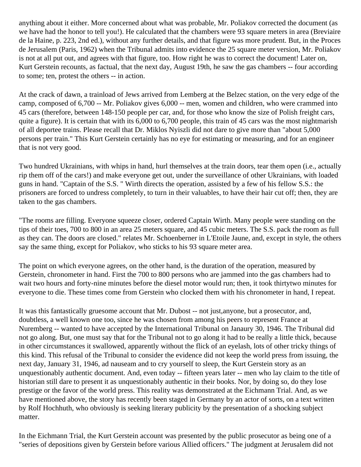anything about it either. More concerned about what was probable, Mr. Poliakov corrected the document (as we have had the honor to tell you!). He calculated that the chambers were 93 square meters in area (Breviaire de la Haine, p. 223, 2nd ed.), without any further details, and that figure was more prudent. But, in the Proces de Jerusalem (Paris, 1962) when the Tribunal admits into evidence the 25 square meter version, Mr. Poliakov is not at all put out, and agrees with that figure, too. How right he was to correct the document! Later on, Kurt Gerstein recounts, as factual, that the next day, August 19th, he saw the gas chambers -- four according to some; ten, protest the others -- in action.

At the crack of dawn, a trainload of Jews arrived from Lemberg at the Belzec station, on the very edge of the camp, composed of 6,700 -- Mr. Poliakov gives 6,000 -- men, women and children, who were crammed into 45 cars (therefore, between 148-150 people per car, and, for those who know the size of Polish freight cars, quite a figure). It is certain that with its 6,000 to 6,700 people, this train of 45 cars was the most nightmarish of all deportee trains. Please recall that Dr. Miklos Nyiszli did not dare to give more than "about 5,000 persons per train." This Kurt Gerstein certainly has no eye for estimating or measuring, and for an engineer that is not very good.

Two hundred Ukrainians, with whips in hand, hurl themselves at the train doors, tear them open (i.e., actually rip them off of the cars!) and make everyone get out, under the surveillance of other Ukrainians, with loaded guns in hand. "Captain of the S.S. " Wirth directs the operation, assisted by a few of his fellow S.S.: the prisoners are forced to undress completely, to turn in their valuables, to have their hair cut off; then, they are taken to the gas chambers.

"The rooms are filling. Everyone squeeze closer, ordered Captain Wirth. Many people were standing on the tips of their toes, 700 to 800 in an area 25 meters square, and 45 cubic meters. The S.S. pack the room as full as they can. The doors are closed." relates Mr. Schoenberner in L'Etoile Jaune, and, except in style, the others say the same thing, except for Poliakov, who sticks to his 93 square meter area.

The point on which everyone agrees, on the other hand, is the duration of the operation, measured by Gerstein, chronometer in hand. First the 700 to 800 persons who are jammed into the gas chambers had to wait two hours and forty-nine minutes before the diesel motor would run; then, it took thirtytwo minutes for everyone to die. These times come from Gerstein who clocked them with his chronometer in hand, I repeat.

It was this fantastically gruesome account that Mr. Dubost -- not just,anyone, but a prosecutor, and, doubtless, a well known one too, since he was chosen from among his peers to represent France at Nuremberg -- wanted to have accepted by the International Tribunal on Janaury 30, 1946. The Tribunal did not go along. But, one must say that for the Tribunal not to go along it had to be really a little thick, because in other circumstances it swallowed, apparently without the flick of an eyelash, lots of other tricky things of this kind. This refusal of the Tribunal to consider the evidence did not keep the world press from issuing, the next day, January 31, 1946, ad nauseam and to cry yourself to sleep, the Kurt Gerstein story as an unquestionably authentic document. And, even today -- fifteen years later -- men who lay claim to the title of historian still dare to present it as unquestionably authentic in their books. Nor, by doing so, do they lose prestige or the favor of the world press. This reality was demonstrated at the Eichmann Trial. And, as we have mentioned above, the story has recently been staged in Germany by an actor of sorts, on a text written by Rolf Hochhuth, who obviously is seeking literary publicity by the presentation of a shocking subject matter.

In the Eichmann Trial, the Kurt Gerstein account was presented by the public prosecutor as being one of a "series of depositions given by Gerstein before various Allied officers." The judgment at Jerusalem did not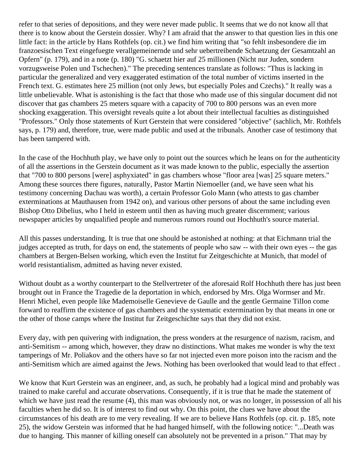refer to that series of depositions, and they were never made public. It seems that we do not know all that there is to know about the Gerstein dossier. Why? I am afraid that the answer to that question lies in this one little fact: in the article by Hans Rothfels (op. cit.) we find him writing that "so fehlt insbesondere die im franzoesischen Text eingefuegte verallgemeinernde und sehr uebertreibende Schaetzung der Gesamtzahl an Opfern" (p. 179), and in a note (p. 180) "G. schaetzt hier auf 25 millionen (Nicht nur Juden, sondern vorzugsweise Polen und Tschechen)." The preceding sentences translate as follows: "Thus is lacking in particular the generalized and very exaggerated estimation of the total number of victims inserted in the French text. G. estimates here 25 million (not only Jews, but especially Poles and Czechs)." It really was a little unbelievable. What is astonishing is the fact that those who made use of this singular document did not discover that gas chambers 25 meters square with a capacity of 700 to 800 persons was an even more shocking exaggeration. This oversight reveals quite a lot about their intellectual faculties as distinguished "Professors." Only those statements of Kurt Gerstein that were considered "objective" (sachlich, Mr. Rothfels says, p. 179) and, therefore, true, were made public and used at the tribunals. Another case of testimony that has been tampered with.

In the case of the Hochhuth play, we have only to point out the sources which he leans on for the authenticity of all the assertions in the Gerstein document as it was made known to the public, especially the assertion that "700 to 800 persons [were] asphyxiated" in gas chambers whose "floor area [was] 25 square meters." Among these sources there figures, naturally, Pastor Martin Niemoeller (and, we have seen what his testimony concerning Dachau was worth), a certain Professor Golo Mann (who attests to gas chamber exterminations at Mauthausen from 1942 on), and various other persons of about the same including even Bishop Otto Dibelius, who I held in esteem until then as having much greater discernment; various newspaper articles by unqualified people and numerous rumors round out Hochhuth's source material.

All this passes understanding. It is true that one should be astonished at nothing: at that Eichmann trial the judges accepted as truth, for days on end, the statements of people who saw -- with their own eyes -- the gas chambers at Bergen-Belsen working, which even the Institut fur Zeitgeschichte at Munich, that model of world resistantialism, admitted as having never existed.

Without doubt as a worthy counterpart to the Stellvertreter of the aforesaid Rolf Hochhuth there has just been brought out in France the Tragedie de la deportation in which, endorsed by Mrs. Olga Wormser and Mr. Henri Michel, even people like Mademoiselle Genevieve de Gaulle and the gentle Germaine TilIon come forward to reaffirm the existence of gas chambers and the systematic extermination by that means in one or the other of those camps where the Institut fur Zeitgeschichte says that they did not exist.

Every day, with pen quivering with indignation, the press wonders at the resurgence of nazism, racism, and anti-Semitism -- among which, however, they draw no distinctions. What makes me wonder is why the text tamperings of Mr. Poliakov and the others have so far not injected even more poison into the racism and the anti-Semitism which are aimed against the Jews. Nothing has been overlooked that would lead to that effect .

We know that Kurt Gerstein was an engineer, and, as such, he probably had a logical mind and probably was trained to make careful and accurate observations. Consequently, if it is true that he made the statement of which we have just read the resume (4), this man was obviously not, or was no longer, in possession of all his faculties when he did so. It is of interest to find out why. On this point, the clues we have about the circumstances of his death are to me very revealing. If we are to believe Hans Rothfels (op. cit. p. 185, note 25), the widow Gerstein was informed that he had hanged himself, with the following notice: "...Death was due to hanging. This manner of killing oneself can absolutely not be prevented in a prison." That may by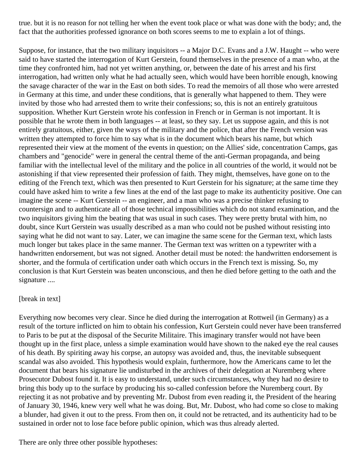true. but it is no reason for not telling her when the event took place or what was done with the body; and, the fact that the authorities professed ignorance on both scores seems to me to explain a lot of things.

Suppose, for instance, that the two military inquisitors -- a Major D.C. Evans and a J.W. Haught -- who were said to have started the interrogation of Kurt Gerstein, found themselves in the presence of a man who, at the time they confronted him, had not yet written anything, or, between the date of his arrest and his first interrogation, had written only what he had actually seen, which would have been horrible enough, knowing the savage character of the war in the East on both sides. To read the memoirs of all those who were arrested in Germany at this time, and under these conditions, that is generally what happened to them. They were invited by those who had arrested them to write their confessions; so, this is not an entirely gratuitous supposition. Whether Kurt Gerstein wrote his confession in French or in German is not important. It is possible that he wrote them in both languages -- at least, so they say. Let us suppose again, and this is not entirely gratuitous, either, given the ways of the military and the police, that after the French version was written they attempted to force him to say what is in the document which bears his name, but which represented their view at the moment of the events in question; on the Allies' side, concentration Camps, gas chambers and "genocide" were in general the central theme of the anti-German propaganda, and being familiar with the intellectual level of the military and the police in all countries of the world, it would not be astonishing if that view represented their profession of faith. They might, themselves, have gone on to the editing of the French text, which was then presented to Kurt Gerstein for his signature; at the same time they could have asked him to write a few lines at the end of the last page to make its authenticity positive. One can imagine the scene -- Kurt Gerstein -- an engineer, and a man who was a precise thinker refusing to countersign and to authenticate all of those technical impossibilities which do not stand examination, and the two inquisitors giving him the beating that was usual in such cases. They were pretty brutal with him, no doubt, since Kurt Gerstein was usually described as a man who could not be pushed without resisting into saying what he did not want to say. Later, we can imagine the same scene for the German text, which lasts much longer but takes place in the same manner. The German text was written on a typewriter with a handwritten endorsement, but was not signed. Another detail must be noted: the handwritten endorsement is shorter, and the formula of certification under oath which occurs in the French text is missing. So, my conclusion is that Kurt Gerstein was beaten unconscious, and then he died before getting to the oath and the signature ....

#### [break in text]

Everything now becomes very clear. Since he died during the interrogation at Rottweil (in Germany) as a result of the torture inflicted on him to obtain his confession, Kurt Gerstein could never have been transferred to Paris to be put at the disposal of the Securite Militaire. This imaginary transfer would not have been thought up in the first place, unless a simple examination would have shown to the naked eye the real causes of his death. By spiriting away his corpse, an autopsy was avoided and, thus, the inevitable subsequent scandal was also avoided. This hypothesis would explain, furthermore, how the Americans came to let the document that bears his signature lie undisturbed in the archives of their delegation at Nuremberg where Prosecutor Dubost found it. It is easy to understand, under such circumstances, why they had no desire to bring this body up to the surface by producing his so-called confession before the Nuremberg court. By rejecting it as not probative and by preventing Mr. Dubost from even reading it, the President of the hearing of January 30, 1946, knew very well what he was doing. But, Mr. Dubost, who had come so close to making a blunder, had given it out to the press. From then on, it could not be retracted, and its authenticity had to be sustained in order not to lose face before public opinion, which was thus already alerted.

There are only three other possible hypotheses: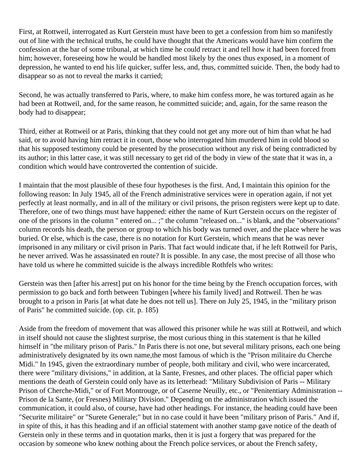First, at Rottweil, interrogated as Kurt Gerstein must have been to get a confession from him so manifestly out of line with the technical truths, he could have thought that the Americans would have him confirm the confession at the bar of some tribunal, at which time he could retract it and tell how it had been forced from him; however, foreseeing how he would be handled most likely by the ones thus exposed, in a moment of depression, he wanted to end his life quicker, suffer less, and, thus, committed suicide. Then, the body had to disappear so as not to reveal the marks it carried;

Second, he was actually transferred to Paris, where, to make him confess more, he was tortured again as he had been at Rottweil, and, for the same reason, he committed suicide; and, again, for the same reason the body had to disappear;

Third, either at Rottweil or at Paris, thinking that they could not get any more out of him than what he had said, or to avoid having him retract it in court, those who interrogated him murdered him in cold blood so that his supposed testimony could be presented by the prosecution without any risk of being contradicted by its author; in this latter case, it was still necessary to get rid of the body in view of the state that it was in, a condition which would have controverted the contention of suicide.

I maintain that the most plausible of these four hypotheses is the first. And, I maintain this opinion for the following reason: In July 1945, all of the French administrative services were in operation again, if not yet perfectly at least normally, and in all of the military or civil prisons, the prison registers were kept up to date. Therefore, one of two things must have happened: either the name of Kurt Gerstein occurs on the register of one of the prisons in the column " entered on... ;" the column "released on..." is blank, and the "observations" column records his death, the person or group to which his body was turned over, and the place where he was buried. Or else, which is the case, there is no notation for Kurt Gerstein, which means that he was never imprisoned in any military or civil prison in Paris. That fact would indicate that, if he left Rottweil for Paris, he never arrived. Was he assassinated en route? It is possible. In any case, the most precise of all those who have told us where he committed suicide is the always incredible Rothfels who writes:

Gerstein was then [after his arrest] put on his honor for the time being by the French occupation forces, with permission to go back and forth between Tubingen [where his family lived] and Rottweil. Then he was brought to a prison in Paris [at what date he does not tell us]. There on July 25, 1945, in the "military prison of Paris" he committed suicide. (op. cit. p. 185)

Aside from the freedom of movement that was allowed this prisoner while he was still at Rottweil, and which in itself should not cause the slightest surprise, the most curious thing in this statement is that he killed himself in "the military prison of Paris." In Paris there is not one, but several military prisons, each one being administratively designated by its own name,the most famous of which is the "Prison militaire du Cherche Midi." In 1945, given the extraordinary number of people, both military and civil, who were incarcerated, there were "military divisions," in addition, at la Sante, Fresnes, and other places. The official paper which mentions the death of Gerstein could only have as its letterhead: "Military Subdivision of Paris -- Military Prison of Cherche-Midi," or of Fort Montrouge, or of Caserne Neuilly, etc., or "Penitentiary Administration -- Prison de la Sante, (or Fresnes) Military Division." Depending on the administration which issued the communication, it could also, of course, have had other headings. For instance, the heading could have been "Securite militaire" or "Surete Generale;" but in no case could it have been "military prison of Paris." And if, in spite of this, it has this heading and if an official statement with another stamp gave notice of the death of Gerstein only in these terms and in quotation marks, then it is just a forgery that was prepared for the occasion by someone who knew nothing about the French police services, or about the French safety,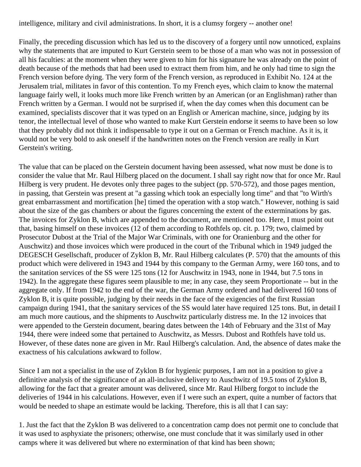intelligence, military and civil administrations. In short, it is a clumsy forgery -- another one!

Finally, the preceding discussion which has led us to the discovery of a forgery until now unnoticed, explains why the statements that are imputed to Kurt Gerstein seem to be those of a man who was not in possession of all his faculties: at the moment when they were given to him for his signature he was already on the point of death because of the methods that had been used to extract them from him, and he only had time to sign the French version before dying. The very form of the French version, as reproduced in Exhibit No. 124 at the Jerusalem trial, militates in favor of this contention. To my French eyes, which claim to know the maternal language fairly well, it looks much more like French written by an American (or an Englishman) rather than French written by a German. I would not be surprised if, when the day comes when this document can be examined, specialists discover that it was typed on an English or American machine, since, judging by its tenor, the intellectual level of those who wanted to make Kurt Gerstein endorse it seems to have been so low that they probably did not think it indispensable to type it out on a German or French machine. As it is, it would not be very bold to ask oneself if the handwritten notes on the French version are really in Kurt Gerstein's writing.

The value that can be placed on the Gerstein document having been assessed, what now must be done is to consider the value that Mr. Raul Hilberg placed on the document. I shall say right now that for once Mr. Raul Hilberg is very prudent. He devotes only three pages to the subject (pp. 570-572), and those pages mention, in passing, that Gerstein was present at "a gassing which took an especially long time" and that "to Wirth's great embarrassment and mortification [he] timed the operation with a stop watch." However, nothing is said about the size of the gas chambers or about the figures concerning the extent of the exterminations by gas. The invoices for Zyklon B, which are appended to the document, are mentioned too. Here, I must point out that, basing himself on these invoices (12 of them according to Rothfels op. cit. p. 179; two, claimed by Prosecutor Dubost at the Trial of the Major War Criminals, with one for Oranienburg and the other for Auschwitz) and those invoices which were produced in the court of the Tribunal which in 1949 judged the DEGESCH Gesellschaft, producer of Zyklon B, Mr. Raul Hilberg calculates (P. 570) that the amounts of this product which were delivered in 1943 and 1944 by this company to the German Army, were 160 tons, and to the sanitation services of the SS were 125 tons (12 for Auschwitz in 1943, none in 1944, but 7.5 tons in 1942). In the aggregate these figures seem plausible to me; in any case, they seem Proportionate -- but in the aggregate only. If from 1942 to the end of the war, the German Army ordered and had delivered 160 tons of Zyklon B, it is quite possible, judging by their needs in the face of the exigencies of the first Russian campaign during 1941, that the sanitary services of the SS would later have required 125 tons. But, in detail I am much more cautious, and the shipments to Auschwitz particularly distress me. In the 12 invoices that were appended to the Gerstein document, bearing dates between the 14th of February and the 31st of May 1944, there were indeed some that pertained to Auschwitz, as Messrs. Dubost and Rothfels have told us. However, of these dates none are given in Mr. Raul Hilberg's calculation. And, the absence of dates make the exactness of his calculations awkward to follow.

Since I am not a specialist in the use of Zyklon B for hygienic purposes, I am not in a position to give a definitive analysis of the significance of an all-inclusive delivery to Auschwitz of 19.5 tons of Zyklon B, allowing for the fact that a greater amount was delivered, since Mr. Raul Hilberg forgot to include the deliveries of 1944 in his calculations. However, even if I were such an expert, quite a number of factors that would be needed to shape an estimate would be lacking. Therefore, this is all that I can say:

1. Just the fact that the Zyklon B was delivered to a concentration camp does not permit one to conclude that it was used to asphyxiate the prisoners; otherwise, one must conclude that it was similarly used in other camps where it was delivered but where no extermination of that kind has been shown;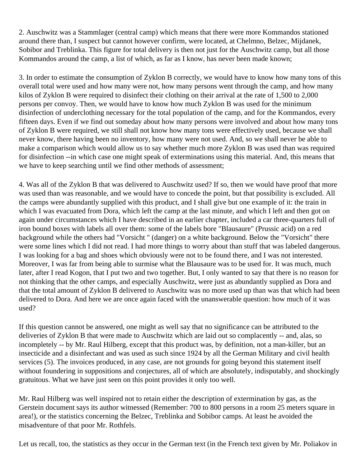2. Auschwitz was a Stammlager (central camp) which means that there were more Kommandos stationed around there than, I suspect but cannot however confirm, were located, at Chelmno, Belzec, Mijdanek, Sobibor and Treblinka. This figure for total delivery is then not just for the Auschwitz camp, but all those Kommandos around the camp, a list of which, as far as I know, has never been made known;

3. In order to estimate the consumption of Zyklon B correctly, we would have to know how many tons of this overall total were used and how many were not, how many persons went through the camp, and how many kilos of Zyklon B were required to disinfect their clothing on their arrival at the rate of 1,500 to 2,000 persons per convoy. Then, we would have to know how much Zyklon B was used for the minimum disinfection of underclothing necessary for the total population of the camp, and for the Kommandos, every fifteen days. Even if we find out someday about how many persons were involved and about how many tons of Zyklon B were required, we still shall not know how many tons were effectively used, because we shall never know, there having been no inventory, how many were not used. And, so we shall never be able to make a comparison which would allow us to say whether much more Zyklon B was used than was required for disinfection --in which case one might speak of exterminations using this material. And, this means that we have to keep searching until we find other methods of assessment;

4. Was all of the Zyklon B that was delivered to Auschwitz used? If so, then we would have proof that more was used than was reasonable, and we would have to concede the point, but that possibility is excluded. All the camps were abundantly supplied with this product, and I shall give but one example of it: the train in which I was evacuated from Dora, which left the camp at the last minute, and which I left and then got on again under circumstances which I have described in an earlier chapter, included a car three-quarters full of iron bound boxes with labels all over them: some of the labels bore "Blausaure" (Prussic acid) on a red background while the others had "Vorsicht " (danger) on a white background. Below the "Vorsicht" there were some lines which I did not read. I had more things to worry about than stuff that was labeled dangerous. I was looking for a bag and shoes which obviously were not to be found there, and I was not interested. Moreover, I was far from being able to surmise what the Blausaure was to be used for. It was much, much later, after I read Kogon, that I put two and two together. But, I only wanted to say that there is no reason for not thinking that the other camps, and especially Auschwitz, were just as abundantly supplied as Dora and that the total amount of Zyklon B delivered to Auschwitz was no more used up than was that which had been delivered to Dora. And here we are once again faced with the unanswerable question: how much of it was used?

If this question cannot be answered, one might as well say that no significance can be attributed to the deliveries of Zyklon B that were made to Auschwitz which are laid out so complacently -- and, alas, so incompletely -- by Mr. Raul Hilberg, except that this product was, by definition, not a man-killer, but an insecticide and a disinfectant and was used as such since 1924 by all the German Military and civil health services (5). The invoices produced, in any case, are not grounds for going beyond this statement itself without foundering in suppositions and conjectures, all of which are absolutely, indisputably, and shockingly gratuitous. What we have just seen on this point provides it only too well.

Mr. Raul Hilberg was well inspired not to retain either the description of extermination by gas, as the Gerstein document says its author witnessed (Remember: 700 to 800 persons in a room 25 meters square in area!), or the statistics concerning the Belzec, Treblinka and Sobibor camps. At least he avoided the misadventure of that poor Mr. Rothfels.

Let us recall, too, the statistics as they occur in the German text (in the French text given by Mr. Poliakov in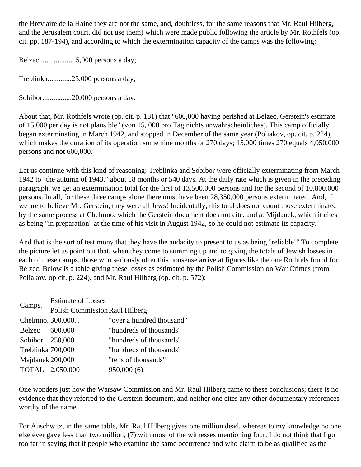the Breviaire de la Haine they are not the same, and, doubtless, for the same reasons that Mr. Raul Hilberg, and the Jerusalem court, did not use them) which were made public following the article by Mr. Rothfels (op. cit. pp. 187-194), and according to which the extermination capacity of the camps was the following:

Belzec:.................15,000 persons a day;

Treblinka:............25,000 persons a day;

Sobibor:...............20,000 persons a day.

About that, Mr. Rothfels wrote (op. cit. p. 181) that "600,000 having perished at Belzec, Gerstein's estimate of 15,000 per day is not plausible" (von 15, 000 pro Tag nichts unwahrscheinliches). This camp officially began exterminating in March 1942, and stopped in December of the same year (Poliakov, op. cit. p. 224), which makes the duration of its operation some nine months or 270 days; 15,000 times 270 equals 4,050,000 persons and not 600,000.

Let us continue with this kind of reasoning: Treblinka and Sobibor were officially exterminating from March 1942 to "the autumn of 1943," about 18 months or 540 days. At the daily rate which is given in the preceding paragraph, we get an extermination total for the first of 13,500,000 persons and for the second of 10,800,000 persons. In all, for these three camps alone there must have been 28,350,000 persons exterminated. And, if we are to believe Mr. Gerstein, they were all Jews! Incidentally, this total does not count those exterminated by the same process at Chelmno, which the Gerstein document does not cite, and at Mijdanek, which it cites as being "in preparation" at the time of his visit in August 1942, so he could not estimate its capacity.

And that is the sort of testimony that they have the audacity to present to us as being "reliable!" To complete the picture let us point out that, when they come to summing up and to giving the totals of Jewish losses in each of these camps, those who seriously offer this nonsense arrive at figures like the one Rothfels found for Belzec. Below is a table giving these losses as estimated by the Polish Commission on War Crimes (from Poliakov, op cit. p. 224), and Mr. Raul Hilberg (op. cit. p. 572):

| Camps.            | <b>Estimate of Losses</b>             |                           |
|-------------------|---------------------------------------|---------------------------|
|                   | <b>Polish Commission Raul Hilberg</b> |                           |
|                   | Chelmno. 300,000                      | "over a hundred thousand" |
| Belzec 600,000    |                                       | "hundreds of thousands"   |
| Sobibor 250,000   |                                       | "hundreds of thousands"   |
| Treblinka 700,000 |                                       | "hundreds of thousands"   |
| Majdanek 200,000  |                                       | "tens of thousands"       |
|                   | TOTAL 2,050,000                       | 950,000(6)                |

One wonders just how the Warsaw Commission and Mr. Raul Hilberg came to these conclusions; there is no evidence that they referred to the Gerstein document, and neither one cites any other documentary references worthy of the name.

For Auschwitz, in the same table, Mr. Raul Hilberg gives one million dead, whereas to my knowledge no one else ever gave less than two million, (7) with most of the witnesses mentioning four. I do not think that I go too far in saying that if people who examine the same occurrence and who claim to be as qualified as the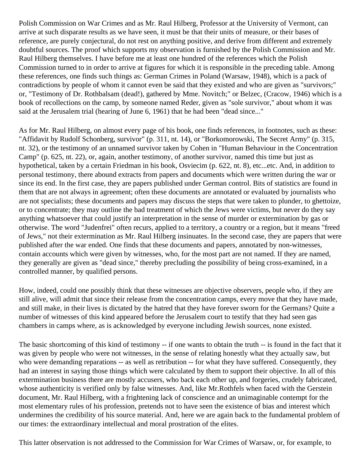Polish Commission on War Crimes and as Mr. Raul Hilberg, Professor at the University of Vermont, can arrive at such disparate results as we have seen, it must be that their units of measure, or their bases of reference, are purely conjectural, do not rest on anything positive, and derive from different and extremely doubtful sources. The proof which supports my observation is furnished by the Polish Commission and Mr. Raul Hilberg themselves. I have before me at least one hundred of the references which the Polish Commission turned to in order to arrive at figures for which it is responsible in the preceding table. Among these references, one finds such things as: German Crimes in Poland (Warsaw, 1948), which is a pack of contradictions by people of whom it cannot even be said that they existed and who are given as "survivors;" or, "Testimony of Dr. Rothbalsam (dead!), gathered by Mme. Novitch;" or Belzec, (Cracow, 1946) which is a book of recollections on the camp, by someone named Reder, given as "sole survivor," about whom it was said at the Jerusalem trial (hearing of June 6, 1961) that he had been "dead since..."

As for Mr. Raul Hilberg, on almost every page of his book, one finds references, in footnotes, such as these: "Affidavit by Rudolf Schonberg, survivor" (p. 311, nt. 14), or "Borkomorowski, The Secret Army" (p. 315, nt. 32), or the testimony of an unnamed survivor taken by Cohen in "Human Behaviour in the Concentration Camp" (p. 625, nt. 22), or, again, another testimony, of another survivor, named this time but just as hypothetical, taken by a certain Friedman in his book, Osviecim (p. 622, nt. 8), etc...etc. And, in addition to personal testimony, there abound extracts from papers and documents which were written during the war or since its end. In the first case, they are papers published under German control. Bits of statistics are found in them that are not always in agreement; often these documents are annotated or evaluated by journalists who are not specialists; these documents and papers may discuss the steps that were taken to plunder, to ghettoize, or to concentrate; they may outline the bad treatment of which the Jews were victims, but never do they say anything whatsoever that could justify an interpretation in the sense of murder or extermination by gas or otherwise. The word "Judenfrei" often recurs, applied to a territory, a country or a region, but it means "freed of Jews," not their extermination as Mr. Raul Hilberg insinuates. In the second case, they are papers that were published after the war ended. One finds that these documents and papers, annotated by non-witnesses, contain accounts which were given by witnesses, who, for the most part are not named. If they are named, they generally are given as "dead since," thereby precluding the possibility of being cross-examined, in a controlled manner, by qualified persons.

How, indeed, could one possibly think that these witnesses are objective observers, people who, if they are still alive, will admit that since their release from the concentration camps, every move that they have made, and still make, in their lives is dictated by the hatred that they have forever sworn for the Germans? Quite a number of witnesses of this kind appeared before the Jerusalem court to testify that they had seen gas chambers in camps where, as is acknowledged by everyone including Jewish sources, none existed.

The basic shortcoming of this kind of testimony -- if one wants to obtain the truth -- is found in the fact that it was given by people who were not witnesses, in the sense of relating honestly what they actually saw, but who were demanding reparations -- as well as retribution -- for what they have suffered. Consequently, they had an interest in saying those things which were calculated by them to support their objective. In all of this extermination business there are mostly accusers, who back each other up, and forgeries, crudely fabricated, whose authenticity is verified only by false witnesses. And, like Mr.Rothfels when faced with the Gerstein document, Mr. Raul Hilberg, with a frightening lack of conscience and an unimaginable contempt for the most elementary rules of his profession, pretends not to have seen the existence of bias and interest which undermines the credibility of his source material. And, here we are again back to the fundamental problem of our times: the extraordinary intellectual and moral prostration of the elites.

This latter observation is not addressed to the Commission for War Crimes of Warsaw, or, for example, to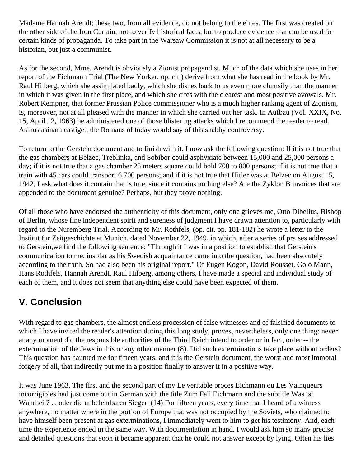Madame Hannah Arendt; these two, from all evidence, do not belong to the elites. The first was created on the other side of the Iron Curtain, not to verify historical facts, but to produce evidence that can be used for certain kinds of propaganda. To take part in the Warsaw Commission it is not at all necessary to be a historian, but just a communist.

As for the second, Mme. Arendt is obviously a Zionist propagandist. Much of the data which she uses in her report of the Eichmann Trial (The New Yorker, op. cit.) derive from what she has read in the book by Mr. Raul Hilberg, which she assimilated badly, which she dishes back to us even more clumsily than the manner in which it was given in the first place, and which she cites with the clearest and most positive avowals. Mr. Robert Kempner, that former Prussian Police commissioner who is a much higher ranking agent of Zionism, is, moreover, not at all pleased with the manner in which she carried out her task. In Aufbau (Vol. XXIX, No. 15, April 12, 1963) he administered one of those blistering attacks which I recommend the reader to read. Asinus asinam castiget, the Romans of today would say of this shabby controversy.

To return to the Gerstein document and to finish with it, I now ask the following question: If it is not true that the gas chambers at Belzec, Treblinka, and Sobibor could asphyxiate between 15,000 and 25,000 persons a day; if it is not true that a gas chamber 25 meters square could hold 700 to 800 persons; if it is not true that a train with 45 cars could transport 6,700 persons; and if it is not true that Hitler was at Belzec on August 15, 1942, I ask what does it contain that is true, since it contains nothing else? Are the Zyklon B invoices that are appended to the document genuine? Perhaps, but they prove nothing.

Of all those who have endorsed the authenticity of this document, only one grieves me, Otto Dibelius, Bishop of Berlin, whose fine independent spirit and sureness of judgment I have drawn attention to, particularly with regard to the Nuremberg Trial. According to Mr. Rothfels, (op. cit. pp. 181-182) he wrote a letter to the Institut fur Zeitgeschichte at Munich, dated November 22, 1949, in which, after a series of praises addressed to Gerstein,we find the following sentence: "Through it I was in a position to establish that Gerstein's communication to me, insofar as his Swedish acquaintance came into the question, had been absolutely according to the truth. So had also been his original report." Of Eugen Kogon, David Rousset, Golo Mann, Hans Rothfels, Hannah Arendt, Raul Hilberg, among others, I have made a special and individual study of each of them, and it does not seem that anything else could have been expected of them.

## **V. Conclusion**

With regard to gas chambers, the almost endless procession of false witnesses and of falsified documents to which I have invited the reader's attention during this long study, proves, nevertheless, only one thing: never at any moment did the responsible authorities of the Third Reich intend to order or in fact, order -- the extermination of the Jews in this or any other manner (8). Did such exterminations take place without orders? This question has haunted me for fifteen years, and it is the Gerstein document, the worst and most immoral forgery of all, that indirectly put me in a position finally to answer it in a positive way.

It was June 1963. The first and the second part of my Le veritable proces Eichmann ou Les Vainqueurs incorrigibles had just come out in German with the title Zum Fall Eichmann and the subtitle Was ist Wahrheit? ... oder die unbelehrbaren Sieger. (14) For fifteen years, every time that I heard of a witness anywhere, no matter where in the portion of Europe that was not occupied by the Soviets, who claimed to have himself been present at gas exterminations, I immediately went to him to get his testimony. And, each time the experience ended in the same way. With documentation in hand, I would ask him so many precise and detailed questions that soon it became apparent that he could not answer except by lying. Often his lies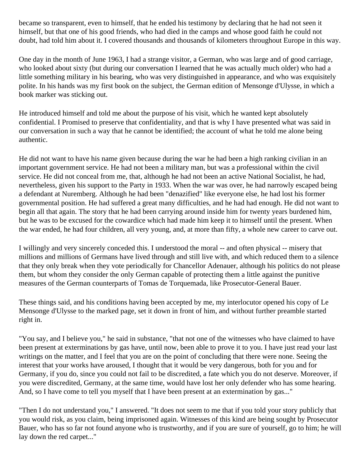became so transparent, even to himself, that he ended his testimony by declaring that he had not seen it himself, but that one of his good friends, who had died in the camps and whose good faith he could not doubt, had told him about it. I covered thousands and thousands of kilometers throughout Europe in this way.

One day in the month of June 1963, I had a strange visitor, a German, who was large and of good carriage, who looked about sixty (but during our conversation I learned that he was actually much older) who had a little something military in his bearing, who was very distinguished in appearance, and who was exquisitely polite. In his hands was my first book on the subject, the German edition of Mensonge d'Ulysse, in which a book marker was sticking out.

He introduced himself and told me about the purpose of his visit, which he wanted kept absolutely confidential. I Promised to preserve that confidentiality, and that is why I have presented what was said in our conversation in such a way that he cannot be identified; the account of what he told me alone being authentic.

He did not want to have his name given because during the war he had been a high ranking civilian in an important government service. He had not been a military man, but was a professional within the civil service. He did not conceal from me, that, although he had not been an active National Socialist, he had, nevertheless, given his support to the Party in 1933. When the war was over, he had narrowly escaped being a defendant at Nuremberg. Although he had been "denazified" like everyone else, he had lost his former governmental position. He had suffered a great many difficulties, and he had had enough. He did not want to begin all that again. The story that he had been carrying around inside him for twenty years burdened him, but he was to be excused for the cowardice which had made him keep it to himself until the present. When the war ended, he had four children, all very young, and, at more than fifty, a whole new career to carve out.

I willingly and very sincerely conceded this. I understood the moral -- and often physical -- misery that millions and millions of Germans have lived through and still live with, and which reduced them to a silence that they only break when they vote periodically for Chancellor Adenauer, although his politics do not please them, but whom they consider the only German capable of protecting them a little against the punitive measures of the German counterparts of Tomas de Torquemada, like Prosecutor-General Bauer.

These things said, and his conditions having been accepted by me, my interlocutor opened his copy of Le Mensonge d'Ulysse to the marked page, set it down in front of him, and without further preamble started right in.

"You say, and I believe you," he said in substance, "that not one of the witnesses who have claimed to have been present at exterminations by gas have, until now, been able to prove it to you. I have just read your last writings on the matter, and I feel that you are on the point of concluding that there were none. Seeing the interest that your works have aroused, I thought that it would be very dangerous, both for you and for Germany, if you do, since you could not fail to be discredited, a fate which you do not deserve. Moreover, if you were discredited, Germany, at the same time, would have lost her only defender who has some hearing. And, so I have come to tell you myself that I have been present at an extermination by gas..."

"Then I do not understand you," I answered. "It does not seem to me that if you told your story publicly that you would risk, as you claim, being imprisoned again. Witnesses of this kind are being sought by Prosecutor Bauer, who has so far not found anyone who is trustworthy, and if you are sure of yourself, go to him; he will lay down the red carpet..."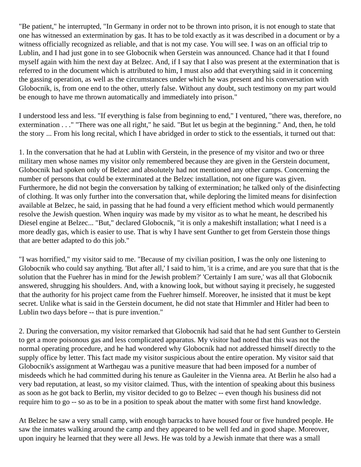"Be patient," he interrupted, "In Germany in order not to be thrown into prison, it is not enough to state that one has witnessed an extermination by gas. It has to be told exactly as it was described in a document or by a witness officially recognized as reliable, and that is not my case. You will see. I was on an official trip to Lublin, and I had just gone in to see Globocnik when Gerstein was announced. Chance had it that I found myself again with him the next day at Belzec. And, if I say that I also was present at the extermination that is referred to in the document which is attributed to him, I must also add that everything said in it concerning the gassing operation, as well as the circumstances under which he was present and his conversation with Globocnik, is, from one end to the other, utterly false. Without any doubt, such testimony on my part would be enough to have me thrown automatically and immediately into prison."

I understood less and less. "If everything is false from beginning to end," I ventured, "there was, therefore, no extermination . . ." "There was one all right," he said. "But let us begin at the beginning." And, then, he told the story ... From his long recital, which I have abridged in order to stick to the essentials, it turned out that:

1. In the conversation that he had at Lublin with Gerstein, in the presence of my visitor and two or three military men whose names my visitor only remembered because they are given in the Gerstein document, Globocnik had spoken only of Belzec and absolutely had not mentioned any other camps. Concerning the number of persons that could be exterminated at the Belzec installation, not one figure was given. Furthermore, he did not begin the conversation by talking of extermination; he talked only of the disinfecting of clothing. It was only further into the conversation that, while deploring the limited means for disinfection available at Belzec, he said, in passing that he had found a very efficient method which would permanently resolve the Jewish question. When inquiry was made by my visitor as to what he meant, he described his Diesel engine at Belzec... "But," declared Globocnik, "it is only a makeshift installation; what I need is a more deadly gas, which is easier to use. That is why I have sent Gunther to get from Gerstein those things that are better adapted to do this job."

"I was horrified," my visitor said to me. "Because of my civilian position, I was the only one listening to Globocnik who could say anything. 'But after all,' I said to him, 'it is a crime, and are you sure that that is the solution that the Fuehrer has in mind for the Jewish problem?' 'Certainly I am sure,' was all that Globocnik answered, shrugging his shoulders. And, with a knowing look, but without saying it precisely, he suggested that the authority for his project came from the Fuehrer himself. Moreover, he insisted that it must be kept secret. Unlike what is said in the Gerstein document, he did not state that Himmler and Hitler had been to Lublin two days before -- that is pure invention."

2. During the conversation, my visitor remarked that Globocnik had said that he had sent Gunther to Gerstein to get a more poisonous gas and less complicated apparatus. My visitor had noted that this was not the normal operating procedure, and he had wondered why Globocnik had not addressed himself directly to the supply office by letter. This fact made my visitor suspicious about the entire operation. My visitor said that Globocnik's assignment at Warthegau was a punitive measure that had been imposed for a number of misdeeds which he had committed during his tenure as Gauleiter in the Vienna area. At Berlin he also had a very bad reputation, at least, so my visitor claimed. Thus, with the intention of speaking about this business as soon as he got back to Berlin, my visitor decided to go to Belzec -- even though his business did not require him to go -- so as to be in a position to speak about the matter with some first hand knowledge.

At Belzec he saw a very small camp, with enough barracks to have housed four or five hundred people. He saw the inmates walking around the camp and they appeared to be well fed and in good shape. Moreover, upon inquiry he learned that they were all Jews. He was told by a Jewish inmate that there was a small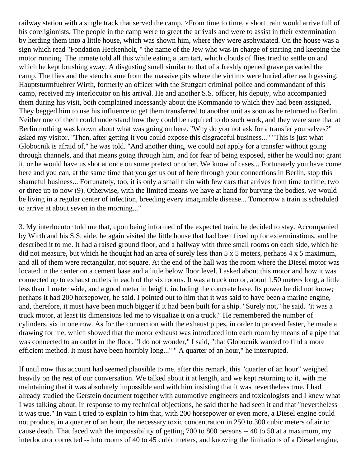railway station with a single track that served the camp. >From time to time, a short train would arrive full of his coreligionists. The people in the camp were to greet the arrivals and were to assist in their extermination by herding them into a little house, which was shown him, where they were asphyxiated. On the house was a sign which read "Fondation Heckenholt, " the name of the Jew who was in charge of starting and keeping the motor running. The inmate told all this while eating a jam tart, which clouds of flies tried to settle on and which he kept brushing away. A disgusting smell similar to that of a freshly opened grave pervaded the camp. The flies and the stench came from the massive pits where the victims were buried after each gassing. Hauptsturmfuehrer Wirth, formerly an officer with the Stuttgart criminal police and commandant of this camp, received my interlocutor on his arrival. He and another S.S. officer, his deputy, who accompanied them during his visit, both complained incessantly about the Kommando to which they had been assigned. They begged him to use his influence to get them transferred to another unit as soon as he returned to Berlin. Neither one of them could understand how they could be required to do such work, and they were sure that at Berlin nothing was known about what was going on here. "Why do you not ask for a transfer yourselves?" asked my visitor. "Then, after getting it you could expose this disgraceful business..." "This is just what Globocnik is afraid of," he was told. "And another thing, we could not apply for a transfer without going through channels, and that means going through him, and for fear of being exposed, either he would not grant it, or he would have us shot at once on some pretext or other. We know of cases... Fortunately you have come here and you can, at the same time that you get us out of here through your connections in Berlin, stop this shameful business... Fortunately, too, it is only a small train with few cars that arrives from time to time, two or three up to now (9). Otherwise, with the limited means we have at hand for burying the bodies, we would be living in a regular center of infection, breeding every imaginable disease... Tomorrow a train is scheduled to arrive at about seven in the morning..."

3. My interlocutor told me that, upon being informed of the expected train, he decided to stay. Accompanied by Wirth and his S.S. aide, he again visited the little house that had been fixed up for exterminations, and he described it to me. It had a raised ground floor, and a hallway with three small rooms on each side, which he did not measure, but which he thought had an area of surely less than 5 x 5 meters, perhaps 4 x 5 maximum, and all of them were rectangular, not square. At the end of the hall was the room where the Diesel motor was located in the center on a cement base and a little below floor level. I asked about this motor and how it was connected up to exhaust outlets in each of the six rooms. It was a truck motor, about 1.50 meters long, a little less than 1 meter wide, and a good meter in height, including the concrete base. Its power he did not know; perhaps it had 200 horsepower, he said. I pointed out to him that it was said to have been a marine engine, and, therefore, it must have been much bigger if it had been built for a ship. "Surely not," he said. "it was a truck motor, at least its dimensions led me to visualize it on a truck." He remembered the number of cylinders, six in one row. As for the connection with the exhaust pipes, in order to proceed faster, he made a drawing for me, which showed that the motor exhaust was introduced into each room by means of a pipe that was connected to an outlet in the floor. "I do not wonder," I said, "that Globocnik wanted to find a more efficient method. It must have been horribly long..." " A quarter of an hour," he interrupted.

If until now this account had seemed plausible to me, after this remark, this "quarter of an hour" weighed heavily on the rest of our conversation. We talked about it at length, and we kept returning to it, with me maintaining that it was absolutely impossible and with him insisting that it was nevertheless true. I had already studied the Gerstein document together with automotive engineers and toxicologists and I knew what I was talking about. In response to my technical objections, he said that he had seen it and that "nevertheless it was true." In vain I tried to explain to him that, with 200 horsepower or even more, a Diesel engine could not produce, in a quarter of an hour, the necessary toxic concentration in 250 to 300 cubic meters of air to cause death. That faced with the impossibility of getting 700 to 800 persons -- 40 to 50 at a maximum, my interlocutor corrected -- into rooms of 40 to 45 cubic meters, and knowing the limitations of a Diesel engine,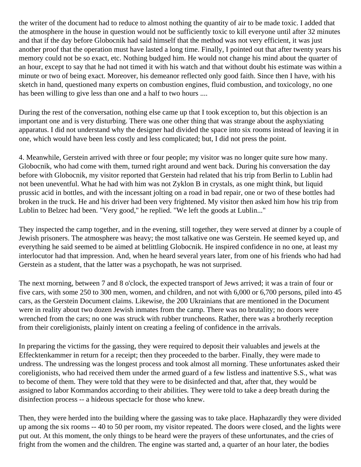the writer of the document had to reduce to almost nothing the quantity of air to be made toxic. I added that the atmosphere in the house in question would not be sufficiently toxic to kill everyone until after 32 minutes and that if the day before Globocnik had said himself that the method was not very efficient, it was just another proof that the operation must have lasted a long time. Finally, I pointed out that after twenty years his memory could not be so exact, etc. Nothing budged him. He would not change his mind about the quarter of an hour, except to say that he had not timed it with his watch and that without doubt his estimate was within a minute or two of being exact. Moreover, his demeanor reflected only good faith. Since then I have, with his sketch in hand, questioned many experts on combustion engines, fluid combustion, and toxicology, no one has been willing to give less than one and a half to two hours ....

During the rest of the conversation, nothing else came up that I took exception to, but this objection is an important one and is very disturbing. There was one other thing that was strange about the asphyxiating apparatus. I did not understand why the designer had divided the space into six rooms instead of leaving it in one, which would have been less costly and less complicated; but, I did not press the point.

4. Meanwhile, Gerstein arrived with three or four people; my visitor was no longer quite sure how many. Globocnik, who had come with them, turned right around and went back. During his conversation the day before with Globocnik, my visitor reported that Gerstein had related that his trip from Berlin to Lublin had not been uneventful. What he had with him was not Zyklon B in crystals, as one might think, but liquid prussic acid in bottles, and with the incessant jolting on a road in bad repair, one or two of these bottles had broken in the truck. He and his driver had been very frightened. My visitor then asked him how his trip from Lublin to Belzec had been. "Very good," he replied. "We left the goods at Lublin..."

They inspected the camp together, and in the evening, still together, they were served at dinner by a couple of Jewish prisoners. The atmosphere was heavy; the most talkative one was Gerstein. He seemed keyed up, and everything he said seemed to be aimed at belittling Globocnik. He inspired confidence in no one, at least my interlocutor had that impression. And, when he heard several years later, from one of his friends who had had Gerstein as a student, that the latter was a psychopath, he was not surprised.

The next morning, between 7 and 8 o'clock, the expected transport of Jews arrived; it was a train of four or five cars, with some 250 to 300 men, women, and children, and not with 6,000 or 6,700 persons, piled into 45 cars, as the Gerstein Document claims. Likewise, the 200 Ukrainians that are mentioned in the Document were in reality about two dozen Jewish inmates from the camp. There was no brutality; no doors were wrenched from the cars; no one was struck with rubber truncheons. Rather, there was a brotherly reception from their coreligionists, plainly intent on creating a feeling of confidence in the arrivals.

In preparing the victims for the gassing, they were required to deposit their valuables and jewels at the Effecktenkammer in return for a receipt; then they proceeded to the barber. Finally, they were made to undress. The undressing was the longest process and took almost all morning. These unfortunates asked their coreligionists, who had received them under the armed guard of a few listless and inattentive S.S., what was to become of them. They were told that they were to be disinfected and that, after that, they would be assigned to labor Kommandos according to their abilities. They were told to take a deep breath during the disinfection process -- a hideous spectacle for those who knew.

Then, they were herded into the building where the gassing was to take place. Haphazardly they were divided up among the six rooms -- 40 to 50 per room, my visitor repeated. The doors were closed, and the lights were put out. At this moment, the only things to be heard were the prayers of these unfortunates, and the cries of fright from the women and the children. The engine was started and, a quarter of an hour later, the bodies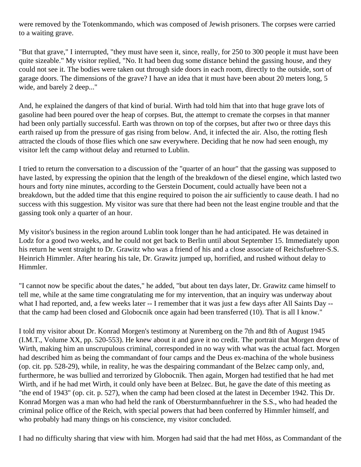were removed by the Totenkommando, which was composed of Jewish prisoners. The corpses were carried to a waiting grave.

"But that grave," I interrupted, "they must have seen it, since, really, for 250 to 300 people it must have been quite sizeable." My visitor replied, "No. It had been dug some distance behind the gassing house, and they could not see it. The bodies were taken out through side doors in each room, directly to the outside, sort of garage doors. The dimensions of the grave? I have an idea that it must have been about 20 meters long, 5 wide, and barely 2 deep..."

And, he explained the dangers of that kind of burial. Wirth had told him that into that huge grave lots of gasoline had been poured over the heap of corpses. But, the attempt to cremate the corpses in that manner had been only partially successful. Earth was thrown on top of the corpses, but after two or three days this earth raised up from the pressure of gas rising from below. And, it infected the air. Also, the rotting flesh attracted the clouds of those flies which one saw everywhere. Deciding that he now had seen enough, my visitor left the camp without delay and returned to Lublin.

I tried to return the conversation to a discussion of the "quarter of an hour" that the gassing was supposed to have lasted, by expressing the opinion that the length of the breakdown of the diesel engine, which lasted two hours and forty nine minutes, according to the Gerstein Document, could actually have been not a breakdown, but the added time that this engine required to poison the air sufficiently to cause death. I had no success with this suggestion. My visitor was sure that there had been not the least engine trouble and that the gassing took only a quarter of an hour.

My visitor's business in the region around Lublin took longer than he had anticipated. He was detained in Lodz for a good two weeks, and he could not get back to Berlin until about September 15. Immediately upon his return he went straight to Dr. Grawitz who was a friend of his and a close associate of Reichsfuehrer-S.S. Heinrich Himmler. After hearing his tale, Dr. Grawitz jumped up, horrified, and rushed without delay to Himmler.

"I cannot now be specific about the dates," he added, "but about ten days later, Dr. Grawitz came himself to tell me, while at the same time congratulating me for my intervention, that an inquiry was underway about what I had reported, and, a few weeks later -- I remember that it was just a few days after All Saints Day - that the camp had been closed and Globocnik once again had been transferred (10). That is all I know."

I told my visitor about Dr. Konrad Morgen's testimony at Nuremberg on the 7th and 8th of August 1945 (I.M.T., Volume XX, pp. 520-553). He knew about it and gave it no credit. The portrait that Morgen drew of Wirth, making him an unscrupulous criminal, corresponded in no way with what was the actual fact. Morgen had described him as being the commandant of four camps and the Deus ex-machina of the whole business (op. cit. pp. 528-29), while, in reality, he was the despairing commandant of the Belzec camp only, and, furthermore, he was bullied and terrorized by Globocnik. Then again, Morgen had testified that he had met Wirth, and if he had met Wirth, it could only have been at Belzec. But, he gave the date of this meeting as "the end of 1943" (op. cit. p. 527), when the camp had been closed at the latest in December 1942. This Dr. Konrad Morgen was a man who had held the rank of Obersturmbannfuehrer in the S.S., who had headed the criminal police office of the Reich, with special powers that had been conferred by Himmler himself, and who probably had many things on his conscience, my visitor concluded.

I had no difficulty sharing that view with him. Morgen had said that the had met Höss, as Commandant of the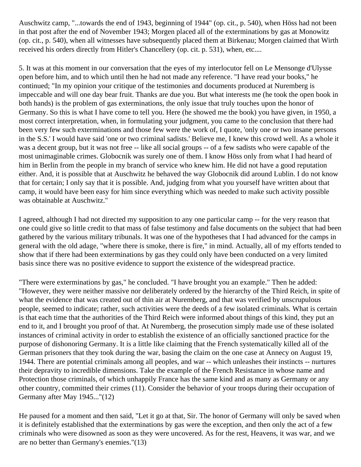Auschwitz camp, "...towards the end of 1943, beginning of 1944" (op. cit., p. 540), when Höss had not been in that post after the end of November 1943; Morgen placed all of the exterminations by gas at Monowitz (op. cit., p. 540), when all witnesses have subsequently placed them at Birkenau; Morgen claimed that Wirth received his orders directly from Hitler's Chancellery (op. cit. p. 531), when, etc....

5. It was at this moment in our conversation that the eyes of my interlocutor fell on Le Mensonge d'Ulysse open before him, and to which until then he had not made any reference. "I have read your books," he continued; "In my opinion your critique of the testimonies and documents produced at Nuremberg is impeccable and will one day bear fruit. Thanks are due you. But what interests me (he took the open book in both hands) is the problem of gas exterminations, the only issue that truly touches upon the honor of Germany. So this is what I have come to tell you. Here (he showed me the book) you have given, in 1950, a most correct interpretation, when, in formulating your judgment, you came to the conclusion that there had been very few such exterminations and those few were the work of, I quote, 'only one or two insane persons in the S.S.' I would have said 'one or two criminal sadists.' Believe me, I knew this crowd well. As a whole it was a decent group, but it was not free -- like all social groups -- of a few sadists who were capable of the most unimaginable crimes. Globocnik was surely one of them. I know Höss only from what I had heard of him in Berlin from the people in my branch of service who knew him. He did not have a good reputation either. And, it is possible that at Auschwitz he behaved the way Globocnik did around Lublin. I do not know that for certain; I only say that it is possible. And, judging from what you yourself have written about that camp, it would have been easy for him since everything which was needed to make such activity possible was obtainable at Auschwitz."

I agreed, although I had not directed my supposition to any one particular camp -- for the very reason that one could give so little credit to that mass of false testimony and false documents on the subject that had been gathered by the various military tribunals. It was one of the hypotheses that I had advanced for the camps in general with the old adage, "where there is smoke, there is fire," in mind. Actually, all of my efforts tended to show that if there had been exterminations by gas they could only have been conducted on a very limited basis since there was no positive evidence to support the existence of the widespread practice.

"There were exterminations by gas," he concluded. "I have brought you an example." Then he added: "However, they were neither massive nor deliberately ordered by the hierarchy of the Third Reich, in spite of what the evidence that was created out of thin air at Nuremberg, and that was verified by unscrupulous people, seemed to indicate; rather, such activities were the deeds of a few isolated criminals. What is certain is that each time that the authorities of the Third Reich were informed about things of this kind, they put an end to it, and I brought you proof of that. At Nuremberg, the prosecution simply made use of these isolated instances of criminal activity in order to establish the existence of an officially sanctioned practice for the purpose of dishonoring Germany. It is a little like claiming that the French systematically killed all of the German prisoners that they took during the war, basing the claim on the one case at Annecy on August 19, 1944. There are potential criminals among all peoples, and war -- which unleashes their instincts -- nurtures their depravity to incredible dimensions. Take the example of the French Resistance in whose name and Protection those criminals, of which unhappily France has the same kind and as many as Germany or any other country, committed their crimes (11). Consider the behavior of your troops during their occupation of Germany after May 1945..."(12)

He paused for a moment and then said, "Let it go at that, Sir. The honor of Germany will only be saved when it is definitely established that the exterminations by gas were the exception, and then only the act of a few criminals who were disowned as soon as they were uncovered. As for the rest, Heavens, it was war, and we are no better than Germany's enemies."(13)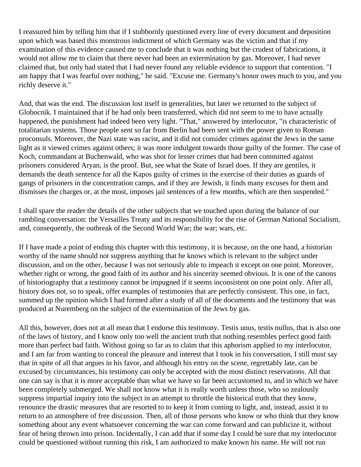I reassured him by telling him that if I stubbornly questioned every line of every document and deposition upon which was based this monstrous indictment of which Germany was the victim and that if my examination of this evidence caused me to conclude that it was nothing but the crudest of fabrications, it would not allow me to claim that there never had been an extermination by gas. Moreover, I had never claimed that, but only had stated that I had never found any reliable evidence to support that contention. "I am happy that I was fearful over nothing," he said. "Excuse me. Germany's honor owes much to you, and you richly deserve it."

And, that was the end. The discussion lost itself in generalities, but later we returned to the subject of Globocnik. I maintained that if he had only been transferred, which did not seem to me to have actually happened, the punishment had indeed been very light. "That," answered by interlocutor, "is characteristic of totalitarian systems. Those people sent so far from Berlin had been sent with the power given to Roman proconsuls. Moreover, the Nazi state was racist, and it did not consider crimes against the Jews in the same light as it viewed crimes against others; it was more indulgent towards those guilty of the former. The case of Koch, commandant at Buchenwald, who was shot for lesser crimes that had been committed against prisoners considered Aryan, is the proof. But, see what the State of Israel does. If they are gentiles, it demands the death sentence for all the Kapos guilty of crimes in the exercise of their duties as guards of gangs of prisoners in the concentration camps, and if they are Jewish, it finds many excuses for them and dismisses the charges or, at the most, imposes jail sentences of a few months, which are then suspended."

I shall spare the reader the details of the other subjects that we touched upon during the balance of our rambling conversation: the Versailles Treaty and its responsibility for the rise of German National Socialism, and, consequently, the outbreak of the Second World War; the war; wars, etc.

If I have made a point of ending this chapter with this testimony, it is because, on the one hand, a historian worthy of the name should not suppress anything that he knows which is relevant to the subject under discussion, and on the other, because I was not seriously able to impeach it except on one point. Moreover, whether right or wrong, the good faith of its author and his sincerity seemed obvious. It is one of the canons of historiography that a testimony cannot be impugned if it seems inconsistent on one point only. After all, history does not, so to speak, offer examples of testimonies that are perfectly consistent. This one, in fact, summed up the opinion which I had formed after a study of all of the documents and the testimony that was produced at Nuremberg on the subject of the extermination of the Jews by gas.

All this, however, does not at all mean that I endorse this testimony. Testis unus, testis nullus, that is also one of the laws of history, and I know only too well the ancient truth that nothing resembles perfect good faith more than perfect bad faith. Without going so far as to claim that this aphorism applied to my interlocutor, and I am far from wanting to conceal the pleasure and interest that I took in his conversation, I still must say that in spite of all that argues in his favor, and although his entry on the scene, regrettably late, can be excused by circumstances, his testimony can only be accepted with the most distinct reservations. All that one can say is that it is more acceptable than what we have so far been accustomed to, and in which we have been completely submerged. We shall not know what it is really worth unless those, who so zealously suppress impartial inquiry into the subject in an attempt to throttle the historical truth that they know, renounce the drastic measures that are resorted to to keep it from coming to light, and, instead, assist it to return to an atmosphere of free discussion. Then, all of those persons who know or who think that they know something about any event whatsoever concerning the war can come forward and can publicize it, without fear of being thrown into prison. Incidentally, I can add that if some day I could be sure that my interlocutor could be questioned without running this risk, I am authorized to make known his name. He will not run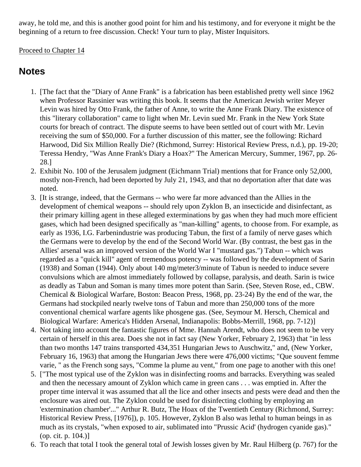away, he told me, and this is another good point for him and his testimony, and for everyone it might be the beginning of a return to free discussion. Check! Your turn to play, Mister Inquisitors.

### [Proceed to Chapter 14](#page-176-0)

## **Notes**

- 1. [The fact that the "Diary of Anne Frank" is a fabrication has been established pretty well since 1962 when Professor Rassinier was writing this book. It seems that the American Jewish writer Meyer Levin was hired by Otto Frank, the father of Anne, to write the Anne Frank Diary. The existence of this "literary collaboration" came to light when Mr. Levin sued Mr. Frank in the New York State courts for breach of contract. The dispute seems to have been settled out of court with Mr. Levin receiving the sum of \$50,000. For a further discussion of this matter, see the following: Richard Harwood, Did Six Million Really Die? (Richmond, Surrey: Historical Review Press, n.d.), pp. 19-20; Teressa Hendry, "Was Anne Frank's Diary a Hoax?" The American Mercury, Summer, 1967, pp. 26- 28.]
- 2. Exhibit No. 100 of the Jerusalem judgment (Eichmann Trial) mentions that for France only 52,000, mostly non-French, had been deported by July 21, 1943, and that no deportation after that date was noted.
- 3. [It is strange, indeed, that the Germans -- who were far more advanced than the Allies in the development of chemical weapons -- should rely upon Zyklon B, an insecticide and disinfectant, as their primary killing agent in these alleged exterminations by gas when they had much more efficient gases, which had been designed specifically as "man-killing" agents, to choose from. For example, as early as 1936, I.G. Farbenindustrie was producing Tabun, the first of a family of nerve gases which the Germans were to develop by the end of the Second World War. (By contrast, the best gas in the Allies' arsenal was an improved version of the World War I "mustard gas.") Tabun -- which was regarded as a "quick kill" agent of tremendous potency -- was followed by the development of Sarin (1938) and Soman (1944). Only about 140 mg/meter3/minute of Tabun is needed to induce severe convulsions which are almost immediately followed by collapse, paralysis, and death. Sarin is twice as deadly as Tabun and Soman is many times more potent than Sarin. (See, Steven Rose, ed., CBW. Chemical & Biological Warfare, Boston: Beacon Press, 1968, pp. 23-24) By the end of the war, the Germans had stockpiled nearly twelve tons of Tabun and more than 250,000 tons of the more conventional chemical warfare agents like phosgene gas. (See, Seymour M. Hersch, Chemical and Biological Warfare: America's Hidden Arsenal, Indianapolis: Bobbs-Merrill, 1968, pp. 7-12)]
- 4. Not taking into account the fantastic figures of Mme. Hannah Arendt, who does not seem to be very certain of herself in this area. Does she not in fact say (New Yorker, February 2, 1963) that "in less than two months 147 trains transported 434,351 Hungarian Jews to Auschwitz," and, (New Yorker, February 16, 1963) that among the Hungarian Jews there were 476,000 victims; "Que souvent femme varie, " as the French song says, "Comme la plume au vent," from one page to another with this one!
- 5. ["The most typical use of the Zyklon was in disinfecting rooms and barracks. Everything was sealed and then the necessary amount of Zyklon which came in green cans . . . was emptied in. After the proper time interval it was assumed that all the lice and other insects and pests were dead and then the enclosure was aired out. The Zyklon could be used for disinfecting clothing by employing an 'extermination chamber'..." Arthur R. Butz, The Hoax of the Twentieth Century (Richmond, Surrey: Historical Review Press, [1976]), p. 105. However, Zyklon B also was lethal to human beings in as much as its crystals, "when exposed to air, sublimated into "Prussic Acid' (hydrogen cyanide gas)." (op. cit. p. 104.)]
- 6. To reach that total I took the general total of Jewish losses given by Mr. Raul Hilberg (p. 767) for the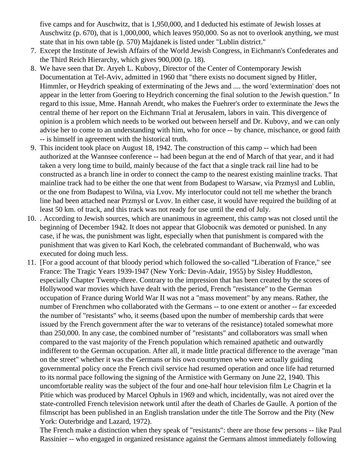five camps and for Auschwitz, that is 1,950,000, and I deducted his estimate of Jewish losses at Auschwitz (p. 670), that is 1,000,000, which leaves 950,000. So as not to overlook anything, we must state that in his own table (p. 570) Majdanek is listed under "Lublin district."

- 7. Except the Institute of Jewish Affairs of the World Jewish Congress, in Eichmann's Confederates and the Third Reich Hierarchy, which gives 900,000 (p. 18).
- 8. We have seen that Dr. Aryeh L. Kubovy, Director of the Center of Contemporary Jewish Documentation at Tel-Aviv, admitted in 1960 that "there exists no document signed by Hitler, Himmler, or Heydrich speaking of exterminating of the Jews and .... the word 'extermination' does not appear in the letter from Goering to Heydrich concerning the final solution to the Jewish question." In regard to this issue, Mme. Hannah Arendt, who makes the Fuehrer's order to exterminate the Jews the central theme of her report on the Eichmann Trial at Jerusalem, labors in vain. This divergence of opinion is a problem which needs to be worked out between herself and Dr. Kubovy, and we can only advise her to come to an understanding with him, who for once -- by chance, mischance, or good faith -- is himself in agreement with the historical truth.
- 9. This incident took place on August 18, 1942. The construction of this camp -- which had been authorized at the Wannsee conference -- had been begun at the end of March of that year, and it had taken a very long time to build, mainly because of the fact that a single track rail line had to be constructed as a branch line in order to connect the camp to the nearest existing mainline tracks. That mainline track had to be either the one that went from Budapest to Warsaw, via Przmysl and Lublin, or the one from Budapest to Wilna, via Lvov. My interlocutor could not tell me whether the branch line had been attached near Przmysl or Lvov. In either case, it would have required the building of at least 50 km. of track, and this track was not ready for use until the end of July.
- 10. . According to Jewish sources, which are unanimous in agreement, this camp was not closed until the beginning of December 1942. It does not appear that Globocnik was demoted or punished. In any case, if he was, the punishment was light, especially when that punishment is compared with the punishment that was given to Karl Koch, the celebrated commandant of Buchenwald, who was executed for doing much less.
- 11. [For a good account of that bloody period which followed the so-called "Liberation of France," see France: The Tragic Years 1939-1947 (New York: Devin-Adair, 1955) by Sisley Huddleston, especially Chapter Twenty-three. Contrary to the impression that has been created by the scores of Hollywood war movies which have dealt with the period, French "resistance" to the German occupation of France during World War II was not a "mass movement" by any means. Rather, the number of Frenchmen who collaborated with the Germans -- to one extent or another -- far exceeded the number of "resistants" who, it seems (based upon the number of membership cards that were issued by the French government after the war to veterans of the resistance) totaled somewhat more than 250,000. In any case, the combined number of "resistants" and collaborators was small when compared to the vast majority of the French population which remained apathetic and outwardly indifferent to the German occupation. After all, it made little practical difference to the average "man on the street" whether it was the Germans or his own countrymen who were actually guiding governmental policy once the French civil service had resumed operation and once life had returned to its normal pace following the signing of the Armistice with Germany on June 22, 1940. This uncomfortable reality was the subject of the four and one-half hour television film Le Chagrin et la Pitie which was produced by Marcel Ophuls in 1969 and which, incidentally, was not aired over the state-controlled French television network until after the death of Charles de Gaulle. A portion of the filmscript has been published in an English translation under the title The Sorrow and the Pity (New York: Outerbridge and Lazard, 1972).

The French make a distinction when they speak of "resistants": there are those few persons -- like Paul Rassinier -- who engaged in organized resistance against the Germans almost immediately following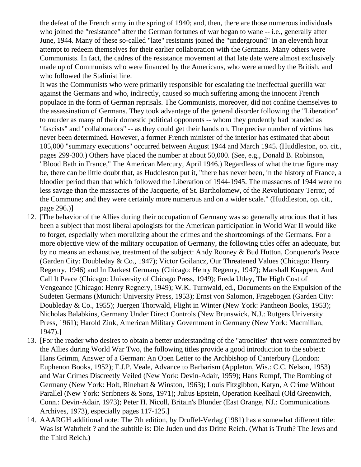the defeat of the French army in the spring of 1940; and, then, there are those numerous individuals who joined the "resistance" after the German fortunes of war began to wane -- i.e., generally after June, 1944. Many of these so-called "late" resistants joined the "underground" in an eleventh hour attempt to redeem themselves for their earlier collaboration with the Germans. Many others were Communists. In fact, the cadres of the resistance movement at that late date were almost exclusively made up of Communists who were financed by the Americans, who were armed by the British, and who followed the Stalinist line.

It was the Communists who were primarily responsible for escalating the ineffectual guerilla war against the Germans and who, indirectly, caused so much suffering among the innocent French populace in the form of German reprisals. The Communists, moreover, did not confine themselves to the assassination of Germans. They took advantage of the general disorder following the "Liberation" to murder as many of their domestic political opponents -- whom they prudently had branded as "fascists" and "collaborators" -- as they could get their hands on. The precise number of victims has never been determined. However, a former French minister of the interior has estimated that about 105,000 "summary executions" occurred between August 1944 and March 1945. (Huddleston, op. cit., pages 299-300.) Others have placed the number at about 50,000. (See, e.g., Donald B. Robinson, "Blood Bath in France," The American Mercury, April 1946.) Regardless of what the true figure may be, there can be little doubt that, as Huddleston put it, "there has never been, in the history of France, a bloodier period than that which followed the Liberation of 1944-1945. The massacres of 1944 were no less savage than the massacres of the Jacquerie, of St. Bartholomew, of the Revolutionary Terror, of the Commune; and they were certainly more numerous and on a wider scale." (Huddleston, op. cit., page 296.)]

- 12. [The behavior of the Allies during their occupation of Germany was so generally atrocious that it has been a subject that most liberal apologists for the American participation in World War II would like to forget, especially when moralizing about the crimes and the shortcomings of the Germans. For a more objective view of the military occupation of Germany, the following titles offer an adequate, but by no means an exhaustive, treatment of the subject: Andy Rooney & Bud Hutton, Conqueror's Peace (Garden City: Doubleday & Co., 1947); Victor Goilancz, Our Threatened Values (Chicago: Henry Regenry, 1946) and In Darkest Germany (Chicago: Henry Regenry, 1947); Marshall Knappen, And Call It Peace (Chicago: University of Chicago Press, 1949); Freda Utley, The High Cost of Vengeance (Chicago: Henry Regnery, 1949); W.K. Turnwald, ed., Documents on the Expulsion of the Sudeten Germans (Munich: University Press, 1953); Ernst von Salomon, Fragebogen (Garden City: Doubleday & Co., 1955); Juergen Thorwald, Flight in Winter (New York: Pantheon Books, 1953); Nicholas Balabkins, Germany Under Direct Controls (New Brunswick, N.J.: Rutgers University Press, 1961); Harold Zink, American Military Government in Germany (New York: Macmillan, 1947).]
- 13. [For the reader who desires to obtain a better understanding of the "atrocities" that were committed by the Allies during World War Two, the following titles provide a good introduction to the subject: Hans Grimm, Answer of a German: An Open Letter to the Archbishop of Canterbury (London: Euphenon Books, 1952); F.J.P. Veale, Advance to Barbarism (Appleton, Wis.: C.C. Nelson, 1953) and War Crimes Discreetly Veiled (New York: Devin-Adair, 1959); Hans Rumpf, The Bombing of Germany (New York: Holt, Rinehart & Winston, 1963); Louis Fitzgibbon, Katyn, A Crime Without Parallel (New York: Scribners & Sons, 1971); Julius Epstein, Operation Keelhaul (Old Greenwich, Conn.: Devin-Adair, 1973); Peter H. Nicoll, Britain's Blunder (East Orange, NJ.: Communications Archives, 1973), especially pages 117-125.]
- 14. AAARGH additional note: The 7th edition, by Druffel-Verlag (1981) has a somewhat different title: Was ist Wahrheit ? and the subtitle is: Die Juden und das Dritte Reich. (What is Truth? The Jews and the Third Reich.)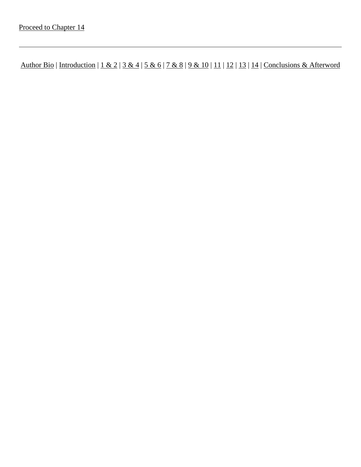[Author Bio](#page-0-0) | [Introduction](#page-0-0) | [1 & 2](#page-9-0) | [3 & 4](#page-32-0) | [5 & 6](#page-55-0) | [7 & 8](#page-67-0) | [9 & 10](#page-83-0) | [11](#page-104-0) | [12](#page-130-0) | [13](#page-139-0) | [14](#page-176-0) | [Conclusions & Afterword](#page-234-0)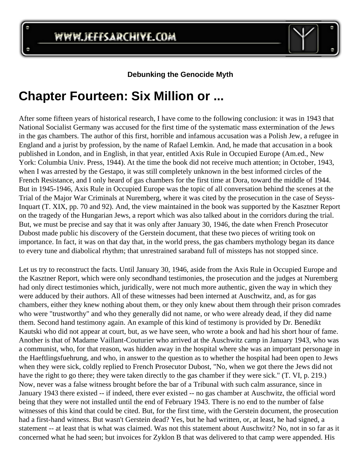#### **Debunking the Genocide Myth**

# <span id="page-176-0"></span>**Chapter Fourteen: Six Million or ...**

After some fifteen years of historical research, I have come to the following conclusion: it was in 1943 that National Socialist Germany was accused for the first time of the systematic mass extermination of the Jews in the gas chambers. The author of this first, horrible and infamous accusation was a Polish Jew, a refugee in England and a jurist by profession, by the name of Rafael Lemkin. And, he made that accusation in a book published in London, and in English, in that year, entitled Axis Rule in Occupied Europe (Am.ed., New York: Columbia Univ. Press, 1944). At the time the book did not receive much attention; in October, 1943, when I was arrested by the Gestapo, it was still completely unknown in the best informed circles of the French Resistance, and I only heard of gas chambers for the first time at Dora, toward the middle of 1944. But in 1945-1946, Axis Rule in Occupied Europe was the topic of all conversation behind the scenes at the Trial of the Major War Criminals at Nuremberg, where it was cited by the prosecution in the case of Seyss-Inquart (T. XIX, pp. 70 and 92). And, the view maintained in the book was supported by the Kasztner Report on the tragedy of the Hungarian Jews, a report which was also talked about in the corridors during the trial. But, we must be precise and say that it was only after January 30, 1946, the date when French Prosecutor Dubost made public his discovery of the Gerstein document, that these two pieces of writing took on importance. In fact, it was on that day that, in the world press, the gas chambers mythology began its dance to every tune and diabolical rhythm; that unrestrained saraband full of missteps has not stopped since.

Let us try to reconstruct the facts. Until January 30, 1946, aside from the Axis Rule in Occupied Europe and the Kasztner Report, which were only secondhand testimonies, the prosecution and the judges at Nuremberg had only direct testimonies which, juridically, were not much more authentic, given the way in which they were adduced by their authors. All of these witnesses had been interned at Auschwitz, and, as for gas chambers, either they knew nothing about them, or they only knew about them through their prison comrades who were "trustworthy" and who they generally did not name, or who were already dead, if they did name them. Second hand testimony again. An example of this kind of testimony is provided by Dr. Benedikt Kautski who did not appear at court, but, as we have seen, who wrote a book and had his short hour of fame. Another is that of Madame Vaillant-Couturier who arrived at the Auschwitz camp in January 1943, who was a communist, who, for that reason, was hidden away in the hospital where she was an important personage in the Haeftlingsfuehrung, and who, in answer to the question as to whether the hospital had been open to Jews when they were sick, coldly replied to French Prosecutor Dubost, "No, when we got there the Jews did not have the right to go there; they were taken directly to the gas chamber if they were sick." (T. VI, p. 219.) Now, never was a false witness brought before the bar of a Tribunal with such calm assurance, since in January 1943 there existed -- if indeed, there ever existed -- no gas chamber at Auschwitz, the official word being that they were not installed until the end of February 1943. There is no end to the number of false witnesses of this kind that could be cited. But, for the first time, with the Gerstein document, the prosecution had a first-hand witness. But wasn't Gerstein dead? Yes, but he had written, or, at least, he had signed, a statement -- at least that is what was claimed. Was not this statement about Auschwitz? No, not in so far as it concerned what he had seen; but invoices for Zyklon B that was delivered to that camp were appended. His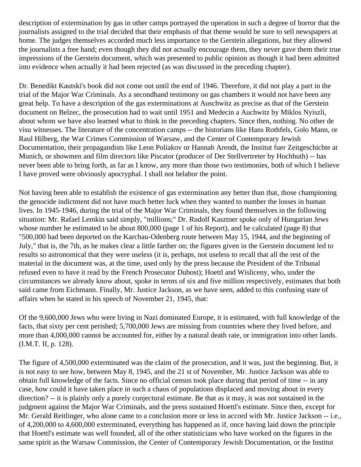description of extermination by gas in other camps portrayed the operation in such a degree of horror that the journalists assigned to the trial decided that their emphasis of that theme would be sure to sell newspapers at home. The judges themselves accorded much less importance to the Gerstein allegations, but they allowed the journalists a free hand; even though they did not actually encourage them, they never gave them their true impressions of the Gerstein document, which was presented to public opinion as though it had been admitted into evidence when actually it had been rejected (as was discussed in the preceding chapter).

Dr. Benedikt Kautski's book did not come out until the end of 1946. Therefore, it did not play a part in the trial of the Major War Criminals. As a secondhand testimony on gas chambers it would not have been any great help. To have a description of the gas exterminations at Auschwitz as precise as that of the Gerstein document on Belzec, the prosecution had to wait until 1951 and Medecin a Auchwitz by Miklos Nyiszli, about whom we have also learned what to think in the preceding chapters. Since then, nothing. No other de visu witnesses. The literature of the concentration camps -- the historians like Hans Rothfels, Golo Mann, or Raul Hilberg, the War Crimes Commission of Warsaw, and the Center of Contemporary Jewish Documentation, their propagandists like Leon Poliakov or Hannah Arendt, the Institut fuer Zeitgeschichte at Munich, or showmen and film directors like Piscator (producer of Der Stellvertreter by Hochhuth) -- has never been able to bring forth, as far as I know, any more than those two testimonies, both of which I believe I have proved were obviously apocryphal. I shall not belabor the point.

Not having been able to establish the existence of gas extermination any better than that, those championing the genocide indictment did not have much better luck when they wanted to number the losses in human lives. In 1945-1946, during the trial of the Major War Criminals, they found themselves in the following situation: Mr. Rafael Lemkin said simply, "millions;" Dr. Rudolf Kasztner spoke only of Hungarian Jews whose number he estimated to be about 800,000 (page 1 of his Report), and he calculated (page 8) that "500,000 had been deported on the Karchau-Odenberg route between May 15, 1944, and the beginning of July," that is, the 7th, as he makes clear a little farther on; the figures given in the Gerstein document led to results so astronomical that they were useless (it is, perhaps, not useless to recall that all the rest of the material in the document was, at the time, used only by the press because the President of the Tribunal refused even to have it read by the French Prosecutor Dubost); Hoettl and Wisliceny, who, under the circumstances we already know about, spoke in terms of six and five million respectively, estimates that both said came from Eichmann. Finally, Mr. Justice Jackson, as we have seen, added to this confusing state of affairs when he stated in his speech of November 21, 1945, that:

Of the 9,600,000 Jews who were living in Nazi dominated Europe, it is estimated, with full knowledge of the facts, that sixty per cent perished; 5,700,000 Jews are missing from countries where they lived before, and more than 4,000,000 cannot be accounted for, either by a natural death rate, or immigration into other lands. (I.M.T. II, p. 128).

The figure of 4,500,000 exterminated was the claim of the prosecution, and it was, just the beginning. But, it is not easy to see how, between May 8, 1945, and the 21 st of November, Mr. Justice Jackson was able to obtain full knowledge of the facts. Since no official census took place during that period of time -- in any case, how could it have taken place in such a chaos of populations displaced and moving about in every direction? -- it is plainly only a purely conjectural estimate. Be that as it may, it was not sustained in the judgment against the Major War Criminals, and the press sustained Hoettl's estimate. Since then, except for Mr. Gerald Reitlinger, who alone came to a conclusion more or less in accord with Mr. Justice Jackson -- i.e., of 4,200,000 to 4,600,000 exterminated, everything has happened as if, once having laid down the principle that Hoettl's estimate was well founded, all of the other statisticians who have worked on the figures in the same spirit as the Warsaw Commission, the Center of Contemporary Jewish Documentation, or the Institut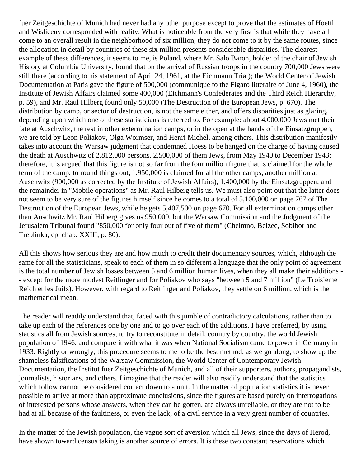fuer Zeitgeschichte of Munich had never had any other purpose except to prove that the estimates of Hoettl and Wisliceny corresponded with reality. What is noticeable from the very first is that while they have all come to an overall result in the neighborhood of six million, they do not come to it by the same routes, since the allocation in detail by countries of these six million presents considerable disparities. The clearest example of these differences, it seems to me, is Poland, where Mr. Salo Baron, holder of the chair of Jewish History at Columbia University, found that on the arrival of Russian troops in the country 700,000 Jews were still there (according to his statement of April 24, 1961, at the Eichmann Trial); the World Center of Jewish Documentation at Paris gave the figure of 500,000 (communique to the Figaro litteraire of June 4, 1960), the Institute of Jewish Affairs claimed some 400,000 (Eichmann's Confederates and the Third Reich Hierarchy, p. 59), and Mr. Raul Hilberg found only 50,000 (The Destruction of the European Jews, p. 670). The distribution by camp, or sector of destruction, is not the same either, and offers disparities just as glaring, depending upon which one of these statisticians is referred to. For example: about 4,000,000 Jews met their fate at Auschwitz, the rest in other extermination camps, or in the open at the hands of the Einsatzgruppen, we are told by Leon Poliakov, Olga Wormser, and Henri Michel, among others. This distribution manifestly takes into account the Warsaw judgment that condemned Hoess to be hanged on the charge of having caused the death at Auschwitz of 2,812,000 persons, 2,500,000 of them Jews, from May 1940 to December 1943; therefore, it is argued that this figure is not so far from the four million figure that is claimed for the whole term of the camp; to round things out, 1,950,000 is claimed for all the other camps, another million at Auschwitz (900,000 as corrected by the Institute of Jewish Affairs), 1,400,000 by the Einsatzgruppen, and the remainder in "Mobile operations" as Mr. Raul Hilberg tells us. We must also point out that the latter does not seem to be very sure of the figures himself since he comes to a total of 5,100,000 on page 767 of The Destruction of the European Jews, while he gets 5,407,500 on page 670. For all extermination camps other than Auschwitz Mr. Raul Hilberg gives us 950,000, but the Warsaw Commission and the Judgment of the Jerusalem Tribunal found "850,000 for only four out of five of them" (Chelmno, Belzec, Sobibor and Treblinka, cp. chap. XXIII, p. 80).

All this shows how serious they are and how much to credit their documentary sources, which, although the same for all the statisticians, speak to each of them in so different a language that the only point of agreement is the total number of Jewish losses between 5 and 6 million human lives, when they all make their additions - - except for the more modest Reitlinger and for Poliakov who says "between 5 and 7 million" (Le Troisieme Reich et les Juifs). However, with regard to Reitlinger and Poliakov, they settle on 6 million, which is the mathematical mean.

The reader will readily understand that, faced with this jumble of contradictory calculations, rather than to take up each of the references one by one and to go over each of the additions, I have preferred, by using statistics all from Jewish sources, to try to reconstitute in detail, country by country, the world Jewish population of 1946, and compare it with what it was when National Socialism came to power in Germany in 1933. Rightly or wrongly, this procedure seems to me to be the best method, as we go along, to show up the shameless falsifications of the Warsaw Commission, the World Center of Contemporary Jewish Documentation, the Institut fuer Zeitgeschichte of Munich, and all of their supporters, authors, propagandists, journalists, historians, and others. I imagine that the reader will also readily understand that the statistics which follow cannot be considered correct down to a unit. In the matter of population statistics it is never possible to arrive at more than approximate conclusions, since the figures are based purely on interrogations of interested persons whose answers, when they can be gotten, are always unreliable, or they are not to be had at all because of the faultiness, or even the lack, of a civil service in a very great number of countries.

In the matter of the Jewish population, the vague sort of aversion which all Jews, since the days of Herod, have shown toward census taking is another source of errors. It is these two constant reservations which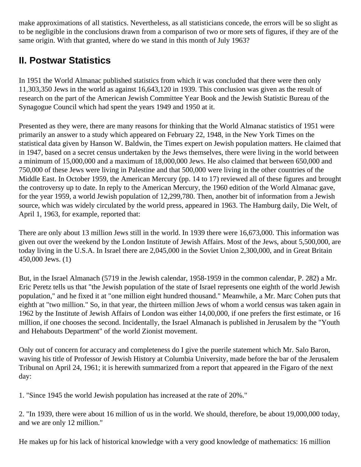make approximations of all statistics. Nevertheless, as all statisticians concede, the errors will be so slight as to be negligible in the conclusions drawn from a comparison of two or more sets of figures, if they are of the same origin. With that granted, where do we stand in this month of July 1963?

## **II. Postwar Statistics**

In 1951 the World Almanac published statistics from which it was concluded that there were then only 11,303,350 Jews in the world as against 16,643,120 in 1939. This conclusion was given as the result of research on the part of the American Jewish Committee Year Book and the Jewish Statistic Bureau of the Synagogue Council which had spent the years 1949 and 1950 at it.

Presented as they were, there are many reasons for thinking that the World Almanac statistics of 1951 were primarily an answer to a study which appeared on February 22, 1948, in the New York Times on the statistical data given by Hanson W. Baldwin, the Times expert on Jewish population matters. He claimed that in 1947, based on a secret census undertaken by the Jews themselves, there were living in the world between a minimum of 15,000,000 and a maximum of 18,000,000 Jews. He also claimed that between 650,000 and 750,000 of these Jews were living in Palestine and that 500,000 were living in the other countries of the Middle East. In October 1959, the American Mercury (pp. 14 to 17) reviewed all of these figures and brought the controversy up to date. In reply to the American Mercury, the 1960 edition of the World Almanac gave, for the year 1959, a world Jewish population of 12,299,780. Then, another bit of information from a Jewish source, which was widely circulated by the world press, appeared in 1963. The Hamburg daily, Die Welt, of April 1, 1963, for example, reported that:

There are only about 13 million Jews still in the world. In 1939 there were 16,673,000. This information was given out over the weekend by the London Institute of Jewish Affairs. Most of the Jews, about 5,500,000, are today living in the U.S.A. In Israel there are 2,045,000 in the Soviet Union 2,300,000, and in Great Britain 450,000 Jews. (1)

But, in the Israel Almanach (5719 in the Jewish calendar, 1958-1959 in the common calendar, P. 282) a Mr. Eric Peretz tells us that "the Jewish population of the state of Israel represents one eighth of the world Jewish population," and he fixed it at "one million eight hundred thousand." Meanwhile, a Mr. Marc Cohen puts that eighth at "two million." So, in that year, the thirteen million Jews of whom a world census was taken again in 1962 by the Institute of Jewish Affairs of London was either 14,00,000, if one prefers the first estimate, or 16 million, if one chooses the second. Incidentally, the Israel Almanach is published in Jerusalem by the "Youth and Hehabouts Department" of the world Zionist movement.

Only out of concern for accuracy and completeness do I give the puerile statement which Mr. Salo Baron, waving his title of Professor of Jewish History at Columbia University, made before the bar of the Jerusalem Tribunal on April 24, 1961; it is herewith summarized from a report that appeared in the Figaro of the next day:

1. "Since 1945 the world Jewish population has increased at the rate of 20%."

2. "In 1939, there were about 16 million of us in the world. We should, therefore, be about 19,000,000 today, and we are only 12 million."

He makes up for his lack of historical knowledge with a very good knowledge of mathematics: 16 million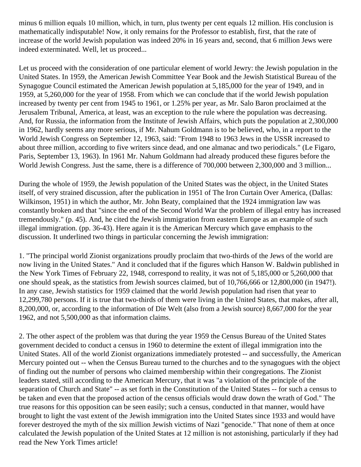minus 6 million equals 10 million, which, in turn, plus twenty per cent equals 12 million. His conclusion is mathematically indisputable! Now, it only remains for the Professor to establish, first, that the rate of increase of the world Jewish population was indeed 20% in 16 years and, second, that 6 million Jews were indeed exterminated. Well, let us proceed...

Let us proceed with the consideration of one particular element of world Jewry: the Jewish population in the United States. In 1959, the American Jewish Committee Year Book and the Jewish Statistical Bureau of the Synagogue Council estimated the American Jewish population at 5,185,000 for the year of 1949, and in 1959, at 5,260,000 for the year of 1958. From which we can conclude that if the world Jewish population increased by twenty per cent from 1945 to 1961, or 1.25% per year, as Mr. Salo Baron proclaimed at the Jerusalem Tribunal, America, at least, was an exception to the rule where the population was decreasing. And, for Russia, the information from the Institute of Jewish Affairs, which puts the population at 2,300,000 in 1962, hardly seems any more serious, if Mr. Nahum Goldmann is to be believed, who, in a report to the World Jewish Congress on September 12, 1963, said: "From 1948 to 1963 Jews in the USSR increased to about three million, according to five writers since dead, and one almanac and two periodicals." (Le Figaro, Paris, September 13, 1963). In 1961 Mr. Nahum Goldmann had already produced these figures before the World Jewish Congress. Just the same, there is a difference of 700,000 between 2,300,000 and 3 million...

During the whole of 1959, the Jewish population of the United States was the object, in the United States itself, of very strained discussion, after the publication in 1951 of The Iron Curtain Over America, (Dallas: Wilkinson, 1951) in which the author, Mr. John Beaty, complained that the 1924 immigration law was constantly broken and that "since the end of the Second World War the problem of illegal entry has increased tremendously." (p. 45). And, he cited the Jewish immigration from eastern Europe as an example of such illegal immigration. (pp. 36-43). Here again it is the American Mercury which gave emphasis to the discussion. It underlined two things in particular concerning the Jewish immigration:

1. "The principal world Zionist organizations proudly proclaim that two-thirds of the Jews of the world are now living in the United States." And it concluded that if the figures which Hanson W. Baldwin published in the New York Times of February 22, 1948, correspond to reality, it was not of 5,185,000 or 5,260,000 that one should speak, as the statistics from Jewish sources claimed, but of 10,766,666 or 12,800,000 (in 1947!). In any case, Jewish statistics for 1959 claimed that the world Jewish population had risen that year to 12,299,780 persons. If it is true that two-thirds of them were living in the United States, that makes, after all, 8,200,000, or, according to the information of Die Welt (also from a Jewish source) 8,667,000 for the year 1962, and not 5,500,000 as that information claims.

2. The other aspect of the problem was that during the year 1959 the Census Bureau of the United States government decided to conduct a census in 1960 to determine the extent of illegal immigration into the United States. All of the world Zionist organizations immediately protested -- and successfully, the American Mercury pointed out -- when the Census Bureau turned to the churches and to the synagogues with the object of finding out the number of persons who claimed membership within their congregations. The Zionist leaders stated, still according to the American Mercury, that it was "a violation of the principle of the separation of Church and State" -- as set forth in the Constitution of the United States -- for such a census to be taken and even that the proposed action of the census officials would draw down the wrath of God." The true reasons for this opposition can be seen easily; such a census, conducted in that manner, would have brought to light the vast extent of the Jewish immigration into the United States since 1933 and would have forever destroyed the myth of the six million Jewish victims of Nazi "genocide." That none of them at once calculated the Jewish population of the United States at 12 million is not astonishing, particularly if they had read the New York Times article!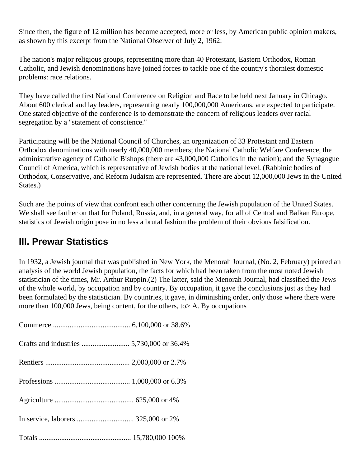Since then, the figure of 12 million has become accepted, more or less, by American public opinion makers, as shown by this excerpt from the National Observer of July 2, 1962:

The nation's major religious groups, representing more than 40 Protestant, Eastern Orthodox, Roman Catholic, and Jewish denominations have joined forces to tackle one of the country's thorniest domestic problems: race relations.

They have called the first National Conference on Religion and Race to be held next January in Chicago. About 600 clerical and lay leaders, representing nearly 100,000,000 Americans, are expected to participate. One stated objective of the conference is to demonstrate the concern of religious leaders over racial segregation by a "statement of conscience."

Participating will be the National Council of Churches, an organization of 33 Protestant and Eastern Orthodox denominations with nearly 40,000,000 members; the National Catholic Welfare Conference, the administrative agency of Catholic Bishops (there are 43,000,000 Catholics in the nation); and the Synagogue Council of America, which is representative of Jewish bodies at the national level. (Rabbinic bodies of Orthodox, Conservative, and Reform Judaism are represented. There are about 12,000,000 Jews in the United States.)

Such are the points of view that confront each other concerning the Jewish population of the United States. We shall see farther on that for Poland, Russia, and, in a general way, for all of Central and Balkan Europe, statistics of Jewish origin pose in no less a brutal fashion the problem of their obvious falsification.

# **III. Prewar Statistics**

In 1932, a Jewish journal that was published in New York, the Menorah Journal, (No. 2, February) printed an analysis of the world Jewish population, the facts for which had been taken from the most noted Jewish statistician of the times, Mr. Arthur Ruppin.(2) The latter, said the Menorah Journal, had classified the Jews of the whole world, by occupation and by country. By occupation, it gave the conclusions just as they had been formulated by the statistician. By countries, it gave, in diminishing order, only those where there were more than 100,000 Jews, being content, for the others, to> A. By occupations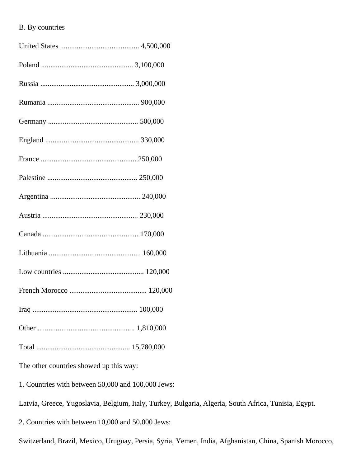### B. By countries

The other countries showed up this way:

1. Countries with between 50,000 and 100,000 Jews:

Latvia, Greece, Yugoslavia, Belgium, Italy, Turkey, Bulgaria, Algeria, South Africa, Tunisia, Egypt.

2. Countries with between 10,000 and 50,000 Jews:

Switzerland, Brazil, Mexico, Uruguay, Persia, Syria, Yemen, India, Afghanistan, China, Spanish Morocco,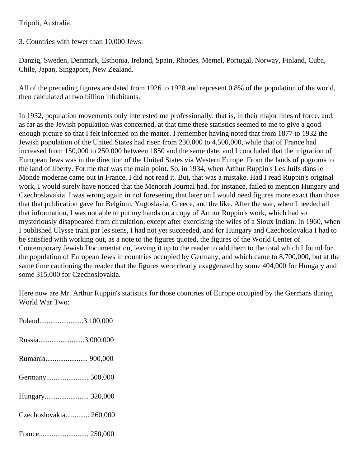Tripoli, Australia.

3. Countries with fewer than 10,000 Jews:

Danzig, Sweden, Denmark, Esthonia, Ireland, Spain, Rhodes, Memel, Portugal, Norway, Finland, Cuba, Chile, Japan, Singapore, New Zealand.

All of the preceding figures are dated from 1926 to 1928 and represent 0.8% of the population of the world, then calculated at two billion inhabitants.

In 1932, population movements only interested me professionally, that is, in their major lines of force, and, as far as the Jewish population was concerned, at that time these statistics seemed to me to give a good enough picture so that I felt informed on the matter. I remember having noted that from 1877 to 1932 the Jewish population of the United States had risen from 230,000 to 4,500,000, while that of France had increased from 150,000 to 250,000 between 1850 and the same date, and I concluded that the migration of European Jews was in the direction of the United States via Western Europe. From the lands of pogroms to the land of liberty. For me that was the main point. So, in 1934, when Arthur Ruppin's Les Juifs dans le Monde moderne came out in France, I did not read it. But, that was a mistake. Had I read Ruppin's original work, I would surely have noticed that the Menorah Journal had, for instance, failed to mention Hungary and Czechoslavakia. I was wrong again in not foreseeing that later on I would need figures more exact than those that that publication gave for Belgium, Yugoslavia, Greece, and the like. After the war, when I needed all that information, I was not able to put my hands on a copy of Arthur Ruppin's work, which had so mysteriously disappeared from circulation, except after exercising the wiles of a Sioux Indian. In 1960, when I published Ulysse trahi par les siens, I had not yet succeeded, and for Hungary and Czechoslovakia I had to be satisfied with working out, as a note to the figures quoted, the figures of the World Center of Contemporary Jewish Documentation, leaving it up to the reader to add them to the total which I found for the population of European Jews in countries occupied by Germany, and which came to 8,700,000, but at the same time cautioning the reader that the figures were clearly exaggerated by some 404,000 for Hungary and some 315,000 for Czechoslovakia.

Here now are Mr. Arthur Ruppin's statistics for those countries of Europe occupied by the Germans during World War Two:

| Poland3,100,000        |  |
|------------------------|--|
| Russia3,000,000        |  |
|                        |  |
|                        |  |
|                        |  |
| Czechoslovakia 260,000 |  |
|                        |  |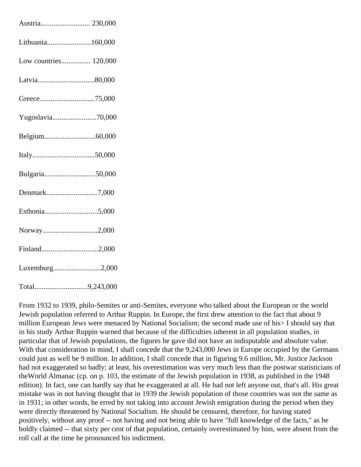| Austria 230,000       |  |
|-----------------------|--|
| Lithuania160,000      |  |
| Low countries 120,000 |  |
|                       |  |
| Greece75,000          |  |
| Yugoslavia70,000      |  |
|                       |  |
|                       |  |
| Bulgaria50,000        |  |
| Denmark7,000          |  |
|                       |  |
| Norway2,000           |  |
| Finland2,000          |  |
| Luxemburg2,000        |  |
|                       |  |

From 1932 to 1939, philo-Semites or anti-Semites, everyone who talked about the European or the world Jewish population referred to Arthur Ruppin. In Europe, the first drew attention to the fact that about 9 million European Jews were menaced by National Socialism; the second made use of his> I should say that in his study Arthur Ruppin warned that because of the difficulties inherent in all population studies, in particular that of Jewish populations, the figures he gave did not have an indisputable and absolute value. With that consideration in mind, I shall concede that the 9,243,000 Jews in Europe occupied by the Germans could just as well be 9 million. In addition, I shall concede that in figuring 9.6 million, Mr. Justice Jackson had not exaggerated so badly; at least, his overestimation was very much less than the postwar statisticians of theWorld Almanac (cp. on p. 103, the estimate of the Jewish population in 1938, as published in the 1948 edition). In fact, one can hardly say that he exaggerated at all. He had not left anyone out, that's all. His great mistake was in not having thought that in 1939 the Jewish population of those countries was not the same as in 1931; in other words, he erred by not taking into account Jewish emigration during the period when they were directly threatened by National Socialism. He should be censured, therefore, for having stated positively, without any proof -- not having and not being able to have "full knowledge of the facts," as he boldly claimed -- that sixty per cent of that population, certainly overestimated by him, were absent from the roll call at the time he pronounced his indictment.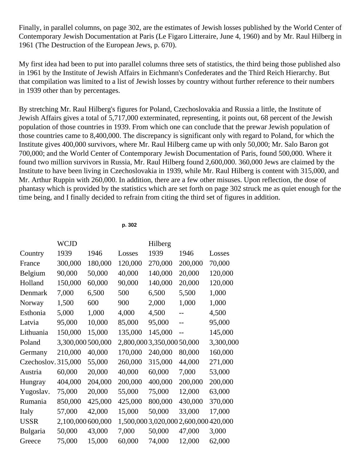Finally, in parallel columns, on page 302, are the estimates of Jewish losses published by the World Center of Contemporary Jewish Documentation at Paris (Le Figaro Litteraire, June 4, 1960) and by Mr. Raul Hilberg in 1961 (The Destruction of the European Jews, p. 670).

My first idea had been to put into parallel columns three sets of statistics, the third being those published also in 1961 by the Institute of Jewish Affairs in Eichmann's Confederates and the Third Reich Hierarchy. But that compilation was limited to a list of Jewish losses by country without further reference to their numbers in 1939 other than by percentages.

By stretching Mr. Raul Hilberg's figures for Poland, Czechoslovakia and Russia a little, the Institute of Jewish Affairs gives a total of 5,717,000 exterminated, representing, it points out, 68 percent of the Jewish population of those countries in 1939. From which one can conclude that the prewar Jewish population of those countries came to 8,400,000. The discrepancy is significant only with regard to Poland, for which the Institute gives 400,000 survivors, where Mr. Raul Hilberg came up with only 50,000; Mr. Salo Baron got 700,000; and the World Center of Contemporary Jewish Documentation of Paris, found 500,000. Where it found two million survivors in Russia, Mr. Raul Hilberg found 2,600,000. 360,000 Jews are claimed by the Institute to have been living in Czechoslovakia in 1939, while Mr. Raul Hilberg is content with 315,000, and Mr. Arthur Ruppin with 260,000. In addition, there are a few other misuses. Upon reflection, the dose of phantasy which is provided by the statistics which are set forth on page 302 struck me as quiet enough for the time being, and I finally decided to refrain from citing the third set of figures in addition.

**p. 302**

|                     | <b>WCJD</b>       |         |         | Hilberg                               |         |           |
|---------------------|-------------------|---------|---------|---------------------------------------|---------|-----------|
| Country             | 1939              | 1946    | Losses  | 1939                                  | 1946    | Losses    |
| France              | 300,000           | 180,000 | 120,000 | 270,000                               | 200,000 | 70,000    |
| Belgium             | 90,000            | 50,000  | 40,000  | 140,000                               | 20,000  | 120,000   |
| Holland             | 150,000           | 60,000  | 90,000  | 140,000                               | 20,000  | 120,000   |
| Denmark             | 7,000             | 6,500   | 500     | 6,500                                 | 5,500   | 1,000     |
| Norway              | 1,500             | 600     | 900     | 2,000                                 | 1,000   | 1,000     |
| Esthonia            | 5,000             | 1,000   | 4,000   | 4,500                                 | $-$     | 4,500     |
| Latvia              | 95,000            | 10,000  | 85,000  | 95,000                                | --      | 95,000    |
| Lithuania           | 150,000           | 15,000  | 135,000 | 145,000                               | $-$     | 145,000   |
| Poland              | 3,300,000 500,000 |         |         | 2,800,0003,350,00050,000              |         | 3,300,000 |
| Germany             | 210,000           | 40,000  | 170,000 | 240,000                               | 80,000  | 160,000   |
| Czechoslov. 315,000 |                   | 55,000  | 260,000 | 315,000                               | 44,000  | 271,000   |
| Austria             | 60,000            | 20,000  | 40,000  | 60,000                                | 7,000   | 53,000    |
| Hungray             | 404,000           | 204,000 | 200,000 | 400,000                               | 200,000 | 200,000   |
| Yugoslav.           | 75,000            | 20,000  | 55,000  | 75,000                                | 12,000  | 63,000    |
| Rumania             | 850,000           | 425,000 | 425,000 | 800,000                               | 430,000 | 370,000   |
| Italy               | 57,000            | 42,000  | 15,000  | 50,000                                | 33,000  | 17,000    |
| <b>USSR</b>         | 2,100,000 600,000 |         |         | 1,500,000 3,020,000 2,600,000 420,000 |         |           |
| Bulgaria            | 50,000            | 43,000  | 7,000   | 50,000                                | 47,000  | 3,000     |
| Greece              | 75,000            | 15,000  | 60,000  | 74,000                                | 12,000  | 62,000    |
|                     |                   |         |         |                                       |         |           |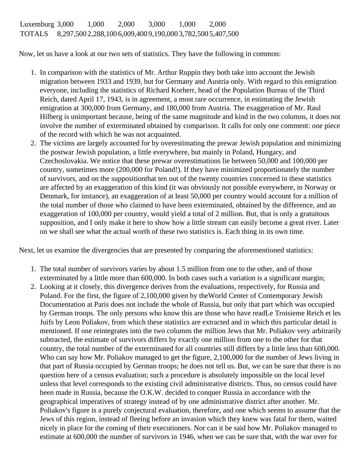Now, let us have a look at our two sets of statistics. They have the following in common:

- 1. In comparison with the statistics of Mr. Arthur Ruppin they both take into account the Jewish migration between 1933 and 1939, but for Germany and Austria only. With regard to this emigration everyone, including the statistics of Richard Korherr, head of the Population Bureau of the Third Reich, dated April 17, 1943, is in agreement, a most rare occurrence, in estimating the Jewish emigration at 300,000 from Germany, and 180,000 from Austria. The exaggeration of Mr. Raul Hilberg is unimportant because, being of the same magnitude and kind in the two columns, it does not involve the number of exterminated obtained by comparison. It calls for only one comment: one piece of the record with which he was not acquainted.
- 2. The victims are largely accounted for by overestimating the prewar Jewish population and minimizing the postwar Jewish population, a little everywhere, but mainly in Poland, Hungary, and Czechoslovakia. We notice that these prewar overestimations lie between 50,000 and 100,000 per country, sometimes more (200,000 for Poland!). If they have minimized proportionately the number of survivors, and on the suppositionthat ten out of the twenty countries concerned in these statistics are affected by an exaggeration of this kind (it was obviously not possible everywhere, in Norway or Denmark, for instance), an exaggeration of at least 50,000 per country would account for a million of the total number of those who claimed to have been exterminated, obtained by the difference, and an exaggeration of 100,000 per country, would yield a total of 2 million. But, that is only a gratuitous supposition, and I only make it here to show how a little stream can easily become a great river. Later on we shall see what the actual worth of these two statistics is. Each thing in its own time.

Next, let us examine the divergencies that are presented by comparing the aforementioned statistics:

- 1. The total number of survivors varies by about 1.5 million from one to the other, and of those exterminated by a little more than 600,000. In both cases such a variation is a significant margin;
- 2. Looking at it closely, this divergence derives from the evaluations, respectively, for Russia and Poland. For the first, the figure of 2,100,000 given by theWorld Center of Contemporary Jewish Documentation at Paris does not include the whole of Russia, but only that part which was occupied by German troops. The only persons who know this are those who have readLe Troisieme Reich et les Juifs by Leon Poliakov, from which these statistics are extracted and in which this particular detail is mentioned. If one reintegrates into the two columns the million Jews that Mr. Poliakov very arbitrarily subtracted, the estimate of survivors differs by exactly one million from one to the other for that country, the total number of the exterminated for all countries still differs by a little less than 600,000. Who can say how Mr. Poliakov managed to get the figure, 2,100,000 for the number of Jews living in that part of Russia occupied by German troops; he does not tell us. But, we can be sure that there is no question here of a census evaluation; such a procedure is absolutely impossible on the local level unless that level corresponds to the existing civil administrative districts. Thus, no census could have been made in Russia, because the O.K.W. decided to conquer Russia in accordance with the geographical imperatives of strategy instead of by one administrative district after another. Mr. Poliakov's figure is a purely conjectural evaluation, therefore, and one which seems to assume that the Jews of this region, instead of fleeing before an invasion which they knew was fatal for them, waited nicely in place for the coming of their executioners. Nor can it be said how Mr. Poliakov managed to estimate at 600,000 the number of survivors in 1946, when we can be sure that, with the war over for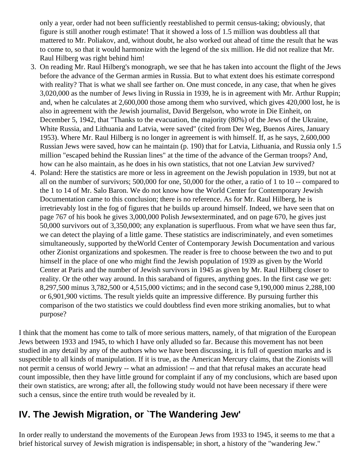only a year, order had not been sufficiently reestablished to permit census-taking; obviously, that figure is still another rough estimate! That it showed a loss of 1.5 million was doubtless all that mattered to Mr. Poliakov, and, without doubt, he also worked out ahead of time the result that he was to come to, so that it would harmonize with the legend of the six million. He did not realize that Mr. Raul Hilberg was right behind him!

- 3. On reading Mr. Raul Hilberg's monograph, we see that he has taken into account the flight of the Jews before the advance of the German armies in Russia. But to what extent does his estimate correspond with reality? That is what we shall see farther on. One must concede, in any case, that when he gives 3,020,000 as the number of Jews living in Russia in 1939, he is in agreement with Mr. Arthur Ruppin; and, when he calculates at 2,600,000 those among them who survived, which gives 420,000 lost, he is also in agreement with the Jewish journalist, David Bergelson, who wrote in Die Einheit, on December 5, 1942, that "Thanks to the evacuation, the majority (80%) of the Jews of the Ukraine, White Russia, and Lithuania and Latvia, were saved" (cited from Der Weg, Buenos Aires, January 1953). Where Mr. Raul Hilberg is no longer in agreement is with himself. If, as he says, 2,600,000 Russian Jews were saved, how can he maintain (p. 190) that for Latvia, Lithuania, and Russia only 1.5 million "escaped behind the Russian lines" at the time of the advance of the German troops? And, how can he also maintain, as he does in his own statistics, that not one Latvian Jew survived?
- 4. Poland: Here the statistics are more or less in agreement on the Jewish population in 1939, but not at all on the number of survivors; 500,000 for one, 50,000 for the other, a ratio of 1 to 10 -- compared to the 1 to 14 of Mr. Salo Baron. We do not know how the World Center for Contemporary Jewish Documentation came to this conclusion; there is no reference. As for Mr. Raul Hilberg, he is irretrievably lost in the fog of figures that he builds up around himself. Indeed, we have seen that on page 767 of his book he gives 3,000,000 Polish Jewsexterminated, and on page 670, he gives just 50,000 survivors out of 3,350,000; any explanation is superfluous. From what we have seen thus far, we can detect the playing of a little game. These statistics are indiscriminately, and even sometimes simultaneously, supported by theWorld Center of Contemporary Jewish Documentation and various other Zionist organizations and spokesmen. The reader is free to choose between the two and to put himself in the place of one who might find the Jewish population of 1939 as given by the World Center at Paris and the number of Jewish survivors in 1945 as given by Mr. Raul Hilberg closer to reality. Or the other way around. In this saraband of figures, anything goes. In the first case we get: 8,297,500 minus 3,782,500 or 4,515,000 victims; and in the second case 9,190,000 minus 2,288,100 or 6,901,900 victims. The result yields quite an impressive difference. By pursuing further this comparison of the two statistics we could doubtless find even more striking anomalies, but to what purpose?

I think that the moment has come to talk of more serious matters, namely, of that migration of the European Jews between 1933 and 1945, to which I have only alluded so far. Because this movement has not been studied in any detail by any of the authors who we have been discussing, it is full of question marks and is suspectible to all kinds of manipulation. If it is true, as the American Mercury claims, that the Zionists will not permit a census of world Jewry -- what an admission! -- and that that refusal makes an accurate head count impossible, then they have little ground for complaint if any of my conclusions, which are based upon their own statistics, are wrong; after all, the following study would not have been necessary if there were such a census, since the entire truth would be revealed by it.

# **IV. The Jewish Migration, or `The Wandering Jew'**

In order really to understand the movements of the European Jews from 1933 to 1945, it seems to me that a brief historical survey of Jewish migration is indispensable; in short, a history of the "wandering Jew."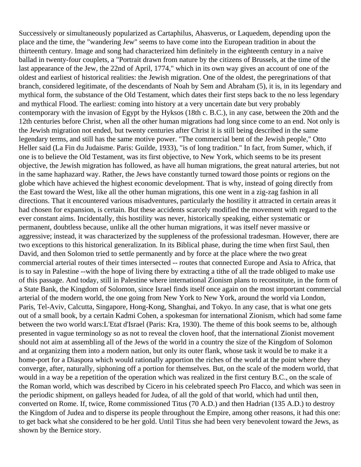Successively or simultaneously popularized as Cartaphilus, Ahasverus, or Laquedem, depending upon the place and the time, the "wandering Jew" seems to have come into the European tradition in about the thirteenth century. Image and song had characterized him definitely in the eighteenth century in a naive ballad in twenty-four couplets, a "Portrait drawn from nature by the citizens of Brussels, at the time of the last appearance of the Jew, the 22nd of April, 1774," which in its own way gives an account of one of the oldest and earliest of historical realities: the Jewish migration. One of the oldest, the peregrinations of that branch, considered legitimate, of the descendants of Noah by Sem and Abraham (5), it is, in its legendary and mythical form, the substance of the Old Testament, which dates their first steps back to the no less legendary and mythical Flood. The earliest: coming into history at a very uncertain date but very probably contemporary with the invasion of Egypt by the Hyksos (18th c. B.C.), in any case, between the 20th and the 12th centuries before Christ, when all the other human migrations had long since come to an end. Not only is the Jewish migration not ended, but twenty centuries after Christ it is still being described in the same legendary terms, and still has the same motive power. "The commercial bent of the Jewish people," Otto Heller said (La Fin du Judaisme. Paris: Guilde, 1933), "is of long tradition." In fact, from Sumer, which, if one is to believe the Old Testament, was its first objective, to New York, which seems to be its present objective, the Jewish migration has followed, as have all human migrations, the great natural arteries, but not in the same haphazard way. Rather, the Jews have constantly turned toward those points or regions on the globe which have achieved the highest economic development. That is why, instead of going directly from the East toward the West, like all the other human migrations, this one went in a zig-zag fashion in all directions. That it encountered various misadventures, particularly the hostility it attracted in certain areas it had chosen for expansion, is certain. But these accidents scarcely modified the movement with regard to the ever constant aims. Incidentally, this hostility was never, historically speaking, either systematic or permanent, doubtless because, unlike all the other human migrations, it was itself never massive or aggressive; instead, it was characterized by the suppleness of the professional tradesman. However, there are two exceptions to this historical generalization. In its Biblical phase, during the time when first Saul, then David, and then Solomon tried to settle permanently and by force at the place where the two great commercial arterial routes of their times intersected -- routes that connected Europe and Asia to Africa, that is to say in Palestine --with the hope of living there by extracting a tithe of all the trade obliged to make use of this passage. And today, still in Palestine where international Zionism plans to reconstitute, in the form of a State Bank, the Kingdom of Solomon, since Israel finds itself once again on the most important commercial arterial of the modern world, the one going from New York to New York, around the world via London, Paris, Tel-Aviv, Calcutta, Singapore, Hong-Kong, Shanghai, and Tokyo. In any case, that is what one gets out of a small book, by a certain Kadmi Cohen, a spokesman for international Zionism, which had some fame between the two world wars:L'Etat d'Israel (Paris: Kra, 1930). The theme of this book seems to be, although presented in vague terminology so as not to reveal the cloven hoof, that the international Zionist movement should not aim at assembling all of the Jews of the world in a country the size of the Kingdom of Solomon and at organizing them into a modern nation, but only its outer flank, whose task it would be to make it a home-port for a Diaspora which would rationally apportion the riches of the world at the point where they converge, after, naturally, siphoning off a portion for themselves. But, on the scale of the modern world, that would in a way be a repetition of the operation which was realized in the first century B.C., on the scale of the Roman world, which was described by Cicero in his celebrated speech Pro Flacco, and which was seen in the periodic shipment, on galleys headed for Judea, of all the gold of that world, which had until then, converted on Rome. If, twice, Rome commissioned Titus (70 A.D.) and then Hadrian (135 A.D.) to destroy the Kingdom of Judea and to disperse its people throughout the Empire, among other reasons, it had this one: to get back what she considered to be her gold. Until Titus she had been very benevolent toward the Jews, as shown by the Bernice story.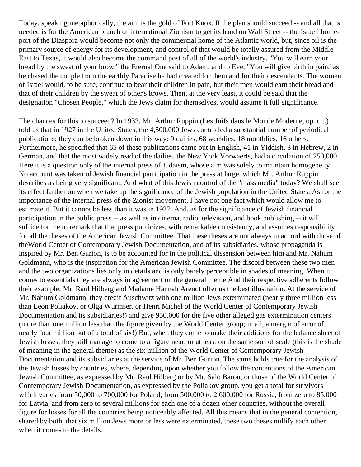Today, speaking metaphorically, the aim is the gold of Fort Knox. If the plan should succeed -- and all that is needed is for the American branch of international Zionism to get its hand on Wall Street -- the Israeli homeport of the Diaspora would become not only the commercial home of the Atlantic world, but, since oil is the primary source of energy for its development, and control of that would be totally assured from the Middle East to Texas, it would also become the command post of all of the world's industry. "You will earn your bread by the sweat of your brow," the Eternal One said to Adam; and to Eve, "You will give birth in pain,"as he chased the couple from the earthly Paradise he had created for them and for their descendants. The women of Israel would, to be sure, continue to bear their children in pain, but their men would earn their bread and that of their children by the sweat of other's brows. Then, at the very least, it could be said that the designation "Chosen People," which the Jews claim for themselves, would assume it full significance.

The chances for this to succeed? In 1932, Mr. Arthur Ruppin (Les Juifs dans le Monde Moderne, op. cit.) told us that in 1927 in the United States, the 4,500,000 Jews controlled a substantial number of periodical publications; they can be broken down in this way: 9 dailies, 68 weeklies, 18 monthlies, 16 others. Furthermore, he specified that 65 of these publications came out in English, 41 in Yiddish, 3 in Hebrew, 2 in German, and that the most widely read of the dailies, the New York Vorwaerts, had a circulation of 250,000. Here it is a question only of the internal press of Judaism, whose aim was solely to maintain homogeneity. No account was taken of Jewish financial participation in the press at large, which Mr. Arthur Ruppin describes as being very significant. And what of this Jewish control of the "mass media" today? We shall see its effect farther on when we take up the significance of the Jewish population in the United States. As for the importance of the internal press of the Zionist movement, I have not one fact which would allow me to estimate it. But it cannot be less than it was in 1927. And, as for the significance of Jewish financial participation in the public press -- as well as in cinema, radio, television, and book publishing -- it will suffice for me to remark that that press publicizes, with remarkable consistency, and assumes responsibility for all the theses of the American Jewish Committee. That these theses are not always in accord with those of theWorld Center of Contemporary Jewish Documentation, and of its subsidiaries, whose propaganda is inspired by Mr. Ben Gurion, is to be accounted for in the political dissension between him and Mr. Nahum Goldmann, who is the inspiration for the American Jewish Committee. The discord between these two men and the two organizations lies only in details and is only barely perceptible in shades of meaning. When it comes to essentials they are always in agreement on the general theme.And their respective adherents follow their example; Mr. Raul Hilberg and Madame Hannah Arendt offer us the best illustration. At the service of Mr. Nahum Goldmann, they credit Auschwitz with one million Jews exterminated (nearly three million less than Leon Poliakov, or Olga Wurmser, or Henri Michel of the World Center of Contemporary Jewish Documentation and its subsidiaries!) and give 950,000 for the five other alleged gas extermination centers (more than one million less than the figure given by the World Center group; in all, a margin of error of nearly four million out of a total of six!) But, when they come to make their additions for the balance sheet of Jewish losses, they still manage to come to a figure near, or at least on the same sort of scale (this is the shade of meaning in the general theme) as the six million of the World Center of Contemporary Jewish Documentation and its subsidiaries at the service of Mr. Ben Gurion. The same holds true for the analysis of the Jewish losses by countries, where, depending upon whether you follow the contentions of the American Jewish Committee, as expressed by Mr. Raul Hilberg or by Mr. Salo Baron, or those of the World Center of Contemporary Jewish Documentation, as expressed by the Poliakov group, you get a total for survivors which varies from 50,000 to 700,000 for Poland, from 500,000 to 2,600,000 for Russia, from zero to 85,000 for Latvia, and from zero to several millions for each one of a dozen other countries, without the overall figure for losses for all the countries being noticeably affected. All this means that in the general contention, shared by both, that six million Jews more or less were exterminated, these two theses nullify each other when it comes to the details.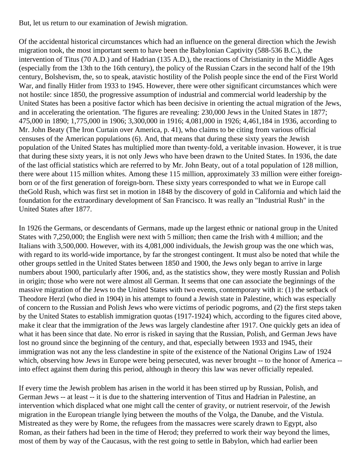But, let us return to our examination of Jewish migration.

Of the accidental historical circumstances which had an influence on the general direction which the Jewish migration took, the most important seem to have been the Babylonian Captivity (588-536 B.C.), the intervention of Titus (70 A.D.) and of Hadrian (135 A.D.), the reactions of Christianity in the Middle Ages (especially from the 13th to the 16th century), the policy of the Russian Czars in the second half of the 19th century, Bolshevism, the, so to speak, atavistic hostility of the Polish people since the end of the First World War, and finally Hitler from 1933 to 1945. However, there were other significant circumstances which were not hostile: since 1850, the progressive assumption of industrial and commercial world leadership by the United States has been a positive factor which has been decisive in orienting the actual migration of the Jews, and in accelerating the orientation. 'The figures are revealing: 230,000 Jews in the United States in 1877; 475,000 in 1890; 1,775,000 in 1906; 3,300,000 in 1916; 4,081,000 in 1926; 4,461,184 in 1936, according to Mr. John Beaty (The Iron Curtain over America, p. 41), who claims to be citing from various official censuses of the American populations (6). And, that means that during these sixty years the Jewish population of the United States has multiplied more than twenty-fold, a veritable invasion. However, it is true that during these sixty years, it is not only Jews who have been drawn to the United States. In 1936, the date of the last official statistics which are referred to by Mr. John Beaty, out of a total population of 128 million, there were about 115 million whites. Among these 115 million, approximately 33 million were either foreignborn or of the first generation of foreign-born. These sixty years corresponded to what we in Europe call theGold Rush, which was first set in motion in 1848 by the discovery of gold in California and which laid the foundation for the extraordinary development of San Francisco. It was really an "Industrial Rush" in the United States after 1877.

In 1926 the Germans, or descendants of Germans, made up the largest ethnic or national group in the United States with 7,250,000; the English were next with 5 million; then came the Irish with 4 million; and the Italians with 3,500,000. However, with its 4,081,000 individuals, the Jewish group was the one which was, with regard to its world-wide importance, by far the strongest contingent. It must also be noted that while the other groups settled in the United States between 1850 and 1900, the Jews only began to arrive in large numbers about 1900, particularly after 1906, and, as the statistics show, they were mostly Russian and Polish in origin; those who were not were almost all German. It seems that one can associate the beginnings of the massive migration of the Jews to the United States with two events, contemporary with it: (1) the setback of Theodore Herzl (who died in 1904) in his attempt to found a Jewish state in Palestine, which was especially of concern to the Russian and Polish Jews who were victims of periodic pogroms, and (2) the first steps taken by the United States to establish immigration quotas (1917-1924) which, according to the figures cited above, make it clear that the immigration of the Jews was largely clandestine after 1917. One quickly gets an idea of what it has been since that date. No error is risked in saying that the Russian, Polish, and German Jews have lost no ground since the beginning of the century, and that, especially between 1933 and 1945, their immigration was not any the less clandestine in spite of the existence of the National Origins Law of 1924 which, observing how Jews in Europe were being persecuted, was never brought -- to the honor of America -into effect against them during this period, although in theory this law was never officially repealed.

If every time the Jewish problem has arisen in the world it has been stirred up by Russian, Polish, and German Jews -- at least -- it is due to the shattering intervention of Titus and Hadrian in Palestine, an intervention which displaced what one might call the center of gravity, or nutrient reservoir, of the Jewish migration in the European triangle lying between the mouths of the Volga, the Danube, and the Vistula. Mistreated as they were by Rome, the refugees from the massacres were scarely drawn to Egypt, also Roman, as their fathers had been in the time of Herod; they preferred to work their way beyond the limes, most of them by way of the Caucasus, with the rest going to settle in Babylon, which had earlier been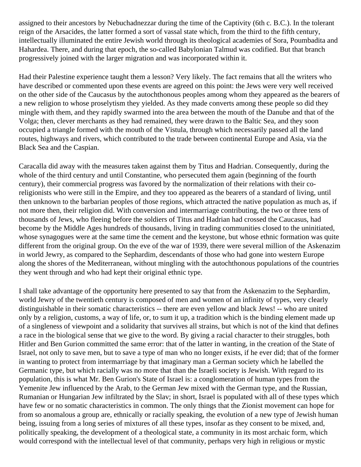assigned to their ancestors by Nebuchadnezzar during the time of the Captivity (6th c. B.C.). In the tolerant reign of the Arsacides, the latter formed a sort of vassal state which, from the third to the fifth century, intellectually illuminated the entire Jewish world through its theological academies of Sora, Poumbadita and Hahardea. There, and during that epoch, the so-called Babylonian Talmud was codified. But that branch progressively joined with the larger migration and was incorporated within it.

Had their Palestine experience taught them a lesson? Very likely. The fact remains that all the writers who have described or commented upon these events are agreed on this point: the Jews were very well received on the other side of the Caucasus by the autochthonous peoples among whom they appeared as the bearers of a new religion to whose proselytism they yielded. As they made converts among these people so did they mingle with them, and they rapidly swarmed into the area between the mouth of the Danube and that of the Volga; then, clever merchants as they had remained, they were drawn to the Baltic Sea, and they soon occupied a triangle formed with the mouth of the Vistula, through which necessarily passed all the land routes, highways and rivers, which contributed to the trade between continental Europe and Asia, via the Black Sea and the Caspian.

Caracalla did away with the measures taken against them by Titus and Hadrian. Consequently, during the whole of the third century and until Constantine, who persecuted them again (beginning of the fourth century), their commercial progress was favored by the normalization of their relations with their coreligionists who were still in the Empire, and they too appeared as the bearers of a standard of living, until then unknown to the barbarian peoples of those regions, which attracted the native population as much as, if not more then, their religion did. With conversion and intermarriage contributing, the two or three tens of thousands of Jews, who fleeing before the soldiers of Titus and Hadrian had crossed the Caucasus, had become by the Middle Ages hundreds of thousands, living in trading communities closed to the uninitiated, whose synagogues were at the same time the cement and the keystone, but whose ethnic formation was quite different from the original group. On the eve of the war of 1939, there were several million of the Askenazim in world Jewry, as compared to the Sephardim, descendants of those who had gone into western Europe along the shores of the Mediterranean, without mingling with the autochthonous populations of the countries they went through and who had kept their original ethnic type.

I shall take advantage of the opportunity here presented to say that from the Askenazim to the Sephardim, world Jewry of the twentieth century is composed of men and women of an infinity of types, very clearly distinguishable in their somatic characteristics -- there are even yellow and black Jews! -- who are united only by a religion, customs, a way of life, or, to sum it up, a tradition which is the binding element made up of a singleness of viewpoint and a solidarity that survives all strains, but which is not of the kind that defines a race in the biological sense that we give to the word. By giving a racial character to their struggles, both Hitler and Ben Gurion committed the same error: that of the latter in wanting, in the creation of the State of Israel, not only to save men, but to save a type of man who no longer exists, if he ever did; that of the former in wanting to protect from intermarriage by that imaginary man a German society which he labelled the Germanic type, but which racially was no more that than the Israeli society is Jewish. With regard to its population, this is what Mr. Ben Gurion's State of Israel is: a conglomeration of human types from the Yemenite Jew influenced by the Arab, to the German Jew mixed with the German type, and the Russian, Rumanian or Hungarian Jew infiltrated by the Slav; in short, Israel is populated with all of these types which have few or no somatic characteristics in common. The only things that the Zionist movement can hope for from so anomalous a group are, ethnically or racially speaking, the evolution of a new type of Jewish human being, issuing from a long series of mixtures of all these types, insofar as they consent to be mixed, and, politically speaking, the development of a theological state, a community in its most archaic form, which would correspond with the intellectual level of that community, perhaps very high in religious or mystic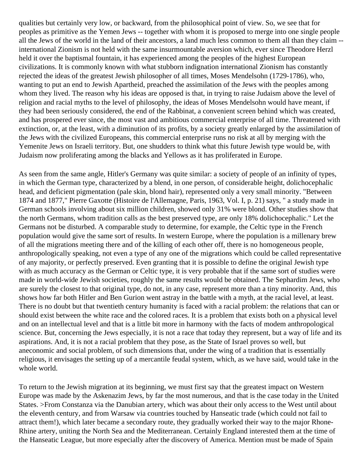qualities but certainly very low, or backward, from the philosophical point of view. So, we see that for peoples as primitive as the Yemen Jews -- together with whom it is proposed to merge into one single people all the Jews of the world in the land of their ancestors, a land much less common to them all than they claim - international Zionism is not held with the same insurmountable aversion which, ever since Theodore Herzl held it over the baptismal fountain, it has experienced among the peoples of the highest European civilizations. It is commonly known with what stubborn indignation international Zionism has constantly rejected the ideas of the greatest Jewish philosopher of all times, Moses Mendelsohn (1729-1786), who, wanting to put an end to Jewish Apartheid, preached the assimilation of the Jews with the peoples among whom they lived. The reason why his ideas are opposed is that, in trying to raise Judaism above the level of religion and racial myths to the level of philosophy, the ideas of Moses Mendelsohn would have meant, if they had been seriously considered, the end of the Rabbinat, a convenient screen behind which was created, and has prospered ever since, the most vast and ambitious commercial enterprise of all time. Threatened with extinction, or, at the least, with a diminution of its profits, by a society greatly enlarged by the assimilation of the Jews with the civilized Europeans, this commercial enterprise runs no risk at all by merging with the Yemenite Jews on Israeli territory. But, one shudders to think what this future Jewish type would be, with Judaism now proliferating among the blacks and Yellows as it has proliferated in Europe.

As seen from the same angle, Hitler's Germany was quite similar: a society of people of an infinity of types, in which the German type, characterized by a blend, in one person, of considerable height, dolichocephalic head, and deficient pigmentation (pale skin, blond hair), represented only a very small minority. "Between 1874 and 1877," Pierre Gaxotte (Histoire de l'Allemagne, Paris, 1963, Vol. I, p. 21) says, " a study made in German schools involving about six million children, showed only 31% were blond. Other studies show that the north Germans, whom tradition calls as the best preserved type, are only 18% dolichocephalic." Let the Germans not be disturbed. A comparable study to determine, for example, the Celtic type in the French population would give the same sort of results. In western Europe, where the population is a millenary brew of all the migrations meeting there and of the killing of each other off, there is no homogeneous people, anthropologically speaking, not even a type of any one of the migrations which could be called representative of any majority, or perfectly preserved. Even granting that it is possible to define the original Jewish type with as much accuracy as the German or Celtic type, it is very probable that if the same sort of studies were made in world-wide Jewish societies, roughly the same results would be obtained. The Sephardim Jews, who are surely the closest to that original type, do not, in any case, represent more than a tiny minority. And, this shows how far both Hitler and Ben Gurion went astray in the battle with a myth, at the racial level, at least. There is no doubt but that twentieth century humanity is faced with a racial problem: the relations that can or should exist between the white race and the colored races. It is a problem that exists both on a physical level and on an intellectual level and that is a little bit more in harmony with the facts of modem anthropological science. But, concerning the Jews especially, it is not a race that today they represent, but a way of life and its aspirations. And, it is not a racial problem that they pose, as the State of Israel proves so well, but aneconomic and social problem, of such dimensions that, under the wing of a tradition that is essentially religious, it envisages the setting up of a mercantile feudal system, which, as we have said, would take in the whole world.

To return to the Jewish migration at its beginning, we must first say that the greatest impact on Western Europe was made by the Askenazim Jews, by far the most numerous, and that is the case today in the United States. >From Constanza via the Danubian artery, which was about their only access to the West until about the eleventh century, and from Warsaw via countries touched by Hanseatic trade (which could not fail to attract them!), which later became a secondary route, they gradually worked their way to the major Rhone-Rhine artery, uniting the North Sea and the Mediterranean. Certainly England interested them at the time of the Hanseatic League, but more especially after the discovery of America. Mention must be made of Spain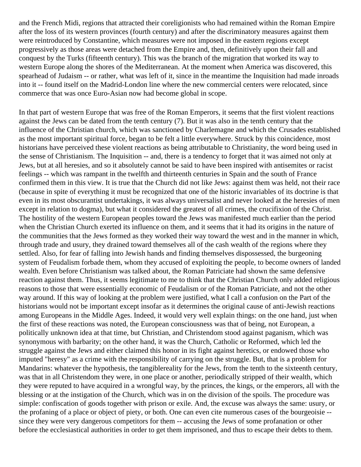and the French Midi, regions that attracted their coreligionists who had remained within the Roman Empire after the loss of its western provinces (fourth century) and after the discriminatory measures against them were reintroduced by Constantine, which measures were not imposed in the eastern regions except progressively as those areas were detached from the Empire and, then, definitively upon their fall and conquest by the Turks (fifteenth century). This was the branch of the migration that worked its way to western Europe along the shores of the Mediterranean. At the moment when America was discovered, this spearhead of Judaism -- or rather, what was left of it, since in the meantime the Inquisition had made inroads into it -- found itself on the Madrid-London line where the new commercial centers were relocated, since commerce that was once Euro-Asian now had become global in scope.

In that part of western Europe that was free of the Roman Emperors, it seems that the first violent reactions against the Jews can be dated from the tenth century (7). But it was also in the tenth century that the influence of the Christian church, which was sanctioned by Charlemagne and which the Crusades established as the most important spiritual force, began to be felt a little everywhere. Struck by this coincidence, most historians have perceived these violent reactions as being attributable to Christianity, the word being used in the sense of Christianism. The Inquisition -- and, there is a tendency to forget that it was aimed not only at Jews, but at all heresies, and so it absolutely cannot be said to have been inspired with antisemites or racist feelings -- which was rampant in the twelfth and thirteenth centuries in Spain and the south of France confirmed them in this view. It is true that the Church did not like Jews: against them was held, not their race (because in spite of everything it must be recognized that one of the historic invariables of its doctrine is that even in its most obscurantist undertakings, it was always universalist and never looked at the heresies of men except in relation to dogma), but what it considered the greatest of all crimes, the crucifixion of the Christ. The hostility of the western European peoples toward the Jews was manifested much earlier than the period when the Christian Church exerted its influence on them, and it seems that it had its origins in the nature of the communities that the Jews formed as they worked their way toward the west and in the manner in which, through trade and usury, they drained toward themselves all of the cash wealth of the regions where they settled. Also, for fear of falling into Jewish hands and finding themselves dispossessed, the burgeoning system of Feudalism forbade them, whom they accused of exploiting the people, to become owners of landed wealth. Even before Christianism was talked about, the Roman Patriciate had shown the same defensive reaction against them. Thus, it seems legitimate to me to think that the Christian Church only added religious reasons to those that were essentially economic of Feudalism or of the Roman Patriciate, and not the other way around. If this way of looking at the problem were justified, what I call a confusion on the Part of the historians would not be important except insofar as it determines the original cause of anti-Jewish reactions among Europeans in the Middle Ages. Indeed, it would very well explain things: on the one hand, just when the first of these reactions was noted, the European consciousness was that of being, not European, a politically unknown idea at that time, but Christian, and Christendom stood against paganism, which was synonymous with barbarity; on the other hand, it was the Church, Catholic or Reformed, which led the struggle against the Jews and either claimed this honor in its fight against heretics, or endowed those who imputed "heresy" as a crime with the responsibility of carrying on the struggle. But, that is a problem for Mandarins: whatever the hypothesis, the tangiblereality for the Jews, from the tenth to the sixteenth century, was that in all Christendom they were, in one place or another, periodically stripped of their wealth, which they were reputed to have acquired in a wrongful way, by the princes, the kings, or the emperors, all with the blessing or at the instigation of the Church, which was in on the division of the spoils. The procedure was simple: confiscation of goods together with prison or exile. And, the excuse was always the same: usury, or the profaning of a place or object of piety, or both. One can even cite numerous cases of the bourgeoisie - since they were very dangerous competitors for them -- accusing the Jews of some profanation or other before the ecclesiastical authorities in order to get them imprisoned, and thus to escape their debts to them.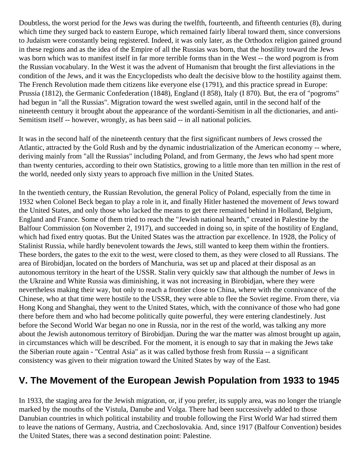Doubtless, the worst period for the Jews was during the twelfth, fourteenth, and fifteenth centuries (8), during which time they surged back to eastern Europe, which remained fairly liberal toward them, since conversions to Judaism were constantly being registered. Indeed, it was only later, as the Orthodox religion gained ground in these regions and as the idea of the Empire of all the Russias was born, that the hostility toward the Jews was born which was to manifest itself in far more terrible forms than in the West -- the word pogrom is from the Russian vocabulary. In the West it was the advent of Humanism that brought the first alleviations in the condition of the Jews, and it was the Encyclopedists who dealt the decisive blow to the hostility against them. The French Revolution made them citizens like everyone else (1791), and this practice spread in Europe: Prussia (1812), the Germanic Confederation (1848), England (I 858), Italy (I 870). But, the era of "pogroms" had begun in "all the Russias". Migration toward the west swelled again, until in the second half of the nineteenth century it brought about the appearance of the wordanti-Semitism in all the dictionaries, and anti-Semitism itself -- however, wrongly, as has been said -- in all national policies.

It was in the second half of the nineteenth century that the first significant numbers of Jews crossed the Atlantic, attracted by the Gold Rush and by the dynamic industrialization of the American economy -- where, deriving mainly from "all the Russias" including Poland, and from Germany, the Jews who had spent more than twenty centuries, according to their own Statistics, growing to a little more than ten million in the rest of the world, needed only sixty years to approach five million in the United States.

In the twentieth century, the Russian Revolution, the general Policy of Poland, especially from the time in 1932 when Colonel Beck began to play a role in it, and finally Hitler hastened the movement of Jews toward the United States, and only those who lacked the means to get there remained behind in Holland, Belgium, England and France. Some of them tried to reach the "Jewish national hearth," created in Palestine by the Balfour Commission (on November 2, 1917), and succeeded in doing so, in spite of the hostility of England, which had fixed entry quotas. But the United States was the attraction par excellence. In 1928, the Policy of Stalinist Russia, while hardly benevolent towards the Jews, still wanted to keep them within the frontiers. These borders, the gates to the exit to the west, were closed to them, as they were closed to all Russians. The area of Birobidjan, located on the borders of Manchuria, was set up and placed at their disposal as an autonomous territory in the heart of the USSR. Stalin very quickly saw that although the number of Jews in the Ukraine and White Russia was diminishing, it was not increasing in Birobidjan, where they were nevertheless making their way, but only to reach a frontier close to China, where with the connivance of the Chinese, who at that time were hostile to the USSR, they were able to flee the Soviet regime. From there, via Hong Kong and Shanghai, they went to the United States, which, with the connivance of those who had gone there before them and who had become politically quite powerful, they were entering clandestinely. Just before the Second World War began no one in Russia, nor in the rest of the world, was talking any more about the Jewish autonomous territory of Birobidjan. During the war the matter was almost brought up again, in circumstances which will be described. For the moment, it is enough to say that in making the Jews take the Siberian route again - "Central Asia" as it was called bythose fresh from Russia -- a significant consistency was given to their migration toward the United States by way of the East.

# **V. The Movement of the European Jewish Population from 1933 to 1945**

In 1933, the staging area for the Jewish migration, or, if you prefer, its supply area, was no longer the triangle marked by the mouths of the Vistula, Danube and Volga. There had been successively added to those Danubian countries in which political instability and trouble following the First World War had stirred them to leave the nations of Germany, Austria, and Czechoslovakia. And, since 1917 (Balfour Convention) besides the United States, there was a second destination point: Palestine.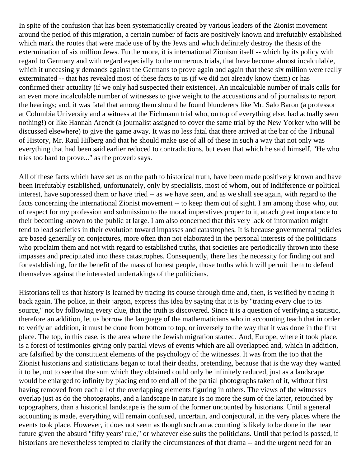In spite of the confusion that has been systematically created by various leaders of the Zionist movement around the period of this migration, a certain number of facts are positively known and irrefutably established which mark the routes that were made use of by the Jews and which definitely destroy the thesis of the extermination of six million Jews. Furthermore, it is international Zionism itself -- which by its policy with regard to Germany and with regard especially to the numerous trials, that have become almost incalculable, which it unceasingly demands against the Germans to prove again and again that these six million were really exterminated -- that has revealed most of these facts to us (if we did not already know them) or has confirmed their actuality (if we only had suspected their existence). An incalculable number of trials calls for an even more incalculable number of witnesses to give weight to the accusations and of journalists to report the hearings; and, it was fatal that among them should be found blunderers like Mr. Salo Baron (a professor at Columbia University and a witness at the Eichmann trial who, on top of everything else, had actually seen nothing!) or like Hannah Arendt (a journalist assigned to cover the same trial by the New Yorker who will be discussed elsewhere) to give the game away. It was no less fatal that there arrived at the bar of the Tribunal of History, Mr. Raul Hilberg and that he should make use of all of these in such a way that not only was everything that had been said earlier reduced to contradictions, but even that which he said himself. "He who tries too hard to prove..." as the proverb says.

All of these facts which have set us on the path to historical truth, have been made positively known and have been irrefutably established, unfortunately, only by specialists, most of whom, out of indifference or political interest, have suppressed them or have tried -- as we have seen, and as we shall see again, with regard to the facts concerning the international Zionist movement -- to keep them out of sight. I am among those who, out of respect for my profession and submission to the moral imperatives proper to it, attach great importance to their becoming known to the public at large. I am also concerned that this very lack of information might tend to lead societies in their evolution toward impasses and catastrophes. It is because governmental policies are based generally on conjectures, more often than not elaborated in the personal interests of the politicians who proclaim them and not with regard to established truths, that societies are periodically thrown into these impasses and precipitated into these catastrophes. Consequently, there lies the necessity for finding out and for establishing, for the benefit of the mass of honest people, those truths which will permit them to defend themselves against the interested undertakings of the politicians.

Historians tell us that history is learned by tracing its course through time and, then, is verified by tracing it back again. The police, in their jargon, express this idea by saying that it is by "tracing every clue to its source," not by following every clue, that the truth is discovered. Since it is a question of verifying a statistic, therefore an addition, let us borrow the language of the mathematicians who in accounting teach that in order to verify an addition, it must be done from bottom to top, or inversely to the way that it was done in the first place. The top, in this case, is the area where the Jewish migration started. And, Europe, where it took place, is a forest of testimonies giving only partial views of events which are all overlapped and, which in addition, are falsified by the constituent elements of the psychology of the witnesses. It was from the top that the Zionist historians and statisticians began to total their deaths, pretending, because that is the way they wanted it to be, not to see that the sum which they obtained could only be infinitely reduced, just as a landscape would be enlarged to infinity by placing end to end all of the partial photographs taken of it, without first having removed from each all of the overlapping elements figuring in others. The views of the witnesses overlap just as do the photographs, and a landscape in nature is no more the sum of the latter, retouched by topographers, than a historical landscape is the sum of the former uncounted by historians. Until a general accounting is made, everything will remain confused, uncertain, and conjectural, in the very places where the events took place. However, it does not seem as though such an accounting is likely to be done in the near future given the absurd "fifty years' rule," or whatever else suits the politicians. Until that period is passed, if historians are nevertheless tempted to clarify the circumstances of that drama -- and the urgent need for an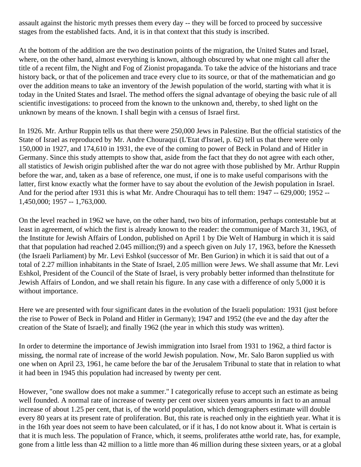assault against the historic myth presses them every day -- they will be forced to proceed by successive stages from the established facts. And, it is in that context that this study is inscribed.

At the bottom of the addition are the two destination points of the migration, the United States and Israel, where, on the other hand, almost everything is known, although obscured by what one might call after the title of a recent film, the Night and Fog of Zionist propaganda. To take the advice of the historians and trace history back, or that of the policemen and trace every clue to its source, or that of the mathematician and go over the addition means to take an inventory of the Jewish population of the world, starting with what it is today in the United States and Israel. The method offers the signal advantage of obeying the basic rule of all scientific investigations: to proceed from the known to the unknown and, thereby, to shed light on the unknown by means of the known. I shall begin with a census of Israel first.

In 1926. Mr. Arthur Ruppin tells us that there were 250,000 Jews in Palestine. But the official statistics of the State of Israel as reproduced by Mr. Andre Chouraqui (L'Etat d'Israel, p. 62) tell us that there were only 150,000 in 1927, and 174,610 in 1931, the eve of the coming to power of Beck in Poland and of Hitler in Germany. Since this study attempts to show that, aside from the fact that they do not agree with each other, all statistics of Jewish origin published after the war do not agree with those published by Mr. Arthur Ruppin before the war, and, taken as a base of reference, one must, if one is to make useful comparisons with the latter, first know exactly what the former have to say about the evolution of the Jewish population in Israel. And for the period after 1931 this is what Mr. Andre Chouraqui has to tell them: 1947 -- 629,000; 1952 -- 1,450,000; 1957 -- 1,763,000.

On the level reached in 1962 we have, on the other hand, two bits of information, perhaps contestable but at least in agreement, of which the first is already known to the reader: the communique of March 31, 1963, of the Institute for Jewish Affairs of London, published on April 1 by Die Welt of Hamburg in which it is said that that population had reached 2.045 million;(9) and a speech given on July 17, 1963, before the Knesseth (the Israeli Parliament) by Mr. Levi Eshkol (successor of Mr. Ben Gurion) in which it is said that out of a total of 2.27 million inhabitants in the State of Israel, 2.05 million were Jews. We shall assume that Mr. Levi Eshkol, President of the Council of the State of Israel, is very probably better informed than theInstitute for Jewish Affairs of London, and we shall retain his figure. In any case with a difference of only 5,000 it is without importance.

Here we are presented with four significant dates in the evolution of the Israeli population: 1931 (just before the rise to Power of Beck in Poland and Hitler in Germany); 1947 and 1952 (the eve and the day after the creation of the State of Israel); and finally 1962 (the year in which this study was written).

In order to determine the importance of Jewish immigration into Israel from 1931 to 1962, a third factor is missing, the normal rate of increase of the world Jewish population. Now, Mr. Salo Baron supplied us with one when on April 23, 1961, he came before the bar of the Jerusalem Tribunal to state that in relation to what it had been in 1945 this population had increased by twenty per cent.

However, "one swallow does not make a summer." I categorically refuse to accept such an estimate as being well founded. A normal rate of increase of twenty per cent over sixteen years amounts in fact to an annual increase of about 1.25 per cent, that is, of the world population, which demographers estimate will double every 80 years at its present rate of proliferation. But, this rate is reached only in the eightieth year. What it is in the 16th year does not seem to have been calculated, or if it has, I do not know about it. What is certain is that it is much less. The population of France, which, it seems, proliferates atthe world rate, has, for example, gone from a little less than 42 million to a little more than 46 million during these sixteen years, or at a global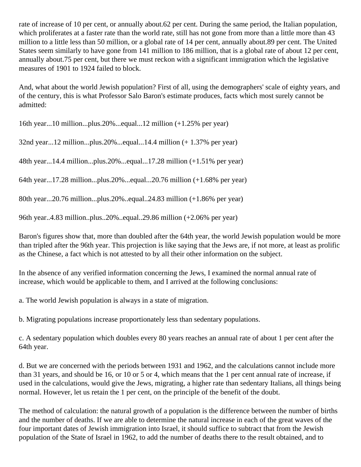rate of increase of 10 per cent, or annually about.62 per cent. During the same period, the Italian population, which proliferates at a faster rate than the world rate, still has not gone from more than a little more than 43 million to a little less than 50 million, or a global rate of 14 per cent, annually about.89 per cent. The United States seem similarly to have gone from 141 million to 186 million, that is a global rate of about 12 per cent, annually about.75 per cent, but there we must reckon with a significant immigration which the legislative measures of 1901 to 1924 failed to block.

And, what about the world Jewish population? First of all, using the demographers' scale of eighty years, and of the century, this is what Professor Salo Baron's estimate produces, facts which most surely cannot be admitted:

16th year...10 million...plus.20%...equal...12 million (+1.25% per year)

32nd year...12 million...plus.20%...equal...14.4 million (+ 1.37% per year)

48th year...14.4 million...plus.20%...equal...17.28 million (+1.51% per year)

64th year...17.28 million...plus.20%...equal...20.76 million (+1.68% per year)

80th year...20.76 million...plus.20%..equal..24.83 million (+1.86% per year)

96th year..4.83 million..plus..20%..equal..29.86 million (+2.06% per year)

Baron's figures show that, more than doubled after the 64th year, the world Jewish population would be more than tripled after the 96th year. This projection is like saying that the Jews are, if not more, at least as prolific as the Chinese, a fact which is not attested to by all their other information on the subject.

In the absence of any verified information concerning the Jews, I examined the normal annual rate of increase, which would be applicable to them, and I arrived at the following conclusions:

a. The world Jewish population is always in a state of migration.

b. Migrating populations increase proportionately less than sedentary populations.

c. A sedentary population which doubles every 80 years reaches an annual rate of about 1 per cent after the 64th year.

d. But we are concerned with the periods between 1931 and 1962, and the calculations cannot include more than 31 years, and should be 16, or 10 or 5 or 4, which means that the 1 per cent annual rate of increase, if used in the calculations, would give the Jews, migrating, a higher rate than sedentary Italians, all things being normal. However, let us retain the 1 per cent, on the principle of the benefit of the doubt.

The method of calculation: the natural growth of a population is the difference between the number of births and the number of deaths. If we are able to determine the natural increase in each of the great waves of the four important dates of Jewish immigration into Israel, it should suffice to subtract that from the Jewish population of the State of Israel in 1962, to add the number of deaths there to the result obtained, and to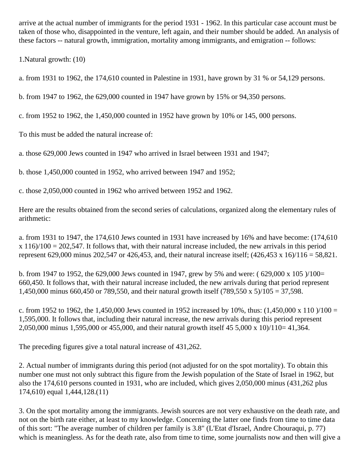arrive at the actual number of immigrants for the period 1931 - 1962. In this particular case account must be taken of those who, disappointed in the venture, left again, and their number should be added. An analysis of these factors -- natural growth, immigration, mortality among immigrants, and emigration -- follows:

1.Natural growth: (10)

a. from 1931 to 1962, the 174,610 counted in Palestine in 1931, have grown by 31 % or 54,129 persons.

b. from 1947 to 1962, the 629,000 counted in 1947 have grown by 15% or 94,350 persons.

c. from 1952 to 1962, the 1,450,000 counted in 1952 have grown by 10% or 145, 000 persons.

To this must be added the natural increase of:

a. those 629,000 Jews counted in 1947 who arrived in Israel between 1931 and 1947;

b. those 1,450,000 counted in 1952, who arrived between 1947 and 1952;

c. those 2,050,000 counted in 1962 who arrived between 1952 and 1962.

Here are the results obtained from the second series of calculations, organized along the elementary rules of arithmetic:

a. from 1931 to 1947, the 174,610 Jews counted in 1931 have increased by 16% and have become: (174,610 x 116)/100 = 202,547. It follows that, with their natural increase included, the new arrivals in this period represent 629,000 minus 202,547 or 426,453, and, their natural increase itself; (426,453 x 16)/116 = 58,821.

b. from 1947 to 1952, the 629,000 Jews counted in 1947, grew by 5% and were: ( 629,000 x 105 )/100= 660,450. It follows that, with their natural increase included, the new arrivals during that period represent 1,450,000 minus 660,450 or 789,550, and their natural growth itself (789,550 x 5)/105 = 37,598.

c. from 1952 to 1962, the 1,450,000 Jews counted in 1952 increased by 10%, thus:  $(1,450,000 \times 110) / 100 =$ 1,595,000. It follows that, including their natural increase, the new arrivals during this period represent 2,050,000 minus 1,595,000 or 455,000, and their natural growth itself 45 5,000 x 10)/110= 41,364.

The preceding figures give a total natural increase of 431,262.

2. Actual number of immigrants during this period (not adjusted for on the spot mortality). To obtain this number one must not only subtract this figure from the Jewish population of the State of Israel in 1962, but also the 174,610 persons counted in 1931, who are included, which gives 2,050,000 minus (431,262 plus 174,610) equal 1,444,128.(11)

3. On the spot mortality among the immigrants. Jewish sources are not very exhaustive on the death rate, and not on the birth rate either, at least to my knowledge. Concerning the latter one finds from time to time data of this sort: "The average number of children per family is 3.8" (L'Etat d'Israel, Andre Chouraqui, p. 77) which is meaningless. As for the death rate, also from time to time, some journalists now and then will give a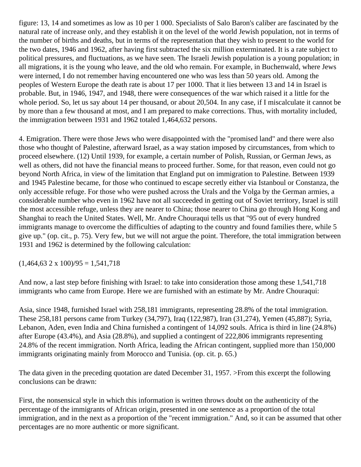figure: 13, 14 and sometimes as low as 10 per 1 000. Specialists of Salo Baron's caliber are fascinated by the natural rate of increase only, and they establish it on the level of the world Jewish population, not in terms of the number of births and deaths, but in terms of the representation that they wish to present to the world for the two dates, 1946 and 1962, after having first subtracted the six million exterminated. It is a rate subject to political pressures, and fluctuations, as we have seen. The Israeli Jewish population is a young population; in all migrations, it is the young who leave, and the old who remain. For example, in Buchenwald, where Jews were interned, I do not remember having encountered one who was less than 50 years old. Among the peoples of Western Europe the death rate is about 17 per 1000. That it lies between 13 and 14 in Israel is probable. But, in 1946, 1947, and 1948, there were consequences of the war which raised it a little for the whole period. So, let us say about 14 per thousand, or about 20,504. In any case, if I miscalculate it cannot be by more than a few thousand at most, and I am prepared to make corrections. Thus, with mortality included, the immigration between 1931 and 1962 totaled 1,464,632 persons.

4. Emigration. There were those Jews who were disappointed with the "promised land" and there were also those who thought of Palestine, afterward Israel, as a way station imposed by circumstances, from which to proceed elsewhere. (12) Until 1939, for example, a certain number of Polish, Russian, or German Jews, as well as others, did not have the financial means to proceed further. Some, for that reason, even could not go beyond North Africa, in view of the limitation that England put on immigration to Palestine. Between 1939 and 1945 Palestine became, for those who continued to escape secretly either via Istanboul or Constanza, the only accessible refuge. For those who were pushed across the Urals and the Volga by the German armies, a considerable number who even in 1962 have not all succeeded in getting out of Soviet territory, Israel is still the most accessible refuge, unless they are nearer to China; those nearer to China go through Hong Kong and Shanghai to reach the United States. Well, Mr. Andre Chouraqui tells us that "95 out of every hundred immigrants manage to overcome the difficulties of adapting to the country and found families there, while 5 give up." (op. cit., p. 75). Very few, but we will not argue the point. Therefore, the total immigration between 1931 and 1962 is determined by the following calculation:

 $(1,464,63 \ 2 \times 100)/95 = 1,541,718$ 

And now, a last step before finishing with Israel: to take into consideration those among these 1,541,718 immigrants who came from Europe. Here we are furnished with an estimate by Mr. Andre Chouraqui:

Asia, since 1948, furnished Israel with 258,181 immigrants, representing 28.8% of the total immigration. These 258,181 persons came from Turkey (34,797), Iraq (122,987), Iran (31,274), Yemen (45,887); Syria, Lebanon, Aden, even India and China furnished a contingent of 14,092 souls. Africa is third in line (24.8%) after Europe (43.4%), and Asia (28.8%), and supplied a contingent of 222,806 immigrants representing 24.8% of the recent immigration. North Africa, leading the African contingent, supplied more than 150,000 immigrants originating mainly from Morocco and Tunisia. (op. cit. p. 65.)

The data given in the preceding quotation are dated December 31, 1957. >From this excerpt the following conclusions can be drawn:

First, the nonsensical style in which this information is written throws doubt on the authenticity of the percentage of the immigrants of African origin, presented in one sentence as a proportion of the total immigration, and in the next as a proportion of the "recent immigration." And, so it can be assumed that other percentages are no more authentic or more significant.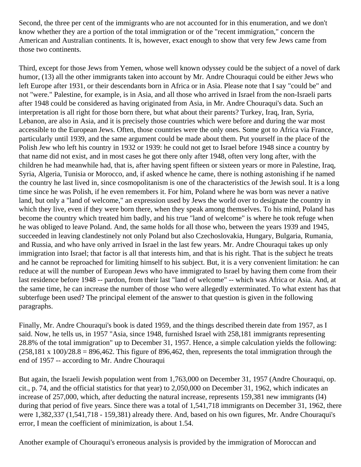Second, the three per cent of the immigrants who are not accounted for in this enumeration, and we don't know whether they are a portion of the total immigration or of the "recent immigration," concern the American and Australian continents. It is, however, exact enough to show that very few Jews came from those two continents.

Third, except for those Jews from Yemen, whose well known odyssey could be the subject of a novel of dark humor, (13) all the other immigrants taken into account by Mr. Andre Chouraqui could be either Jews who left Europe after 1931, or their descendants born in Africa or in Asia. Please note that I say "could be" and not "were." Palestine, for example, is in Asia, and all those who arrived in Israel from the non-Israeli parts after 1948 could be considered as having originated from Asia, in Mr. Andre Chouraqui's data. Such an interpretation is all right for those born there, but what about their parents? Turkey, Iraq, Iran, Syria, Lebanon, are also in Asia, and it is precisely those countries which were before and during the war most accessible to the European Jews. Often, those countries were the only ones. Some got to Africa via France, particularly until 1939, and the same argument could be made about them. Put yourself in the place of the Polish Jew who left his country in 1932 or 1939: he could not get to Israel before 1948 since a country by that name did not exist, and in most cases he got there only after 1948, often very long after, with the children he had meanwhile had, that is, after having spent fifteen or sixteen years or more in Palestine, Iraq, Syria, Algeria, Tunisia or Morocco, and, if asked whence he came, there is nothing astonishing if he named the country he last lived in, since cosmopolitanism is one of the characteristics of the Jewish soul. It is a long time since he was Polish, if he even remembers it. For him, Poland where he was born was never a native land, but only a "land of welcome," an expression used by Jews the world over to designate the country in which they live, even if they were born there, when they speak among themselves. To his mind, Poland has become the country which treated him badly, and his true "land of welcome" is where he took refuge when he was obliged to leave Poland. And, the same holds for all those who, between the years 1939 and 1945, succeeded in leaving clandestinely not only Poland but also Czechoslovakia, Hungary, Bulgaria, Rumania, and Russia, and who have only arrived in Israel in the last few years. Mr. Andre Chouraqui takes up only immigration into Israel; that factor is all that interests him, and that is his right. That is the subject he treats and he cannot be reproached for limiting himself to his subject. But, it is a very convenient limitation: he can reduce at will the number of European Jews who have immigrated to Israel by having them come from their last residence before 1948 -- pardon, from their last "land of welcome" -- which was Africa or Asia. And, at the same time, he can increase the number of those who were allegedly exterminated. To what extent has that subterfuge been used? The principal element of the answer to that question is given in the following paragraphs.

Finally, Mr. Andre Chouraqui's book is dated 1959, and the things described therein date from 1957, as I said. Now, he tells us, in 1957 "Asia, since 1948, furnished Israel with 258,181 immigrants representing 28.8% of the total immigration" up to December 31, 1957. Hence, a simple calculation yields the following:  $(258,181 \times 100)/28.8 = 896,462$ . This figure of 896,462, then, represents the total immigration through the end of 1957 -- according to Mr. Andre Chouraqui

But again, the Israeli Jewish population went from 1,763,000 on December 31, 1957 (Andre Chouraqui, op. cit., p. 74, and the official statistics for that year) to 2,050,000 on December 31, 1962, which indicates an increase of 257,000, which, after deducting the natural increase, represents 159,381 new immigrants (l4) during that period of five years. Since there was a total of 1,541,718 immigrants on December 31, 1962, there were 1,382,337 (1,541,718 - 159,381) already there. And, based on his own figures, Mr. Andre Chouraqui's error, I mean the coefficient of minimization, is about 1.54.

Another example of Chouraqui's erroneous analysis is provided by the immigration of Moroccan and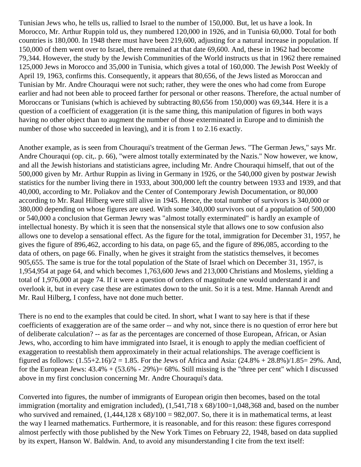Tunisian Jews who, he tells us, rallied to Israel to the number of 150,000. But, let us have a look. In Morocco, Mr. Arthur Ruppin told us, they numbered 120,000 in 1926, and in Tunisia 60,000. Total for both countries is 180,000. In 1948 there must have been 219,600, adjusting for a natural increase in population. If 150,000 of them went over to Israel, there remained at that date 69,600. And, these in 1962 had become 79,344. However, the study by the Jewish Communities of the World instructs us that in 1962 there remained 125,000 Jews in Morocco and 35,000 in Tunisia, which gives a total of 160,000. The Jewish Post Weekly of April 19, 1963, confirms this. Consequently, it appears that 80,656, of the Jews listed as Moroccan and Tunisian by Mr. Andre Chouraqui were not such; rather, they were the ones who had come from Europe earlier and had not been able to proceed farther for personal or other reasons. Therefore, the actual number of Moroccans or Tunisians (which is achieved by subtracting 80,656 from 150,000) was 69,344. Here it is a question of a coefficient of exaggeration (it is the same thing, this manipulation of figures in both ways having no other object than to augment the number of those exterminated in Europe and to diminish the number of those who succeeded in leaving), and it is from 1 to 2.16 exactly.

Another example, as is seen from Chouraqui's treatment of the German Jews. "The German Jews," says Mr. Andre Chouraqui (op. cit,. p. 66), "were almost totally exterminated by the Nazis." Now however, we know, and all the Jewish historians and statisticians agree, including Mr. Andre Chouraqui himself, that out of the 500,000 given by Mr. Arthur Ruppin as living in Germany in 1926, or the 540,000 given by postwar Jewish statistics for the number living there in 1933, about 300,000 left the country between 1933 and 1939, and that 40,000, according to Mr. Poliakov and the Center of Contemporary Jewish Documentation, or 80,000 according to Mr. Raul Hilberg were still alive in 1945. Hence, the total number of survivors is 340,000 or 380,000 depending on whose figures are used. With some 340,000 survivors out of a population of 500,000 or 540,000 a conclusion that German Jewry was "almost totally exterminated" is hardly an example of intellectual honesty. By which it is seen that the nonsensical style that allows one to sow confusion also allows one to develop a sensational effect. As the figure for the total, immigration for December 31, 1957, he gives the figure of 896,462, according to his data, on page 65, and the figure of 896,085, according to the data of others, on page 66. Finally, when he gives it straight from the statistics themselves, it becomes 905,655. The same is true for the total population of the State of Israel which on December 31, 1957, is 1,954,954 at page 64, and which becomes 1,763,600 Jews and 213,000 Christians and Moslems, yielding a total of 1,976,000 at page 74. If it were a question of orders of magnitude one would understand it and overlook it, but in every case these are estimates down to the unit. So it is a test. Mme. Hannah Arendt and Mr. Raul Hilberg, I confess, have not done much better.

There is no end to the examples that could be cited. In short, what I want to say here is that if these coefficients of exaggeration are of the same order -- and why not, since there is no question of error here but of deliberate calculation? -- as far as the percentages are concerned of those European, African, or Asian Jews, who, according to him have immigrated into Israel, it is enough to apply the median coefficient of exaggeration to reestablish them approximately in their actual relationships. The average coefficient is figured as follows:  $(1.55+2.16)/2 = 1.85$ . For the Jews of Africa and Asia:  $(24.8% + 28.8%)/1.85 = 29%$ . And, for the European Jews:  $43.4\% + (53.6\% - 29\%) = 68\%$ . Still missing is the "three per cent" which I discussed above in my first conclusion concerning Mr. Andre Chouraqui's data.

Converted into figures, the number of immigrants of European origin then becomes, based on the total immigration (mortality and emigration included), (1,541,718 x 68)/100=1,048,368 and, based on the number who survived and remained,  $(1,444,128 \times 68)/100 = 982,007$ . So, there it is in mathematical terms, at least the way I learned mathematics. Furthermore, it is reasonable, and for this reason: these figures correspond almost perfectly with those published by the New York Times on February 22, 1948, based on data supplied by its expert, Hanson W. Baldwin. And, to avoid any misunderstanding I cite from the text itself: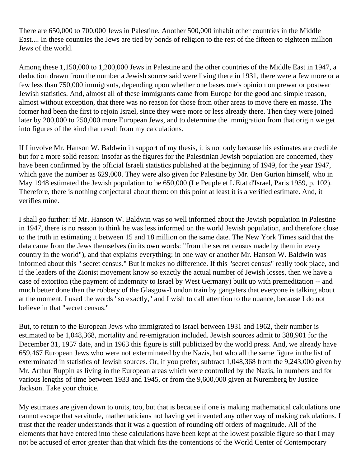There are 650,000 to 700,000 Jews in Palestine. Another 500,000 inhabit other countries in the Middle East.... In these countries the Jews are tied by bonds of religion to the rest of the fifteen to eighteen million Jews of the world.

Among these 1,150,000 to 1,200,000 Jews in Palestine and the other countries of the Middle East in 1947, a deduction drawn from the number a Jewish source said were living there in 1931, there were a few more or a few less than 750,000 immigrants, depending upon whether one bases one's opinion on prewar or postwar Jewish statistics. And, almost all of these immigrants came from Europe for the good and simple reason, almost without exception, that there was no reason for those from other areas to move there en masse. The former had been the first to rejoin Israel, since they were more or less already there. Then they were joined later by 200,000 to 250,000 more European Jews, and to determine the immigration from that origin we get into figures of the kind that result from my calculations.

If I involve Mr. Hanson W. Baldwin in support of my thesis, it is not only because his estimates are credible but for a more solid reason: insofar as the figures for the Palestinian Jewish population are concerned, they have been confirmed by the official Israeli statistics published at the beginning of 1949, for the year 1947, which gave the number as 629,000. They were also given for Palestine by Mr. Ben Gurion himself, who in May 1948 estimated the Jewish population to be 650,000 (Le Peuple et L'Etat d'Israel, Paris 1959, p. 102). Therefore, there is nothing conjectural about them: on this point at least it is a verified estimate. And, it verifies mine.

I shall go further: if Mr. Hanson W. Baldwin was so well informed about the Jewish population in Palestine in 1947, there is no reason to think he was less informed on the world Jewish population, and therefore close to the truth in estimating it between 15 and 18 million on the same date. The New York Times said that the data came from the Jews themselves (in its own words: "from the secret census made by them in every country in the world"), and that explains everything: in one way or another Mr. Hanson W. Baldwin was informed about this " secret census." But it makes no difference. If this "secret census" really took place, and if the leaders of the Zionist movement know so exactly the actual number of Jewish losses, then we have a case of extortion (the payment of indemnity to Israel by West Germany) built up with premeditation -- and much better done than the robbery of the Glasgow-London train by gangsters that everyone is talking about at the moment. I used the words "so exactly," and I wish to call attention to the nuance, because I do not believe in that "secret census."

But, to return to the European Jews who immigrated to Israel between 1931 and 1962, their number is estimated to be 1,048,368, mortality and re-emigration included. Jewish sources admit to 388,901 for the December 31, 1957 date, and in 1963 this figure is still publicized by the world press. And, we already have 659,467 European Jews who were not exterminated by the Nazis, but who all the same figure in the list of exterminated in statistics of Jewish sources. Or, if you prefer, subtract 1,048,368 from the 9,243,000 given by Mr. Arthur Ruppin as living in the European areas which were controlled by the Nazis, in numbers and for various lengths of time between 1933 and 1945, or from the 9,600,000 given at Nuremberg by Justice Jackson. Take your choice.

My estimates are given down to units, too, but that is because if one is making mathematical calculations one cannot escape that servitude, mathematicians not having yet invented any other way of making calculations. I trust that the reader understands that it was a question of rounding off orders of magnitude. All of the elements that have entered into these calculations have been kept at the lowest possible figure so that I may not be accused of error greater than that which fits the contentions of the World Center of Contemporary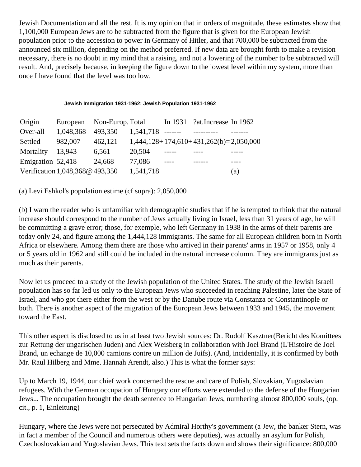Jewish Documentation and all the rest. It is my opinion that in orders of magnitude, these estimates show that 1,100,000 European Jews are to be subtracted from the figure that is given for the European Jewish population prior to the accession to power in Germany of Hitler, and that 700,000 be subtracted from the announced six million, depending on the method preferred. If new data are brought forth to make a revision necessary, there is no doubt in my mind that a raising, and not a lowering of the number to be subtracted will result. And, precisely because, in keeping the figure down to the lowest level within my system, more than once I have found that the level was too low.

### **Jewish Immigration 1931-1962; Jewish Population 1931-1962**

| Origin            | European                        | Non-Europ. Total |                     | In 1931 ?at.Increase In 1962             |     |
|-------------------|---------------------------------|------------------|---------------------|------------------------------------------|-----|
| Over-all          | 1,048,368                       | 493,350          | $1,541,718$ ------- | ----------                               |     |
| Settled           | 982,007                         | 462,121          |                     | $1,444,128+174,610+431,262(b)=2,050,000$ |     |
| Mortality         | 13,943                          | 6,561            | 20,504              |                                          |     |
| Emigration 52,418 |                                 | 24,668           | 77,086              |                                          |     |
|                   | Verification 1,048,368@ 493,350 |                  | 1,541,718           |                                          | (a) |

(a) Levi Eshkol's population estime (cf supra): 2,050,000

(b) I warn the reader who is unfamiliar with demographic studies that if he is tempted to think that the natural increase should correspond to the number of Jews actually living in Israel, less than 31 years of age, he will be committing a grave error; those, for exemple, who left Germany in 1938 in the arms of their parents are today only 24, and figure among the 1,444,128 immigrants. The same for all European children born in North Africa or elsewhere. Among them there are those who arrived in their parents' arms in 1957 or 1958, only 4 or 5 years old in 1962 and still could be included in the natural increase column. They are immigrants just as much as their parents.

Now let us proceed to a study of the Jewish population of the United States. The study of the Jewish Israeli population has so far led us only to the European Jews who succeeded in reaching Palestine, later the State of Israel, and who got there either from the west or by the Danube route via Constanza or Constantinople or both. There is another aspect of the migration of the European Jews between 1933 and 1945, the movement toward the East.

This other aspect is disclosed to us in at least two Jewish sources: Dr. Rudolf Kasztner(Bericht des Komittees zur Rettung der ungarischen Juden) and Alex Weisberg in collaboration with Joel Brand (L'Histoire de Joel Brand, un echange de 10,000 camions contre un million de Juifs). (And, incidentally, it is confirmed by both Mr. Raul Hilberg and Mme. Hannah Arendt, also.) This is what the former says:

Up to March 19, 1944, our chief work concerned the rescue and care of Polish, Slovakian, Yugoslavian refugees. With the German occupation of Hungary our efforts were extended to the defense of the Hungarian Jews... The occupation brought the death sentence to Hungarian Jews, numbering almost 800,000 souls, (op. cit., p. 1, Einleitung)

Hungary, where the Jews were not persecuted by Admiral Horthy's government (a Jew, the banker Stern, was in fact a member of the Council and numerous others were deputies), was actually an asylum for Polish, Czechoslovakian and Yugoslavian Jews. This text sets the facts down and shows their significance: 800,000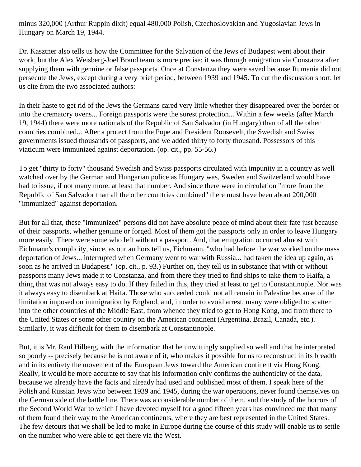minus 320,000 (Arthur Ruppin dixit) equal 480,000 Polish, Czechoslovakian and Yugoslavian Jews in Hungary on March 19, 1944.

Dr. Kasztner also tells us how the Committee for the Salvation of the Jews of Budapest went about their work, but the Alex Weisberg-Joel Brand team is more precise: it was through emigration via Constanza after supplying them with genuine or false passports. Once at Constanza they were saved because Rumania did not persecute the Jews, except during a very brief period, between 1939 and 1945. To cut the discussion short, let us cite from the two associated authors:

In their haste to get rid of the Jews the Germans cared very little whether they disappeared over the border or into the crematory ovens... Foreign passports were the surest protection... Within a few weeks (after March 19, 1944) there were more nationals of the Republic of San Salvador (in Hungary) than of all the other countries combined... After a protect from the Pope and President Roosevelt, the Swedish and Swiss governments issued thousands of passports, and we added thirty to forty thousand. Possessors of this viaticum were immunized against deportation. (op. cit., pp. 55-56.)

To get "thirty to forty" thousand Swedish and Swiss passports circulated with impunity in a country as well watched over by the German and Hungarian police as Hungary was, Sweden and Switzerland would have had to issue, if not many more, at least that number. And since there were in circulation "more from the Republic of San Salvador than all the other countries combined" there must have been about 200,000 "immunized" against deportation.

But for all that, these "immunized" persons did not have absolute peace of mind about their fate just because of their passports, whether genuine or forged. Most of them got the passports only in order to leave Hungary more easily. There were some who left without a passport. And, that emigration occurred almost with Eichmann's complicity, since, as our authors tell us, Eichmann, "who had before the war worked on the mass deportation of Jews... interrupted when Germany went to war with Russia... had taken the idea up again, as soon as he arrived in Budapest." (op. cit., p. 93.) Further on, they tell us in substance that with or without passports many Jews made it to Constanza, and from there they tried to find ships to take them to Haifa, a thing that was not always easy to do. If they failed in this, they tried at least to get to Constantinople. Nor was it always easy to disembark at Haifa. Those who succeeded could not all remain in Palestine because of the limitation imposed on immigration by England, and, in order to avoid arrest, many were obliged to scatter into the other countries of the Middle East, from whence they tried to get to Hong Kong, and from there to the United States or some other country on the American continent (Argentina, Brazil, Canada, etc.). Similarly, it was difficult for them to disembark at Constantinople.

But, it is Mr. Raul Hilberg, with the information that he unwittingly supplied so well and that he interpreted so poorly -- precisely because he is not aware of it, who makes it possible for us to reconstruct in its breadth and in its entirety the movement of the European Jews toward the American continent via Hong Kong. Really, it would be more accurate to say that his information only confirms the authenticity of the data, because we already have the facts and already had used and published most of them. I speak here of the Polish and Russian Jews who between 1939 and 1945, during the war operations, never found themselves on the German side of the battle line. There was a considerable number of them, and the study of the horrors of the Second World War to which I have devoted myself for a good fifteen years has convinced me that many of them found their way to the American continents, where they are best represented in the United States. The few detours that we shall be led to make in Europe during the course of this study will enable us to settle on the number who were able to get there via the West.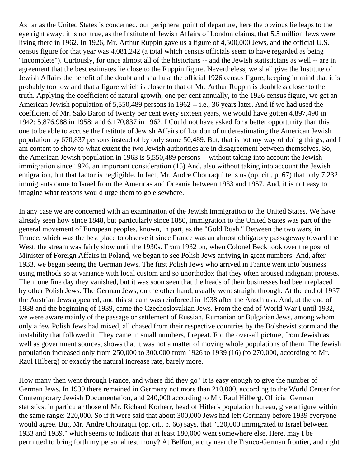As far as the United States is concerned, our peripheral point of departure, here the obvious lie leaps to the eye right away: it is not true, as the Institute of Jewish Affairs of London claims, that 5.5 million Jews were living there in 1962. In 1926, Mr. Arthur Ruppin gave us a figure of 4,500,000 Jews, and the official U.S. census figure for that year was 4,081,242 (a total which census officials seem to have regarded as being "incomplete"). Curiously, for once almost all of the historians -- and the Jewish statisticians as well -- are in agreement that the best estimates lie close to the Ruppin figure. Nevertheless, we shall give the Institute of Jewish Affairs the benefit of the doubt and shall use the official 1926 census figure, keeping in mind that it is probably too low and that a figure which is closer to that of Mr. Arthur Ruppin is doubtless closer to the truth. Applying the coefficient of natural growth, one per cent annually, to the 1926 census figure, we get an American Jewish population of 5,550,489 persons in 1962 -- i.e., 36 years later. And if we had used the coefficient of Mr. Salo Baron of twenty per cent every sixteen years, we would have gotten 4,897,490 in 1942; 5,876,988 in 1958; and 6,170,837 in 1962. I Could not have asked for a better opportunity than this one to be able to accuse the Institute of Jewish Affairs of London of underestimating the American Jewish population by 670,837 persons instead of by only some 50,489. But, that is not my way of doing things, and I am content to show to what extent the two Jewish authorities are in disagreement between themselves. So, the American Jewish population in 1963 is 5,550,489 persons -- without taking into account the Jewish immigration since 1926, an important consideration.(15) And, also without taking into account the Jewish emigration, but that factor is negligible. In fact, Mr. Andre Chouraqui tells us (op. cit., p. 67) that only 7,232 immigrants came to Israel from the Americas and Oceania between 1933 and 1957. And, it is not easy to imagine what reasons would urge them to go elsewhere.

In any case we are concerned with an examination of the Jewish immigration to the United States. We have already seen how since 1848, but particularly since 1880, immigration to the United States was part of the general movement of European peoples, known, in part, as the "Gold Rush." Between the two wars, in France, which was the best place to observe it since France was an almost obligatory passageway toward the West, the stream was fairly slow until the 1930s. From 1932 on, when Colonel Beck took over the post of Minister of Foreign Affairs in Poland, we began to see Polish Jews arriving in great numbers. And, after 1933, we began seeing the German Jews. The first Polish Jews who arrived in France went into business using methods so at variance with local custom and so unorthodox that they often aroused indignant protests. Then, one fine day they vanished, but it was soon seen that the heads of their businesses had been replaced by other Polish Jews. The German Jews, on the other hand, usually went straight through. At the end of 1937 the Austrian Jews appeared, and this stream was reinforced in 1938 after the Anschluss. And, at the end of 1938 and the beginning of 1939, came the Czechoslovakian Jews. From the end of World War I until 1932, we were aware mainly of the passage or settlement of Russian, Rumanian or Bulgarian Jews, among whom only a few Polish Jews had mixed, all chased from their respective countries by the Bolshevist storm and the instability that followed it. They came in small numbers, I repeat. For the over-all picture, from Jewish as well as government sources, shows that it was not a matter of moving whole populations of them. The Jewish population increased only from 250,000 to 300,000 from 1926 to 1939 (16) (to 270,000, according to Mr. Raul Hilberg) or exactly the natural increase rate, barely more.

How many then went through France, and where did they go? It is easy enough to give the number of German Jews. In 1939 there remained in Germany not more than 210,000, according to the World Center for Contemporary Jewish Documentation, and 240,000 according to Mr. Raul Hilberg. Official German statistics, in particular those of Mr. Richard Korherr, head of Hitler's population bureau, give a figure within the same range: 220,000. So if it were said that about 300,000 Jews had left Germany before 1939 everyone would agree. But, Mr. Andre Chouraqui (op. cit., p. 66) says, that "120,000 immigrated to Israel between 1933 and 1939," which seems to indicate that at least 180,000 went somewhere else. Here, may I be permitted to bring forth my personal testimony? At Belfort, a city near the Franco-German frontier, and right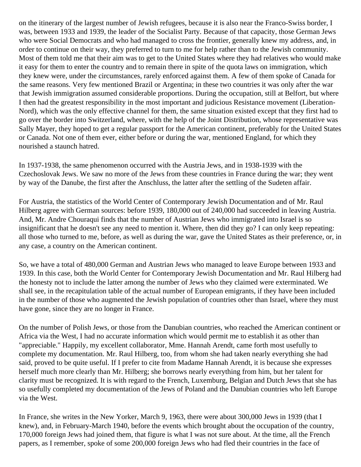on the itinerary of the largest number of Jewish refugees, because it is also near the Franco-Swiss border, I was, between 1933 and 1939, the leader of the Socialist Party. Because of that capacity, those German Jews who were Social Democrats and who had managed to cross the frontier, generally knew my address, and, in order to continue on their way, they preferred to turn to me for help rather than to the Jewish community. Most of them told me that their aim was to get to the United States where they had relatives who would make it easy for them to enter the country and to remain there in spite of the quota laws on immigration, which they knew were, under the circumstances, rarely enforced against them. A few of them spoke of Canada for the same reasons. Very few mentioned Brazil or Argentina; in these two countries it was only after the war that Jewish immigration assumed considerable proportions. During the occupation, still at Belfort, but where I then had the greatest responsibility in the most important and judicious Resistance movement (Liberation-Nord), which was the only effective channel for them, the same situation existed except that they first had to go over the border into Switzerland, where, with the help of the Joint Distribution, whose representative was Sally Mayer, they hoped to get a regular passport for the American continent, preferably for the United States or Canada. Not one of them ever, either before or during the war, mentioned England, for which they nourished a staunch hatred.

In 1937-1938, the same phenomenon occurred with the Austria Jews, and in 1938-1939 with the Czechoslovak Jews. We saw no more of the Jews from these countries in France during the war; they went by way of the Danube, the first after the Anschluss, the latter after the settling of the Sudeten affair.

For Austria, the statistics of the World Center of Contemporary Jewish Documentation and of Mr. Raul Hilberg agree with German sources: before 1939, 180,000 out of 240,000 had succeeded in leaving Austria. And, Mr. Andre Chouraqui finds that the number of Austrian Jews who immigrated into Israel is so insignificant that he doesn't see any need to mention it. Where, then did they go? I can only keep repeating: all those who turned to me, before, as well as during the war, gave the United States as their preference, or, in any case, a country on the American continent.

So, we have a total of 480,000 German and Austrian Jews who managed to leave Europe between 1933 and 1939. In this case, both the World Center for Contemporary Jewish Documentation and Mr. Raul Hilberg had the honesty not to include the latter among the number of Jews who they claimed were exterminated. We shall see, in the recapitulation table of the actual number of European emigrants, if they have been included in the number of those who augmented the Jewish population of countries other than Israel, where they must have gone, since they are no longer in France.

On the number of Polish Jews, or those from the Danubian countries, who reached the American continent or Africa via the West, I had no accurate information which would permit me to establish it as other than "appreciable." Happily, my excellent collaborator, Mme. Hannah Arendt, came forth most usefully to complete my documentation. Mr. Raul Hilberg, too, from whom she had taken nearly everything she had said, proved to be quite useful. If I prefer to cite from Madame Hannah Arendt, it is because she expresses herself much more clearly than Mr. Hilberg; she borrows nearly everything from him, but her talent for clarity must be recognized. It is with regard to the French, Luxemburg, Belgian and Dutch Jews that she has so usefully completed my documentation of the Jews of Poland and the Danubian countries who left Europe via the West.

In France, she writes in the New Yorker, March 9, 1963, there were about 300,000 Jews in 1939 (that I knew), and, in February-March 1940, before the events which brought about the occupation of the country, 170,000 foreign Jews had joined them, that figure is what I was not sure about. At the time, all the French papers, as I remember, spoke of some 200,000 foreign Jews who had fled their countries in the face of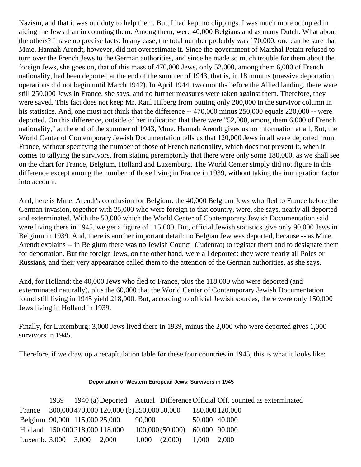Nazism, and that it was our duty to help them. But, I had kept no clippings. I was much more occupied in aiding the Jews than in counting them. Among them, were 40,000 Belgians and as many Dutch. What about the others? I have no precise facts. In any case, the total number probably was 170,000; one can be sure that Mme. Hannah Arendt, however, did not overestimate it. Since the government of Marshal Petain refused to turn over the French Jews to the German authorities, and since he made so much trouble for them about the foreign Jews, she goes on, that of this mass of 470,000 Jews, only 52,000, among them 6,000 of French nationality, had been deported at the end of the summer of 1943, that is, in 18 months (massive deportation operations did not begin until March 1942). In April 1944, two months before the Allied landing, there were still 250,000 Jews in France, she says, and no further measures were taken against them. Therefore, they were saved. This fact does not keep Mr. Raul Hilberg from putting only 200,000 in the survivor column in his statistics. And, one must not think that the difference -- 470,000 minus 250,000 equals 220,000 -- were deported. On this difference, outside of her indication that there were "52,000, among them 6,000 of French nationality," at the end of the summer of 1943, Mme. Hannah Arendt gives us no information at all, But, the World Center of Contemporary Jewish Documentation tells us that 120,000 Jews in all were deported from France, without specifying the number of those of French nationality, which does not prevent it, when it comes to tallying the survivors, from stating peremptorily that there were only some 180,000, as we shall see on the chart for France, Belgium, Holland and Luxemburg. The World Center simply did not figure in this difference except among the number of those living in France in 1939, without taking the immigration factor into account.

And, here is Mme. Arendt's conclusion for Belgium: the 40,000 Belgium Jews who fled to France before the German invasion, together with 25,000 who were foreign to that country, were, she says, nearly all deported and exterminated. With the 50,000 which the World Center of Contemporary Jewish Documentation said were living there in 1945, we get a figure of 115,000. But, official Jewish statistics give only 90,000 Jews in Belgium in 1939. And, there is another important detail: no Belgian Jew was deported, because -- as Mme. Arendt explains -- in Belgium there was no Jewish Council (Judenrat) to register them and to designate them for deportation. But the foreign Jews, on the other hand, were all deported: they were nearly all Poles or Russians, and their very appearance called them to the attention of the German authorities, as she says.

And, for Holland: the 40,000 Jews who fled to France, plus the 118,000 who were deported (and exterminated naturally), plus the 60,000 that the World Center of Contemporary Jewish Documentation found still living in 1945 yield 218,000. But, according to official Jewish sources, there were only 150,000 Jews living in Holland in 1939.

Finally, for Luxemburg: 3,000 Jews lived there in 1939, minus the 2,000 who were deported gives 1,000 survivors in 1945.

Therefore, if we draw up a recapîtulation table for these four countries in 1945, this is what it looks like:

### **Deportation of Western European Jews; Survivors in 1945**

1939 1940 (a)Deported Actual DifferenceOfficial Off. counted as exterminated France 300,000 470,000 120,000 (b) 350,000 50,000 180,000 120,000 Belgium 90,000 115,000 25,000 90,000 50,000 40,000 Holland 150,000 218,000 118,000 100,000 (50,000) 60,000 90,000 Luxemb. 3,000 3,000 2,000 1,000 (2,000) 1,000 2,000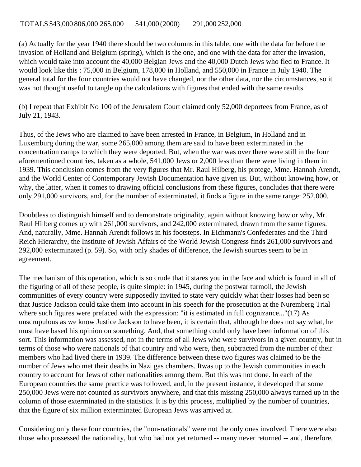(a) Actually for the year 1940 there should be two columns in this table; one with the data for before the invasion of Holland and Belgium (spring), which is the one, and one with the data for after the invasion, which would take into account the 40,000 Belgian Jews and the 40,000 Dutch Jews who fled to France. It would look like this : 75,000 in Belgium, 178,000 in Holland, and 550,000 in France in July 1940. The general total for the four countries would not have changed, nor the other data, nor the circumstances, so it was not thought useful to tangle up the calculations with figures that ended with the same results.

(b) I repeat that Exhibit No 100 of the Jerusalem Court claimed only 52,000 deportees from France, as of July 21, 1943.

Thus, of the Jews who are claimed to have been arrested in France, in Belgium, in Holland and in Luxemburg during the war, some 265,000 among them are said to have been exterminated in the concentration camps to which they were deported. But, when the war was over there were still in the four aforementioned countries, taken as a whole, 541,000 Jews or 2,000 less than there were living in them in 1939. This conclusion comes from the very figures that Mr. Raul Hilberg, his protege, Mme. Hannah Arendt, and the World Center of Contemporary Jewish Documentation have given us. But, without knowing how, or why, the latter, when it comes to drawing official conclusions from these figures, concludes that there were only 291,000 survivors, and, for the number of exterminated, it finds a figure in the same range: 252,000.

Doubtless to distinguish himself and to demonstrate originality, again without knowing how or why, Mr. Raul Hilberg comes up with 261,000 survivors, and 242,000 exterminated, drawn from the same figures. And, naturally, Mme. Hannah Arendt follows in his footsteps. In Eichmann's Confederates and the Third Reich Hierarchy, the Institute of Jewish Affairs of the World Jewish Congress finds 261,000 survivors and 292,000 exterminated (p. 59). So, with only shades of difference, the Jewish sources seem to be in agreement.

The mechanism of this operation, which is so crude that it stares you in the face and which is found in all of the figuring of all of these people, is quite simple: in 1945, during the postwar turmoil, the Jewish communities of every country were supposedly invited to state very quickly what their losses had been so that Justice Jackson could take them into account in his speech for the prosecution at the Nuremberg Trial where such figures were prefaced with the expression: "it is estimated in full cognizance..."(17) As unscrupulous as we know Justice Jackson to have been, it is certain that, although he does not say what, he must have based his opinion on something. And, that something could only have been information of this sort. This information was assessed, not in the terms of all Jews who were survivors in a given country, but in terms of those who were nationals of that country and who were, then, subtracted from the number of their members who had lived there in 1939. The difference between these two figures was claimed to be the number of Jews who met their deaths in Nazi gas chambers. Itwas up to the Jewish communities in each country to account for Jews of other nationalities among them. But this was not done. In each of the European countries the same practice was followed, and, in the present instance, it developed that some 250,000 Jews were not counted as survivors anywhere, and that this missing 250,000 always turned up in the column of those exterminated in the statistics. It is by this process, multiplied by the number of countries, that the figure of six million exterminated European Jews was arrived at.

Considering only these four countries, the "non-nationals" were not the only ones involved. There were also those who possessed the nationality, but who had not yet returned -- many never returned -- and, therefore,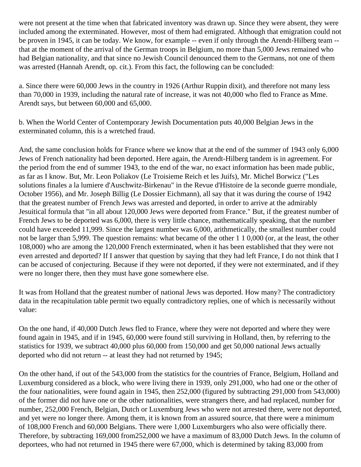were not present at the time when that fabricated inventory was drawn up. Since they were absent, they were included among the exterminated. However, most of them had emigrated. Although that emigration could not be proven in 1945, it can be today. We know, for example -- even if only through the Arendt-Hilberg team - that at the moment of the arrival of the German troops in Belgium, no more than 5,000 Jews remained who had Belgian nationality, and that since no Jewish Council denounced them to the Germans, not one of them was arrested (Hannah Arendt, op. cit.). From this fact, the following can be concluded:

a. Since there were 60,000 Jews in the country in 1926 (Arthur Ruppin dixit), and therefore not many less than 70,000 in 1939, including the natural rate of increase, it was not 40,000 who fled to France as Mme. Arendt says, but between 60,000 and 65,000.

b. When the World Center of Contemporary Jewish Documentation puts 40,000 Belgian Jews in the exterminated column, this is a wretched fraud.

And, the same conclusion holds for France where we know that at the end of the summer of 1943 only 6,000 Jews of French nationality had been deported. Here again, the Arendt-Hilberg tandem is in agreement. For the period from the end of summer 1943, to the end of the war, no exact information has been made public, as far as I know. But, Mr. Leon Poliakov (Le Troisieme Reich et les Juifs), Mr. Michel Borwicz ("Les solutions finales a la lumiere d'Auschwitz-Birkenau" in the Revue d'Histoire de la seconde guerre mondiale, October 1956), and Mr. Joseph Billig (Le Dossier Eichmann), all say that it was during the course of 1942 that the greatest number of French Jews was arrested and deported, in order to arrive at the admirably Jesuitical formula that "in all about 120,000 Jews were deported from France." But, if the greatest number of French Jews to be deported was 6,000, there is very little chance, mathematically speaking, that the number could have exceeded 11,999. Since the largest number was 6,000, arithmetically, the smallest number could not be larger than 5,999. The question remains: what became of the other 1 1 0,000 (or, at the least, the other 108,000) who are among the 120,000 French exterminated, when it has been established that they were not even arrested and deported? If I answer that question by saying that they had left France, I do not think that I can be accused of conjecturing. Because if they were not deported, if they were not exterminated, and if they were no longer there, then they must have gone somewhere else.

It was from Holland that the greatest number of national Jews was deported. How many? The contradictory data in the recapitulation table permit two equally contradictory replies, one of which is necessarily without value:

On the one hand, if 40,000 Dutch Jews fled to France, where they were not deported and where they were found again in 1945, and if in 1945, 60,000 were found still surviving in Holland, then, by referring to the statistics for 1939, we subtract 40,000 plus 60,000 from 150,000 and get 50,000 national Jews actually deported who did not return -- at least they had not returned by 1945;

On the other hand, if out of the 543,000 from the statistics for the countries of France, Belgium, Holland and Luxemburg considered as a block, who were living there in 1939, only 291,000, who had one or the other of the four nationalities, were found again in 1945, then 252,000 (figured by subtracting 291,000 from 543,000) of the former did not have one or the other nationalities, were strangers there, and had replaced, number for number, 252,000 French, Belgian, Dutch or Luxemburg Jews who were not arrested there, were not deported, and yet were no longer there. Among them, it is known from an assured source, that there were a minimum of 108,000 French and 60,000 Belgians. There were 1,000 Luxemburgers who also were officially there. Therefore, by subtracting 169,000 from252,000 we have a maximum of 83,000 Dutch Jews. In the column of deportees, who had not returned in 1945 there were 67,000, which is determined by taking 83,000 from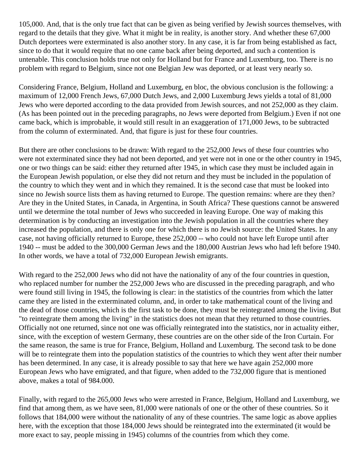105,000. And, that is the only true fact that can be given as being verified by Jewish sources themselves, with regard to the details that they give. What it might be in reality, is another story. And whether these 67,000 Dutch deportees were exterminated is also another story. In any case, it is far from being established as fact, since to do that it would require that no one came back after being deported, and such a contention is untenable. This conclusion holds true not only for Holland but for France and Luxemburg, too. There is no problem with regard to Belgium, since not one Belgian Jew was deported, or at least very nearly so.

Considering France, Belgium, Holland and Luxemburg, en bloc, the obvious conclusion is the following: a maximum of 12,000 French Jews, 67,000 Dutch Jews, and 2,000 Luxemburg Jews yields a total of 81,000 Jews who were deported according to the data provided from Jewish sources, and not 252,000 as they claim. (As has been pointed out in the preceding paragraphs, no Jews were deported from Belgium.) Even if not one came back, which is improbable, it would still result in an exaggeration of 171,000 Jews, to be subtracted from the column of exterminated. And, that figure is just for these four countries.

But there are other conclusions to be drawn: With regard to the 252,000 Jews of these four countries who were not exterminated since they had not been deported, and yet were not in one or the other country in 1945, one or two things can be said: either they returned after 1945, in which case they must be included again in the European Jewish population, or else they did not return and they must be included in the population of the country to which they went and in which they remained. It is the second case that must be looked into since no Jewish source lists them as having returned to Europe. The question remains: where are they then? Are they in the United States, in Canada, in Argentina, in South Africa? These questions cannot be answered until we determine the total number of Jews who succeeded in leaving Europe. One way of making this determination is by conducting an investigation into the Jewish population in all the countries where they increased the population, and there is only one for which there is no Jewish source: the United States. In any case, not having officially returned to Europe, these 252,000 -- who could not have left Europe until after 1940 -- must be added to the 300,000 German Jews and the 180,000 Austrian Jews who had left before 1940. In other words, we have a total of 732,000 European Jewish emigrants.

With regard to the 252,000 Jews who did not have the nationality of any of the four countries in question, who replaced number for number the 252,000 Jews who are discussed in the preceding paragraph, and who were found still living in 1945, the following is clear: in the statistics of the countries from which the latter came they are listed in the exterminated column, and, in order to take mathematical count of the living and the dead of those countries, which is the first task to be done, they must be reintegrated among the living. But "to reintegrate them among the living" in the statistics does not mean that they returned to those countries. Officially not one returned, since not one was officially reintegrated into the statistics, nor in actuality either, since, with the exception of western Germany, these countries are on the other side of the Iron Curtain. For the same reason, the same is true for France, Belgium, Holland and Luxemburg. The second task to be done will be to reintegrate them into the population statistics of the countries to which they went after their number has been determined. In any case, it is already possible to say that here we have again 252,000 more European Jews who have emigrated, and that figure, when added to the 732,000 figure that is mentioned above, makes a total of 984.000.

Finally, with regard to the 265,000 Jews who were arrested in France, Belgium, Holland and Luxemburg, we find that among them, as we have seen, 81,000 were nationals of one or the other of these countries. So it follows that 184,000 were without the nationality of any of these countries. The same logic as above applies here, with the exception that those 184,000 Jews should be reintegrated into the exterminated (it would be more exact to say, people missing in 1945) columns of the countries from which they come.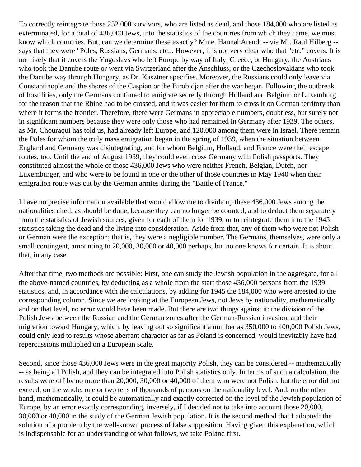To correctly reintegrate those 252 000 survivors, who are listed as dead, and those 184,000 who are listed as exterminated, for a total of 436,000 Jews, into the statistics of the countries from which they came, we must know which countries. But, can we determine these exactly? Mme. HannahArendt -- via Mr. Raul Hilberg - says that they were "Poles, Russians, Germans, etc... However, it is not very clear who that "etc." covers. It is not likely that it covers the Yugoslavs who left Europe by way of Italy, Greece, or Hungary; the Austrians who took the Danube route or went via Switzerland after the Anschluss; or the Czechoslovakians who took the Danube way through Hungary, as Dr. Kasztner specifies. Moreover, the Russians could only leave via Constantinople and the shores of the Caspian or the Birobidjan after the war began. Following the outbreak of hostilities, only the Germans continued to emigrate secretly through Holland and Belgium or Luxemburg for the reason that the Rhine had to be crossed, and it was easier for them to cross it on German territory than where it forms the frontier. Therefore, there were Germans in appreciable numbers, doubtless, but surely not in significant numbers because they were only those who had remained in Germany after 1939. The others, as Mr. Chouraqui has told us, had already left Europe, and 120,000 among them were in Israel. There remain the Poles for whom the truly mass emigration began in the spring of 1939, when the situation between England and Germany was disintegrating, and for whom Belgium, Holland, and France were their escape routes, too. Until the end of August 1939, they could even cross Germany with Polish passports. They constituted almost the whole of those 436,000 Jews who were neither French, Belgian, Dutch, nor Luxemburger, and who were to be found in one or the other of those countries in May 1940 when their emigration route was cut by the German armies during the "Battle of France."

I have no precise information available that would allow me to divide up these 436,000 Jews among the nationalities cited, as should be done, because they can no longer be counted, and to deduct them separately from the statistics of Jewish sources, given for each of them for 1939, or to reintegrate them into the 1945 statistics taking the dead and the living into consideration. Aside from that, any of them who were not Polish or German were the exception; that is, they were a negligible number. The Germans, themselves, were only a small contingent, amounting to 20,000, 30,000 or 40,000 perhaps, but no one knows for certain. It is about that, in any case.

After that time, two methods are possible: First, one can study the Jewish population in the aggregate, for all the above-named countries, by deducting as a whole from the start those 436,000 persons from the 1939 statistics, and, in accordance with the calculations, by adding for 1945 the 184,000 who were arrested to the corresponding column. Since we are looking at the European Jews, not Jews by nationality, mathematically and on that level, no error would have been made. But there are two things against it: the division of the Polish Jews between the Russian and the German zones after the German-Russian invasion, and their migration toward Hungary, which, by leaving out so significant a number as 350,000 to 400,000 Polish Jews, could only lead to results whose aberrant character as far as Poland is concerned, would inevitably have had repercussions multiplied on a European scale.

Second, since those 436,000 Jews were in the great majority Polish, they can be considered -- mathematically -- as being all Polish, and they can be integrated into Polish statistics only. In terms of such a calculation, the results were off by no more than 20,000, 30,000 or 40,000 of them who were not Polish, but the error did not exceed, on the whole, one or two tens of thousands of persons on the nationality level. And, on the other hand, mathematically, it could be automatically and exactly corrected on the level of the Jewish population of Europe, by an error exactly corresponding, inversely, if I decided not to take into account those 20,000, 30,000 or 40,000 in the study of the German Jewish population. It is the second method that I adopted: the solution of a problem by the well-known process of false supposition. Having given this explanation, which is indispensable for an understanding of what follows, we take Poland first.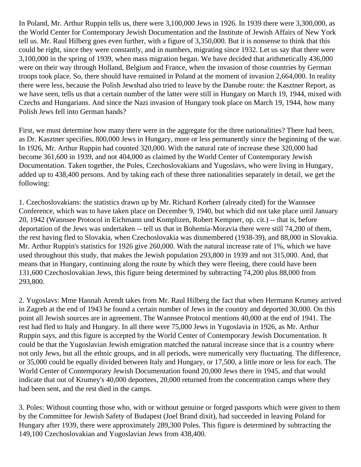In Poland, Mr. Arthur Ruppin tells us, there were 3,100,000 Jews in 1926. In 1939 there were 3,300,000, as the World Center for Contemporary Jewish Documentation and the Institute of Jewish Affairs of New York tell us. Mr. Raul Hilberg goes even further, with a figure of 3,350,000. But it is nonsense to think that this could be right, since they were constantly, and in numbers, migrating since 1932. Let us say that there were 3,100,000 in the spring of 1939, when mass migration began. We have decided that arithmetically 436,000 were on their way through Holland, Belgium and France, when the invasion of those countries by German troops took place. So, there should have remained in Poland at the moment of invasion 2,664,000. In reality there were less, because the Polish Jewshad also tried to leave by the Danube route: the Kasztner Report, as we have seen, tells us that a certain number of the latter were still in Hungary on March 19, 1944, mixed with Czechs and Hungarians. And since the Nazi invasion of Hungary took place on March 19, 1944, how many Polish Jews fell into German hands?

First, we must determine how many there were in the aggregate for the three nationalities? There had been, as Dr. Kasztner specifies, 800,000 Jews in Hungary, more or less permanently since the beginning of the war. In 1926, Mr. Arthur Ruppin had counted 320,000. With the natural rate of increase these 320,000 had become 361,600 in 1939, and not 404,000 as claimed by the World Center of Contemporary Jewish Documentation. Taken together, the Poles, Czechoslovakians and Yugoslavs, who were living in Hungary, added up to 438,400 persons. And by taking each of these three nationalities separately in detail, we get the following:

1. Czechoslovakians: the statistics drawn up by Mr. Richard Korherr (already cited) for the Wannsee Conference, which was to have taken place on December 9, 1940, but which did not take place until January 20, 1942 (Wannsee Protocol in Eichmann und Komplizen, Robert Kempner, op. cit.) -- that is, before deportation of the Jews was undertaken -- tell us that in Bohemia-Moravia there were still 74,200 of them, the rest having fled to Slovakia, when Czechoslovakia was dismembered (1938-39), and 88,000 in Slovakia. Mr. Arthur Ruppin's statistics for 1926 give 260,000. With the natural increase rate of 1%, which we have used throughout this study, that makes the Jewish population 293,800 in 1939 and not 315,000. And, that means that in Hungary, continuing along the route by which they were fleeing, there could have been 131,600 Czechoslovakian Jews, this figure being determined by subtracting 74,200 plus 88,000 from 293,800.

2. Yugoslavs: Mme Hannah Arendt takes from Mr. Raul Hilberg the fact that when Hermann Krumey arrived in Zagreb at the end of 1943 he found a certain number of Jews in the country and deported 30,000. On this point all Jewish sources are in agreement. The Wannsee Protocol mentions 40,000 at the end of 1941. The rest had fled to Italy and Hungary. In all there were 75,000 Jews in Yugoslavia in 1926, as Mr. Arthur Ruppin says, and this figure is accepted by the World Center of Contemporary Jewish Documentation. It could be that the Yugoslavian Jewish emigration matched the natural increase since that is a country where not only Jews, but all the ethnic groups, and in all periods, were numerically very fluctuating. The difference, or 35,000 could be equally divided between Italy and Hungary, or 17,500, a little more or less for each. The World Center of Contemporary Jewish Documentation found 20,000 Jews there in 1945, and that would indicate that out of Krumey's 40,000 deportees, 20,000 returned from the concentration camps where they had been sent, and the rest died in the camps.

3. Poles: Without counting those who, with or without genuine or forged passports which were given to them by the Committee for Jewish Safety of Budapest (Joel Brand dixit), had succeeded in leaving Poland for Hungary after 1939, there were approximately 289,300 Poles. This figure is determined by subtracting the 149,100 Czechoslovakian and Yugoslavian Jews from 438,400.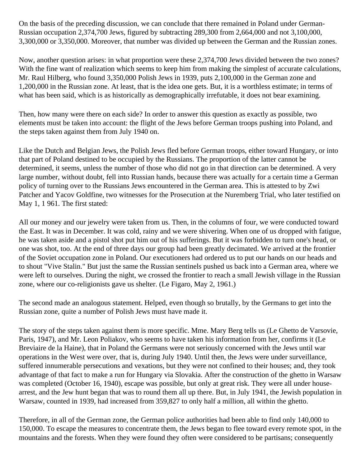On the basis of the preceding discussion, we can conclude that there remained in Poland under German-Russian occupation 2,374,700 Jews, figured by subtracting 289,300 from 2,664,000 and not 3,100,000, 3,300,000 or 3,350,000. Moreover, that number was divided up between the German and the Russian zones.

Now, another question arises: in what proportion were these 2,374,700 Jews divided between the two zones? With the fine want of realization which seems to keep him from making the simplest of accurate calculations, Mr. Raul Hilberg, who found 3,350,000 Polish Jews in 1939, puts 2,100,000 in the German zone and 1,200,000 in the Russian zone. At least, that is the idea one gets. But, it is a worthless estimate; in terms of what has been said, which is as historically as demographically irrefutable, it does not bear examining.

Then, how many were there on each side? In order to answer this question as exactly as possible, two elements must be taken into account: the flight of the Jews before German troops pushing into Poland, and the steps taken against them from July 1940 on.

Like the Dutch and Belgian Jews, the Polish Jews fled before German troops, either toward Hungary, or into that part of Poland destined to be occupied by the Russians. The proportion of the latter cannot be determined, it seems, unless the number of those who did not go in that direction can be determined. A very large number, without doubt, fell into Russian hands, because there was actually for a certain time a German policy of turning over to the Russians Jews encountered in the German area. This is attested to by Zwi Patcher and Yacov Goldfine, two witnesses for the Prosecution at the Nuremberg Trial, who later testified on May 1, 1 961. The first stated:

All our money and our jewelry were taken from us. Then, in the columns of four, we were conducted toward the East. It was in December. It was cold, rainy and we were shivering. When one of us dropped with fatigue, he was taken aside and a pistol shot put him out of his sufferings. But it was forbidden to turn one's head, or one was shot, too. At the end of three days our group had been greatly decimated. We arrived at the frontier of the Soviet occupation zone in Poland. Our executioners had ordered us to put our hands on our heads and to shout "Vive Stalin." But just the same the Russian sentinels pushed us back into a German area, where we were left to ourselves. During the night, we crossed the frontier to reach a small Jewish village in the Russian zone, where our co-religionists gave us shelter. (Le Figaro, May 2, 1961.)

The second made an analogous statement. Helped, even though so brutally, by the Germans to get into the Russian zone, quite a number of Polish Jews must have made it.

The story of the steps taken against them is more specific. Mme. Mary Berg tells us (Le Ghetto de Varsovie, Paris, 1947), and Mr. Leon Poliakov, who seems to have taken his information from her, confirms it (Le Breviaire de la Haine), that in Poland the Germans were not seriously concerned with the Jews until war operations in the West were over, that is, during July 1940. Until then, the Jews were under surveillance, suffered innumerable persecutions and vexations, but they were not confined to their houses; and, they took advantage of that fact to make a run for Hungary via Slovakia. After the construction of the ghetto in Warsaw was completed (October 16, 1940), escape was possible, but only at great risk. They were all under housearrest, and the Jew hunt began that was to round them all up there. But, in July 1941, the Jewish population in Warsaw, counted in 1939, had increased from 359,827 to only half a million, all within the ghetto.

Therefore, in all of the German zone, the German police authorities had been able to find only 140,000 to 150,000. To escape the measures to concentrate them, the Jews began to flee toward every remote spot, in the mountains and the forests. When they were found they often were considered to be partisans; consequently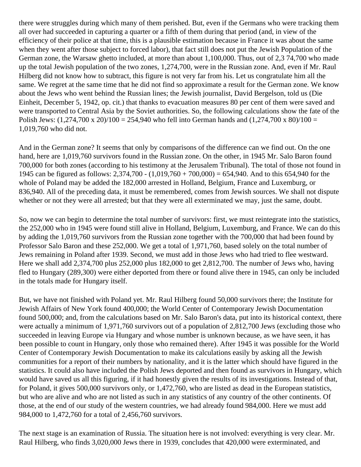there were struggles during which many of them perished. But, even if the Germans who were tracking them all over had succeeded in capturing a quarter or a fifth of them during that period (and, in view of the efficiency of their police at that time, this is a plausible estimation because in France it was about the same when they went after those subject to forced labor), that fact still does not put the Jewish Population of the German zone, the Warsaw ghetto included, at more than about 1,100,000. Thus, out of 2,3 74,700 who made up the total Jewish population of the two zones, 1,274,700, were in the Russian zone. And, even if Mr. Raul Hilberg did not know how to subtract, this figure is not very far from his. Let us congratulate him all the same. We regret at the same time that he did not find so approximate a result for the German zone. We know about the Jews who went behind the Russian lines; the Jewish journalist, David Bergelson, told us (Die Einheit, December 5, 1942, op. cit.) that thanks to evacuation measures 80 per cent of them were saved and were transported to Central Asia by the Soviet authorities. So, the following calculations show the fate of the Polish Jews:  $(1,274,700 \times 20)/100 = 254,940$  who fell into German hands and  $(1,274,700 \times 80)/100 =$ 1,019,760 who did not.

And in the German zone? It seems that only by comparisons of the difference can we find out. On the one hand, here are 1,019,760 survivors found in the Russian zone. On the other, in 1945 Mr. Salo Baron found 700,000 for both zones (according to his testimony at the Jerusalem Tribunal). The total of those not found in 1945 can be figured as follows: 2,374,700 - (1,019,760 + 700,000) = 654,940. And to this 654,940 for the whole of Poland may be added the 182,000 arrested in Holland, Belgium, France and Luxemburg, or 836,940. All of the preceding data, it must be remembered, comes from Jewish sources. We shall not dispute whether or not they were all arrested; but that they were all exterminated we may, just the same, doubt.

So, now we can begin to determine the total number of survivors: first, we must reintegrate into the statistics, the 252,000 who in 1945 were found still alive in Holland, Belgium, Luxemburg, and France. We can do this by adding the 1,019,760 survivors from the Russian zone together with the 700,000 that had been found by Professor Salo Baron and these 252,000. We get a total of 1,971,760, based solely on the total number of Jews remaining in Poland after 1939. Second, we must add in those Jews who had tried to flee westward. Here we shall add 2,374,700 plus 252,000 plus 182,000 to get 2,812,700. The number of Jews who, having fled to Hungary (289,300) were either deported from there or found alive there in 1945, can only be included in the totals made for Hungary itself.

But, we have not finished with Poland yet. Mr. Raul Hilberg found 50,000 survivors there; the Institute for Jewish Affairs of New York found 400,000; the World Center of Contemporary Jewish Documentation found 500,000; and, from the calculations based on Mr. Salo Baron's data, put into its historical context, there were actually a minimum of 1,971,760 survivors out of a population of 2,812,700 Jews (excluding those who succeeded in leaving Europe via Hungary and whose number is unknown because, as we have seen, it has been possible to count in Hungary, only those who remained there). After 1945 it was possible for the World Center of Contemporary Jewish Documentation to make its calculations easily by asking all the Jewish communities for a report of their numbers by nationality, and it is the latter which should have figured in the statistics. It could also have included the Polish Jews deported and then found as survivors in Hungary, which would have saved us all this figuring, if it had honestly given the results of its investigations. Instead of that, for Poland, it gives 500,000 survivors only, or 1,472,760, who are listed as dead in the European statistics, but who are alive and who are not listed as such in any statistics of any country of the other continents. Of those, at the end of our study of the western countries, we had already found 984,000. Here we must add 984,000 to 1,472,760 for a total of 2,456,760 survivors.

The next stage is an examination of Russia. The situation here is not involved: everything is very clear. Mr. Raul Hilberg, who finds 3,020,000 Jews there in 1939, concludes that 420,000 were exterminated, and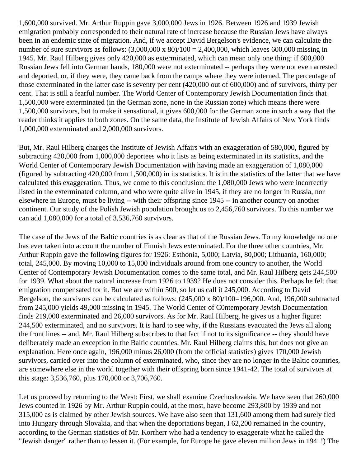1,600,000 survived. Mr. Arthur Ruppin gave 3,000,000 Jews in 1926. Between 1926 and 1939 Jewish emigration probably corresponded to their natural rate of increase because the Russian Jews have always been in an endemic state of migration. And, if we accept David Bergelson's evidence, we can calculate the number of sure survivors as follows:  $(3,000,000 \times 80)/100 = 2,400,000$ , which leaves 600,000 missing in 1945. Mr. Raul Hilberg gives only 420,000 as exterminated, which can mean only one thing: if 600,000 Russian Jews fell into German hands, 180,000 were not exterminated -- perhaps they were not even arrested and deported, or, if they were, they came back from the camps where they were interned. The percentage of those exterminated in the latter case is seventy per cent (420,000 out of 600,000) and of survivors, thirty per cent. That is still a fearful number. The World Center of Contemporary Jewish Documentation finds that 1,500,000 were exterminated (in the German zone, none in the Russian zone) which means there were 1,500,000 survivors, but to make it sensational, it gives 600,000 for the German zone in such a way that the reader thinks it applies to both zones. On the same data, the Institute of Jewish Affairs of New York finds 1,000,000 exterminated and 2,000,000 survivors.

But, Mr. Raul Hilberg charges the Institute of Jewish Affairs with an exaggeration of 580,000, figured by subtracting 420,000 from 1,000,000 deportees who it lists as being exterminated in its statistics, and the World Center of Contemporary Jewish Documentation with having made an exaggeration of 1,080,000 (figured by subtracting 420,000 from 1,500,000) in its statistics. It is in the statistics of the latter that we have calculated this exaggeration. Thus, we come to this conclusion: the 1,080,000 Jews who were incorrectly listed in the exterminated column, and who were quite alive in 1945, if they are no longer in Russia, nor elsewhere in Europe, must be living -- with their offspring since 1945 -- in another country on another continent. Our study of the Polish Jewish population brought us to 2,456,760 survivors. To this number we can add 1,080,000 for a total of 3,536,760 survivors.

The case of the Jews of the Baltic countries is as clear as that of the Russian Jews. To my knowledge no one has ever taken into account the number of Finnish Jews exterminated. For the three other countries, Mr. Arthur Ruppin gave the following figures for 1926: Esthonia, 5,000; Latvia, 80,000; Lithuania, 160,000; total, 245,000. By moving 10,000 to 15,000 individuals around from one country to another, the World Center of Contemporary Jewish Documentation comes to the same total, and Mr. Raul Hilberg gets 244,500 for 1939. What about the natural increase from 1926 to 1939? He does not consider this. Perhaps he felt that emigration compensated for it. But we are within 500, so let us call it 245,000. According to David Bergelson, the survivors can be calculated as follows:  $(245,000 \times 80)/100=196,000$ . And, 196,000 subtracted from 245,000 yields 49,000 missing in 1945. The World Center of C0ntemporary Jewish Documentation finds 219,000 exterminated and 26,000 survivors. As for Mr. Raul Hilberg, he gives us a higher figure: 244,500 exterminated, and no survivors. It is hard to see why, if the Russians evacuated the Jews all along the front lines -- and, Mr. Raul Hilberg subscribes to that fact if not to its significance -- they should have deliberately made an exception in the Baltic countries. Mr. Raul Hilberg claims this, but does not give an explanation. Here once again, 196,000 minus 26,000 (from the official statistics) gives 170,000 Jewish survivors, carried over into the column of exterminated, who, since they are no longer in the Baltic countries, are somewhere else in the world together with their offspring born since 1941-42. The total of survivors at this stage: 3,536,760, plus 170,000 or 3,706,760.

Let us proceed by returning to the West: First, we shall examine Czechoslovakia. We have seen that 260,000 Jews counted in 1926 by Mr. Arthur Ruppin could, at the most, have become 293,800 by 1939 and not 315,000 as is claimed by other Jewish sources. We have also seen that 131,600 among them had surely fled into Hungary through Slovakia, and that when the deportations began, I 62,200 remained in the country, according to the German statistics of Mr. Korrherr who had a tendency to exaggerate what he called the "Jewish danger" rather than to lessen it. (For example, for Europe he gave eleven million Jews in 1941!) The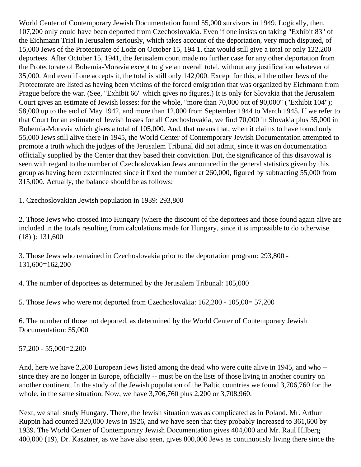World Center of Contemporary Jewish Documentation found 55,000 survivors in 1949. Logically, then, 107,200 only could have been deported from Czechoslovakia. Even if one insists on taking "Exhibit 83" of the Eichmann Trial in Jerusalem seriously, which takes account of the deportation, very much disputed, of 15,000 Jews of the Protectorate of Lodz on October 15, 194 1, that would still give a total or only 122,200 deportees. After October 15, 1941, the Jerusalem court made no further case for any other deportation from the Protectorate of Bohemia-Moravia except to give an overall total, without any justification whatever of 35,000. And even if one accepts it, the total is still only 142,000. Except for this, all the other Jews of the Protectorate are listed as having been victims of the forced emigration that was organized by Eichmann from Prague before the war. (See, "Exhibit 66" which gives no figures.) It is only for Slovakia that the Jerusalem Court gives an estimate of Jewish losses: for the whole, "more than 70,000 out of 90,000" ("Exhibit 104"); 58,000 up to the end of May 1942, and more than 12,000 from September 1944 to March 1945. If we refer to that Court for an estimate of Jewish losses for all Czechoslovakia, we find 70,000 in Slovakia plus 35,000 in Bohemia-Moravia which gives a total of 105,000. And, that means that, when it claims to have found only 55,000 Jews still alive there in 1945, the World Center of Contemporary Jewish Documentation attempted to promote a truth which the judges of the Jerusalem Tribunal did not admit, since it was on documentation officially supplied by the Center that they based their conviction. But, the significance of this disavowal is seen with regard to the number of Czechoslovakian Jews announced in the general statistics given by this group as having been exterminated since it fixed the number at 260,000, figured by subtracting 55,000 from 315,000. Actually, the balance should be as follows:

1. Czechoslovakian Jewish population in 1939: 293,800

2. Those Jews who crossed into Hungary (where the discount of the deportees and those found again alive are included in the totals resulting from calculations made for Hungary, since it is impossible to do otherwise. (18) ): 131,600

3. Those Jews who remained in Czechoslovakia prior to the deportation program: 293,800 - 131,600=162,200

4. The number of deportees as determined by the Jerusalem Tribunal: 105,000

5. Those Jews who were not deported from Czechoslovakia: 162,200 - 105,00= 57,200

6. The number of those not deported, as determined by the World Center of Contemporary Jewish Documentation: 55,000

57,200 - 55,000=2,200

And, here we have 2,200 European Jews listed among the dead who were quite alive in 1945, and who - since they are no longer in Europe, officially -- must be on the lists of those living in another country on another continent. In the study of the Jewish population of the Baltic countries we found 3,706,760 for the whole, in the same situation. Now, we have 3,706,760 plus 2,200 or 3,708,960.

Next, we shall study Hungary. There, the Jewish situation was as complicated as in Poland. Mr. Arthur Ruppin had counted 320,000 Jews in 1926, and we have seen that they probably increased to 361,600 by 1939. The World Center of Contemporary Jewish Documentation gives 404,000 and Mr. Raul Hilberg 400,000 (19), Dr. Kasztner, as we have also seen, gives 800,000 Jews as continuously living there since the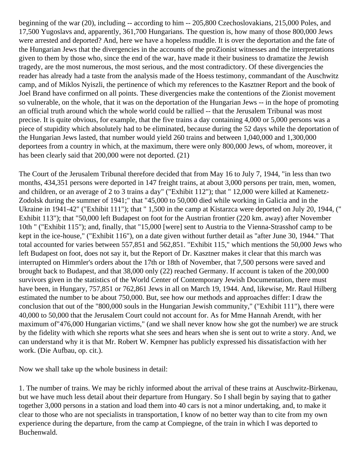beginning of the war (20), including -- according to him -- 205,800 Czechoslovakians, 215,000 Poles, and 17,500 Yugoslavs and, apparently, 361,700 Hungarians. The question is, how many of those 800,000 Jews were arrested and deported? And, here we have a hopeless muddle. It is over the deportation and the fate of the Hungarian Jews that the divergencies in the accounts of the proZionist witnesses and the interpretations given to them by those who, since the end of the war, have made it their business to dramatize the Jewish tragedy, are the most numerous, the most serious, and the most contradictory. Of these divergencies the reader has already had a taste from the analysis made of the Hoess testimony, commandant of the Auschwitz camp, and of Miklos Nyiszli, the pertinence of which my references to the Kasztner Report and the book of Joel Brand have confirmed on all points. These divergencies make the contentions of the Zionist movement so vulnerable, on the whole, that it was on the deportation of the Hungarian Jews -- in the hope of promoting an official truth around which the whole world could be rallied -- that the Jerusalem Tribunal was most precise. It is quite obvious, for example, that the five trains a day containing 4,000 or 5,000 persons was a piece of stupidity which absolutely had to be eliminated, because during the 52 days while the deportation of the Hungarian Jews lasted, that number would yield 260 trains and between 1,040,000 and 1,300,000 deportees from a country in which, at the maximum, there were only 800,000 Jews, of whom, moreover, it has been clearly said that 200,000 were not deported. (21)

The Court of the Jerusalem Tribunal therefore decided that from May 16 to July 7, 1944, "in less than two months, 434,351 persons were deported in 147 freight trains, at about 3,000 persons per train, men, women, and children, or an average of 2 to 3 trains a day" ("Exhibit 112"); that " 12,000 were killed at Kamenetz-Zodolsk during the summer of 1941;" that "45,000 to 50,000 died while working in Galicia and in the Ukraine in 1941-42" ("Exhibit 111"); that " 1,500 in the camp at Kistarzca were deported on July 20, 1944, (" Exhibit 113"); that "50,000 left Budapest on foot for the Austrian frontier (220 km. away) after November 10th " ("Exhibit 115"); and, finally, that "15,000 [were] sent to Austria to the Vienna-Strasshof camp to be kept in the ice-house," ("Exhibit 116"), on a date given without further detail as "after June 30, 1944." That total accounted for varies between 557,851 and 562,851. "Exhibit 115," which mentions the 50,000 Jews who left Budapest on foot, does not say it, but the Report of Dr. Kasztner makes it clear that this march was interrupted on Himmler's orders about the 17th or 18th of November, that 7,500 persons were saved and brought back to Budapest, and that 38,000 only (22) reached Germany. If account is taken of the 200,000 survivors given in the statistics of the World Center of Contemporary Jewish Documentation, there must have been, in Hungary, 757,851 or 762,861 Jews in all on March 19, 1944. And, likewise, Mr. Raul Hilberg estimated the number to be about 750,000. But, see how our methods and approaches differ: I draw the conclusion that out of the "800,000 souls in the Hungarian Jewish community," ("Exhibit 111"), there were 40,000 to 50,000 that the Jerusalem Court could not account for. As for Mme Hannah Arendt, with her maximum of"476,000 Hungarian victims," (and we shall never know how she got the number) we are struck by the fidelity with which she reports what she sees and hears when she is sent out to write a story. And, we can understand why it is that Mr. Robert W. Kempner has publicly expressed his dissatisfaction with her work. (Die Aufbau, op. cit.).

Now we shall take up the whole business in detail:

1. The number of trains. We may be richly informed about the arrival of these trains at Auschwitz-Birkenau, but we have much less detail about their departure from Hungary. So I shall begin by saying that to gather together 3,000 persons in a station and load them into 40 cars is not a minor undertaking, and, to make it clear to those who are not specialists in transportation, I know of no better way than to cite from my own experience during the departure, from the camp at Compiegne, of the train in which I was deported to Buchenwald.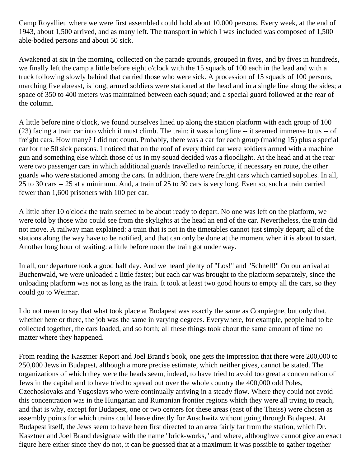Camp Royallieu where we were first assembled could hold about 10,000 persons. Every week, at the end of 1943, about 1,500 arrived, and as many left. The transport in which I was included was composed of 1,500 able-bodied persons and about 50 sick.

Awakened at six in the morning, collected on the parade grounds, grouped in fives, and by fives in hundreds, we finally left the camp a little before eight o'clock with the 15 squads of 100 each in the lead and with a truck following slowly behind that carried those who were sick. A procession of 15 squads of 100 persons, marching five abreast, is long; armed soldiers were stationed at the head and in a single line along the sides; a space of 350 to 400 meters was maintained between each squad; and a special guard followed at the rear of the column.

A little before nine o'clock, we found ourselves lined up along the station platform with each group of 100 (23) facing a train car into which it must climb. The train: it was a long line -- it seemed immense to us -- of freight cars. How many? I did not count. Probably, there was a car for each group (making 15) plus a special car for the 50 sick persons. I noticed that on the roof of every third car were soldiers armed with a machine gun and something else which those of us in my squad decided was a floodlight. At the head and at the rear were two passenger cars in which additional guards travelled to reinforce, if necessary en route, the other guards who were stationed among the cars. In addition, there were freight cars which carried supplies. In all, 25 to 30 cars -- 25 at a minimum. And, a train of 25 to 30 cars is very long. Even so, such a train carried fewer than 1,600 prisoners with 100 per car.

A little after 10 o'clock the train seemed to be about ready to depart. No one was left on the platform, we were told by those who could see from the skylights at the head an end of the car. Nevertheless, the train did not move. A railway man explained: a train that is not in the timetables cannot just simply depart; all of the stations along the way have to be notified, and that can only be done at the moment when it is about to start. Another long hour of waiting: a little before noon the train got under way.

In all, our departure took a good half day. And we heard plenty of "Los!" and "Schnell!" On our arrival at Buchenwald, we were unloaded a little faster; but each car was brought to the platform separately, since the unloading platform was not as long as the train. It took at least two good hours to empty all the cars, so they could go to Weimar.

I do not mean to say that what took place at Budapest was exactly the same as Compiegne, but only that, whether here or there, the job was the same in varying degrees. Everywhere, for example, people had to be collected together, the cars loaded, and so forth; all these things took about the same amount of time no matter where they happened.

From reading the Kasztner Report and Joel Brand's book, one gets the impression that there were 200,000 to 250,000 Jews in Budapest, although a more precise estimate, which neither gives, cannot be stated. The organizations of which they were the heads seem, indeed, to have tried to avoid too great a concentration of Jews in the capital and to have tried to spread out over the whole country the 400,000 odd Poles, Czechoslovaks and Yugoslavs who were continually arriving in a steady flow. Where they could not avoid this concentration was in the Hungarian and Rumanian frontier regions which they were all trying to reach, and that is why, except for Budapest, one or two centers for these areas (east of the Theiss) were chosen as assembly points for which trains could leave directly for Auschwitz without going through Budapest. At Budapest itself, the Jews seem to have been first directed to an area fairly far from the station, which Dr. Kasztner and Joel Brand designate with the name "brick-works," and where, althoughwe cannot give an exact figure here either since they do not, it can be guessed that at a maximum it was possible to gather together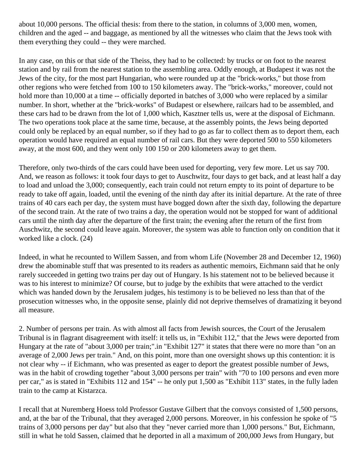about 10,000 persons. The official thesis: from there to the station, in columns of 3,000 men, women, children and the aged -- and baggage, as mentioned by all the witnesses who claim that the Jews took with them everything they could -- they were marched.

In any case, on this or that side of the Theiss, they had to be collected: by trucks or on foot to the nearest station and by rail from the nearest station to the assembling area. Oddly enough, at Budapest it was not the Jews of the city, for the most part Hungarian, who were rounded up at the "brick-works," but those from other regions who were fetched from 100 to 150 kilometers away. The "brick-works," moreover, could not hold more than 10,000 at a time -- officially deported in batches of 3,000 who were replaced by a similar number. In short, whether at the "brick-works" of Budapest or elsewhere, railcars had to be assembled, and these cars had to be drawn from the lot of 1,000 which, Kasztner tells us, were at the disposal of Eichmann. The two operations took place at the same time, because, at the assembly points, the Jews being deported could only be replaced by an equal number, so if they had to go as far to collect them as to deport them, each operation would have required an equal number of rail cars. But they were deported 500 to 550 kilometers away, at the most 600, and they went only 100 150 or 200 kilometers away to get them.

Therefore, only two-thirds of the cars could have been used for deporting, very few more. Let us say 700. And, we reason as follows: it took four days to get to Auschwitz, four days to get back, and at least half a day to load and unload the 3,000; consequently, each train could not return empty to its point of departure to be ready to take off again, loaded, until the evening of the ninth day after its initial departure. At the rate of three trains of 40 cars each per day, the system must have bogged down after the sixth day, following the departure of the second train. At the rate of two trains a day, the operation would not be stopped for want of additional cars until the ninth day after the departure of the first train; the evening after the return of the first from Auschwitz, the second could leave again. Moreover, the system was able to function only on condition that it worked like a clock. (24)

Indeed, in what he recounted to Willem Sassen, and from whom Life (November 28 and December 12, 1960) drew the abominable stuff that was presented to its readers as authentic memoirs, Eichmann said that he only rarely succeeded in getting two trains per day out of Hungary. Is his statement not to be believed because it was to his interest to minimize? Of course, but to judge by the exhibits that were attached to the verdict which was handed down by the Jerusalem judges, his testimony is to be believed no less than that of the prosecution witnesses who, in the opposite sense, plainly did not deprive themselves of dramatizing it beyond all measure.

2. Number of persons per train. As with almost all facts from Jewish sources, the Court of the Jerusalem Tribunal is in flagrant disagreement with itself: it tells us, in "Exhibit 112," that the Jews were deported from Hungary at the rate of "about 3,000 per train;".in "Exhibit 127" it states that there were no more than "on an average of 2,000 Jews per train." And, on this point, more than one oversight shows up this contention: it is not clear why -- if Eichmann, who was presented as eager to deport the greatest possible number of Jews, was in the habit of crowding together "about 3,000 persons per train" with "70 to 100 persons and even more per car," as is stated in "Exhibits 112 and 154" -- he only put 1,500 as "Exhibit 113" states, in the fully laden train to the camp at Kistarzca.

I recall that at Nuremberg Hoess told Professor Gustave Gilbert that the convoys consisted of 1,500 persons, and, at the bar of the Tribunal, that they averaged 2,000 persons. Moreover, in his confession he spoke of "5 trains of 3,000 persons per day" but also that they "never carried more than 1,000 persons." But, Eichmann, still in what he told Sassen, claimed that he deported in all a maximum of 200,000 Jews from Hungary, but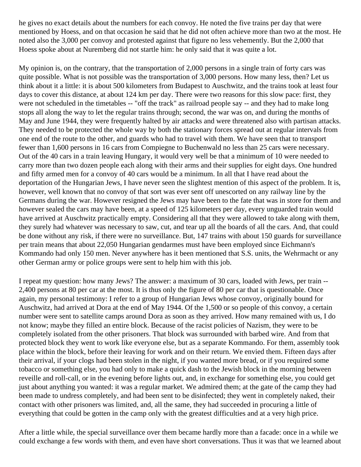he gives no exact details about the numbers for each convoy. He noted the five trains per day that were mentioned by Hoess, and on that occasion he said that he did not often achieve more than two at the most. He noted also the 3,000 per convoy and protested against that figure no less vehemently. But the 2,000 that Hoess spoke about at Nuremberg did not startle him: he only said that it was quite a lot.

My opinion is, on the contrary, that the transportation of 2,000 persons in a single train of forty cars was quite possible. What is not possible was the transportation of 3,000 persons. How many less, then? Let us think about it a little: it is about 500 kilometers from Budapest to Auschwitz, and the trains took at least four days to cover this distance, at about 124 km per day. There were two reasons for this slow pace: first, they were not scheduled in the timetables -- "off the track" as railroad people say -- and they had to make long stops all along the way to let the regular trains through; second, the war was on, and during the months of May and June 1944, they were frequently halted by air attacks and were threatened also with partisan attacks. They needed to be protected the whole way by both the stationary forces spread out at regular intervals from one end of the route to the other, and guards who had to travel with them. We have seen that to transport fewer than 1,600 persons in 16 cars from Compiegne to Buchenwald no less than 25 cars were necessary. Out of the 40 cars in a train leaving Hungary, it would very well be that a minimum of 10 were needed to carry more than two dozen people each along with their arms and their supplies for eight days. One hundred and fifty armed men for a convoy of 40 cars would be a minimum. In all that I have read about the deportation of the Hungarian Jews, I have never seen the slightest mention of this aspect of the problem. It is, however, well known that no convoy of that sort was ever sent off unescorted on any railway line by the Germans during the war. However resigned the Jews may have been to the fate that was in store for them and however sealed the cars may have been, at a speed of 125 kilometers per day, every unguarded train would have arrived at Auschwitz practically empty. Considering all that they were allowed to take along with them, they surely had whatever was necessary to saw, cut, and tear up all the boards of all the cars. And, that could be done without any risk, if there were no surveillance. But, 147 trains with about 150 guards for surveillance per train means that about 22,050 Hungarian gendarmes must have been employed since Eichmann's Kommando had only 150 men. Never anywhere has it been mentioned that S.S. units, the Wehrmacht or any other German army or police groups were sent to help him with this job.

I repeat my question: how many Jews? The answer: a maximum of 30 cars, loaded with Jews, per train -- 2,400 persons at 80 per car at the most. It is thus only the figure of 80 per car that is questionable. Once again, my personal testimony: I refer to a group of Hungarian Jews whose convoy, originally bound for Auschwitz, had arrived at Dora at the end of May 1944. Of the 1,500 or so people of this convoy, a certain number were sent to satellite camps around Dora as soon as they arrived. How many remained with us, I do not know; maybe they filled an entire block. Because of the racist policies of Nazism, they were to be completely isolated from the other prisoners. That block was surrounded with barbed wire. And from that protected block they went to work like everyone else, but as a separate Kommando. For them, assembly took place within the block, before their leaving for work and on their return. We envied them. Fifteen days after their arrival, if your clogs had been stolen in the night, if you wanted more bread, or if you required some tobacco or something else, you had only to make a quick dash to the Jewish block in the morning between reveille and roll-call, or in the evening before lights out, and, in exchange for something else, you could get just about anything you wanted: it was a regular market. We admired them; at the gate of the camp they had been made to undress completely, and had been sent to be disinfected; they went in completely naked, their contact with other prisoners was limited, and, all the same, they had succeeded in procuring a little of everything that could be gotten in the camp only with the greatest difficulties and at a very high price.

After a little while, the special surveillance over them became hardly more than a facade: once in a while we could exchange a few words with them, and even have short conversations. Thus it was that we learned about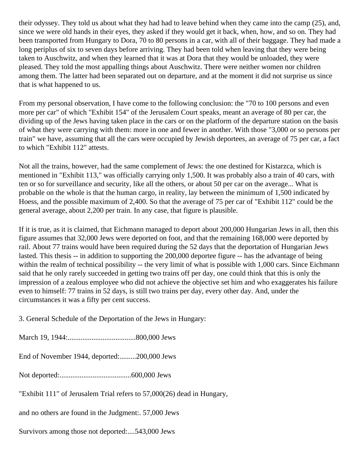their odyssey. They told us about what they had had to leave behind when they came into the camp (25), and, since we were old hands in their eyes, they asked if they would get it back, when, how, and so on. They had been transported from Hungary to Dora, 70 to 80 persons in a car, with all of their baggage. They had made a long periplus of six to seven days before arriving. They had been told when leaving that they were being taken to Auschwitz, and when they learned that it was at Dora that they would be unloaded, they were pleased. They told the most appalling things about Auschwitz. There were neither women nor children among them. The latter had been separated out on departure, and at the moment it did not surprise us since that is what happened to us.

From my personal observation, I have come to the following conclusion: the "70 to 100 persons and even more per car" of which "Exhibit 154" of the Jerusalem Court speaks, meant an average of 80 per car, the dividing up of the Jews having taken place in the cars or on the platform of the departure station on the basis of what they were carrying with them: more in one and fewer in another. With those "3,000 or so persons per train" we have, assuming that all the cars were occupied by Jewish deportees, an average of 75 per car, a fact to which "Exhibit 112" attests.

Not all the trains, however, had the same complement of Jews: the one destined for Kistarzca, which is mentioned in "Exhibit 113," was officially carrying only 1,500. It was probably also a train of 40 cars, with ten or so for surveillance and security, like all the others, or about 50 per car on the average... What is probable on the whole is that the human cargo, in reality, lay between the minimum of 1,500 indicated by Hoess, and the possible maximum of 2,400. So that the average of 75 per car of "Exhibit 112" could be the general average, about 2,200 per train. In any case, that figure is plausible.

If it is true, as it is claimed, that Eichmann managed to deport about 200,000 Hungarian Jews in all, then this figure assumes that 32,000 Jews were deported on foot, and that the remaining 168,000 were deported by rail. About 77 trains would have been required during the 52 days that the deportation of Hungarian Jews lasted. This thesis -- in addition to supporting the 200,000 deportee figure -- has the advantage of being within the realm of technical possibility -- the very limit of what is possible with 1,000 cars. Since Eichmann said that he only rarely succeeded in getting two trains off per day, one could think that this is only the impression of a zealous employee who did not achieve the objective set him and who exaggerates his failure even to himself: 77 trains in 52 days, is still two trains per day, every other day. And, under the circumstances it was a fifty per cent success.

3. General Schedule of the Deportation of the Jews in Hungary:

March 19, 1944:.....................................800,000 Jews

End of November 1944, deported:.........200,000 Jews

Not deported:.......................................600,000 Jews

"Exhibit 111" of Jerusalem Trial refers to 57,000(26) dead in Hungary,

and no others are found in the Judgment:. 57,000 Jews

Survivors among those not deported:....543,000 Jews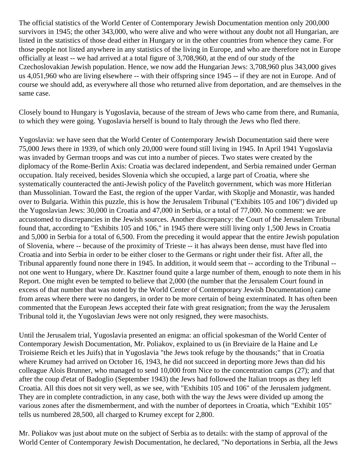The official statistics of the World Center of Contemporary Jewish Documentation mention only 200,000 survivors in 1945; the other 343,000, who were alive and who were without any doubt not all Hungarian, are listed in the statistics of those dead either in Hungary or in the other countries from whence they came. For those people not listed anywhere in any statistics of the living in Europe, and who are therefore not in Europe officially at least -- we had arrived at a total figure of 3,708,960, at the end of our study of the Czechoslovakian Jewish population. Hence, we now add the Hungarian Jews: 3,708,960 plus 343,000 gives us 4,051,960 who are living elsewhere -- with their offspring since 1945 -- if they are not in Europe. And of course we should add, as everywhere all those who returned alive from deportation, and are themselves in the same case.

Closely bound to Hungary is Yugoslavia, because of the stream of Jews who came from there, and Rumania, to which they were going. Yugoslavia herself is bound to Italy through the Jews who fled there.

Yugoslavia: we have seen that the World Center of Contemporary Jewish Documentation said there were 75,000 Jews there in 1939, of which only 20,000 were found still living in 1945. In April 1941 Yugoslavia was invaded by German troops and was cut into a number of pieces. Two states were created by the diplomacy of the Rome-Berlin Axis: Croatia was declared independent, and Serbia remained under German occupation. Italy received, besides Slovenia which she occupied, a large part of Croatia, where she systematically counteracted the anti-Jewish policy of the Pavelitch government, which was more Hitlerian than Mussolinian. Toward the East, the region of the upper Vardar, with Skoplje and Monastir, was handed over to Bulgaria. Within this puzzle, this is how the Jerusalem Tribunal ("Exhibits 105 and 106") divided up the Yugoslavian Jews: 30,000 in Croatia and 47,000 in Serbia, or a total of 77,000. No comment: we are accustomed to discrepancies in the Jewish sources. Another discrepancy: the Court of the Jerusalem Tribunal found that, according to "Exhibits 105 and 106," in 1945 there were still living only 1,500 Jews in Croatia and 5,000 in Serbia for a total of 6,500. From the preceding it would appear that the entire Jewish population of Slovenia, where -- because of the proximity of Trieste -- it has always been dense, must have fled into Croatia and into Serbia in order to be either closer to the Germans or right under their fist. After all, the Tribunal apparently found none there in 1945. In addition, it would seem that -- according to the Tribunal - not one went to Hungary, where Dr. Kasztner found quite a large number of them, enough to note them in his Report. One might even be tempted to believe that 2,000 (the number that the Jerusalem Court found in excess of that number that was noted by the World Center of Contemporary Jewish Documentation) came from areas where there were no dangers, in order to be more certain of being exterminated. It has often been commented that the European Jews accepted their fate with great resignation; from the way the Jerusalem Tribunal told it, the Yugoslavian Jews were not only resigned, they were masochists.

Until the Jerusalem trial, Yugoslavia presented an enigma: an official spokesman of the World Center of Contemporary Jewish Documentation, Mr. Poliakov, explained to us (in Breviaire de la Haine and Le Troisieme Reich et les Juifs) that in Yugoslavia "the Jews took refuge by the thousands;" that in Croatia where Krumey had arrived on October 16, 1943, he did not succeed in deporting more Jews than did his colleague Alois Brunner, who managed to send 10,000 from Nice to the concentration camps (27); and that after the coup d'etat of Badoglio (September 1943) the Jews had followed the Italian troops as they left Croatia. All this does not sit very well, as we see, with "Exhibits 105 and 106" of the Jerusalem judgment. They are in complete contradiction, in any case, both with the way the Jews were divided up among the various zones after the dismemberment, and with the number of deportees in Croatia, which "Exhibit 105" tells us numbered 28,500, all charged to Krumey except for 2,800.

Mr. Poliakov was just about mute on the subject of Serbia as to details: with the stamp of approval of the World Center of Contemporary Jewish Documentation, he declared, "No deportations in Serbia, all the Jews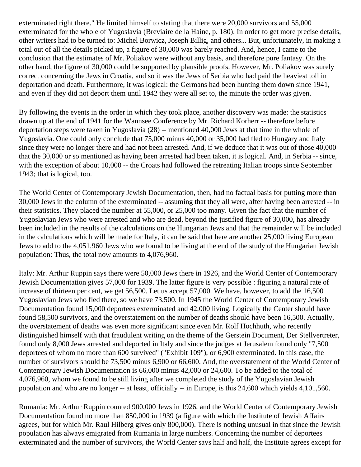exterminated right there." He limited himself to stating that there were 20,000 survivors and 55,000 exterminated for the whole of Yugoslavia (Breviaire de la Haine, p. 180). In order to get more precise details, other writers had to be turned to: Michel Borwicz, Joseph Billig, and others... But, unfortunately, in making a total out of all the details picked up, a figure of 30,000 was barely reached. And, hence, I came to the conclusion that the estimates of Mr. Poliakov were without any basis, and therefore pure fantasy. On the other hand, the figure of 30,000 could be supported by plausible proofs. However, Mr. Poliakov was surely correct concerning the Jews in Croatia, and so it was the Jews of Serbia who had paid the heaviest toll in deportation and death. Furthermore, it was logical: the Germans had been hunting them down since 1941, and even if they did not deport them until 1942 they were all set to, the minute the order was given.

By following the events in the order in which they took place, another discovery was made: the statistics drawn up at the end of 1941 for the Wannsee Conference by Mr. Richard Korherr -- therefore before deportation steps were taken in Yugoslavia (28) -- mentioned 40,000 Jews at that time in the whole of Yugoslavia. One could only conclude that 75,000 minus 40,000 or 35,000 had fled to Hungary and Italy since they were no longer there and had not been arrested. And, if we deduce that it was out of those 40,000 that the 30,000 or so mentioned as having been arrested had been taken, it is logical. And, in Serbia -- since, with the exception of about 10,000 -- the Croats had followed the retreating Italian troops since September 1943; that is logical, too.

The World Center of Contemporary Jewish Documentation, then, had no factual basis for putting more than 30,000 Jews in the column of the exterminated -- assuming that they all were, after having been arrested -- in their statistics. They placed the number at 55,000, or 25,000 too many. Given the fact that the number of Yugoslavian Jews who were arrested and who are dead, beyond the justified figure of 30,000, has already been included in the results of the calculations on the Hungarian Jews and that the remainder will be included in the calculations which will be made for Italy, it can be said that here are another 25,000 living European Jews to add to the 4,051,960 Jews who we found to be living at the end of the study of the Hungarian Jewish population: Thus, the total now amounts to 4,076,960.

Italy: Mr. Arthur Ruppin says there were 50,000 Jews there in 1926, and the World Center of Contemporary Jewish Documentation gives 57,000 for 1939. The latter figure is very possible : figuring a natural rate of increase of thirteen per cent, we get 56,500. Let us accept 57,000. We have, however, to add the 16,500 Yugoslavian Jews who fled there, so we have 73,500. In 1945 the World Center of Contemporary Jewish Documentation found 15,000 deportees exterminated and 42,000 living. Logically the Center should have found 58,500 survivors, and the overstatement on the number of deaths should have been 16,500. Actually, the overstatement of deaths was even more significant since even Mr. Rolf Hochhuth, who recently distinguished himself with that fraudulent writing on the theme of the Gerstein Document, Der Stellvertreter, found only 8,000 Jews arrested and deported in Italy and since the judges at Jerusalem found only "7,500 deportees of whom no more than 600 survived" ("Exhibit 109"), or 6,900 exterminated. In this case, the number of survivors should be 73,500 minus 6,900 or 66,600. And, the overstatement of the World Center of Contemporary Jewish Documentation is 66,000 minus 42,000 or 24,600. To be added to the total of 4,076,960, whom we found to be still living after we completed the study of the Yugoslavian Jewish population and who are no longer -- at least, officially -- in Europe, is this 24,600 which yields 4,101,560.

Rumania: Mr. Arthur Ruppin counted 900,000 Jews in 1926, and the World Center of Contemporary Jewish Documentation found no more than 850,000 in 1939 (a figure with which the Institute of Jewish Affairs agrees, but for which Mr. Raul Hilberg gives only 800,000). There is nothing unusual in that since the Jewish population has always emigrated from Rumania in large numbers. Concerning the number of deportees exterminated and the number of survivors, the World Center says half and half, the Institute agrees except for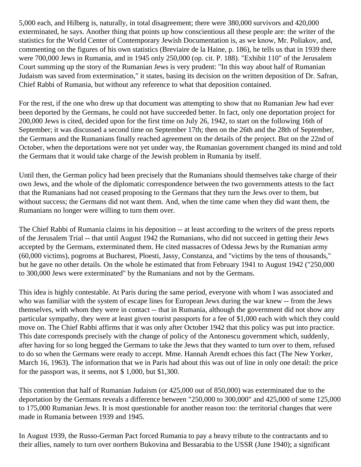5,000 each, and Hilberg is, naturally, in total disagreement; there were 380,000 survivors and 420,000 exterminated, he says. Another thing that points up how conscientious all these people are: the writer of the statistics for the World Center of Contemporary Jewish Documentation is, as we know, Mr. Poliakov, and, commenting on the figures of his own statistics (Breviaire de la Haine, p. 186), he tells us that in 1939 there were 700,000 Jews in Rumania, and in 1945 only 250,000 (op. cit. P. 188). "Exhibit 110" of the Jerusalem Court summing up the story of the Rumanian Jews is very prudent: "In this way about half of Rumanian Judaism was saved from extermination," it states, basing its decision on the written deposition of Dr. Safran, Chief Rabbi of Rumania, but without any reference to what that deposition contained.

For the rest, if the one who drew up that document was attempting to show that no Rumanian Jew had ever been deported by the Germans, he could not have succeeded better. In fact, only one deportation project for 200,000 Jews is cited, decided upon for the first time on July 26, 1942, to start on the following 16th of September; it was discussed a second time on September 17th; then on the 26th and the 28th of September, the Germans and the Rumanians finally reached agreement on the details of the project. But on the 22nd of October, when the deportations were not yet under way, the Rumanian government changed its mind and told the Germans that it would take charge of the Jewish problem in Rumania by itself.

Until then, the German policy had been precisely that the Rumanians should themselves take charge of their own Jews, and the whole of the diplomatic correspondence between the two governments attests to the fact that the Rumanians had not ceased proposing to the Germans that they turn the Jews over to them, but without success; the Germans did not want them. And, when the time came when they did want them, the Rumanians no longer were willing to turn them over.

The Chief Rabbi of Rumania claims in his deposition -- at least according to the writers of the press reports of the Jerusalem Trial -- that until August 1942 the Rumanians, who did not succeed in getting their Jews accepted by the Germans, exterminated them. He cited massacres of Odessa Jews by the Rumanian army (60,000 victims), pogroms at Bucharest, Ploesti, Jassy, Constanza, and "victims by the tens of thousands," but he gave no other details. On the whole he estimated that from February 1941 to August 1942 ("250,000 to 300,000 Jews were exterminated" by the Rumanians and not by the Germans.

This idea is highly contestable. At Paris during the same period, everyone with whom I was associated and who was familiar with the system of escape lines for European Jews during the war knew -- from the Jews themselves, with whom they were in contact -- that in Rumania, although the government did not show any particular sympathy, they were at least given tourist passports for a fee of \$1,000 each with which they could move on. The Chief Rabbi affirms that it was only after October 1942 that this policy was put into practice. This date corresponds precisely with the change of policy of the Antonescu government which, suddenly, after having for so long begged the Germans to take the Jews that they wanted to turn over to them, refused to do so when the Germans were ready to accept. Mme. Hannah Arendt echoes this fact (The New Yorker, March 16, 1963). The information that we in Paris had about this was out of line in only one detail: the price for the passport was, it seems, not \$ 1,000, but \$1,300.

This contention that half of Rumanian Judaism (or 425,000 out of 850,000) was exterminated due to the deportation by the Germans reveals a difference between "250,000 to 300,000" and 425,000 of some 125,000 to 175,000 Rumanian Jews. It is most questionable for another reason too: the territorial changes that were made in Rumania between 1939 and 1945.

In August 1939, the Russo-German Pact forced Rumania to pay a heavy tribute to the contractants and to their allies, namely to turn over northern Bukovina and Bessarabia to the USSR (June 1940); a significant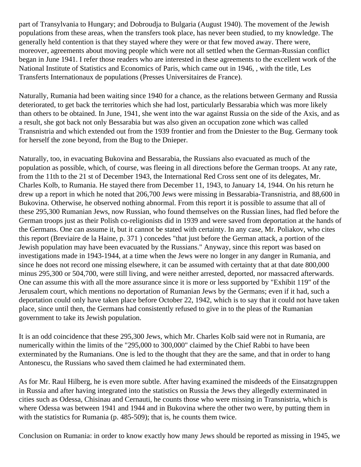part of Transylvania to Hungary; and Dobroudja to Bulgaria (August 1940). The movement of the Jewish populations from these areas, when the transfers took place, has never been studied, to my knowledge. The generally held contention is that they stayed where they were or that few moved away. There were, moreover, agreements about moving people which were not all settled when the German-Russian conflict began in June 1941. I refer those readers who are interested in these agreements to the excellent work of the National Institute of Statistics and Economics of Paris, which came out in 1946, , with the title, Les Transferts Internationaux de populations (Presses Universitaires de France).

Naturally, Rumania had been waiting since 1940 for a chance, as the relations between Germany and Russia deteriorated, to get back the territories which she had lost, particularly Bessarabia which was more likely than others to be obtained. In June, 1941, she went into the war against Russia on the side of the Axis, and as a result, she got back not only Bessarabia but was also given an occupation zone which was called Transnistria and which extended out from the 1939 frontier and from the Dniester to the Bug. Germany took for herself the zone beyond, from the Bug to the Dnieper.

Naturally, too, in evacuating Bukovina and Bessarabia, the Russians also evacuated as much of the population as possible, which, of course, was fleeing in all directions before the German troops. At any rate, from the 11th to the 21 st of December 1943, the International Red Cross sent one of its delegates, Mr. Charles Kolb, to Rumania. He stayed there from December 11, 1943, to January 14, 1944. On his return he drew up a report in which he noted that 206,700 Jews were missing in Bessarabia-Transnistria, and 88,600 in Bukovina. Otherwise, he observed nothing abnormal. From this report it is possible to assume that all of these 295,300 Rumanian Jews, now Russian, who found themselves on the Russian lines, had fled before the German troops just as their Polish co-religionists did in 1939 and were saved from deportation at the hands of the Germans. One can assume it, but it cannot be stated with certainty. In any case, Mr. Poliakov, who cites this report (Breviaire de la Haine, p. 371 ) concedes "that just before the German attack, a portion of the Jewish population may have been evacuated by the Russians." Anyway, since this report was based on investigations made in 1943-1944, at a time when the Jews were no longer in any danger in Rumania, and since he does not record one missing elsewhere, it can be assumed with certainty that at that date 800,000 minus 295,300 or 504,700, were still living, and were neither arrested, deported, nor massacred afterwards. One can assume this with all the more assurance since it is more or less supported by "Exhibit 119" of the Jerusalem court, which mentions no deportation of Rumanian Jews by the Germans; even if it had, such a deportation could only have taken place before October 22, 1942, which is to say that it could not have taken place, since until then, the Germans had consistently refused to give in to the pleas of the Rumanian government to take its Jewish population.

It is an odd coincidence that these 295,300 Jews, which Mr. Charles Kolb said were not in Rumania, are numerically within the limits of the "295,000 to 300,000" claimed by the Chief Rabbi to have been exterminated by the Rumanians. One is led to the thought that they are the same, and that in order to hang Antonescu, the Russians who saved them claimed he had exterminated them.

As for Mr. Raul Hilberg, he is even more subtle. After having examined the misdeeds of the Einsatzgruppen in Russia and after having integrated into the statistics on Russia the Jews they allegedly exterminated in cities such as Odessa, Chisinau and Cernauti, he counts those who were missing in Transnistria, which is where Odessa was between 1941 and 1944 and in Bukovina where the other two were, by putting them in with the statistics for Rumania (p. 485-509); that is, he counts them twice.

Conclusion on Rumania: in order to know exactly how many Jews should be reported as missing in 1945, we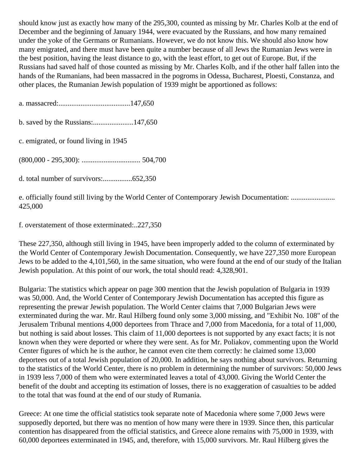should know just as exactly how many of the 295,300, counted as missing by Mr. Charles Kolb at the end of December and the beginning of January 1944, were evacuated by the Russians, and how many remained under the yoke of the Germans or Rumanians. However, we do not know this. We should also know how many emigrated, and there must have been quite a number because of all Jews the Rumanian Jews were in the best position, having the least distance to go, with the least effort, to get out of Europe. But, if the Russians had saved half of those counted as missing by Mr. Charles Kolb, and if the other half fallen into the hands of the Rumanians, had been massacred in the pogroms in Odessa, Bucharest, Ploesti, Constanza, and other places, the Rumanian Jewish population of 1939 might be apportioned as follows:

a. massacred:.......................................147,650

b. saved by the Russians:......................147,650

c. emigrated, or found living in 1945

(800,000 - 295,300): ................................ 504,700

d. total number of survivors:................652,350

e. officially found still living by the World Center of Contemporary Jewish Documentation: ........................ 425,000

f. overstatement of those exterminated:..227,350

These 227,350, although still living in 1945, have been improperly added to the column of exterminated by the World Center of Contemporary Jewish Documentation. Consequently, we have 227,350 more European Jews to be added to the 4,101,560, in the same situation, who were found at the end of our study of the Italian Jewish population. At this point of our work, the total should read: 4,328,901.

Bulgaria: The statistics which appear on page 300 mention that the Jewish population of Bulgaria in 1939 was 50,000. And, the World Center of Contemporary Jewish Documentation has accepted this figure as representing the prewar Jewish population. The World Center claims that 7,000 Bulgarian Jews were exterminated during the war. Mr. Raul Hilberg found only some 3,000 missing, and "Exhibit No. 108" of the Jerusalem Tribunal mentions 4,000 deportees from Thrace and 7,000 from Macedonia, for a total of 11,000, but nothing is said about losses. This claim of 11,000 deportees is not supported by any exact facts; it is not known when they were deported or where they were sent. As for Mr. Poliakov, commenting upon the World Center figures of which he is the author, he cannot even cite them correctly: he claimed some 13,000 deportees out of a total Jewish population of 20,000. In addition, he says nothing about survivors. Returning to the statistics of the World Center, there is no problem in determining the number of survivors: 50,000 Jews in 1939 less 7,000 of them who were exterminated leaves a total of 43,000. Giving the World Center the benefit of the doubt and accepting its estimation of losses, there is no exaggeration of casualties to be added to the total that was found at the end of our study of Rumania.

Greece: At one time the official statistics took separate note of Macedonia where some 7,000 Jews were supposedly deported, but there was no mention of how many were there in 1939. Since then, this particular contention has disappeared from the official statistics, and Greece alone remains with 75,000 in 1939, with 60,000 deportees exterminated in 1945, and, therefore, with 15,000 survivors. Mr. Raul Hilberg gives the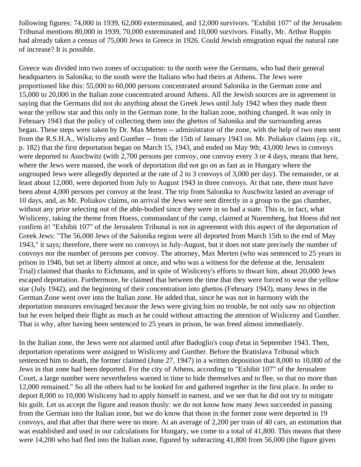following figures: 74,000 in 1939, 62,000 exterminated, and 12,000 survivors. "Exhibit 107" of the Jerusalem Tribunal mentions 80,000 in 1939, 70,000 exterminated and 10,000 survivors. Finally, Mr. Arthur Ruppin had already taken a census of 75,000 Jews in Greece in 1926. Could Jewish emigration equal the natural rate of increase? It is possible.

Greece was divided into two zones of occupation: to the north were the Germans, who had their general headquarters in Salonika; to the south were the Italians who had theirs at Athens. The Jews were proportioned like this: 55,000 to 60,000 persons concentrated around Salonika in the German zone and 15,000 to 20,000 in the Italian zone concentrated around Athens. All the Jewish sources are in agreement in saying that the Germans did not do anything about the Greek Jews until July 1942 when they made them wear the yellow star and this only in the German zone. In the Italian zone, nothing changed. It was only in February 1943 that the policy of collecting them into the ghettos of Salonika and the surrounding areas began. These steps were taken by Dr. Max Merten -- administrator of the zone, with the help of two men sent from the R.S.H.A., Wisliceny and Gunther -- from the 15th of January 1943 on. Mr. Poliakov claims (op. cit,. p. 182) that the first deportation began on March 15, 1943, and ended on May 9th; 43,000 Jews in convoys were deported to Auschwitz (with 2,700 persons per convoy, one convoy every 3 or 4 days, means that here, where the Jews were massed, the work of deportation did not go on as fast as in Hungary where the ungrouped Jews were allegedly deported at the rate of 2 to 3 convoys of 3,000 per day). The remainder, or at least about 12,000, were deported from July to August 1943 in three convoys. At that rate, there must have been about 4,000 persons per convoy at the least. The trip from Salonika to Auschwitz lasted an average of 10 days, and, as Mr. Poliakov claims, on arrival the Jews were sent directly in a group to the gas chamber, without any prior selecting out of the able-bodied since they were in so bad a state. This is, in fact, what Wisliceny, taking the theme from Hoess, commandant of the camp, claimed at Nuremberg, but Hoess did not confirm it! "Exhibit 107" of the Jerusalem Tribunal is not in agreement with this aspect of the deportation of Greek Jews: "The 56,000 Jews of the Salonika region were all deported from March 15th to the end of May 1943," it says; therefore, there were no convoys in July-August, but it does not state precisely the number of convoys nor the number of persons per convoy. The attorney, Max Merten (who was sentenced to 25 years in prison in 1946, but set at liberty almost at once, and who was a witness for the defense at the, Jerusalem Trial) claimed that thanks to Eichmann, and in spite of Wisliceny's efforts to thwart him, about 20,000 Jews escaped deportation. Furthermore, he claimed that between the time that they were forced to wear the yellow star (July 1942), and the beginning of their concentration into ghettos (February 1943), many Jews in the German Zone went over into the Italian zone. He added that, since he was not in harmony with the deportation measures envisaged because the Jews were giving him no trouble, he not only saw no objection but he even helped their flight as much as he could without attracting the attention of Wisliceny and Gunther. That is why, after having been sentenced to 25 years in prison, he was freed almost immediately.

In the Italian zone, the Jews were not alarmed until after Badoglio's coup d'etat in September 1943. Then, deportation operations were assigned to Wisliceny and Gunther. Before the Bratislava Tribunal which sentenced him to death, the former claimed (June 27, 1947) in a written deposition that 8,000 to 10,000 of the Jews in that zone had been deported. For the city of Athens, according to "Exhibit 107" of the Jerusalem Court, a large number were nevertheless warned in time to hide themselves and to flee, so that no more than 12,000 remained." So all the others had to be looked for and gathered together in the first place. In order to deport 8,000 to 10,000 Wisliceny had to apply himself in earnest, and we see that he did not try to mitigate his guilt. Let us accept the figure and reason thusly: we do not know how many Jews succeeded in passing from the German into the Italian zone, but we do know that those in the former zone were deported in 19 convoys, and that after that there were no more. At an average of 2,200 per train of 40 cars, an estimation that was established and used in our calculations for Hungary, we come to a total of 41,800. This means that there were 14,200 who had fled into the Italian zone, figured by subtracting 41,800 from 56,000 (the figure given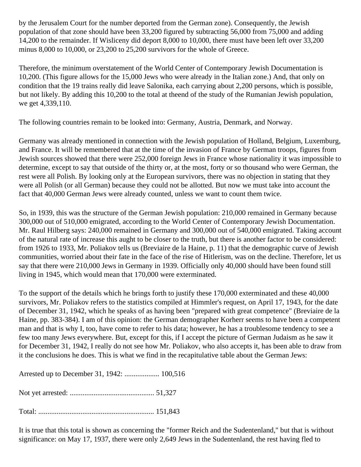by the Jerusalem Court for the number deported from the German zone). Consequently, the Jewish population of that zone should have been 33,200 figured by subtracting 56,000 from 75,000 and adding 14,200 to the remainder. If Wisliceny did deport 8,000 to 10,000, there must have been left over 33,200 minus 8,000 to 10,000, or 23,200 to 25,200 survivors for the whole of Greece.

Therefore, the minimum overstatement of the World Center of Contemporary Jewish Documentation is 10,200. (This figure allows for the 15,000 Jews who were already in the Italian zone.) And, that only on condition that the 19 trains really did leave Salonika, each carrying about 2,200 persons, which is possible, but not likely. By adding this 10,200 to the total at theend of the study of the Rumanian Jewish population, we get 4,339,110.

The following countries remain to be looked into: Germany, Austria, Denmark, and Norway.

Germany was already mentioned in connection with the Jewish population of Holland, Belgium, Luxemburg, and France. It will be remembered that at the time of the invasion of France by German troops, figures from Jewish sources showed that there were 252,000 foreign Jews in France whose nationality it was impossible to determine, except to say that outside of the thirty or, at the most, forty or so thousand who were German, the rest were all Polish. By looking only at the European survivors, there was no objection in stating that they were all Polish (or all German) because they could not be allotted. But now we must take into account the fact that 40,000 German Jews were already counted, unless we want to count them twice.

So, in 1939, this was the structure of the German Jewish population: 210,000 remained in Germany because 300,000 out of 510,000 emigrated, according to the World Center of Contemporary Jewish Documentation. Mr. Raul Hilberg says: 240,000 remained in Germany and 300,000 out of 540,000 emigrated. Taking account of the natural rate of increase this aught to be closer to the truth, but there is another factor to be considered: from 1926 to 1933, Mr. Poliakov tells us (Breviaire de la Haine, p. 11) that the demographic curve of Jewish communities, worried about their fate in the face of the rise of Hitlerism, was on the decline. Therefore, let us say that there were 210,000 Jews in Germany in 1939. Officially only 40,000 should have been found still living in 1945, which would mean that 170,000 were exterminated.

To the support of the details which he brings forth to justify these 170,000 exterminated and these 40,000 survivors, Mr. Poliakov refers to the statistics compiled at Himmler's request, on April 17, 1943, for the date of December 31, 1942, which he speaks of as having been "prepared with great competence" (Breviaire de la Haine, pp. 383-384). I am of this opinion: the German demographer Korherr seems to have been a competent man and that is why I, too, have come to refer to his data; however, he has a troublesome tendency to see a few too many Jews everywhere. But, except for this, if I accept the picture of German Judaism as he saw it for December 31, 1942, I really do not see how Mr. Poliakov, who also accepts it, has been able to draw from it the conclusions he does. This is what we find in the recapitulative table about the German Jews:

Arrested up to December 31, 1942: ................... 100,516

Not yet arrested: .............................................. 51,327

Total: ............................................................... 151,843

It is true that this total is shown as concerning the "former Reich and the Sudentenland," but that is without significance: on May 17, 1937, there were only 2,649 Jews in the Sudentenland, the rest having fled to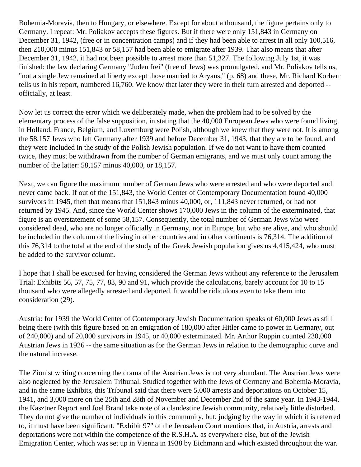Bohemia-Moravia, then to Hungary, or elsewhere. Except for about a thousand, the figure pertains only to Germany. I repeat: Mr. Poliakov accepts these figures. But if there were only 151,843 in Germany on December 31, 1942, (free or in concentration camps) and if they had been able to arrest in all only 100,516, then 210,000 minus 151,843 or 58,157 had been able to emigrate after 1939. That also means that after December 31, 1942, it had not been possible to arrest more than 51,327. The following July 1st, it was finished: the law declaring Germany "Juden frei" (free of Jews) was promulgated, and Mr. Poliakov tells us, "not a single Jew remained at liberty except those married to Aryans," (p. 68) and these, Mr. Richard Korherr tells us in his report, numbered 16,760. We know that later they were in their turn arrested and deported - officially, at least.

Now let us correct the error which we deliberately made, when the problem had to be solved by the elementary process of the false supposition, in stating that the 40,000 European Jews who were found living in Holland, France, Belgium, and Luxemburg were Polish, although we knew that they were not. It is among the 58,157 Jews who left Germany after 1939 and before December 31, 1943, that they are to be found, and they were included in the study of the Polish Jewish population. If we do not want to have them counted twice, they must be withdrawn from the number of German emigrants, and we must only count among the number of the latter: 58,157 minus 40,000, or 18,157.

Next, we can figure the maximum number of German Jews who were arrested and who were deported and never came back. If out of the 151,843, the World Center of Contemporary Documentation found 40,000 survivors in 1945, then that means that 151,843 minus 40,000, or, 111,843 never returned, or had not returned by 1945. And, since the World Center shows 170,000 Jews in the column of the exterminated, that figure is an overstatement of some 58,157. Consequently, the total number of German Jews who were considered dead, who are no longer officially in Germany, nor in Europe, but who are alive, and who should be included in the column of the living in other countries and in other continents is 76,314. The addition of this 76,314 to the total at the end of the study of the Greek Jewish population gives us 4,415,424, who must be added to the survivor column.

I hope that I shall be excused for having considered the German Jews without any reference to the Jerusalem Trial: Exhibits 56, 57, 75, 77, 83, 90 and 91, which provide the calculations, barely account for 10 to 15 thousand who were allegedly arrested and deported. It would be ridiculous even to take them into consideration (29).

Austria: for 1939 the World Center of Contemporary Jewish Documentation speaks of 60,000 Jews as still being there (with this figure based on an emigration of 180,000 after Hitler came to power in Germany, out of 240,000) and of 20,000 survivors in 1945, or 40,000 exterminated. Mr. Arthur Ruppin counted 230,000 Austrian Jews in 1926 -- the same situation as for the German Jews in relation to the demographic curve and the natural increase.

The Zionist writing concerning the drama of the Austrian Jews is not very abundant. The Austrian Jews were also neglected by the Jerusalem Tribunal. Studied together with the Jews of Germany and Bohemia-Moravia, and in the same Exhibits, this Tribunal said that there were 5,000 arrests and deportations on October 15, 1941, and 3,000 more on the 25th and 28th of November and December 2nd of the same year. In 1943-1944, the Kasztner Report and Joel Brand take note of a clandestine Jewish community, relatively little disturbed. They do not give the number of individuals in this community, but, judging by the way in which it is referred to, it must have been significant. "Exhibit 97" of the Jerusalem Court mentions that, in Austria, arrests and deportations were not within the competence of the R.S.H.A. as everywhere else, but of the Jewish Emigration Center, which was set up in Vienna in 1938 by Eichmann and which existed throughout the war.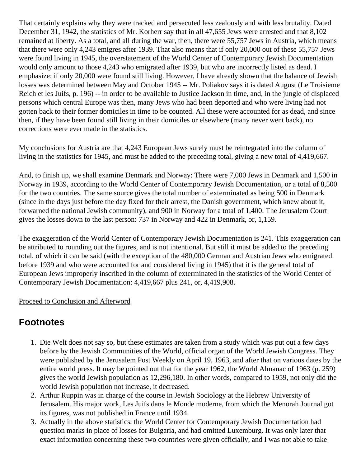That certainly explains why they were tracked and persecuted less zealously and with less brutality. Dated December 31, 1942, the statistics of Mr. Korherr say that in all 47,655 Jews were arrested and that 8,102 remained at liberty. As a total, and all during the war, then, there were 55,757 Jews in Austria, which means that there were only 4,243 emigres after 1939. That also means that if only 20,000 out of these 55,757 Jews were found living in 1945, the overstatement of the World Center of Contemporary Jewish Documentation would only amount to those 4,243 who emigrated after 1939, but who are incorrectly listed as dead. I emphasize: if only 20,000 were found still living. However, I have already shown that the balance of Jewish losses was determined between May and October 1945 -- Mr. Poliakov says it is dated August (Le Troisieme Reich et les Juifs, p. 196) -- in order to be available to Justice Jackson in time, and, in the jungle of displaced persons which central Europe was then, many Jews who had been deported and who were living had not gotten back to their former domiciles in time to be counted. All these were accounted for as dead, and since then, if they have been found still living in their domiciles or elsewhere (many never went back), no corrections were ever made in the statistics.

My conclusions for Austria are that 4,243 European Jews surely must be reintegrated into the column of living in the statistics for 1945, and must be added to the preceding total, giving a new total of 4,419,667.

And, to finish up, we shall examine Denmark and Norway: There were 7,000 Jews in Denmark and 1,500 in Norway in 1939, according to the World Center of Contemporary Jewish Documentation, or a total of 8,500 for the two countries. The same source gives the total number of exterminated as being 500 in Denmark (since in the days just before the day fixed for their arrest, the Danish government, which knew about it, forwarned the national Jewish community), and 900 in Norway for a total of 1,400. The Jerusalem Court gives the losses down to the last person: 737 in Norway and 422 in Denmark, or, 1,159.

The exaggeration of the World Center of Contemporary Jewish Documentation is 241. This exaggeration can be attributed to rounding out the figures, and is not intentional. But still it must be added to the preceding total, of which it can be said (with the exception of the 480,000 German and Austrian Jews who emigrated before 1939 and who were accounted for and considered living in 1945) that it is the general total of European Jews improperly inscribed in the column of exterminated in the statistics of the World Center of Contemporary Jewish Documentation: 4,419,667 plus 241, or, 4,419,908.

## [Proceed to Conclusion and Afterword](#page-234-0)

# **Footnotes**

- 1. Die Welt does not say so, but these estimates are taken from a study which was put out a few days before by the Jewish Communities of the World, official organ of the World Jewish Congress. They were published by the Jerusalem Post Weekly on April 19, 1963, and after that on various dates by the entire world press. It may be pointed out that for the year 1962, the World Almanac of 1963 (p. 259) gives the world Jewish population as 12,296,180. In other words, compared to 1959, not only did the world Jewish population not increase, it decreased.
- 2. Arthur Ruppin was in charge of the course in Jewish Sociology at the Hebrew University of Jerusalem. His major work, Les Juifs dans le Monde moderne, from which the Menorah Journal got its figures, was not published in France until 1934.
- 3. Actually in the above statistics, the World Center for Contemporary Jewish Documentation had question marks in place of losses for Bulgaria, and had omitted Luxemburg. It was only later that exact information concerning these two countries were given officially, and I was not able to take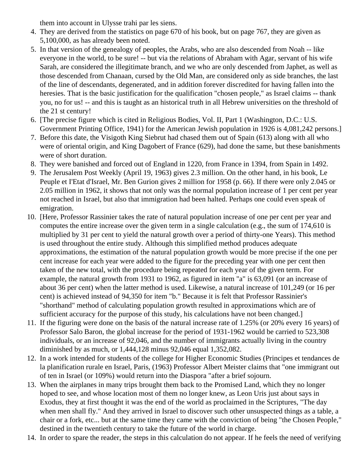them into account in Ulysse trahi par les siens.

- 4. They are derived from the statistics on page 670 of his book, but on page 767, they are given as 5,100,000, as has already been noted.
- 5. In that version of the genealogy of peoples, the Arabs, who are also descended from Noah -- like everyone in the world, to be sure! -- but via the relations of Abraham with Agar, servant of his wife Sarah, are considered the illegitimate branch, and we who are only descended from Japhet, as well as those descended from Chanaan, cursed by the Old Man, are considered only as side branches, the last of the line of descendants, degenerated, and in addition forever discredited for having fallen into the heresies. That is the basic justification for the qualification "chosen people," as Israel claims -- thank you, no for us! -- and this is taught as an historical truth in all Hebrew universities on the threshold of the 21 st century!
- 6. [The precise figure which is cited in Religious Bodies, Vol. II, Part 1 (Washington, D.C.: U.S. Government Printing Office, 1941) for the American Jewish population in 1926 is 4,081,242 persons.]
- 7. Before this date, the Visigoth King Siebrut had chased them out of Spain (613) along with all who were of oriental origin, and King Dagobert of France (629), had done the same, but these banishments were of short duration.
- 8. They were banished and forced out of England in 1220, from France in 1394, from Spain in 1492.
- 9. The Jerusalem Post Weekly (April 19, 1963) gives 2.3 million. On the other hand, in his book, Le Peuple et I'Etat d'Israel, Mr. Ben Gurion gives 2 million for 1958 (p. 66). If there were only 2.045 or 2.05 million in 1962, it shows that not only was the normal population increase of 1 per cent per year not reached in Israel, but also that immigration had been halted. Perhaps one could even speak of emigration.
- 10. [Here, Professor Rassinier takes the rate of natural population increase of one per cent per year and computes the entire increase over the given term in a single calculation (e.g., the sum of 174,610 is multiplied by 31 per cent to yield the natural growth over a period of thirty-one Years). This method is used throughout the entire study. Although this simplified method produces adequate approximations, the estimation of the natural population growth would be more precise if the one per cent increase for each year were added to the figure for the preceding year with one per cent then taken of the new total, with the procedure being repeated for each year of the given term. For example, the natural growth from 1931 to 1962, as figured in item "a" is 63,091 (or an increase of about 36 per cent) when the latter method is used. Likewise, a natural increase of 101,249 (or 16 per cent) is achieved instead of 94,350 for item "b." Because it is felt that Professor Rassinier's "shorthand" method of calculating population growth resulted in approximations which are of sufficient accuracy for the purpose of this study, his calculations have not been changed.]
- 11. If the figuring were done on the basis of the natural increase rate of 1.25% (or 20% every 16 years) of Professor Salo Baron, the global increase for the period of 1931-1962 would be carried to 523,308 individuals, or an increase of 92,046, and the number of immigrants actually living in the country diminished by as much, or 1,444,128 minus 92,046 equal 1,352,082.
- 12. In a work intended for students of the college for Higher Economic Studies (Principes et tendances de la planification rurale en Israel, Paris, (1963) Professor Albert Meister claims that "one immigrant out of ten in Israel (or 109%) would return into the Diaspora "after a brief sojourn.
- 13. When the airplanes in many trips brought them back to the Promised Land, which they no longer hoped to see, and whose location most of them no longer knew, as Leon Uris just about says in Exodus, they at first thought it was the end of the world as proclaimed in the Scriptures, "The day when men shall fly." And they arrived in Israel to discover such other unsuspected things as a table, a chair or a fork, etc... but at the same time they came with the conviction of being "the Chosen People," destined in the twentieth century to take the future of the world in charge.
- 14. In order to spare the reader, the steps in this calculation do not appear. If he feels the need of verifying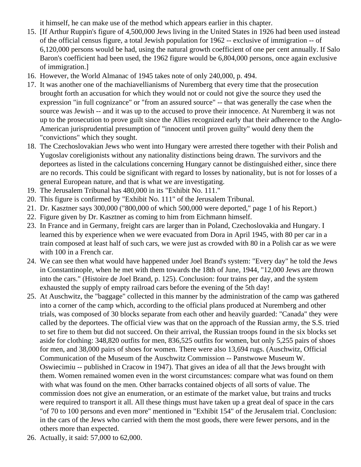it himself, he can make use of the method which appears earlier in this chapter.

- 15. [If Arthur Ruppin's figure of 4,500,000 Jews living in the United States in 1926 had been used instead of the official census figure, a total Jewish population for 1962 -- exclusive of immigration -- of 6,120,000 persons would be had, using the natural growth coefficient of one per cent annually. If Salo Baron's coefficient had been used, the 1962 figure would be 6,804,000 persons, once again exclusive of immigration.]
- 16. However, the World Almanac of 1945 takes note of only 240,000, p. 494.
- 17. It was another one of the machiavellianisms of Nuremberg that every time that the prosecution brought forth an accusation for which they would not or could not give the source they used the expression "in full cognizance" or "from an assured source" -- that was generally the case when the source was Jewish -- and it was up to the accused to prove their innocence. At Nuremberg it was not up to the prosecution to prove guilt since the Allies recognized early that their adherence to the Anglo-American jurisprudential presumption of "innocent until proven guilty" would deny them the "convictions" which they sought.
- 18. The Czechoslovakian Jews who went into Hungary were arrested there together with their Polish and Yugoslav coreligionists without any nationality distinctions being drawn. The survivors and the deportees as listed in the calculations concerning Hungary cannot be distinguished either, since there are no records. This could be significant with regard to losses by nationality, but is not for losses of a general European nature, and that is what we are investigating.
- 19. The Jerusalem Tribunal has 480,000 in its "Exhibit No. 111."
- 20. This figure is confirmed by "Exhibit No. 111" of the Jerusalem Tribunal.
- 21. Dr. Kasztner says 300,000 ("800,000 of which 500,000 were deported," page 1 of his Report.)
- 22. Figure given by Dr. Kasztner as coming to him from Eichmann himself.
- 23. In France and in Germany, freight cars are larger than in Poland, Czechoslovakia and Hungary. I learned this by experience when we were evacuated from Dora in April 1945, with 80 per car in a train composed at least half of such cars, we were just as crowded with 80 in a Polish car as we were with 100 in a French car.
- 24. We can see then what would have happened under Joel Brand's system: "Every day" he told the Jews in Constantinople, when he met with them towards the 18th of June, 1944, "12,000 Jews are thrown into the cars." (Histoire de Joel Brand, p. 125). Conclusion: four trains per day, and the system exhausted the supply of empty railroad cars before the evening of the 5th day!
- 25. At Auschwitz, the "baggage" collected in this manner by the administration of the camp was gathered into a corner of the camp which, according to the official plans produced at Nuremberg and other trials, was composed of 30 blocks separate from each other and heavily guarded: "Canada" they were called by the deportees. The official view was that on the approach of the Russian army, the S.S. tried to set fire to them but did not succeed. On their arrival, the Russian troops found in the six blocks set aside for clothing: 348,820 outfits for men, 836,525 outfits for women, but only 5,255 pairs of shoes for men, and 38,000 pairs of shoes for women. There were also 13,694 rugs. (Auschwitz, Official Communication of the Museum of the Auschwitz Commission -- Panstwowe Museum W. Oswiecimiu -- published in Cracow in 1947). That gives an idea of all that the Jews brought with them. Women remained women even in the worst circumstances: compare what was found on them with what was found on the men. Other barracks contained objects of all sorts of value. The commission does not give an enumeration, or an estimate of the market value, but trains and trucks were required to transport it all. All these things must have taken up a great deal of space in the cars "of 70 to 100 persons and even more" mentioned in "Exhibit 154" of the Jerusalem trial. Conclusion: in the cars of the Jews who carried with them the most goods, there were fewer persons, and in the others more than expected.
- 26. Actually, it said: 57,000 to 62,000.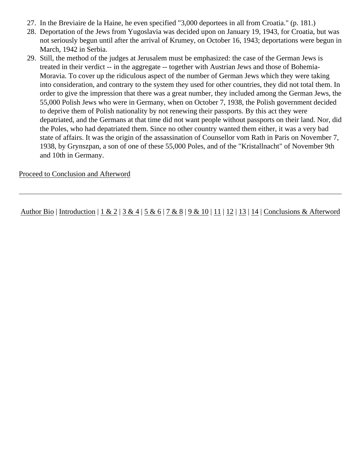- 27. In the Breviaire de la Haine, he even specified "3,000 deportees in all from Croatia." (p. 181.)
- 28. Deportation of the Jews from Yugoslavia was decided upon on January 19, 1943, for Croatia, but was not seriously begun until after the arrival of Krumey, on October 16, 1943; deportations were begun in March, 1942 in Serbia.
- 29. Still, the method of the judges at Jerusalem must be emphasized: the case of the German Jews is treated in their verdict -- in the aggregate -- together with Austrian Jews and those of Bohemia-Moravia. To cover up the ridiculous aspect of the number of German Jews which they were taking into consideration, and contrary to the system they used for other countries, they did not total them. In order to give the impression that there was a great number, they included among the German Jews, the 55,000 Polish Jews who were in Germany, when on October 7, 1938, the Polish government decided to deprive them of Polish nationality by not renewing their passports. By this act they were depatriated, and the Germans at that time did not want people without passports on their land. Nor, did the Poles, who had depatriated them. Since no other country wanted them either, it was a very bad state of affairs. It was the origin of the assassination of Counsellor vom Rath in Paris on November 7, 1938, by Grynszpan, a son of one of these 55,000 Poles, and of the "Kristallnacht" of November 9th and 10th in Germany.

### [Proceed to Conclusion and Afterword](#page-234-0)

[Author Bio](#page-0-0) | [Introduction](#page-0-0) | [1 & 2](#page-9-0) | [3 & 4](#page-32-0) | [5 & 6](#page-55-0) | [7 & 8](#page-67-0) | [9 & 10](#page-83-0) | [11](#page-104-0) | [12](#page-130-0) | [13](#page-139-0) | [14](#page-176-0) | [Conclusions & Afterword](#page-234-0)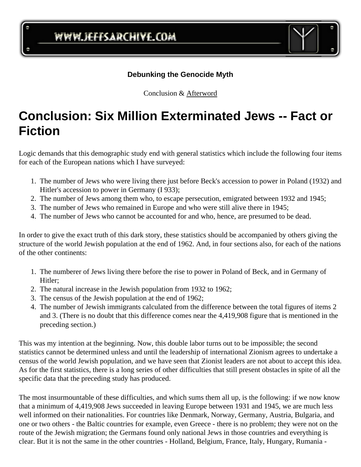## **Debunking the Genocide Myth**

Conclusion & [Afterword](#page-241-0)

# <span id="page-234-0"></span>**Conclusion: Six Million Exterminated Jews -- Fact or Fiction**

Logic demands that this demographic study end with general statistics which include the following four items for each of the European nations which I have surveyed:

- 1. The number of Jews who were living there just before Beck's accession to power in Poland (1932) and Hitler's accession to power in Germany (I 933);
- 2. The number of Jews among them who, to escape persecution, emigrated between 1932 and 1945;
- 3. The number of Jews who remained in Europe and who were still alive there in 1945;
- 4. The number of Jews who cannot be accounted for and who, hence, are presumed to be dead.

In order to give the exact truth of this dark story, these statistics should be accompanied by others giving the structure of the world Jewish population at the end of 1962. And, in four sections also, for each of the nations of the other continents:

- 1. The numberer of Jews living there before the rise to power in Poland of Beck, and in Germany of Hitler;
- 2. The natural increase in the Jewish population from 1932 to 1962;
- 3. The census of the Jewish population at the end of 1962;
- 4. The number of Jewish immigrants calculated from the difference between the total figures of items 2 and 3. (There is no doubt that this difference comes near the 4,419,908 figure that is mentioned in the preceding section.)

This was my intention at the beginning. Now, this double labor turns out to be impossible; the second statistics cannot be determined unless and until the leadership of international Zionism agrees to undertake a census of the world Jewish population, and we have seen that Zionist leaders are not about to accept this idea. As for the first statistics, there is a long series of other difficulties that still present obstacles in spite of all the specific data that the preceding study has produced.

The most insurmountable of these difficulties, and which sums them all up, is the following: if we now know that a minimum of 4,419,908 Jews succeeded in leaving Europe between 1931 and 1945, we are much less well informed on their nationalities. For countries like Denmark, Norway, Germany, Austria, Bulgaria, and one or two others - the Baltic countries for example, even Greece - there is no problem; they were not on the route of the Jewish migration; the Germans found only national Jews in those countries and everything is clear. But it is not the same in the other countries - Holland, Belgium, France, Italy, Hungary, Rumania -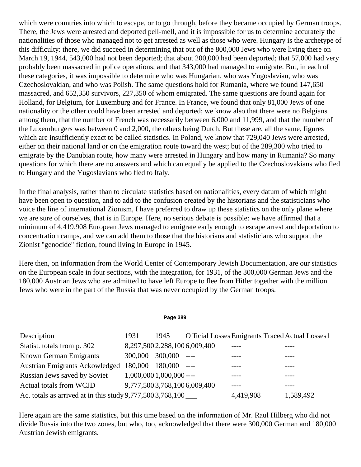which were countries into which to escape, or to go through, before they became occupied by German troops. There, the Jews were arrested and deported pell-mell, and it is impossible for us to determine accurately the nationalities of those who managed not to get arrested as well as those who were. Hungary is the archetype of this difficulty: there, we did succeed in determining that out of the 800,000 Jews who were living there on March 19, 1944, 543,000 had not been deported; that about 200,000 had been deported; that 57,000 had very probably been massacred in police operations; and that 343,000 had managed to emigrate. But, in each of these categories, it was impossible to determine who was Hungarian, who was Yugoslavian, who was Czechoslovakian, and who was Polish. The same questions hold for Rumania, where we found 147,650 massacred, and 652,350 survivors, 227,350 of whom emigrated. The same questions are found again for Holland, for Belgium, for Luxemburg and for France. In France, we found that only 81,000 Jews of one nationality or the other could have been arrested and deported; we know also that there were no Belgians among them, that the number of French was necessarily between 6,000 and 11,999, and that the number of the Luxemburgers was between 0 and 2,000, the others being Dutch. But these are, all the same, figures which are insufficiently exact to be called statistics. In Poland, we know that 729,040 Jews were arrested, either on their national land or on the emigration route toward the west; but of the 289,300 who tried to emigrate by the Danubian route, how many were arrested in Hungary and how many in Rumania? So many questions for which there are no answers and which can equally be applied to the Czechoslovakians who fled to Hungary and the Yugoslavians who fled to Italy.

In the final analysis, rather than to circulate statistics based on nationalities, every datum of which might have been open to question, and to add to the confusion created by the historians and the statisticians who voice the line of international Zionism, I have preferred to draw up these statistics on the only plane where we are sure of ourselves, that is in Europe. Here, no serious debate is possible: we have affirmed that a minimum of 4,419,908 European Jews managed to emigrate early enough to escape arrest and deportation to concentration camps, and we can add them to those that the historians and statisticians who support the Zionist "genocide" fiction, found living in Europe in 1945.

Here then, on information from the World Center of Contemporary Jewish Documentation, are our statistics on the European scale in four sections, with the integration, for 1931, of the 300,000 German Jews and the 180,000 Austrian Jews who are admitted to have left Europe to flee from Hitler together with the million Jews who were in the part of the Russia that was never occupied by the German troops.

#### **Page 389**

| Description                           | 1931                     | 1945                      |                               |           | <b>Official Losses Emigrants Traced Actual Losses1</b> |
|---------------------------------------|--------------------------|---------------------------|-------------------------------|-----------|--------------------------------------------------------|
| Statist. totals from p. 302           |                          |                           | 8,297,500 2,288,100 6,009,400 |           |                                                        |
| Known German Emigrants                | 300,000                  | $300,000$ ----            |                               |           |                                                        |
| <b>Austrian Emigrants Ackowledged</b> | $180,000$ $180,000$ ---- |                           |                               |           |                                                        |
| Russian Jews saved by Soviet          |                          | $1,000,0001,000,000$ ---- |                               |           |                                                        |
| Actual totals from WCJD               |                          |                           | 9,777,5003,768,1006,009,400   |           |                                                        |
|                                       |                          |                           |                               | 4,419,908 | 1,589,492                                              |

Here again are the same statistics, but this time based on the information of Mr. Raul Hilberg who did not divide Russia into the two zones, but who, too, acknowledged that there were 300,000 German and 180,000 Austrian Jewish emigrants.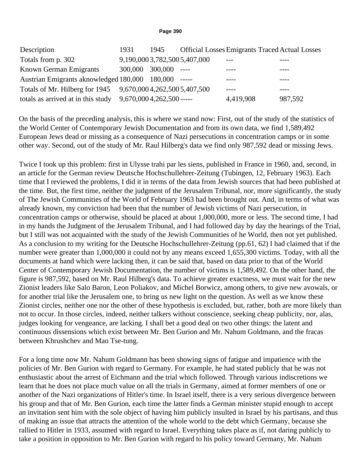#### **Page 390**

| Description                                                   | 1931    | 1945           |                             |           | <b>Official Losses Emigrants Traced Actual Losses</b> |
|---------------------------------------------------------------|---------|----------------|-----------------------------|-----------|-------------------------------------------------------|
| Totals from p. 302                                            |         |                | 9,190,0003,782,5005,407,000 | $---$     |                                                       |
| Known German Emigrants                                        | 300,000 | $300,000$ ---- |                             |           |                                                       |
| Austrian Emigrants aknowledged 180,000 180,000 -----          |         |                |                             |           |                                                       |
| Totals of Mr. Hilberg for 1945 9,670,0004,262,5005,407,500    |         |                |                             |           |                                                       |
| totals as arrived at in this study $9,670,0004,262,500$ ----- |         |                |                             | 4,419,908 | 987,592                                               |

On the basis of the preceding analysis, this is where we stand now: First, out of the study of the statistics of the World Center of Contemporary Jewish Documentation and from its own data, we find 1,589,492 European Jews dead or missing as a consequence of Nazi persecutions in concentration camps or in some other way. Second, out of the study of Mr. Raul Hilberg's data we find only 987,592 dead or missing Jews.

Twice I took up this problem: first in Ulysse trahi par les siens, published in France in 1960, and, second, in an article for the German review Deutsche Hochschullehrer-Zeitung (Tubingen, 12, February 1963). Each time that I reviewed the problems, I did it in terms of the data from Jewish sources that had been published at the time. But, the first time, neither the judgment of the Jerusalem Tribunal, nor, more significantly, the study of The Jewish Communities of the World of February 1963 had been brought out. And, in terms of what was already known, my conviction had been that the number of Jewish victims of Nazi persecution, in concentration camps or otherwise, should be placed at about 1,000,000, more or less. The second time, I had in my hands the Judgment of the Jerusalem Tribunal, and I had followed day by day the hearings of the Trial, but I still was not acquainted with the study of the Jewish Communities of he World, then not yet published. As a conclusion to my writing for the Deutsche Hochschullehrer-Zeitung (pp.61, 62) I had claimed that if the number were greater than 1,000,000 it could not by any means exceed 1,655,300 victims. Today, with all the documents at hand which were lacking then, it can be said that, based on data prior to that of the World Center of Contemporary Jewish Documentation, the number of victims is 1,589,492. On the other hand, the figure is 987,592, based on Mr. Raul Hilberg's data. To achieve greater exactness, we must wait for the new Zionist leaders like Salo Baron, Leon Poliakov, and Michel Borwicz, among others, to give new avowals, or for another trial like the Jerusalem one, to bring us new light on the question. As well as we know these Zionist circles, neither one nor the other of these hypothesis is excluded, but, rather, both are more likely than not to occur. In those circles, indeed, neither talkers without conscience, seeking cheap publicity, nor, alas, judges looking for vengeance, are lacking. I shall bet a good deal on two other things: the latent and continuous dissensions which exist between Mr. Ben Gurion and Mr. Nahum Goldmann, and the fracas between Khrushchev and Mao Tse-tung.

For a long time now Mr. Nahum Goldmann has been showing signs of fatigue and impatience with the policies of Mr. Ben Gurion with regard to Germany. For example, he had stated publicly that he was not enthusiastic about the arrest of Eichmann and the trial which followed. Through various indiscretions we learn that he does not place much value on all the trials in Germany, aimed at former members of one or another of the Nazi organizations of Hitler's time. In Israel itself, there is a very serious divergence between his group and that of Mr. Ben Gurion, each time the latter finds a German minister stupid enough to accept an invitation sent him with the sole object of having him publicly insulted in Israel by his partisans, and thus of making an issue that attracts the attention of the whole world to the debt which Germany, because she rallied to Hitler in 1933, assumed with regard to Israel. Everything takes place as if, not daring publicly to take a position in opposition to Mr. Ben Gurion with regard to his policy toward Germany, Mr. Nahum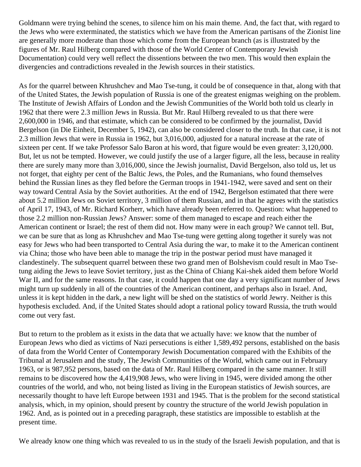Goldmann were trying behind the scenes, to silence him on his main theme. And, the fact that, with regard to the Jews who were exterminated, the statistics which we have from the American partisans of the Zionist line are generally more moderate than those which come from the European branch (as is illustrated by the figures of Mr. Raul Hilberg compared with those of the World Center of Contemporary Jewish Documentation) could very well reflect the dissentions between the two men. This would then explain the divergencies and contradictions revealed in the Jewish sources in their statistics.

As for the quarrel between Khrushchev and Mao Tse-tung, it could be of consequence in that, along with that of the United States, the Jewish population of Russia is one of the greatest enigmas weighing on the problem. The Institute of Jewish Affairs of London and the Jewish Communities of the World both told us clearly in 1962 that there were 2.3 million Jews in Russia. But Mr. Raul Hilberg revealed to us that there were 2,600,000 in 1946, and that estimate, which can be considered to be confirmed by the journalist, David Bergelson (in Die Einheit, December 5, 1942), can also be considered closer to the truth. In that case, it is not 2.3 million Jews that were in Russia in 1962, but 3,016,000, adjusted for a natural increase at the rate of sixteen per cent. If we take Professor Salo Baron at his word, that figure would be even greater: 3,120,000. But, let us not be tempted. However, we could justify the use of a larger figure, all the less, because in reality there are surely many more than 3,016,000, since the Jewish journalist, David Bergelson, also told us, let us not forget, that eighty per cent of the Baltic Jews, the Poles, and the Rumanians, who found themselves behind the Russian lines as they fled before the German troops in 1941-1942, were saved and sent on their way toward Central Asia by the Soviet authorities. At the end of 1942, Bergelson estimated that there were about 5.2 million Jews on Soviet territory, 3 million of them Russian, and in that he agrees with the statistics of April 17, 1943, of Mr. Richard Korherr, which have already been referred to. Question: what happened to those 2.2 million non-Russian Jews? Answer: some of them managed to escape and reach either the American continent or Israel; the rest of them did not. How many were in each group? We cannot tell. But, we can be sure that as long as Khrushchev and Mao Tse-tung were getting along together it surely was not easy for Jews who had been transported to Central Asia during the war, to make it to the American continent via China; those who have been able to manage the trip in the postwar period must have managed it clandestinely. The subsequent quarrel between these two grand men of Bolshevism could result in Mao Tsetung aiding the Jews to leave Soviet territory, just as the China of Chiang Kai-shek aided them before World War II, and for the same reasons. In that case, it could happen that one day a very significant number of Jews might turn up suddenly in all of the countries of the American continent, and perhaps also in Israel. And, unless it is kept hidden in the dark, a new light will be shed on the statistics of world Jewry. Neither is this hypothesis excluded. And, if the United States should adopt a rational policy toward Russia, the truth would come out very fast.

But to return to the problem as it exists in the data that we actually have: we know that the number of European Jews who died as victims of Nazi persecutions is either 1,589,492 persons, established on the basis of data from the World Center of Contemporary Jewish Documentation compared with the Exhibits of the Tribunal at Jerusalem and the study, The Jewish Communities of the World, which came out in February 1963, or is 987,952 persons, based on the data of Mr. Raul Hilberg compared in the same manner. It still remains to be discovered how the 4,419,908 Jews, who were living in 1945, were divided among the other countries of the world, and who, not being listed as living in the European statistics of Jewish sources, are necessarily thought to have left Europe between 1931 and 1945. That is the problem for the second statistical analysis, which, in my opinion, should present by country the structure of the world Jewish population in 1962. And, as is pointed out in a preceding paragraph, these statistics are impossible to establish at the present time.

We already know one thing which was revealed to us in the study of the Israeli Jewish population, and that is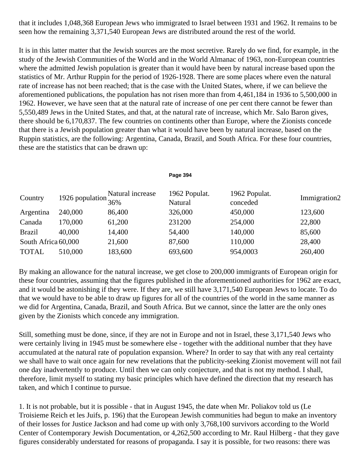that it includes 1,048,368 European Jews who immigrated to Israel between 1931 and 1962. It remains to be seen how the remaining 3,371,540 European Jews are distributed around the rest of the world.

It is in this latter matter that the Jewish sources are the most secretive. Rarely do we find, for example, in the study of the Jewish Communities of the World and in the World Almanac of 1963, non-European countries where the admitted Jewish population is greater than it would have been by natural increase based upon the statistics of Mr. Arthur Ruppin for the period of 1926-1928. There are some places where even the natural rate of increase has not been reached; that is the case with the United States, where, if we can believe the aforementioned publications, the population has not risen more than from 4,461,184 in 1936 to 5,500,000 in 1962. However, we have seen that at the natural rate of increase of one per cent there cannot be fewer than 5,550,489 Jews in the United States, and that, at the natural rate of increase, which Mr. Salo Baron gives, there should be 6,170,837. The few countries on continents other than Europe, where the Zionists concede that there is a Jewish population greater than what it would have been by natural increase, based on the Ruppin statistics, are the following: Argentina, Canada, Brazil, and South Africa. For these four countries, these are the statistics that can be drawn up:

#### **Page 394**

| Country             | 1926 population $36\%$ | Natural increase | 1962 Populat.<br><b>Natural</b> | 1962 Populat.<br>conceded | Immigration2 |
|---------------------|------------------------|------------------|---------------------------------|---------------------------|--------------|
| Argentina           | 240,000                | 86,400           | 326,000                         | 450,000                   | 123,600      |
| Canada              | 170,000                | 61,200           | 231200                          | 254,000                   | 22,800       |
| <b>Brazil</b>       | 40,000                 | 14,400           | 54,400                          | 140,000                   | 85,600       |
| South Africa 60,000 |                        | 21,600           | 87,600                          | 110,000                   | 28,400       |
| <b>TOTAL</b>        | 510,000                | 183,600          | 693,600                         | 954,0003                  | 260,400      |

By making an allowance for the natural increase, we get close to 200,000 immigrants of European origin for these four countries, assuming that the figures published in the aforementioned authorities for 1962 are exact, and it would be astonishing if they were. If they are, we still have 3,171,540 European Jews to locate. To do that we would have to be able to draw up figures for all of the countries of the world in the same manner as we did for Argentina, Canada, Brazil, and South Africa. But we cannot, since the latter are the only ones given by the Zionists which concede any immigration.

Still, something must be done, since, if they are not in Europe and not in Israel, these 3,171,540 Jews who were certainly living in 1945 must be somewhere else - together with the additional number that they have accumulated at the natural rate of population expansion. Where? In order to say that with any real certainty we shall have to wait once again for new revelations that the publicity-seeking Zionist movement will not fail one day inadvertently to produce. Until then we can only conjecture, and that is not my method. I shall, therefore, limit myself to stating my basic principles which have defined the direction that my research has taken, and which I continue to pursue.

1. It is not probable, but it is possible - that in August 1945, the date when Mr. Poliakov told us (Le Troisieme Reich et les Juifs, p. 196) that the European Jewish communities had begun to make an inventory of their losses for Justice Jackson and had come up with only 3,768,100 survivors according to the World Center of Contemporary Jewish Documentation, or 4,262,500 according to Mr. Raul Hilberg - that they gave figures considerably understated for reasons of propaganda. I say it is possible, for two reasons: there was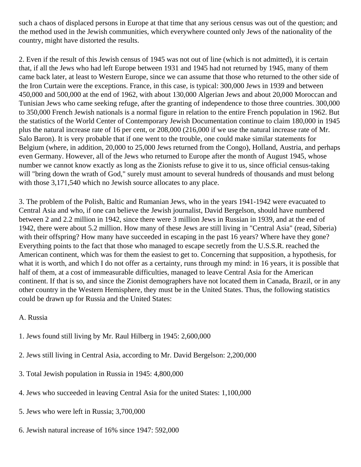such a chaos of displaced persons in Europe at that time that any serious census was out of the question; and the method used in the Jewish communities, which everywhere counted only Jews of the nationality of the country, might have distorted the results.

2. Even if the result of this Jewish census of 1945 was not out of line (which is not admitted), it is certain that, if all the Jews who had left Europe between 1931 and 1945 had not returned by 1945, many of them came back later, at least to Western Europe, since we can assume that those who returned to the other side of the Iron Curtain were the exceptions. France, in this case, is typical: 300,000 Jews in 1939 and between 450,000 and 500,000 at the end of 1962, with about 130,000 Algerian Jews and about 20,000 Moroccan and Tunisian Jews who came seeking refuge, after the granting of independence to those three countries. 300,000 to 350,000 French Jewish nationals is a normal figure in relation to the entire French population in 1962. But the statistics of the World Center of Contemporary Jewish Documentation continue to claim 180,000 in 1945 plus the natural increase rate of 16 per cent, or 208,000 (216,000 if we use the natural increase rate of Mr. Salo Baron). It is very probable that if one went to the trouble, one could make similar statements for Belgium (where, in addition, 20,000 to 25,000 Jews returned from the Congo), Holland, Austria, and perhaps even Germany. However, all of the Jews who returned to Europe after the month of August 1945, whose number we cannot know exactly as long as the Zionists refuse to give it to us, since official census-taking will "bring down the wrath of God," surely must amount to several hundreds of thousands and must belong with those 3,171,540 which no Jewish source allocates to any place.

3. The problem of the Polish, Baltic and Rumanian Jews, who in the years 1941-1942 were evacuated to Central Asia and who, if one can believe the Jewish journalist, David Bergelson, should have numbered between 2 and 2.2 million in 1942, since there were 3 million Jews in Russian in 1939, and at the end of 1942, there were about 5.2 million. How many of these Jews are still living in "Central Asia" (read, Siberia) with their offspring? How many have succeeded in escaping in the past 16 years? Where have they gone? Everything points to the fact that those who managed to escape secretly from the U.S.S.R. reached the American continent, which was for them the easiest to get to. Concerning that supposition, a hypothesis, for what it is worth, and which I do not offer as a certainty, runs through my mind: in 16 years, it is possible that half of them, at a cost of immeasurable difficulties, managed to leave Central Asia for the American continent. If that is so, and since the Zionist demographers have not located them in Canada, Brazil, or in any other country in the Western Hemisphere, they must be in the United States. Thus, the following statistics could be drawn up for Russia and the United States:

### A. Russia

- 1. Jews found still living by Mr. Raul Hilberg in 1945: 2,600,000
- 2. Jews still living in Central Asia, according to Mr. David Bergelson: 2,200,000
- 3. Total Jewish population in Russia in 1945: 4,800,000
- 4. Jews who succeeded in leaving Central Asia for the united States: 1,100,000
- 5. Jews who were left in Russia; 3,700,000
- 6. Jewish natural increase of 16% since 1947: 592,000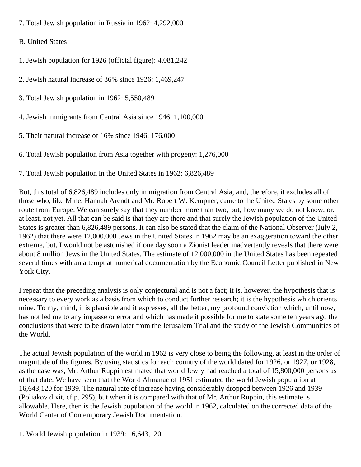- 7. Total Jewish population in Russia in 1962: 4,292,000
- B. United States
- 1. Jewish population for 1926 (official figure): 4,081,242
- 2. Jewish natural increase of 36% since 1926: 1,469,247
- 3. Total Jewish population in 1962: 5,550,489
- 4. Jewish immigrants from Central Asia since 1946: 1,100,000
- 5. Their natural increase of 16% since 1946: 176,000
- 6. Total Jewish population from Asia together with progeny: 1,276,000
- 7. Total Jewish population in the United States in 1962: 6,826,489

But, this total of 6,826,489 includes only immigration from Central Asia, and, therefore, it excludes all of those who, like Mme. Hannah Arendt and Mr. Robert W. Kempner, came to the United States by some other route from Europe. We can surely say that they number more than two, but, how many we do not know, or, at least, not yet. All that can be said is that they are there and that surely the Jewish population of the United States is greater than 6,826,489 persons. It can also be stated that the claim of the National Observer (July 2, 1962) that there were 12,000,000 Jews in the United States in 1962 may be an exaggeration toward the other extreme, but, I would not be astonished if one day soon a Zionist leader inadvertently reveals that there were about 8 million Jews in the United States. The estimate of 12,000,000 in the United States has been repeated several times with an attempt at numerical documentation by the Economic Council Letter published in New York City.

I repeat that the preceding analysis is only conjectural and is not a fact; it is, however, the hypothesis that is necessary to every work as a basis from which to conduct further research; it is the hypothesis which orients mine. To my, mind, it is plausible and it expresses, all the better, my profound conviction which, until now, has not led me to any impasse or error and which has made it possible for me to state some ten years ago the conclusions that were to be drawn later from the Jerusalem Trial and the study of the Jewish Communities of the World.

The actual Jewish population of the world in 1962 is very close to being the following, at least in the order of magnitude of the figures. By using statistics for each country of the world dated for 1926, or 1927, or 1928, as the case was, Mr. Arthur Ruppin estimated that world Jewry had reached a total of 15,800,000 persons as of that date. We have seen that the World Almanac of 1951 estimated the world Jewish population at 16,643,120 for 1939. The natural rate of increase having considerably dropped between 1926 and 1939 (Poliakov dixit, cf p. 295), but when it is compared with that of Mr. Arthur Ruppin, this estimate is allowable. Here, then is the Jewish population of the world in 1962, calculated on the corrected data of the World Center of Contemporary Jewish Documentation.

1. World Jewish population in 1939: 16,643,120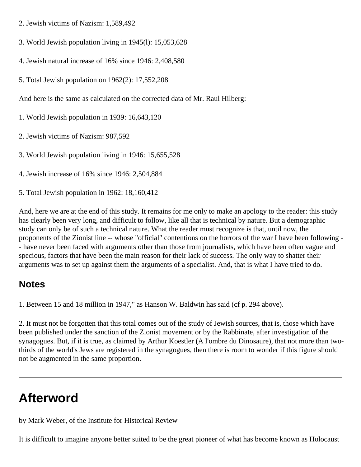- 2. Jewish victims of Nazism: 1,589,492
- 3. World Jewish population living in 1945(l): 15,053,628
- 4. Jewish natural increase of 16% since 1946: 2,408,580
- 5. Total Jewish population on 1962(2): 17,552,208

And here is the same as calculated on the corrected data of Mr. Raul Hilberg:

- 1. World Jewish population in 1939: 16,643,120
- 2. Jewish victims of Nazism: 987,592
- 3. World Jewish population living in 1946: 15,655,528
- 4. Jewish increase of 16% since 1946: 2,504,884
- 5. Total Jewish population in 1962: 18,160,412

And, here we are at the end of this study. It remains for me only to make an apology to the reader: this study has clearly been very long, and difficult to follow, like all that is technical by nature. But a demographic study can only be of such a technical nature. What the reader must recognize is that, until now, the proponents of the Zionist line -- whose "official" contentions on the horrors of the war I have been following - - have never been faced with arguments other than those from journalists, which have been often vague and specious, factors that have been the main reason for their lack of success. The only way to shatter their arguments was to set up against them the arguments of a specialist. And, that is what I have tried to do.

## **Notes**

1. Between 15 and 18 million in 1947," as Hanson W. Baldwin has said (cf p. 294 above).

2. It must not be forgotten that this total comes out of the study of Jewish sources, that is, those which have been published under the sanction of the Zionist movement or by the Rabbinate, after investigation of the synagogues. But, if it is true, as claimed by Arthur Koestler (A l'ombre du Dinosaure), that not more than twothirds of the world's Jews are registered in the synagogues, then there is room to wonder if this figure should not be augmented in the same proportion.

# <span id="page-241-0"></span>**Afterword**

by Mark Weber, of the Institute for Historical Review

It is difficult to imagine anyone better suited to be the great pioneer of what has become known as Holocaust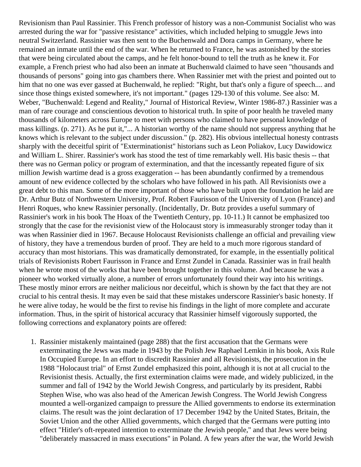Revisionism than Paul Rassinier. This French professor of history was a non-Communist Socialist who was arrested during the war for "passive resistance" activities, which included helping to smuggle Jews into neutral Switzerland. Rassinier was then sent to the Buchenwald and Dora camps in Germany, where he remained an inmate until the end of the war. When he returned to France, he was astonished by the stories that were being circulated about the camps, and he felt honor-bound to tell the truth as he knew it. For example, a French priest who had also been an inmate at Buchenwald claimed to have seen "thousands and thousands of persons" going into gas chambers there. When Rassinier met with the priest and pointed out to him that no one was ever gassed at Buchenwald, he replied: "Right, but that's only a figure of speech.... and since those things existed somewhere, it's not important." (pages 129-130 of this volume. See also: M. Weber, "Buchenwald: Legend and Reality," Journal of Historical Review, Winter 1986-87.) Rassinier was a man of rare courage and conscientious devotion to historical truth. In spite of poor health he traveled many thousands of kilometers across Europe to meet with persons who claimed to have personal knowledge of mass killings. (p. 271). As he put it,"... A historian worthy of the name should not suppress anything that he knows which is relevant to the subject under discussion." (p. 282). His obvious intellectual honesty contrasts sharply with the deceitful spirit of "Exterminationist" historians such as Leon Poliakov, Lucy Dawidowicz and William L. Shirer. Rassinier's work has stood the test of time remarkably well. His basic thesis -- that there was no German policy or program of extermination, and that the incessantly repeated figure of six million Jewish wartime dead is a gross exaggeration -- has been abundantly confirmed by a tremendous amount of new evidence collected by the scholars who have followed in his path. All Revisionists owe a great debt to this man. Some of the more important of those who have built upon the foundation he laid are Dr. Arthur Butz of Northwestern University, Prof. Robert Faurisson of the University of Lyon (France) and Henri Roques, who knew Rassinier personally. (Incidentally, Dr. Butz provides a useful summary of Rassinier's work in his book The Hoax of the Twentieth Century, pp. 10-11.) It cannot be emphasized too strongly that the case for the revisionist view of the Holocaust story is immeasurably stronger today than it was when Rassinier died in 1967. Because Holocaust Revisionists challenge an official and prevailing view of history, they have a tremendous burden of proof. They are held to a much more rigorous standard of accuracy than most historians. This was dramatically demonstrated, for example, in the essentially political trials of Revisionists Robert Faurisson in France and Ernst Zundel in Canada. Rassinier was in frail health when he wrote most of the works that have been brought together in this volume. And because he was a pioneer who worked virtually alone, a number of errors unfortunately found their way into his writings. These mostly minor errors are neither malicious nor deceitful, which is shown by the fact that they are not crucial to his central thesis. It may even be said that these mistakes underscore Rassinier's basic honesty. If he were alive today, he would be the first to revise his findings in the light of more complete and accurate information. Thus, in the spirit of historical accuracy that Rassinier himself vigorously supported, the following corrections and explanatory points are offered:

1. Rassinier mistakenly maintained (page 288) that the first accusation that the Germans were exterminating the Jews was made in 1943 by the Polish Jew Raphael Lemkin in his book, Axis Rule In Occupied Europe. In an effort to discredit Rassinier and all Revisionists, the prosecution in the 1988 "Holocaust trial" of Ernst Zundel emphasized this point, although it is not at all crucial to the Revisionist thesis. Actually, the first extermination claims were made, and widely publicized, in the summer and fall of 1942 by the World Jewish Congress, and particularly by its president, Rabbi Stephen Wise, who was also head of the American Jewish Congress. The World Jewish Congress mounted a well-organized campaign to pressure the Allied governments to endorse its extermination claims. The result was the joint declaration of 17 December 1942 by the United States, Britain, the Soviet Union and the other Allied governments, which charged that the Germans were putting into effect "Hitler's oft-repeated intention to exterminate the Jewish people," and that Jews were being "deliberately massacred in mass executions" in Poland. A few years after the war, the World Jewish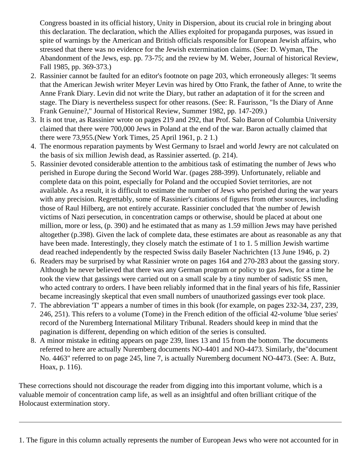Congress boasted in its official history, Unity in Dispersion, about its crucial role in bringing about this declaration. The declaration, which the Allies exploited for propaganda purposes, was issued in spite of warnings by the American and British officials responsible for European Jewish affairs, who stressed that there was no evidence for the Jewish extermination claims. (See: D. Wyman, The Abandonment of the Jews, esp. pp. 73-75; and the review by M. Weber, Journal of historical Review, Fall 1985, pp. 369-373.)

- 2. Rassinier cannot be faulted for an editor's footnote on page 203, which erroneously alleges: 'It seems that the American Jewish writer Meyer Levin was hired by Otto Frank, the father of Anne, to write the Anne Frank Diary. Levin did not write the Diary, but rather an adaptation of it for the screen and stage. The Diary is nevertheless suspect for other reasons. (See: R. Faurisson, "Is the Diary of Anne Frank Genuine?," Journal of Historical Review, Summer 1982, pp. 147-209.)
- 3. It is not true, as Rassinier wrote on pages 219 and 292, that Prof. Salo Baron of Columbia University claimed that there were 700,000 Jews in Poland at the end of the war. Baron actually claimed that there were 73,955.(New York Times, 25 April 1961, p. 2 1.)
- 4. The enormous reparation payments by West Germany to Israel and world Jewry are not calculated on the basis of six million Jewish dead, as Rassinier asserted. (p. 214).
- 5. Rassinier devoted considerable attention to the ambitious task of estimating the number of Jews who perished in Europe during the Second World War. (pages 288-399). Unfortunately, reliable and complete data on this point, especially for Poland and the occupied Soviet territories, are not available. As a result, it is difficult to estimate the number of Jews who perished during the war years with any precision. Regrettably, some of Rassinier's citations of figures from other sources, including those of Raul Hilberg, are not entirely accurate. Rassinier concluded that 'the number of Jewish victims of Nazi persecution, in concentration camps or otherwise, should be placed at about one million, more or less, (p. 390) and he estimated that as many as 1.59 million Jews may have perished altogether (p.398). Given the lack of complete data, these estimates are about as reasonable as any that have been made. Interestingly, they closely match the estimate of 1 to 1. 5 million Jewish wartime dead reached independently by the respected Swiss daily Baseler Nachrichten (13 June 1946, p. 2)
- 6. Readers may be surprised by what Rassinier wrote on pages 164 and 270-283 about the gassing story. Although he never believed that there was any German program or policy to gas Jews, for a time he took the view that gassings were carried out on a small scale by a tiny number of sadistic SS men, who acted contrary to orders. I have been reliably informed that in the final years of his fife, Rassinier became increasingly skeptical that even small numbers of unauthorized gassings ever took place.
- 7. The abbreviation 'T' appears a number of times in this book (for example, on pages 232-34, 237, 239, 246, 251). This refers to a volume (Tome) in the French edition of the official 42-volume 'blue series' record of the Nuremberg International Military Tribunal. Readers should keep in mind that the pagination is different, depending on which edition of the series is consulted.
- 8. A minor mistake in editing appears on page 239, lines 13 and 15 from the bottom. The documents referred to here are actually Nuremberg documents NO-4401 and NO-4473. Similarly, the"document No. 4463" referred to on page 245, line 7, is actually Nuremberg document NO-4473. (See: A. Butz, Hoax, p. 116).

These corrections should not discourage the reader from digging into this important volume, which is a valuable memoir of concentration camp life, as well as an insightful and often brilliant critique of the Holocaust extermination story.

1. The figure in this column actually represents the number of European Jews who were not accounted for in